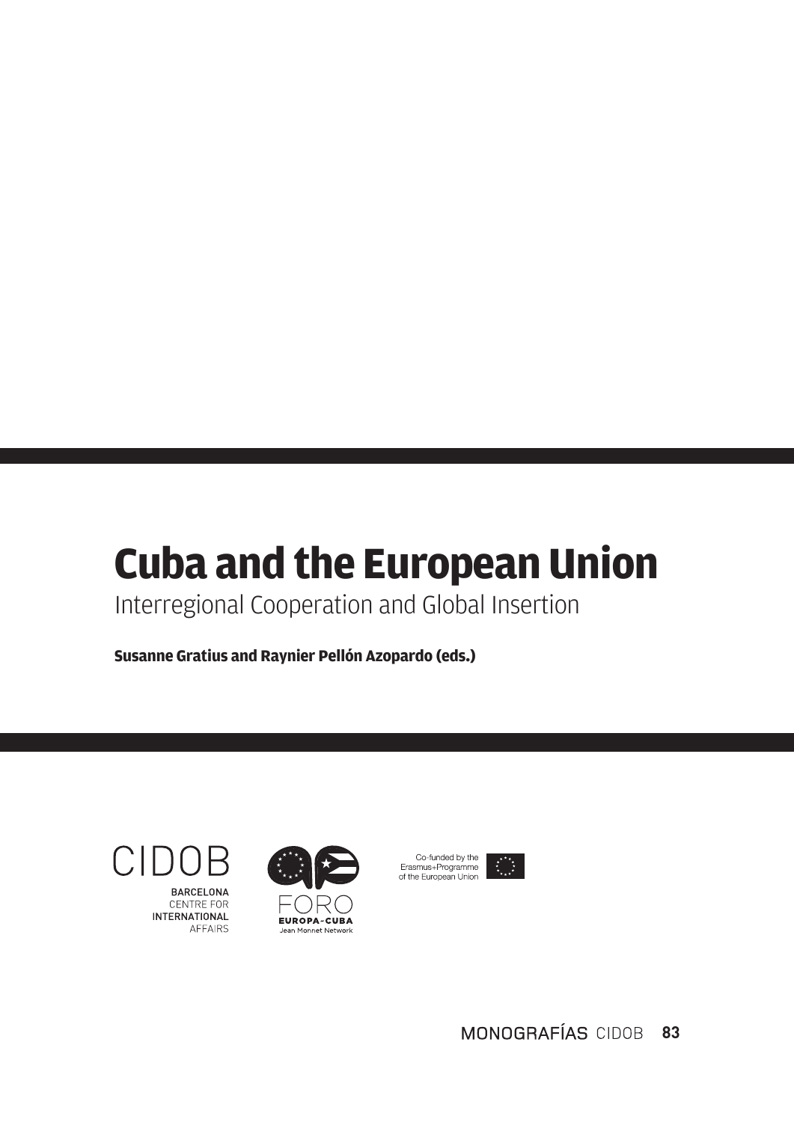# **Cuba and the European Union**

Interregional Cooperation and Global Insertion

**Susanne Gratius and Raynier Pellón Azopardo (eds.)**

CIDO **RARCELONA** 

**CENTRE FOR INTERNATIONAL** AFFAIRS





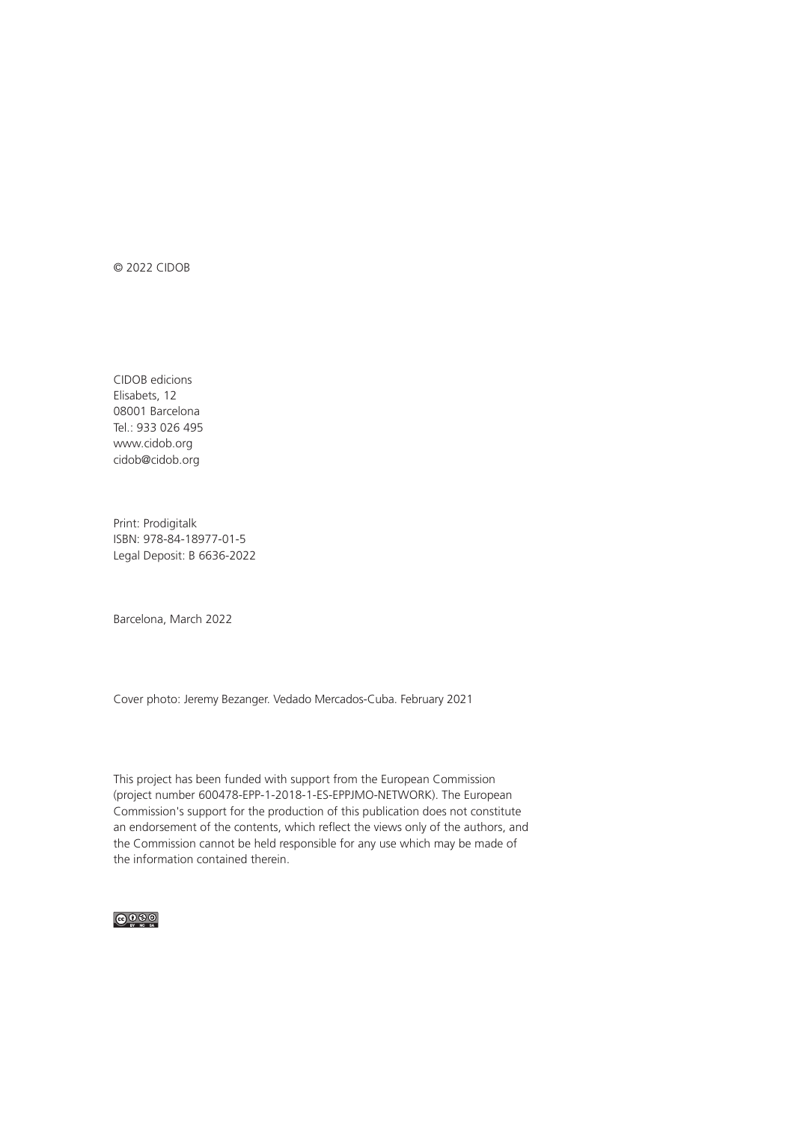© 2022 CIDOB

CIDOB edicions Elisabets, 12 08001 Barcelona Tel.: 933 026 495 www.cidob.org cidob@cidob.org

Print: Prodigitalk ISBN: 978-84-18977-01-5 Legal Deposit: B 6636-2022

Barcelona, March 2022

Cover photo: Jeremy Bezanger. Vedado Mercados-Cuba. February 2021

This project has been funded with support from the European Commission (project number 600478-EPP-1-2018-1-ES-EPPJMO-NETWORK). The European Commission's support for the production of this publication does not constitute an endorsement of the contents, which reflect the views only of the authors, and the Commission cannot be held responsible for any use which may be made of the information contained therein.

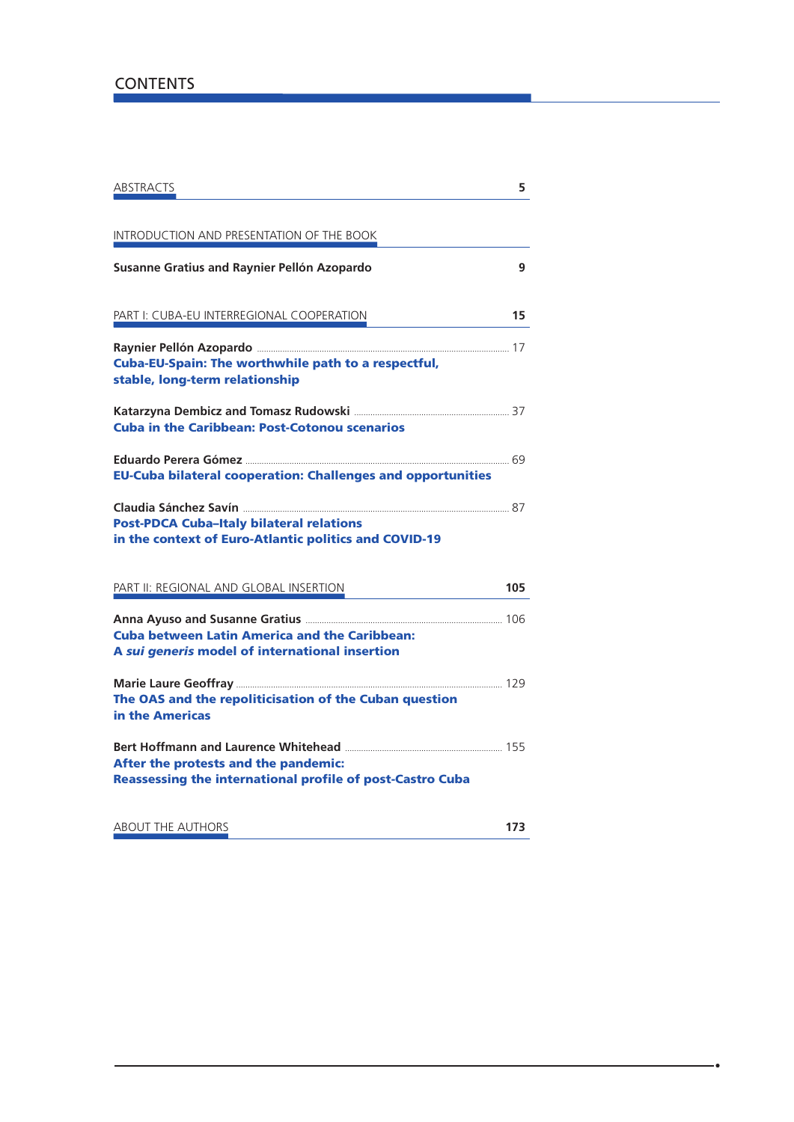### **CONTENTS**

| ABSTRACTS                                                                                                | 5   |
|----------------------------------------------------------------------------------------------------------|-----|
| INTRODUCTION AND PRESENTATION OF THE BOOK                                                                |     |
| Susanne Gratius and Raynier Pellón Azopardo                                                              | 9   |
| PART I: CUBA-EU INTERREGIONAL COOPERATION                                                                | 15  |
| Cuba-EU-Spain: The worthwhile path to a respectful,<br>stable, long-term relationship                    |     |
| <b>Cuba in the Caribbean: Post-Cotonou scenarios</b>                                                     |     |
| <b>EU-Cuba bilateral cooperation: Challenges and opportunities</b>                                       |     |
| <b>Post-PDCA Cuba-Italy bilateral relations</b><br>in the context of Euro-Atlantic politics and COVID-19 |     |
| PART II: REGIONAL AND GLOBAL INSERTION                                                                   | 105 |
| <b>Cuba between Latin America and the Caribbean:</b><br>A sui generis model of international insertion   |     |
| The OAS and the repoliticisation of the Cuban question<br>in the Americas                                |     |
| After the protests and the pandemic:<br><b>Reassessing the international profile of post-Castro Cuba</b> |     |
| <b>ABOUT THE AUTHORS</b>                                                                                 | 173 |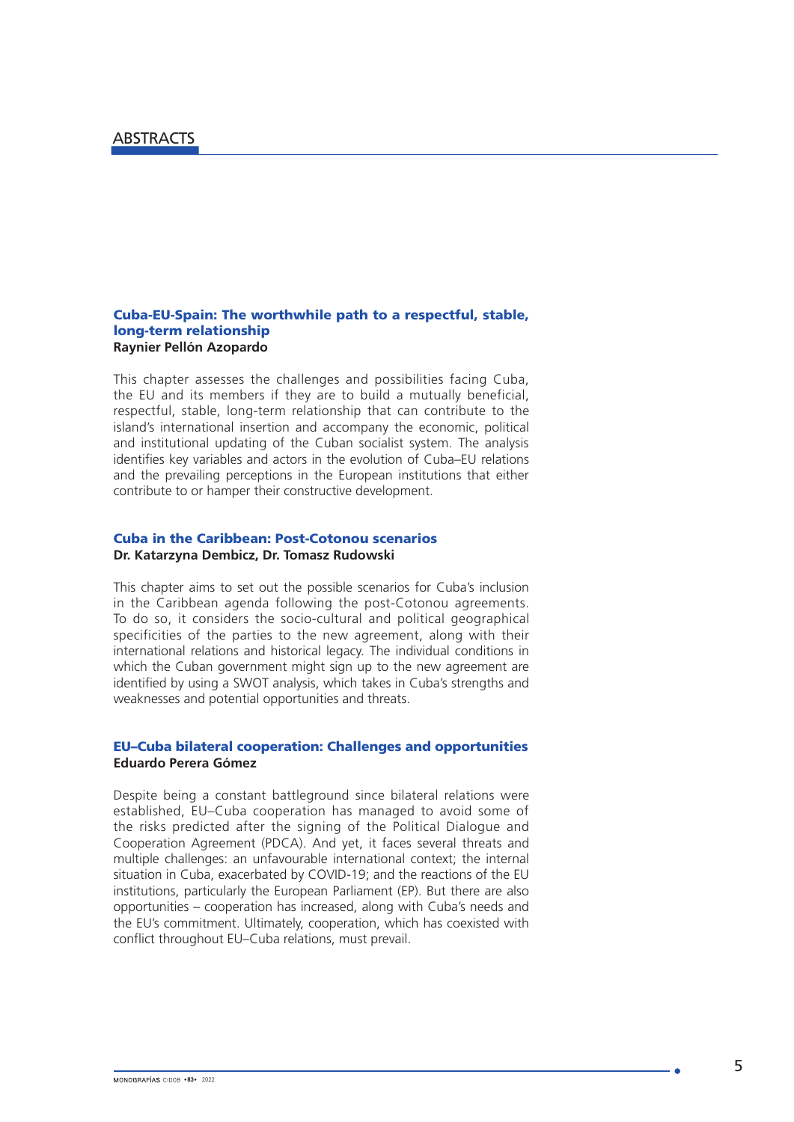### Cuba-EU-Spain: The worthwhile path to a respectful, stable, long-term relationship **Raynier Pellón Azopardo**

This chapter assesses the challenges and possibilities facing Cuba, the EU and its members if they are to build a mutually beneficial, respectful, stable, long-term relationship that can contribute to the island's international insertion and accompany the economic, political and institutional updating of the Cuban socialist system. The analysis identifies key variables and actors in the evolution of Cuba–EU relations and the prevailing perceptions in the European institutions that either contribute to or hamper their constructive development.

### Cuba in the Caribbean: Post-Cotonou scenarios **Dr. Katarzyna Dembicz, Dr. Tomasz Rudowski**

This chapter aims to set out the possible scenarios for Cuba's inclusion in the Caribbean agenda following the post-Cotonou agreements. To do so, it considers the socio-cultural and political geographical specificities of the parties to the new agreement, along with their international relations and historical legacy. The individual conditions in which the Cuban government might sign up to the new agreement are identified by using a SWOT analysis, which takes in Cuba's strengths and weaknesses and potential opportunities and threats.

### EU–Cuba bilateral cooperation: Challenges and opportunities **Eduardo Perera Gómez**

Despite being a constant battleground since bilateral relations were established, EU–Cuba cooperation has managed to avoid some of the risks predicted after the signing of the Political Dialogue and Cooperation Agreement (PDCA). And yet, it faces several threats and multiple challenges: an unfavourable international context; the internal situation in Cuba, exacerbated by COVID-19; and the reactions of the EU institutions, particularly the European Parliament (EP). But there are also opportunities – cooperation has increased, along with Cuba's needs and the EU's commitment. Ultimately, cooperation, which has coexisted with conflict throughout EU–Cuba relations, must prevail.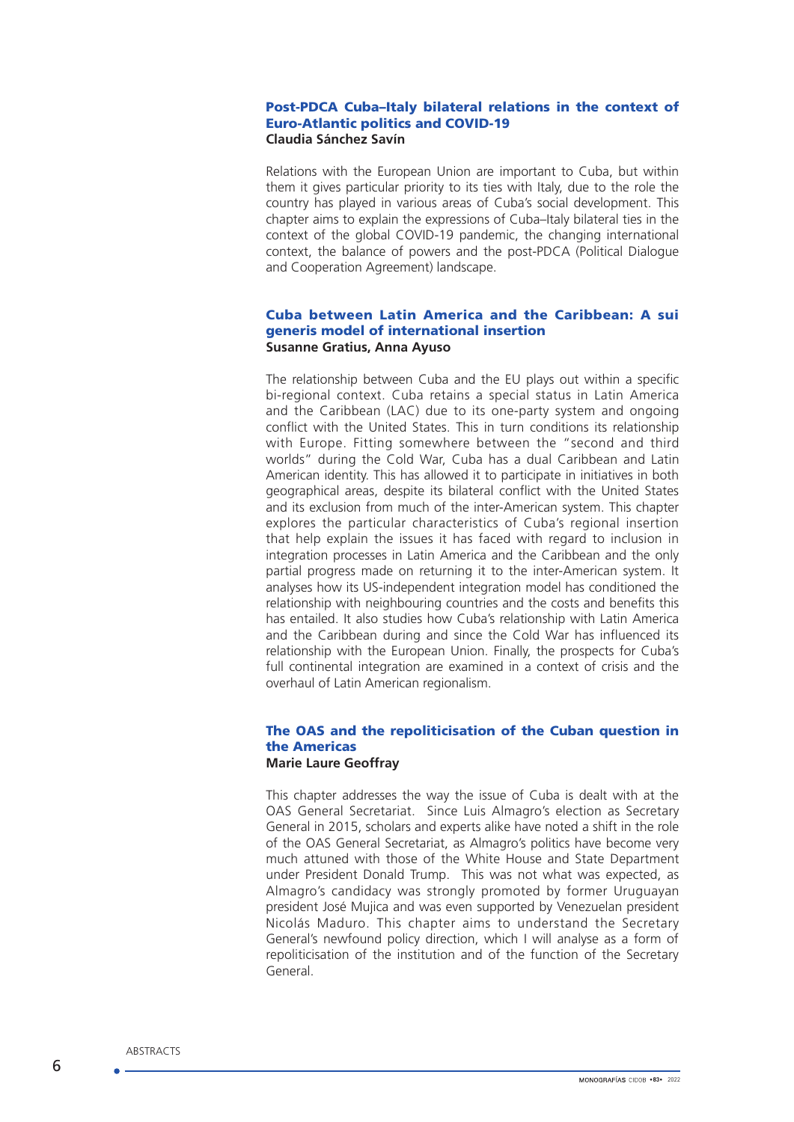### Post-PDCA Cuba–Italy bilateral relations in the context of Euro-Atlantic politics and COVID-19 **Claudia Sánchez Savín**

Relations with the European Union are important to Cuba, but within them it gives particular priority to its ties with Italy, due to the role the country has played in various areas of Cuba's social development. This chapter aims to explain the expressions of Cuba–Italy bilateral ties in the context of the global COVID-19 pandemic, the changing international context, the balance of powers and the post-PDCA (Political Dialogue and Cooperation Agreement) landscape.

### Cuba between Latin America and the Caribbean: A sui generis model of international insertion **Susanne Gratius, Anna Ayuso**

The relationship between Cuba and the EU plays out within a specific bi-regional context. Cuba retains a special status in Latin America and the Caribbean (LAC) due to its one-party system and ongoing conflict with the United States. This in turn conditions its relationship with Europe. Fitting somewhere between the "second and third worlds" during the Cold War, Cuba has a dual Caribbean and Latin American identity. This has allowed it to participate in initiatives in both geographical areas, despite its bilateral conflict with the United States and its exclusion from much of the inter-American system. This chapter explores the particular characteristics of Cuba's regional insertion that help explain the issues it has faced with regard to inclusion in integration processes in Latin America and the Caribbean and the only partial progress made on returning it to the inter-American system. It analyses how its US-independent integration model has conditioned the relationship with neighbouring countries and the costs and benefits this has entailed. It also studies how Cuba's relationship with Latin America and the Caribbean during and since the Cold War has influenced its relationship with the European Union. Finally, the prospects for Cuba's full continental integration are examined in a context of crisis and the overhaul of Latin American regionalism.

### The OAS and the repoliticisation of the Cuban question in the Americas **Marie Laure Geoffray**

This chapter addresses the way the issue of Cuba is dealt with at the OAS General Secretariat. Since Luis Almagro's election as Secretary General in 2015, scholars and experts alike have noted a shift in the role of the OAS General Secretariat, as Almagro's politics have become very much attuned with those of the White House and State Department under President Donald Trump. This was not what was expected, as Almagro's candidacy was strongly promoted by former Uruguayan president José Mujica and was even supported by Venezuelan president Nicolás Maduro. This chapter aims to understand the Secretary General's newfound policy direction, which I will analyse as a form of repoliticisation of the institution and of the function of the Secretary General.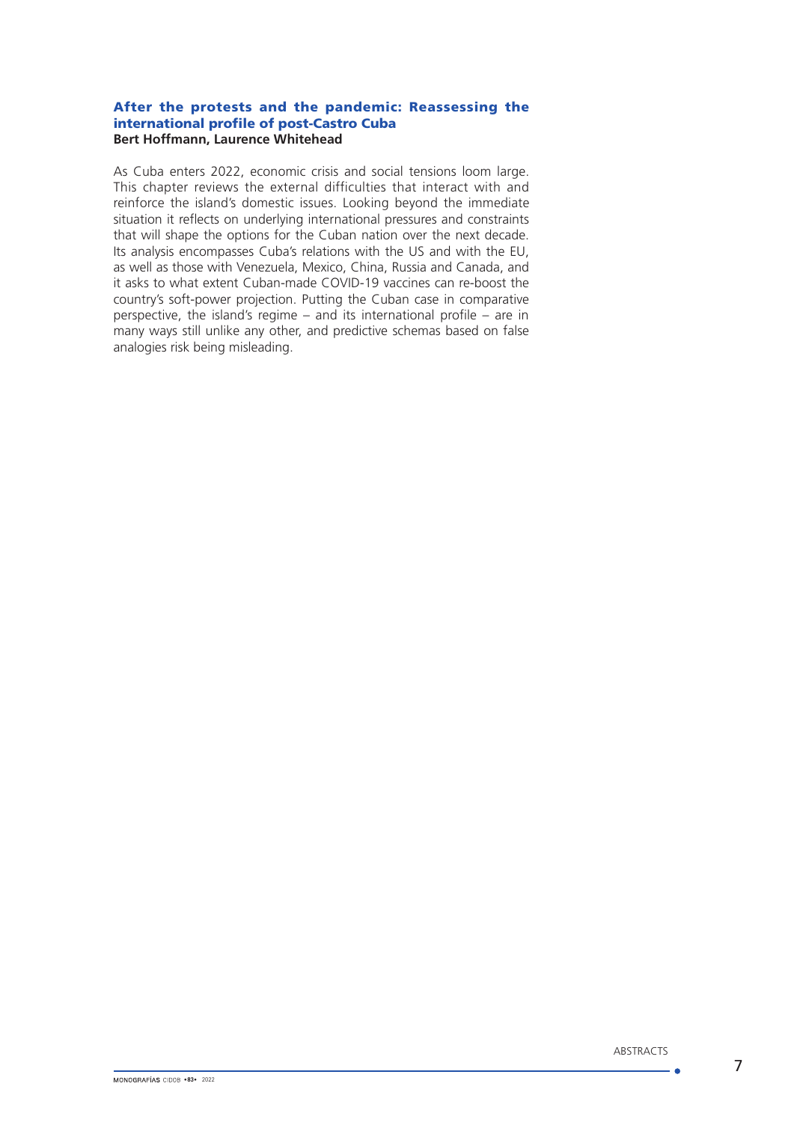### After the protests and the pandemic: Reassessing the international profile of post-Castro Cuba **Bert Hoffmann, Laurence Whitehead**

As Cuba enters 2022, economic crisis and social tensions loom large. This chapter reviews the external difficulties that interact with and reinforce the island's domestic issues. Looking beyond the immediate situation it reflects on underlying international pressures and constraints that will shape the options for the Cuban nation over the next decade. Its analysis encompasses Cuba's relations with the US and with the EU, as well as those with Venezuela, Mexico, China, Russia and Canada, and it asks to what extent Cuban-made COVID-19 vaccines can re-boost the country's soft-power projection. Putting the Cuban case in comparative perspective, the island's regime – and its international profile – are in many ways still unlike any other, and predictive schemas based on false analogies risk being misleading.

- 6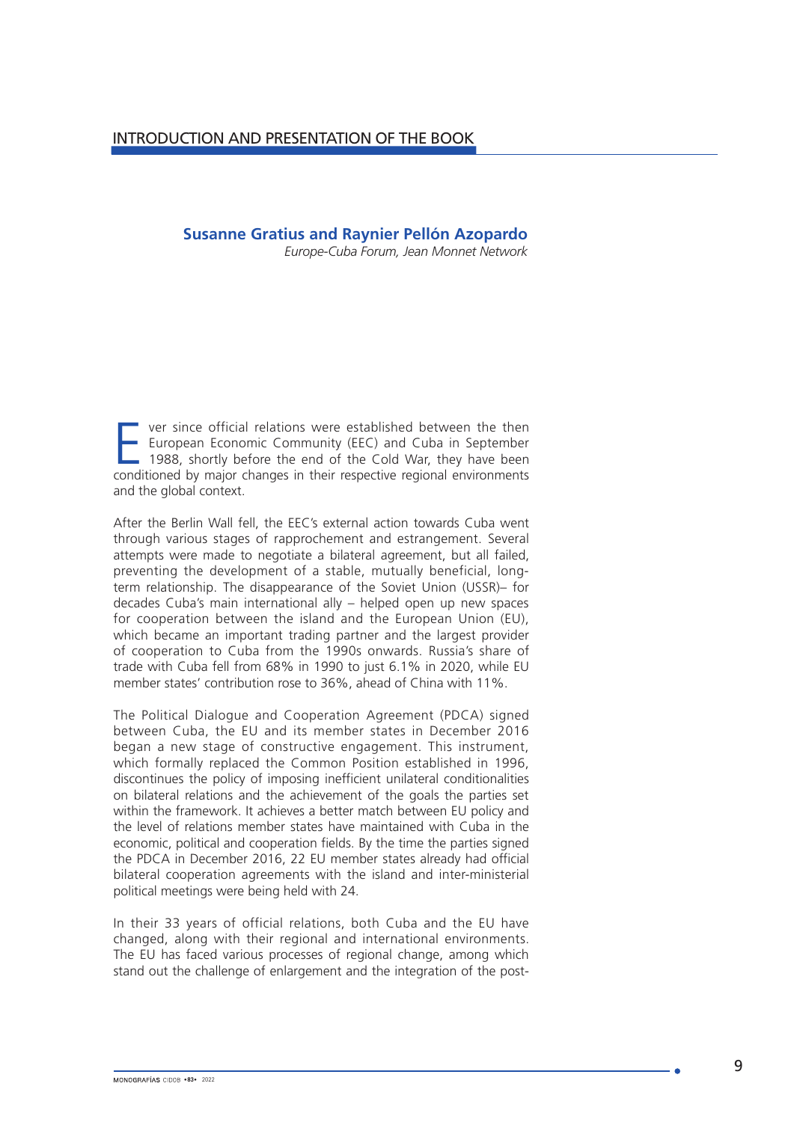## **Susanne Gratius and Raynier Pellón Azopardo**

*Europe-Cuba Forum, Jean Monnet Network*

**Ever since official relations were established between the then**<br> **European Economic Community (EEC) and Cuba in September**<br>
1988, shortly before the end of the Cold War, they have been<br>
conditioned by major changes in th European Economic Community (EEC) and Cuba in September conditioned by major changes in their respective regional environments and the global context.

After the Berlin Wall fell, the EEC's external action towards Cuba went through various stages of rapprochement and estrangement. Several attempts were made to negotiate a bilateral agreement, but all failed, preventing the development of a stable, mutually beneficial, longterm relationship. The disappearance of the Soviet Union (USSR)– for decades Cuba's main international ally – helped open up new spaces for cooperation between the island and the European Union (EU), which became an important trading partner and the largest provider of cooperation to Cuba from the 1990s onwards. Russia's share of trade with Cuba fell from 68% in 1990 to just 6.1% in 2020, while EU member states' contribution rose to 36%, ahead of China with 11%.

The Political Dialogue and Cooperation Agreement (PDCA) signed between Cuba, the EU and its member states in December 2016 began a new stage of constructive engagement. This instrument, which formally replaced the Common Position established in 1996, discontinues the policy of imposing inefficient unilateral conditionalities on bilateral relations and the achievement of the goals the parties set within the framework. It achieves a better match between FU policy and the level of relations member states have maintained with Cuba in the economic, political and cooperation fields. By the time the parties signed the PDCA in December 2016, 22 EU member states already had official bilateral cooperation agreements with the island and inter-ministerial political meetings were being held with 24.

In their 33 years of official relations, both Cuba and the EU have changed, along with their regional and international environments. The EU has faced various processes of regional change, among which stand out the challenge of enlargement and the integration of the post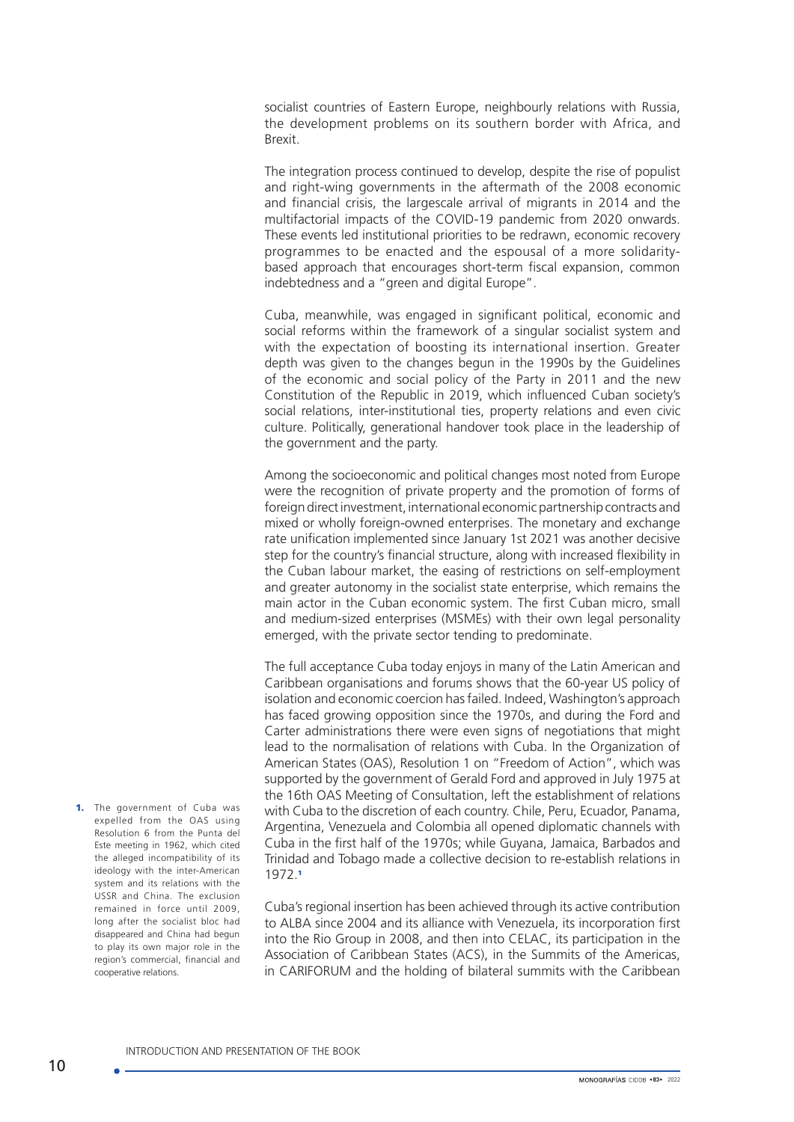socialist countries of Eastern Europe, neighbourly relations with Russia, the development problems on its southern border with Africa, and Brexit.

The integration process continued to develop, despite the rise of populist and right-wing governments in the aftermath of the 2008 economic and financial crisis, the largescale arrival of migrants in 2014 and the multifactorial impacts of the COVID-19 pandemic from 2020 onwards. These events led institutional priorities to be redrawn, economic recovery programmes to be enacted and the espousal of a more solidaritybased approach that encourages short-term fiscal expansion, common indebtedness and a "green and digital Europe".

Cuba, meanwhile, was engaged in significant political, economic and social reforms within the framework of a singular socialist system and with the expectation of boosting its international insertion. Greater depth was given to the changes begun in the 1990s by the Guidelines of the economic and social policy of the Party in 2011 and the new Constitution of the Republic in 2019, which influenced Cuban society's social relations, inter-institutional ties, property relations and even civic culture. Politically, generational handover took place in the leadership of the government and the party.

Among the socioeconomic and political changes most noted from Europe were the recognition of private property and the promotion of forms of foreign direct investment, international economic partnership contracts and mixed or wholly foreign-owned enterprises. The monetary and exchange rate unification implemented since January 1st 2021 was another decisive step for the country's financial structure, along with increased flexibility in the Cuban labour market, the easing of restrictions on self-employment and greater autonomy in the socialist state enterprise, which remains the main actor in the Cuban economic system. The first Cuban micro, small and medium-sized enterprises (MSMEs) with their own legal personality emerged, with the private sector tending to predominate.

The full acceptance Cuba today enjoys in many of the Latin American and Caribbean organisations and forums shows that the 60-year US policy of isolation and economic coercion has failed. Indeed, Washington's approach has faced growing opposition since the 1970s, and during the Ford and Carter administrations there were even signs of negotiations that might lead to the normalisation of relations with Cuba. In the Organization of American States (OAS), Resolution 1 on "Freedom of Action", which was supported by the government of Gerald Ford and approved in July 1975 at the 16th OAS Meeting of Consultation, left the establishment of relations with Cuba to the discretion of each country. Chile, Peru, Ecuador, Panama, Argentina, Venezuela and Colombia all opened diplomatic channels with Cuba in the first half of the 1970s; while Guyana, Jamaica, Barbados and Trinidad and Tobago made a collective decision to re-establish relations in 1972.<sup>1</sup>

Cuba's regional insertion has been achieved through its active contribution to ALBA since 2004 and its alliance with Venezuela, its incorporation first into the Rio Group in 2008, and then into CELAC, its participation in the Association of Caribbean States (ACS), in the Summits of the Americas, in CARIFORUM and the holding of bilateral summits with the Caribbean

1. The government of Cuba was expelled from the OAS using Resolution 6 from the Punta del Este meeting in 1962, which cited the alleged incompatibility of its ideology with the inter-American system and its relations with the USSR and China. The exclusion remained in force until 2009, long after the socialist bloc had disappeared and China had begun to play its own major role in the region's commercial, financial and cooperative relations.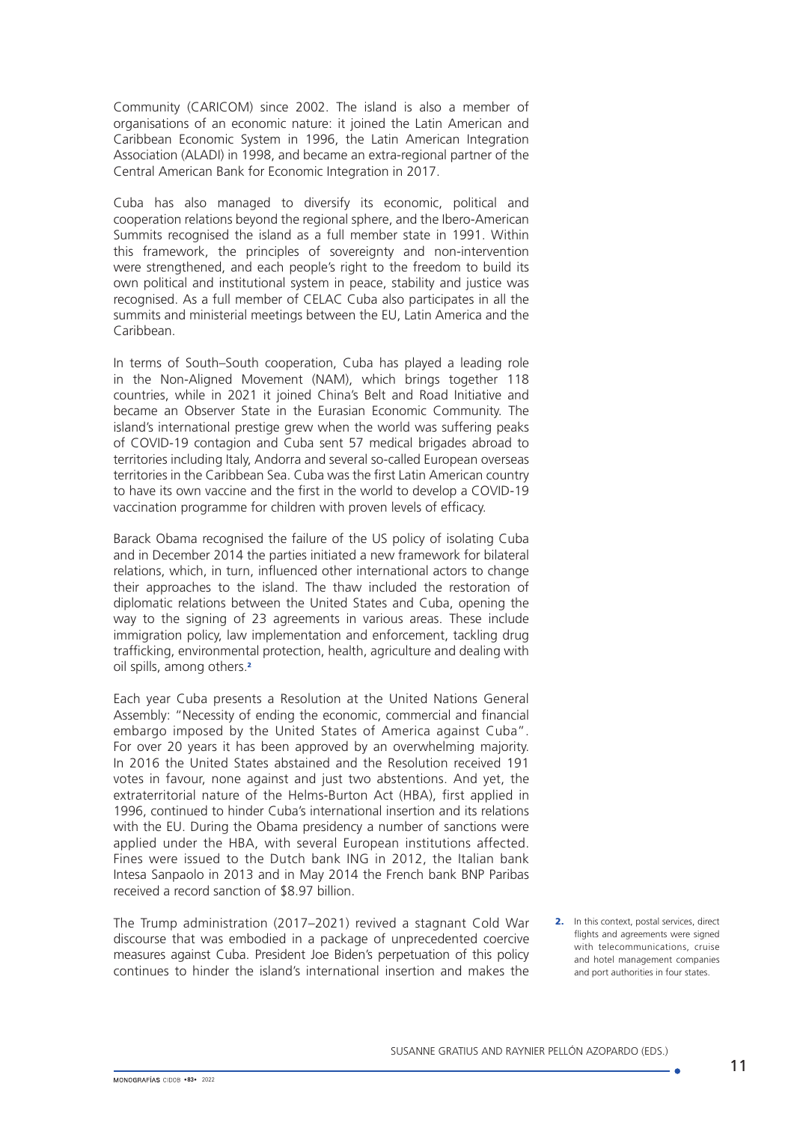Community (CARICOM) since 2002. The island is also a member of organisations of an economic nature: it joined the Latin American and Caribbean Economic System in 1996, the Latin American Integration Association (ALADI) in 1998, and became an extra-regional partner of the Central American Bank for Economic Integration in 2017.

Cuba has also managed to diversify its economic, political and cooperation relations beyond the regional sphere, and the Ibero-American Summits recognised the island as a full member state in 1991. Within this framework, the principles of sovereignty and non-intervention were strengthened, and each people's right to the freedom to build its own political and institutional system in peace, stability and justice was recognised. As a full member of CELAC Cuba also participates in all the summits and ministerial meetings between the EU, Latin America and the Caribbean.

In terms of South–South cooperation, Cuba has played a leading role in the Non-Aligned Movement (NAM), which brings together 118 countries, while in 2021 it joined China's Belt and Road Initiative and became an Observer State in the Eurasian Economic Community. The island's international prestige grew when the world was suffering peaks of COVID-19 contagion and Cuba sent 57 medical brigades abroad to territories including Italy, Andorra and several so-called European overseas territories in the Caribbean Sea. Cuba was the first Latin American country to have its own vaccine and the first in the world to develop a COVID-19 vaccination programme for children with proven levels of efficacy.

Barack Obama recognised the failure of the US policy of isolating Cuba and in December 2014 the parties initiated a new framework for bilateral relations, which, in turn, influenced other international actors to change their approaches to the island. The thaw included the restoration of diplomatic relations between the United States and Cuba, opening the way to the signing of 23 agreements in various areas. These include immigration policy, law implementation and enforcement, tackling drug trafficking, environmental protection, health, agriculture and dealing with oil spills, among others.<sup>2</sup>

Each year Cuba presents a Resolution at the United Nations General Assembly: "Necessity of ending the economic, commercial and financial embargo imposed by the United States of America against Cuba". For over 20 years it has been approved by an overwhelming majority. In 2016 the United States abstained and the Resolution received 191 votes in favour, none against and just two abstentions. And yet, the extraterritorial nature of the Helms-Burton Act (HBA), first applied in 1996, continued to hinder Cuba's international insertion and its relations with the FU. During the Obama presidency a number of sanctions were applied under the HBA, with several European institutions affected. Fines were issued to the Dutch bank ING in 2012, the Italian bank Intesa Sanpaolo in 2013 and in May 2014 the French bank BNP Paribas received a record sanction of \$8.97 billion.

The Trump administration (2017–2021) revived a stagnant Cold War discourse that was embodied in a package of unprecedented coercive measures against Cuba. President Joe Biden's perpetuation of this policy continues to hinder the island's international insertion and makes the 2. In this context, postal services, direct flights and agreements were signed with telecommunications, cruise and hotel management companies and port authorities in four states.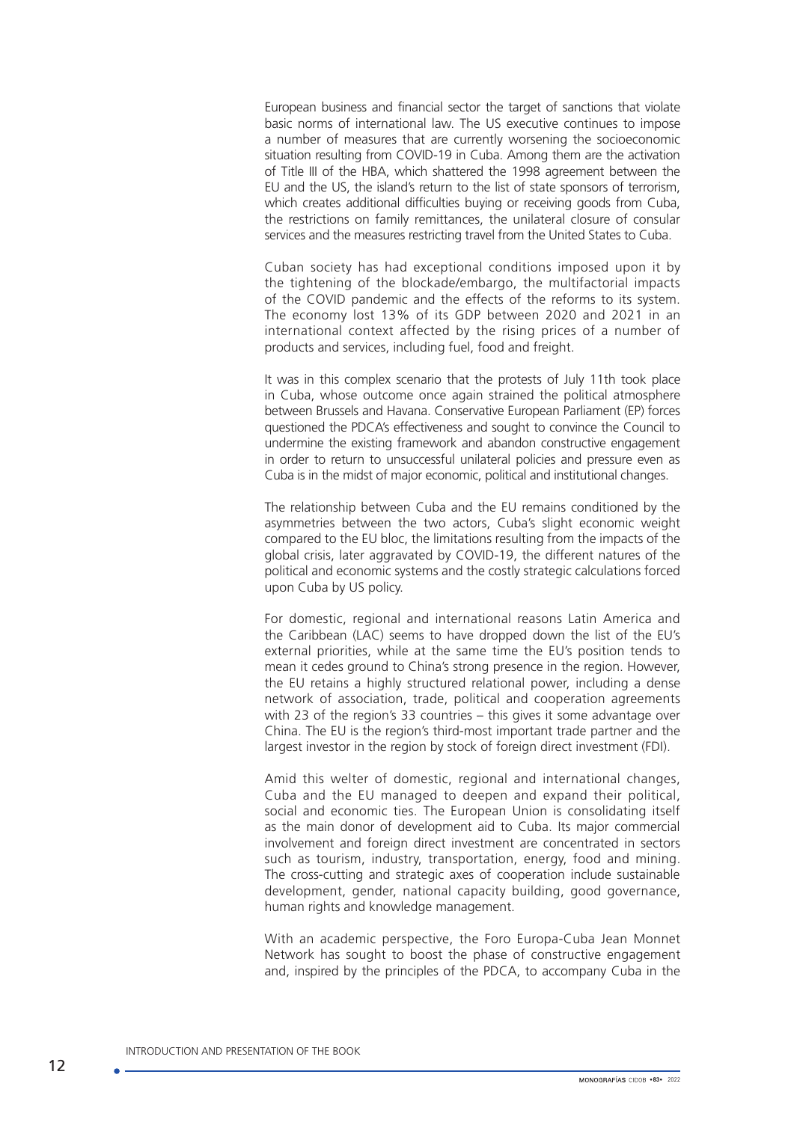European business and financial sector the target of sanctions that violate basic norms of international law. The US executive continues to impose a number of measures that are currently worsening the socioeconomic situation resulting from COVID-19 in Cuba. Among them are the activation of Title III of the HBA, which shattered the 1998 agreement between the EU and the US, the island's return to the list of state sponsors of terrorism, which creates additional difficulties buying or receiving goods from Cuba, the restrictions on family remittances, the unilateral closure of consular services and the measures restricting travel from the United States to Cuba.

Cuban society has had exceptional conditions imposed upon it by the tightening of the blockade/embargo, the multifactorial impacts of the COVID pandemic and the effects of the reforms to its system. The economy lost 13% of its GDP between 2020 and 2021 in an international context affected by the rising prices of a number of products and services, including fuel, food and freight.

It was in this complex scenario that the protests of July 11th took place in Cuba, whose outcome once again strained the political atmosphere between Brussels and Havana. Conservative European Parliament (EP) forces questioned the PDCA's effectiveness and sought to convince the Council to undermine the existing framework and abandon constructive engagement in order to return to unsuccessful unilateral policies and pressure even as Cuba is in the midst of major economic, political and institutional changes.

The relationship between Cuba and the EU remains conditioned by the asymmetries between the two actors, Cuba's slight economic weight compared to the EU bloc, the limitations resulting from the impacts of the global crisis, later aggravated by COVID-19, the different natures of the political and economic systems and the costly strategic calculations forced upon Cuba by US policy.

For domestic, regional and international reasons Latin America and the Caribbean (LAC) seems to have dropped down the list of the EU's external priorities, while at the same time the EU's position tends to mean it cedes ground to China's strong presence in the region. However, the EU retains a highly structured relational power, including a dense network of association, trade, political and cooperation agreements with 23 of the region's 33 countries – this gives it some advantage over China. The EU is the region's third-most important trade partner and the largest investor in the region by stock of foreign direct investment (FDI).

Amid this welter of domestic, regional and international changes, Cuba and the EU managed to deepen and expand their political, social and economic ties. The European Union is consolidating itself as the main donor of development aid to Cuba. Its major commercial involvement and foreign direct investment are concentrated in sectors such as tourism, industry, transportation, energy, food and mining. The cross-cutting and strategic axes of cooperation include sustainable development, gender, national capacity building, good governance, human rights and knowledge management.

With an academic perspective, the Foro Europa-Cuba Jean Monnet Network has sought to boost the phase of constructive engagement and, inspired by the principles of the PDCA, to accompany Cuba in the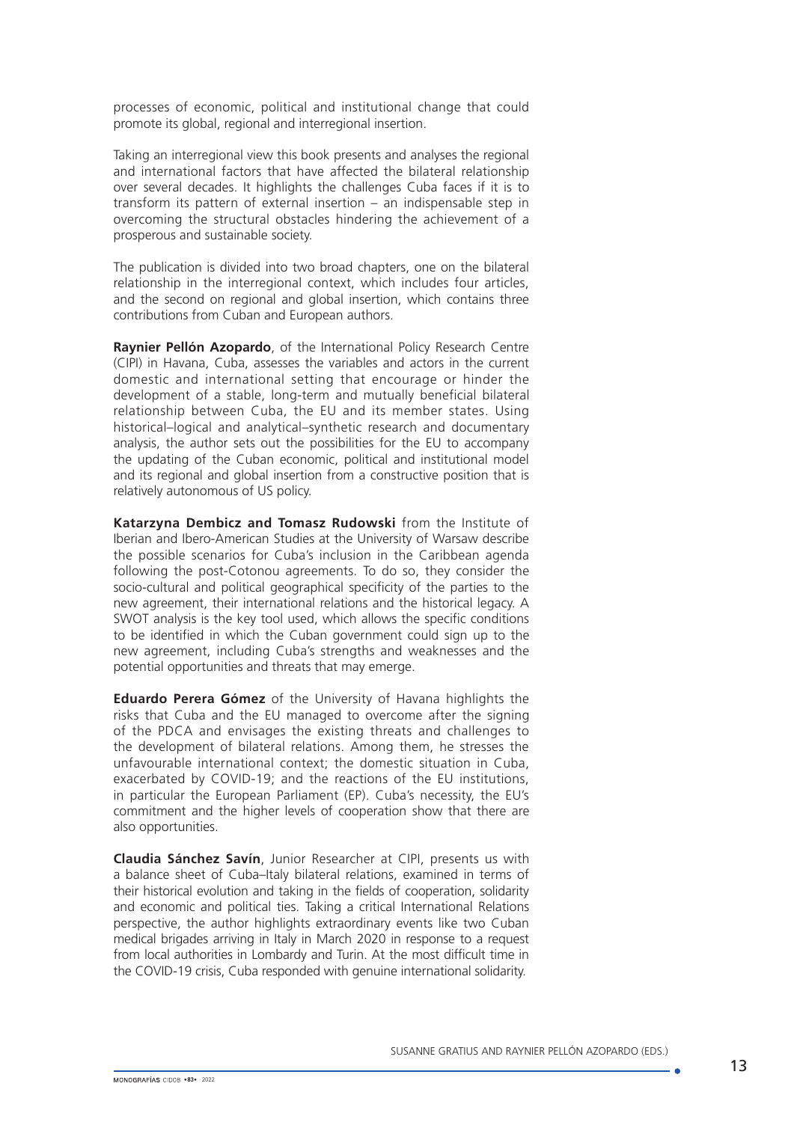processes of economic, political and institutional change that could promote its global, regional and interregional insertion.

Taking an interregional view this book presents and analyses the regional and international factors that have affected the bilateral relationship over several decades. It highlights the challenges Cuba faces if it is to transform its pattern of external insertion – an indispensable step in overcoming the structural obstacles hindering the achievement of a prosperous and sustainable society.

The publication is divided into two broad chapters, one on the bilateral relationship in the interregional context, which includes four articles, and the second on regional and global insertion, which contains three contributions from Cuban and European authors.

**Raynier Pellón Azopardo**, of the International Policy Research Centre (CIPI) in Havana, Cuba, assesses the variables and actors in the current domestic and international setting that encourage or hinder the development of a stable, long-term and mutually beneficial bilateral relationship between Cuba, the EU and its member states. Using historical–logical and analytical–synthetic research and documentary analysis, the author sets out the possibilities for the EU to accompany the updating of the Cuban economic, political and institutional model and its regional and global insertion from a constructive position that is relatively autonomous of US policy.

**Katarzyna Dembicz and Tomasz Rudowski** from the Institute of Iberian and Ibero-American Studies at the University of Warsaw describe the possible scenarios for Cuba's inclusion in the Caribbean agenda following the post-Cotonou agreements. To do so, they consider the socio-cultural and political geographical specificity of the parties to the new agreement, their international relations and the historical legacy. A SWOT analysis is the key tool used, which allows the specific conditions to be identified in which the Cuban government could sign up to the new agreement, including Cuba's strengths and weaknesses and the potential opportunities and threats that may emerge.

**Eduardo Perera Gómez** of the University of Havana highlights the risks that Cuba and the EU managed to overcome after the signing of the PDCA and envisages the existing threats and challenges to the development of bilateral relations. Among them, he stresses the unfavourable international context; the domestic situation in Cuba, exacerbated by COVID-19; and the reactions of the EU institutions, in particular the European Parliament (EP). Cuba's necessity, the EU's commitment and the higher levels of cooperation show that there are also opportunities.

**Claudia Sánchez Savín**, Junior Researcher at CIPI, presents us with a balance sheet of Cuba–Italy bilateral relations, examined in terms of their historical evolution and taking in the fields of cooperation, solidarity and economic and political ties. Taking a critical International Relations perspective, the author highlights extraordinary events like two Cuban medical brigades arriving in Italy in March 2020 in response to a request from local authorities in Lombardy and Turin. At the most difficult time in the COVID-19 crisis, Cuba responded with genuine international solidarity.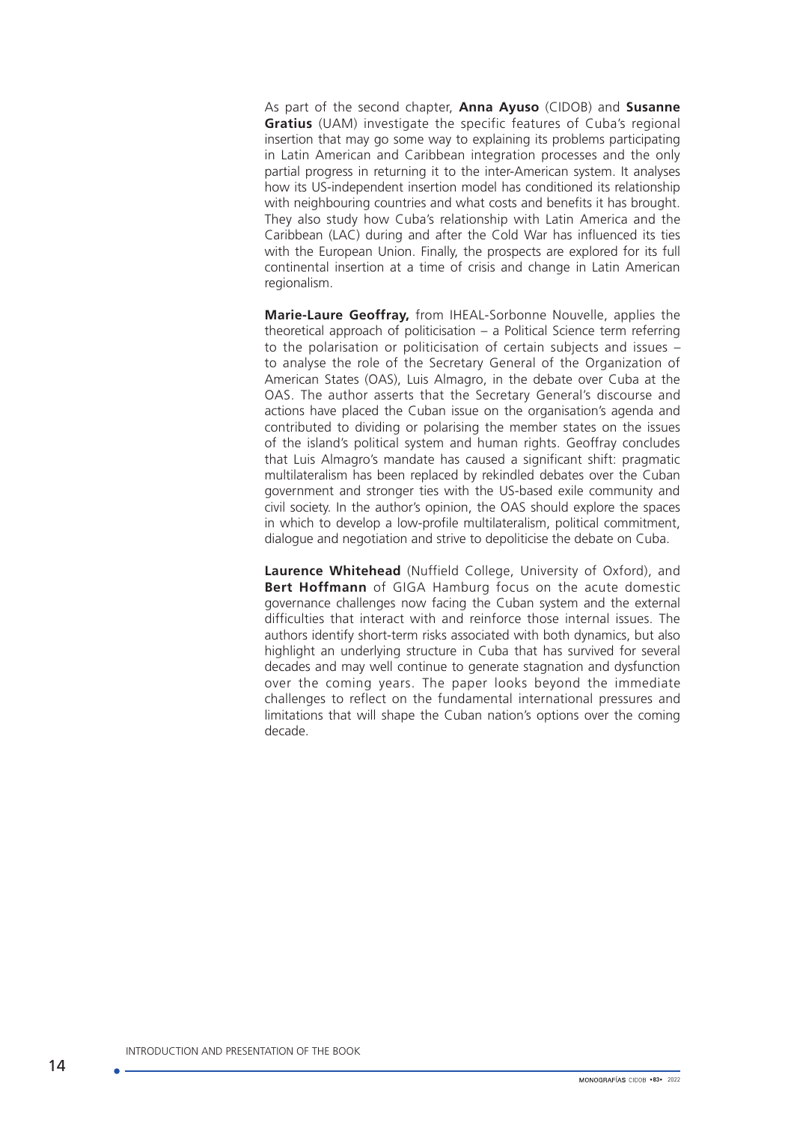As part of the second chapter, **Anna Ayuso** (CIDOB) and **Susanne Gratius** (UAM) investigate the specific features of Cuba's regional insertion that may go some way to explaining its problems participating in Latin American and Caribbean integration processes and the only partial progress in returning it to the inter-American system. It analyses how its US-independent insertion model has conditioned its relationship with neighbouring countries and what costs and benefits it has brought. They also study how Cuba's relationship with Latin America and the Caribbean (LAC) during and after the Cold War has influenced its ties with the European Union. Finally, the prospects are explored for its full continental insertion at a time of crisis and change in Latin American regionalism.

**Marie-Laure Geoffray,** from IHEAL-Sorbonne Nouvelle, applies the theoretical approach of politicisation – a Political Science term referring to the polarisation or politicisation of certain subjects and issues – to analyse the role of the Secretary General of the Organization of American States (OAS), Luis Almagro, in the debate over Cuba at the OAS. The author asserts that the Secretary General's discourse and actions have placed the Cuban issue on the organisation's agenda and contributed to dividing or polarising the member states on the issues of the island's political system and human rights. Geoffray concludes that Luis Almagro's mandate has caused a significant shift: pragmatic multilateralism has been replaced by rekindled debates over the Cuban government and stronger ties with the US-based exile community and civil society. In the author's opinion, the OAS should explore the spaces in which to develop a low-profile multilateralism, political commitment, dialogue and negotiation and strive to depoliticise the debate on Cuba.

**Laurence Whitehead** (Nuffield College, University of Oxford), and **Bert Hoffmann** of GIGA Hamburg focus on the acute domestic governance challenges now facing the Cuban system and the external difficulties that interact with and reinforce those internal issues. The authors identify short-term risks associated with both dynamics, but also highlight an underlying structure in Cuba that has survived for several decades and may well continue to generate stagnation and dysfunction over the coming years. The paper looks beyond the immediate challenges to reflect on the fundamental international pressures and limitations that will shape the Cuban nation's options over the coming decade.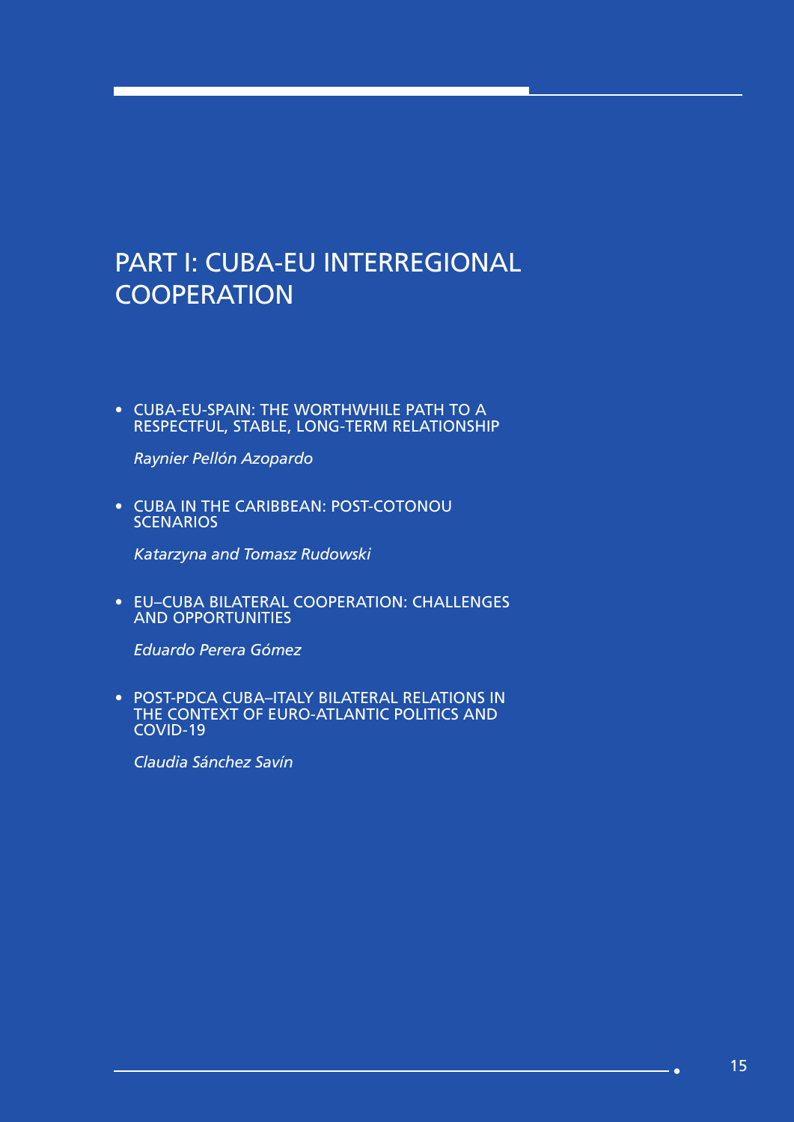# PART I: CUBA-EU INTERREGIONAL **COOPERATION**

• CUBA-EU-SPAIN: THE WORTHWHILE PATH TO A RESPECTFUL, STABLE, LONG-TERM RELATIONSHIP

*Raynier Pellón Azopardo*

• CUBA IN THE CARIBBEAN: POST-COTONOU **SCENARIOS** 

*Katarzyna and Tomasz Rudowski*

• EU–CUBA BILATERAL COOPERATION: CHALLENGES AND OPPORTUNITIES

*Eduardo Perera Gómez*

• POST-PDCA CUBA–ITALY BILATERAL RELATIONS IN THE CONTEXT OF EURO-ATLANTIC POLITICS AND COVID-19

*Claudia Sánchez Savín* 

**Sec**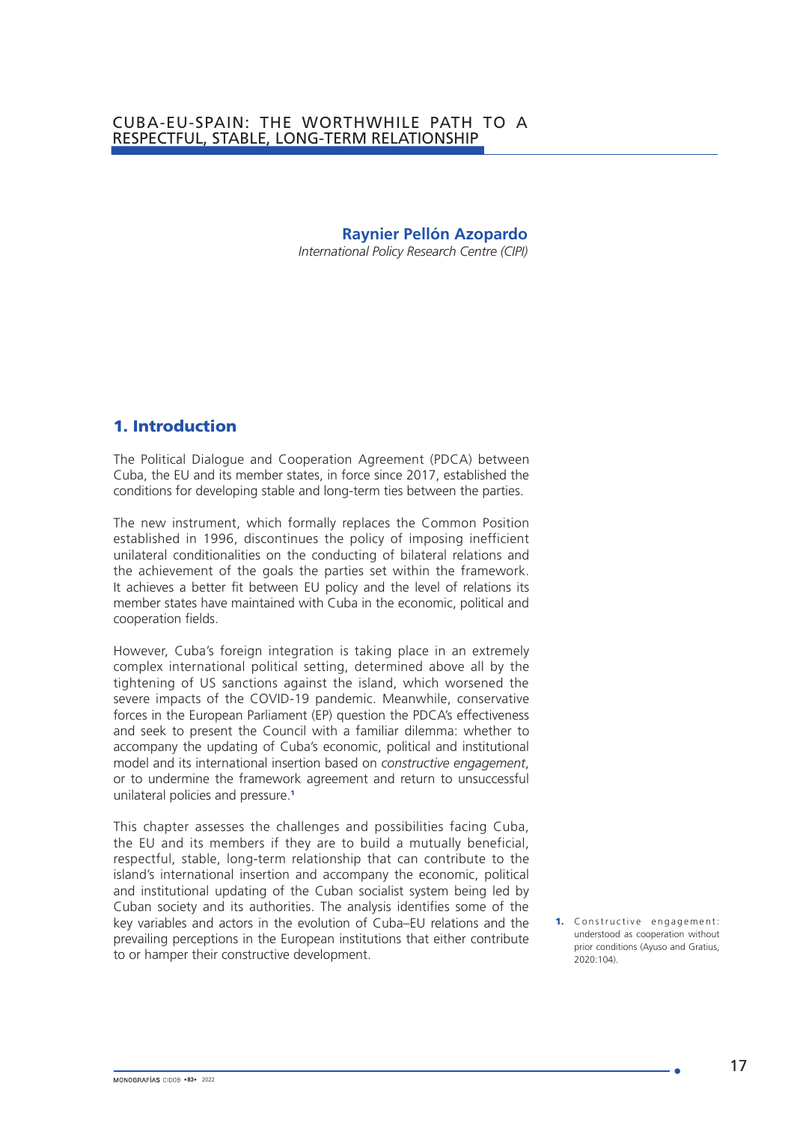### **Raynier Pellón Azopardo**

*International Policy Research Centre (CIPI)*

### 1. Introduction

The Political Dialogue and Cooperation Agreement (PDCA) between Cuba, the EU and its member states, in force since 2017, established the conditions for developing stable and long-term ties between the parties.

The new instrument, which formally replaces the Common Position established in 1996, discontinues the policy of imposing inefficient unilateral conditionalities on the conducting of bilateral relations and the achievement of the goals the parties set within the framework. It achieves a better fit between EU policy and the level of relations its member states have maintained with Cuba in the economic, political and cooperation fields.

However, Cuba's foreign integration is taking place in an extremely complex international political setting, determined above all by the tightening of US sanctions against the island, which worsened the severe impacts of the COVID-19 pandemic. Meanwhile, conservative forces in the European Parliament (EP) question the PDCA's effectiveness and seek to present the Council with a familiar dilemma: whether to accompany the updating of Cuba's economic, political and institutional model and its international insertion based on *constructive engagement*, or to undermine the framework agreement and return to unsuccessful unilateral policies and pressure.<sup>1</sup>

This chapter assesses the challenges and possibilities facing Cuba, the EU and its members if they are to build a mutually beneficial, respectful, stable, long-term relationship that can contribute to the island's international insertion and accompany the economic, political and institutional updating of the Cuban socialist system being led by Cuban society and its authorities. The analysis identifies some of the key variables and actors in the evolution of Cuba–EU relations and the prevailing perceptions in the European institutions that either contribute to or hamper their constructive development.

1. Constructive engagement: understood as cooperation without prior conditions (Ayuso and Gratius, 2020:104).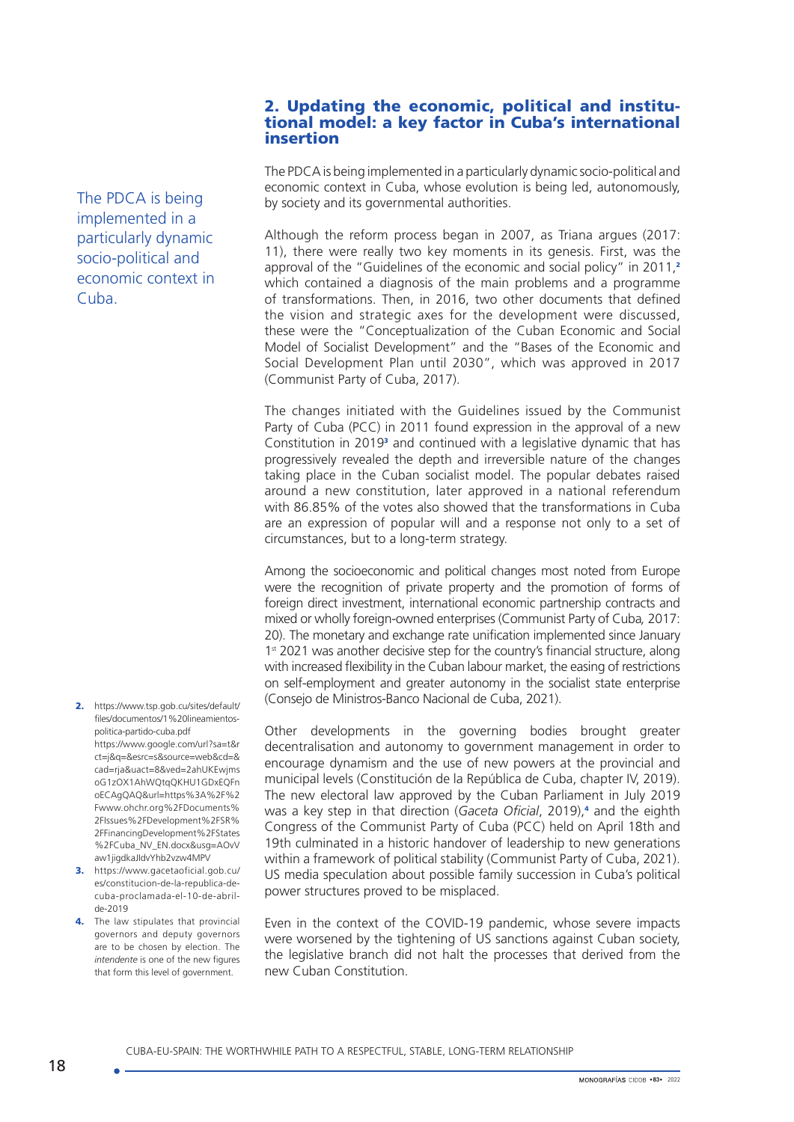### 2. Updating the economic, political and institutional model: a key factor in Cuba's international insertion

The PDCA is being implemented in a particularly dynamic socio-political and economic context in Cuba, whose evolution is being led, autonomously, by society and its governmental authorities.

Although the reform process began in 2007, as Triana argues (2017: 11), there were really two key moments in its genesis. First, was the approval of the "Guidelines of the economic and social policy" in 2011,<sup>2</sup> which contained a diagnosis of the main problems and a programme of transformations. Then, in 2016, two other documents that defined the vision and strategic axes for the development were discussed, these were the "Conceptualization of the Cuban Economic and Social Model of Socialist Development" and the "Bases of the Economic and Social Development Plan until 2030", which was approved in 2017 (Communist Party of Cuba, 2017).

The changes initiated with the Guidelines issued by the Communist Party of Cuba (PCC) in 2011 found expression in the approval of a new Constitution in 2019<sup>3</sup> and continued with a legislative dynamic that has progressively revealed the depth and irreversible nature of the changes taking place in the Cuban socialist model. The popular debates raised around a new constitution, later approved in a national referendum with 86.85% of the votes also showed that the transformations in Cuba are an expression of popular will and a response not only to a set of circumstances, but to a long-term strategy.

Among the socioeconomic and political changes most noted from Europe were the recognition of private property and the promotion of forms of foreign direct investment, international economic partnership contracts and mixed or wholly foreign-owned enterprises (Communist Party of Cuba*,* 2017: 20). The monetary and exchange rate unification implemented since January 1st 2021 was another decisive step for the country's financial structure, along with increased flexibility in the Cuban labour market, the easing of restrictions on self-employment and greater autonomy in the socialist state enterprise (Consejo de Ministros-Banco Nacional de Cuba, 2021).

Other developments in the governing bodies brought greater decentralisation and autonomy to government management in order to encourage dynamism and the use of new powers at the provincial and municipal levels (Constitución de la República de Cuba, chapter IV, 2019). The new electoral law approved by the Cuban Parliament in July 2019 was a key step in that direction (Gaceta Oficial, 2019),<sup>4</sup> and the eighth Congress of the Communist Party of Cuba (PCC) held on April 18th and 19th culminated in a historic handover of leadership to new generations within a framework of political stability (Communist Party of Cuba, 2021). US media speculation about possible family succession in Cuba's political power structures proved to be misplaced.

Even in the context of the COVID-19 pandemic, whose severe impacts were worsened by the tightening of US sanctions against Cuban society, the legislative branch did not halt the processes that derived from the new Cuban Constitution.

[files/documentos/1%20lineamientos](https://www.tsp.gob.cu/sites/default/files/documentos/1%20lineamientos-politica-partido-cuba.pdf)[politica-partido-cuba.pdf](https://www.tsp.gob.cu/sites/default/files/documentos/1%20lineamientos-politica-partido-cuba.pdf) [https://www.google.com/url?sa=t&r](https://www.google.com/url?sa=t&rct=j&q=&esrc=s&source=web&cd=&cad=rja&uact=8&ved=2ahUKEwjmsoG1zOX1AhWQtqQKHU1GDxEQFnoECAgQAQ&url=https%3A%2F%2Fwww.ohchr.org%2FDocuments%2FIssues%2FDevelopment%2FSR%2FFinancingDevelopment%2FStates%2FCuba_NV_EN.docx&usg=AOvVaw1jigdkaJIdvYhb2vzw4MPV) [ct=j&q=&esrc=s&source=web&cd=&](https://www.google.com/url?sa=t&rct=j&q=&esrc=s&source=web&cd=&cad=rja&uact=8&ved=2ahUKEwjmsoG1zOX1AhWQtqQKHU1GDxEQFnoECAgQAQ&url=https%3A%2F%2Fwww.ohchr.org%2FDocuments%2FIssues%2FDevelopment%2FSR%2FFinancingDevelopment%2FStates%2FCuba_NV_EN.docx&usg=AOvVaw1jigdkaJIdvYhb2vzw4MPV) [cad=rja&uact=8&ved=2ahUKEwjms](https://www.google.com/url?sa=t&rct=j&q=&esrc=s&source=web&cd=&cad=rja&uact=8&ved=2ahUKEwjmsoG1zOX1AhWQtqQKHU1GDxEQFnoECAgQAQ&url=https%3A%2F%2Fwww.ohchr.org%2FDocuments%2FIssues%2FDevelopment%2FSR%2FFinancingDevelopment%2FStates%2FCuba_NV_EN.docx&usg=AOvVaw1jigdkaJIdvYhb2vzw4MPV) [oG1zOX1AhWQtqQKHU1GDxEQFn](https://www.google.com/url?sa=t&rct=j&q=&esrc=s&source=web&cd=&cad=rja&uact=8&ved=2ahUKEwjmsoG1zOX1AhWQtqQKHU1GDxEQFnoECAgQAQ&url=https%3A%2F%2Fwww.ohchr.org%2FDocuments%2FIssues%2FDevelopment%2FSR%2FFinancingDevelopment%2FStates%2FCuba_NV_EN.docx&usg=AOvVaw1jigdkaJIdvYhb2vzw4MPV) [oECAgQAQ&url=https%3A%2F%2](https://www.google.com/url?sa=t&rct=j&q=&esrc=s&source=web&cd=&cad=rja&uact=8&ved=2ahUKEwjmsoG1zOX1AhWQtqQKHU1GDxEQFnoECAgQAQ&url=https%3A%2F%2Fwww.ohchr.org%2FDocuments%2FIssues%2FDevelopment%2FSR%2FFinancingDevelopment%2FStates%2FCuba_NV_EN.docx&usg=AOvVaw1jigdkaJIdvYhb2vzw4MPV) [Fwww.ohchr.org%2FDocuments%](https://www.google.com/url?sa=t&rct=j&q=&esrc=s&source=web&cd=&cad=rja&uact=8&ved=2ahUKEwjmsoG1zOX1AhWQtqQKHU1GDxEQFnoECAgQAQ&url=https%3A%2F%2Fwww.ohchr.org%2FDocuments%2FIssues%2FDevelopment%2FSR%2FFinancingDevelopment%2FStates%2FCuba_NV_EN.docx&usg=AOvVaw1jigdkaJIdvYhb2vzw4MPV) [2FIssues%2FDevelopment%2FSR%](https://www.google.com/url?sa=t&rct=j&q=&esrc=s&source=web&cd=&cad=rja&uact=8&ved=2ahUKEwjmsoG1zOX1AhWQtqQKHU1GDxEQFnoECAgQAQ&url=https%3A%2F%2Fwww.ohchr.org%2FDocuments%2FIssues%2FDevelopment%2FSR%2FFinancingDevelopment%2FStates%2FCuba_NV_EN.docx&usg=AOvVaw1jigdkaJIdvYhb2vzw4MPV) [2FFinancingDevelopment%2FStates](https://www.google.com/url?sa=t&rct=j&q=&esrc=s&source=web&cd=&cad=rja&uact=8&ved=2ahUKEwjmsoG1zOX1AhWQtqQKHU1GDxEQFnoECAgQAQ&url=https%3A%2F%2Fwww.ohchr.org%2FDocuments%2FIssues%2FDevelopment%2FSR%2FFinancingDevelopment%2FStates%2FCuba_NV_EN.docx&usg=AOvVaw1jigdkaJIdvYhb2vzw4MPV)

2. [https://www.tsp.gob.cu/sites/default/](https://www.tsp.gob.cu/sites/default/files/documentos/1%20lineamientos-politica-partido-cuba.pdf)

[aw1jigdkaJIdvYhb2vzw4MPV](https://www.google.com/url?sa=t&rct=j&q=&esrc=s&source=web&cd=&cad=rja&uact=8&ved=2ahUKEwjmsoG1zOX1AhWQtqQKHU1GDxEQFnoECAgQAQ&url=https%3A%2F%2Fwww.ohchr.org%2FDocuments%2FIssues%2FDevelopment%2FSR%2FFinancingDevelopment%2FStates%2FCuba_NV_EN.docx&usg=AOvVaw1jigdkaJIdvYhb2vzw4MPV) 3. [https://www.gacetaoficial.gob.cu/](https://www.gacetaoficial.gob.cu/es/constitucion-de-la-republica-de-cuba-proclamada-el-10-de-abril-de-2019) [es/constitucion-de-la-republica-de](https://www.gacetaoficial.gob.cu/es/constitucion-de-la-republica-de-cuba-proclamada-el-10-de-abril-de-2019)[cuba-proclamada-el-10-de-abril](https://www.gacetaoficial.gob.cu/es/constitucion-de-la-republica-de-cuba-proclamada-el-10-de-abril-de-2019)[de-2019](https://www.gacetaoficial.gob.cu/es/constitucion-de-la-republica-de-cuba-proclamada-el-10-de-abril-de-2019)

[%2FCuba\\_NV\\_EN.docx&usg=AOvV](https://www.google.com/url?sa=t&rct=j&q=&esrc=s&source=web&cd=&cad=rja&uact=8&ved=2ahUKEwjmsoG1zOX1AhWQtqQKHU1GDxEQFnoECAgQAQ&url=https%3A%2F%2Fwww.ohchr.org%2FDocuments%2FIssues%2FDevelopment%2FSR%2FFinancingDevelopment%2FStates%2FCuba_NV_EN.docx&usg=AOvVaw1jigdkaJIdvYhb2vzw4MPV)

4. The law stipulates that provincial governors and deputy governors are to be chosen by election. The *intendente* is one of the new figures that form this level of government.

The PDCA is being implemented in a particularly dynamic socio-political and economic context in Cuba.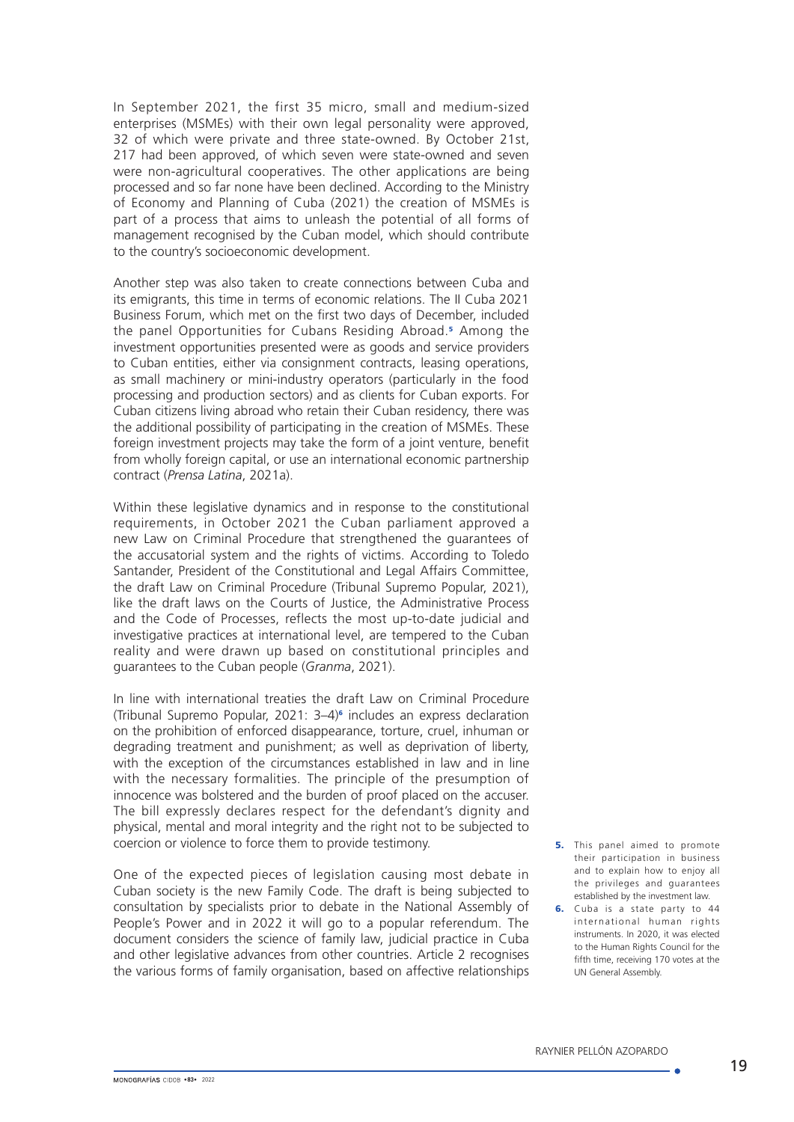In September 2021, the first 35 micro, small and medium-sized enterprises (MSMEs) with their own legal personality were approved, 32 of which were private and three state-owned. By October 21st, 217 had been approved, of which seven were state-owned and seven were non-agricultural cooperatives. The other applications are being processed and so far none have been declined. According to the Ministry of Economy and Planning of Cuba (2021) the creation of MSMEs is part of a process that aims to unleash the potential of all forms of management recognised by the Cuban model, which should contribute to the country's socioeconomic development.

Another step was also taken to create connections between Cuba and its emigrants, this time in terms of economic relations. The II Cuba 2021 Business Forum, which met on the first two days of December, included the panel Opportunities for Cubans Residing Abroad.<sup>5</sup> Among the investment opportunities presented were as goods and service providers to Cuban entities, either via consignment contracts, leasing operations, as small machinery or mini-industry operators (particularly in the food processing and production sectors) and as clients for Cuban exports. For Cuban citizens living abroad who retain their Cuban residency, there was the additional possibility of participating in the creation of MSMEs. These foreign investment projects may take the form of a joint venture, benefit from wholly foreign capital, or use an international economic partnership contract (*Prensa Latina*, 2021a).

Within these legislative dynamics and in response to the constitutional requirements, in October 2021 the Cuban parliament approved a new Law on Criminal Procedure that strengthened the guarantees of the accusatorial system and the rights of victims. According to Toledo Santander, President of the Constitutional and Legal Affairs Committee, the draft Law on Criminal Procedure (Tribunal Supremo Popular, 2021), like the draft laws on the Courts of Justice, the Administrative Process and the Code of Processes, reflects the most up-to-date judicial and investigative practices at international level, are tempered to the Cuban reality and were drawn up based on constitutional principles and guarantees to the Cuban people (*Granma*, 2021).

In line with international treaties the draft Law on Criminal Procedure (Tribunal Supremo Popular, 2021: 3–4)<sup>6</sup> includes an express declaration on the prohibition of enforced disappearance, torture, cruel, inhuman or degrading treatment and punishment; as well as deprivation of liberty, with the exception of the circumstances established in law and in line with the necessary formalities. The principle of the presumption of innocence was bolstered and the burden of proof placed on the accuser. The bill expressly declares respect for the defendant's dignity and physical, mental and moral integrity and the right not to be subjected to coercion or violence to force them to provide testimony.

One of the expected pieces of legislation causing most debate in Cuban society is the new Family Code. The draft is being subjected to consultation by specialists prior to debate in the [National Assembly of](https://www.parlamentocubano.gob.cu/)  [People's Power](https://www.parlamentocubano.gob.cu/) and in 2022 it will go to a popular referendum. The document considers the science of family law, judicial practice in Cuba and other legislative advances from other countries. Article 2 recognises the various forms of family organisation, based on affective relationships

- **5.** This panel aimed to promote their participation in business and to explain how to enjoy all the privileges and guarantees established by the investment law.
- **6.** Cuba is a state party to 44 international human rights instruments. In 2020, it was elected to the Human Rights Council for the fifth time, receiving 170 votes at the UN General Assembly.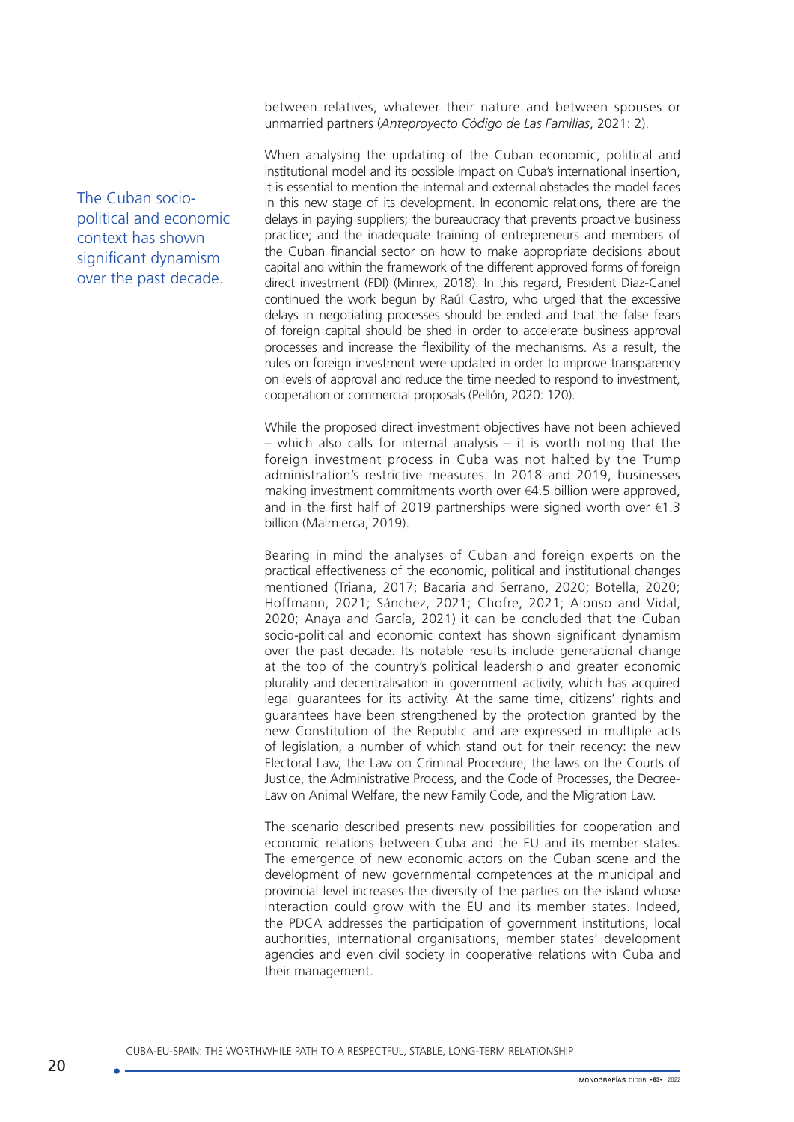between relatives, whatever their nature and between spouses or unmarried partners (*Anteproyecto Código de Las Familias*, 2021: 2).

When analysing the updating of the Cuban economic, political and institutional model and its possible impact on Cuba's international insertion, it is essential to mention the internal and external obstacles the model faces in this new stage of its development. In economic relations, there are the delays in paying suppliers; the bureaucracy that prevents proactive business practice; and the inadequate training of entrepreneurs and members of the Cuban financial sector on how to make appropriate decisions about capital and within the framework of the different approved forms of foreign direct investment (FDI) (Minrex, 2018). In this regard, President Díaz-Canel continued the work begun by Raúl Castro, who urged that the excessive delays in negotiating processes should be ended and that the false fears of foreign capital should be shed in order to accelerate business approval processes and increase the flexibility of the mechanisms. As a result, the rules on foreign investment were updated in order to improve transparency on levels of approval and reduce the time needed to respond to investment, cooperation or commercial proposals (Pellón, 2020: 120).

While the proposed direct investment objectives have not been achieved – which also calls for internal analysis – it is worth noting that the foreign investment process in Cuba was not halted by the Trump administration's restrictive measures. In 2018 and 2019, businesses making investment commitments worth over €4.5 billion were approved, and in the first half of 2019 partnerships were signed worth over  $\epsilon$ 1.3 billion (Malmierca, 2019).

Bearing in mind the analyses of Cuban and foreign experts on the practical effectiveness of the economic, political and institutional changes mentioned (Triana, 2017; Bacaria and Serrano, 2020; Botella, 2020; Hoffmann, 2021; Sánchez, 2021; Chofre, 2021; Alonso and Vidal, 2020; Anaya and García, 2021) it can be concluded that the Cuban socio-political and economic context has shown significant dynamism over the past decade. Its notable results include generational change at the top of the country's political leadership and greater economic plurality and decentralisation in government activity, which has acquired legal guarantees for its activity. At the same time, citizens' rights and guarantees have been strengthened by the protection granted by the new Constitution of the Republic and are expressed in multiple acts of legislation, a number of which stand out for their recency: the new Electoral Law, the Law on Criminal Procedure, the laws on the Courts of Justice, the Administrative Process, and the Code of Processes, the Decree-Law on Animal Welfare, the new Family Code, and the Migration Law.

The scenario described presents new possibilities for cooperation and economic relations between Cuba and the EU and its member states. The emergence of new economic actors on the Cuban scene and the development of new governmental competences at the municipal and provincial level increases the diversity of the parties on the island whose interaction could grow with the EU and its member states. Indeed, the PDCA addresses the participation of government institutions, local authorities, international organisations, member states' development agencies and even civil society in cooperative relations with Cuba and their management.

The Cuban sociopolitical and economic context has shown significant dynamism over the past decade.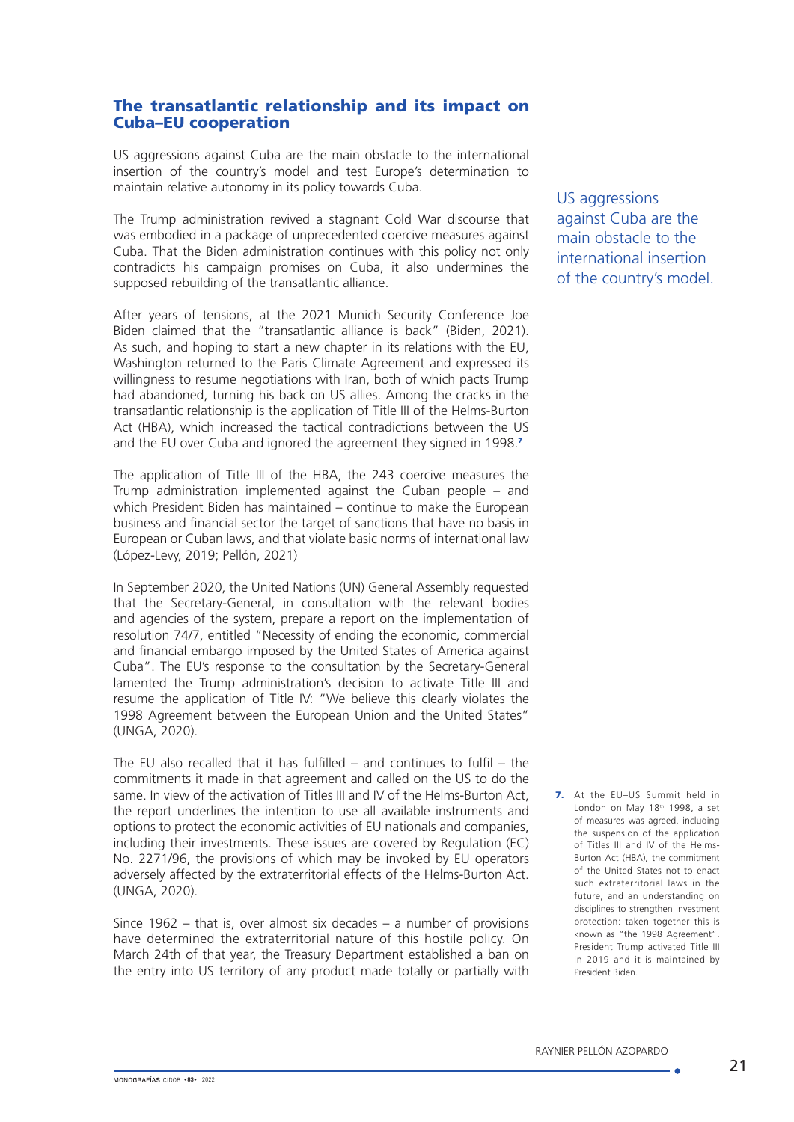### The transatlantic relationship and its impact on Cuba–EU cooperation

US aggressions against Cuba are the main obstacle to the international insertion of the country's model and test Europe's determination to maintain relative autonomy in its policy towards Cuba.

The Trump administration revived a stagnant Cold War discourse that was embodied in a package of unprecedented coercive measures against Cuba. That the Biden administration continues with this policy not only contradicts his campaign promises on Cuba, it also undermines the supposed rebuilding of the transatlantic alliance.

After years of tensions, at the 2021 Munich Security Conference Joe Biden claimed that the "transatlantic alliance is back" (Biden, 2021). As such, and hoping to start a new chapter in its relations with the EU, Washington returned to the Paris Climate Agreement and expressed its willingness to resume negotiations with Iran, both of which pacts Trump had abandoned, turning his back on US allies. Among the cracks in the transatlantic relationship is the application of Title III of the Helms-Burton Act (HBA), which increased the tactical contradictions between the US and the EU over Cuba and ignored the agreement they signed in 1998.<sup>7</sup>

The application of Title III of the HBA, the 243 coercive measures the Trump administration implemented against the Cuban people – and which President Biden has maintained – continue to make the European business and financial sector the target of sanctions that have no basis in European or Cuban laws, and that violate basic norms of international law (López-Levy, 2019; Pellón, 2021)

In September 2020, the United Nations (UN) General Assembly requested that the Secretary-General, in consultation with the relevant bodies and agencies of the system, prepare a report on the implementation of resolution 74/7, entitled "Necessity of ending the economic, commercial and financial embargo imposed by the United States of America against Cuba". The EU's response to the consultation by the Secretary-General lamented the Trump administration's decision to activate Title III and resume the application of Title IV: "We believe this clearly violates the 1998 Agreement between the European Union and the United States" (UNGA, 2020).

The EU also recalled that it has fulfilled – and continues to fulfil – the commitments it made in that agreement and called on the US to do the same. In view of the activation of Titles III and IV of the Helms-Burton Act, the report underlines the intention to use all available instruments and options to protect the economic activities of EU nationals and companies, including their investments. These issues are covered by Regulation (EC) No. 2271/96, the provisions of which may be invoked by EU operators adversely affected by the extraterritorial effects of the Helms-Burton Act. (UNGA, 2020).

Since 1962 – that is, over almost six decades – a number of provisions have determined the extraterritorial nature of this hostile policy. On March 24th of that year, the Treasury Department established a ban on the entry into US territory of any product made totally or partially with

US aggressions against Cuba are the main obstacle to the international insertion of the country's model.

7. At the EU-US Summit held in London on May 18<sup>th</sup> 1998, a set of measures was agreed, including the suspension of the application of Titles III and IV of the Helms-Burton Act (HBA), the commitment of the United States not to enact such extraterritorial laws in the future, and an understanding on disciplines to strengthen investment protection: taken together this is known as "the 1998 Agreement". President Trump activated Title III in 2019 and it is maintained by President Biden.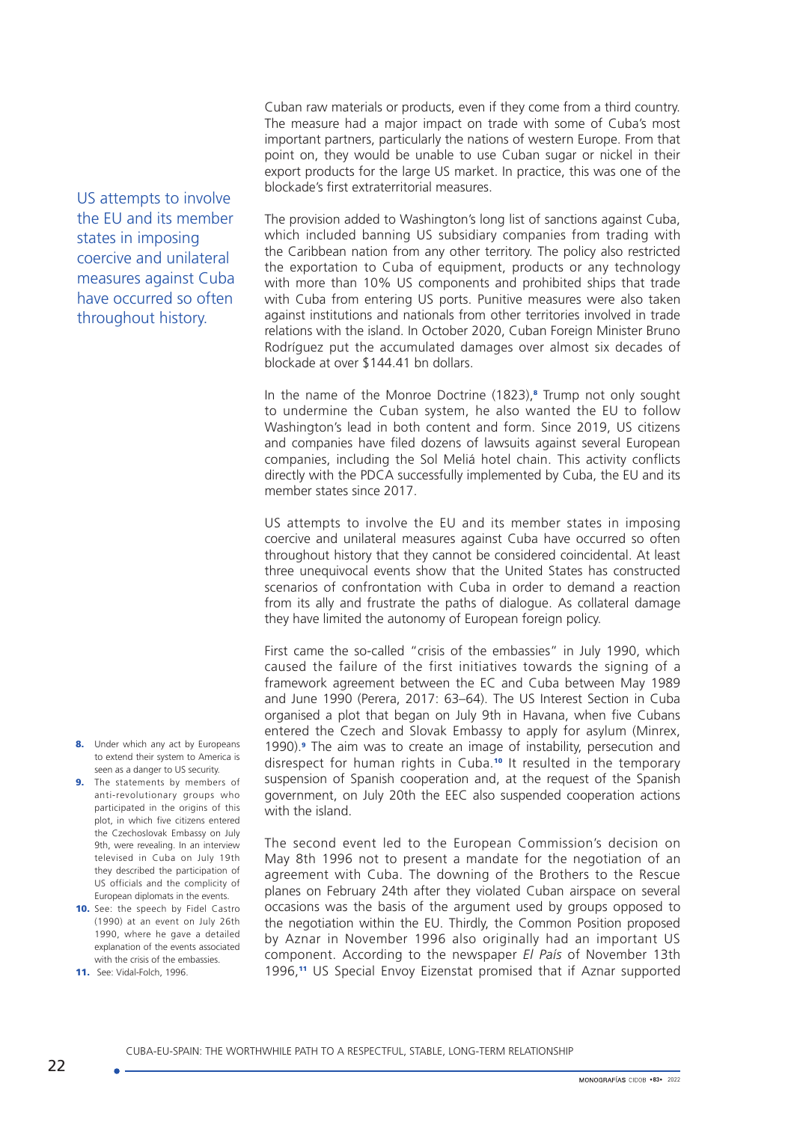Cuban raw materials or products, even if they come from a third country. The measure had a major impact on trade with some of Cuba's most important partners, particularly the nations of western Europe. From that point on, they would be unable to use Cuban sugar or nickel in their export products for the large US market. In practice, this was one of the blockade's first extraterritorial measures.

The provision added to Washington's long list of sanctions against Cuba, which included banning US subsidiary companies from trading with the Caribbean nation from any other territory. The policy also restricted the exportation to Cuba of equipment, products or any technology with more than 10% US components and prohibited ships that trade with Cuba from entering US ports. Punitive measures were also taken against institutions and nationals from other territories involved in trade relations with the island. In October 2020, Cuban Foreign Minister Bruno Rodríguez put the accumulated damages over almost six decades of blockade at over \$144.41 bn dollars.

In the name of the Monroe Doctrine (1823),<sup>8</sup> Trump not only sought to undermine the Cuban system, he also wanted the EU to follow Washington's lead in both content and form. Since 2019, US citizens and companies have filed dozens of lawsuits against several European companies, including the Sol Meliá hotel chain. This activity conflicts directly with the PDCA successfully implemented by Cuba, the EU and its member states since 2017.

US attempts to involve the EU and its member states in imposing coercive and unilateral measures against Cuba have occurred so often throughout history that they cannot be considered coincidental. At least three unequivocal events show that the United States has constructed scenarios of confrontation with Cuba in order to demand a reaction from its ally and frustrate the paths of dialogue. As collateral damage they have limited the autonomy of European foreign policy.

First came the so-called "crisis of the embassies" in July 1990, which caused the failure of the first initiatives towards the signing of a framework agreement between the EC and Cuba between May 1989 and June 1990 (Perera, 2017: 63–64). The US Interest Section in Cuba organised a plot that began on July 9th in Havana, when five Cubans entered the Czech and Slovak Embassy to apply for asylum (Minrex, 1990). The aim was to create an image of instability, persecution and disrespect for human rights in Cuba.<sup>10</sup> It resulted in the temporary suspension of Spanish cooperation and, at the request of the Spanish government, on July 20th the EEC also suspended cooperation actions with the island.

The second event led to the European Commission's decision on May 8th 1996 not to present a mandate for the negotiation of an agreement with Cuba. The downing of the Brothers to the Rescue planes on February 24th after they violated Cuban airspace on several occasions was the basis of the argument used by groups opposed to the negotiation within the EU. Thirdly, the Common Position proposed by Aznar in November 1996 also originally had an important US component. According to the newspaper *El País* of November 13th 1996,11 US Special Envoy Eizenstat promised that if Aznar supported

US attempts to involve the EU and its member states in imposing coercive and unilateral measures against Cuba have occurred so often throughout history.

- 8. Under which any act by Europeans to extend their system to America is seen as a danger to US security.
- 9. The statements by members of anti-revolutionary groups who participated in the origins of this plot, in which five citizens entered the Czechoslovak Embassy on July 9th, were revealing. In an interview televised in Cuba on July 19th they described the participation of US officials and the complicity of European diplomats in the events.
- 10. See: the speech by Fidel Castro (1990) at an event on July 26th 1990, where he gave a detailed explanation of the events associated with the crisis of the embassies.
- 11. [See: Vidal-Folch, 1](http://elpais.com/autor/xavier_vidal-folch/a/)996.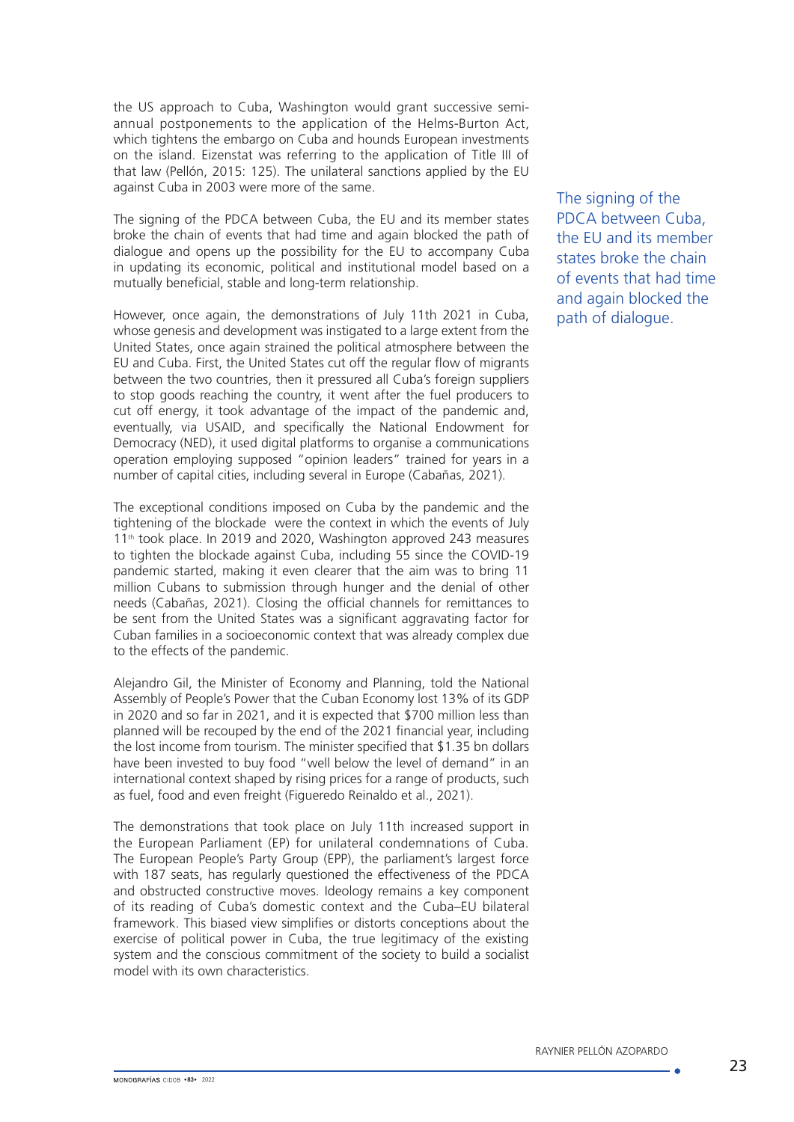the US approach to Cuba, Washington would grant successive semiannual postponements to the application of the Helms-Burton Act, which tightens the embargo on Cuba and hounds European investments on the island. Eizenstat was referring to the application of Title III of that law (Pellón, 2015: 125). The unilateral sanctions applied by the EU against Cuba in 2003 were more of the same.

The signing of the PDCA between Cuba, the EU and its member states broke the chain of events that had time and again blocked the path of dialogue and opens up the possibility for the EU to accompany Cuba in updating its economic, political and institutional model based on a mutually beneficial, stable and long-term relationship.

However, once again, the demonstrations of July 11th 2021 in Cuba, whose genesis and development was instigated to a large extent from the United States, once again strained the political atmosphere between the EU and Cuba. First, the United States cut off the regular flow of migrants between the two countries, then it pressured all Cuba's foreign suppliers to stop goods reaching the country, it went after the fuel producers to cut off energy, it took advantage of the impact of the pandemic and, eventually, via USAID, and specifically the National Endowment for Democracy (NED), it used digital platforms to organise a communications operation employing supposed "opinion leaders" trained for years in a number of capital cities, including several in Europe (Cabañas, 2021).

The exceptional conditions imposed on Cuba by the pandemic and the tightening of the blockade were the context in which the events of July 11<sup>th</sup> took place. In 2019 and 2020, Washington approved 243 measures to tighten the blockade against Cuba, including 55 since the COVID-19 pandemic started, making it even clearer that the aim was to bring 11 million Cubans to submission through hunger and the denial of other needs (Cabañas, 2021). Closing the official channels for remittances to be sent from the United States was a significant aggravating factor for Cuban families in a socioeconomic context that was already complex due to the effects of the pandemic.

Alejandro Gil, the Minister of Economy and Planning, told the National Assembly of People's Power that the Cuban Economy lost 13% of its GDP in 2020 and so far in 2021, and it is expected that \$700 million less than planned will be recouped by the end of the 2021 financial year, including the lost income from tourism. The minister specified that \$1.35 bn dollars have been invested to buy food "well below the level of demand" in an international context shaped by rising prices for a range of products, such as fuel, food and even freight (Figueredo Reinaldo et al., 2021).

The demonstrations that took place on July 11th increased support in the European Parliament (EP) for unilateral condemnations of Cuba. The European People's Party Group (EPP), the parliament's largest force with 187 seats, has regularly questioned the effectiveness of the PDCA and obstructed constructive moves. Ideology remains a key component of its reading of Cuba's domestic context and the Cuba–EU bilateral framework. This biased view simplifies or distorts conceptions about the exercise of political power in Cuba, the true legitimacy of the existing system and the conscious commitment of the society to build a socialist model with its own characteristics.

The signing of the PDCA between Cuba, the EU and its member states broke the chain of events that had time and again blocked the path of dialogue.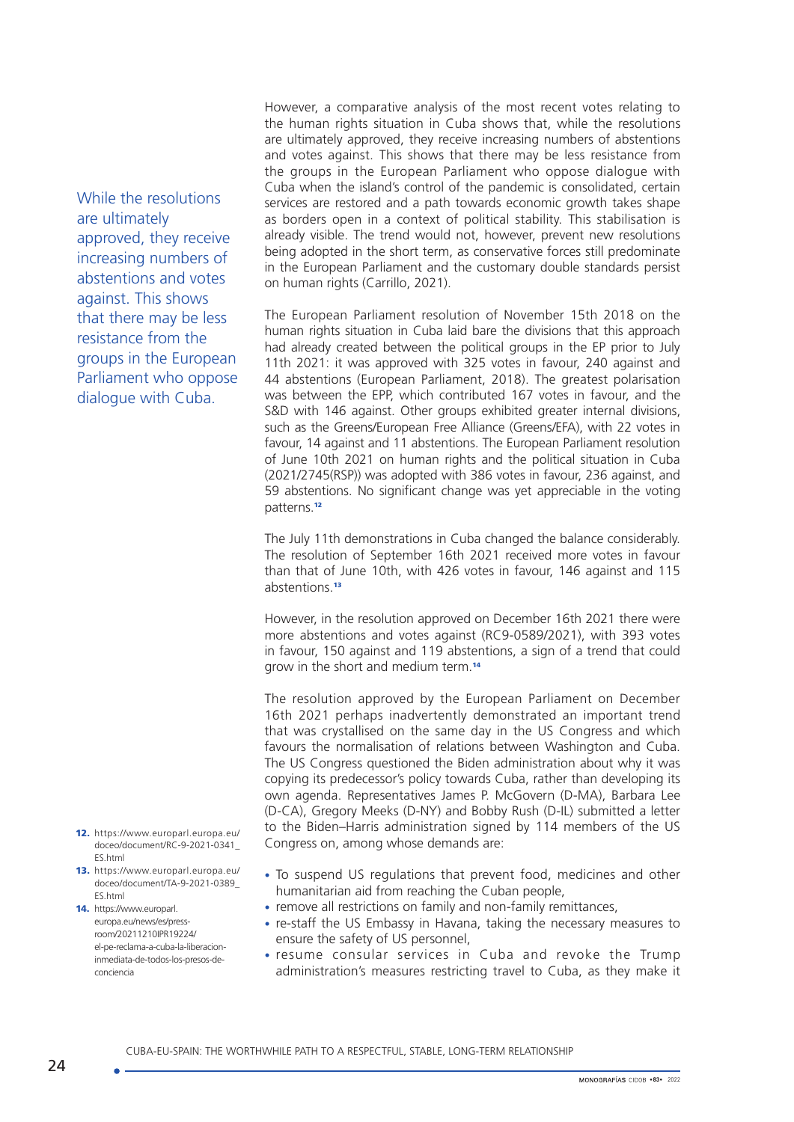While the resolutions are ultimately approved, they receive increasing numbers of abstentions and votes against. This shows that there may be less resistance from the groups in the European Parliament who oppose dialogue with Cuba.

- 12. [https://www.europarl.europa.eu/](https://www.europarl.europa.eu/doceo/document/RC-9-2021-0341_ES.html) [doceo/document/RC-9-2021-0341\\_](https://www.europarl.europa.eu/doceo/document/RC-9-2021-0341_ES.html) [ES.html](https://www.europarl.europa.eu/doceo/document/RC-9-2021-0341_ES.html)
- 13. [https://www.europarl.europa.eu/](https://www.europarl.europa.eu/doceo/document/TA-9-2021-0389_ES.html) [doceo/document/TA-9-2021-0389\\_](https://www.europarl.europa.eu/doceo/document/TA-9-2021-0389_ES.html) [ES.html](https://www.europarl.europa.eu/doceo/document/TA-9-2021-0389_ES.html)
- 14. [https://www.europarl.](https://www.europarl.europa.eu/news/es/press-room/20211210IPR19224/el-pe-reclama-a-cuba-la-liberacion-inmediata-de-todos-los-presos-de-conciencia) [europa.eu/news/es/press](https://www.europarl.europa.eu/news/es/press-room/20211210IPR19224/el-pe-reclama-a-cuba-la-liberacion-inmediata-de-todos-los-presos-de-conciencia)[room/20211210IPR19224/](https://www.europarl.europa.eu/news/es/press-room/20211210IPR19224/el-pe-reclama-a-cuba-la-liberacion-inmediata-de-todos-los-presos-de-conciencia) [el-pe-reclama-a-cuba-la-liberacion](https://www.europarl.europa.eu/news/es/press-room/20211210IPR19224/el-pe-reclama-a-cuba-la-liberacion-inmediata-de-todos-los-presos-de-conciencia)[inmediata-de-todos-los-presos-de](https://www.europarl.europa.eu/news/es/press-room/20211210IPR19224/el-pe-reclama-a-cuba-la-liberacion-inmediata-de-todos-los-presos-de-conciencia)[conciencia](https://www.europarl.europa.eu/news/es/press-room/20211210IPR19224/el-pe-reclama-a-cuba-la-liberacion-inmediata-de-todos-los-presos-de-conciencia)

However, a comparative analysis of the most recent votes relating to the human rights situation in Cuba shows that, while the resolutions are ultimately approved, they receive increasing numbers of abstentions and votes against. This shows that there may be less resistance from the groups in the European Parliament who oppose dialogue with Cuba when the island's control of the pandemic is consolidated, certain services are restored and a path towards economic growth takes shape as borders open in a context of political stability. This stabilisation is already visible. The trend would not, however, prevent new resolutions being adopted in the short term, as conservative forces still predominate in the European Parliament and the customary double standards persist on human rights (Carrillo, 2021).

The European Parliament resolution of November 15th 2018 on the human rights situation in Cuba laid bare the divisions that this approach had already created between the political groups in the EP prior to July 11th 2021: it was approved with 325 votes in favour, 240 against and 44 abstentions (European Parliament, 2018). The greatest polarisation was between the EPP, which contributed 167 votes in favour, and the S&D with 146 against. Other groups exhibited greater internal divisions, such as the Greens/European Free Alliance (Greens*/*EFA), with 22 votes in favour, 14 against and 11 abstentions. The European Parliament resolution of June 10th 2021 on human rights and the political situation in Cuba (2021/2745(RSP)) was adopted with 386 votes in favour, 236 against, and 59 abstentions. No significant change was yet appreciable in the voting patterns.<sup>12</sup>

The July 11th demonstrations in Cuba changed the balance considerably. The resolution of September 16th 2021 received more votes in favour than that of June 10th, with 426 votes in favour, 146 against and 115 abstentions.<sup>13</sup>

However, in the resolution approved on December 16th 2021 there were more abstentions and votes against (RC9-0589/2021), with 393 votes in favour, 150 against and 119 abstentions, a sign of a trend that could grow in the short and medium term.<sup>14</sup>

The resolution approved by the European Parliament on December 16th 2021 perhaps inadvertently demonstrated an important trend that was crystallised on the same day in the US Congress and which favours the normalisation of relations between Washington and Cuba. The US Congress questioned the Biden administration about why it was copying its predecessor's policy towards Cuba, rather than developing its own agenda. Representatives James P. McGovern (D-MA), Barbara Lee (D-CA), Gregory Meeks (D-NY) and Bobby Rush (D-IL) submitted a letter to the Biden–Harris administration signed by 114 members of the US Congress on, among whose demands are:

- To suspend US regulations that prevent food, medicines and other humanitarian aid from reaching the Cuban people,
- remove all restrictions on family and non-family remittances,
- re-staff the US Embassy in Havana, taking the necessary measures to ensure the safety of US personnel,
- resume consular services in Cuba and revoke the Trump administration's measures restricting travel to Cuba, as they make it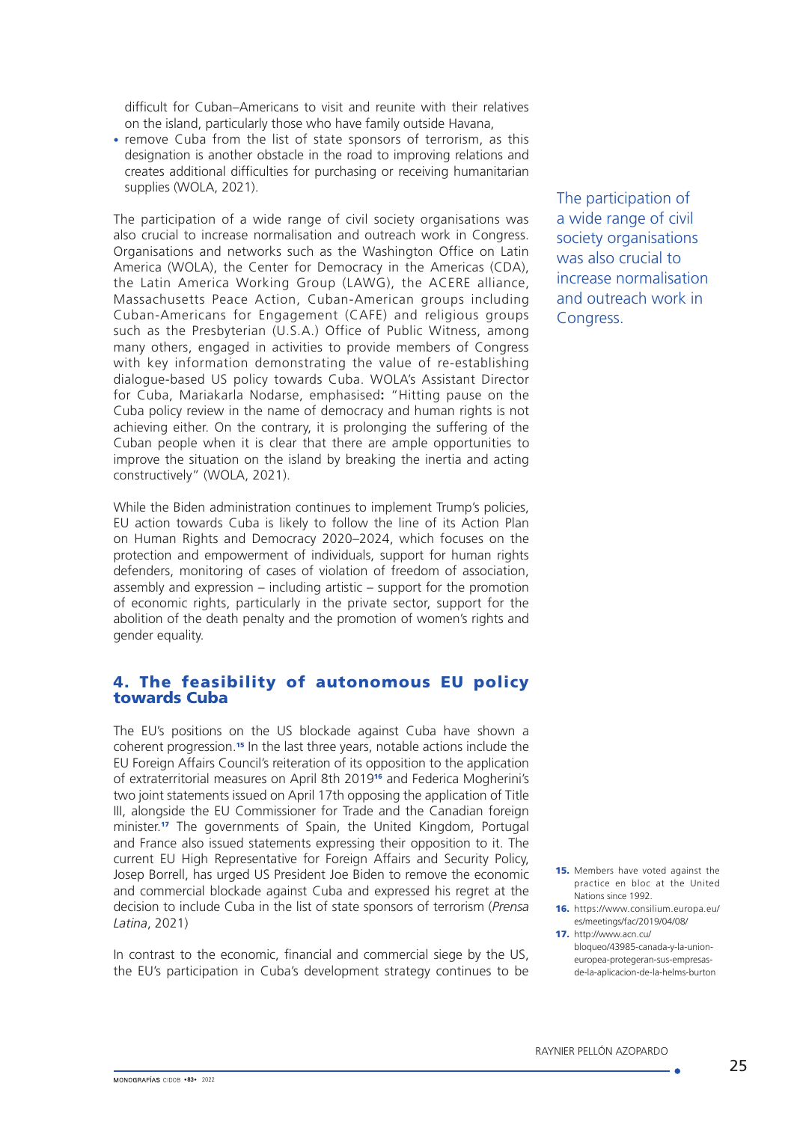difficult for Cuban–Americans to visit and reunite with their relatives on the island, particularly those who have family outside Havana,

• remove Cuba from the list of state sponsors of terrorism, as this designation is another obstacle in the road to improving relations and creates additional difficulties for purchasing or receiving humanitarian supplies (WOLA, 2021).

The participation of a wide range of civil society organisations was also crucial to increase normalisation and outreach work in Congress. Organisations and networks such as the Washington Office on Latin America (WOLA), the Center for Democracy in the Americas (CDA), the Latin America Working Group (LAWG), the ACERE alliance, Massachusetts Peace Action, Cuban-American groups including Cuban-Americans for Engagement (CAFE) and religious groups such as the Presbyterian (U.S.A.) Office of Public Witness, among many others, engaged in activities to provide members of Congress with key information demonstrating the value of re-establishing dialogue-based US policy towards Cuba. WOLA's Assistant Director for Cuba, Mariakarla Nodarse, emphasised**:** "Hitting pause on the Cuba policy review in the name of democracy and human rights is not achieving either. On the contrary, it is prolonging the suffering of the Cuban people when it is clear that there are ample opportunities to improve the situation on the island by breaking the inertia and acting constructively" (WOLA, 2021).

While the Biden administration continues to implement Trump's policies, EU action towards Cuba is likely to follow the line of its Action Plan on Human Rights and Democracy 2020–2024, which focuses on the protection and empowerment of individuals, support for human rights defenders, monitoring of cases of violation of freedom of association, assembly and expression – including artistic – support for the promotion of economic rights, particularly in the private sector, support for the abolition of the death penalty and the promotion of women's rights and gender equality.

### 4. The feasibility of autonomous EU policy towards Cuba

The EU's positions on the US blockade against Cuba have shown a coherent progression.<sup>15</sup> In the last three years, notable actions include the EU Foreign Affairs Council's reiteration of its opposition to the application of extraterritorial measures on April 8th 201916 and Federica Mogherini's two joint statements issued on April 17th opposing the application of Title III, alongside the EU Commissioner for Trade and the Canadian foreign minister<sup>17</sup> The governments of Spain, the United Kingdom, Portugal and France also issued statements expressing their opposition to it. The current EU High Representative for Foreign Affairs and Security Policy, Josep Borrell, has urged US President Joe Biden to remove the economic and commercial blockade against Cuba and expressed his regret at the decision to include Cuba in the list of state sponsors of terrorism (*Prensa Latina*, 2021)

In contrast to the economic, financial and commercial siege by the US, the EU's participation in Cuba's development strategy continues to be The participation of a wide range of civil society organisations was also crucial to increase normalisation and outreach work in Congress.

- 15. Members have voted against the practice en bloc at the United Nations since 1992.
- 16. [https://www.consilium.europa.eu/](https://www.consilium.europa.eu/es/meetings/fac/2019/04/08/) [es/meetings/fac/2019/04/08/](https://www.consilium.europa.eu/es/meetings/fac/2019/04/08/)
- 17. http://www.acn.cu/ bloqueo/43985-canada-y-la-unioneuropea-protegeran-sus-empresasde-la-aplicacion-de-la-helms-burton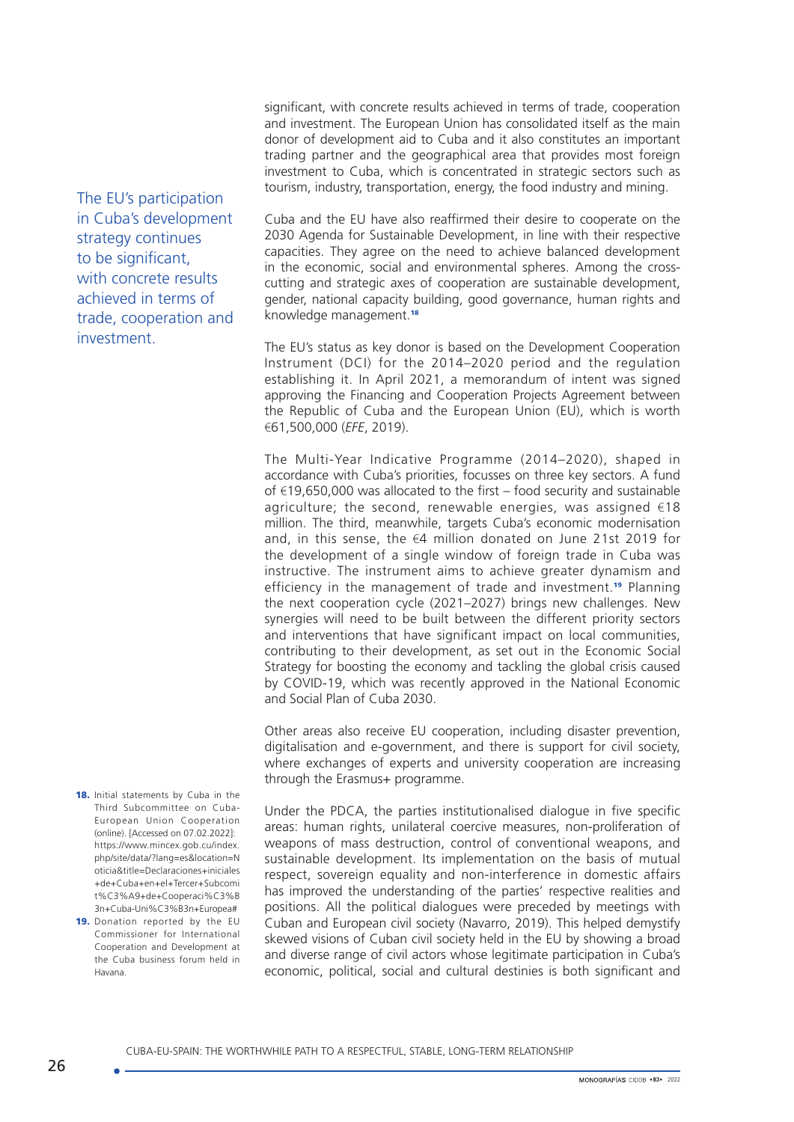significant, with concrete results achieved in terms of trade, cooperation and investment. The European Union has consolidated itself as the main donor of development aid to Cuba and it also constitutes an important trading partner and the geographical area that provides most foreign investment to Cuba, which is concentrated in strategic sectors such as tourism, industry, transportation, energy, the food industry and mining.

Cuba and the EU have also reaffirmed their desire to cooperate on the 2030 Agenda for Sustainable Development, in line with their respective capacities. They agree on the need to achieve balanced development in the economic, social and environmental spheres. Among the crosscutting and strategic axes of cooperation are sustainable development, gender, national capacity building, good governance, human rights and knowledge management.<sup>18</sup>

The EU's status as key donor is based on the Development Cooperation Instrument (DCI) for the 2014–2020 period and the regulation establishing it. In April 2021, a memorandum of intent was signed approving the Financing and Cooperation Projects Agreement between the Republic of Cuba and the European Union (EU), which is worth €61,500,000 (*EFE*, 2019).

The Multi-Year Indicative Programme (2014–2020), shaped in accordance with Cuba's priorities, focusses on three key sectors. A fund of €19,650,000 was allocated to the first – food security and sustainable agriculture; the second, renewable energies, was assigned  $€18$ million. The third, meanwhile, targets Cuba's economic modernisation and, in this sense, the €4 million donated on June 21st 2019 for the development of a single window of foreign trade in Cuba was instructive. The instrument aims to achieve greater dynamism and efficiency in the management of trade and investment.<sup>19</sup> Planning the next cooperation cycle (2021–2027) brings new challenges. New synergies will need to be built between the different priority sectors and interventions that have significant impact on local communities, contributing to their development, as set out in the Economic Social Strategy for boosting the economy and tackling the global crisis caused by COVID-19, which was recently approved in the National Economic and Social Plan of Cuba 2030.

Other areas also receive EU cooperation, including disaster prevention, digitalisation and e-government, and there is support for civil society, where exchanges of experts and university cooperation are increasing through the Erasmus+ programme.

Under the PDCA, the parties institutionalised dialogue in five specific areas: human rights, unilateral coercive measures, non-proliferation of weapons of mass destruction, control of conventional weapons, and sustainable development. Its implementation on the basis of mutual respect, sovereign equality and non-interference in domestic affairs has improved the understanding of the parties' respective realities and positions. All the political dialogues were preceded by meetings with Cuban and European civil society (Navarro, 2019). This helped demystify skewed visions of Cuban civil society held in the EU by showing a broad and diverse range of civil actors whose legitimate participation in Cuba's economic, political, social and cultural destinies is both significant and

The EU's participation in Cuba's development strategy continues to be significant. with concrete results achieved in terms of trade, cooperation and investment.

- 18. Initial statements by Cuba in the Third Subcommittee on Cuba-European Union Cooperation (online). [Accessed on 07.02.2022]: [https://www.mincex.gob.cu/index.](https://www.mincex.gob.cu/index.php/site/data/?lang=es&location=Noticia&title=Declaraciones+iniciales+de+Cuba+en+el+Tercer+Subcomit%C3%A9+de+Cooperaci%C3%B3n+Cuba-Uni%C3%B3n+Europea#) [php/site/data/?lang=es&location=N](https://www.mincex.gob.cu/index.php/site/data/?lang=es&location=Noticia&title=Declaraciones+iniciales+de+Cuba+en+el+Tercer+Subcomit%C3%A9+de+Cooperaci%C3%B3n+Cuba-Uni%C3%B3n+Europea#) [oticia&title=Declaraciones+iniciales](https://www.mincex.gob.cu/index.php/site/data/?lang=es&location=Noticia&title=Declaraciones+iniciales+de+Cuba+en+el+Tercer+Subcomit%C3%A9+de+Cooperaci%C3%B3n+Cuba-Uni%C3%B3n+Europea#) [+de+Cuba+en+el+Tercer+Subcomi](https://www.mincex.gob.cu/index.php/site/data/?lang=es&location=Noticia&title=Declaraciones+iniciales+de+Cuba+en+el+Tercer+Subcomit%C3%A9+de+Cooperaci%C3%B3n+Cuba-Uni%C3%B3n+Europea#) [t%C3%A9+de+Cooperaci%C3%B](https://www.mincex.gob.cu/index.php/site/data/?lang=es&location=Noticia&title=Declaraciones+iniciales+de+Cuba+en+el+Tercer+Subcomit%C3%A9+de+Cooperaci%C3%B3n+Cuba-Uni%C3%B3n+Europea#) [3n+Cuba-Uni%C3%B3n+Europea#](https://www.mincex.gob.cu/index.php/site/data/?lang=es&location=Noticia&title=Declaraciones+iniciales+de+Cuba+en+el+Tercer+Subcomit%C3%A9+de+Cooperaci%C3%B3n+Cuba-Uni%C3%B3n+Europea#)
- 19. Donation reported by the EU Commissioner for International Cooperation and Development at the Cuba business forum held in Havana.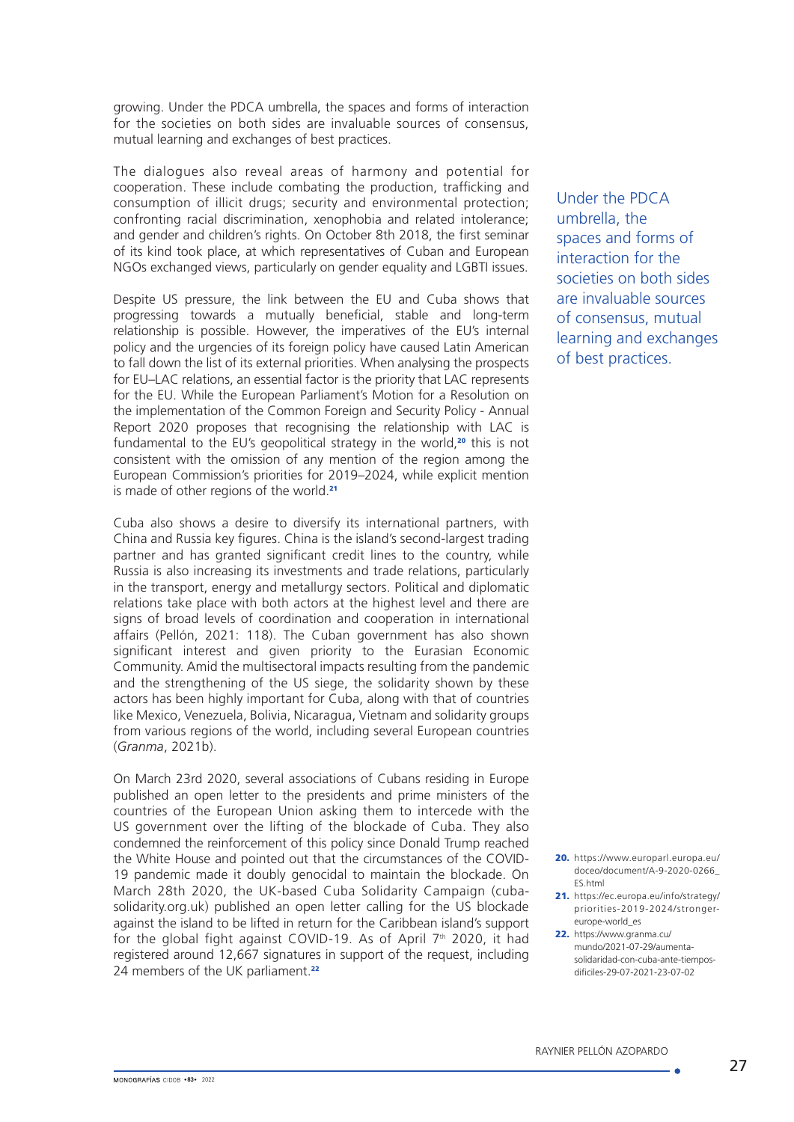growing. Under the PDCA umbrella, the spaces and forms of interaction for the societies on both sides are invaluable sources of consensus, mutual learning and exchanges of best practices.

The dialogues also reveal areas of harmony and potential for cooperation. These include combating the production, trafficking and consumption of illicit drugs; security and environmental protection; confronting racial discrimination, xenophobia and related intolerance; and gender and children's rights. On October 8th 2018, the first seminar of its kind took place, at which representatives of Cuban and European NGOs exchanged views, particularly on gender equality and LGBTI issues.

Despite US pressure, the link between the EU and Cuba shows that progressing towards a mutually beneficial, stable and long-term relationship is possible. However, the imperatives of the EU's internal policy and the urgencies of its foreign policy have caused Latin American to fall down the list of its external priorities. When analysing the prospects for EU–LAC relations, an essential factor is the priority that LAC represents for the EU. While the European Parliament's Motion for a Resolution on the implementation of the Common Foreign and Security Policy - Annual Report 2020 proposes that recognising the relationship with LAC is fundamental to the EU's geopolitical strategy in the world,<sup>20</sup> this is not consistent with the omission of any mention of the region among the European Commission's priorities for 2019–2024, while explicit mention is made of other regions of the world.<sup>21</sup>

Cuba also shows a desire to diversify its international partners, with China and Russia key figures. China is the island's second-largest trading partner and has granted significant credit lines to the country, while Russia is also increasing its investments and trade relations, particularly in the transport, energy and metallurgy sectors. Political and diplomatic relations take place with both actors at the highest level and there are signs of broad levels of coordination and cooperation in international affairs (Pellón, 2021: 118). The Cuban government has also shown significant interest and given priority to the Eurasian Economic Community. Amid the multisectoral impacts resulting from the pandemic and the strengthening of the US siege, the solidarity shown by these actors has been highly important for Cuba, along with that of countries like Mexico, Venezuela, Bolivia, Nicaragua, Vietnam and solidarity groups from various regions of the world, including several European countries (*Granma*, 2021b).

On March 23rd 2020, several associations of Cubans residing in Europe published an open letter to the presidents and prime ministers of the countries of the European Union asking them to intercede with the US government over the lifting of the blockade of Cuba. They also condemned the reinforcement of this policy since Donald Trump reached the White House and pointed out that the circumstances of the COVID-19 pandemic made it doubly genocidal to maintain the blockade. On March 28th 2020, the UK-based Cuba Solidarity Campaign (cubasolidarity.org.uk) published an open letter calling for the US blockade against the island to be lifted in return for the Caribbean island's support for the global fight against COVID-19. As of April  $7<sup>th</sup>$  2020, it had registered around 12,667 signatures in support of the request, including 24 members of the UK parliament.<sup>22</sup>

Under the PDCA umbrella, the spaces and forms of interaction for the societies on both sides are invaluable sources of consensus, mutual learning and exchanges of best practices.

- 20. [https://www.europarl.europa.eu/](https://www.europarl.europa.eu/doceo/document/A-9-2020-0266_ES.html) [doceo/document/A-9-2020-0266\\_](https://www.europarl.europa.eu/doceo/document/A-9-2020-0266_ES.html) [ES.html](https://www.europarl.europa.eu/doceo/document/A-9-2020-0266_ES.html)
- 21. [https://ec.europa.eu/info/strategy/](https://ec.europa.eu/info/strategy/priorities-2019-2024/stronger-europe-world_es) [priorities-2019-2024/stronger](https://ec.europa.eu/info/strategy/priorities-2019-2024/stronger-europe-world_es)[europe-world\\_es](https://ec.europa.eu/info/strategy/priorities-2019-2024/stronger-europe-world_es)
- 22. [https://www.granma.cu/](https://www.granma.cu/mundo/2021-07-29/aumenta-solidaridad-con-cuba-ante-tiempos-dificiles-29-07-2021-23-07-02) [mundo/2021-07-29/aumenta](https://www.granma.cu/mundo/2021-07-29/aumenta-solidaridad-con-cuba-ante-tiempos-dificiles-29-07-2021-23-07-02)[solidaridad-con-cuba-ante-tiempos](https://www.granma.cu/mundo/2021-07-29/aumenta-solidaridad-con-cuba-ante-tiempos-dificiles-29-07-2021-23-07-02)[dificiles-29-07-2021-23-07-02](https://www.granma.cu/mundo/2021-07-29/aumenta-solidaridad-con-cuba-ante-tiempos-dificiles-29-07-2021-23-07-02)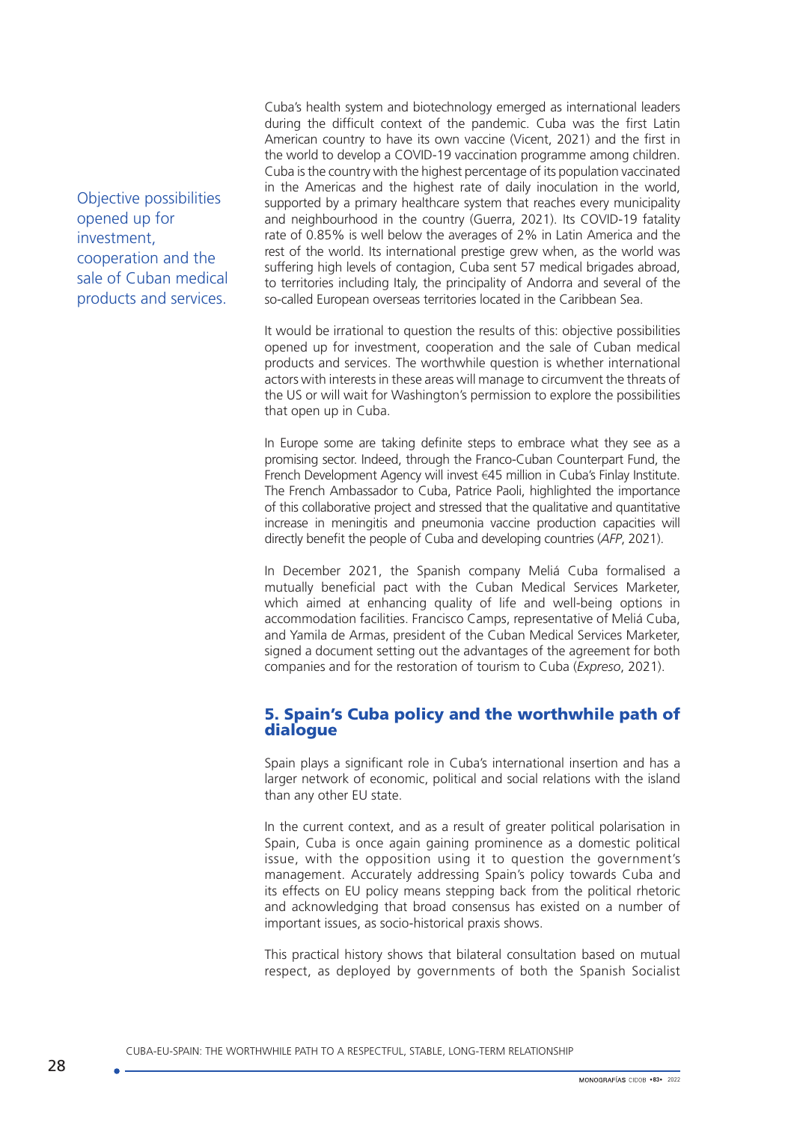Objective possibilities opened up for investment, cooperation and the sale of Cuban medical products and services.

Cuba's health system and biotechnology emerged as international leaders during the difficult context of the pandemic. Cuba was the first Latin American country to have its own vaccine (Vicent, 2021) and the first in the world to develop a COVID-19 vaccination programme among children. Cuba is the country with the highest percentage of its population vaccinated in the Americas and the highest rate of daily inoculation in the world, supported by a primary healthcare system that reaches every municipality and neighbourhood in the country (Guerra, 2021). Its COVID-19 fatality rate of 0.85% is well below the averages of 2% in Latin America and the rest of the world. Its international prestige grew when, as the world was suffering high levels of contagion, Cuba sent 57 medical brigades abroad, to territories including Italy, the principality of Andorra and several of the so-called European overseas territories located in the Caribbean Sea.

It would be irrational to question the results of this: objective possibilities opened up for investment, cooperation and the sale of Cuban medical products and services. The worthwhile question is whether international actors with interests in these areas will manage to circumvent the threats of the US or will wait for Washington's permission to explore the possibilities that open up in Cuba.

In Europe some are taking definite steps to embrace what they see as a promising sector. Indeed, through the Franco-Cuban Counterpart Fund, the French Development Agency will invest €45 million in Cuba's Finlay Institute. The French Ambassador to Cuba, Patrice Paoli, highlighted the importance of this collaborative project and stressed that the qualitative and quantitative increase in meningitis and pneumonia vaccine production capacities will directly benefit the people of Cuba and developing countries (*AFP*, 2021).

In December 2021, the Spanish company Meliá Cuba formalised a mutually beneficial pact with the Cuban Medical Services Marketer, which aimed at enhancing quality of life and well-being options in accommodation facilities. Francisco Camps, representative of Meliá Cuba, and Yamila de Armas, president of the Cuban Medical Services Marketer, signed a document setting out the advantages of the agreement for both companies and for the restoration of tourism to Cuba (*Expreso*, 2021).

### 5. Spain's Cuba policy and the worthwhile path of dialogue

Spain plays a significant role in Cuba's international insertion and has a larger network of economic, political and social relations with the island than any other EU state.

In the current context, and as a result of greater political polarisation in Spain, Cuba is once again gaining prominence as a domestic political issue, with the opposition using it to question the government's management. Accurately addressing Spain's policy towards Cuba and its effects on EU policy means stepping back from the political rhetoric and acknowledging that broad consensus has existed on a number of important issues, as socio-historical praxis shows.

This practical history shows that bilateral consultation based on mutual respect, as deployed by governments of both the Spanish Socialist

CUBA-EU-SPAIN: THE WORTHWHILE PATH TO A RESPECTFUL, STABLE, LONG-TERM RELATIONSHIP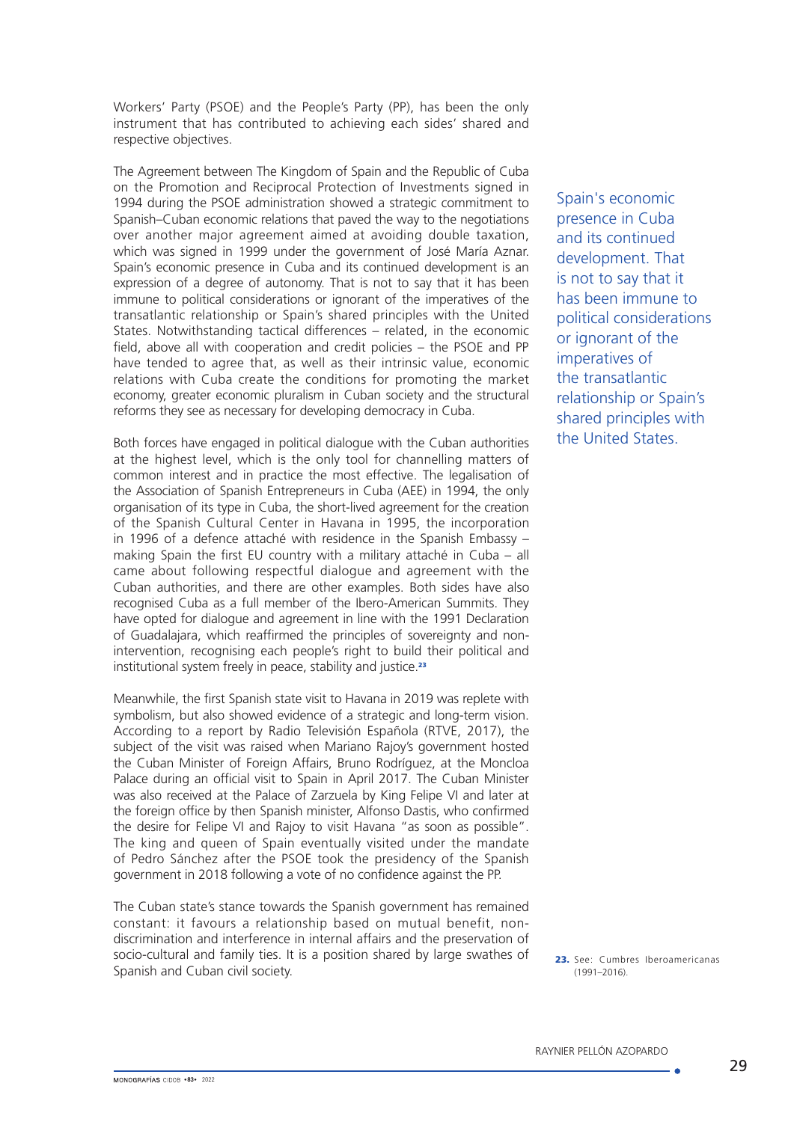Workers' Party (PSOE) and the People's Party (PP), has been the only instrument that has contributed to achieving each sides' shared and respective objectives.

The Agreement between The Kingdom of Spain and the Republic of Cuba on the Promotion and Reciprocal Protection of Investments signed in 1994 during the PSOE administration showed a strategic commitment to Spanish–Cuban economic relations that paved the way to the negotiations over another major agreement aimed at avoiding double taxation, which was signed in 1999 under the government of José María Aznar. Spain's economic presence in Cuba and its continued development is an expression of a degree of autonomy. That is not to say that it has been immune to political considerations or ignorant of the imperatives of the transatlantic relationship or Spain's shared principles with the United States. Notwithstanding tactical differences – related, in the economic field, above all with cooperation and credit policies – the PSOE and PP have tended to agree that, as well as their intrinsic value, economic relations with Cuba create the conditions for promoting the market economy, greater economic pluralism in Cuban society and the structural reforms they see as necessary for developing democracy in Cuba.

Both forces have engaged in political dialogue with the Cuban authorities at the highest level, which is the only tool for channelling matters of common interest and in practice the most effective. The legalisation of the Association of Spanish Entrepreneurs in Cuba (AEE) in 1994, the only organisation of its type in Cuba, the short-lived agreement for the creation of the Spanish Cultural Center in Havana in 1995, the incorporation in 1996 of a defence attaché with residence in the Spanish Embassy – making Spain the first EU country with a military attaché in Cuba – all came about following respectful dialogue and agreement with the Cuban authorities, and there are other examples. Both sides have also recognised Cuba as a full member of the Ibero-American Summits. They have opted for dialogue and agreement in line with the 1991 Declaration of Guadalajara, which reaffirmed the principles of sovereignty and nonintervention, recognising each people's right to build their political and institutional system freely in peace, stability and justice.<sup>23</sup>

Meanwhile, the first Spanish state visit to Havana in 2019 was replete with symbolism, but also showed evidence of a strategic and long-term vision. According to a report by Radio Televisión Española (RTVE, 2017), the subject of the visit was raised when Mariano Rajoy's government hosted the Cuban Minister of Foreign Affairs, Bruno Rodríguez, at the Moncloa Palace during an official visit to Spain in April 2017. The Cuban Minister was also received at the Palace of Zarzuela by King Felipe VI and later at the foreign office by then Spanish minister, Alfonso Dastis, who confirmed the desire for Felipe VI and Rajoy to visit Havana "as soon as possible". The king and queen of Spain eventually visited under the mandate of Pedro Sánchez after the PSOE took the presidency of the Spanish government in 2018 following a vote of no confidence against the PP.

The Cuban state's stance towards the Spanish government has remained constant: it favours a relationship based on mutual benefit, nondiscrimination and interference in internal affairs and the preservation of socio-cultural and family ties. It is a position shared by large swathes of Spanish and Cuban civil society.

Spain's economic presence in Cuba and its continued development. That is not to say that it has been immune to political considerations or ignorant of the imperatives of the transatlantic relationship or Spain's shared principles with the United States.

23. See: Cumbres Iberoamericanas  $(1991 - 2016)$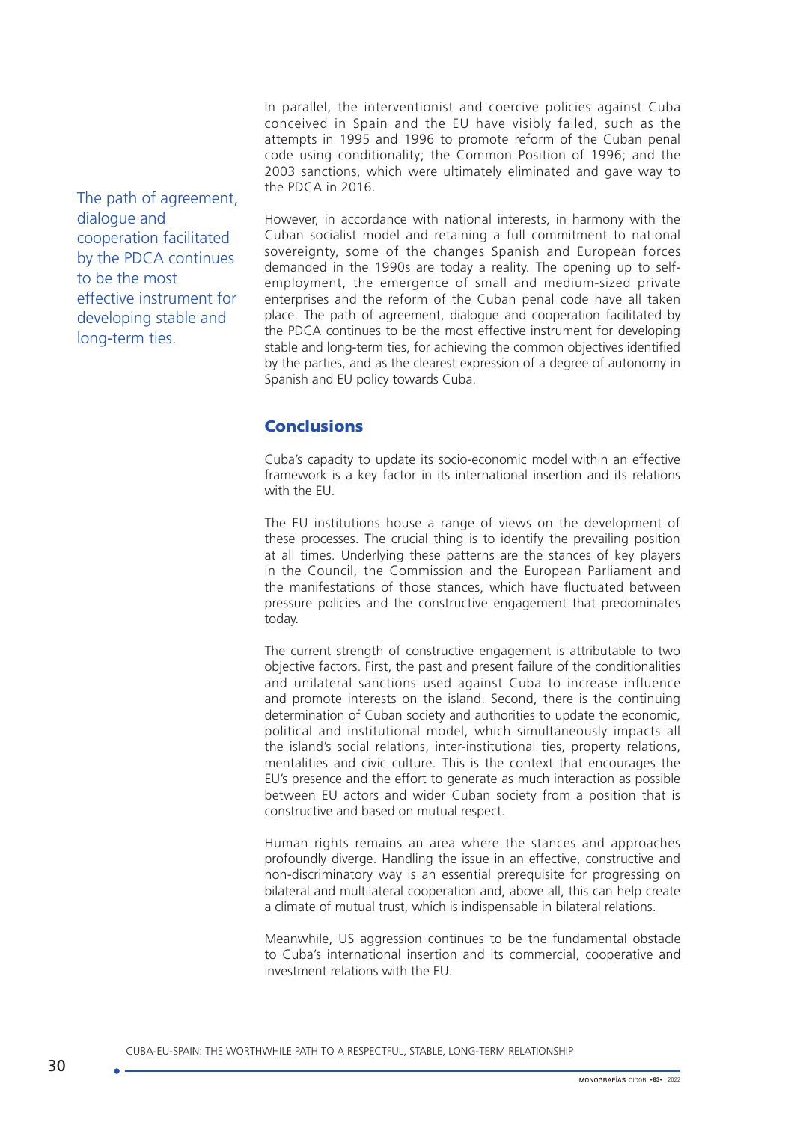In parallel, the interventionist and coercive policies against Cuba conceived in Spain and the EU have visibly failed, such as the attempts in 1995 and 1996 to promote reform of the Cuban penal code using conditionality; the Common Position of 1996; and the 2003 sanctions, which were ultimately eliminated and gave way to the PDCA in 2016.

The path of agreement, dialogue and cooperation facilitated by the PDCA continues to be the most effective instrument for developing stable and long-term ties.

However, in accordance with national interests, in harmony with the Cuban socialist model and retaining a full commitment to national sovereignty, some of the changes Spanish and European forces demanded in the 1990s are today a reality. The opening up to selfemployment, the emergence of small and medium-sized private enterprises and the reform of the Cuban penal code have all taken place. The path of agreement, dialogue and cooperation facilitated by the PDCA continues to be the most effective instrument for developing stable and long-term ties, for achieving the common objectives identified by the parties, and as the clearest expression of a degree of autonomy in Spanish and EU policy towards Cuba.

### **Conclusions**

Cuba's capacity to update its socio-economic model within an effective framework is a key factor in its international insertion and its relations with the FU.

The EU institutions house a range of views on the development of these processes. The crucial thing is to identify the prevailing position at all times. Underlying these patterns are the stances of key players in the Council, the Commission and the European Parliament and the manifestations of those stances, which have fluctuated between pressure policies and the constructive engagement that predominates today.

The current strength of constructive engagement is attributable to two objective factors. First, the past and present failure of the conditionalities and unilateral sanctions used against Cuba to increase influence and promote interests on the island. Second, there is the continuing determination of Cuban society and authorities to update the economic, political and institutional model, which simultaneously impacts all the island's social relations, inter-institutional ties, property relations, mentalities and civic culture. This is the context that encourages the EU's presence and the effort to generate as much interaction as possible between EU actors and wider Cuban society from a position that is constructive and based on mutual respect.

Human rights remains an area where the stances and approaches profoundly diverge. Handling the issue in an effective, constructive and non-discriminatory way is an essential prerequisite for progressing on bilateral and multilateral cooperation and, above all, this can help create a climate of mutual trust, which is indispensable in bilateral relations.

Meanwhile, US aggression continues to be the fundamental obstacle to Cuba's international insertion and its commercial, cooperative and investment relations with the EU.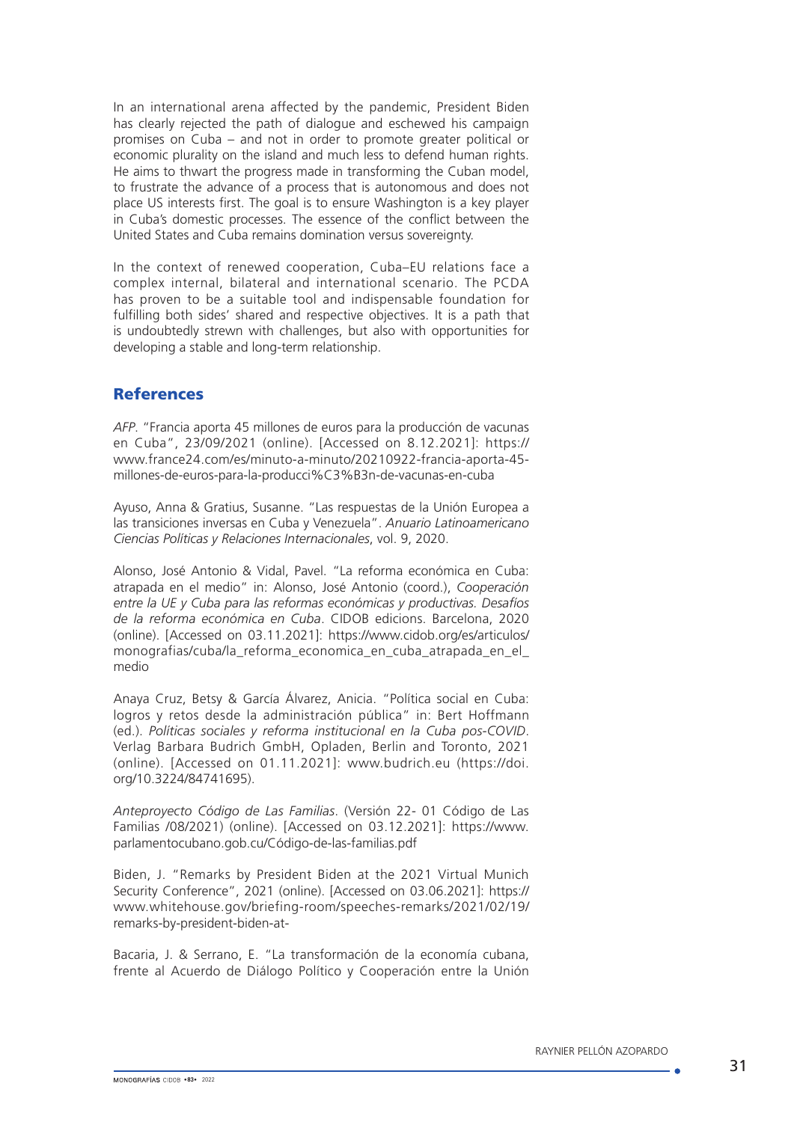In an international arena affected by the pandemic, President Biden has clearly rejected the path of dialogue and eschewed his campaign promises on Cuba – and not in order to promote greater political or economic plurality on the island and much less to defend human rights. He aims to thwart the progress made in transforming the Cuban model, to frustrate the advance of a process that is autonomous and does not place US interests first. The goal is to ensure Washington is a key player in Cuba's domestic processes. The essence of the conflict between the United States and Cuba remains domination versus sovereignty.

In the context of renewed cooperation, Cuba–EU relations face a complex internal, bilateral and international scenario. The PCDA has proven to be a suitable tool and indispensable foundation for fulfilling both sides' shared and respective objectives. It is a path that is undoubtedly strewn with challenges, but also with opportunities for developing a stable and long-term relationship.

### **References**

*AFP*. "Francia aporta 45 millones de euros para la producción de vacunas en Cuba", 23/09/2021 (online). [Accessed on 8.12.2021]: https:// www.france24.com/es/minuto-a-minuto/20210922-francia-aporta-45 millones-de-euros-para-la-producci%C3%B3n-de-vacunas-en-cuba

Ayuso, Anna & Gratius, Susanne. "Las respuestas de la Unión Europea a las transiciones inversas en Cuba y Venezuela". *Anuario Latinoamericano Ciencias Políticas y Relaciones Internacionales*, vol. 9, 2020.

Alonso, José Antonio & Vidal, Pavel. "La reforma económica en Cuba: atrapada en el medio" in: Alonso, José Antonio (coord.), *Cooperación entre la UE y Cuba para las reformas económicas y productivas. Desafíos de la reforma económica en Cuba*. CIDOB edicions. Barcelona, 2020 (online). [Accessed on 03.11.2021]: https://www.cidob.org/es/articulos/ monografias/cuba/la\_reforma\_economica\_en\_cuba\_atrapada\_en\_el\_ medio

Anaya Cruz, Betsy & García Álvarez, Anicia. "Política social en Cuba: logros y retos desde la administración pública" in: Bert Hoffmann (ed.). *Políticas sociales y reforma institucional en la Cuba pos-COVID*. Verlag Barbara Budrich GmbH, Opladen, Berlin and Toronto, 2021 (online). [Accessed on 01.11.2021]: [www.budrich.eu](http://www.budrich.eu) ([https://doi.](https://doi.org/10.3224/84741695) [org/10.3224/84741695\)](https://doi.org/10.3224/84741695).

*Anteproyecto Código de Las Familias*. (Versión 22- 01 Código de Las Familias /08/2021) (online). [Accessed on 03.12.2021]: [https://www.](https://www.parlamentocubano.gob.cu/Código-de-las-familias.pdf) [parlamentocubano.gob.cu/Código-de-las-familias.pdf](https://www.parlamentocubano.gob.cu/Código-de-las-familias.pdf)

Biden, J. "Remarks by President Biden at the 2021 Virtual Munich Security Conference", 2021 (online). [Accessed on 03.06.2021]: [https://](https://www.whitehouse.gov/briefing-room/speeches-remarks/2021/02/19/remarks-by-president-biden-at-) [www.whitehouse.gov/briefing-room/speeches-remarks/2021/02/19/](https://www.whitehouse.gov/briefing-room/speeches-remarks/2021/02/19/remarks-by-president-biden-at-) [remarks-by-president-biden-at-](https://www.whitehouse.gov/briefing-room/speeches-remarks/2021/02/19/remarks-by-president-biden-at-)

Bacaria, J. & Serrano, E. "La transformación de la economía cubana, frente al Acuerdo de Diálogo Político y Cooperación entre la Unión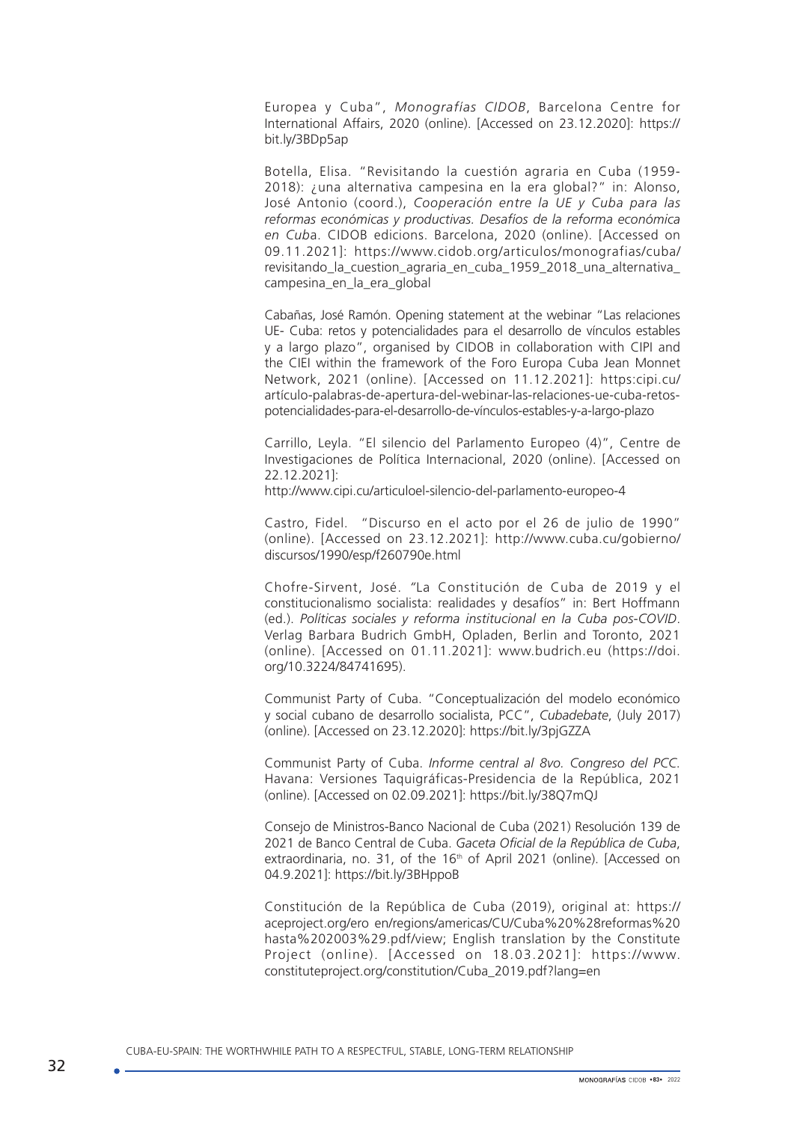Europea y Cuba", *Monografías CIDOB*, Barcelona Centre for International Affairs, 2020 (online). [Accessed on 23.12.2020]: https:// bit.ly/3BDp5ap

Botella, Elisa. "Revisitando la cuestión agraria en Cuba (1959- 2018): ¿una alternativa campesina en la era global?" in: Alonso, José Antonio (coord.), *Cooperación entre la UE y Cuba para las reformas económicas y productivas. Desafíos de la reforma económica en Cub*a. CIDOB edicions. Barcelona, 2020 (online). [Accessed on 09.11.2021]: [https://www.cidob.org/articulos/monografias/cuba/](https://www.cidob.org/articulos/monografias/cuba/revisitando_la_cuestion_agraria_en_cuba_1959_2018_una_alternativa_campesina_en_la_era_global) [revisitando\\_la\\_cuestion\\_agraria\\_en\\_cuba\\_1959\\_2018\\_una\\_alternativa\\_](https://www.cidob.org/articulos/monografias/cuba/revisitando_la_cuestion_agraria_en_cuba_1959_2018_una_alternativa_campesina_en_la_era_global) [campesina\\_en\\_la\\_era\\_global](https://www.cidob.org/articulos/monografias/cuba/revisitando_la_cuestion_agraria_en_cuba_1959_2018_una_alternativa_campesina_en_la_era_global)

Cabañas, José Ramón. Opening statement at the webinar "Las relaciones UE- Cuba: retos y potencialidades para el desarrollo de vínculos estables y a largo plazo", organised by CIDOB in collaboration with CIPI and the CIEI within the framework of the Foro Europa Cuba Jean Monnet Network, 2021 (online). [Accessed on 11.12.2021]: https:cipi.cu/ artículo-palabras-de-apertura-del-webinar-las-relaciones-ue-cuba-retospotencialidades-para-el-desarrollo-de-vínculos-estables-y-a-largo-plazo

Carrillo, Leyla. "El silencio del Parlamento Europeo (4)", Centre de Investigaciones de Política Internacional, 2020 (online). [Accessed on 22.12.2021]:

<http://www.cipi.cu/articuloel-silencio-del-parlamento-europeo-4>

Castro, Fidel. "Discurso en el acto por el 26 de julio de 1990" (online). [Accessed on 23.12.2021]: [http://www.cuba.cu/gobierno/](http://www.cuba.cu/gobierno/discursos/1990/esp/f260790e.html) [discursos/1990/esp/f260790e.html](http://www.cuba.cu/gobierno/discursos/1990/esp/f260790e.html)

Chofre-Sirvent, José. *"*La Constitución de Cuba de 2019 y el constitucionalismo socialista: realidades y desafíos" in: Bert Hoffmann (ed.). *Políticas sociales y reforma institucional en la Cuba pos-COVID*. Verlag Barbara Budrich GmbH, Opladen, Berlin and Toronto, 2021 (online). [Accessed on 01.11.2021]: [www.budrich.eu](http://www.budrich.eu) ([https://doi.](https://doi.org/10.3224/84741695) [org/10.3224/84741695](https://doi.org/10.3224/84741695)).

Communist Party of Cuba. "Conceptualización del modelo económico y social cubano de desarrollo socialista, PCC", *Cubadebate*, (July 2017) (online). [Accessed on 23.12.2020]: https://bit.ly/3pjGZZA

Communist Party of Cuba. *Informe central al 8vo. Congreso del PCC*. Havana: Versiones Taquigráficas-Presidencia de la República, 2021 (online). [Accessed on 02.09.2021]: https://bit.ly/38Q7mQJ

Consejo de Ministros-Banco Nacional de Cuba (2021) Resolución 139 de 2021 de Banco Central de Cuba. *Gaceta Oficial de la República de Cuba*, extraordinaria, no. 31, of the 16<sup>th</sup> of April 2021 (online). [Accessed on 04.9.2021]:<https://bit.ly/3BHppoB>

Constitución de la República de Cuba (2019), original at: https:// aceproject.org/ero en/regions/americas/CU/Cuba%20%28reformas%20 hasta%202003%29.pdf/view; English translation by the Constitute Project (online). [Accessed on 18.03.2021]: [https://www.](https://www.constituteproject.org/constitution/Cuba_2019.pdf?lang=en) [constituteproject.org/constitution/Cuba\\_2019.pdf?lang=en](https://www.constituteproject.org/constitution/Cuba_2019.pdf?lang=en)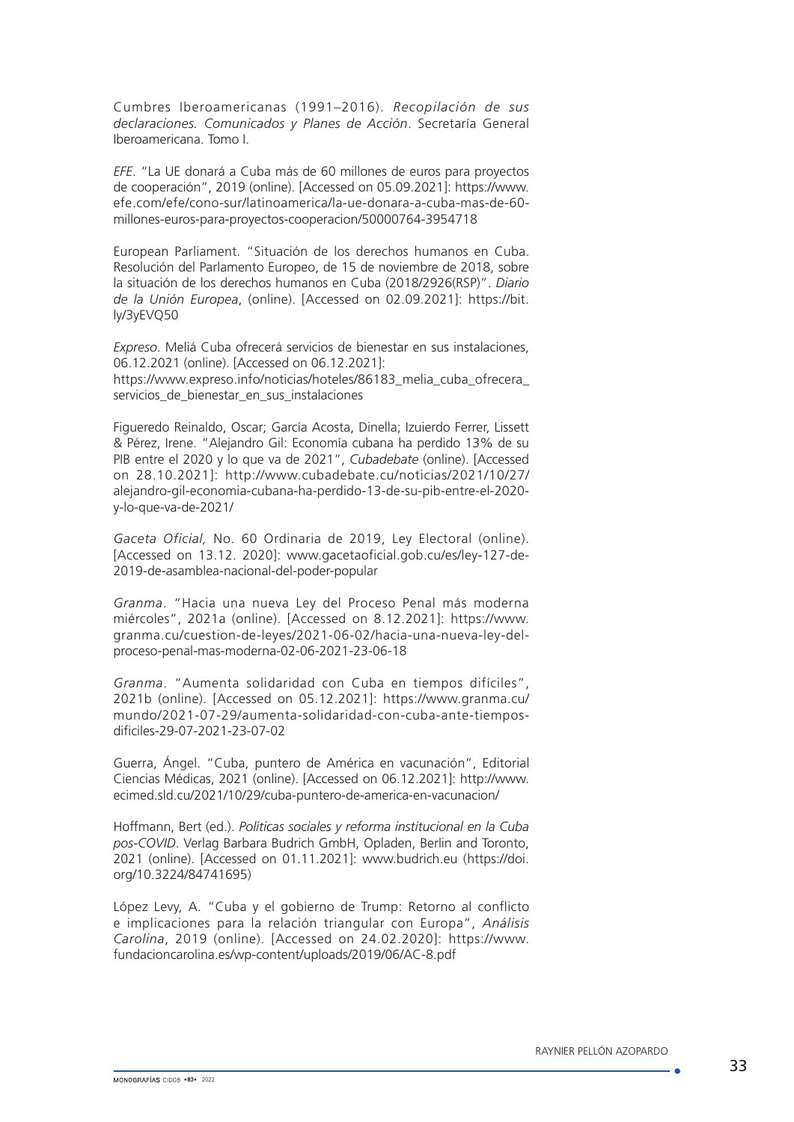Cumbres Iberoamericanas (1991–2016). *Recopilación de sus declaraciones. Comunicados y Planes de Acción*. Secretaría General Iberoamericana. Tomo I.

*EFE*. "La UE donará a Cuba más de 60 millones de euros para proyectos de cooperación", 2019 (online). [Accessed on 05.09.2021]: [https://www.](https://www.efe.com/efe/cono-sur/latinoamerica/la-ue-donara-a-cuba-mas-de-60-millones-euros-para-proyectos-cooperacion/50000764-3954718) [efe.com/efe/cono-sur/latinoamerica/la-ue-donara-a-cuba-mas-de-60](https://www.efe.com/efe/cono-sur/latinoamerica/la-ue-donara-a-cuba-mas-de-60-millones-euros-para-proyectos-cooperacion/50000764-3954718) [millones-euros-para-proyectos-cooperacion/50000764-3954718](https://www.efe.com/efe/cono-sur/latinoamerica/la-ue-donara-a-cuba-mas-de-60-millones-euros-para-proyectos-cooperacion/50000764-3954718)

European Parliament. "Situación de los derechos humanos en Cuba. Resolución del Parlamento Europeo, de 15 de noviembre de 2018, sobre la situación de los derechos humanos en Cuba (2018/2926(RSP)". *Diario de la Unión Europea*, (online). [Accessed on 02.09.2021]: https://bit. ly/3yEVQ50

*Expreso*. Meliá Cuba ofrecerá servicios de bienestar en sus instalaciones, 06.12.2021 (online). [Accessed on 06.12.2021]:

https://www.expreso.info/noticias/hoteles/86183 melia cuba ofrecera servicios de bienestar en sus instalaciones

Figueredo Reinaldo, Oscar; García Acosta, Dinella; Izuierdo Ferrer, Lissett & Pérez, Irene. "Alejandro Gil: Economía cubana ha perdido 13% de su PIB entre el 2020 y lo que va de 2021", *Cubadebate* (online). [Accessed on 28.10.2021]: http://www.cubadebate.cu/noticias/2021/10/27/ alejandro-gil-economia-cubana-ha-perdido-13-de-su-pib-entre-el-2020 y-lo-que-va-de-2021/

*Gaceta Oficial,* No. 60 Ordinaria de 2019, Ley Electoral (online). [Accessed on 13.12. 2020]: www.gacetaoficial.gob.cu/es/ley-127-de-2019-de-asamblea-nacional-del-poder-popular

*Granma*. "Hacia una nueva Ley del Proceso Penal más moderna miércoles", 2021a (online). [Accessed on 8.12.2021]: [https://www.](https://www.granma.cu/cuestion-de-leyes/2021-06-02/hacia-una-nueva-ley-del-proceso-penal-mas-moderna-02-06-2021-23-06-18) [granma.cu/cuestion-de-leyes/2021-06-02/hacia-una-nueva-ley-del](https://www.granma.cu/cuestion-de-leyes/2021-06-02/hacia-una-nueva-ley-del-proceso-penal-mas-moderna-02-06-2021-23-06-18)[proceso-penal-mas-moderna-02-06-2021-23-06-18](https://www.granma.cu/cuestion-de-leyes/2021-06-02/hacia-una-nueva-ley-del-proceso-penal-mas-moderna-02-06-2021-23-06-18)

*Granma*. "Aumenta solidaridad con Cuba en tiempos difíciles", 2021b (online). [Accessed on 05.12.2021]: [https://www.granma.cu/](https://www.granma.cu/mundo/2021-07-29/aumenta-solidaridad-con-cuba-ante-tiempos-dificiles-29-07-2021-23-07-02) [mundo/2021-07-29/aumenta-solidaridad-con-cuba-ante-tiempos](https://www.granma.cu/mundo/2021-07-29/aumenta-solidaridad-con-cuba-ante-tiempos-dificiles-29-07-2021-23-07-02)[dificiles-29-07-2021-23-07-02](https://www.granma.cu/mundo/2021-07-29/aumenta-solidaridad-con-cuba-ante-tiempos-dificiles-29-07-2021-23-07-02)

Guerra, Ángel. "Cuba, puntero de América en vacunación", Editorial Ciencias Médicas, 2021 (online). [Accessed on 06.12.2021]: [http://www.](http://www.ecimed.sld.cu/2021/10/29/cuba-puntero-de-america-en-vacunacion/) [ecimed.sld.cu/2021/10/29/cuba-puntero-de-america-en-vacunacion/](http://www.ecimed.sld.cu/2021/10/29/cuba-puntero-de-america-en-vacunacion/)

Hoffmann, Bert (ed.). *Políticas sociales y reforma institucional en la Cuba pos-COVID*. Verlag Barbara Budrich GmbH, Opladen, Berlin and Toronto, 2021 (online). [Accessed on 01.11.2021]: [www.budrich.eu](http://www.budrich.eu) [\(https://doi.](https://doi.org/10.3224/84741695) [org/10.3224/84741695\)](https://doi.org/10.3224/84741695)

López Levy, A. "Cuba y el gobierno de Trump: Retorno al conflicto e implicaciones para la relación triangular con Europa", *Análisis Carolina*, 2019 (online). [Accessed on 24.02.2020]: https://www. fundacioncarolina.es/wp-content/uploads/2019/06/AC-8.pdf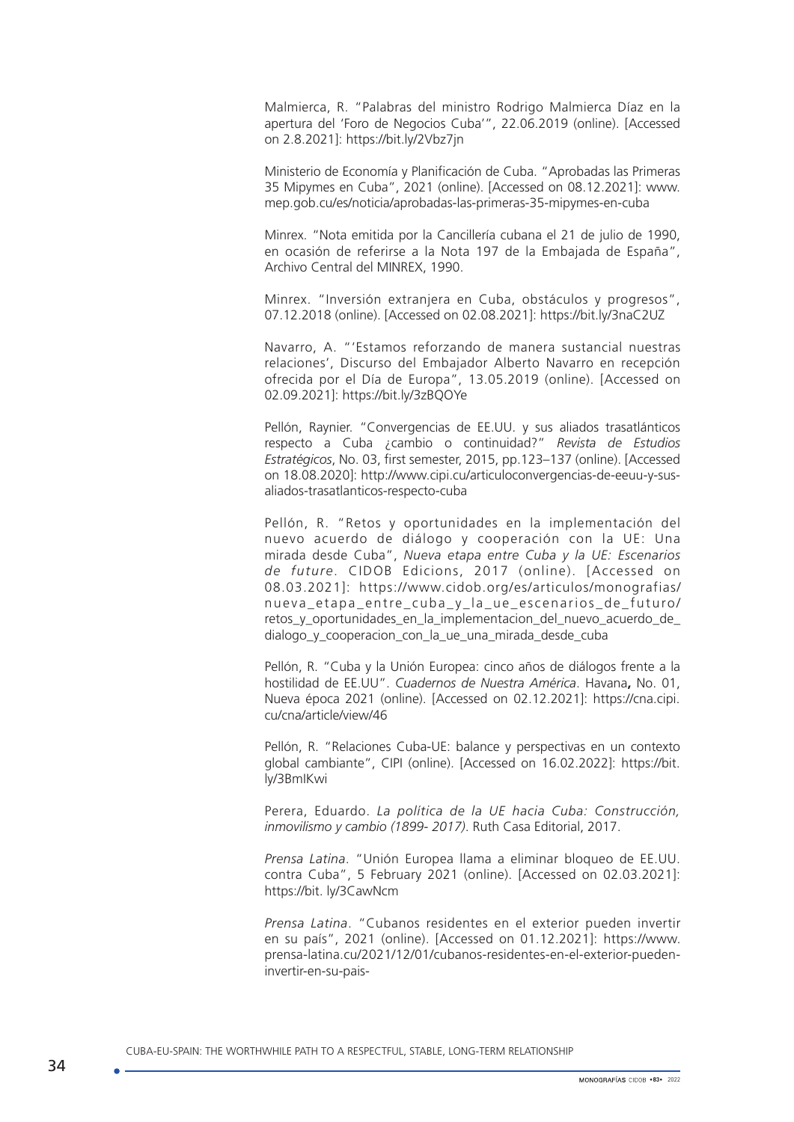Malmierca, R. "Palabras del ministro Rodrigo Malmierca Díaz en la apertura del 'Foro de Negocios Cuba'", 22.06.2019 (online). [Accessed on 2.8.2021]: https://bit.ly/2Vbz7jn

Ministerio de Economía y Planificación de Cuba. "Aprobadas las Primeras 35 Mipymes en Cuba", 2021 (online). [Accessed on 08.12.2021]: [www.](http://www.mep.gob.cu/es/noticia/aprobadas-las-primeras-35-mipymes-en-cuba) [mep.gob.cu/es/noticia/aprobadas-las-primeras-35-mipymes-en-cuba](http://www.mep.gob.cu/es/noticia/aprobadas-las-primeras-35-mipymes-en-cuba)

Minrex. "Nota emitida por la Cancillería cubana el 21 de julio de 1990, en ocasión de referirse a la Nota 197 de la Embajada de España", Archivo Central del MINREX, 1990.

Minrex. "Inversión extranjera en Cuba, obstáculos y progresos", 07.12.2018 (online). [Accessed on 02.08.2021]:<https://bit.ly/3naC2UZ>

Navarro, A. "'Estamos reforzando de manera sustancial nuestras relaciones', Discurso del Embajador Alberto Navarro en recepción ofrecida por el Día de Europa", 13.05.2019 (online). [Accessed on 02.09.2021]: <https://bit.ly/3zBQOYe>

Pellón, Raynier. "Convergencias de EE.UU. y sus aliados trasatlánticos respecto a Cuba ¿cambio o continuidad?" *Revista de Estudios Estratégicos*, No. 03, first semester, 2015, pp.123–137 (online). [Accessed on 18.08.2020]: [http://www.cipi.cu/articuloconvergencias-de-eeuu-y-sus](http://www.cipi.cu/articuloconvergencias-de-eeuu-y-sus-aliados-trasatlanticos-respecto-cuba)[aliados-trasatlanticos-respecto-cuba](http://www.cipi.cu/articuloconvergencias-de-eeuu-y-sus-aliados-trasatlanticos-respecto-cuba)

Pellón, R. "Retos y oportunidades en la implementación del nuevo acuerdo de diálogo y cooperación con la UE: Una mirada desde Cuba", *Nueva etapa entre Cuba y la UE: Escenarios de future*. CIDOB Edicions, 2017 (online). [Accessed on 08.03.2021]: https://www.cidob.org/es/articulos/monografias/ nueva etapa entre cuba y la ue escenarios de futuro/ retos\_y\_oportunidades\_en\_la\_implementacion\_del\_nuevo\_acuerdo\_de\_ dialogo\_v\_cooperacion\_con\_la\_ue\_una\_mirada\_desde\_cuba

Pellón, R. "Cuba y la Unión Europea: cinco años de diálogos frente a la hostilidad de EE.UU". *Cuadernos de Nuestra América*. Havana**,** No. 01, Nueva época 2021 (online). [Accessed on 02.12.2021]: [https://cna.cipi.](https://cna.cipi.cu/cna/article/view/46) [cu/cna/article/view/46](https://cna.cipi.cu/cna/article/view/46)

Pellón, R. "Relaciones Cuba-UE: balance y perspectivas en un contexto global cambiante", CIPI (online). [Accessed on 16.02.2022]: https://bit. ly/3BmIKwi

Perera, Eduardo. *La política de la UE hacia Cuba: Construcción, inmovilismo y cambio (1899- 2017)*. Ruth Casa Editorial, 2017.

*Prensa Latina*. "Unión Europea llama a eliminar bloqueo de EE.UU. contra Cuba", 5 February 2021 (online). [Accessed on 02.03.2021]: https://bit. ly/3CawNcm

*Prensa Latina*. "Cubanos residentes en el exterior pueden invertir en su país", 2021 (online). [Accessed on 01.12.2021]: [https://www.](https://www.prensa-latina.cu/2021/12/01/cubanos-residentes-en-el-exterior-pueden-invertir-en-su-pais-) [prensa-latina.cu/2021/12/01/cubanos-residentes-en-el-exterior-pueden](https://www.prensa-latina.cu/2021/12/01/cubanos-residentes-en-el-exterior-pueden-invertir-en-su-pais-)[invertir-en-su-pais-](https://www.prensa-latina.cu/2021/12/01/cubanos-residentes-en-el-exterior-pueden-invertir-en-su-pais-)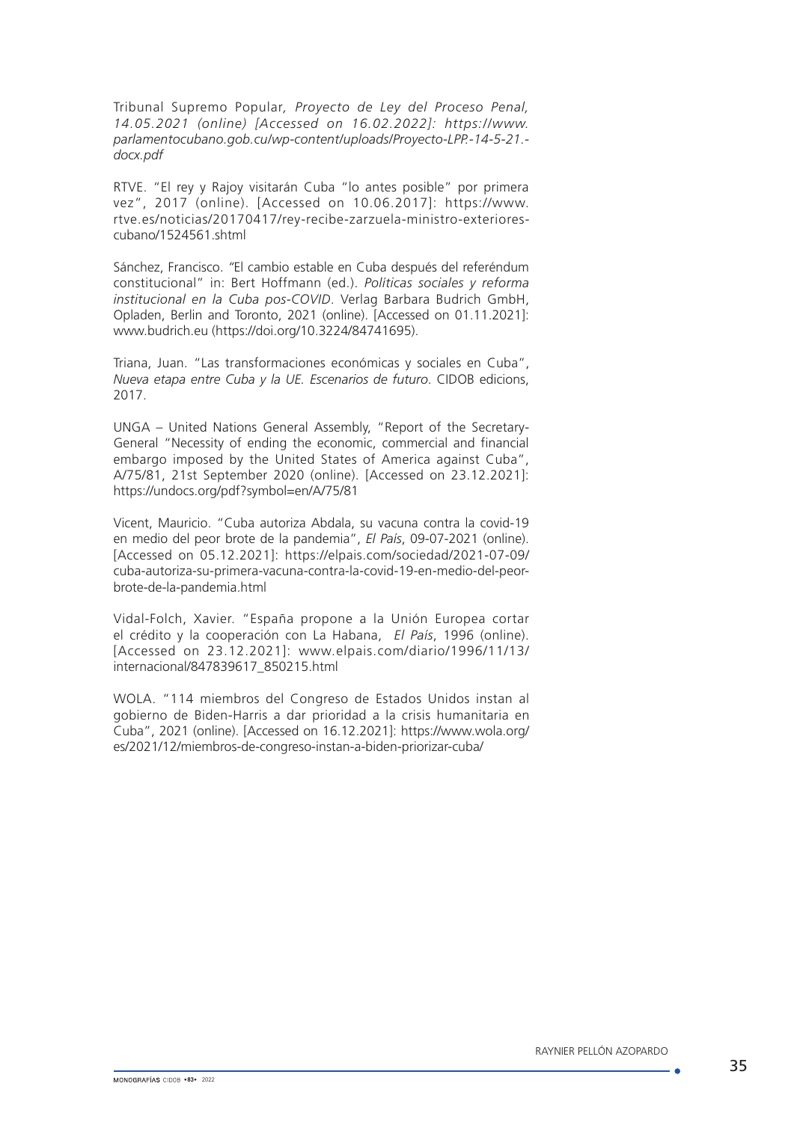Tribunal Supremo Popular*, Proyecto de Ley del Proceso Penal, 14.05.2021 (online) [Accessed on 16.02.2022]: https://www. parlamentocubano.gob.cu/wp-content/uploads/Proyecto-LPP.-14-5-21. docx.pdf*

RTVE. "El rey y Rajoy visitarán Cuba "lo antes posible" por primera vez", 2017 (online). [Accessed on 10.06.2017]: [https://www.](https://www.rtve.es/noticias/20170417/rey-recibe-zarzuela-ministro-exteriores-cubano/1524561.shtml) [rtve.es/noticias/20170417/rey-recibe-zarzuela-ministro-exteriores](https://www.rtve.es/noticias/20170417/rey-recibe-zarzuela-ministro-exteriores-cubano/1524561.shtml)[cubano/1524561.shtml](https://www.rtve.es/noticias/20170417/rey-recibe-zarzuela-ministro-exteriores-cubano/1524561.shtml)

Sánchez, Francisco. *"*El cambio estable en Cuba después del referéndum constitucional" in: Bert Hoffmann (ed.). *Políticas sociales y reforma institucional en la Cuba pos-COVID*. Verlag Barbara Budrich GmbH, Opladen, Berlin and Toronto, 2021 (online). [Accessed on 01.11.2021]: [www.budrich.eu](http://www.budrich.eu) (<https://doi.org/10.3224/84741695>).

Triana, Juan. "Las transformaciones económicas y sociales en Cuba", *Nueva etapa entre Cuba y la UE. Escenarios de futuro*. CIDOB edicions, 2017.

UNGA – United Nations General Assembly, "Report of the Secretary-General "Necessity of ending the economic, commercial and financial embargo imposed by the United States of America against Cuba", A/75/81, 21st September 2020 (online). [Accessed on 23.12.2021]: https://undocs.org/pdf?symbol=en/A/75/81

Vicent, Mauricio. "Cuba autoriza Abdala, su vacuna contra la covid-19 en medio del peor brote de la pandemia", *El País*, 09-07-2021 (online). [Accessed on 05.12.2021]: [https://elpais.com/sociedad/2021-07-09/](https://elpais.com/sociedad/2021-07-09/cuba-autoriza-su-primera-vacuna-contra-la-covid-19-en-medio-del-peor-brote-de-la-pandemia.html) [cuba-autoriza-su-primera-vacuna-contra-la-covid-19-en-medio-del-peor](https://elpais.com/sociedad/2021-07-09/cuba-autoriza-su-primera-vacuna-contra-la-covid-19-en-medio-del-peor-brote-de-la-pandemia.html)[brote-de-la-pandemia.html](https://elpais.com/sociedad/2021-07-09/cuba-autoriza-su-primera-vacuna-contra-la-covid-19-en-medio-del-peor-brote-de-la-pandemia.html)

[Vidal-Folch](http://elpais.com/autor/xavier_vidal-folch/a/), Xavier. "España propone a la Unión Europea cortar el crédito y la cooperación con La Habana, *El País*, 1996 (online). [Accessed on 23.12.2021]: www.[elpais.com/diario/1996/11/13/](http://elpais.com/diario/1996/11/13/internacional/847839617_850215.html) [internacional/847839617\\_850215.html](http://elpais.com/diario/1996/11/13/internacional/847839617_850215.html)

WOLA. "114 miembros del Congreso de Estados Unidos instan al gobierno de Biden-Harris a dar prioridad a la crisis humanitaria en Cuba", 2021 (online). [Accessed on 16.12.2021]: https://www.wola.org/ es/2021/12/miembros-de-congreso-instan-a-biden-priorizar-cuba/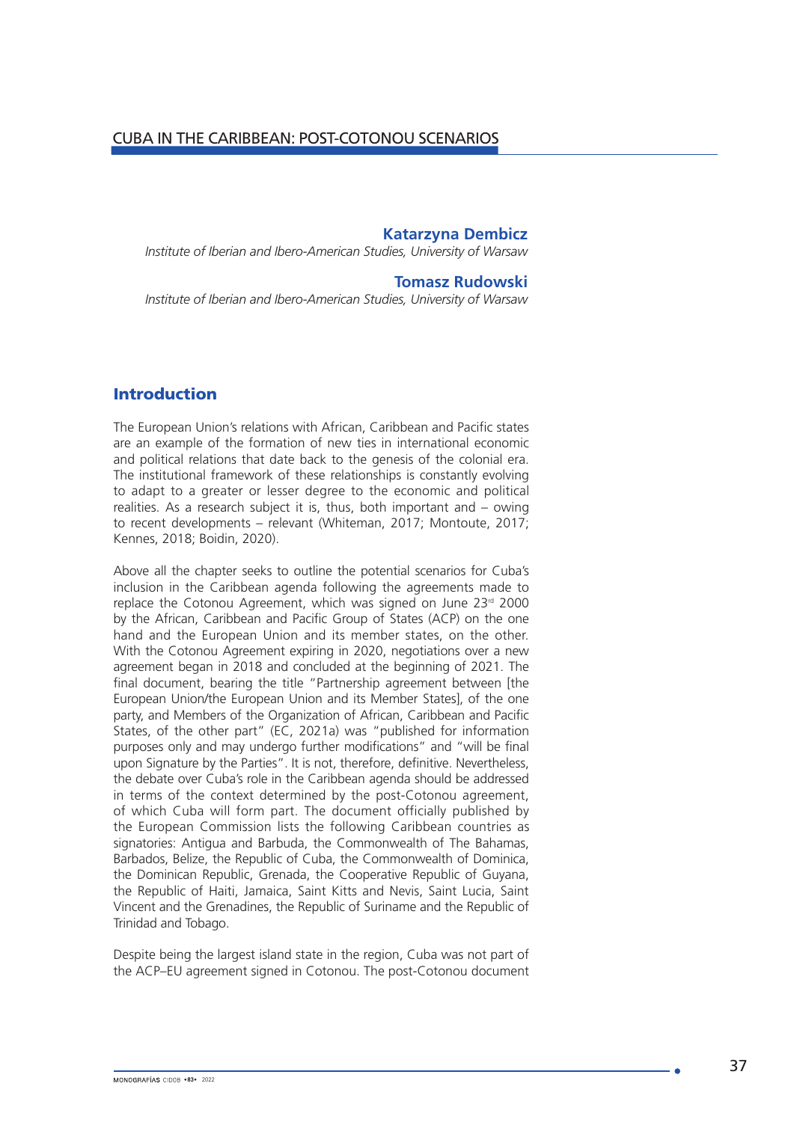## **Katarzyna Dembicz**

*Institute of Iberian and Ibero-American Studies, University of Warsaw*

#### **Tomasz Rudowski**

*Institute of Iberian and Ibero-American Studies, University of Warsaw*

## Introduction

The European Union's relations with African, Caribbean and Pacific states are an example of the formation of new ties in international economic and political relations that date back to the genesis of the colonial era. The institutional framework of these relationships is constantly evolving to adapt to a greater or lesser degree to the economic and political realities. As a research subject it is, thus, both important and – owing to recent developments – relevant (Whiteman, 2017; Montoute, 2017; Kennes, 2018; Boidin, 2020).

Above all the chapter seeks to outline the potential scenarios for Cuba's inclusion in the Caribbean agenda following the agreements made to replace the Cotonou Agreement, which was signed on June 23<sup>rd</sup> 2000 by the African, Caribbean and Pacific Group of States (ACP) on the one hand and the European Union and its member states, on the other. With the Cotonou Agreement expiring in 2020, negotiations over a new agreement began in 2018 and concluded at the beginning of 2021. The final document, bearing the title "Partnership agreement between [the European Union/the European Union and its Member States], of the one party, and Members of the Organization of African, Caribbean and Pacific States, of the other part" (EC, 2021a) was "published for information purposes only and may undergo further modifications" and "will be final upon Signature by the Parties". It is not, therefore, definitive. Nevertheless, the debate over Cuba's role in the Caribbean agenda should be addressed in terms of the context determined by the post-Cotonou agreement, of which Cuba will form part. The document officially published by the European Commission lists the following Caribbean countries as signatories: Antigua and Barbuda, the Commonwealth of The Bahamas, Barbados, Belize, the Republic of Cuba, the Commonwealth of Dominica, the Dominican Republic, Grenada, the Cooperative Republic of Guyana, the Republic of Haiti, Jamaica, Saint Kitts and Nevis, Saint Lucia, Saint Vincent and the Grenadines, the Republic of Suriname and the Republic of Trinidad and Tobago.

Despite being the largest island state in the region, Cuba was not part of the ACP–EU agreement signed in Cotonou. The post-Cotonou document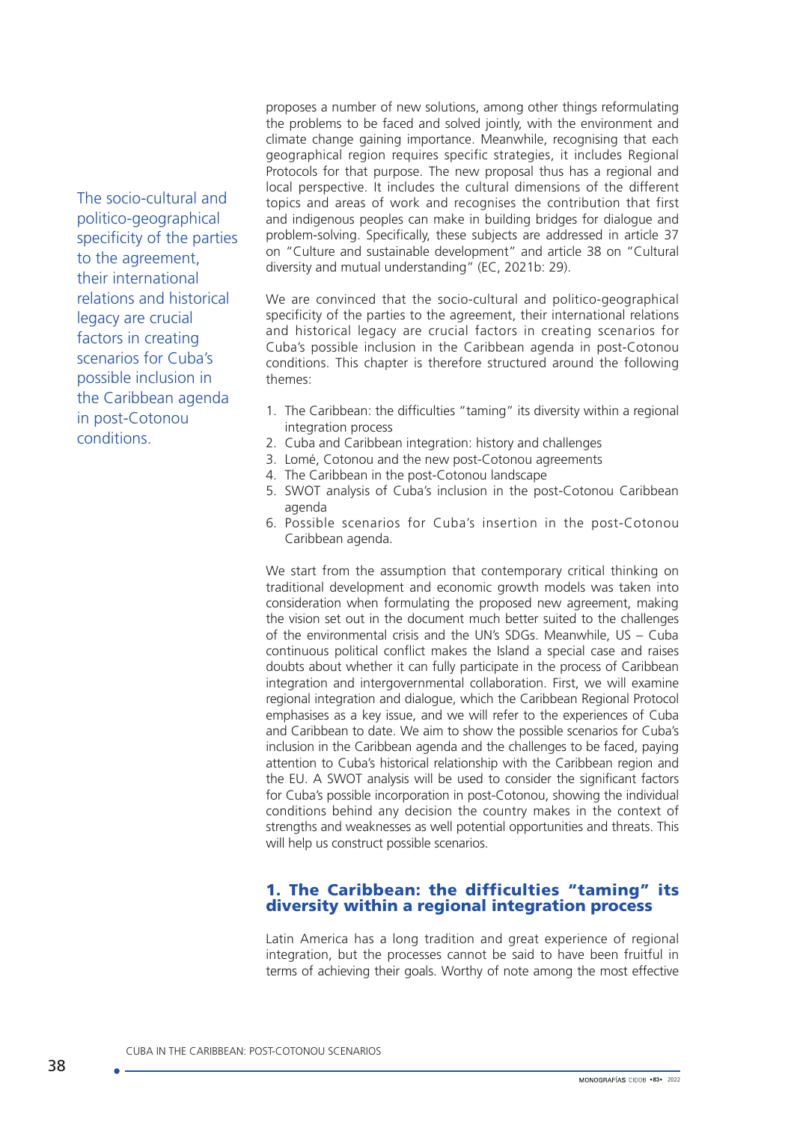The socio-cultural and politico-geographical specificity of the parties to the agreement, their international relations and historical legacy are crucial factors in creating scenarios for Cuba's possible inclusion in the Caribbean agenda in post-Cotonou conditions.

proposes a number of new solutions, among other things reformulating the problems to be faced and solved jointly, with the environment and climate change gaining importance. Meanwhile, recognising that each geographical region requires specific strategies, it includes Regional Protocols for that purpose. The new proposal thus has a regional and local perspective. It includes the cultural dimensions of the different topics and areas of work and recognises the contribution that first and indigenous peoples can make in building bridges for dialogue and problem-solving. Specifically, these subjects are addressed in article 37 on "Culture and sustainable development" and article 38 on "Cultural diversity and mutual understanding" (EC, 2021b: 29).

We are convinced that the socio-cultural and politico-geographical specificity of the parties to the agreement, their international relations and historical legacy are crucial factors in creating scenarios for Cuba's possible inclusion in the Caribbean agenda in post-Cotonou conditions. This chapter is therefore structured around the following themes:

- 1. The Caribbean: the difficulties "taming" its diversity within a regional integration process
- 2. Cuba and Caribbean integration: history and challenges
- 3. Lomé, Cotonou and the new post-Cotonou agreements
- 4. The Caribbean in the post-Cotonou landscape
- 5. SWOT analysis of Cuba's inclusion in the post-Cotonou Caribbean agenda
- 6. Possible scenarios for Cuba's insertion in the post-Cotonou Caribbean agenda.

We start from the assumption that contemporary critical thinking on traditional development and economic growth models was taken into consideration when formulating the proposed new agreement, making the vision set out in the document much better suited to the challenges of the environmental crisis and the UN's SDGs. Meanwhile, US – Cuba continuous political conflict makes the Island a special case and raises doubts about whether it can fully participate in the process of Caribbean integration and intergovernmental collaboration. First, we will examine regional integration and dialogue, which the Caribbean Regional Protocol emphasises as a key issue, and we will refer to the experiences of Cuba and Caribbean to date. We aim to show the possible scenarios for Cuba's inclusion in the Caribbean agenda and the challenges to be faced, paying attention to Cuba's historical relationship with the Caribbean region and the EU. A SWOT analysis will be used to consider the significant factors for Cuba's possible incorporation in post-Cotonou, showing the individual conditions behind any decision the country makes in the context of strengths and weaknesses as well potential opportunities and threats. This will help us construct possible scenarios.

## 1. The Caribbean: the difficulties "taming" its diversity within a regional integration process

Latin America has a long tradition and great experience of regional integration, but the processes cannot be said to have been fruitful in terms of achieving their goals. Worthy of note among the most effective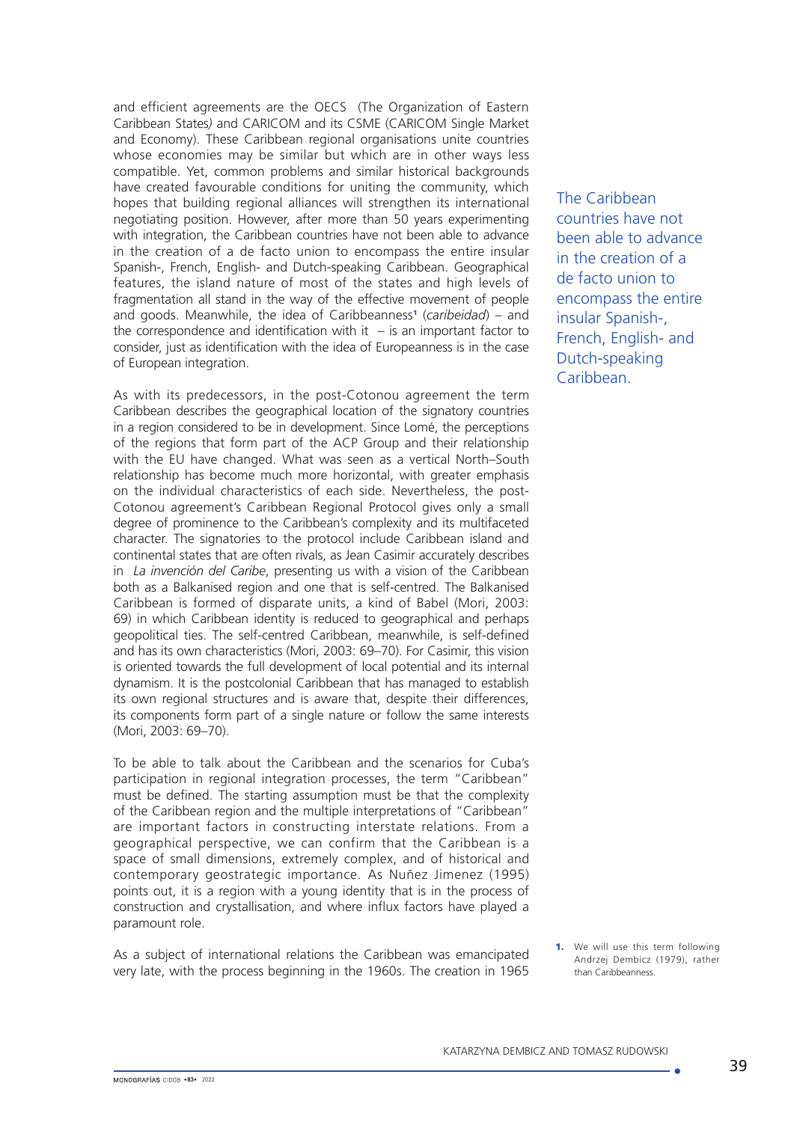and efficient agreements are the OECS (The Organization of Eastern Caribbean States*)* and CARICOM and its CSME (CARICOM Single Market and Economy). These Caribbean regional organisations unite countries whose economies may be similar but which are in other ways less compatible. Yet, common problems and similar historical backgrounds have created favourable conditions for uniting the community, which hopes that building regional alliances will strengthen its international negotiating position. However, after more than 50 years experimenting with integration, the Caribbean countries have not been able to advance in the creation of a de facto union to encompass the entire insular Spanish-, French, English- and Dutch-speaking Caribbean. Geographical features, the island nature of most of the states and high levels of fragmentation all stand in the way of the effective movement of people and goods. Meanwhile, the idea of Caribbeanness<sup>1</sup> (caribeidad) – and the correspondence and identification with it  $-$  is an important factor to consider, just as identification with the idea of Europeanness is in the case of European integration.

As with its predecessors, in the post-Cotonou agreement the term Caribbean describes the geographical location of the signatory countries in a region considered to be in development. Since Lomé, the perceptions of the regions that form part of the ACP Group and their relationship with the EU have changed. What was seen as a vertical North–South relationship has become much more horizontal, with greater emphasis on the individual characteristics of each side. Nevertheless, the post-Cotonou agreement's Caribbean Regional Protocol gives only a small degree of prominence to the Caribbean's complexity and its multifaceted character. The signatories to the protocol include Caribbean island and continental states that are often rivals, as Jean Casimir accurately describes in *La invención del Caribe*, presenting us with a vision of the Caribbean both as a Balkanised region and one that is self-centred. The Balkanised Caribbean is formed of disparate units, a kind of Babel (Mori, 2003: 69) in which Caribbean identity is reduced to geographical and perhaps geopolitical ties. The self-centred Caribbean, meanwhile, is self-defined and has its own characteristics (Mori, 2003: 69–70). For Casimir, this vision is oriented towards the full development of local potential and its internal dynamism. It is the postcolonial Caribbean that has managed to establish its own regional structures and is aware that, despite their differences, its components form part of a single nature or follow the same interests (Mori, 2003: 69–70).

To be able to talk about the Caribbean and the scenarios for Cuba's participation in regional integration processes, the term "Caribbean" must be defined. The starting assumption must be that the complexity of the Caribbean region and the multiple interpretations of "Caribbean" are important factors in constructing interstate relations. From a geographical perspective, we can confirm that the Caribbean is a space of small dimensions, extremely complex, and of historical and contemporary geostrategic importance. As Nuñez Jimenez (1995) points out, it is a region with a young identity that is in the process of construction and crystallisation, and where influx factors have played a paramount role.

As a subject of international relations the Caribbean was emancipated very late, with the process beginning in the 1960s. The creation in 1965

The Caribbean countries have not been able to advance in the creation of a de facto union to encompass the entire insular Spanish-, French, English- and Dutch-speaking **Caribbean** 

1. We will use this term following Andrzej Dembicz (1979), rather than Caribbeanness.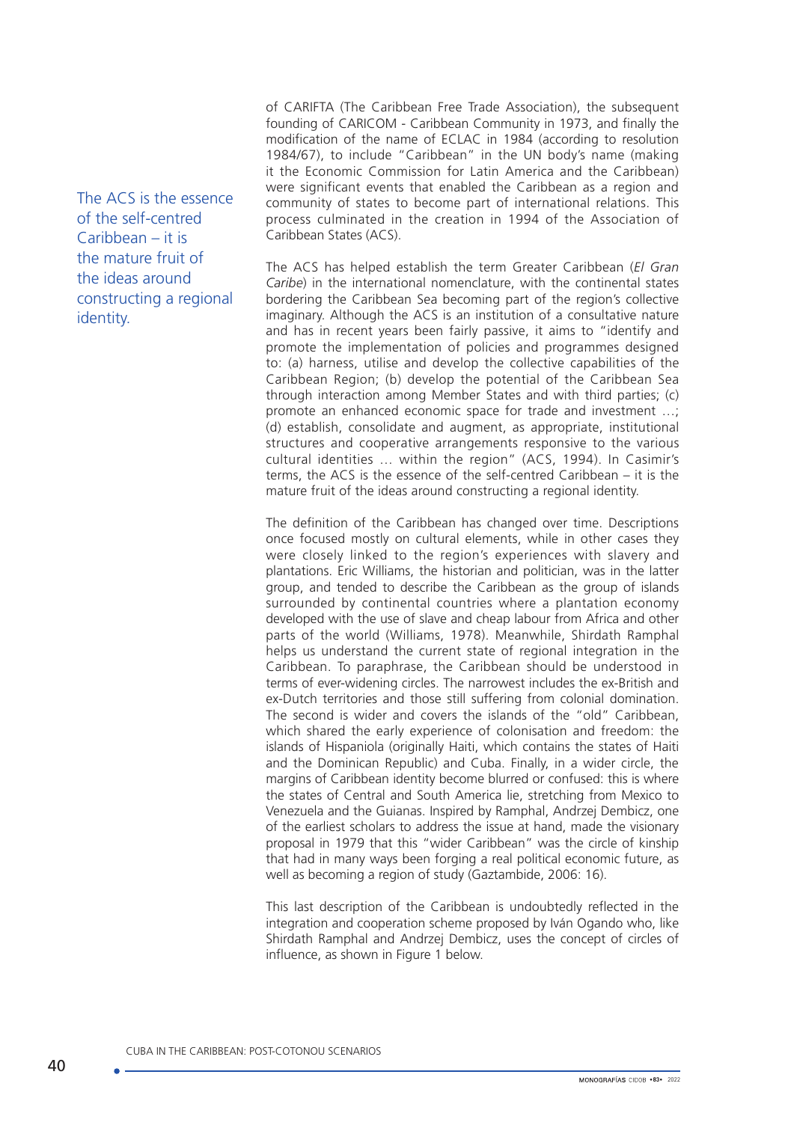The ACS is the essence of the self-centred Caribbean – it is the mature fruit of the ideas around constructing a regional identity.

of CARIFTA (The Caribbean Free Trade Association), the subsequent founding of CARICOM - Caribbean Community in 1973, and finally the modification of the name of ECLAC in 1984 (according to resolution 1984/67), to include "Caribbean" in the UN body's name (making it the Economic Commission for Latin America and the Caribbean) were significant events that enabled the Caribbean as a region and community of states to become part of international relations. This process culminated in the creation in 1994 of the Association of Caribbean States (ACS).

The ACS has helped establish the term Greater Caribbean (*El Gran Caribe*) in the international nomenclature, with the continental states bordering the Caribbean Sea becoming part of the region's collective imaginary. Although the ACS is an institution of a consultative nature and has in recent years been fairly passive, it aims to "identify and promote the implementation of policies and programmes designed to: (a) harness, utilise and develop the collective capabilities of the Caribbean Region; (b) develop the potential of the Caribbean Sea through interaction among Member States and with third parties; (c) promote an enhanced economic space for trade and investment …; (d) establish, consolidate and augment, as appropriate, institutional structures and cooperative arrangements responsive to the various cultural identities … within the region" (ACS, 1994). In Casimir's terms, the ACS is the essence of the self-centred Caribbean – it is the mature fruit of the ideas around constructing a regional identity.

The definition of the Caribbean has changed over time. Descriptions once focused mostly on cultural elements, while in other cases they were closely linked to the region's experiences with slavery and plantations. Eric Williams, the historian and politician, was in the latter group, and tended to describe the Caribbean as the group of islands surrounded by continental countries where a plantation economy developed with the use of slave and cheap labour from Africa and other parts of the world (Williams, 1978). Meanwhile, Shirdath Ramphal helps us understand the current state of regional integration in the Caribbean. To paraphrase, the Caribbean should be understood in terms of ever-widening circles. The narrowest includes the ex-British and ex-Dutch territories and those still suffering from colonial domination. The second is wider and covers the islands of the "old" Caribbean, which shared the early experience of colonisation and freedom: the islands of Hispaniola (originally Haiti, which contains the states of Haiti and the Dominican Republic) and Cuba. Finally, in a wider circle, the margins of Caribbean identity become blurred or confused: this is where the states of Central and South America lie, stretching from Mexico to Venezuela and the Guianas. Inspired by Ramphal, Andrzej Dembicz, one of the earliest scholars to address the issue at hand, made the visionary proposal in 1979 that this "wider Caribbean" was the circle of kinship that had in many ways been forging a real political economic future, as well as becoming a region of study (Gaztambide, 2006: 16).

This last description of the Caribbean is undoubtedly reflected in the integration and cooperation scheme proposed by Iván Ogando who, like Shirdath Ramphal and Andrzej Dembicz, uses the concept of circles of influence, as shown in Figure 1 below.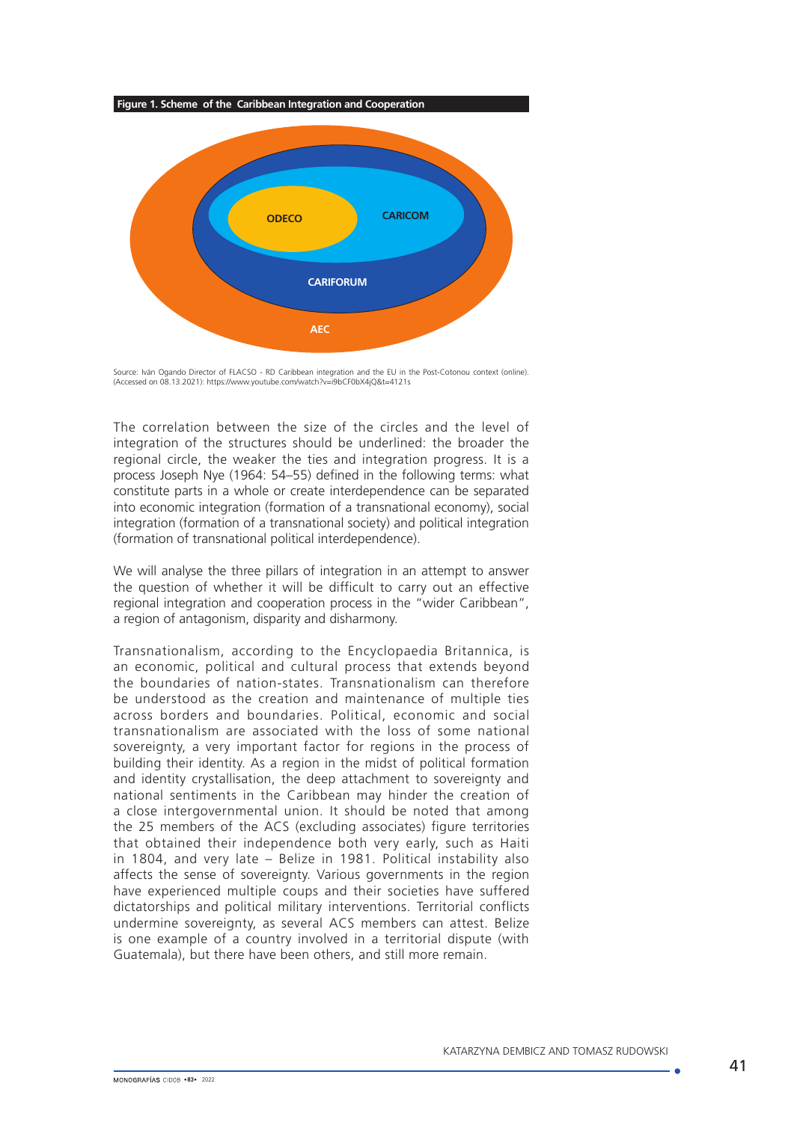



Source: Iván Ogando Director of FLACSO - RD Caribbean integration and the EU in the Post-Cotonou context (online).<br>(Accessed on 08.13.2021): https://www.youtube.com/watch?v=i9bCF0bX4jQ&t=4121s

The correlation between the size of the circles and the level of integration of the structures should be underlined: the broader the regional circle, the weaker the ties and integration progress. It is a process Joseph Nye (1964: 54–55) defined in the following terms: what constitute parts in a whole or create interdependence can be separated into economic integration (formation of a transnational economy), social integration (formation of a transnational society) and political integration (formation of transnational political interdependence).

We will analyse the three pillars of integration in an attempt to answer the question of whether it will be difficult to carry out an effective regional integration and cooperation process in the "wider Caribbean", a region of antagonism, disparity and disharmony.

Transnationalism, according to the Encyclopaedia Britannica, is an economic, political and cultural process that extends beyond the boundaries of nation-states. Transnationalism can therefore be understood as the creation and maintenance of multiple ties across borders and boundaries. Political, economic and social transnationalism are associated with the loss of some national sovereignty, a very important factor for regions in the process of building their identity. As a region in the midst of political formation and identity crystallisation, the deep attachment to sovereignty and national sentiments in the Caribbean may hinder the creation of a close intergovernmental union. It should be noted that among the 25 members of the ACS (excluding associates) figure territories that obtained their independence both very early, such as Haiti in 1804, and very late – Belize in 1981. Political instability also affects the sense of sovereignty. Various governments in the region have experienced multiple coups and their societies have suffered dictatorships and political military interventions. Territorial conflicts undermine sovereignty, as several ACS members can attest. Belize is one example of a country involved in a territorial dispute (with Guatemala), but there have been others, and still more remain.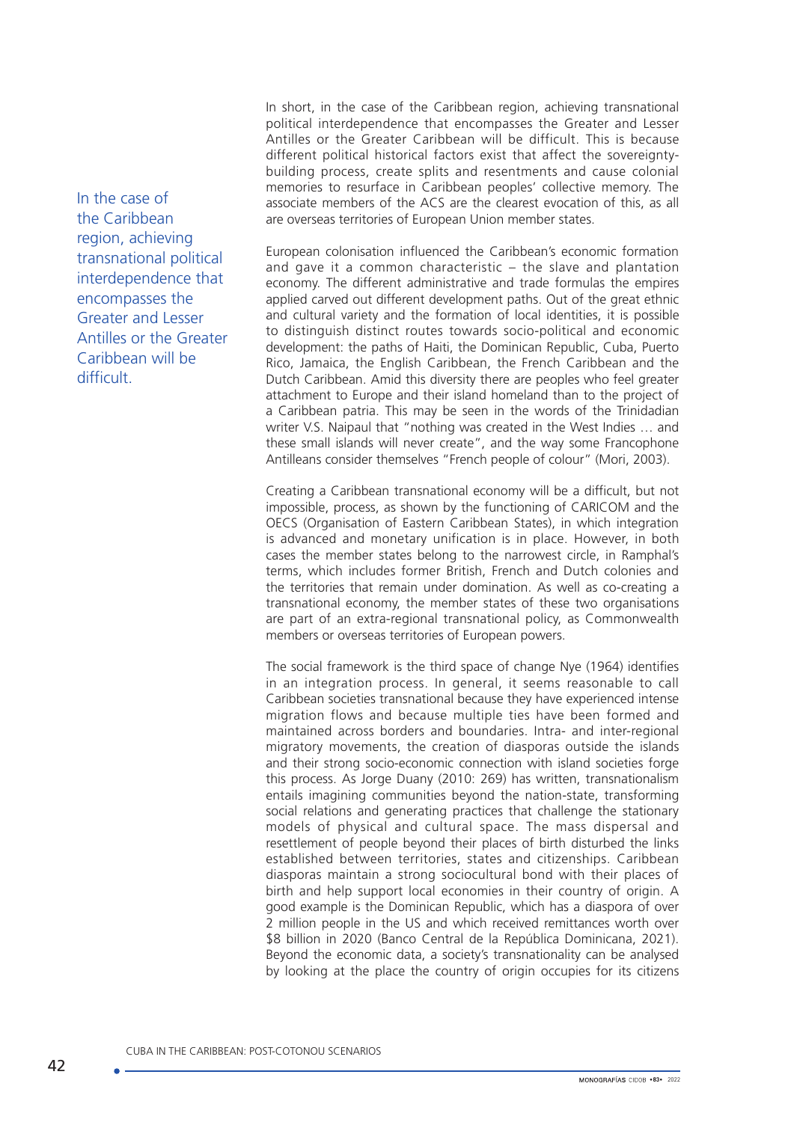In the case of the Caribbean region, achieving transnational political interdependence that encompasses the Greater and Lesser Antilles or the Greater Caribbean will be difficult.

In short, in the case of the Caribbean region, achieving transnational political interdependence that encompasses the Greater and Lesser Antilles or the Greater Caribbean will be difficult. This is because different political historical factors exist that affect the sovereigntybuilding process, create splits and resentments and cause colonial memories to resurface in Caribbean peoples' collective memory. The associate members of the ACS are the clearest evocation of this, as all are overseas territories of European Union member states.

European colonisation influenced the Caribbean's economic formation and gave it a common characteristic – the slave and plantation economy. The different administrative and trade formulas the empires applied carved out different development paths. Out of the great ethnic and cultural variety and the formation of local identities, it is possible to distinguish distinct routes towards socio-political and economic development: the paths of Haiti, the Dominican Republic, Cuba, Puerto Rico, Jamaica, the English Caribbean, the French Caribbean and the Dutch Caribbean. Amid this diversity there are peoples who feel greater attachment to Europe and their island homeland than to the project of a Caribbean patria. This may be seen in the words of the Trinidadian writer V.S. Naipaul that "nothing was created in the West Indies … and these small islands will never create", and the way some Francophone Antilleans consider themselves "French people of colour" (Mori, 2003).

Creating a Caribbean transnational economy will be a difficult, but not impossible, process, as shown by the functioning of CARICOM and the OECS (Organisation of Eastern Caribbean States), in which integration is advanced and monetary unification is in place. However, in both cases the member states belong to the narrowest circle, in Ramphal's terms, which includes former British, French and Dutch colonies and the territories that remain under domination. As well as co-creating a transnational economy, the member states of these two organisations are part of an extra-regional transnational policy, as Commonwealth members or overseas territories of European powers.

The social framework is the third space of change Nye (1964) identifies in an integration process. In general, it seems reasonable to call Caribbean societies transnational because they have experienced intense migration flows and because multiple ties have been formed and maintained across borders and boundaries. Intra- and inter-regional migratory movements, the creation of diasporas outside the islands and their strong socio-economic connection with island societies forge this process. As Jorge Duany (2010: 269) has written, transnationalism entails imagining communities beyond the nation-state, transforming social relations and generating practices that challenge the stationary models of physical and cultural space. The mass dispersal and resettlement of people beyond their places of birth disturbed the links established between territories, states and citizenships. Caribbean diasporas maintain a strong sociocultural bond with their places of birth and help support local economies in their country of origin. A good example is the Dominican Republic, which has a diaspora of over 2 million people in the US and which received remittances worth over \$8 billion in 2020 (Banco Central de la República Dominicana, 2021). Beyond the economic data, a society's transnationality can be analysed by looking at the place the country of origin occupies for its citizens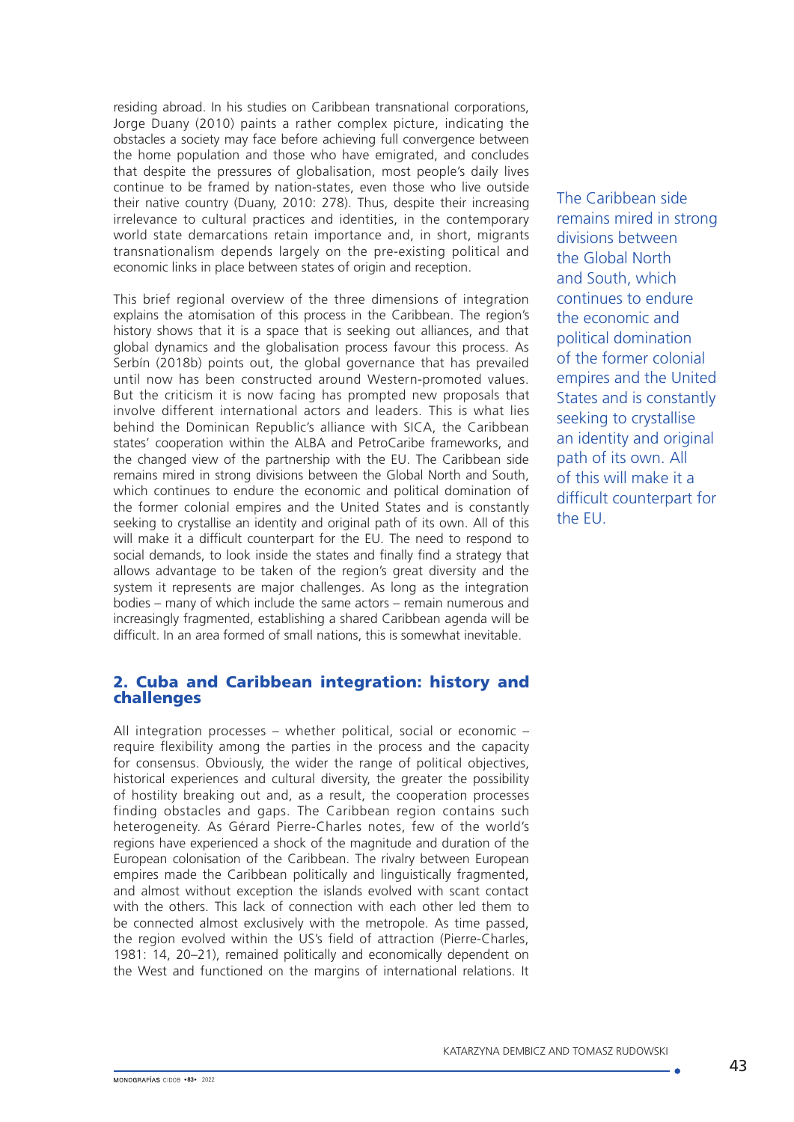residing abroad. In his studies on Caribbean transnational corporations, Jorge Duany (2010) paints a rather complex picture, indicating the obstacles a society may face before achieving full convergence between the home population and those who have emigrated, and concludes that despite the pressures of globalisation, most people's daily lives continue to be framed by nation-states, even those who live outside their native country (Duany, 2010: 278). Thus, despite their increasing irrelevance to cultural practices and identities, in the contemporary world state demarcations retain importance and, in short, migrants transnationalism depends largely on the pre-existing political and economic links in place between states of origin and reception.

This brief regional overview of the three dimensions of integration explains the atomisation of this process in the Caribbean. The region's history shows that it is a space that is seeking out alliances, and that global dynamics and the globalisation process favour this process. As Serbín (2018b) points out, the global governance that has prevailed until now has been constructed around Western-promoted values. But the criticism it is now facing has prompted new proposals that involve different international actors and leaders. This is what lies behind the Dominican Republic's alliance with SICA, the Caribbean states' cooperation within the ALBA and PetroCaribe frameworks, and the changed view of the partnership with the EU. The Caribbean side remains mired in strong divisions between the Global North and South, which continues to endure the economic and political domination of the former colonial empires and the United States and is constantly seeking to crystallise an identity and original path of its own. All of this will make it a difficult counterpart for the EU. The need to respond to social demands, to look inside the states and finally find a strategy that allows advantage to be taken of the region's great diversity and the system it represents are major challenges. As long as the integration bodies – many of which include the same actors – remain numerous and increasingly fragmented, establishing a shared Caribbean agenda will be difficult. In an area formed of small nations, this is somewhat inevitable.

## 2. Cuba and Caribbean integration: history and challenges

All integration processes – whether political, social or economic – require flexibility among the parties in the process and the capacity for consensus. Obviously, the wider the range of political objectives, historical experiences and cultural diversity, the greater the possibility of hostility breaking out and, as a result, the cooperation processes finding obstacles and gaps. The Caribbean region contains such heterogeneity. As Gérard Pierre-Charles notes, few of the world's regions have experienced a shock of the magnitude and duration of the European colonisation of the Caribbean. The rivalry between European empires made the Caribbean politically and linguistically fragmented, and almost without exception the islands evolved with scant contact with the others. This lack of connection with each other led them to be connected almost exclusively with the metropole. As time passed, the region evolved within the US's field of attraction (Pierre-Charles, 1981: 14, 20–21), remained politically and economically dependent on the West and functioned on the margins of international relations. It

The Caribbean side remains mired in strong divisions between the Global North and South, which continues to endure the economic and political domination of the former colonial empires and the United States and is constantly seeking to crystallise an identity and original path of its own. All of this will make it a difficult counterpart for the EU.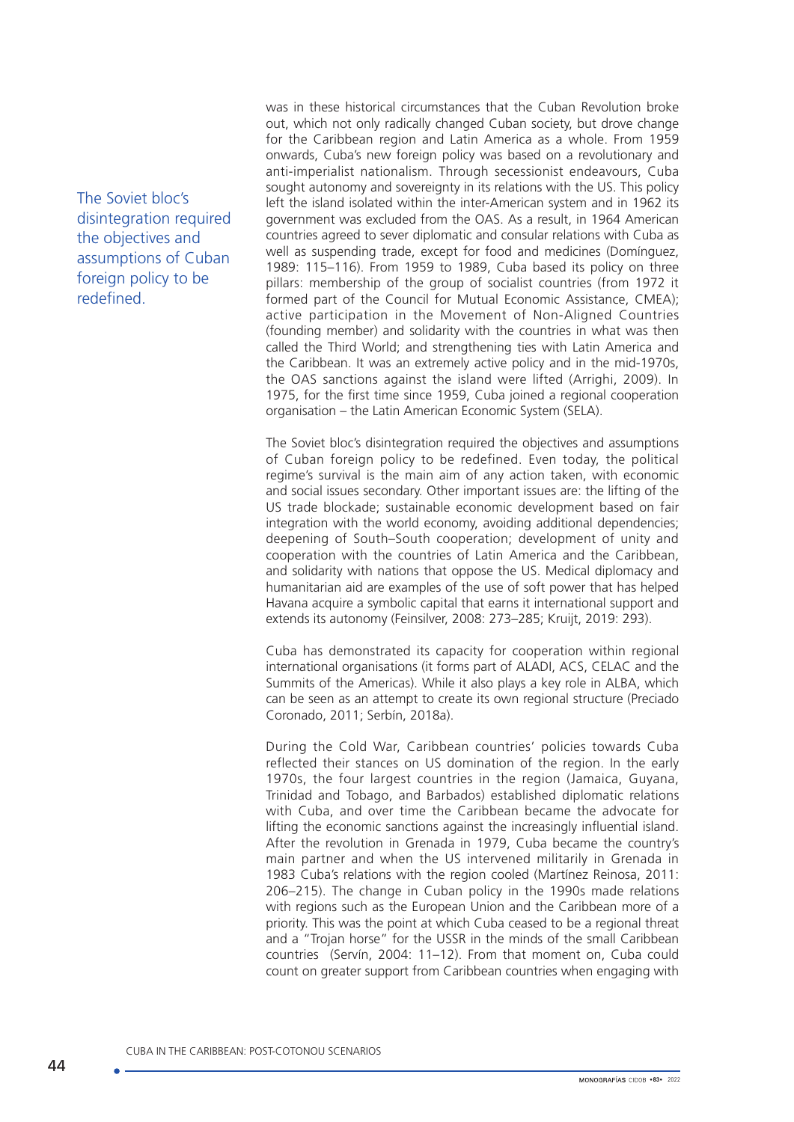The Soviet bloc's disintegration required the objectives and assumptions of Cuban foreign policy to be redefined.

was in these historical circumstances that the Cuban Revolution broke out, which not only radically changed Cuban society, but drove change for the Caribbean region and Latin America as a whole. From 1959 onwards, Cuba's new foreign policy was based on a revolutionary and anti-imperialist nationalism. Through secessionist endeavours, Cuba sought autonomy and sovereignty in its relations with the US. This policy left the island isolated within the inter-American system and in 1962 its government was excluded from the OAS. As a result, in 1964 American countries agreed to sever diplomatic and consular relations with Cuba as well as suspending trade, except for food and medicines (Domínguez, 1989: 115–116). From 1959 to 1989, Cuba based its policy on three pillars: membership of the group of socialist countries (from 1972 it formed part of the Council for Mutual Economic Assistance, CMEA); active participation in the Movement of Non-Aligned Countries (founding member) and solidarity with the countries in what was then called the Third World; and strengthening ties with Latin America and the Caribbean. It was an extremely active policy and in the mid-1970s, the OAS sanctions against the island were lifted (Arrighi, 2009). In 1975, for the first time since 1959, Cuba joined a regional cooperation organisation – the Latin American Economic System (SELA).

The Soviet bloc's disintegration required the objectives and assumptions of Cuban foreign policy to be redefined. Even today, the political regime's survival is the main aim of any action taken, with economic and social issues secondary. Other important issues are: the lifting of the US trade blockade; sustainable economic development based on fair integration with the world economy, avoiding additional dependencies; deepening of South–South cooperation; development of unity and cooperation with the countries of Latin America and the Caribbean, and solidarity with nations that oppose the US. Medical diplomacy and humanitarian aid are examples of the use of soft power that has helped Havana acquire a symbolic capital that earns it international support and extends its autonomy (Feinsilver, 2008: 273–285; Kruijt, 2019: 293).

Cuba has demonstrated its capacity for cooperation within regional international organisations (it forms part of ALADI, ACS, CELAC and the Summits of the Americas). While it also plays a key role in ALBA, which can be seen as an attempt to create its own regional structure (Preciado Coronado, 2011; Serbín, 2018a).

During the Cold War, Caribbean countries' policies towards Cuba reflected their stances on US domination of the region. In the early 1970s, the four largest countries in the region (Jamaica, Guyana, Trinidad and Tobago, and Barbados) established diplomatic relations with Cuba, and over time the Caribbean became the advocate for lifting the economic sanctions against the increasingly influential island. After the revolution in Grenada in 1979, Cuba became the country's main partner and when the US intervened militarily in Grenada in 1983 Cuba's relations with the region cooled (Martínez Reinosa, 2011: 206–215). The change in Cuban policy in the 1990s made relations with regions such as the European Union and the Caribbean more of a priority. This was the point at which Cuba ceased to be a regional threat and a "Trojan horse" for the USSR in the minds of the small Caribbean countries (Servín, 2004: 11–12). From that moment on, Cuba could count on greater support from Caribbean countries when engaging with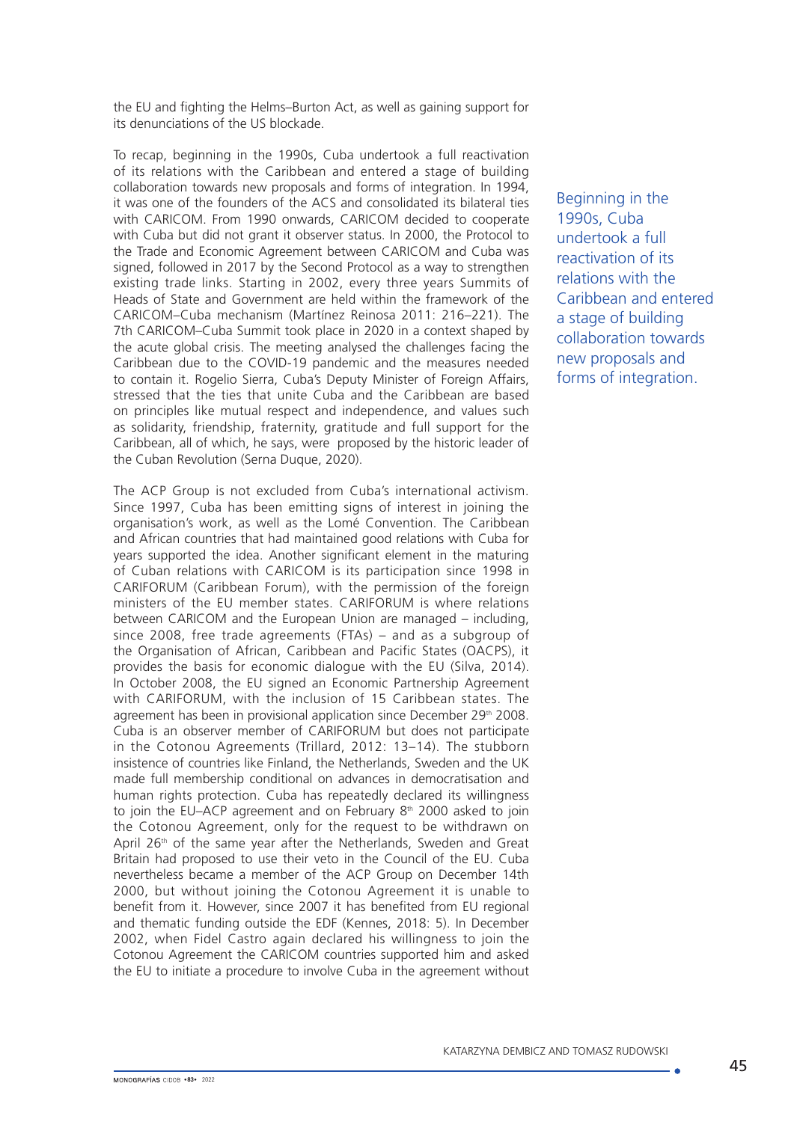the EU and fighting the Helms–Burton Act, as well as gaining support for its denunciations of the US blockade.

To recap, beginning in the 1990s, Cuba undertook a full reactivation of its relations with the Caribbean and entered a stage of building collaboration towards new proposals and forms of integration. In 1994, it was one of the founders of the ACS and consolidated its bilateral ties with CARICOM. From 1990 onwards, CARICOM decided to cooperate with Cuba but did not grant it observer status. In 2000, the Protocol to the Trade and Economic Agreement between CARICOM and Cuba was signed, followed in 2017 by the Second Protocol as a way to strengthen existing trade links. Starting in 2002, every three years Summits of Heads of State and Government are held within the framework of the CARICOM–Cuba mechanism (Martínez Reinosa 2011: 216–221). The 7th CARICOM–Cuba Summit took place in 2020 in a context shaped by the acute global crisis. The meeting analysed the challenges facing the Caribbean due to the COVID-19 pandemic and the measures needed to contain it. Rogelio Sierra, Cuba's Deputy Minister of Foreign Affairs, stressed that the ties that unite Cuba and the Caribbean are based on principles like mutual respect and independence, and values such as solidarity, friendship, fraternity, gratitude and full support for the Caribbean, all of which, he says, were proposed by the historic leader of the Cuban Revolution (Serna Duque, 2020).

The ACP Group is not excluded from Cuba's international activism. Since 1997, Cuba has been emitting signs of interest in joining the organisation's work, as well as the Lomé Convention. The Caribbean and African countries that had maintained good relations with Cuba for years supported the idea. Another significant element in the maturing of Cuban relations with CARICOM is its participation since 1998 in CARIFORUM (Caribbean Forum), with the permission of the foreign ministers of the EU member states. CARIFORUM is where relations between CARICOM and the European Union are managed – including, since 2008, free trade agreements (FTAs) – and as a subgroup of the Organisation of African, Caribbean and Pacific States (OACPS), it provides the basis for economic dialogue with the EU (Silva, 2014). In October 2008, the EU signed an Economic Partnership Agreement with CARIFORUM, with the inclusion of 15 Caribbean states. The agreement has been in provisional application since December 29<sup>th</sup> 2008. Cuba is an observer member of CARIFORUM but does not participate in the Cotonou Agreements (Trillard, 2012: 13–14). The stubborn insistence of countries like Finland, the Netherlands, Sweden and the UK made full membership conditional on advances in democratisation and human rights protection. Cuba has repeatedly declared its willingness to join the EU–ACP agreement and on February  $8<sup>th</sup>$  2000 asked to join the Cotonou Agreement, only for the request to be withdrawn on April  $26<sup>th</sup>$  of the same year after the Netherlands. Sweden and Great Britain had proposed to use their veto in the Council of the EU. Cuba nevertheless became a member of the ACP Group on December 14th 2000, but without joining the Cotonou Agreement it is unable to benefit from it. However, since 2007 it has benefited from EU regional and thematic funding outside the EDF (Kennes, 2018: 5). In December 2002, when Fidel Castro again declared his willingness to join the Cotonou Agreement the CARICOM countries supported him and asked the EU to initiate a procedure to involve Cuba in the agreement without

Beginning in the 1990s, Cuba undertook a full reactivation of its relations with the Caribbean and entered a stage of building collaboration towards new proposals and forms of integration.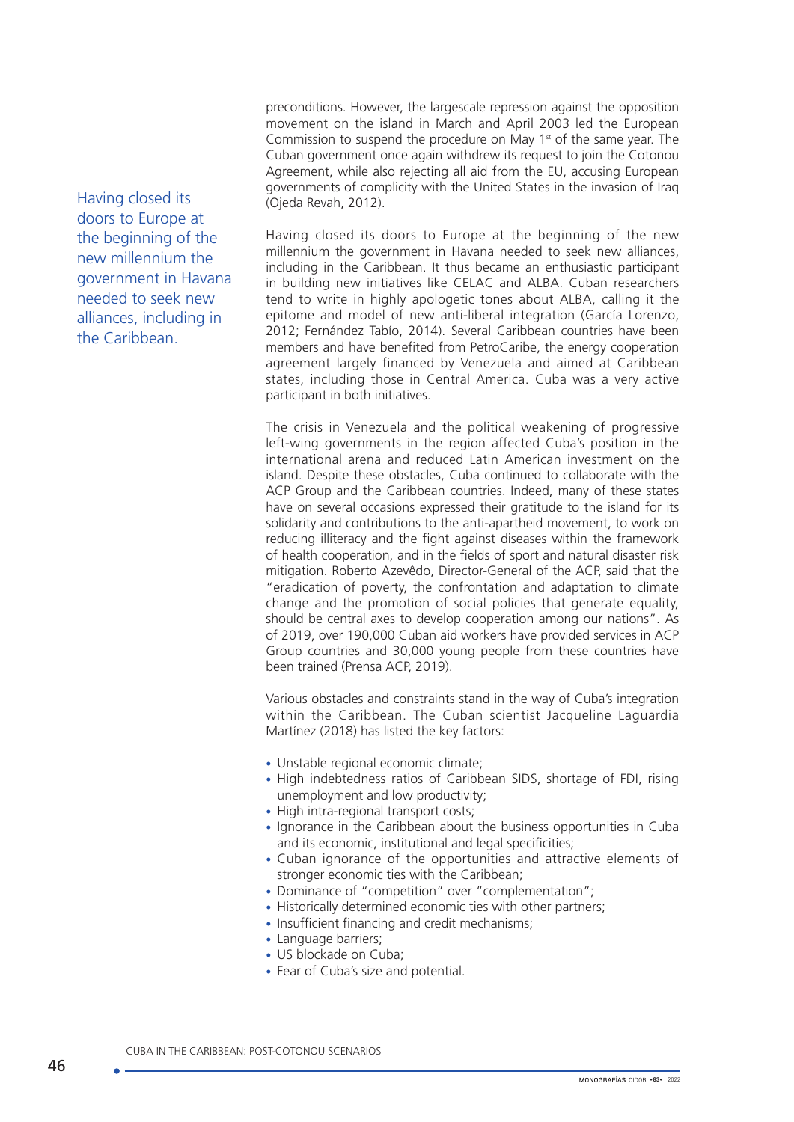preconditions. However, the largescale repression against the opposition movement on the island in March and April 2003 led the European Commission to suspend the procedure on May  $1<sup>st</sup>$  of the same year. The Cuban government once again withdrew its request to join the Cotonou Agreement, while also rejecting all aid from the EU, accusing European governments of complicity with the United States in the invasion of Iraq (Ojeda Revah, 2012).

Having closed its doors to Europe at the beginning of the new millennium the government in Havana needed to seek new alliances, including in the Caribbean. It thus became an enthusiastic participant in building new initiatives like CELAC and ALBA. Cuban researchers tend to write in highly apologetic tones about ALBA, calling it the epitome and model of new anti-liberal integration (García Lorenzo, 2012; Fernández Tabío, 2014). Several Caribbean countries have been members and have benefited from PetroCaribe, the energy cooperation agreement largely financed by Venezuela and aimed at Caribbean states, including those in Central America. Cuba was a very active participant in both initiatives.

The crisis in Venezuela and the political weakening of progressive left-wing governments in the region affected Cuba's position in the international arena and reduced Latin American investment on the island. Despite these obstacles, Cuba continued to collaborate with the ACP Group and the Caribbean countries. Indeed, many of these states have on several occasions expressed their gratitude to the island for its solidarity and contributions to the anti-apartheid movement, to work on reducing illiteracy and the fight against diseases within the framework of health cooperation, and in the fields of sport and natural disaster risk mitigation. Roberto Azevêdo, Director-General of the ACP, said that the "eradication of poverty, the confrontation and adaptation to climate change and the promotion of social policies that generate equality, should be central axes to develop cooperation among our nations". As of 2019, over 190,000 Cuban aid workers have provided services in ACP Group countries and 30,000 young people from these countries have been trained (Prensa ACP, 2019).

Various obstacles and constraints stand in the way of Cuba's integration within the Caribbean. The Cuban scientist Jacqueline Laguardia Martínez (2018) has listed the key factors:

- Unstable regional economic climate:
- High indebtedness ratios of Caribbean SIDS, shortage of FDI, rising unemployment and low productivity;
- High intra-regional transport costs:
- Ignorance in the Caribbean about the business opportunities in Cuba and its economic, institutional and legal specificities;
- Cuban ignorance of the opportunities and attractive elements of stronger economic ties with the Caribbean;
- Dominance of "competition" over "complementation";
- Historically determined economic ties with other partners;
- Insufficient financing and credit mechanisms;
- Language barriers:
- US blockade on Cuba;
- Fear of Cuba's size and potential.

Having closed its doors to Europe at the beginning of the new millennium the government in Havana needed to seek new alliances, including in the Caribbean.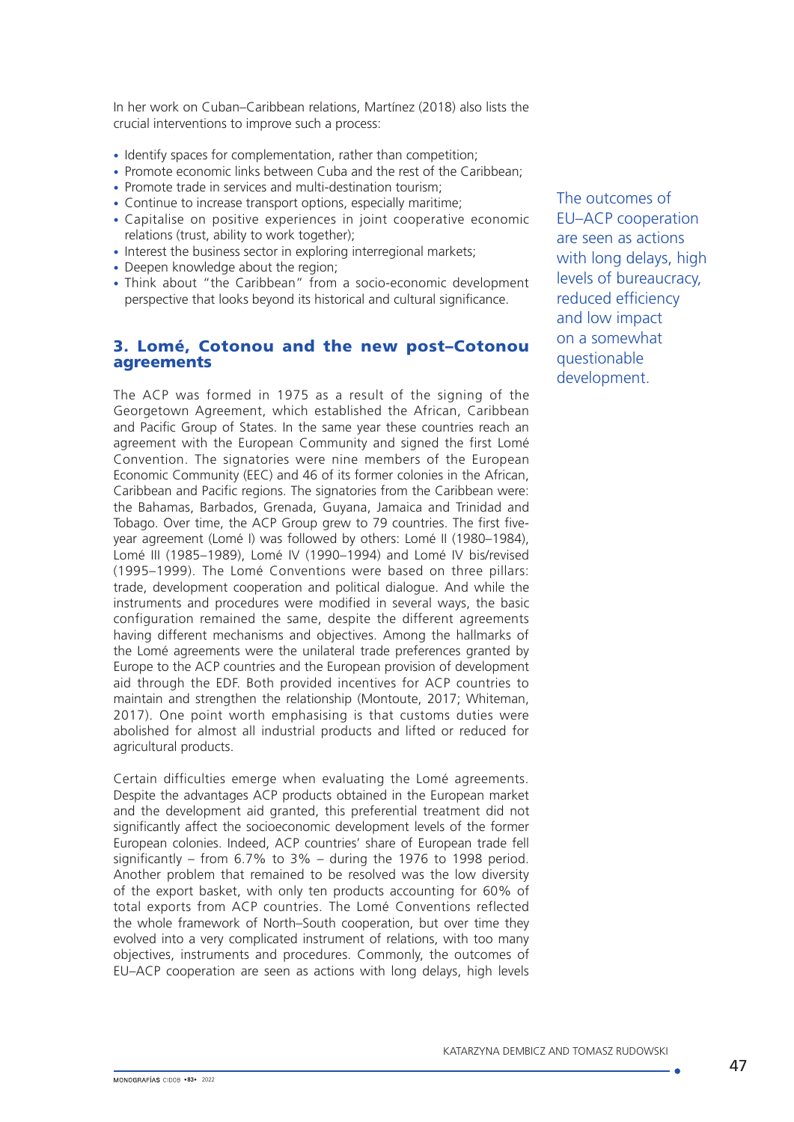In her work on Cuban–Caribbean relations, Martínez (2018) also lists the crucial interventions to improve such a process:

- Identify spaces for complementation, rather than competition;
- Promote economic links between Cuba and the rest of the Caribbean;
- Promote trade in services and multi-destination tourism;
- Continue to increase transport options, especially maritime;
- Capitalise on positive experiences in joint cooperative economic relations (trust, ability to work together);
- Interest the business sector in exploring interregional markets;
- Deepen knowledge about the region;
- Think about "the Caribbean" from a socio-economic development perspective that looks beyond its historical and cultural significance.

## 3. Lomé, Cotonou and the new post–Cotonou agreements

The ACP was formed in 1975 as a result of the signing of the Georgetown Agreement, which established the African, Caribbean and Pacific Group of States. In the same year these countries reach an agreement with the European Community and signed the first Lomé Convention. The signatories were nine members of the European Economic Community (EEC) and 46 of its former colonies in the African, Caribbean and Pacific regions. The signatories from the Caribbean were: the Bahamas, Barbados, Grenada, Guyana, Jamaica and Trinidad and Tobago. Over time, the ACP Group grew to 79 countries. The first fiveyear agreement (Lomé I) was followed by others: Lomé II (1980–1984), Lomé III (1985–1989), Lomé IV (1990–1994) and Lomé IV bis/revised (1995–1999). The Lomé Conventions were based on three pillars: trade, development cooperation and political dialogue. And while the instruments and procedures were modified in several ways, the basic configuration remained the same, despite the different agreements having different mechanisms and objectives. Among the hallmarks of the Lomé agreements were the unilateral trade preferences granted by Europe to the ACP countries and the European provision of development aid through the EDF. Both provided incentives for ACP countries to maintain and strengthen the relationship (Montoute, 2017; Whiteman, 2017). One point worth emphasising is that customs duties were abolished for almost all industrial products and lifted or reduced for agricultural products.

Certain difficulties emerge when evaluating the Lomé agreements. Despite the advantages ACP products obtained in the European market and the development aid granted, this preferential treatment did not significantly affect the socioeconomic development levels of the former European colonies. Indeed, ACP countries' share of European trade fell significantly – from 6.7% to 3% – during the 1976 to 1998 period. Another problem that remained to be resolved was the low diversity of the export basket, with only ten products accounting for 60% of total exports from ACP countries. The Lomé Conventions reflected the whole framework of North–South cooperation, but over time they evolved into a very complicated instrument of relations, with too many objectives, instruments and procedures. Commonly, the outcomes of EU–ACP cooperation are seen as actions with long delays, high levels

The outcomes of EU–ACP cooperation are seen as actions with long delays, high levels of bureaucracy, reduced efficiency and low impact on a somewhat questionable development.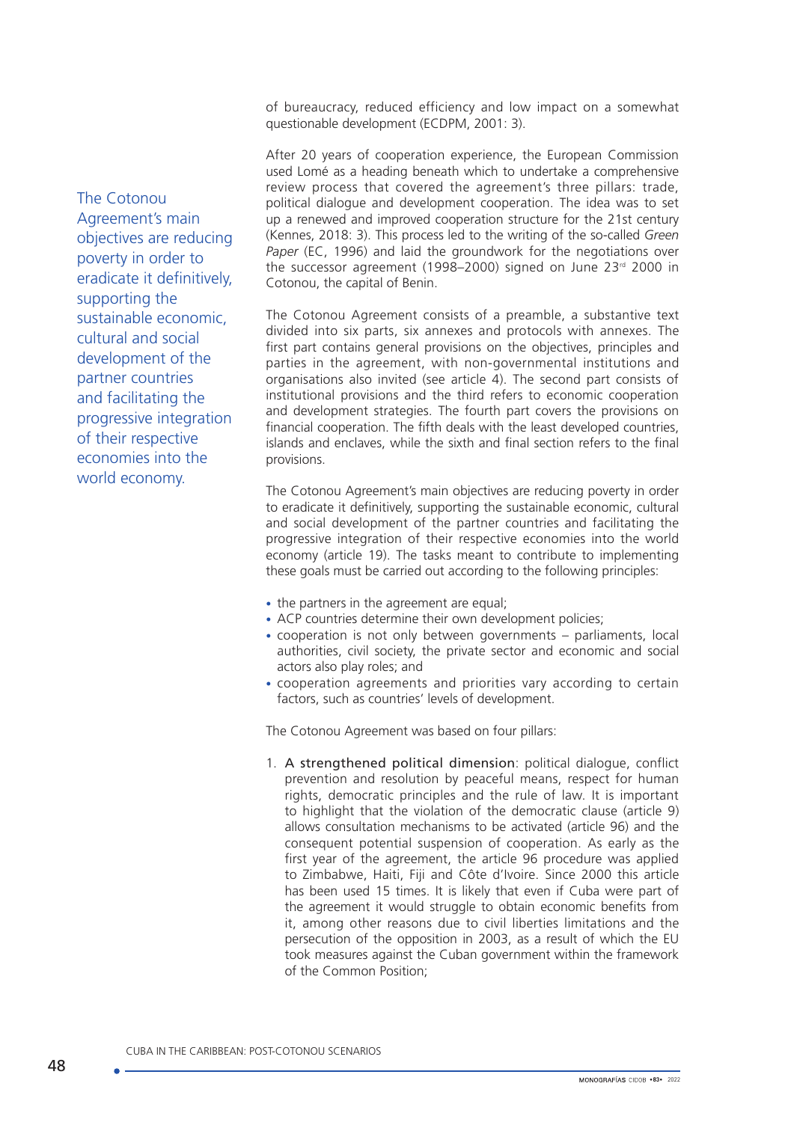of bureaucracy, reduced efficiency and low impact on a somewhat questionable development (ECDPM, 2001: 3).

After 20 years of cooperation experience, the European Commission used Lomé as a heading beneath which to undertake a comprehensive review process that covered the agreement's three pillars: trade, political dialogue and development cooperation. The idea was to set up a renewed and improved cooperation structure for the 21st century (Kennes, 2018: 3). This process led to the writing of the so-called *Green Paper* (EC, 1996) and laid the groundwork for the negotiations over the successor agreement (1998–2000) signed on June 23<sup>rd</sup> 2000 in Cotonou, the capital of Benin.

The Cotonou Agreement consists of a preamble, a substantive text divided into six parts, six annexes and protocols with annexes. The first part contains general provisions on the objectives, principles and parties in the agreement, with non-governmental institutions and organisations also invited (see article 4). The second part consists of institutional provisions and the third refers to economic cooperation and development strategies. The fourth part covers the provisions on financial cooperation. The fifth deals with the least developed countries, islands and enclaves, while the sixth and final section refers to the final provisions.

The Cotonou Agreement's main objectives are reducing poverty in order to eradicate it definitively, supporting the sustainable economic, cultural and social development of the partner countries and facilitating the progressive integration of their respective economies into the world economy (article 19). The tasks meant to contribute to implementing these goals must be carried out according to the following principles:

- the partners in the agreement are equal:
- ACP countries determine their own development policies;
- cooperation is not only between governments parliaments, local authorities, civil society, the private sector and economic and social actors also play roles; and
- cooperation agreements and priorities vary according to certain factors, such as countries' levels of development.

The Cotonou Agreement was based on four pillars:

1. A strengthened political dimension: political dialogue, conflict prevention and resolution by peaceful means, respect for human rights, democratic principles and the rule of law. It is important to highlight that the violation of the democratic clause (article 9) allows consultation mechanisms to be activated (article 96) and the consequent potential suspension of cooperation. As early as the first year of the agreement, the article 96 procedure was applied to Zimbabwe, Haiti, Fiji and Côte d'Ivoire. Since 2000 this article has been used 15 times. It is likely that even if Cuba were part of the agreement it would struggle to obtain economic benefits from it, among other reasons due to civil liberties limitations and the persecution of the opposition in 2003, as a result of which the EU took measures against the Cuban government within the framework of the Common Position;

The Cotonou Agreement's main objectives are reducing poverty in order to eradicate it definitively, supporting the sustainable economic, cultural and social development of the partner countries and facilitating the progressive integration of their respective economies into the world economy.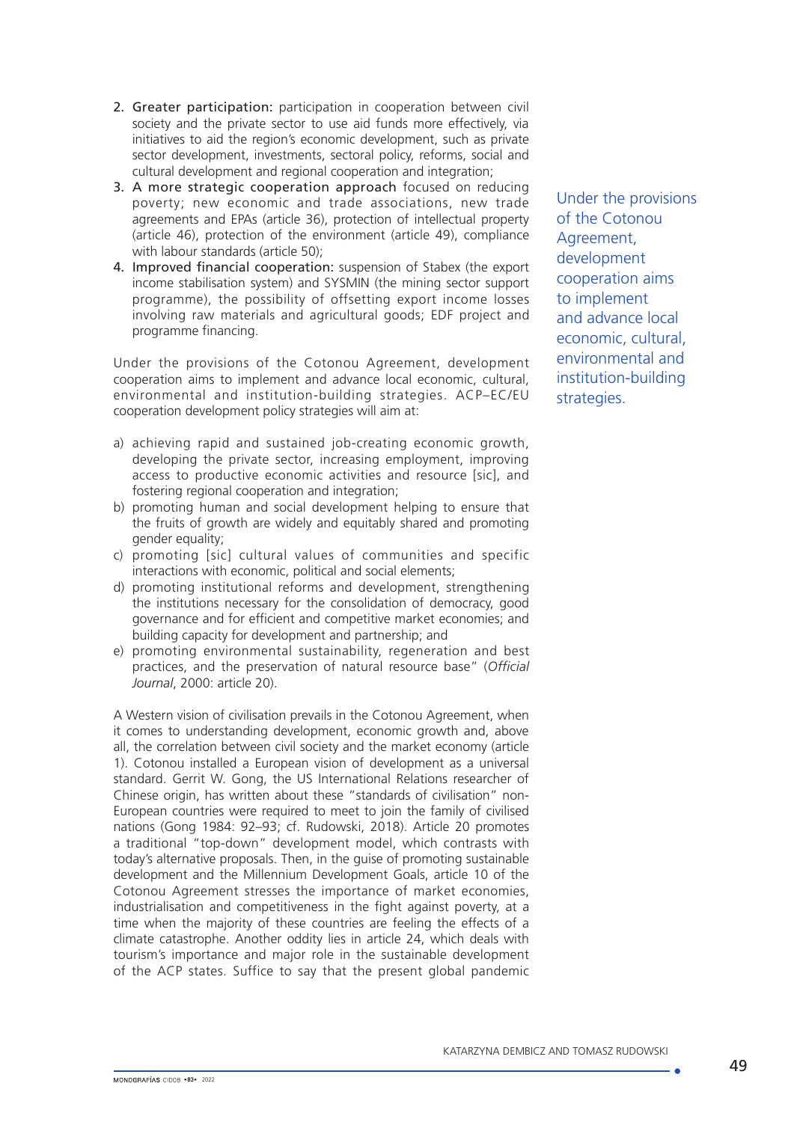- 2. Greater participation: participation in cooperation between civil society and the private sector to use aid funds more effectively, via initiatives to aid the region's economic development, such as private sector development, investments, sectoral policy, reforms, social and cultural development and regional cooperation and integration;
- 3. A more strategic cooperation approach focused on reducing poverty; new economic and trade associations, new trade agreements and EPAs (article 36), protection of intellectual property (article 46), protection of the environment (article 49), compliance with labour standards (article 50);
- 4. Improved financial cooperation: suspension of Stabex (the export income stabilisation system) and SYSMIN (the mining sector support programme), the possibility of offsetting export income losses involving raw materials and agricultural goods; EDF project and programme financing.

Under the provisions of the Cotonou Agreement, development cooperation aims to implement and advance local economic, cultural, environmental and institution-building strategies. ACP–EC/EU cooperation development policy strategies will aim at:

- a) achieving rapid and sustained job-creating economic growth, developing the private sector, increasing employment, improving access to productive economic activities and resource [sic], and fostering regional cooperation and integration;
- b) promoting human and social development helping to ensure that the fruits of growth are widely and equitably shared and promoting gender equality;
- c) promoting [sic] cultural values of communities and specific interactions with economic, political and social elements;
- d) promoting institutional reforms and development, strengthening the institutions necessary for the consolidation of democracy, good governance and for efficient and competitive market economies; and building capacity for development and partnership; and
- e) promoting environmental sustainability, regeneration and best practices, and the preservation of natural resource base" (*Official Journal*, 2000: article 20).

A Western vision of civilisation prevails in the Cotonou Agreement, when it comes to understanding development, economic growth and, above all, the correlation between civil society and the market economy (article 1). Cotonou installed a European vision of development as a universal standard. Gerrit W. Gong, the US International Relations researcher of Chinese origin, has written about these "standards of civilisation" non-European countries were required to meet to join the family of civilised nations (Gong 1984: 92–93; cf. Rudowski, 2018). Article 20 promotes a traditional "top-down" development model, which contrasts with today's alternative proposals. Then, in the guise of promoting sustainable development and the Millennium Development Goals, article 10 of the Cotonou Agreement stresses the importance of market economies, industrialisation and competitiveness in the fight against poverty, at a time when the majority of these countries are feeling the effects of a climate catastrophe. Another oddity lies in article 24, which deals with tourism's importance and major role in the sustainable development of the ACP states. Suffice to say that the present global pandemic Under the provisions of the Cotonou Agreement, development cooperation aims to implement and advance local economic, cultural, environmental and institution-building strategies.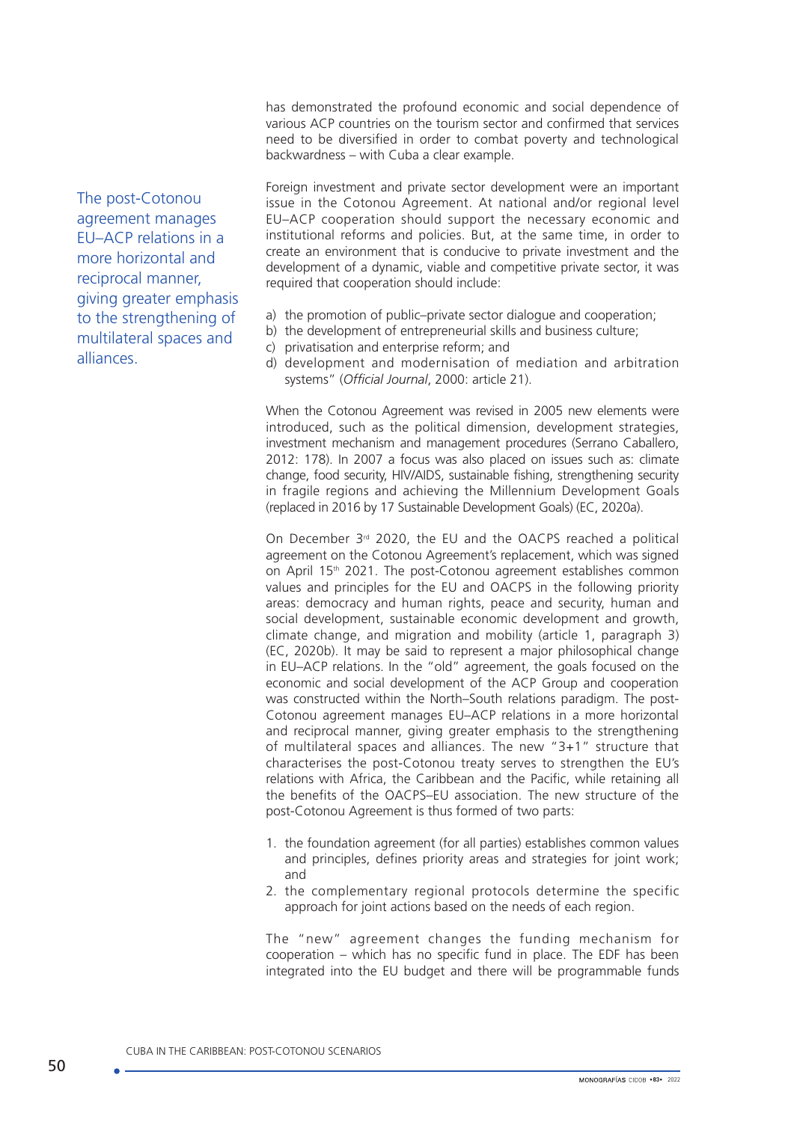has demonstrated the profound economic and social dependence of various ACP countries on the tourism sector and confirmed that services need to be diversified in order to combat poverty and technological backwardness – with Cuba a clear example.

The post-Cotonou agreement manages EU–ACP relations in a more horizontal and reciprocal manner, giving greater emphasis to the strengthening of multilateral spaces and alliances.

Foreign investment and private sector development were an important issue in the Cotonou Agreement. At national and/or regional level EU–ACP cooperation should support the necessary economic and institutional reforms and policies. But, at the same time, in order to create an environment that is conducive to private investment and the development of a dynamic, viable and competitive private sector, it was required that cooperation should include:

- a) the promotion of public–private sector dialogue and cooperation;
- b) the development of entrepreneurial skills and business culture;
- c) privatisation and enterprise reform; and
- d) development and modernisation of mediation and arbitration systems" (*Official Journal*, 2000: article 21).

When the Cotonou Agreement was revised in 2005 new elements were introduced, such as the political dimension, development strategies, investment mechanism and management procedures (Serrano Caballero, 2012: 178). In 2007 a focus was also placed on issues such as: climate change, food security, HIV/AIDS, sustainable fishing, strengthening security in fragile regions and achieving the Millennium Development Goals (replaced in 2016 by 17 Sustainable Development Goals) (EC, 2020a).

On December 3rd 2020, the EU and the OACPS reached a political agreement on the Cotonou Agreement's replacement, which was signed on April 15<sup>th</sup> 2021. The post-Cotonou agreement establishes common values and principles for the EU and OACPS in the following priority areas: democracy and human rights, peace and security, human and social development, sustainable economic development and growth, climate change, and migration and mobility (article 1, paragraph 3) (EC, 2020b). It may be said to represent a major philosophical change in EU–ACP relations. In the "old" agreement, the goals focused on the economic and social development of the ACP Group and cooperation was constructed within the North–South relations paradigm. The post-Cotonou agreement manages EU–ACP relations in a more horizontal and reciprocal manner, giving greater emphasis to the strengthening of multilateral spaces and alliances. The new "3+1" structure that characterises the post-Cotonou treaty serves to strengthen the EU's relations with Africa, the Caribbean and the Pacific, while retaining all the benefits of the OACPS–EU association. The new structure of the post-Cotonou Agreement is thus formed of two parts:

- 1. the foundation agreement (for all parties) establishes common values and principles, defines priority areas and strategies for joint work; and
- 2. the complementary regional protocols determine the specific approach for joint actions based on the needs of each region.

The "new" agreement changes the funding mechanism for cooperation – which has no specific fund in place. The EDF has been integrated into the EU budget and there will be programmable funds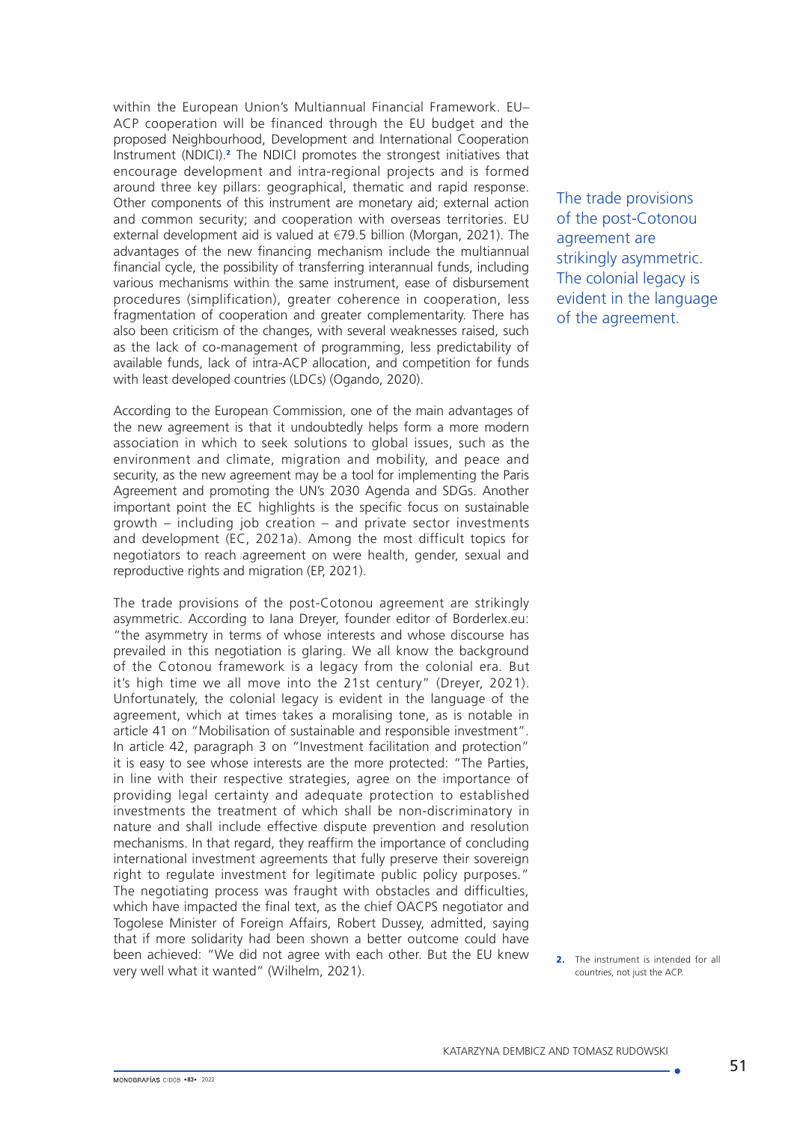within the European Union's Multiannual Financial Framework. EU– ACP cooperation will be financed through the EU budget and the proposed Neighbourhood, Development and International Cooperation Instrument (NDICI).<sup>2</sup> The NDICI promotes the strongest initiatives that encourage development and intra-regional projects and is formed around three key pillars: geographical, thematic and rapid response. Other components of this instrument are monetary aid; external action and common security; and cooperation with overseas territories. EU external development aid is valued at €79.5 billion (Morgan, 2021). The advantages of the new financing mechanism include the multiannual financial cycle, the possibility of transferring interannual funds, including various mechanisms within the same instrument, ease of disbursement procedures (simplification), greater coherence in cooperation, less fragmentation of cooperation and greater complementarity. There has also been criticism of the changes, with several weaknesses raised, such as the lack of co-management of programming, less predictability of available funds, lack of intra-ACP allocation, and competition for funds with least developed countries (LDCs) (Ogando, 2020).

According to the European Commission, one of the main advantages of the new agreement is that it undoubtedly helps form a more modern association in which to seek solutions to global issues, such as the environment and climate, migration and mobility, and peace and security, as the new agreement may be a tool for implementing the Paris Agreement and promoting the UN's 2030 Agenda and SDGs. Another important point the EC highlights is the specific focus on sustainable growth – including job creation – and private sector investments and development (EC, 2021a). Among the most difficult topics for negotiators to reach agreement on were health, gender, sexual and reproductive rights and migration (EP, 2021).

The trade provisions of the post-Cotonou agreement are strikingly asymmetric. According to Iana Dreyer, founder editor of Borderlex.eu: "the asymmetry in terms of whose interests and whose discourse has prevailed in this negotiation is glaring. We all know the background of the Cotonou framework is a legacy from the colonial era. But it's high time we all move into the 21st century" (Dreyer, 2021). Unfortunately, the colonial legacy is evident in the language of the agreement, which at times takes a moralising tone, as is notable in article 41 on "Mobilisation of sustainable and responsible investment". In article 42, paragraph 3 on "Investment facilitation and protection" it is easy to see whose interests are the more protected: "The Parties, in line with their respective strategies, agree on the importance of providing legal certainty and adequate protection to established investments the treatment of which shall be non-discriminatory in nature and shall include effective dispute prevention and resolution mechanisms. In that regard, they reaffirm the importance of concluding international investment agreements that fully preserve their sovereign right to regulate investment for legitimate public policy purposes." The negotiating process was fraught with obstacles and difficulties, which have impacted the final text, as the chief OACPS negotiator and Togolese Minister of Foreign Affairs, Robert Dussey, admitted, saying that if more solidarity had been shown a better outcome could have been achieved: "We did not agree with each other. But the EU knew very well what it wanted" (Wilhelm, 2021).

The trade provisions of the post-Cotonou agreement are strikingly asymmetric. The colonial legacy is evident in the language of the agreement.

2. The instrument is intended for all countries, not just the ACP.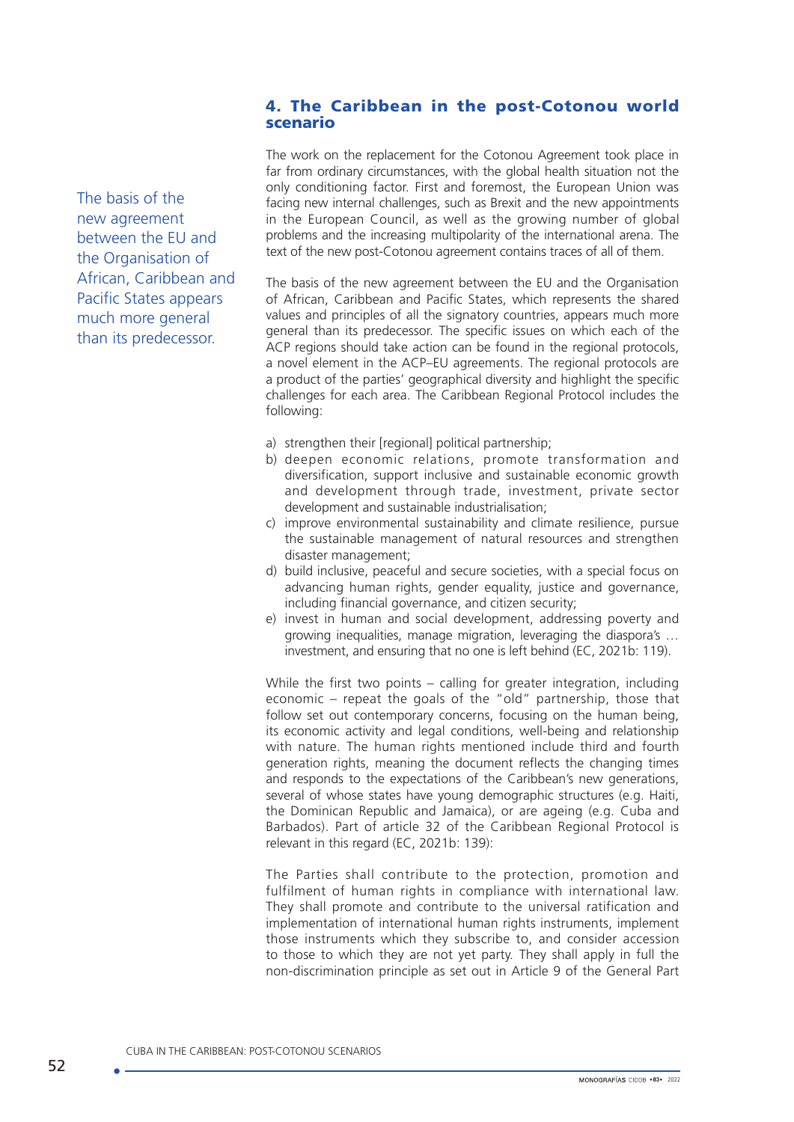## 4. The Caribbean in the post-Cotonou world scenario

The basis of the new agreement between the EU and the Organisation of African, Caribbean and Pacific States appears much more general than its predecessor.

The work on the replacement for the Cotonou Agreement took place in far from ordinary circumstances, with the global health situation not the only conditioning factor. First and foremost, the European Union was facing new internal challenges, such as Brexit and the new appointments in the European Council, as well as the growing number of global problems and the increasing multipolarity of the international arena. The text of the new post-Cotonou agreement contains traces of all of them.

The basis of the new agreement between the EU and the Organisation of African, Caribbean and Pacific States, which represents the shared values and principles of all the signatory countries, appears much more general than its predecessor. The specific issues on which each of the ACP regions should take action can be found in the regional protocols, a novel element in the ACP–EU agreements. The regional protocols are a product of the parties' geographical diversity and highlight the specific challenges for each area. The Caribbean Regional Protocol includes the following:

- a) strengthen their [regional] political partnership;
- b) deepen economic relations, promote transformation and diversification, support inclusive and sustainable economic growth and development through trade, investment, private sector development and sustainable industrialisation;
- c) improve environmental sustainability and climate resilience, pursue the sustainable management of natural resources and strengthen disaster management;
- d) build inclusive, peaceful and secure societies, with a special focus on advancing human rights, gender equality, justice and governance, including financial governance, and citizen security;
- e) invest in human and social development, addressing poverty and growing inequalities, manage migration, leveraging the diaspora's … investment, and ensuring that no one is left behind (EC, 2021b: 119).

While the first two points – calling for greater integration, including economic – repeat the goals of the "old" partnership, those that follow set out contemporary concerns, focusing on the human being, its economic activity and legal conditions, well-being and relationship with nature. The human rights mentioned include third and fourth generation rights, meaning the document reflects the changing times and responds to the expectations of the Caribbean's new generations, several of whose states have young demographic structures (e.g. Haiti, the Dominican Republic and Jamaica), or are ageing (e.g. Cuba and Barbados). Part of article 32 of the Caribbean Regional Protocol is relevant in this regard (EC, 2021b: 139):

The Parties shall contribute to the protection, promotion and fulfilment of human rights in compliance with international law. They shall promote and contribute to the universal ratification and implementation of international human rights instruments, implement those instruments which they subscribe to, and consider accession to those to which they are not yet party. They shall apply in full the non-discrimination principle as set out in Article 9 of the General Part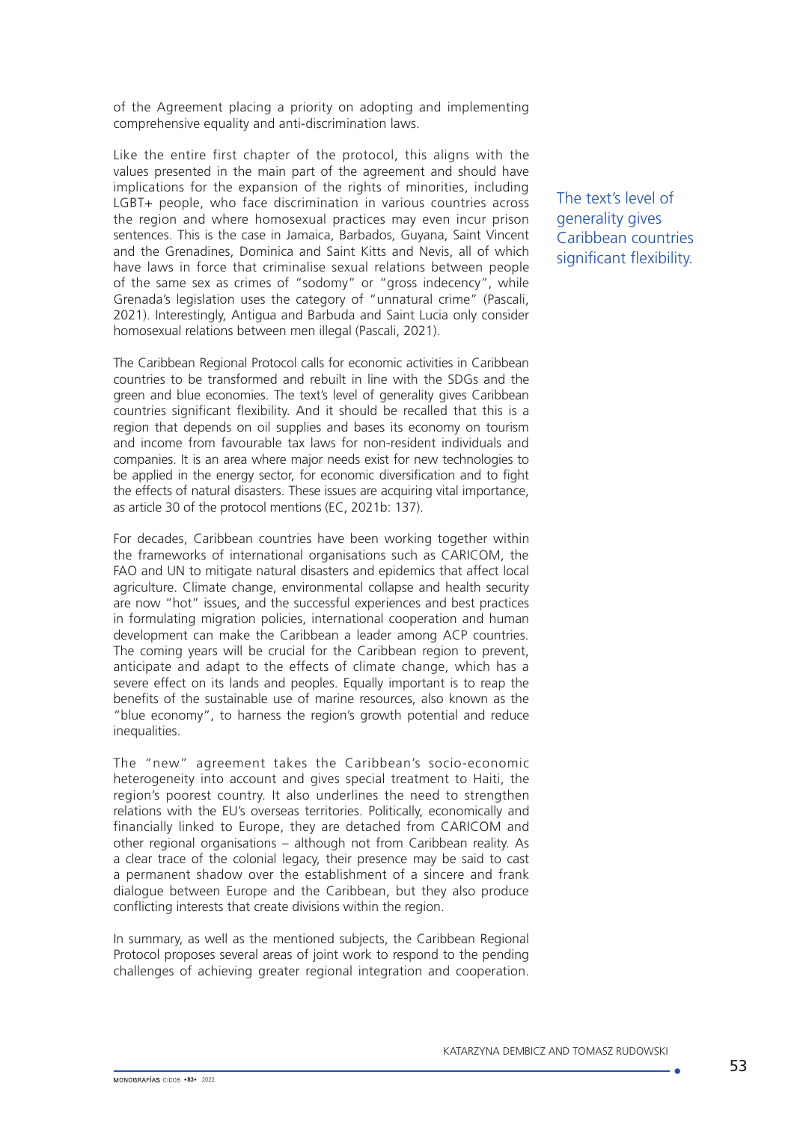of the Agreement placing a priority on adopting and implementing comprehensive equality and anti-discrimination laws.

Like the entire first chapter of the protocol, this aligns with the values presented in the main part of the agreement and should have implications for the expansion of the rights of minorities, including LGBT+ people, who face discrimination in various countries across the region and where homosexual practices may even incur prison sentences. This is the case in Jamaica, Barbados, Guyana, Saint Vincent and the Grenadines, Dominica and Saint Kitts and Nevis, all of which have laws in force that criminalise sexual relations between people of the same sex as crimes of "sodomy" or "gross indecency", while Grenada's legislation uses the category of "unnatural crime" (Pascali, 2021). Interestingly, Antigua and Barbuda and Saint Lucia only consider homosexual relations between men illegal (Pascali, 2021).

The Caribbean Regional Protocol calls for economic activities in Caribbean countries to be transformed and rebuilt in line with the SDGs and the green and blue economies. The text's level of generality gives Caribbean countries significant flexibility. And it should be recalled that this is a region that depends on oil supplies and bases its economy on tourism and income from favourable tax laws for non-resident individuals and companies. It is an area where major needs exist for new technologies to be applied in the energy sector, for economic diversification and to fight the effects of natural disasters. These issues are acquiring vital importance, as article 30 of the protocol mentions (EC, 2021b: 137).

For decades, Caribbean countries have been working together within the frameworks of international organisations such as CARICOM, the FAO and UN to mitigate natural disasters and epidemics that affect local agriculture. Climate change, environmental collapse and health security are now "hot" issues, and the successful experiences and best practices in formulating migration policies, international cooperation and human development can make the Caribbean a leader among ACP countries. The coming years will be crucial for the Caribbean region to prevent. anticipate and adapt to the effects of climate change, which has a severe effect on its lands and peoples. Equally important is to reap the benefits of the sustainable use of marine resources, also known as the "blue economy", to harness the region's growth potential and reduce inequalities.

The "new" agreement takes the Caribbean's socio-economic heterogeneity into account and gives special treatment to Haiti, the region's poorest country. It also underlines the need to strengthen relations with the EU's overseas territories. Politically, economically and financially linked to Europe, they are detached from CARICOM and other regional organisations – although not from Caribbean reality. As a clear trace of the colonial legacy, their presence may be said to cast a permanent shadow over the establishment of a sincere and frank dialogue between Europe and the Caribbean, but they also produce conflicting interests that create divisions within the region.

In summary, as well as the mentioned subjects, the Caribbean Regional Protocol proposes several areas of joint work to respond to the pending challenges of achieving greater regional integration and cooperation. The text's level of generality gives Caribbean countries significant flexibility.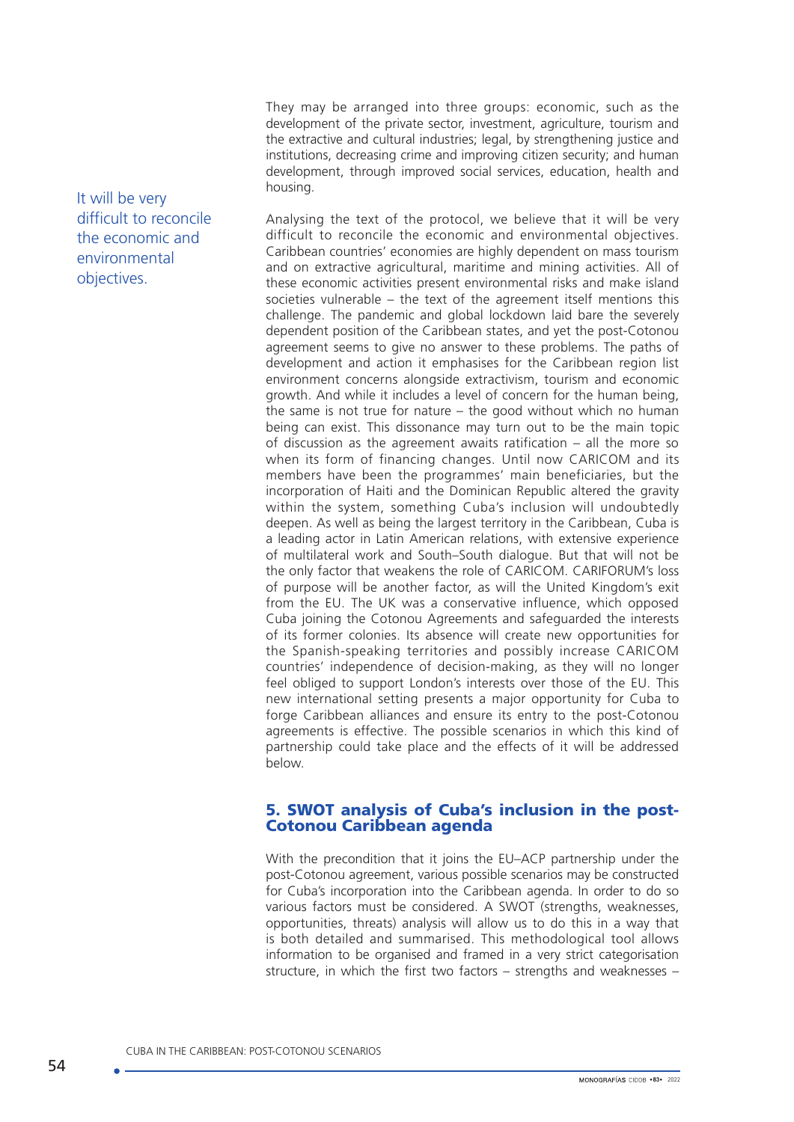They may be arranged into three groups: economic, such as the development of the private sector, investment, agriculture, tourism and the extractive and cultural industries; legal, by strengthening justice and institutions, decreasing crime and improving citizen security; and human development, through improved social services, education, health and housing.

Analysing the text of the protocol, we believe that it will be very difficult to reconcile the economic and environmental objectives. Caribbean countries' economies are highly dependent on mass tourism and on extractive agricultural, maritime and mining activities. All of these economic activities present environmental risks and make island societies vulnerable – the text of the agreement itself mentions this challenge. The pandemic and global lockdown laid bare the severely dependent position of the Caribbean states, and yet the post-Cotonou agreement seems to give no answer to these problems. The paths of development and action it emphasises for the Caribbean region list environment concerns alongside extractivism, tourism and economic growth. And while it includes a level of concern for the human being, the same is not true for nature – the good without which no human being can exist. This dissonance may turn out to be the main topic of discussion as the agreement awaits ratification – all the more so when its form of financing changes. Until now CARICOM and its members have been the programmes' main beneficiaries, but the incorporation of Haiti and the Dominican Republic altered the gravity within the system, something Cuba's inclusion will undoubtedly deepen. As well as being the largest territory in the Caribbean, Cuba is a leading actor in Latin American relations, with extensive experience of multilateral work and South–South dialogue. But that will not be the only factor that weakens the role of CARICOM. CARIFORUM's loss of purpose will be another factor, as will the United Kingdom's exit from the EU. The UK was a conservative influence, which opposed Cuba joining the Cotonou Agreements and safeguarded the interests of its former colonies. Its absence will create new opportunities for the Spanish-speaking territories and possibly increase CARICOM countries' independence of decision-making, as they will no longer feel obliged to support London's interests over those of the EU. This new international setting presents a major opportunity for Cuba to forge Caribbean alliances and ensure its entry to the post-Cotonou agreements is effective. The possible scenarios in which this kind of partnership could take place and the effects of it will be addressed below.

## 5. SWOT analysis of Cuba's inclusion in the post-Cotonou Caribbean agenda

With the precondition that it joins the EU–ACP partnership under the post-Cotonou agreement, various possible scenarios may be constructed for Cuba's incorporation into the Caribbean agenda. In order to do so various factors must be considered. A SWOT (strengths, weaknesses, opportunities, threats) analysis will allow us to do this in a way that is both detailed and summarised. This methodological tool allows information to be organised and framed in a very strict categorisation structure, in which the first two factors – strengths and weaknesses –

It will be very difficult to reconcile the economic and environmental objectives.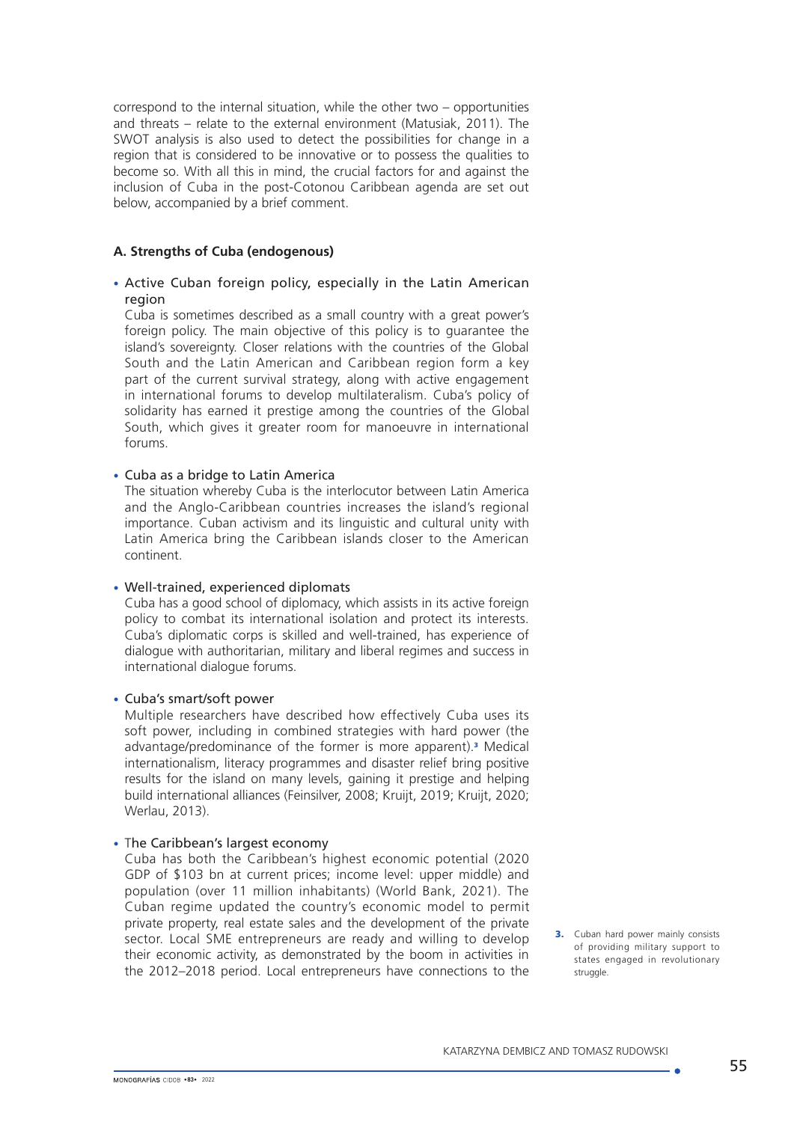correspond to the internal situation, while the other two – opportunities and threats – relate to the external environment (Matusiak, 2011). The SWOT analysis is also used to detect the possibilities for change in a region that is considered to be innovative or to possess the qualities to become so. With all this in mind, the crucial factors for and against the inclusion of Cuba in the post-Cotonou Caribbean agenda are set out below, accompanied by a brief comment.

### **A. Strengths of Cuba (endogenous)**

## • Active Cuban foreign policy, especially in the Latin American region

Cuba is sometimes described as a small country with a great power's foreign policy. The main objective of this policy is to guarantee the island's sovereignty. Closer relations with the countries of the Global South and the Latin American and Caribbean region form a key part of the current survival strategy, along with active engagement in international forums to develop multilateralism. Cuba's policy of solidarity has earned it prestige among the countries of the Global South, which gives it greater room for manoeuvre in international forums.

#### • Cuba as a bridge to Latin America

The situation whereby Cuba is the interlocutor between Latin America and the Anglo-Caribbean countries increases the island's regional importance. Cuban activism and its linguistic and cultural unity with Latin America bring the Caribbean islands closer to the American continent.

## • Well-trained, experienced diplomats

Cuba has a good school of diplomacy, which assists in its active foreign policy to combat its international isolation and protect its interests. Cuba's diplomatic corps is skilled and well-trained, has experience of dialogue with authoritarian, military and liberal regimes and success in international dialogue forums.

#### • Cuba's smart/soft power

Multiple researchers have described how effectively Cuba uses its soft power, including in combined strategies with hard power (the advantage/predominance of the former is more apparent).<sup>3</sup> Medical internationalism, literacy programmes and disaster relief bring positive results for the island on many levels, gaining it prestige and helping build international alliances (Feinsilver, 2008; Kruijt, 2019; Kruijt, 2020; Werlau, 2013).

#### • The Caribbean's largest economy

Cuba has both the Caribbean's highest economic potential (2020 GDP of \$103 bn at current prices; income level: upper middle) and population (over 11 million inhabitants) (World Bank, 2021). The Cuban regime updated the country's economic model to permit private property, real estate sales and the development of the private sector. Local SME entrepreneurs are ready and willing to develop their economic activity, as demonstrated by the boom in activities in the 2012–2018 period. Local entrepreneurs have connections to the

**3.** Cuban hard power mainly consists of providing military support to states engaged in revolutionary struggle.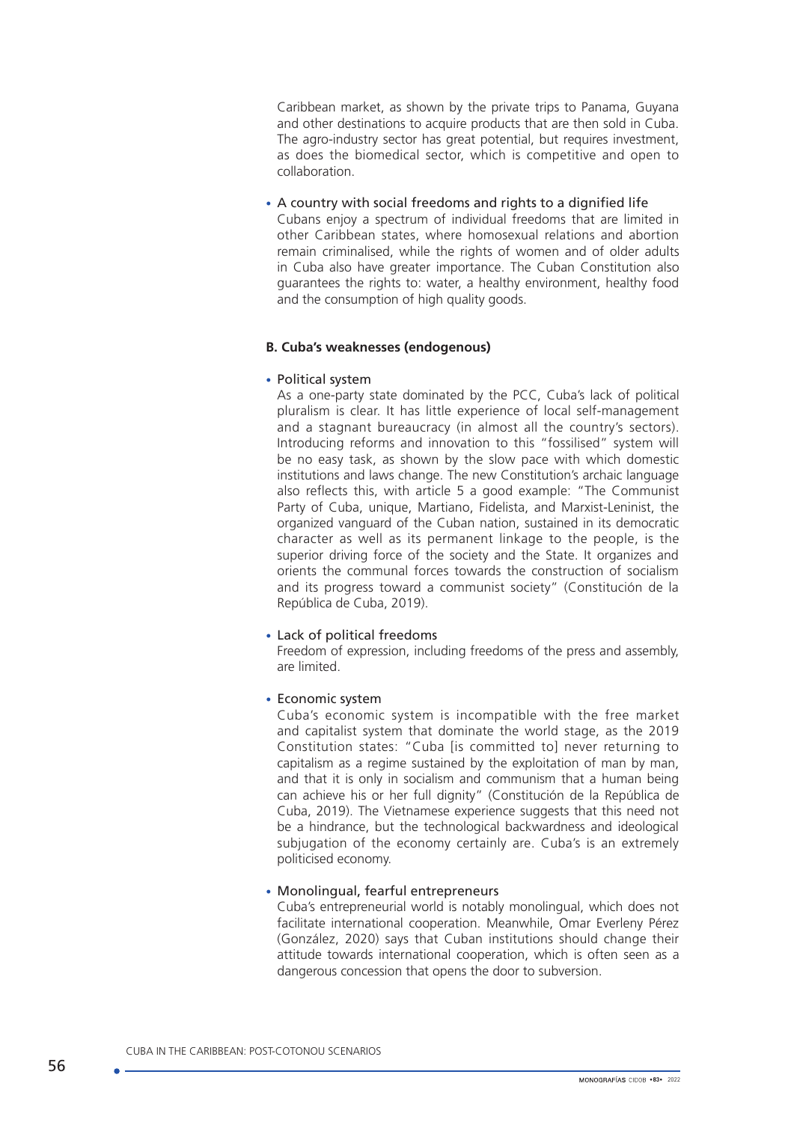Caribbean market, as shown by the private trips to Panama, Guyana and other destinations to acquire products that are then sold in Cuba. The agro-industry sector has great potential, but requires investment, as does the biomedical sector, which is competitive and open to collaboration.

### • A country with social freedoms and rights to a dignified life

Cubans enjoy a spectrum of individual freedoms that are limited in other Caribbean states, where homosexual relations and abortion remain criminalised, while the rights of women and of older adults in Cuba also have greater importance. The Cuban Constitution also guarantees the rights to: water, a healthy environment, healthy food and the consumption of high quality goods.

#### **B. Cuba's weaknesses (endogenous)**

#### • Political system

As a one-party state dominated by the PCC, Cuba's lack of political pluralism is clear. It has little experience of local self-management and a stagnant bureaucracy (in almost all the country's sectors). Introducing reforms and innovation to this "fossilised" system will be no easy task, as shown by the slow pace with which domestic institutions and laws change. The new Constitution's archaic language also reflects this, with article 5 a good example: "The Communist Party of Cuba, unique, Martiano, Fidelista, and Marxist-Leninist, the organized vanguard of the Cuban nation, sustained in its democratic character as well as its permanent linkage to the people, is the superior driving force of the society and the State. It organizes and orients the communal forces towards the construction of socialism and its progress toward a communist society" (Constitución de la República de Cuba, 2019).

### • Lack of political freedoms

Freedom of expression, including freedoms of the press and assembly, are limited.

#### • Economic system

Cuba's economic system is incompatible with the free market and capitalist system that dominate the world stage, as the 2019 Constitution states: "Cuba [is committed to] never returning to capitalism as a regime sustained by the exploitation of man by man, and that it is only in socialism and communism that a human being can achieve his or her full dignity" (Constitución de la República de Cuba, 2019). The Vietnamese experience suggests that this need not be a hindrance, but the technological backwardness and ideological subjugation of the economy certainly are. Cuba's is an extremely politicised economy.

#### • Monolingual, fearful entrepreneurs

Cuba's entrepreneurial world is notably monolingual, which does not facilitate international cooperation. Meanwhile, Omar Everleny Pérez (González, 2020) says that Cuban institutions should change their attitude towards international cooperation, which is often seen as a dangerous concession that opens the door to subversion.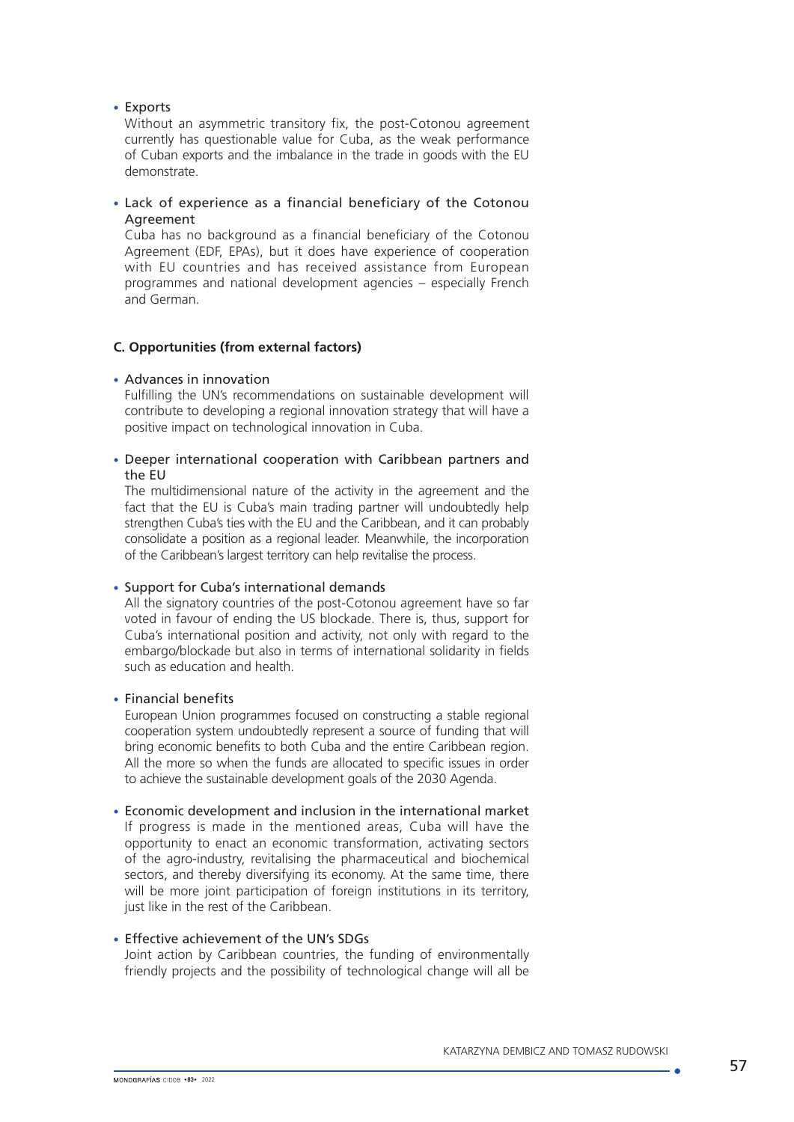### • Exports

Without an asymmetric transitory fix, the post-Cotonou agreement currently has questionable value for Cuba, as the weak performance of Cuban exports and the imbalance in the trade in goods with the EU demonstrate.

### • Lack of experience as a financial beneficiary of the Cotonou Agreement

Cuba has no background as a financial beneficiary of the Cotonou Agreement (EDF, EPAs), but it does have experience of cooperation with EU countries and has received assistance from European programmes and national development agencies – especially French and German.

## **C. Opportunities (from external factors)**

#### • Advances in innovation

Fulfilling the UN's recommendations on sustainable development will contribute to developing a regional innovation strategy that will have a positive impact on technological innovation in Cuba.

#### • Deeper international cooperation with Caribbean partners and the EU

The multidimensional nature of the activity in the agreement and the fact that the EU is Cuba's main trading partner will undoubtedly help strengthen Cuba's ties with the EU and the Caribbean, and it can probably consolidate a position as a regional leader. Meanwhile, the incorporation of the Caribbean's largest territory can help revitalise the process.

## • Support for Cuba's international demands

All the signatory countries of the post-Cotonou agreement have so far voted in favour of ending the US blockade. There is, thus, support for Cuba's international position and activity, not only with regard to the embargo/blockade but also in terms of international solidarity in fields such as education and health.

## • Financial benefits

European Union programmes focused on constructing a stable regional cooperation system undoubtedly represent a source of funding that will bring economic benefits to both Cuba and the entire Caribbean region. All the more so when the funds are allocated to specific issues in order to achieve the sustainable development goals of the 2030 Agenda.

#### • Economic development and inclusion in the international market

If progress is made in the mentioned areas, Cuba will have the opportunity to enact an economic transformation, activating sectors of the agro-industry, revitalising the pharmaceutical and biochemical sectors, and thereby diversifying its economy. At the same time, there will be more joint participation of foreign institutions in its territory, just like in the rest of the Caribbean.

#### • Effective achievement of the UN's SDGs

Joint action by Caribbean countries, the funding of environmentally friendly projects and the possibility of technological change will all be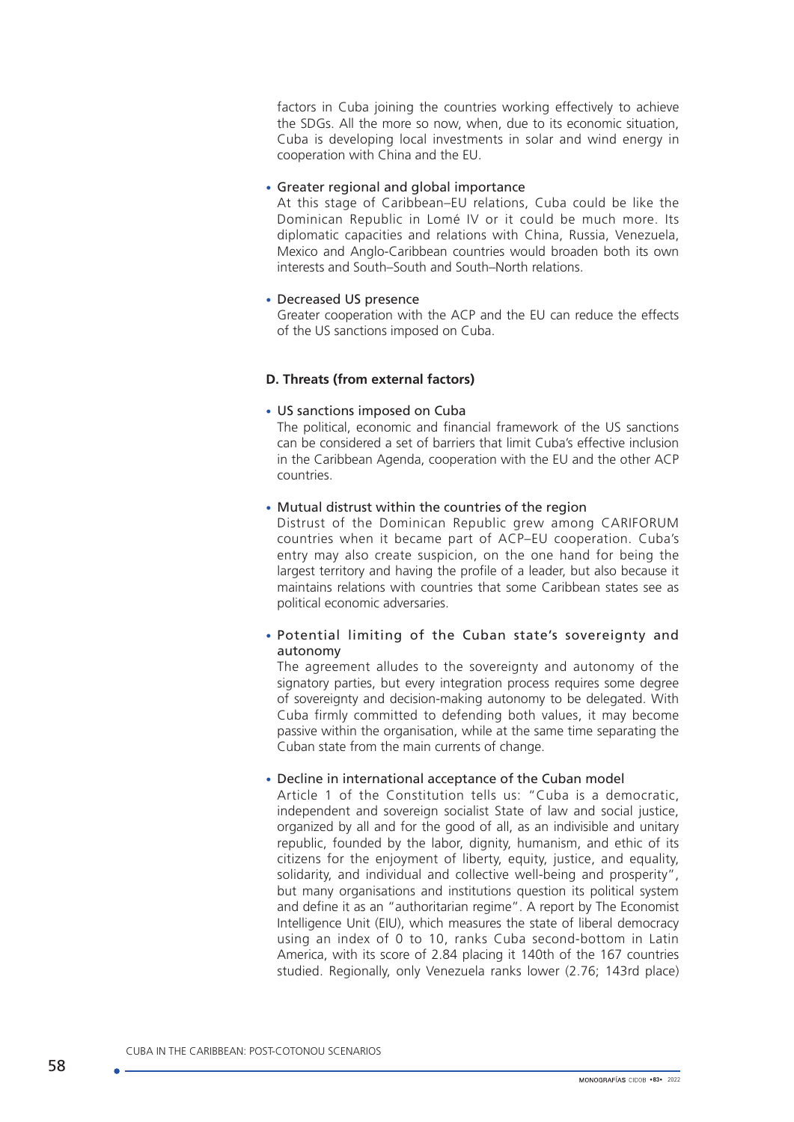factors in Cuba joining the countries working effectively to achieve the SDGs. All the more so now, when, due to its economic situation, Cuba is developing local investments in solar and wind energy in cooperation with China and the EU.

#### • Greater regional and global importance

At this stage of Caribbean–EU relations, Cuba could be like the Dominican Republic in Lomé IV or it could be much more. Its diplomatic capacities and relations with China, Russia, Venezuela, Mexico and Anglo-Caribbean countries would broaden both its own interests and South–South and South–North relations.

## • Decreased US presence

Greater cooperation with the ACP and the EU can reduce the effects of the US sanctions imposed on Cuba.

## **D. Threats (from external factors)**

#### • US sanctions imposed on Cuba

The political, economic and financial framework of the US sanctions can be considered a set of barriers that limit Cuba's effective inclusion in the Caribbean Agenda, cooperation with the EU and the other ACP countries.

#### • Mutual distrust within the countries of the region

Distrust of the Dominican Republic grew among CARIFORUM countries when it became part of ACP–EU cooperation. Cuba's entry may also create suspicion, on the one hand for being the largest territory and having the profile of a leader, but also because it maintains relations with countries that some Caribbean states see as political economic adversaries.

• Potential limiting of the Cuban state's sovereignty and autonomy

The agreement alludes to the sovereignty and autonomy of the signatory parties, but every integration process requires some degree of sovereignty and decision-making autonomy to be delegated. With Cuba firmly committed to defending both values, it may become passive within the organisation, while at the same time separating the Cuban state from the main currents of change.

#### • Decline in international acceptance of the Cuban model

Article 1 of the Constitution tells us: "Cuba is a democratic, independent and sovereign socialist State of law and social justice, organized by all and for the good of all, as an indivisible and unitary republic, founded by the labor, dignity, humanism, and ethic of its citizens for the enjoyment of liberty, equity, justice, and equality, solidarity, and individual and collective well-being and prosperity", but many organisations and institutions question its political system and define it as an "authoritarian regime". A report by The Economist Intelligence Unit (EIU), which measures the state of liberal democracy using an index of 0 to 10, ranks Cuba second-bottom in Latin America, with its score of 2.84 placing it 140th of the 167 countries studied. Regionally, only Venezuela ranks lower (2.76; 143rd place)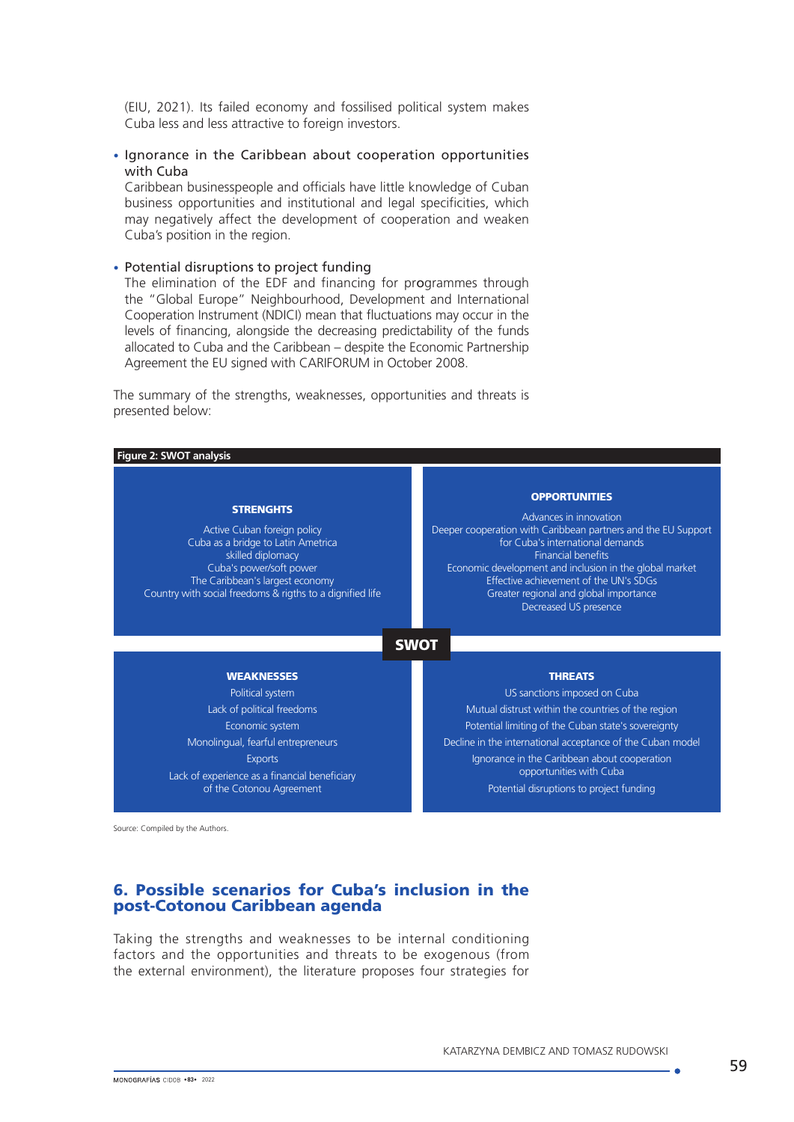(EIU, 2021). Its failed economy and fossilised political system makes Cuba less and less attractive to foreign investors.

### • Ignorance in the Caribbean about cooperation opportunities with Cuba

Caribbean businesspeople and officials have little knowledge of Cuban business opportunities and institutional and legal specificities, which may negatively affect the development of cooperation and weaken Cuba's position in the region.

#### • Potential disruptions to project funding

The elimination of the EDF and financing for programmes through the "Global Europe" Neighbourhood, Development and International Cooperation Instrument (NDICI) mean that fluctuations may occur in the levels of financing, alongside the decreasing predictability of the funds allocated to Cuba and the Caribbean – despite the Economic Partnership Agreement the EU signed with CARIFORUM in October 2008.

The summary of the strengths, weaknesses, opportunities and threats is presented below:

| Figure 2: SWOT analysis                                                                                                                                                                                                               |                                                                                                                                                                                                                                                                                                                                                          |  |
|---------------------------------------------------------------------------------------------------------------------------------------------------------------------------------------------------------------------------------------|----------------------------------------------------------------------------------------------------------------------------------------------------------------------------------------------------------------------------------------------------------------------------------------------------------------------------------------------------------|--|
| <b>STRENGHTS</b><br>Active Cuban foreign policy<br>Cuba as a bridge to Latin Ametrica<br>skilled diplomacy<br>Cuba's power/soft power<br>The Caribbean's largest economy<br>Country with social freedoms & rigths to a dignified life | <b>OPPORTUNITIES</b><br>Advances in innovation<br>Deeper cooperation with Caribbean partners and the EU Support<br>for Cuba's international demands<br><b>Financial benefits</b><br>Economic development and inclusion in the global market<br>Effective achievement of the UN's SDGs<br>Greater regional and global importance<br>Decreased US presence |  |
| <b>SWOT</b>                                                                                                                                                                                                                           |                                                                                                                                                                                                                                                                                                                                                          |  |
| <b>WEAKNESSES</b><br>Political system<br>Lack of political freedoms<br>Economic system<br>Monolingual, fearful entrepreneurs<br><b>Exports</b><br>Lack of experience as a financial beneficiary<br>of the Cotonou Agreement           | <b>THREATS</b><br>US sanctions imposed on Cuba<br>Mutual distrust within the countries of the region<br>Potential limiting of the Cuban state's sovereignty<br>Decline in the international acceptance of the Cuban model<br>Ignorance in the Caribbean about cooperation<br>opportunities with Cuba<br>Potential disruptions to project funding         |  |

Source: Compiled by the Authors.

## 6. Possible scenarios for Cuba's inclusion in the post-Cotonou Caribbean agenda

Taking the strengths and weaknesses to be internal conditioning factors and the opportunities and threats to be exogenous (from the external environment), the literature proposes four strategies for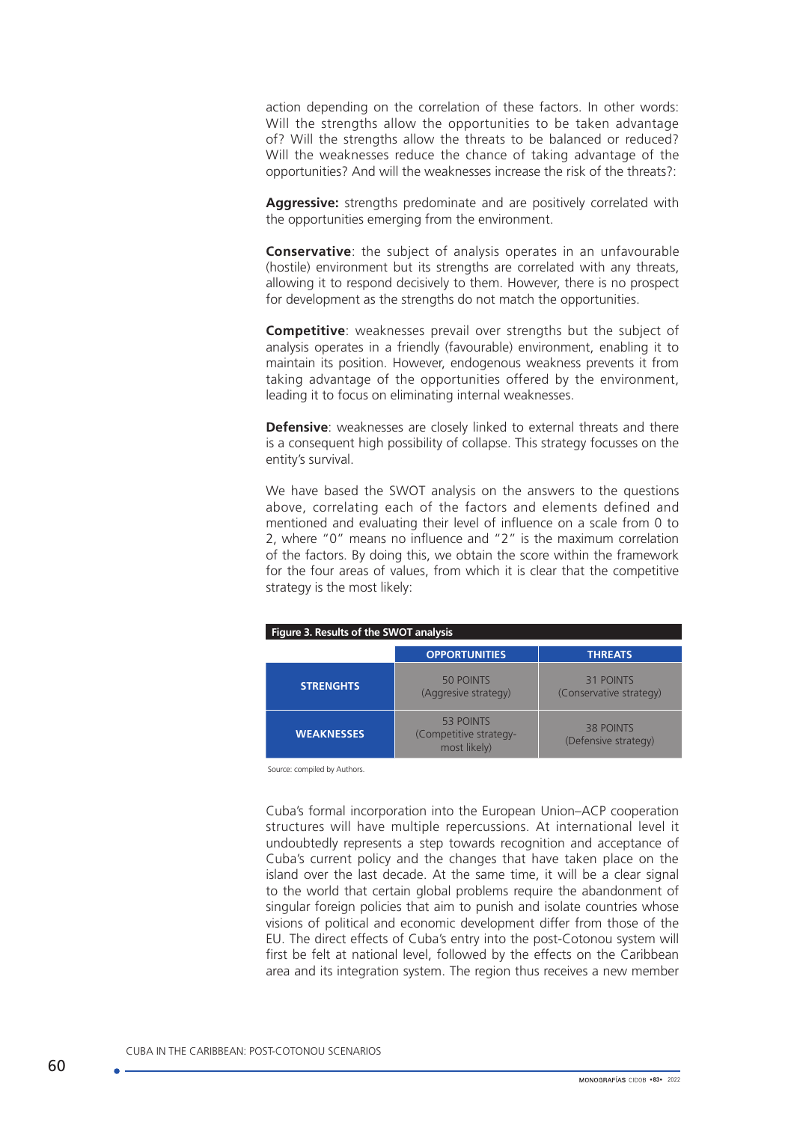action depending on the correlation of these factors. In other words: Will the strengths allow the opportunities to be taken advantage of? Will the strengths allow the threats to be balanced or reduced? Will the weaknesses reduce the chance of taking advantage of the opportunities? And will the weaknesses increase the risk of the threats?:

**Aggressive:** strengths predominate and are positively correlated with the opportunities emerging from the environment.

**Conservative**: the subject of analysis operates in an unfavourable (hostile) environment but its strengths are correlated with any threats, allowing it to respond decisively to them. However, there is no prospect for development as the strengths do not match the opportunities.

**Competitive**: weaknesses prevail over strengths but the subject of analysis operates in a friendly (favourable) environment, enabling it to maintain its position. However, endogenous weakness prevents it from taking advantage of the opportunities offered by the environment, leading it to focus on eliminating internal weaknesses.

**Defensive:** weaknesses are closely linked to external threats and there is a consequent high possibility of collapse. This strategy focusses on the entity's survival.

We have based the SWOT analysis on the answers to the questions above, correlating each of the factors and elements defined and mentioned and evaluating their level of influence on a scale from 0 to 2, where "0" means no influence and "2" is the maximum correlation of the factors. By doing this, we obtain the score within the framework for the four areas of values, from which it is clear that the competitive strategy is the most likely:

| Figure 3. Results of the SWOT analysis |                                                     |                                          |
|----------------------------------------|-----------------------------------------------------|------------------------------------------|
|                                        | <b>OPPORTUNITIES</b>                                | <b>THREATS</b>                           |
| <b>STRENGHTS</b>                       | 50 POINTS<br>(Aggresive strategy)                   | 31 POINTS<br>(Conservative strategy)     |
| <b>WEAKNESSES</b>                      | 53 POINTS<br>(Competitive strategy-<br>most likely) | <b>38 POINTS</b><br>(Defensive strategy) |

Source: compiled by Authors.

Cuba's formal incorporation into the European Union–ACP cooperation structures will have multiple repercussions. At international level it undoubtedly represents a step towards recognition and acceptance of Cuba's current policy and the changes that have taken place on the island over the last decade. At the same time, it will be a clear signal to the world that certain global problems require the abandonment of singular foreign policies that aim to punish and isolate countries whose visions of political and economic development differ from those of the EU. The direct effects of Cuba's entry into the post-Cotonou system will first be felt at national level, followed by the effects on the Caribbean area and its integration system. The region thus receives a new member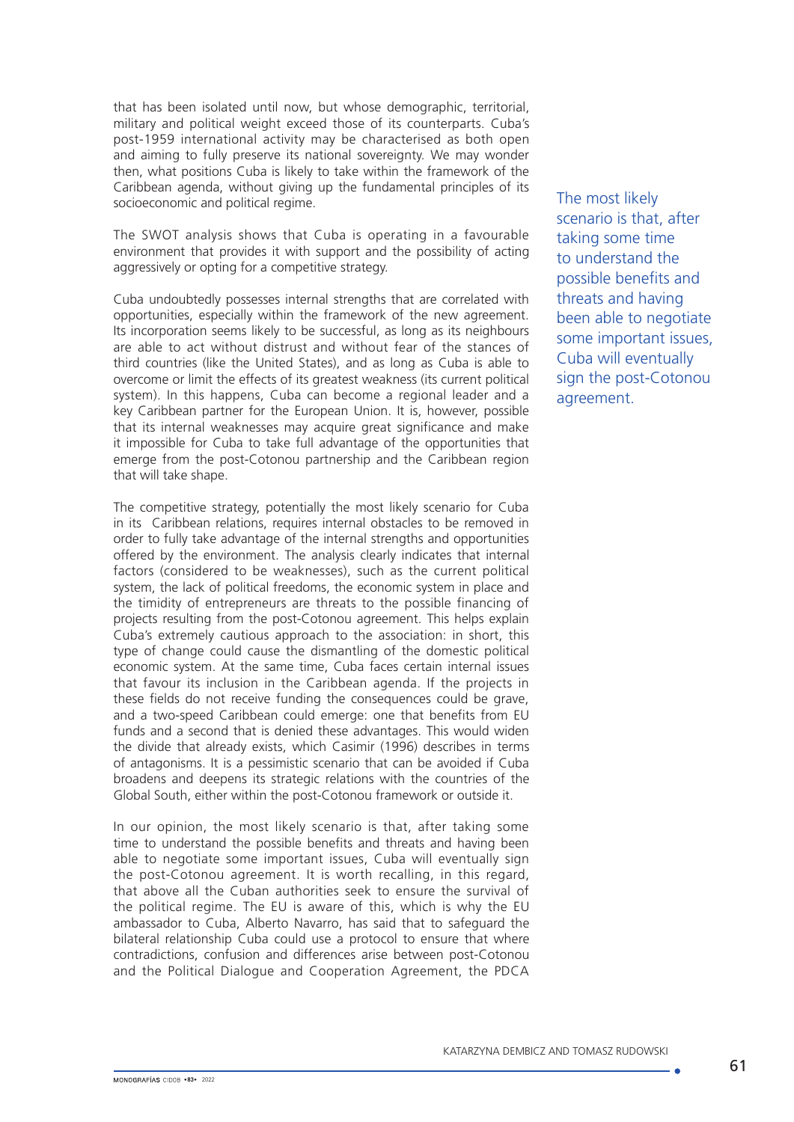that has been isolated until now, but whose demographic, territorial, military and political weight exceed those of its counterparts. Cuba's post-1959 international activity may be characterised as both open and aiming to fully preserve its national sovereignty. We may wonder then, what positions Cuba is likely to take within the framework of the Caribbean agenda, without giving up the fundamental principles of its socioeconomic and political regime.

The SWOT analysis shows that Cuba is operating in a favourable environment that provides it with support and the possibility of acting aggressively or opting for a competitive strategy.

Cuba undoubtedly possesses internal strengths that are correlated with opportunities, especially within the framework of the new agreement. Its incorporation seems likely to be successful, as long as its neighbours are able to act without distrust and without fear of the stances of third countries (like the United States), and as long as Cuba is able to overcome or limit the effects of its greatest weakness (its current political system). In this happens, Cuba can become a regional leader and a key Caribbean partner for the European Union. It is, however, possible that its internal weaknesses may acquire great significance and make it impossible for Cuba to take full advantage of the opportunities that emerge from the post-Cotonou partnership and the Caribbean region that will take shape.

The competitive strategy, potentially the most likely scenario for Cuba in its Caribbean relations, requires internal obstacles to be removed in order to fully take advantage of the internal strengths and opportunities offered by the environment. The analysis clearly indicates that internal factors (considered to be weaknesses), such as the current political system, the lack of political freedoms, the economic system in place and the timidity of entrepreneurs are threats to the possible financing of projects resulting from the post-Cotonou agreement. This helps explain Cuba's extremely cautious approach to the association: in short, this type of change could cause the dismantling of the domestic political economic system. At the same time, Cuba faces certain internal issues that favour its inclusion in the Caribbean agenda. If the projects in these fields do not receive funding the consequences could be grave, and a two-speed Caribbean could emerge: one that benefits from EU funds and a second that is denied these advantages. This would widen the divide that already exists, which Casimir (1996) describes in terms of antagonisms. It is a pessimistic scenario that can be avoided if Cuba broadens and deepens its strategic relations with the countries of the Global South, either within the post-Cotonou framework or outside it.

In our opinion, the most likely scenario is that, after taking some time to understand the possible benefits and threats and having been able to negotiate some important issues, Cuba will eventually sign the post-Cotonou agreement. It is worth recalling, in this regard, that above all the Cuban authorities seek to ensure the survival of the political regime. The EU is aware of this, which is why the EU ambassador to Cuba, Alberto Navarro, has said that to safeguard the bilateral relationship Cuba could use a protocol to ensure that where contradictions, confusion and differences arise between post-Cotonou and the Political Dialogue and Cooperation Agreement, the PDCA

The most likely scenario is that, after taking some time to understand the possible benefits and threats and having been able to negotiate some important issues, Cuba will eventually sign the post-Cotonou agreement.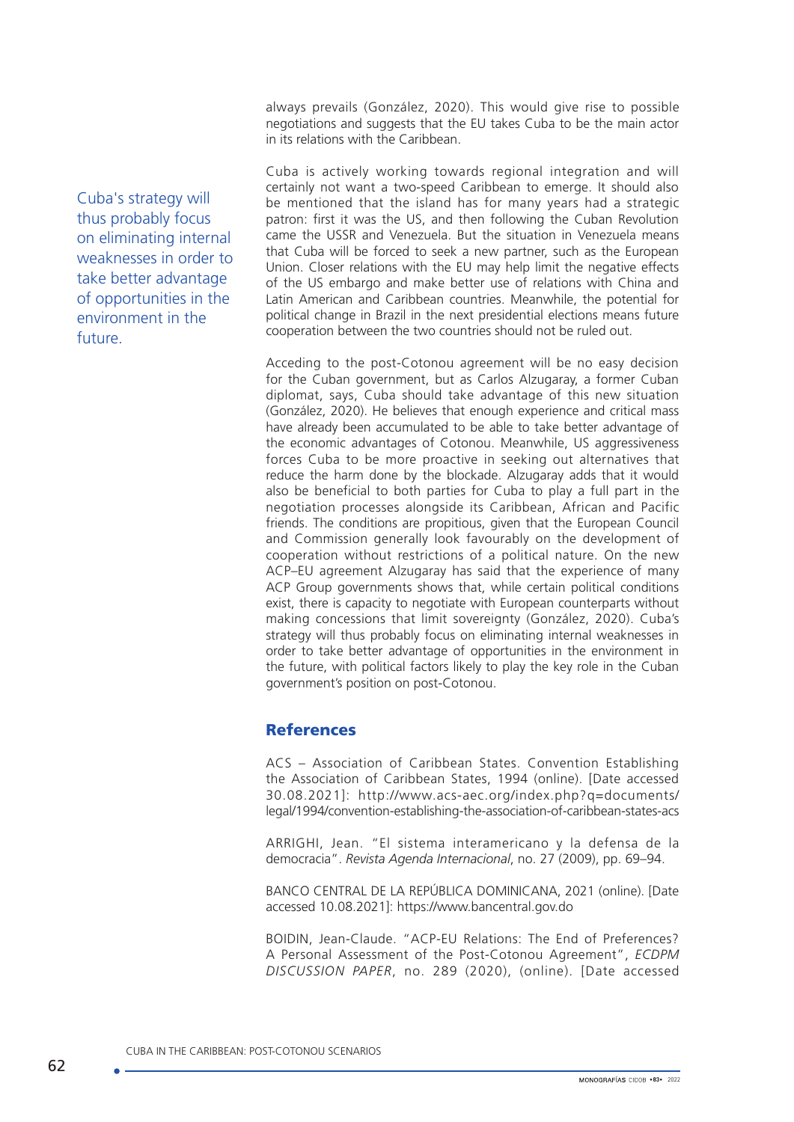always prevails (González, 2020). This would give rise to possible negotiations and suggests that the EU takes Cuba to be the main actor in its relations with the Caribbean.

Cuba is actively working towards regional integration and will certainly not want a two-speed Caribbean to emerge. It should also be mentioned that the island has for many years had a strategic patron: first it was the US, and then following the Cuban Revolution came the USSR and Venezuela. But the situation in Venezuela means that Cuba will be forced to seek a new partner, such as the European Union. Closer relations with the EU may help limit the negative effects of the US embargo and make better use of relations with China and Latin American and Caribbean countries. Meanwhile, the potential for political change in Brazil in the next presidential elections means future cooperation between the two countries should not be ruled out.

Acceding to the post-Cotonou agreement will be no easy decision for the Cuban government, but as Carlos Alzugaray, a former Cuban diplomat, says, Cuba should take advantage of this new situation (González, 2020). He believes that enough experience and critical mass have already been accumulated to be able to take better advantage of the economic advantages of Cotonou. Meanwhile, US aggressiveness forces Cuba to be more proactive in seeking out alternatives that reduce the harm done by the blockade. Alzugaray adds that it would also be beneficial to both parties for Cuba to play a full part in the negotiation processes alongside its Caribbean, African and Pacific friends. The conditions are propitious, given that the European Council and Commission generally look favourably on the development of cooperation without restrictions of a political nature. On the new ACP–EU agreement Alzugaray has said that the experience of many ACP Group governments shows that, while certain political conditions exist, there is capacity to negotiate with European counterparts without making concessions that limit sovereignty (González, 2020). Cuba's strategy will thus probably focus on eliminating internal weaknesses in order to take better advantage of opportunities in the environment in the future, with political factors likely to play the key role in the Cuban government's position on post-Cotonou.

# References

ACS – Association of Caribbean States. Convention Establishing the Association of Caribbean States, 1994 (online). [Date accessed 30.08.2021]: http://www.acs-aec.org/index.php?q=documents/ legal/1994/convention-establishing-the-association-of-caribbean-states-acs

ARRIGHI, Jean. "El sistema interamericano y la defensa de la democracia". *Revista Agenda Internacional*, no. 27 (2009), pp. 69–94.

BANCO CENTRAL DE LA REPÚBLICA DOMINICANA, 2021 (online). [Date accessed 10.08.2021]: https://www.bancentral.gov.do

BOIDIN, Jean-Claude. "ACP-EU Relations: The End of Preferences? A Personal Assessment of the Post-Cotonou Agreement", *ECDPM DISCUSSION PAPER*, no. 289 (2020), (online). [Date accessed

Cuba's strategy will thus probably focus on eliminating internal weaknesses in order to take better advantage of opportunities in the environment in the future.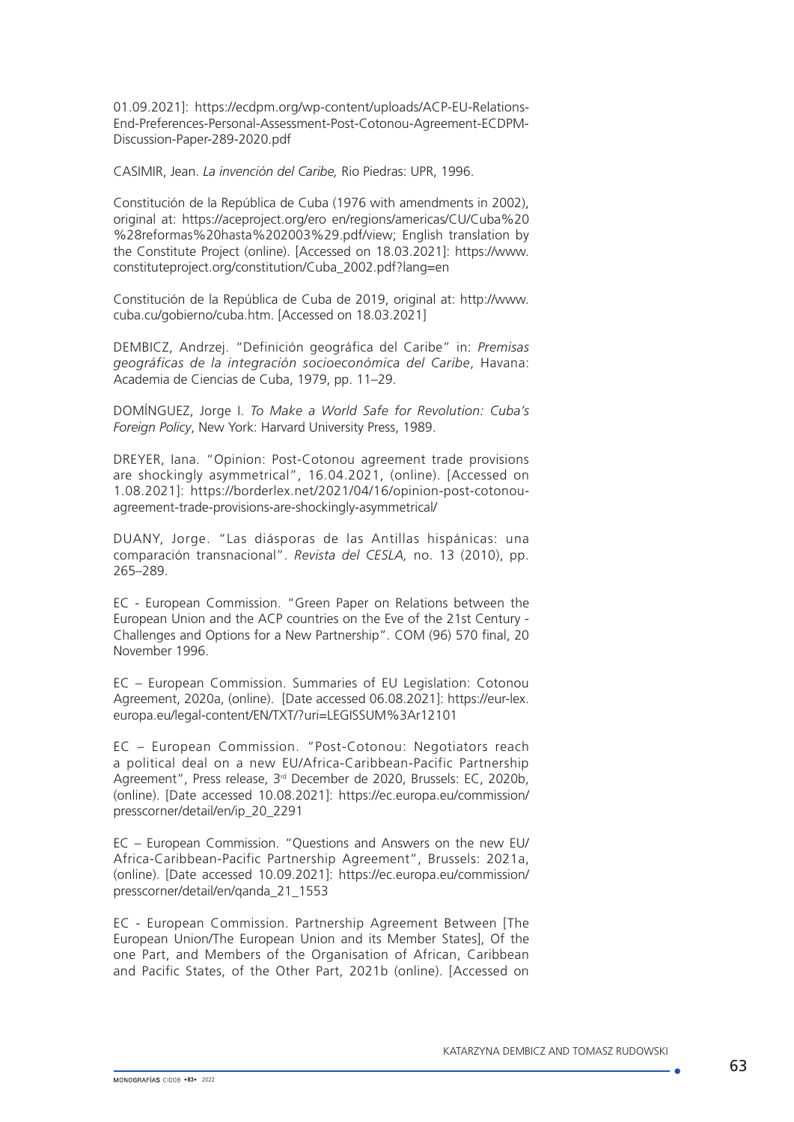01.09.2021]: [https://ecdpm.org/wp-content/uploads/ACP-EU-Relations-](https://ecdpm.org/wp-content/uploads/ACP-EU-Relations-End-Preferences-Personal-Assessment-Post-Cotonou-Agreement-ECDPM-Discussion-Paper-289-2020.pdf)[End-Preferences-Personal-Assessment-Post-Cotonou-Agreement-ECDPM-](https://ecdpm.org/wp-content/uploads/ACP-EU-Relations-End-Preferences-Personal-Assessment-Post-Cotonou-Agreement-ECDPM-Discussion-Paper-289-2020.pdf)[Discussion-Paper-289-2020.pdf](https://ecdpm.org/wp-content/uploads/ACP-EU-Relations-End-Preferences-Personal-Assessment-Post-Cotonou-Agreement-ECDPM-Discussion-Paper-289-2020.pdf)

CASIMIR, Jean. *La invención del Caribe,* Rio Piedras: UPR, 1996.

Constitución de la República de Cuba (1976 with amendments in 2002), original at: https://aceproject.org/ero en/regions/americas/CU/Cuba%20 %28reformas%20hasta%202003%29.pdf/view; English translation by the Constitute Project (online). [Accessed on 18.03.2021]: [https://www.](https://www.constituteproject.org/constitution/Cuba_2002.pdf?lang=en) [constituteproject.org/constitution/Cuba\\_2002.pdf?lang=en](https://www.constituteproject.org/constitution/Cuba_2002.pdf?lang=en)

Constitución de la República de Cuba de 2019, original at: http://www. cuba.cu/gobierno/cuba.htm. [Accessed on 18.03.2021]

DEMBICZ, Andrzej. "Definición geográfica del Caribe" in: *Premisas geográficas de la integración socioeconómica del Caribe*, Havana: Academia de Ciencias de Cuba, 1979, pp. 11–29.

DOMÍNGUEZ, Jorge I. *To Make a World Safe for Revolution: Cuba's Foreign Policy*, New York: Harvard University Press, 1989.

DREYER, Iana. "Opinion: Post-Cotonou agreement trade provisions are shockingly asymmetrical", 16.04.2021, (online). [Accessed on 1.08.2021]: https://borderlex.net/2021/04/16/opinion-post-cotonouagreement-trade-provisions-are-shockingly-asymmetrical/

DUANY, Jorge. "Las diásporas de las Antillas hispánicas: una comparación transnacional". *Revista del CESLA,* no. 13 (2010), pp. 265–289.

EC - European Commission. "Green Paper on Relations between the European Union and the ACP countries on the Eve of the 21st Century - Challenges and Options for a New Partnership". COM (96) 570 final, 20 November 1996.

EC – European Commission. Summaries of EU Legislation: Cotonou Agreement, 2020a, (online). [Date accessed 06.08.2021]: https://eur-lex. europa.eu/legal-content/EN/TXT/?uri=LEGISSUM%3Ar12101

EC – European Commission. "Post-Cotonou: Negotiators reach a political deal on a new EU/Africa-Caribbean-Pacific Partnership Agreement", Press release, 3rd December de 2020, Brussels: EC, 2020b, (online). [Date accessed 10.08.2021]: https://ec.europa.eu/commission/ presscorner/detail/en/ip\_20\_2291

EC – European Commission. "Questions and Answers on the new EU/ Africa-Caribbean-Pacific Partnership Agreement", Brussels: 2021a, (online). [Date accessed 10.09.2021]: [https://ec.europa.eu/commission/](https://ec.europa.eu/commission/presscorner/detail/en/qanda_21_1553) [presscorner/detail/en/qanda\\_21\\_1553](https://ec.europa.eu/commission/presscorner/detail/en/qanda_21_1553)

EC - European Commission. Partnership Agreement Between [The European Union/The European Union and its Member States], Of the one Part, and Members of the Organisation of African, Caribbean and Pacific States, of the Other Part, 2021b (online). [Accessed on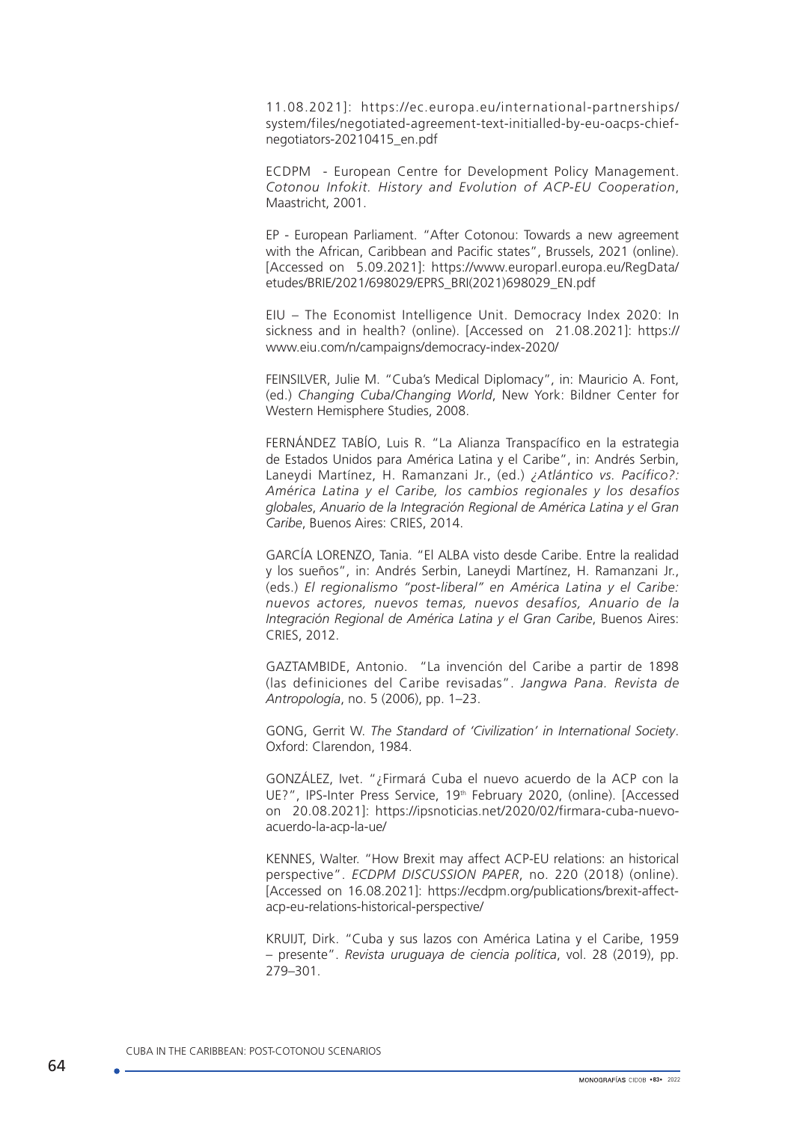11.08.2021]: https://ec.europa.eu/international-partnerships/ system/files/negotiated-agreement-text-initialled-by-eu-oacps-chiefnegotiators-20210415\_en.pdf

ECDPM - European Centre for Development Policy Management. *Cotonou Infokit. History and Evolution of ACP-EU Cooperation*, Maastricht, 2001.

EP - European Parliament. "After Cotonou: Towards a new agreement with the African, Caribbean and Pacific states", Brussels, 2021 (online). [Accessed on 5.09.2021]: https://www.europarl.europa.eu/RegData/ etudes/BRIE/2021/698029/EPRS\_BRI(2021)698029\_EN.pdf

EIU – The Economist Intelligence Unit. Democracy Index 2020: In sickness and in health? (online). [Accessed on 21.08.2021]: https:// www.eiu.com/n/campaigns/democracy-index-2020/

FEINSILVER, Julie M. "Cuba's Medical Diplomacy", in: Mauricio A. Font, (ed.) *Changing Cuba/Changing World*, New York: Bildner Center for Western Hemisphere Studies, 2008.

FERNÁNDEZ TABÍO, Luis R. "La Alianza Transpacífico en la estrategia de Estados Unidos para América Latina y el Caribe", in: Andrés Serbin, Laneydi Martínez, H. Ramanzani Jr., (ed.) *¿Atlántico vs. Pacífico?: América Latina y el Caribe, los cambios regionales y los desafíos globales*, *Anuario de la Integración Regional de América Latina y el Gran Caribe*, Buenos Aires: CRIES, 2014.

GARCÍA LORENZO, Tania. "El ALBA visto desde Caribe. Entre la realidad y los sueños", in: Andrés Serbin, Laneydi Martínez, H. Ramanzani Jr., (eds.) *El regionalismo "post-liberal" en América Latina y el Caribe: nuevos actores, nuevos temas, nuevos desafíos, Anuario de la Integración Regional de América Latina y el Gran Caribe*, Buenos Aires: CRIES, 2012.

GAZTAMBIDE, Antonio. "La invención del Caribe a partir de 1898 (las definiciones del Caribe revisadas". *Jangwa Pana. Revista de Antropología*, no. 5 (2006), pp. 1–23.

GONG, Gerrit W. *The Standard of 'Civilization' in International Society*. Oxford: Clarendon, 1984.

GONZÁLEZ, Ivet. "¿Firmará Cuba el nuevo acuerdo de la ACP con la UE?", IPS-Inter Press Service, 19<sup>th</sup> February 2020, (online). [Accessed on 20.08.2021]: https://ipsnoticias.net/2020/02/firmara-cuba-nuevoacuerdo-la-acp-la-ue/

KENNES, Walter. "How Brexit may affect ACP-EU relations: an historical perspective". *ECDPM DISCUSSION PAPER*, no. 220 (2018) (online). [Accessed on 16.08.2021]: https://ecdpm.org/publications/brexit-affectacp-eu-relations-historical-perspective/

KRUIJT, Dirk. "Cuba y sus lazos con América Latina y el Caribe, 1959 – presente". *Revista uruguaya de ciencia política*, vol. 28 (2019), pp. 279–301.

CUBA IN THE CARIBBEAN: POST-COTONOU SCENARIOS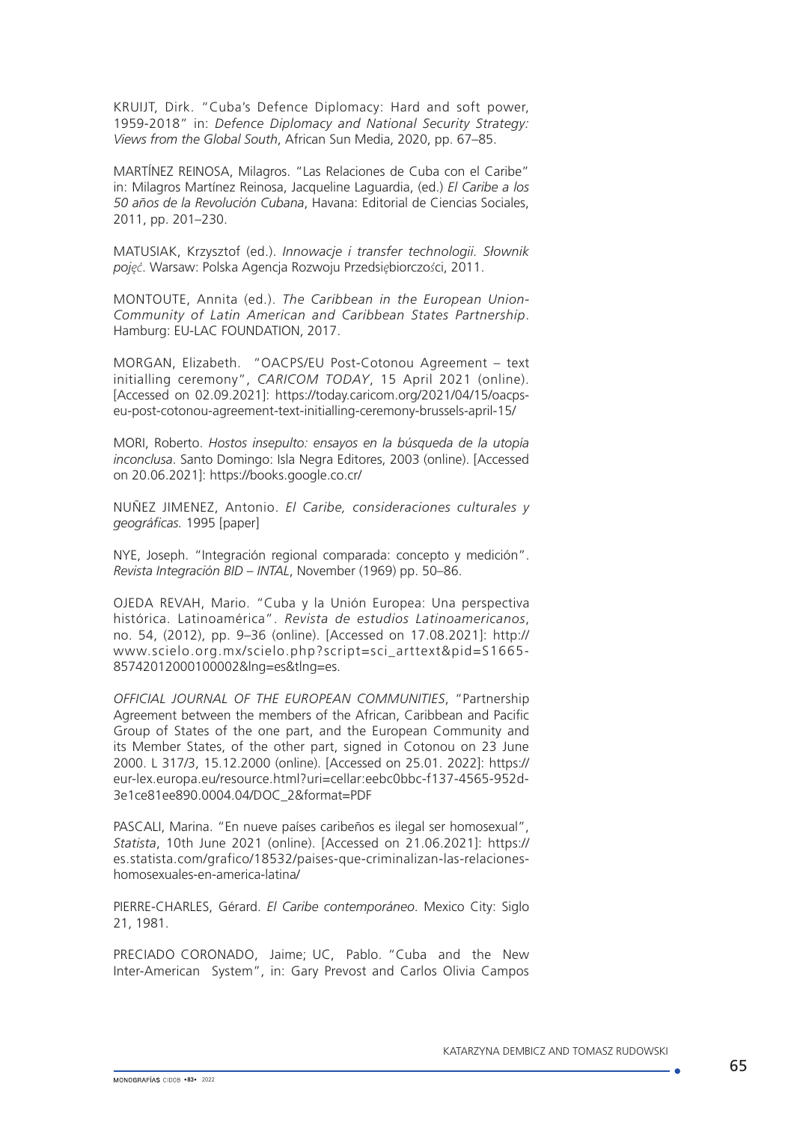KRUIJT, Dirk. "Cuba's Defence Diplomacy: Hard and soft power, 1959-2018" in: *Defence Diplomacy and National Security Strategy: Views from the Global South*, African Sun Media, 2020, pp. 67–85.

MARTÍNEZ REINOSA, Milagros. "Las Relaciones de Cuba con el Caribe" in: Milagros Martínez Reinosa, Jacqueline Laguardia, (ed.) *El Caribe a los 50 años de la Revolución Cubana*, Havana: Editorial de Ciencias Sociales, 2011, pp. 201–230.

MATUSIAK, Krzysztof (ed.). *Innowacje i transfer technologii. Słownik pojęć*. Warsaw: Polska Agencja Rozwoju Przedsi*ę*biorczo*ś*ci, 2011.

MONTOUTE, Annita (ed.). *The Caribbean in the European Union-Community of Latin American and Caribbean States Partnership*. Hamburg: EU-LAC FOUNDATION, 2017.

MORGAN, Elizabeth. "OACPS/EU Post-Cotonou Agreement – text initialling ceremony", *CARICOM TODAY*, 15 April 2021 (online). [Accessed on 02.09.2021]: https://today.caricom.org/2021/04/15/oacpseu-post-cotonou-agreement-text-initialling-ceremony-brussels-april-15/

MORI, Roberto. *Hostos insepulto: ensayos en la búsqueda de la utopía inconclusa*. Santo Domingo: Isla Negra Editores, 2003 (online). [Accessed on 20.06.2021]:<https://books.google.co.cr/>

NUÑEZ JIMENEZ, Antonio. *El Caribe, consideraciones culturales y geográficas.* 1995 [paper]

NYE, Joseph. "Integración regional comparada: concepto y medición". *Revista Integración BID – INTAL*, November (1969) pp. 50–86.

OJEDA REVAH, Mario. "Cuba y la Unión Europea: Una perspectiva histórica. Latinoamérica". *Revista de estudios Latinoamericanos*, no. 54, (2012), pp. 9–36 (online). [Accessed on 17.08.2021]: [http://](http://www.scielo.org.mx/scielo.php?script=sci_arttext&pid=S1665-85742012000100002&lng=es&tlng=es) [www.scielo.org.mx/scielo.php?script=sci\\_arttext&pid=S1665-](http://www.scielo.org.mx/scielo.php?script=sci_arttext&pid=S1665-85742012000100002&lng=es&tlng=es) [85742012000100002&lng=es&tlng=es.](http://www.scielo.org.mx/scielo.php?script=sci_arttext&pid=S1665-85742012000100002&lng=es&tlng=es)

*OFFICIAL JOURNAL OF THE EUROPEAN COMMUNITIES*, "Partnership Agreement between the members of the African, Caribbean and Pacific Group of States of the one part, and the European Community and its Member States, of the other part, signed in Cotonou on 23 June 2000. L 317/3, 15.12.2000 (online). [Accessed on 25.01. 2022]: https:// eur-lex.europa.eu/resource.html?uri=cellar:eebc0bbc-f137-4565-952d-3e1ce81ee890.0004.04/DOC\_2&format=PDF

PASCALI, Marina. "En nueve países caribeños es ilegal ser homosexual", *Statista*, 10th June 2021 (online). [Accessed on 21.06.2021]: https:// es.statista.com/grafico/18532/paises-que-criminalizan-las-relacioneshomosexuales-en-america-latina/

PIERRE-CHARLES, Gérard. *El Caribe contemporáneo*. Mexico City: Siglo 21, 1981.

PRECIADO CORONADO, Jaime; UC, Pablo. "Cuba and the New Inter-American System", in: Gary Prevost and Carlos Olivia Campos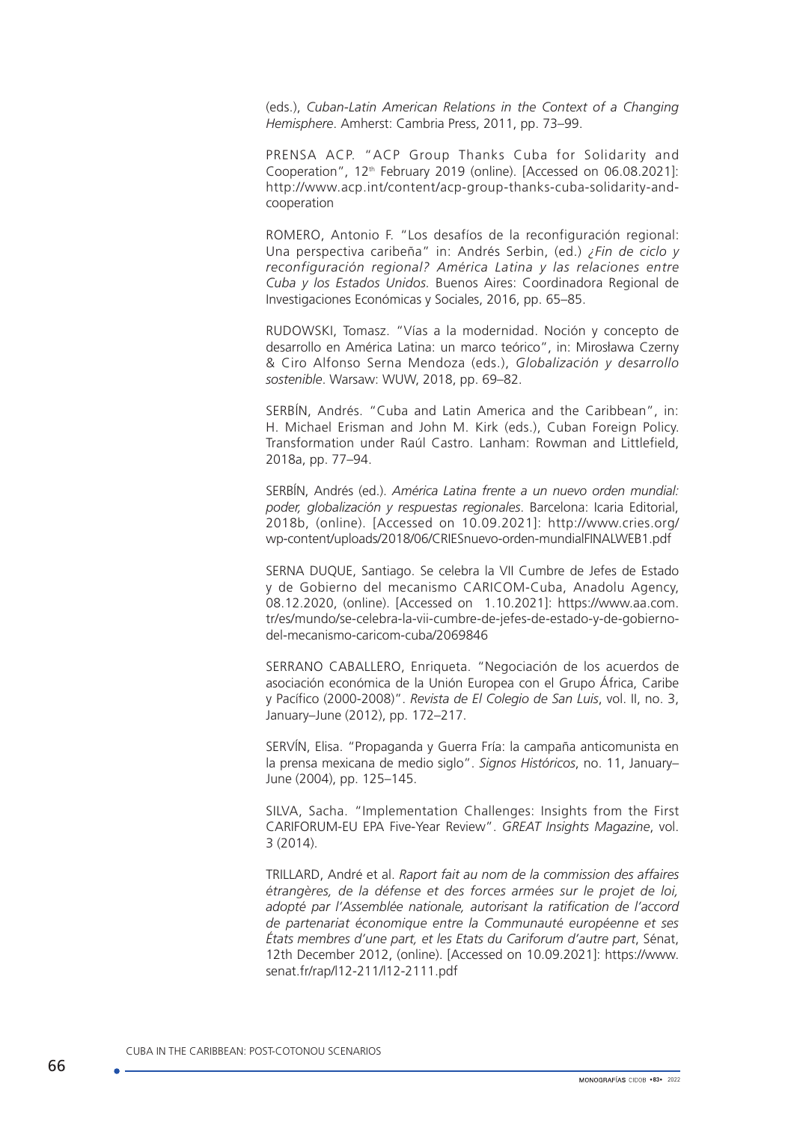(eds.), *Cuban-Latin American Relations in the Context of a Changing Hemisphere*. Amherst: Cambria Press, 2011, pp. 73–99.

PRENSA ACP. "ACP Group Thanks Cuba for Solidarity and Cooperation", 12<sup>th</sup> February 2019 (online). [Accessed on 06.08.2021]: http://www.acp.int/content/acp-group-thanks-cuba-solidarity-andcooperation

ROMERO, Antonio F. "Los desafíos de la reconfiguración regional: Una perspectiva caribeña" in: Andrés Serbin, (ed.) *¿Fin de ciclo y reconfiguración regional? América Latina y las relaciones entre Cuba y los Estados Unidos.* Buenos Aires: Coordinadora Regional de Investigaciones Económicas y Sociales, 2016, pp. 65–85.

RUDOWSKI, Tomasz. "Vías a la modernidad. Noción y concepto de desarrollo en América Latina: un marco teórico", in: Mirosława Czerny & Ciro Alfonso Serna Mendoza (eds.), *Globalización y desarrollo sostenible*. Warsaw: WUW, 2018, pp. 69–82.

SERBÍN, Andrés. "Cuba and Latin America and the Caribbean", in: H. Michael Erisman and John M. Kirk (eds.), Cuban Foreign Policy. Transformation under Raúl Castro. Lanham: Rowman and Littlefield, 2018a, pp. 77–94.

SERBÍN, Andrés (ed.). *América Latina frente a un nuevo orden mundial: poder, globalización y respuestas regionales*. Barcelona: Icaria Editorial, 2018b, (online). [Accessed on 10.09.2021]: http://www.cries.org/ wp-content/uploads/2018/06/CRIESnuevo-orden-mundialFINALWEB1.pdf

SERNA DUQUE, Santiago. Se celebra la VII Cumbre de Jefes de Estado y de Gobierno del mecanismo CARICOM-Cuba, Anadolu Agency, 08.12.2020, (online). [Accessed on 1.10.2021]: https://www.aa.com. tr/es/mundo/se-celebra-la-vii-cumbre-de-jefes-de-estado-y-de-gobiernodel-mecanismo-caricom-cuba/2069846

SERRANO CABALLERO, Enriqueta. "Negociación de los acuerdos de asociación económica de la Unión Europea con el Grupo África, Caribe y Pacífico (2000-2008)". *Revista de El Colegio de San Luis*, vol. II, no. 3, January–June (2012), pp. 172–217.

SERVÍN, Elisa. "Propaganda y Guerra Fría: la campaña anticomunista en la prensa mexicana de medio siglo". *Signos Históricos*, no. 11, January– June (2004), pp. 125–145.

SILVA, Sacha. "Implementation Challenges: Insights from the First CARIFORUM-EU EPA Five-Year Review". *GREAT Insights Magazine*, vol. 3 (2014).

TRILLARD, André et al. *Raport fait au nom de la commission des affaires étrangères, de la défense et des forces armées sur le projet de loi, adopté par l'Assemblée nationale, autorisant la ratification de l'accord de partenariat économique entre la Communauté européenne et ses États membres d'une part, et les Etats du Cariforum d'autre part*, Sénat, 12th December 2012, (online). [Accessed on 10.09.2021]: [https://www.](https://www.senat.fr/rap/l12-211/l12-2111.pdf) [senat.fr/rap/l12-211/l12-2111.pdf](https://www.senat.fr/rap/l12-211/l12-2111.pdf)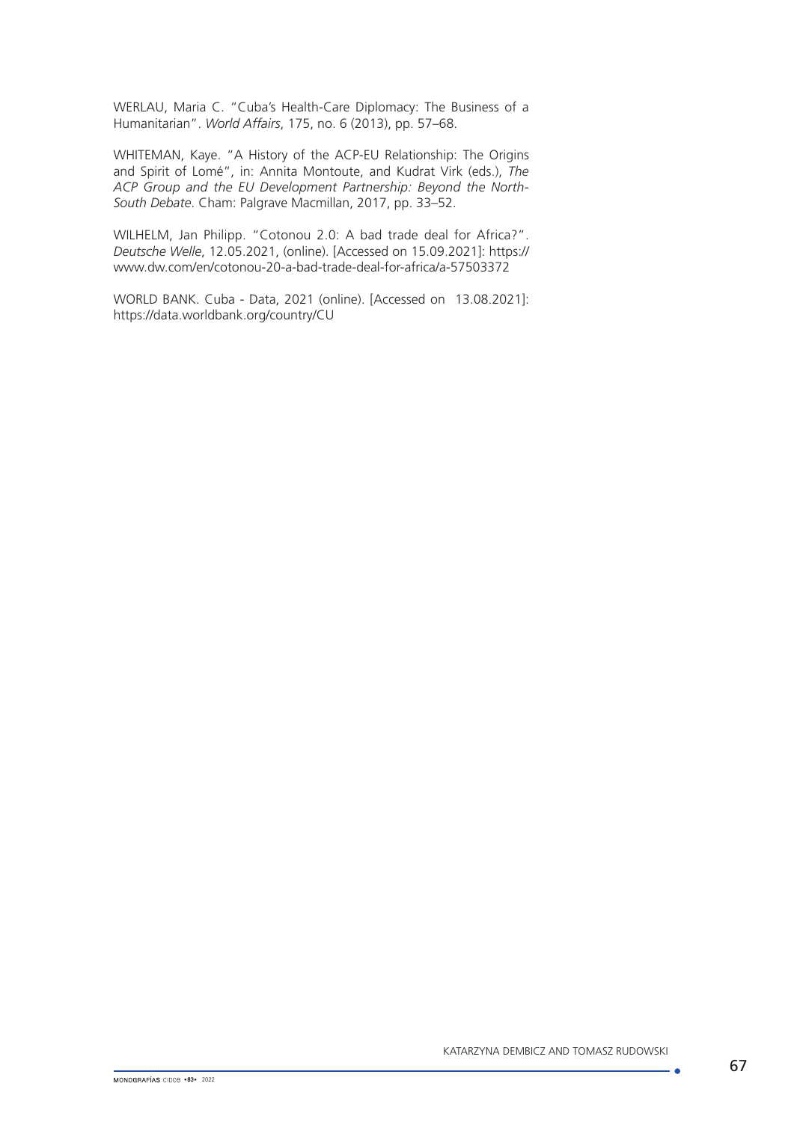WERLAU, Maria C. "Cuba's Health-Care Diplomacy: The Business of a Humanitarian". *World Affairs*, 175, no. 6 (2013), pp. 57–68.

WHITEMAN, Kaye. "A History of the ACP-EU Relationship: The Origins and Spirit of Lomé", in: Annita Montoute, and Kudrat Virk (eds.), *The ACP Group and the EU Development Partnership: Beyond the North-South Debate*. Cham: Palgrave Macmillan, 2017, pp. 33–52.

WILHELM, Jan Philipp. "Cotonou 2.0: A bad trade deal for Africa?". *Deutsche Welle*, 12.05.2021, (online). [Accessed on 15.09.2021]: https:// www.dw.com/en/cotonou-20-a-bad-trade-deal-for-africa/a-57503372

WORLD BANK. Cuba - Data, 2021 (online). [Accessed on 13.08.2021]: https://data.worldbank.org/country/CU

. A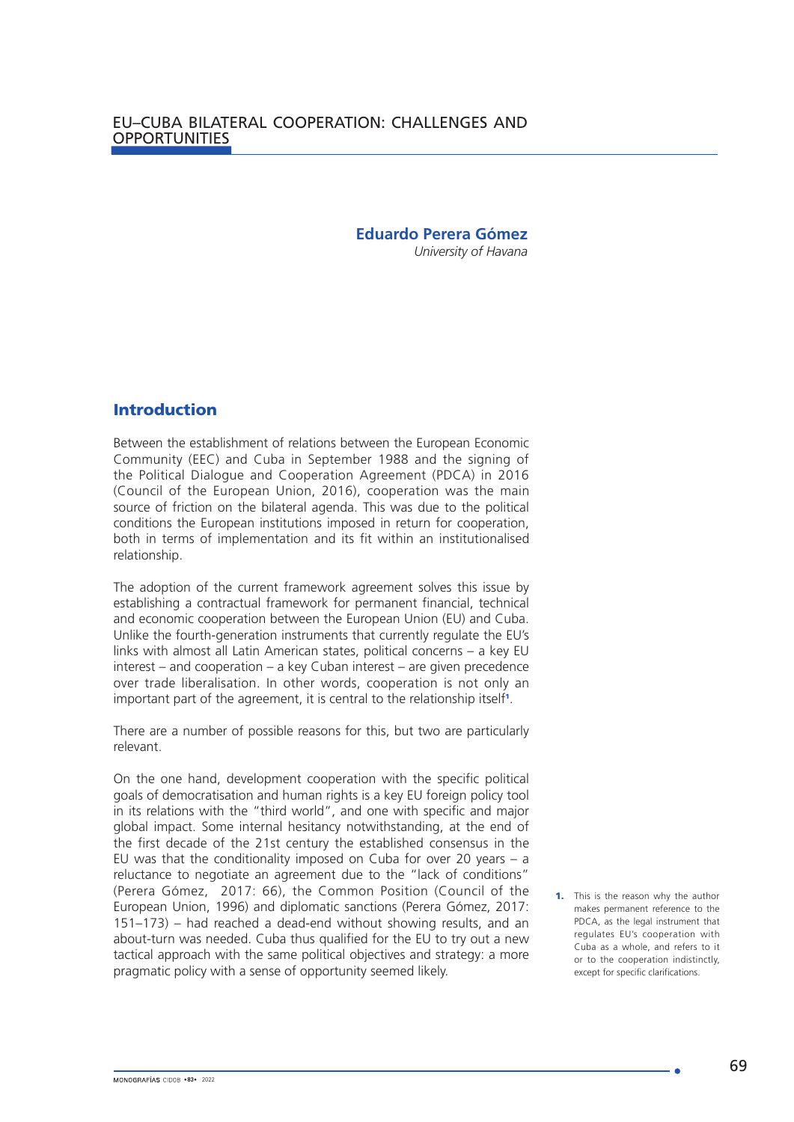## **Eduardo Perera Gómez**

*University of Havana* 

## Introduction

Between the establishment of relations between the European Economic Community (EEC) and Cuba in September 1988 and the signing of the Political Dialogue and Cooperation Agreement (PDCA) in 2016 (Council of the European Union, 2016), cooperation was the main source of friction on the bilateral agenda. This was due to the political conditions the European institutions imposed in return for cooperation, both in terms of implementation and its fit within an institutionalised relationship.

The adoption of the current framework agreement solves this issue by establishing a contractual framework for permanent financial, technical and economic cooperation between the European Union (EU) and Cuba. Unlike the fourth-generation instruments that currently regulate the EU's links with almost all Latin American states, political concerns – a key EU interest – and cooperation – a key Cuban interest – are given precedence over trade liberalisation. In other words, cooperation is not only an important part of the agreement, it is central to the relationship itself<sup>1</sup>.

There are a number of possible reasons for this, but two are particularly relevant.

On the one hand, development cooperation with the specific political goals of democratisation and human rights is a key EU foreign policy tool in its relations with the "third world", and one with specific and major global impact. Some internal hesitancy notwithstanding, at the end of the first decade of the 21st century the established consensus in the EU was that the conditionality imposed on Cuba for over 20 years – a reluctance to negotiate an agreement due to the "lack of conditions" (Perera Gómez, 2017: 66), the Common Position (Council of the European Union, 1996) and diplomatic sanctions (Perera Gómez, 2017: 151–173) – had reached a dead-end without showing results, and an about-turn was needed. Cuba thus qualified for the EU to try out a new tactical approach with the same political objectives and strategy: a more pragmatic policy with a sense of opportunity seemed likely.

**<sup>1.</sup>** This is the reason why the author makes permanent reference to the PDCA, as the legal instrument that regulates EU's cooperation with Cuba as a whole, and refers to it or to the cooperation indistinctly, except for specific clarifications.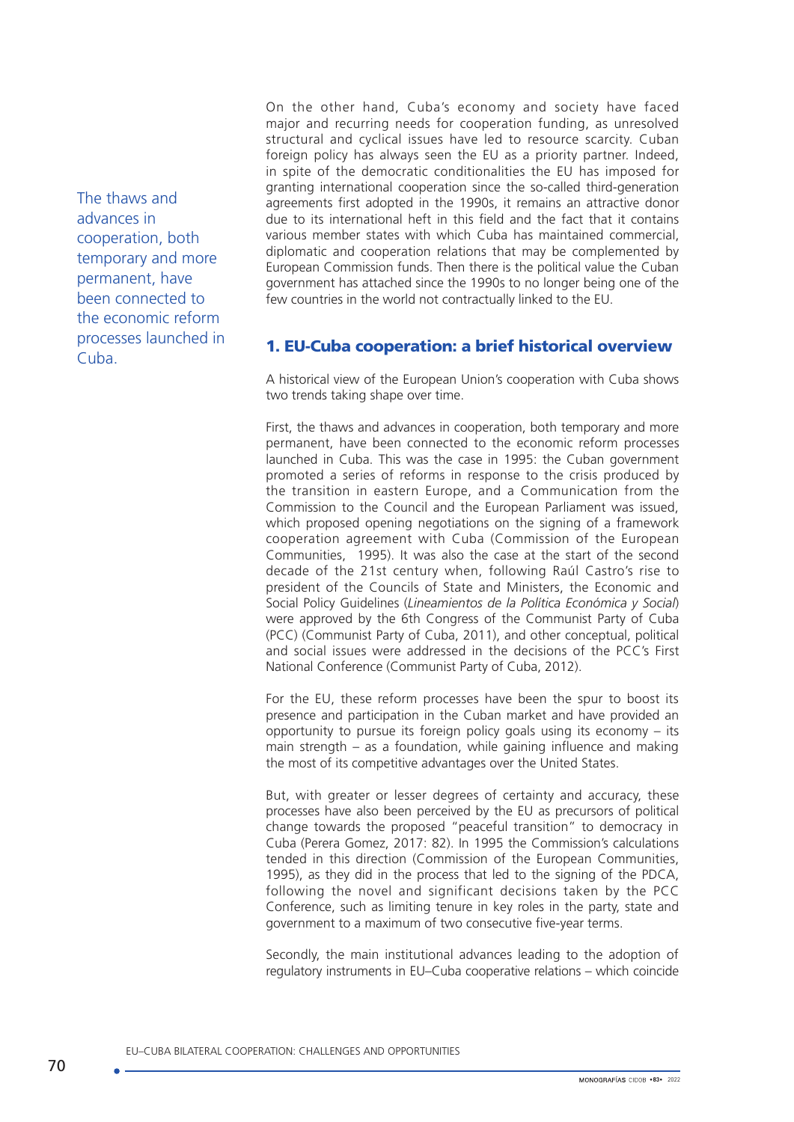The thaws and advances in cooperation, both temporary and more permanent, have been connected to the economic reform processes launched in Cuba.

On the other hand, Cuba's economy and society have faced major and recurring needs for cooperation funding, as unresolved structural and cyclical issues have led to resource scarcity. Cuban foreign policy has always seen the EU as a priority partner. Indeed, in spite of the democratic conditionalities the EU has imposed for granting international cooperation since the so-called third-generation agreements first adopted in the 1990s, it remains an attractive donor due to its international heft in this field and the fact that it contains various member states with which Cuba has maintained commercial, diplomatic and cooperation relations that may be complemented by European Commission funds. Then there is the political value the Cuban government has attached since the 1990s to no longer being one of the few countries in the world not contractually linked to the EU.

# 1. EU-Cuba cooperation: a brief historical overview

A historical view of the European Union's cooperation with Cuba shows two trends taking shape over time.

First, the thaws and advances in cooperation, both temporary and more permanent, have been connected to the economic reform processes launched in Cuba. This was the case in 1995: the Cuban government promoted a series of reforms in response to the crisis produced by the transition in eastern Europe, and a Communication from the Commission to the Council and the European Parliament was issued, which proposed opening negotiations on the signing of a framework cooperation agreement with Cuba (Commission of the European Communities, 1995). It was also the case at the start of the second decade of the 21st century when, following Raúl Castro's rise to president of the Councils of State and Ministers, the Economic and Social Policy Guidelines (*Lineamientos de la Política Económica y Social*) were approved by the 6th Congress of the Communist Party of Cuba (PCC) (Communist Party of Cuba, 2011), and other conceptual, political and social issues were addressed in the decisions of the PCC's First National Conference (Communist Party of Cuba, 2012).

For the EU, these reform processes have been the spur to boost its presence and participation in the Cuban market and have provided an opportunity to pursue its foreign policy goals using its economy – its main strength – as a foundation, while gaining influence and making the most of its competitive advantages over the United States.

But, with greater or lesser degrees of certainty and accuracy, these processes have also been perceived by the EU as precursors of political change towards the proposed "peaceful transition" to democracy in Cuba (Perera Gomez, 2017: 82). In 1995 the Commission's calculations tended in this direction (Commission of the European Communities, 1995), as they did in the process that led to the signing of the PDCA, following the novel and significant decisions taken by the PCC Conference, such as limiting tenure in key roles in the party, state and government to a maximum of two consecutive five-year terms.

Secondly, the main institutional advances leading to the adoption of regulatory instruments in EU–Cuba cooperative relations – which coincide

EU–CUBA BILATERAL COOPERATION: CHALLENGES AND OPPORTUNITIES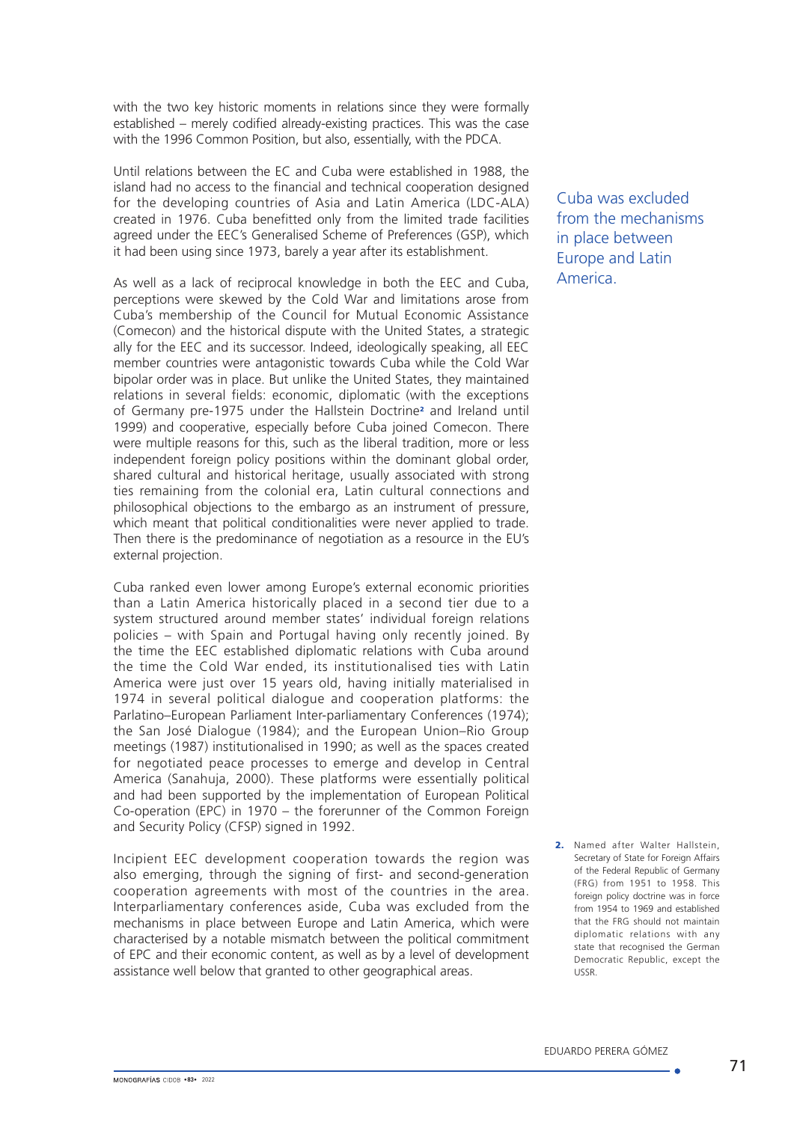with the two key historic moments in relations since they were formally established – merely codified already-existing practices. This was the case with the 1996 Common Position, but also, essentially, with the PDCA.

Until relations between the EC and Cuba were established in 1988, the island had no access to the financial and technical cooperation designed for the developing countries of Asia and Latin America (LDC-ALA) created in 1976. Cuba benefitted only from the limited trade facilities agreed under the EEC's Generalised Scheme of Preferences (GSP), which it had been using since 1973, barely a year after its establishment.

As well as a lack of reciprocal knowledge in both the EEC and Cuba, perceptions were skewed by the Cold War and limitations arose from Cuba's membership of the Council for Mutual Economic Assistance (Comecon) and the historical dispute with the United States, a strategic ally for the EEC and its successor. Indeed, ideologically speaking, all EEC member countries were antagonistic towards Cuba while the Cold War bipolar order was in place. But unlike the United States, they maintained relations in several fields: economic, diplomatic (with the exceptions of Germany pre-1975 under the Hallstein Doctrine<sup>2</sup> and Ireland until 1999) and cooperative, especially before Cuba joined Comecon. There were multiple reasons for this, such as the liberal tradition, more or less independent foreign policy positions within the dominant global order, shared cultural and historical heritage, usually associated with strong ties remaining from the colonial era, Latin cultural connections and philosophical objections to the embargo as an instrument of pressure, which meant that political conditionalities were never applied to trade. Then there is the predominance of negotiation as a resource in the EU's external projection.

Cuba ranked even lower among Europe's external economic priorities than a Latin America historically placed in a second tier due to a system structured around member states' individual foreign relations policies – with Spain and Portugal having only recently joined. By the time the EEC established diplomatic relations with Cuba around the time the Cold War ended, its institutionalised ties with Latin America were just over 15 years old, having initially materialised in 1974 in several political dialogue and cooperation platforms: the Parlatino–European Parliament Inter-parliamentary Conferences (1974); the San José Dialogue (1984); and the European Union–Rio Group meetings (1987) institutionalised in 1990; as well as the spaces created for negotiated peace processes to emerge and develop in Central America (Sanahuja, 2000). These platforms were essentially political and had been supported by the implementation of European Political Co-operation (EPC) in 1970 – the forerunner of the Common Foreign and Security Policy (CFSP) signed in 1992.

Incipient EEC development cooperation towards the region was also emerging, through the signing of first- and second-generation cooperation agreements with most of the countries in the area. Interparliamentary conferences aside, Cuba was excluded from the mechanisms in place between Europe and Latin America, which were characterised by a notable mismatch between the political commitment of EPC and their economic content, as well as by a level of development assistance well below that granted to other geographical areas.

Cuba was excluded from the mechanisms in place between Europe and Latin America.

2. Named after Walter Hallstein, Secretary of State for Foreign Affairs of the Federal Republic of Germany (FRG) from 1951 to 1958. This foreign policy doctrine was in force from 1954 to 1969 and established that the FRG should not maintain diplomatic relations with any state that recognised the German Democratic Republic, except the USSR.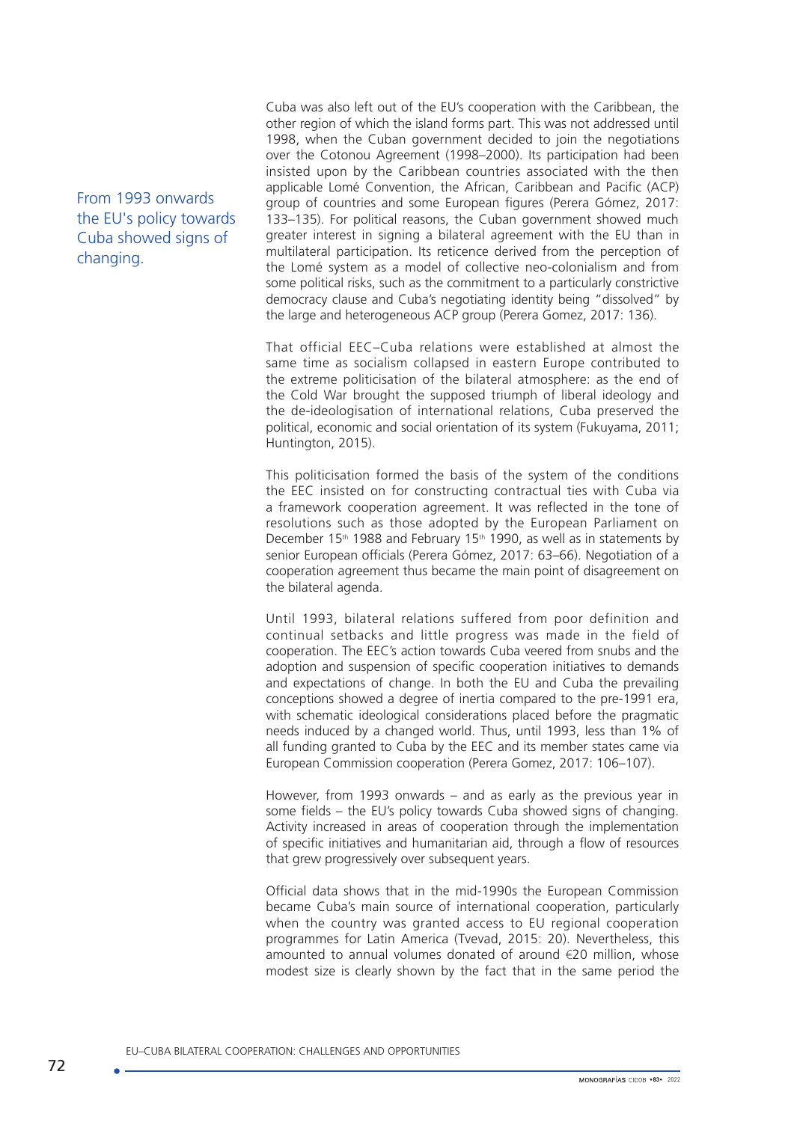From 1993 onwards the EU's policy towards Cuba showed signs of changing.

Cuba was also left out of the EU's cooperation with the Caribbean, the other region of which the island forms part. This was not addressed until 1998, when the Cuban government decided to join the negotiations over the Cotonou Agreement (1998–2000). Its participation had been insisted upon by the Caribbean countries associated with the then applicable Lomé Convention, the African, Caribbean and Pacific (ACP) group of countries and some European figures (Perera Gómez, 2017: 133–135). For political reasons, the Cuban government showed much greater interest in signing a bilateral agreement with the EU than in multilateral participation. Its reticence derived from the perception of the Lomé system as a model of collective neo-colonialism and from some political risks, such as the commitment to a particularly constrictive democracy clause and Cuba's negotiating identity being "dissolved" by the large and heterogeneous ACP group (Perera Gomez, 2017: 136).

That official EEC–Cuba relations were established at almost the same time as socialism collapsed in eastern Europe contributed to the extreme politicisation of the bilateral atmosphere: as the end of the Cold War brought the supposed triumph of liberal ideology and the de-ideologisation of international relations, Cuba preserved the political, economic and social orientation of its system (Fukuyama, 2011; Huntington, 2015).

This politicisation formed the basis of the system of the conditions the EEC insisted on for constructing contractual ties with Cuba via a framework cooperation agreement. It was reflected in the tone of resolutions such as those adopted by the European Parliament on December 15<sup>th</sup> 1988 and February 15<sup>th</sup> 1990, as well as in statements by senior European officials (Perera Gómez, 2017: 63–66). Negotiation of a cooperation agreement thus became the main point of disagreement on the bilateral agenda.

Until 1993, bilateral relations suffered from poor definition and continual setbacks and little progress was made in the field of cooperation. The EEC's action towards Cuba veered from snubs and the adoption and suspension of specific cooperation initiatives to demands and expectations of change. In both the EU and Cuba the prevailing conceptions showed a degree of inertia compared to the pre-1991 era, with schematic ideological considerations placed before the pragmatic needs induced by a changed world. Thus, until 1993, less than 1% of all funding granted to Cuba by the EEC and its member states came via European Commission cooperation (Perera Gomez, 2017: 106–107).

However, from 1993 onwards – and as early as the previous year in some fields – the EU's policy towards Cuba showed signs of changing. Activity increased in areas of cooperation through the implementation of specific initiatives and humanitarian aid, through a flow of resources that grew progressively over subsequent years.

Official data shows that in the mid-1990s the European Commission became Cuba's main source of international cooperation, particularly when the country was granted access to EU regional cooperation programmes for Latin America (Tvevad, 2015: 20). Nevertheless, this amounted to annual volumes donated of around €20 million, whose modest size is clearly shown by the fact that in the same period the

EU–CUBA BILATERAL COOPERATION: CHALLENGES AND OPPORTUNITIES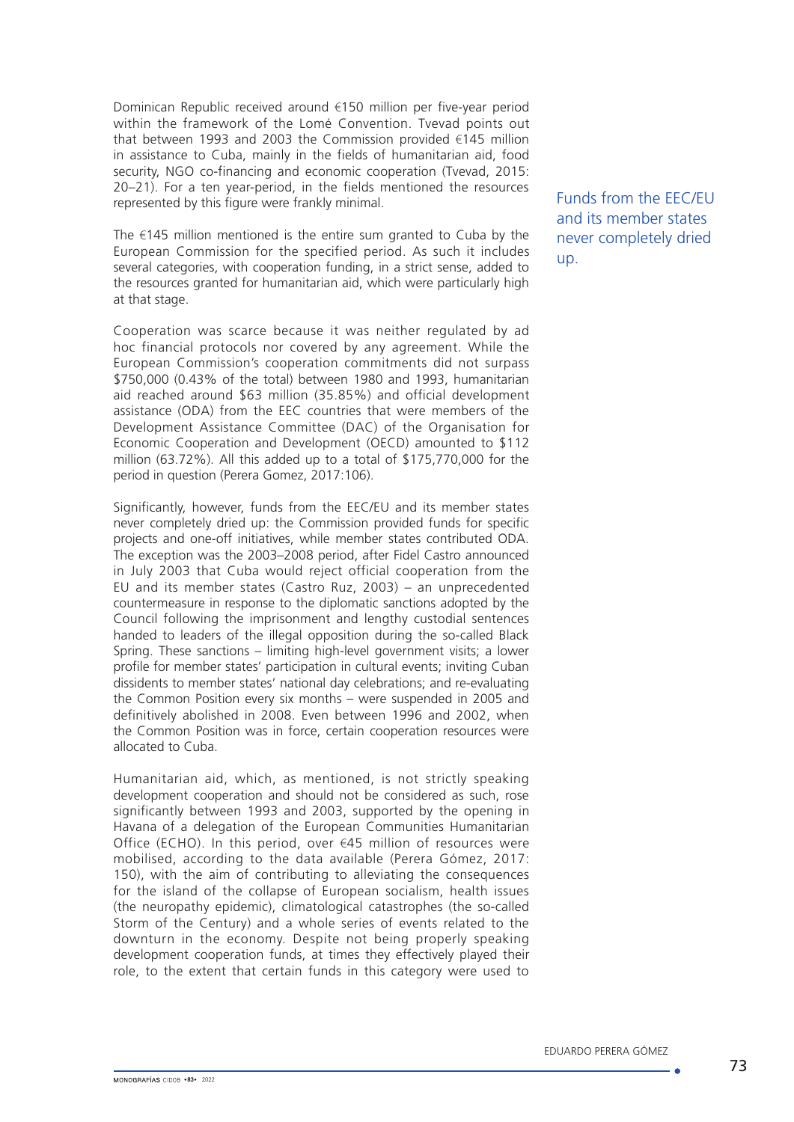Dominican Republic received around €150 million per five-year period within the framework of the Lomé Convention. Tvevad points out that between 1993 and 2003 the Commission provided €145 million in assistance to Cuba, mainly in the fields of humanitarian aid, food security, NGO co-financing and economic cooperation (Tvevad, 2015: 20–21). For a ten year-period, in the fields mentioned the resources represented by this figure were frankly minimal.

The €145 million mentioned is the entire sum granted to Cuba by the European Commission for the specified period. As such it includes several categories, with cooperation funding, in a strict sense, added to the resources granted for humanitarian aid, which were particularly high at that stage.

Cooperation was scarce because it was neither regulated by ad hoc financial protocols nor covered by any agreement. While the European Commission's cooperation commitments did not surpass \$750,000 (0.43% of the total) between 1980 and 1993, humanitarian aid reached around \$63 million (35.85%) and official development assistance (ODA) from the EEC countries that were members of the Development Assistance Committee (DAC) of the Organisation for Economic Cooperation and Development (OECD) amounted to \$112 million (63.72%). All this added up to a total of \$175,770,000 for the period in question (Perera Gomez, 2017:106).

Significantly, however, funds from the EEC/EU and its member states never completely dried up: the Commission provided funds for specific projects and one-off initiatives, while member states contributed ODA. The exception was the 2003–2008 period, after Fidel Castro announced in July 2003 that Cuba would reject official cooperation from the EU and its member states (Castro Ruz, 2003) – an unprecedented countermeasure in response to the diplomatic sanctions adopted by the Council following the imprisonment and lengthy custodial sentences handed to leaders of the illegal opposition during the so-called Black Spring. These sanctions – limiting high-level government visits; a lower profile for member states' participation in cultural events; inviting Cuban dissidents to member states' national day celebrations; and re-evaluating the Common Position every six months – were suspended in 2005 and definitively abolished in 2008. Even between 1996 and 2002, when the Common Position was in force, certain cooperation resources were allocated to Cuba.

Humanitarian aid, which, as mentioned, is not strictly speaking development cooperation and should not be considered as such, rose significantly between 1993 and 2003, supported by the opening in Havana of a delegation of the European Communities Humanitarian Office (ECHO). In this period, over €45 million of resources were mobilised, according to the data available (Perera Gómez, 2017: 150), with the aim of contributing to alleviating the consequences for the island of the collapse of European socialism, health issues (the neuropathy epidemic), climatological catastrophes (the so-called Storm of the Century) and a whole series of events related to the downturn in the economy. Despite not being properly speaking development cooperation funds, at times they effectively played their role, to the extent that certain funds in this category were used to

Funds from the EEC/EU and its member states never completely dried up.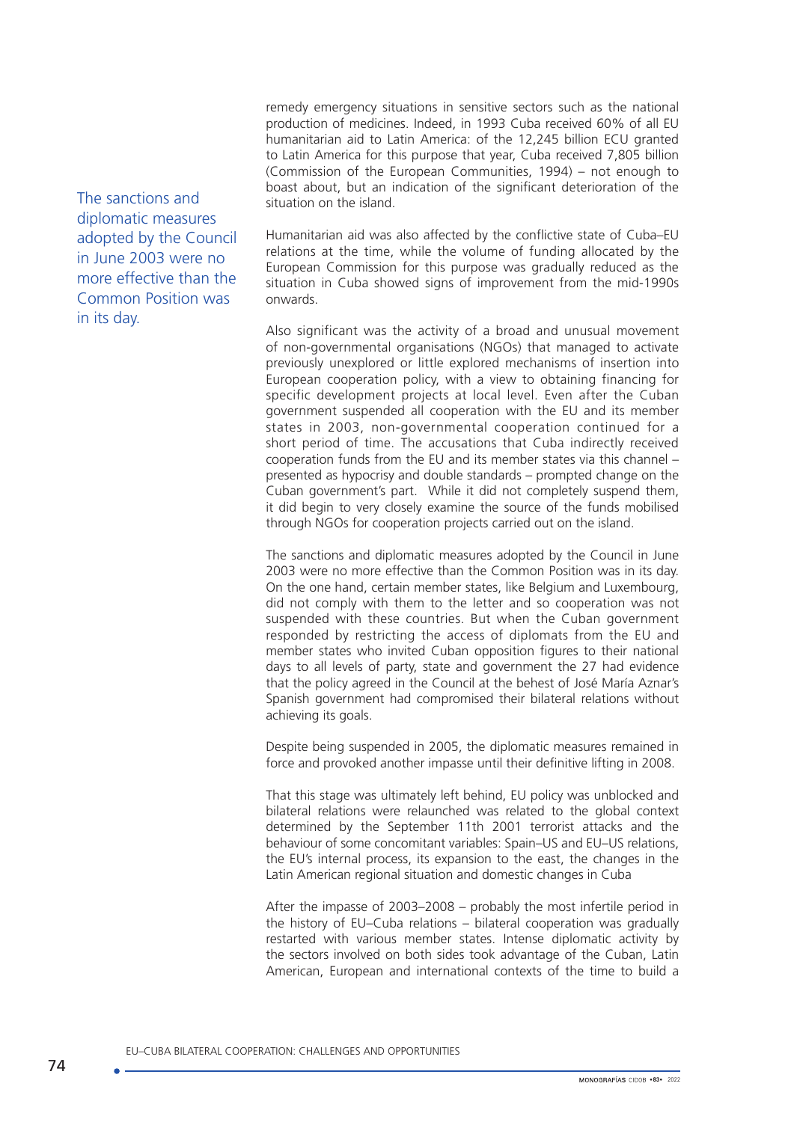remedy emergency situations in sensitive sectors such as the national production of medicines. Indeed, in 1993 Cuba received 60% of all EU humanitarian aid to Latin America: of the 12,245 billion ECU granted to Latin America for this purpose that year, Cuba received 7,805 billion (Commission of the European Communities, 1994) – not enough to boast about, but an indication of the significant deterioration of the situation on the island.

Humanitarian aid was also affected by the conflictive state of Cuba–EU relations at the time, while the volume of funding allocated by the European Commission for this purpose was gradually reduced as the situation in Cuba showed signs of improvement from the mid-1990s onwards.

Also significant was the activity of a broad and unusual movement of non-governmental organisations (NGOs) that managed to activate previously unexplored or little explored mechanisms of insertion into European cooperation policy, with a view to obtaining financing for specific development projects at local level. Even after the Cuban government suspended all cooperation with the EU and its member states in 2003, non-governmental cooperation continued for a short period of time. The accusations that Cuba indirectly received cooperation funds from the EU and its member states via this channel – presented as hypocrisy and double standards – prompted change on the Cuban government's part. While it did not completely suspend them, it did begin to very closely examine the source of the funds mobilised through NGOs for cooperation projects carried out on the island.

The sanctions and diplomatic measures adopted by the Council in June 2003 were no more effective than the Common Position was in its day. On the one hand, certain member states, like Belgium and Luxembourg, did not comply with them to the letter and so cooperation was not suspended with these countries. But when the Cuban government responded by restricting the access of diplomats from the EU and member states who invited Cuban opposition figures to their national days to all levels of party, state and government the 27 had evidence that the policy agreed in the Council at the behest of José María Aznar's Spanish government had compromised their bilateral relations without achieving its goals.

Despite being suspended in 2005, the diplomatic measures remained in force and provoked another impasse until their definitive lifting in 2008.

That this stage was ultimately left behind, EU policy was unblocked and bilateral relations were relaunched was related to the global context determined by the September 11th 2001 terrorist attacks and the behaviour of some concomitant variables: Spain–US and EU–US relations, the EU's internal process, its expansion to the east, the changes in the Latin American regional situation and domestic changes in Cuba

After the impasse of 2003–2008 – probably the most infertile period in the history of EU–Cuba relations – bilateral cooperation was gradually restarted with various member states. Intense diplomatic activity by the sectors involved on both sides took advantage of the Cuban, Latin American, European and international contexts of the time to build a

The sanctions and diplomatic measures adopted by the Council in June 2003 were no more effective than the Common Position was in its day.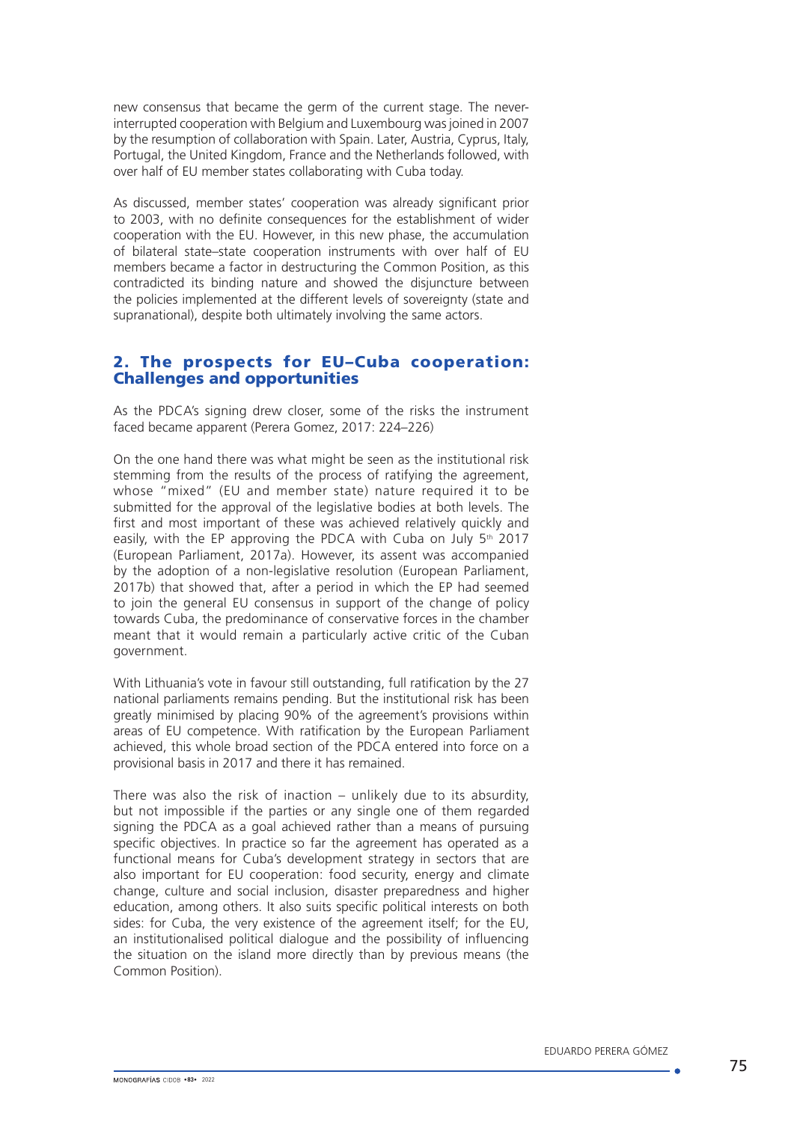new consensus that became the germ of the current stage. The neverinterrupted cooperation with Belgium and Luxembourg was joined in 2007 by the resumption of collaboration with Spain. Later, Austria, Cyprus, Italy, Portugal, the United Kingdom, France and the Netherlands followed, with over half of EU member states collaborating with Cuba today.

As discussed, member states' cooperation was already significant prior to 2003, with no definite consequences for the establishment of wider cooperation with the EU. However, in this new phase, the accumulation of bilateral state–state cooperation instruments with over half of EU members became a factor in destructuring the Common Position, as this contradicted its binding nature and showed the disjuncture between the policies implemented at the different levels of sovereignty (state and supranational), despite both ultimately involving the same actors.

# 2. The prospects for EU–Cuba cooperation: Challenges and opportunities

As the PDCA's signing drew closer, some of the risks the instrument faced became apparent (Perera Gomez, 2017: 224–226)

On the one hand there was what might be seen as the institutional risk stemming from the results of the process of ratifying the agreement, whose "mixed" (EU and member state) nature required it to be submitted for the approval of the legislative bodies at both levels. The first and most important of these was achieved relatively quickly and easily, with the EP approving the PDCA with Cuba on July  $5<sup>th</sup>$  2017 (European Parliament, 2017a). However, its assent was accompanied by the adoption of a non-legislative resolution (European Parliament, 2017b) that showed that, after a period in which the EP had seemed to join the general EU consensus in support of the change of policy towards Cuba, the predominance of conservative forces in the chamber meant that it would remain a particularly active critic of the Cuban government.

With Lithuania's vote in favour still outstanding, full ratification by the 27 national parliaments remains pending. But the institutional risk has been greatly minimised by placing 90% of the agreement's provisions within areas of EU competence. With ratification by the European Parliament achieved, this whole broad section of the PDCA entered into force on a provisional basis in 2017 and there it has remained.

There was also the risk of inaction – unlikely due to its absurdity, but not impossible if the parties or any single one of them regarded signing the PDCA as a goal achieved rather than a means of pursuing specific objectives. In practice so far the agreement has operated as a functional means for Cuba's development strategy in sectors that are also important for EU cooperation: food security, energy and climate change, culture and social inclusion, disaster preparedness and higher education, among others. It also suits specific political interests on both sides: for Cuba, the very existence of the agreement itself; for the EU, an institutionalised political dialogue and the possibility of influencing the situation on the island more directly than by previous means (the Common Position).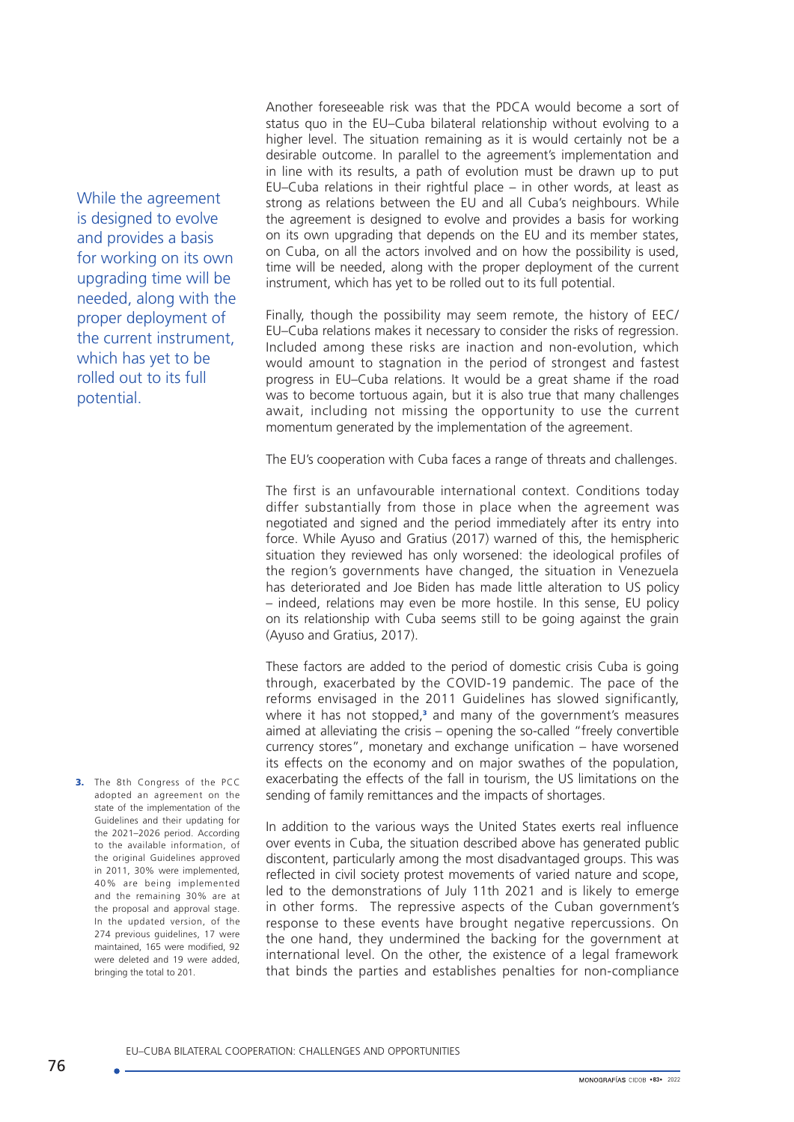While the agreement is designed to evolve and provides a basis for working on its own upgrading time will be needed, along with the proper deployment of the current instrument, which has yet to be rolled out to its full potential.

3. The 8th Congress of the PCC adopted an agreement on the state of the implementation of the Guidelines and their updating for the 2021–2026 period. According to the available information, of the original Guidelines approved in 2011, 30% were implemented, 40% are being implemented and the remaining 30% are at the proposal and approval stage. In the updated version, of the 274 previous guidelines, 17 were maintained, 165 were modified, 92 were deleted and 19 were added, bringing the total to 201.

Another foreseeable risk was that the PDCA would become a sort of status quo in the EU–Cuba bilateral relationship without evolving to a higher level. The situation remaining as it is would certainly not be a desirable outcome. In parallel to the agreement's implementation and in line with its results, a path of evolution must be drawn up to put EU–Cuba relations in their rightful place – in other words, at least as strong as relations between the EU and all Cuba's neighbours. While the agreement is designed to evolve and provides a basis for working on its own upgrading that depends on the EU and its member states, on Cuba, on all the actors involved and on how the possibility is used, time will be needed, along with the proper deployment of the current instrument, which has yet to be rolled out to its full potential.

Finally, though the possibility may seem remote, the history of EEC/ EU–Cuba relations makes it necessary to consider the risks of regression. Included among these risks are inaction and non-evolution, which would amount to stagnation in the period of strongest and fastest progress in EU–Cuba relations. It would be a great shame if the road was to become tortuous again, but it is also true that many challenges await, including not missing the opportunity to use the current momentum generated by the implementation of the agreement.

The EU's cooperation with Cuba faces a range of threats and challenges.

The first is an unfavourable international context. Conditions today differ substantially from those in place when the agreement was negotiated and signed and the period immediately after its entry into force. While Ayuso and Gratius (2017) warned of this, the hemispheric situation they reviewed has only worsened: the ideological profiles of the region's governments have changed, the situation in Venezuela has deteriorated and Joe Biden has made little alteration to US policy – indeed, relations may even be more hostile. In this sense, EU policy on its relationship with Cuba seems still to be going against the grain (Ayuso and Gratius, 2017).

These factors are added to the period of domestic crisis Cuba is going through, exacerbated by the COVID-19 pandemic. The pace of the reforms envisaged in the 2011 Guidelines has slowed significantly, where it has not stopped,<sup>3</sup> and many of the government's measures aimed at alleviating the crisis – opening the so-called "freely convertible currency stores", monetary and exchange unification – have worsened its effects on the economy and on major swathes of the population, exacerbating the effects of the fall in tourism, the US limitations on the sending of family remittances and the impacts of shortages.

In addition to the various ways the United States exerts real influence over events in Cuba, the situation described above has generated public discontent, particularly among the most disadvantaged groups. This was reflected in civil society protest movements of varied nature and scope, led to the demonstrations of July 11th 2021 and is likely to emerge in other forms. The repressive aspects of the Cuban government's response to these events have brought negative repercussions. On the one hand, they undermined the backing for the government at international level. On the other, the existence of a legal framework that binds the parties and establishes penalties for non-compliance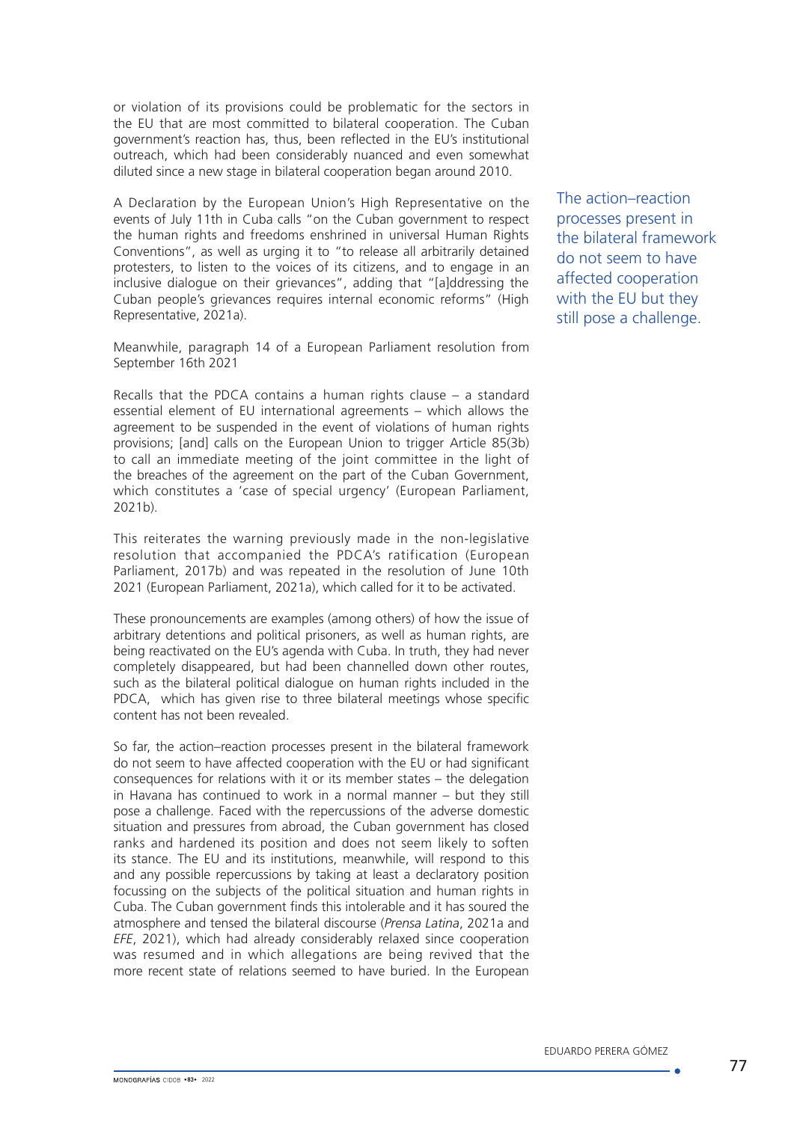or violation of its provisions could be problematic for the sectors in the EU that are most committed to bilateral cooperation. The Cuban government's reaction has, thus, been reflected in the EU's institutional outreach, which had been considerably nuanced and even somewhat diluted since a new stage in bilateral cooperation began around 2010.

A Declaration by the European Union's High Representative on the events of July 11th in Cuba calls "on the Cuban government to respect the human rights and freedoms enshrined in universal Human Rights Conventions", as well as urging it to "to release all arbitrarily detained protesters, to listen to the voices of its citizens, and to engage in an inclusive dialogue on their grievances", adding that "[a]ddressing the Cuban people's grievances requires internal economic reforms" (High Representative, 2021a).

Meanwhile, paragraph 14 of a European Parliament resolution from September 16th 2021

Recalls that the PDCA contains a human rights clause – a standard essential element of EU international agreements – which allows the agreement to be suspended in the event of violations of human rights provisions; [and] calls on the European Union to trigger Article 85(3b) to call an immediate meeting of the joint committee in the light of the breaches of the agreement on the part of the Cuban Government, which constitutes a 'case of special urgency' (European Parliament, 2021b).

This reiterates the warning previously made in the non-legislative resolution that accompanied the PDCA's ratification (European Parliament, 2017b) and was repeated in the resolution of June 10th 2021 (European Parliament, 2021a), which called for it to be activated.

These pronouncements are examples (among others) of how the issue of arbitrary detentions and political prisoners, as well as human rights, are being reactivated on the EU's agenda with Cuba. In truth, they had never completely disappeared, but had been channelled down other routes, such as the bilateral political dialogue on human rights included in the PDCA, which has given rise to three bilateral meetings whose specific content has not been revealed.

So far, the action–reaction processes present in the bilateral framework do not seem to have affected cooperation with the EU or had significant consequences for relations with it or its member states – the delegation in Havana has continued to work in a normal manner – but they still pose a challenge. Faced with the repercussions of the adverse domestic situation and pressures from abroad, the Cuban government has closed ranks and hardened its position and does not seem likely to soften its stance. The EU and its institutions, meanwhile, will respond to this and any possible repercussions by taking at least a declaratory position focussing on the subjects of the political situation and human rights in Cuba. The Cuban government finds this intolerable and it has soured the atmosphere and tensed the bilateral discourse (*Prensa Latina*, 2021a and *EFE*, 2021), which had already considerably relaxed since cooperation was resumed and in which allegations are being revived that the more recent state of relations seemed to have buried. In the European

The action–reaction processes present in the bilateral framework do not seem to have affected cooperation with the EU but they still pose a challenge.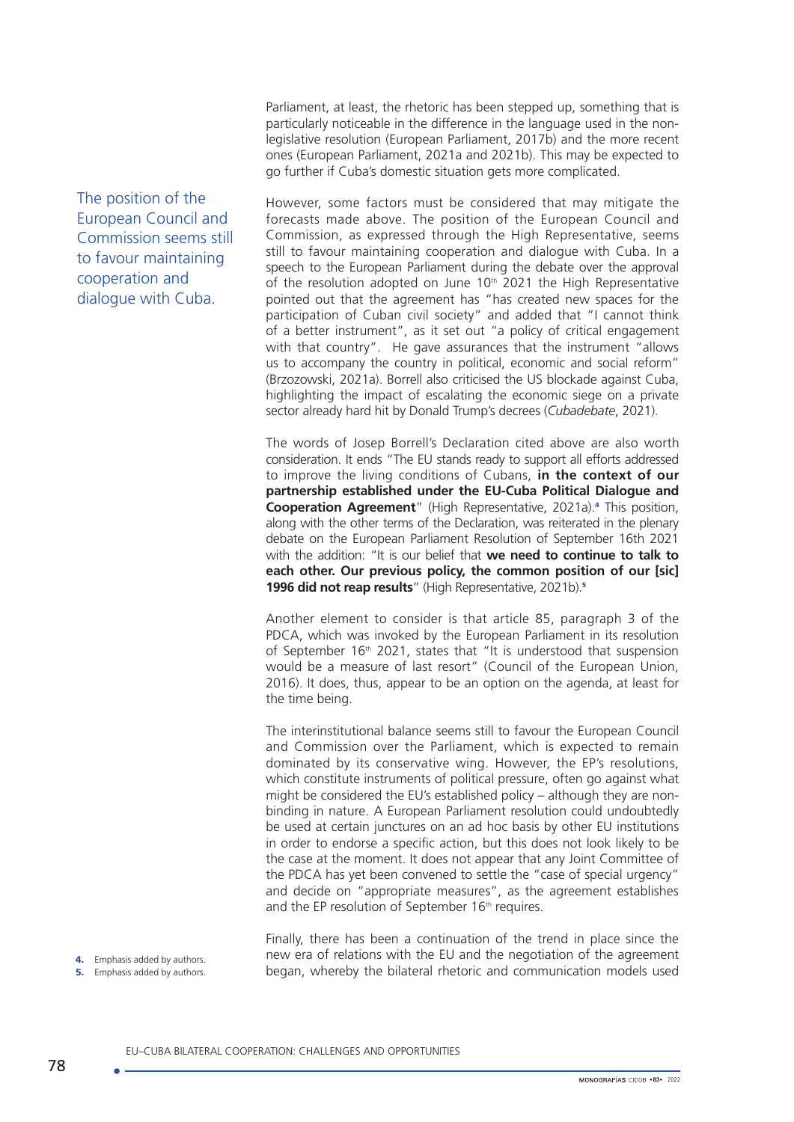Parliament, at least, the rhetoric has been stepped up, something that is particularly noticeable in the difference in the language used in the nonlegislative resolution (European Parliament, 2017b) and the more recent ones (European Parliament, 2021a and 2021b). This may be expected to go further if Cuba's domestic situation gets more complicated.

However, some factors must be considered that may mitigate the forecasts made above. The position of the European Council and Commission, as expressed through the High Representative, seems still to favour maintaining cooperation and dialogue with Cuba. In a speech to the European Parliament during the debate over the approval of the resolution adopted on June 10<sup>th</sup> 2021 the High Representative pointed out that the agreement has "has created new spaces for the participation of Cuban civil society" and added that "I cannot think of a better instrument", as it set out "a policy of critical engagement with that country". He gave assurances that the instrument "allows us to accompany the country in political, economic and social reform" (Brzozowski, 2021a). Borrell also criticised the US blockade against Cuba, highlighting the impact of escalating the economic siege on a private sector already hard hit by Donald Trump's decrees (*Cubadebate*, 2021).

The words of Josep Borrell's Declaration cited above are also worth consideration. It ends "The EU stands ready to support all efforts addressed to improve the living conditions of Cubans, **in the context of our partnership established under the EU-Cuba Political Dialogue and Cooperation Agreement**" (High Representative, 2021a).<sup>4</sup> This position, along with the other terms of the Declaration, was reiterated in the plenary debate on the European Parliament Resolution of September 16th 2021 with the addition: "It is our belief that **we need to continue to talk to each other. Our previous policy, the common position of our [sic] 1996 did not reap results**" (High Representative, 2021b).<sup>5</sup>

Another element to consider is that article 85, paragraph 3 of the PDCA, which was invoked by the European Parliament in its resolution of September 16<sup>th</sup> 2021, states that "It is understood that suspension would be a measure of last resort" (Council of the European Union, 2016). It does, thus, appear to be an option on the agenda, at least for the time being.

The interinstitutional balance seems still to favour the European Council and Commission over the Parliament, which is expected to remain dominated by its conservative wing. However, the EP's resolutions, which constitute instruments of political pressure, often go against what might be considered the EU's established policy – although they are nonbinding in nature. A European Parliament resolution could undoubtedly be used at certain junctures on an ad hoc basis by other EU institutions in order to endorse a specific action, but this does not look likely to be the case at the moment. It does not appear that any Joint Committee of the PDCA has yet been convened to settle the "case of special urgency" and decide on "appropriate measures", as the agreement establishes and the EP resolution of September 16<sup>th</sup> requires.

Finally, there has been a continuation of the trend in place since the new era of relations with the EU and the negotiation of the agreement began, whereby the bilateral rhetoric and communication models used

The position of the European Council and Commission seems still to favour maintaining cooperation and dialogue with Cuba.

EU–CUBA BILATERAL COOPERATION: CHALLENGES AND OPPORTUNITIES

4. Emphasis added by authors. **5.** Emphasis added by authors.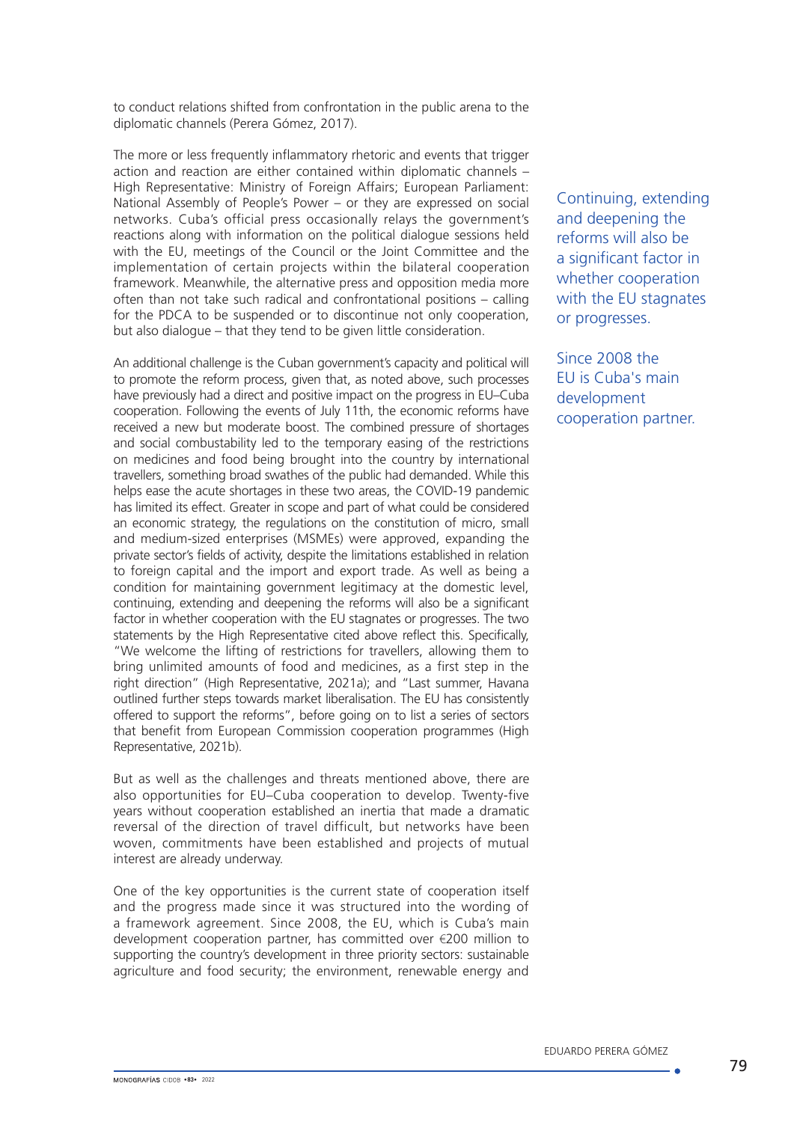to conduct relations shifted from confrontation in the public arena to the diplomatic channels (Perera Gómez, 2017).

The more or less frequently inflammatory rhetoric and events that trigger action and reaction are either contained within diplomatic channels – High Representative: Ministry of Foreign Affairs; European Parliament: National Assembly of People's Power – or they are expressed on social networks. Cuba's official press occasionally relays the government's reactions along with information on the political dialogue sessions held with the EU, meetings of the Council or the Joint Committee and the implementation of certain projects within the bilateral cooperation framework. Meanwhile, the alternative press and opposition media more often than not take such radical and confrontational positions – calling for the PDCA to be suspended or to discontinue not only cooperation, but also dialogue – that they tend to be given little consideration.

An additional challenge is the Cuban government's capacity and political will to promote the reform process, given that, as noted above, such processes have previously had a direct and positive impact on the progress in EU–Cuba cooperation. Following the events of July 11th, the economic reforms have received a new but moderate boost. The combined pressure of shortages and social combustability led to the temporary easing of the restrictions on medicines and food being brought into the country by international travellers, something broad swathes of the public had demanded. While this helps ease the acute shortages in these two areas, the COVID-19 pandemic has limited its effect. Greater in scope and part of what could be considered an economic strategy, the regulations on the constitution of micro, small and medium-sized enterprises (MSMEs) were approved, expanding the private sector's fields of activity, despite the limitations established in relation to foreign capital and the import and export trade. As well as being a condition for maintaining government legitimacy at the domestic level, continuing, extending and deepening the reforms will also be a significant factor in whether cooperation with the EU stagnates or progresses. The two statements by the High Representative cited above reflect this. Specifically, "We welcome the lifting of restrictions for travellers, allowing them to bring unlimited amounts of food and medicines, as a first step in the right direction" (High Representative, 2021a); and "Last summer, Havana outlined further steps towards market liberalisation. The EU has consistently offered to support the reforms", before going on to list a series of sectors that benefit from European Commission cooperation programmes (High Representative, 2021b).

But as well as the challenges and threats mentioned above, there are also opportunities for EU–Cuba cooperation to develop. Twenty-five years without cooperation established an inertia that made a dramatic reversal of the direction of travel difficult, but networks have been woven, commitments have been established and projects of mutual interest are already underway.

One of the key opportunities is the current state of cooperation itself and the progress made since it was structured into the wording of a framework agreement. Since 2008, the EU, which is Cuba's main development cooperation partner, has committed over €200 million to supporting the country's development in three priority sectors: sustainable agriculture and food security; the environment, renewable energy and

Continuing, extending and deepening the reforms will also be a significant factor in whether cooperation with the EU stagnates or progresses.

Since 2008 the EU is Cuba's main development cooperation partner.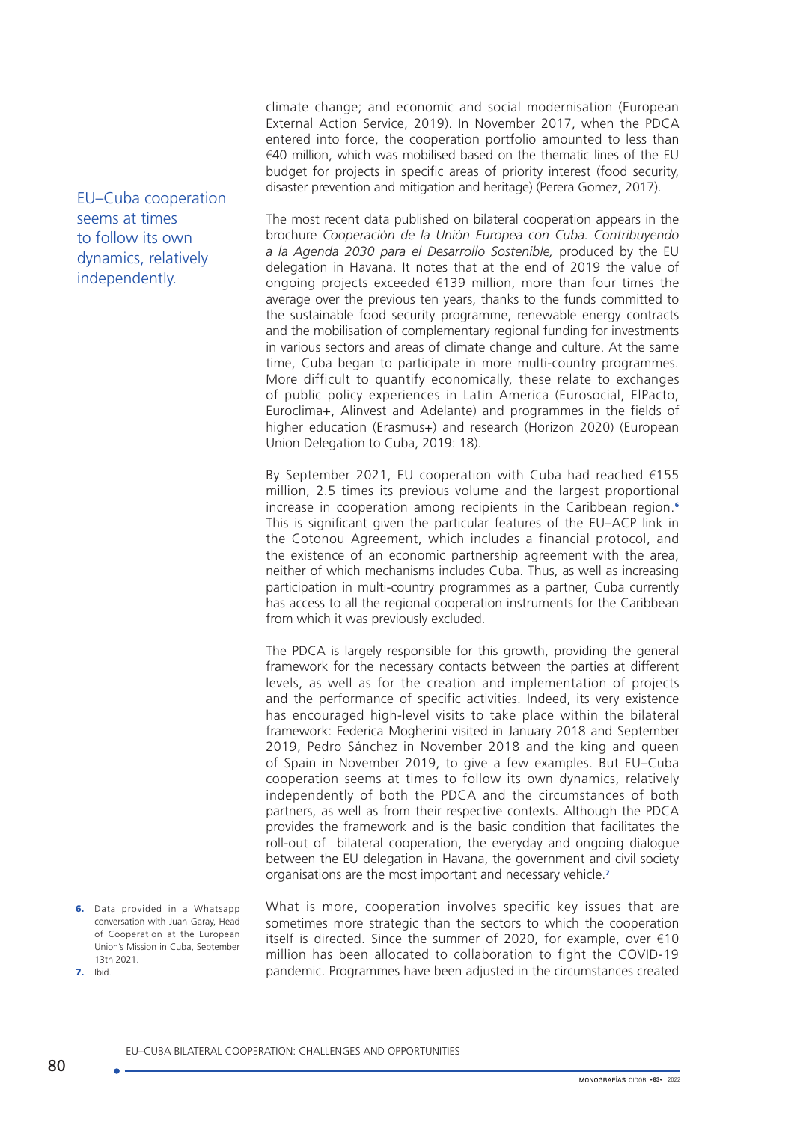climate change; and economic and social modernisation (European External Action Service, 2019). In November 2017, when the PDCA entered into force, the cooperation portfolio amounted to less than  $€40$  million, which was mobilised based on the thematic lines of the EU budget for projects in specific areas of priority interest (food security, disaster prevention and mitigation and heritage) (Perera Gomez, 2017).

The most recent data published on bilateral cooperation appears in the brochure *Cooperación de la Unión Europea con Cuba. Contribuyendo a la Agenda 2030 para el Desarrollo Sostenible,* produced by the EU delegation in Havana. It notes that at the end of 2019 the value of ongoing projects exceeded €139 million, more than four times the average over the previous ten years, thanks to the funds committed to the sustainable food security programme, renewable energy contracts and the mobilisation of complementary regional funding for investments in various sectors and areas of climate change and culture. At the same time, Cuba began to participate in more multi-country programmes. More difficult to quantify economically, these relate to exchanges of public policy experiences in Latin America (Eurosocial, ElPacto, Euroclima+, Alinvest and Adelante) and programmes in the fields of higher education (Erasmus+) and research (Horizon 2020) (European Union Delegation to Cuba, 2019: 18).

By September 2021, EU cooperation with Cuba had reached €155 million, 2.5 times its previous volume and the largest proportional increase in cooperation among recipients in the Caribbean region.<sup>6</sup> This is significant given the particular features of the EU–ACP link in the Cotonou Agreement, which includes a financial protocol, and the existence of an economic partnership agreement with the area, neither of which mechanisms includes Cuba. Thus, as well as increasing participation in multi-country programmes as a partner, Cuba currently has access to all the regional cooperation instruments for the Caribbean from which it was previously excluded.

The PDCA is largely responsible for this growth, providing the general framework for the necessary contacts between the parties at different levels, as well as for the creation and implementation of projects and the performance of specific activities. Indeed, its very existence has encouraged high-level visits to take place within the bilateral framework: Federica Mogherini visited in January 2018 and September 2019, Pedro Sánchez in November 2018 and the king and queen of Spain in November 2019, to give a few examples. But EU–Cuba cooperation seems at times to follow its own dynamics, relatively independently of both the PDCA and the circumstances of both partners, as well as from their respective contexts. Although the PDCA provides the framework and is the basic condition that facilitates the roll-out of bilateral cooperation, the everyday and ongoing dialogue between the EU delegation in Havana, the government and civil society organisations are the most important and necessary vehicle.<sup>7</sup>

6. Data provided in a Whatsapp conversation with Juan Garay, Head of Cooperation at the European Union's Mission in Cuba, September 13th 2021. 7. Ibid.

What is more, cooperation involves specific key issues that are sometimes more strategic than the sectors to which the cooperation itself is directed. Since the summer of 2020, for example, over €10 million has been allocated to collaboration to fight the COVID-19 pandemic. Programmes have been adjusted in the circumstances created

# EU–Cuba cooperation seems at times to follow its own dynamics, relatively independently.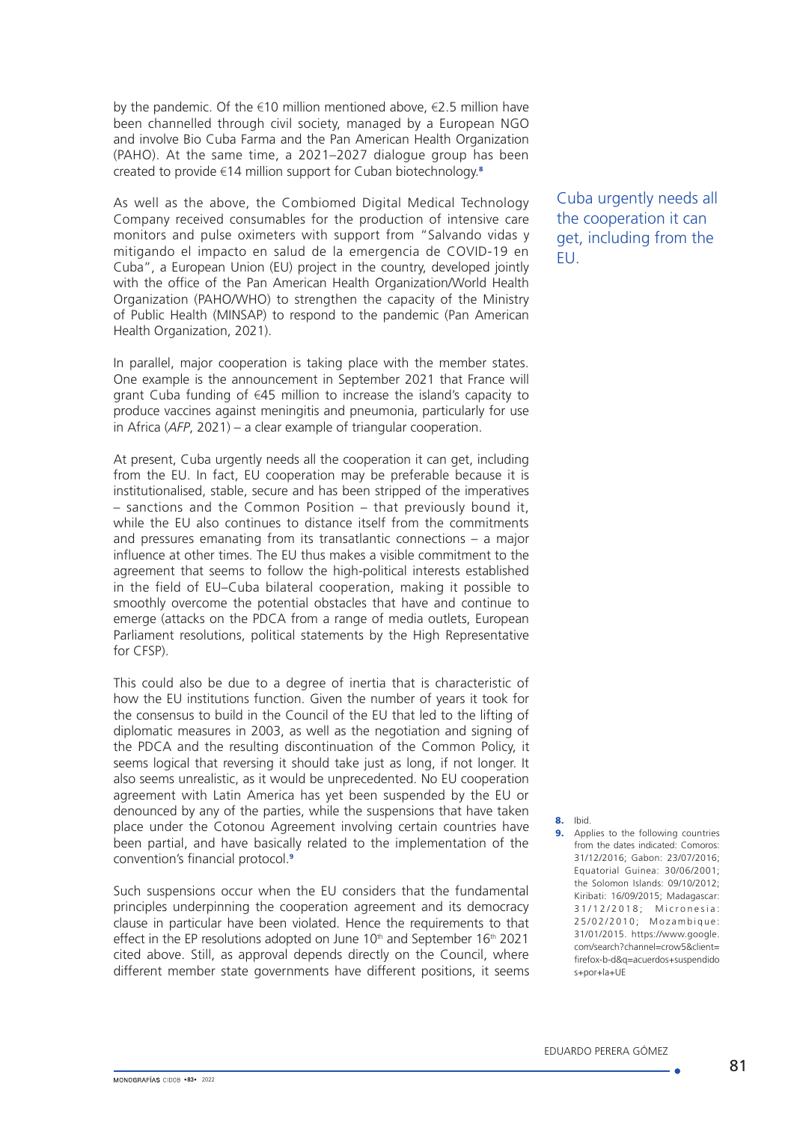by the pandemic. Of the  $\epsilon$ 10 million mentioned above,  $\epsilon$ 2.5 million have been channelled through civil society, managed by a European NGO and involve Bio Cuba Farma and the Pan American Health Organization (PAHO). At the same time, a 2021–2027 dialogue group has been created to provide €14 million support for Cuban biotechnology.<sup>8</sup>

As well as the above, the Combiomed Digital Medical Technology Company received consumables for the production of intensive care monitors and pulse oximeters with support from "Salvando vidas y mitigando el impacto en salud de la emergencia de COVID-19 en Cuba", a European Union (EU) project in the country, developed jointly with the office of the Pan American Health Organization/World Health Organization (PAHO/WHO) to strengthen the capacity of the Ministry of Public Health (MINSAP) to respond to the pandemic (Pan American Health Organization, 2021).

In parallel, major cooperation is taking place with the member states. One example is the announcement in September 2021 that France will grant Cuba funding of €45 million to increase the island's capacity to produce vaccines against meningitis and pneumonia, particularly for use in Africa (*AFP*, 2021) – a clear example of triangular cooperation.

At present, Cuba urgently needs all the cooperation it can get, including from the EU. In fact, EU cooperation may be preferable because it is institutionalised, stable, secure and has been stripped of the imperatives – sanctions and the Common Position – that previously bound it, while the EU also continues to distance itself from the commitments and pressures emanating from its transatlantic connections – a major influence at other times. The EU thus makes a visible commitment to the agreement that seems to follow the high-political interests established in the field of EU–Cuba bilateral cooperation, making it possible to smoothly overcome the potential obstacles that have and continue to emerge (attacks on the PDCA from a range of media outlets, European Parliament resolutions, political statements by the High Representative for CFSP).

This could also be due to a degree of inertia that is characteristic of how the EU institutions function. Given the number of years it took for the consensus to build in the Council of the EU that led to the lifting of diplomatic measures in 2003, as well as the negotiation and signing of the PDCA and the resulting discontinuation of the Common Policy, it seems logical that reversing it should take just as long, if not longer. It also seems unrealistic, as it would be unprecedented. No EU cooperation agreement with Latin America has yet been suspended by the EU or denounced by any of the parties, while the suspensions that have taken place under the Cotonou Agreement involving certain countries have been partial, and have basically related to the implementation of the convention's financial protocol.<sup>9</sup>

Such suspensions occur when the EU considers that the fundamental principles underpinning the cooperation agreement and its democracy clause in particular have been violated. Hence the requirements to that effect in the EP resolutions adopted on June 10<sup>th</sup> and September 16<sup>th</sup> 2021 cited above. Still, as approval depends directly on the Council, where different member state governments have different positions, it seems

Cuba urgently needs all the cooperation it can get, including from the EU.

8. Ibid.

9. Applies to the following countries from the dates indicated: Comoros: 31/12/2016; Gabon: 23/07/2016; Equatorial Guinea: 30/06/2001; the Solomon Islands: 09/10/2012; Kiribati: 16/09/2015; Madagascar: 3 1 / 1 2 / 2 0 1 8 ; Micronesia: 25/02/2010; Mozambique: 31/01/2015. [https://www.google.](file:https://www.google.com/search%3Fchannel%3Dcrow5%26client%3Dfirefox-b-d%26q%3Dacuerdos%2Bsuspendidos%2Bpor%2Bla%2BUE) [com/search?channel=crow5&client=](file:https://www.google.com/search%3Fchannel%3Dcrow5%26client%3Dfirefox-b-d%26q%3Dacuerdos%2Bsuspendidos%2Bpor%2Bla%2BUE) [firefox-b-d&q=acuerdos+suspendido](file:https://www.google.com/search%3Fchannel%3Dcrow5%26client%3Dfirefox-b-d%26q%3Dacuerdos%2Bsuspendidos%2Bpor%2Bla%2BUE) [s+por+la+UE](file:https://www.google.com/search%3Fchannel%3Dcrow5%26client%3Dfirefox-b-d%26q%3Dacuerdos%2Bsuspendidos%2Bpor%2Bla%2BUE)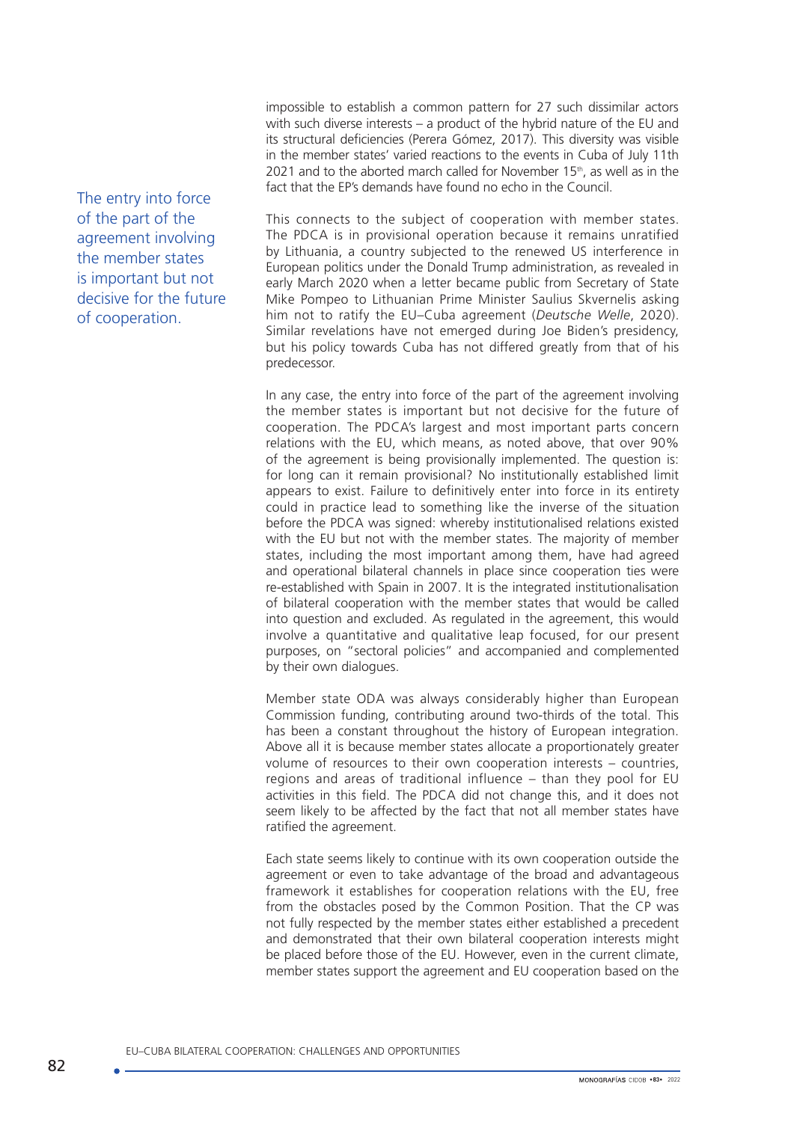impossible to establish a common pattern for 27 such dissimilar actors with such diverse interests – a product of the hybrid nature of the EU and its structural deficiencies (Perera Gómez, 2017). This diversity was visible in the member states' varied reactions to the events in Cuba of July 11th 2021 and to the aborted march called for November 15<sup>th</sup>, as well as in the fact that the EP's demands have found no echo in the Council.

This connects to the subject of cooperation with member states. The PDCA is in provisional operation because it remains unratified by Lithuania, a country subjected to the renewed US interference in European politics under the Donald Trump administration, as revealed in early March 2020 when a letter became public from Secretary of State Mike Pompeo to Lithuanian Prime Minister Saulius Skvernelis asking him not to ratify the EU–Cuba agreement (*Deutsche Welle*, 2020). Similar revelations have not emerged during Joe Biden's presidency, but his policy towards Cuba has not differed greatly from that of his predecessor.

In any case, the entry into force of the part of the agreement involving the member states is important but not decisive for the future of cooperation. The PDCA's largest and most important parts concern relations with the EU, which means, as noted above, that over 90% of the agreement is being provisionally implemented. The question is: for long can it remain provisional? No institutionally established limit appears to exist. Failure to definitively enter into force in its entirety could in practice lead to something like the inverse of the situation before the PDCA was signed: whereby institutionalised relations existed with the EU but not with the member states. The majority of member states, including the most important among them, have had agreed and operational bilateral channels in place since cooperation ties were re-established with Spain in 2007. It is the integrated institutionalisation of bilateral cooperation with the member states that would be called into question and excluded. As regulated in the agreement, this would involve a quantitative and qualitative leap focused, for our present purposes, on "sectoral policies" and accompanied and complemented by their own dialogues.

Member state ODA was always considerably higher than European Commission funding, contributing around two-thirds of the total. This has been a constant throughout the history of European integration. Above all it is because member states allocate a proportionately greater volume of resources to their own cooperation interests – countries, regions and areas of traditional influence – than they pool for EU activities in this field. The PDCA did not change this, and it does not seem likely to be affected by the fact that not all member states have ratified the agreement.

Each state seems likely to continue with its own cooperation outside the agreement or even to take advantage of the broad and advantageous framework it establishes for cooperation relations with the EU, free from the obstacles posed by the Common Position. That the CP was not fully respected by the member states either established a precedent and demonstrated that their own bilateral cooperation interests might be placed before those of the EU. However, even in the current climate, member states support the agreement and EU cooperation based on the

The entry into force of the part of the agreement involving the member states is important but not decisive for the future of cooperation.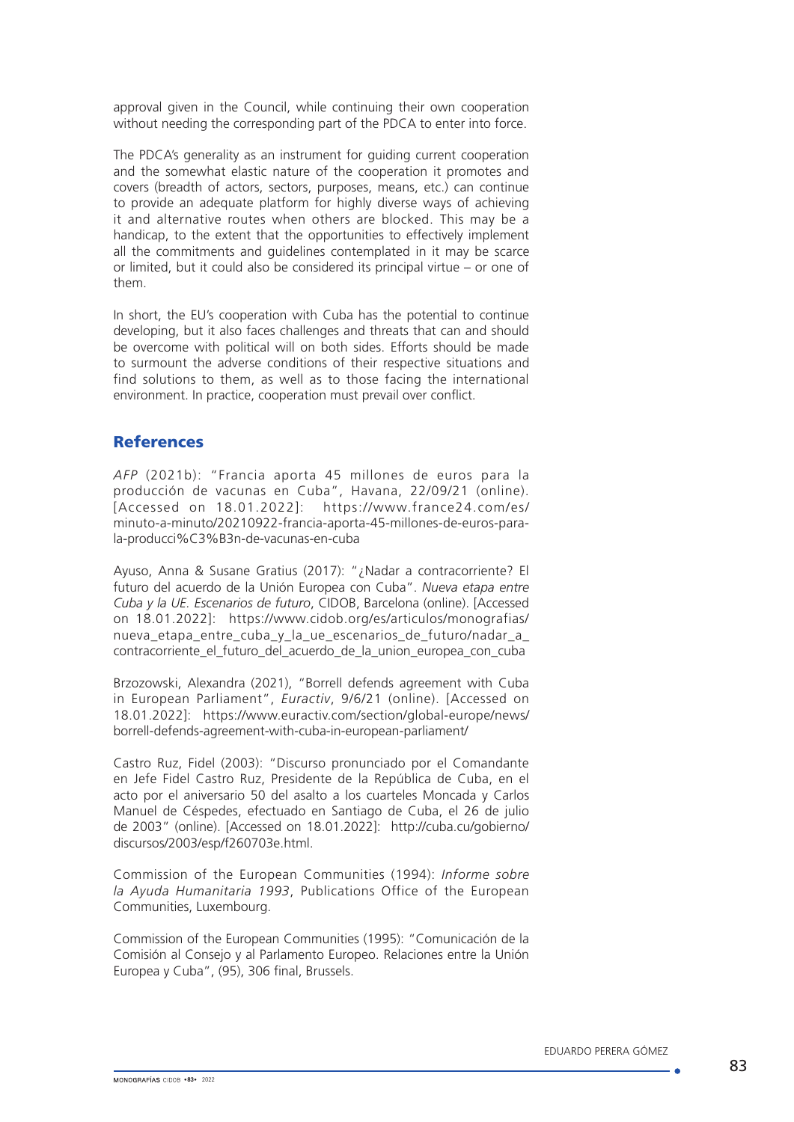approval given in the Council, while continuing their own cooperation without needing the corresponding part of the PDCA to enter into force.

The PDCA's generality as an instrument for guiding current cooperation and the somewhat elastic nature of the cooperation it promotes and covers (breadth of actors, sectors, purposes, means, etc.) can continue to provide an adequate platform for highly diverse ways of achieving it and alternative routes when others are blocked. This may be a handicap, to the extent that the opportunities to effectively implement all the commitments and guidelines contemplated in it may be scarce or limited, but it could also be considered its principal virtue – or one of them.

In short, the EU's cooperation with Cuba has the potential to continue developing, but it also faces challenges and threats that can and should be overcome with political will on both sides. Efforts should be made to surmount the adverse conditions of their respective situations and find solutions to them, as well as to those facing the international environment. In practice, cooperation must prevail over conflict.

## **References**

*AFP* (2021b): "Francia aporta 45 millones de euros para la producción de vacunas en Cuba", Havana, 22/09/21 (online). [Accessed on 18.01.2022]: [https://www.france24.com/es/](https://www.france24.com/es/minuto-a-minuto/20210922-francia-aporta-45-millones-de-euros-para-la-producci%C3%B3n-de-vacunas-en-cuba) [minuto-a-minuto/20210922-francia-aporta-45-millones-de-euros-para](https://www.france24.com/es/minuto-a-minuto/20210922-francia-aporta-45-millones-de-euros-para-la-producci%C3%B3n-de-vacunas-en-cuba)[la-producci%C3%B3n-de-vacunas-en-cuba](https://www.france24.com/es/minuto-a-minuto/20210922-francia-aporta-45-millones-de-euros-para-la-producci%C3%B3n-de-vacunas-en-cuba)

Ayuso, Anna & Susane Gratius (2017): "¿Nadar a contracorriente? El futuro del acuerdo de la Unión Europea con Cuba". *Nueva etapa entre Cuba y la UE. Escenarios de futuro*, CIDOB, Barcelona (online). [Accessed on 18.01.2022]: [https://www.cidob.org/es/articulos/monografias/](https://www.cidob.org/es/articulos/monografias/nueva_etapa_entre_cuba_y_la_ue_escenarios_de_futuro/nadar_a_contracorriente_el_futuro_del_acuerdo_de_la_union_europea_con_cuba) nueva etapa entre cuba y la ue escenarios de futuro/nadar a [contracorriente\\_el\\_futuro\\_del\\_acuerdo\\_de\\_la\\_union\\_europea\\_con\\_cuba](https://www.cidob.org/es/articulos/monografias/nueva_etapa_entre_cuba_y_la_ue_escenarios_de_futuro/nadar_a_contracorriente_el_futuro_del_acuerdo_de_la_union_europea_con_cuba)

Brzozowski, Alexandra (2021), "Borrell defends agreement with Cuba in European Parliament", *Euractiv*, 9/6/21 (online). [Accessed on 18.01.2022]: https://www.euractiv.com/section/global-europe/news/ borrell-defends-agreement-with-cuba-in-european-parliament/

Castro Ruz, Fidel (2003): "Discurso pronunciado por el Comandante en Jefe Fidel Castro Ruz, Presidente de la República de Cuba, en el acto por el aniversario 50 del asalto a los cuarteles Moncada y Carlos Manuel de Céspedes, efectuado en Santiago de Cuba, el 26 de julio de 2003" (online). [Accessed on 18.01.2022]: [http://cuba.cu/gobierno/](http://cuba.cu/gobierno/discursos/2003/esp/f260703e.html) [discursos/2003/esp/f260703e.html](http://cuba.cu/gobierno/discursos/2003/esp/f260703e.html).

Commission of the European Communities (1994): *Informe sobre la Ayuda Humanitaria 1993*, Publications Office of the European Communities, Luxembourg.

Commission of the European Communities (1995): "Comunicación de la Comisión al Consejo y al Parlamento Europeo. Relaciones entre la Unión Europea y Cuba", (95), 306 final, Brussels.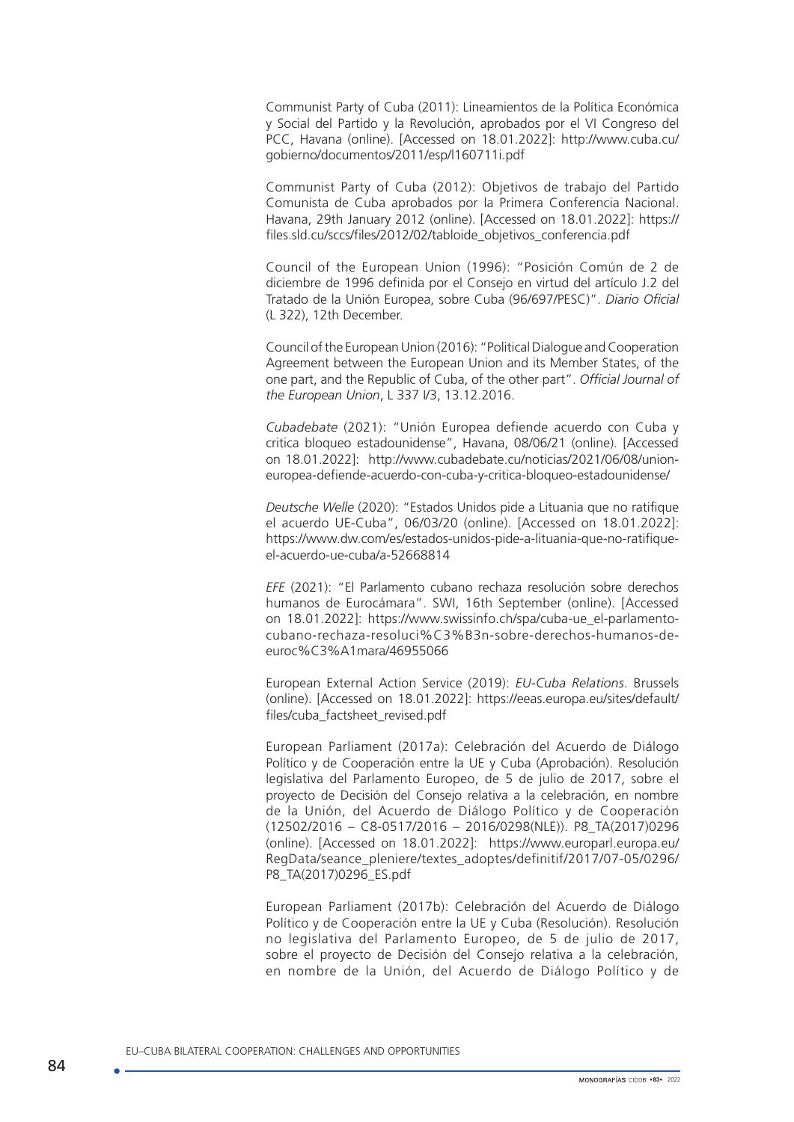Communist Party of Cuba (2011): Lineamientos de la Política Económica y Social del Partido y la Revolución, aprobados por el VI Congreso del PCC, Havana (online). [Accessed on 18.01.2022]: http://www.cuba.cu/ gobierno/documentos/2011/esp/l160711i.pdf

Communist Party of Cuba (2012): Objetivos de trabajo del Partido Comunista de Cuba aprobados por la Primera Conferencia Nacional. Havana, 29th January 2012 (online). [Accessed on 18.01.2022]: https:// files.sld.cu/sccs/files/2012/02/tabloide\_objetivos\_conferencia.pdf

Council of the European Union (1996): "Posición Común de 2 de diciembre de 1996 definida por el Consejo en virtud del artículo J.2 del Tratado de la Unión Europea, sobre Cuba (96/697/PESC)". *Diario Oficial*  (L 322), 12th December.

Council of the European Union (2016): "Political Dialogue and Cooperation Agreement between the European Union and its Member States, of the one part, and the Republic of Cuba, of the other part". *Official Journal of the European Union*, L 337 I/3, 13.12.2016.

*Cubadebate* (2021): "Unión Europea defiende acuerdo con Cuba y critica bloqueo estadounidense", Havana, 08/06/21 (online). [Accessed on 18.01.2022]: [http://www.cubadebate.cu/noticias/2021/06/08/union](http://www.cubadebate.cu/noticias/2021/06/08/union-europea-defiende-acuerdo-con-cuba-y-critica-bloqueo-estadounidense/)[europea-defiende-acuerdo-con-cuba-y-critica-bloqueo-estadounidense/](http://www.cubadebate.cu/noticias/2021/06/08/union-europea-defiende-acuerdo-con-cuba-y-critica-bloqueo-estadounidense/)

*Deutsche Welle* (2020): "Estados Unidos pide a Lituania que no ratifique el acuerdo UE-Cuba", 06/03/20 (online). [Accessed on 18.01.2022]: [https://www.dw.com/es/estados-unidos-pide-a-lituania-que-no-ratifique](https://www.dw.com/es/estados-unidos-pide-a-lituania-que-no-ratifique-el-acuerdo-ue-cuba/a-52668814)[el-acuerdo-ue-cuba/a-52668814](https://www.dw.com/es/estados-unidos-pide-a-lituania-que-no-ratifique-el-acuerdo-ue-cuba/a-52668814)

*EFE* (2021): "El Parlamento cubano rechaza resolución sobre derechos humanos de Eurocámara". SWI, 16th September (online). [Accessed on 18.01.2022]: [https://www.swissinfo.ch/spa/cuba-ue\\_el-parlamento](https://www.swissinfo.ch/spa/cuba-ue_el-parlamento-cubano-rechaza-resoluci%C3%B3n-sobre-derechos-humanos-de-euroc%C3%A1mara/46955066)[cubano-rechaza-resoluci%C3%B3n-sobre-derechos-humanos-de](https://www.swissinfo.ch/spa/cuba-ue_el-parlamento-cubano-rechaza-resoluci%C3%B3n-sobre-derechos-humanos-de-euroc%C3%A1mara/46955066)[euroc%C3%A1mara/46955066](https://www.swissinfo.ch/spa/cuba-ue_el-parlamento-cubano-rechaza-resoluci%C3%B3n-sobre-derechos-humanos-de-euroc%C3%A1mara/46955066)

European External Action Service (2019): *EU-Cuba Relations*. Brussels (online). [Accessed on 18.01.2022]: [https://eeas.europa.eu/sites/default/](https://eeas.europa.eu/sites/default/files/cuba_factsheet_revised.pdf) [files/cuba\\_factsheet\\_revised.pdf](https://eeas.europa.eu/sites/default/files/cuba_factsheet_revised.pdf)

European Parliament (2017a): Celebración del Acuerdo de Diálogo Político y de Cooperación entre la UE y Cuba (Aprobación). Resolución legislativa del Parlamento Europeo, de 5 de julio de 2017, sobre el proyecto de Decisión del Consejo relativa a la celebración, en nombre de la Unión, del Acuerdo de Diálogo Político y de Cooperación (12502/2016 – C8-0517/2016 – 2016/0298(NLE)). P8\_TA(2017)0296 (online). [Accessed on 18.01.2022]: https://www.europarl.europa.eu/ RegData/seance\_pleniere/textes\_adoptes/definitif/2017/07-05/0296/ P8\_TA(2017)0296\_ES.pdf

European Parliament (2017b): Celebración del Acuerdo de Diálogo Político y de Cooperación entre la UE y Cuba (Resolución). Resolución no legislativa del Parlamento Europeo, de 5 de julio de 2017, sobre el proyecto de Decisión del Consejo relativa a la celebración, en nombre de la Unión, del Acuerdo de Diálogo Político y de

EU–CUBA BILATERAL COOPERATION: CHALLENGES AND OPPORTUNITIES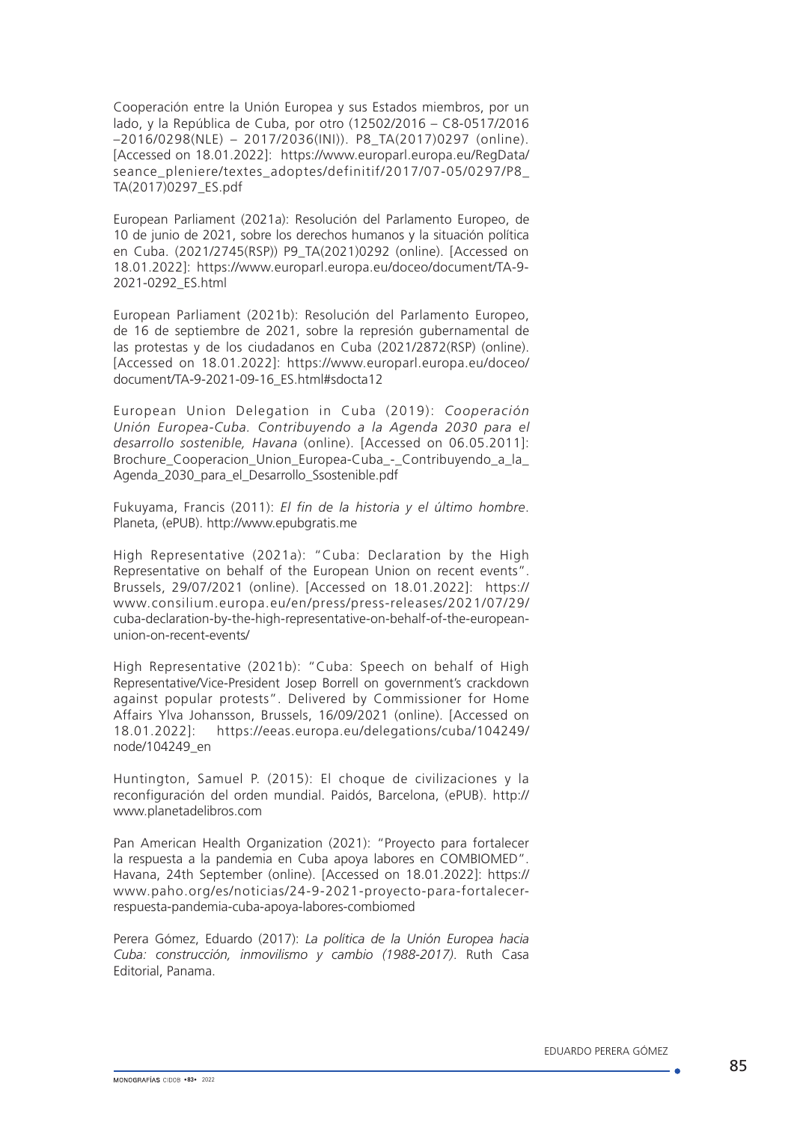Cooperación entre la Unión Europea y sus Estados miembros, por un lado, y la República de Cuba, por otro (12502/2016 – C8-0517/2016 –2016/0298(NLE) – 2017/2036(INI)). P8\_TA(2017)0297 (online). [Accessed on 18.01.2022]: https://www.europarl.europa.eu/RegData/ seance\_pleniere/textes\_adoptes/definitif/2017/07-05/0297/P8 TA(2017)0297\_ES.pdf

European Parliament (2021a): Resolución del Parlamento Europeo, de 10 de junio de 2021, sobre los derechos humanos y la situación política en Cuba. (2021/2745(RSP)) P9\_TA(2021)0292 (online). [Accessed on 18.01.2022]: https://www.europarl.europa.eu/doceo/document/TA-9- 2021-0292\_ES.html

European Parliament (2021b): Resolución del Parlamento Europeo, de 16 de septiembre de 2021, sobre la represión gubernamental de las protestas y de los ciudadanos en Cuba (2021/2872(RSP) (online). [Accessed on 18.01.2022]: https://www.europarl.europa.eu/doceo/ document/TA-9-2021-09-16\_ES.html#sdocta12

European Union Delegation in Cuba (2019): *Cooperación Unión Europea-Cuba. Contribuyendo a la Agenda 2030 para el desarrollo sostenible, Havana* (online). [Accessed on 06.05.2011]: [Brochure\\_Cooperacion\\_Union\\_Europea-Cuba\\_-\\_Contribuyendo\\_a\\_la\\_](http://cuba.cu/gobierno/discursos/2003/esp/f260703e.html) [Agenda\\_2030\\_para\\_el\\_Desarrollo\\_Ssostenible.pdf](http://cuba.cu/gobierno/discursos/2003/esp/f260703e.html)

Fukuyama, Francis (2011): *El fin de la historia y el último hombre*. Planeta, (ePUB). http://www.epubgratis.me

High Representative (2021a): "Cuba: Declaration by the High Representative on behalf of the European Union on recent events". Brussels, 29/07/2021 (online). [Accessed on 18.01.2022]: https:// www.consilium.europa.eu/en/press/press-releases/2021/07/29/ cuba-declaration-by-the-high-representative-on-behalf-of-the-europeanunion-on-recent-events/

High Representative (2021b): "Cuba: Speech on behalf of High Representative/Vice-President Josep Borrell on government's crackdown against popular protests". Delivered by Commissioner for Home Affairs Ylva Johansson, Brussels, 16/09/2021 (online). [Accessed on 18.01.2022]: https://eeas.europa.eu/delegations/cuba/104249/ node/104249\_en

Huntington, Samuel P. (2015): El choque de civilizaciones y la reconfiguración del orden mundial. Paidós, Barcelona, (ePUB). http:// [www.planetadelibros.com](http://www.planetadelibros.com)

Pan American Health Organization (2021): "Proyecto para fortalecer la respuesta a la pandemia en Cuba apoya labores en COMBIOMED". Havana, 24th September (online). [Accessed on 18.01.2022]: https:// www.paho.org/es/noticias/24-9-2021-proyecto-para-fortalecerrespuesta-pandemia-cuba-apoya-labores-combiomed

Perera Gómez, Eduardo (2017): *La política de la Unión Europea hacia Cuba: construcción, inmovilismo y cambio (1988-2017)*. Ruth Casa Editorial, Panama.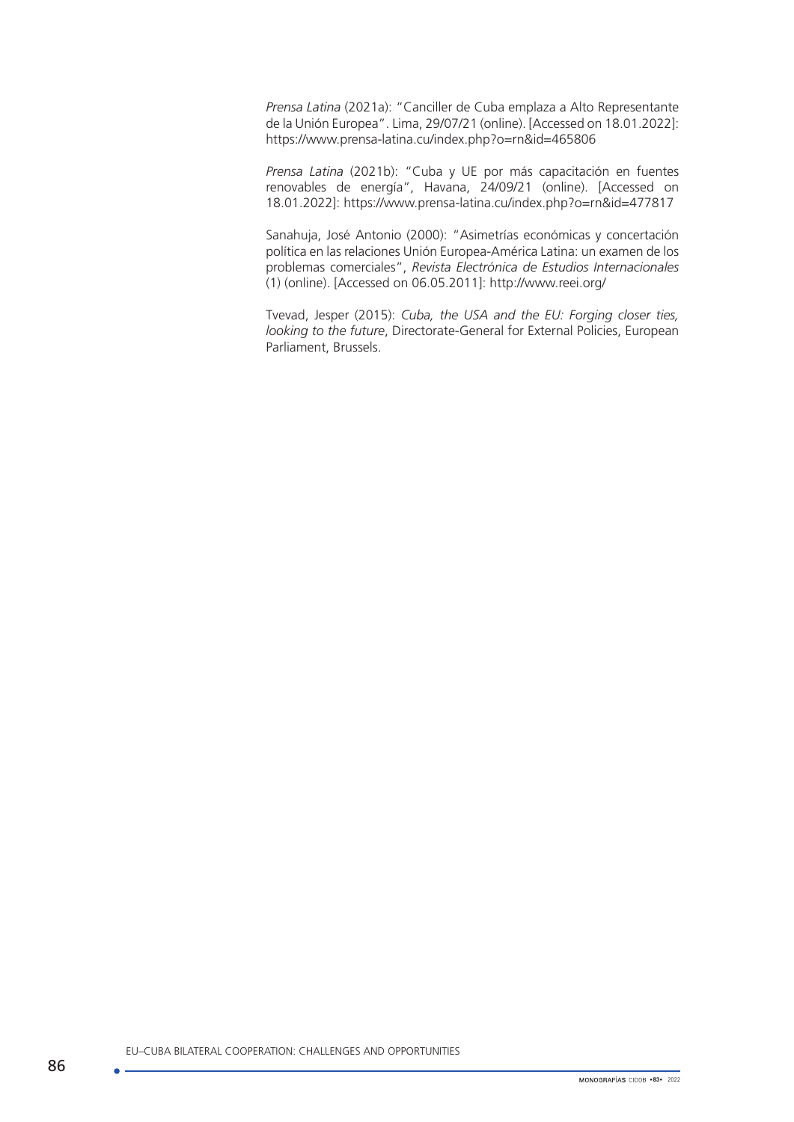*Prensa Latina* (2021a): "Canciller de Cuba emplaza a Alto Representante de la Unión Europea". Lima, 29/07/21 (online). [Accessed on 18.01.2022]: <https://www.prensa-latina.cu/index.php?o=rn&id=465806>

*Prensa Latina* (2021b): "Cuba y UE por más capacitación en fuentes renovables de energía", Havana, 24/09/21 (online). [Accessed on 18.01.2022]: <https://www.prensa-latina.cu/index.php?o=rn&id=477817>

Sanahuja, José Antonio (2000): "Asimetrías económicas y concertación política en las relaciones Unión Europea-América Latina: un examen de los problemas comerciales", *Revista Electrónica de Estudios Internacionales*  (1) (online). [Accessed on 06.05.2011]:<http://www.reei.org/>

Tvevad, Jesper (2015): *Cuba, the USA and the EU: Forging closer ties, looking to the future*, Directorate-General for External Policies, European Parliament, Brussels.

EU–CUBA BILATERAL COOPERATION: CHALLENGES AND OPPORTUNITIES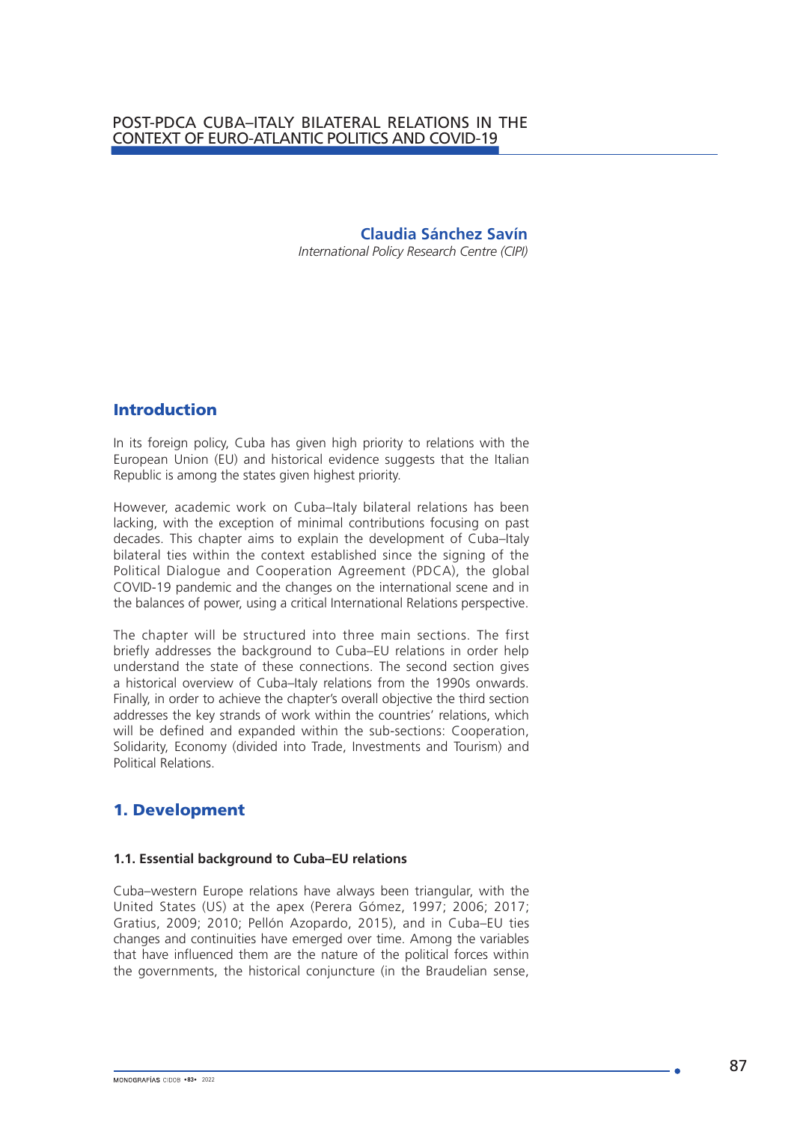**Claudia Sánchez Savín**

*International Policy Research Centre (CIPI)*

# Introduction

In its foreign policy, Cuba has given high priority to relations with the European Union (EU) and historical evidence suggests that the Italian Republic is among the states given highest priority.

However, academic work on Cuba–Italy bilateral relations has been lacking, with the exception of minimal contributions focusing on past decades. This chapter aims to explain the development of Cuba–Italy bilateral ties within the context established since the signing of the Political Dialogue and Cooperation Agreement (PDCA), the global COVID-19 pandemic and the changes on the international scene and in the balances of power, using a critical International Relations perspective.

The chapter will be structured into three main sections. The first briefly addresses the background to Cuba–EU relations in order help understand the state of these connections. The second section gives a historical overview of Cuba–Italy relations from the 1990s onwards. Finally, in order to achieve the chapter's overall objective the third section addresses the key strands of work within the countries' relations, which will be defined and expanded within the sub-sections: Cooperation, Solidarity, Economy (divided into Trade, Investments and Tourism) and Political Relations.

# 1. Development

## **1.1. Essential background to Cuba–EU relations**

Cuba–western Europe relations have always been triangular, with the United States (US) at the apex (Perera Gómez, 1997; 2006; 2017; Gratius, 2009; 2010; Pellón Azopardo, 2015), and in Cuba–EU ties changes and continuities have emerged over time. Among the variables that have influenced them are the nature of the political forces within the governments, the historical conjuncture (in the Braudelian sense,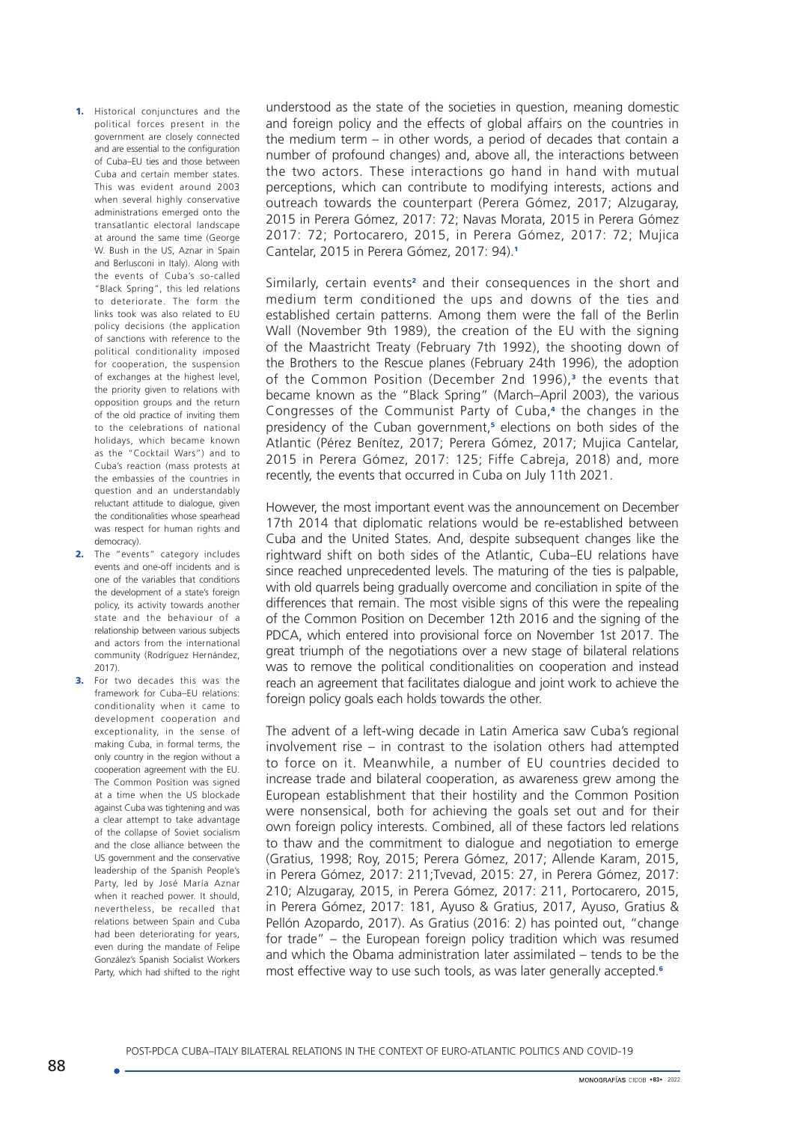1. Historical conjunctures and the political forces present in the government are closely connected and are essential to the configuration of Cuba–EU ties and those between Cuba and certain member states. This was evident around 2003 when several highly conservative administrations emerged onto the transatlantic electoral landscape at around the same time (George W. Bush in the US, Aznar in Spain and Berlusconi in Italy). Along with the events of Cuba's so-called "Black Spring", this led relations to deteriorate. The form the links took was also related to EU policy decisions (the application of sanctions with reference to the political conditionality imposed for cooperation, the suspension of exchanges at the highest level, the priority given to relations with opposition groups and the return of the old practice of inviting them to the celebrations of national holidays, which became known as the "Cocktail Wars") and to Cuba's reaction (mass protests at the embassies of the countries in question and an understandably reluctant attitude to dialogue, given the conditionalities whose spearhead was respect for human rights and democracy).

- 2. The "events" category includes events and one-off incidents and is one of the variables that conditions the development of a state's foreign policy, its activity towards another state and the behaviour of a relationship between various subjects and actors from the international community (Rodríguez Hernández, 2017).
- 3. For two decades this was the framework for Cuba–EU relations: conditionality when it came to development cooperation and exceptionality, in the sense of making Cuba, in formal terms, the only country in the region without a cooperation agreement with the EU. The Common Position was signed at a time when the US blockade against Cuba was tightening and was a clear attempt to take advantage of the collapse of Soviet socialism and the close alliance between the US government and the conservative leadership of the Spanish People's Party, led by José María Aznar when it reached power. It should, nevertheless, be recalled that relations between Spain and Cuba had been deteriorating for years, even during the mandate of Felipe González's Spanish Socialist Workers Party, which had shifted to the right

understood as the state of the societies in question, meaning domestic and foreign policy and the effects of global affairs on the countries in the medium term – in other words, a period of decades that contain a number of profound changes) and, above all, the interactions between the two actors. These interactions go hand in hand with mutual perceptions, which can contribute to modifying interests, actions and outreach towards the counterpart (Perera Gómez, 2017; Alzugaray, 2015 in Perera Gómez, 2017: 72; Navas Morata, 2015 in Perera Gómez 2017: 72; Portocarero, 2015, in Perera Gómez, 2017: 72; Mujica Cantelar, 2015 in Perera Gómez, 2017: 94).<sup>1</sup>

Similarly, certain events<sup>2</sup> and their consequences in the short and medium term conditioned the ups and downs of the ties and established certain patterns. Among them were the fall of the Berlin Wall (November 9th 1989), the creation of the EU with the signing of the Maastricht Treaty (February 7th 1992), the shooting down of the Brothers to the Rescue planes (February 24th 1996), the adoption of the Common Position (December 2nd 1996),<sup>3</sup> the events that became known as the "Black Spring" (March–April 2003), the various Congresses of the Communist Party of Cuba,<sup>4</sup> the changes in the presidency of the Cuban government,<sup>5</sup> elections on both sides of the Atlantic (Pérez Benítez, 2017; Perera Gómez, 2017; Mujica Cantelar, 2015 in Perera Gómez, 2017: 125; Fiffe Cabreja, 2018) and, more recently, the events that occurred in Cuba on July 11th 2021.

However, the most important event was the announcement on December 17th 2014 that diplomatic relations would be re-established between Cuba and the United States. And, despite subsequent changes like the rightward shift on both sides of the Atlantic, Cuba–EU relations have since reached unprecedented levels. The maturing of the ties is palpable, with old quarrels being gradually overcome and conciliation in spite of the differences that remain. The most visible signs of this were the repealing of the Common Position on December 12th 2016 and the signing of the PDCA, which entered into provisional force on November 1st 2017. The great triumph of the negotiations over a new stage of bilateral relations was to remove the political conditionalities on cooperation and instead reach an agreement that facilitates dialogue and joint work to achieve the foreign policy goals each holds towards the other.

The advent of a left-wing decade in Latin America saw Cuba's regional involvement rise – in contrast to the isolation others had attempted to force on it. Meanwhile, a number of EU countries decided to increase trade and bilateral cooperation, as awareness grew among the European establishment that their hostility and the Common Position were nonsensical, both for achieving the goals set out and for their own foreign policy interests. Combined, all of these factors led relations to thaw and the commitment to dialogue and negotiation to emerge (Gratius, 1998; Roy, 2015; Perera Gómez, 2017; Allende Karam, 2015, in Perera Gómez, 2017: 211;Tvevad, 2015: 27, in Perera Gómez, 2017: 210; Alzugaray, 2015, in Perera Gómez, 2017: 211, Portocarero, 2015, in Perera Gómez, 2017: 181, Ayuso & Gratius, 2017, Ayuso, Gratius & Pellón Azopardo, 2017). As Gratius (2016: 2) has pointed out, "change for trade" – the European foreign policy tradition which was resumed and which the Obama administration later assimilated – tends to be the most effective way to use such tools, as was later generally accepted.<sup>6</sup>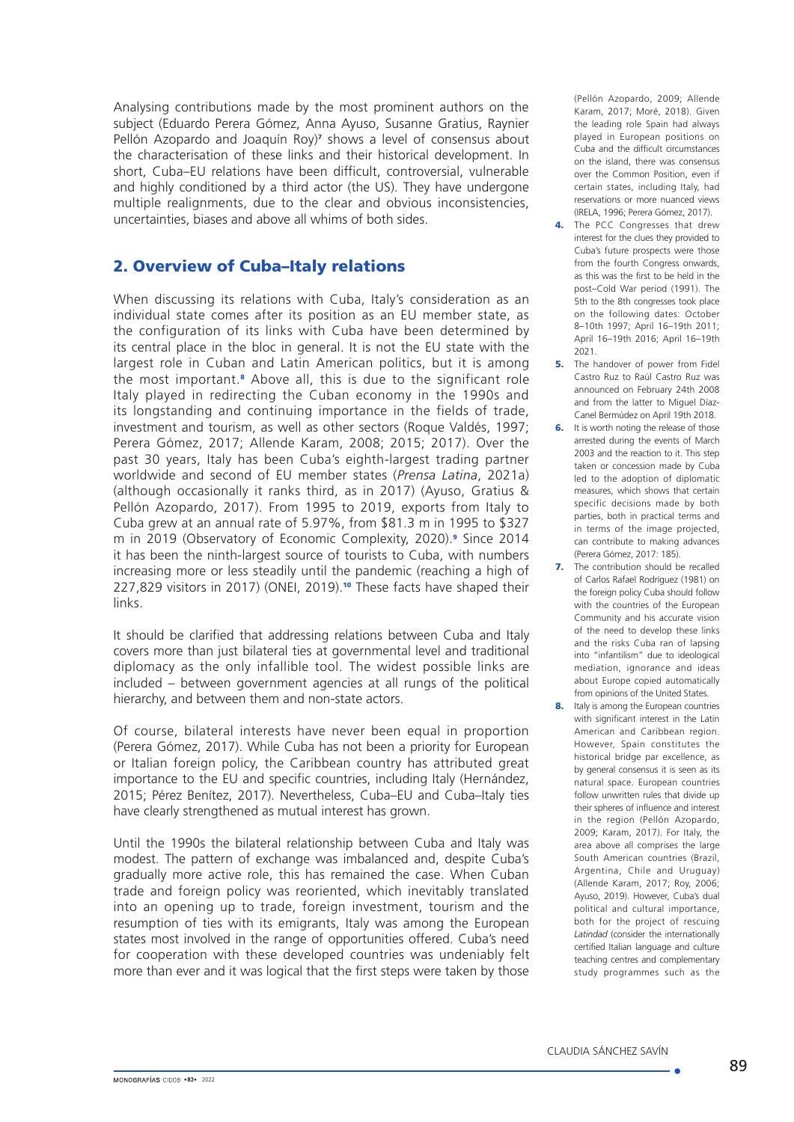Analysing contributions made by the most prominent authors on the subject (Eduardo Perera Gómez, Anna Ayuso, Susanne Gratius, Raynier Pellón Azopardo and Joaquín Roy)<sup>7</sup> shows a level of consensus about the characterisation of these links and their historical development. In short, Cuba–EU relations have been difficult, controversial, vulnerable and highly conditioned by a third actor (the US). They have undergone multiple realignments, due to the clear and obvious inconsistencies, uncertainties, biases and above all whims of both sides.

## 2. Overview of Cuba–Italy relations

When discussing its relations with Cuba, Italy's consideration as an individual state comes after its position as an EU member state, as the configuration of its links with Cuba have been determined by its central place in the bloc in general. It is not the EU state with the largest role in Cuban and Latin American politics, but it is among the most important.<sup>8</sup> Above all, this is due to the significant role Italy played in redirecting the Cuban economy in the 1990s and its longstanding and continuing importance in the fields of trade, investment and tourism, as well as other sectors (Roque Valdés, 1997; Perera Gómez, 2017; Allende Karam, 2008; 2015; 2017). Over the past 30 years, Italy has been Cuba's eighth-largest trading partner worldwide and second of EU member states (*Prensa Latina*, 2021a) (although occasionally it ranks third, as in 2017) (Ayuso, Gratius & Pellón Azopardo, 2017). From 1995 to 2019, exports from Italy to Cuba grew at an annual rate of 5.97%, from \$81.3 m in 1995 to \$327 m in 2019 (Observatory of Economic Complexity, 2020).<sup>9</sup> Since 2014 it has been the ninth-largest source of tourists to Cuba, with numbers increasing more or less steadily until the pandemic (reaching a high of 227,829 visitors in 2017) (ONEI, 2019).<sup>10</sup> These facts have shaped their links.

It should be clarified that addressing relations between Cuba and Italy covers more than just bilateral ties at governmental level and traditional diplomacy as the only infallible tool. The widest possible links are included – between government agencies at all rungs of the political hierarchy, and between them and non-state actors.

Of course, bilateral interests have never been equal in proportion (Perera Gómez, 2017). While Cuba has not been a priority for European or Italian foreign policy, the Caribbean country has attributed great importance to the EU and specific countries, including Italy (Hernández, 2015; Pérez Benítez, 2017). Nevertheless, Cuba–EU and Cuba–Italy ties have clearly strengthened as mutual interest has grown.

Until the 1990s the bilateral relationship between Cuba and Italy was modest. The pattern of exchange was imbalanced and, despite Cuba's gradually more active role, this has remained the case. When Cuban trade and foreign policy was reoriented, which inevitably translated into an opening up to trade, foreign investment, tourism and the resumption of ties with its emigrants, Italy was among the European states most involved in the range of opportunities offered. Cuba's need for cooperation with these developed countries was undeniably felt more than ever and it was logical that the first steps were taken by those

(Pellón Azopardo, 2009; Allende Karam, 2017; Moré, 2018). Given the leading role Spain had always played in European positions on Cuba and the difficult circumstances on the island, there was consensus over the Common Position, even if certain states, including Italy, had reservations or more nuanced views (IRELA, 1996; Perera Gómez, 2017).

- 4. The PCC Congresses that drew interest for the clues they provided to Cuba's future prospects were those from the fourth Congress onwards as this was the first to be held in the post–Cold War period (1991). The 5th to the 8th congresses took place on the following dates: October 8–10th 1997; April 16–19th 2011; April 16–19th 2016; April 16–19th 2021.
- 5. The handover of nower from Fidel Castro Ruz to Raúl Castro Ruz was announced on February 24th 2008 and from the latter to Miguel Díaz-Canel Bermúdez on April 19th 2018.
- **6.** It is worth noting the release of those arrested during the events of March 2003 and the reaction to it. This step taken or concession made by Cuba led to the adoption of diplomatic measures, which shows that certain specific decisions made by both parties, both in practical terms and in terms of the image projected, can contribute to making advances (Perera Gómez, 2017: 185).
- **7.** The contribution should be recalled of Carlos Rafael Rodríguez (1981) on the foreign policy Cuba should follow with the countries of the European Community and his accurate vision of the need to develop these links and the risks Cuba ran of lapsing into "infantilism" due to ideological mediation, ignorance and ideas about Europe copied automatically from opinions of the United States.
- 8. Italy is among the European countries with significant interest in the Latin American and Caribbean region. However, Spain constitutes the historical bridge par excellence, as by general consensus it is seen as its natural space. European countries follow unwritten rules that divide up their spheres of influence and interest in the region (Pellón Azopardo, 2009; Karam, 2017). For Italy, the area above all comprises the large South American countries (Brazil, Argentina, Chile and Uruguay) (Allende Karam, 2017; Roy, 2006; Ayuso, 2019). However, Cuba's dual political and cultural importance, both for the project of rescuing *Latindad* (consider the internationally certified Italian language and culture teaching centres and complementary study programmes such as the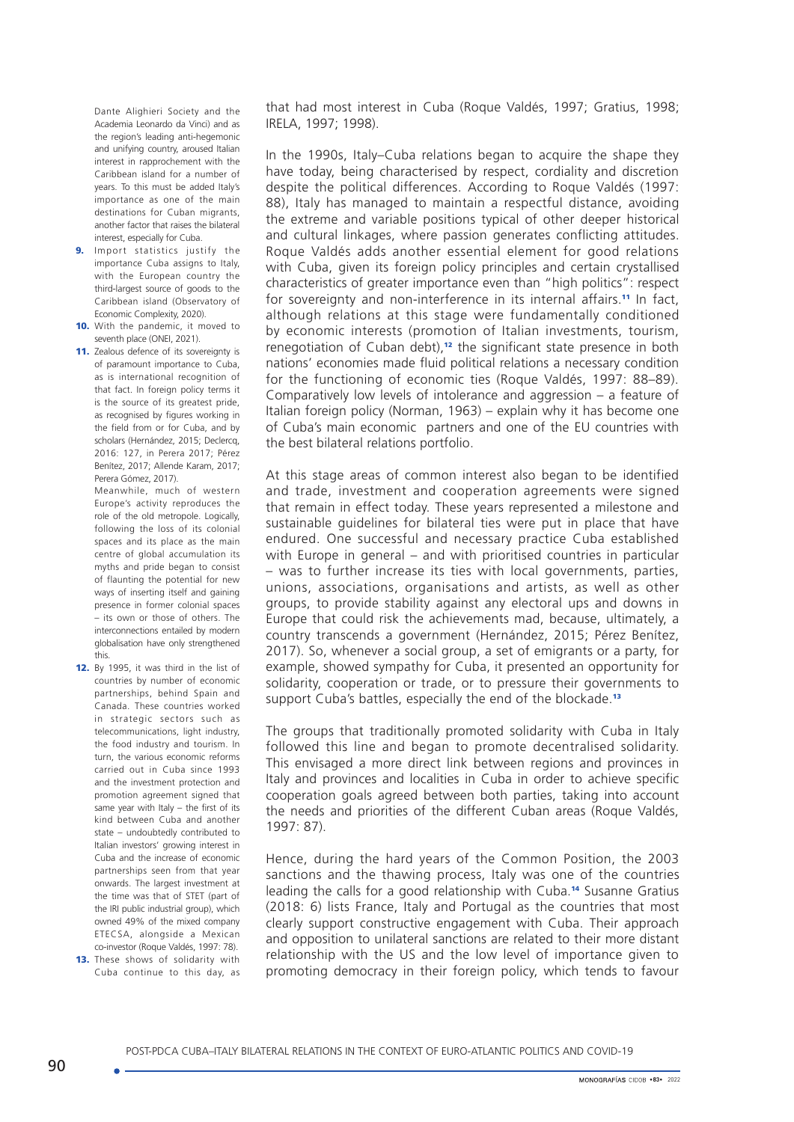Dante Alighieri Society and the Academia Leonardo da Vinci) and as the region's leading anti-hegemonic and unifying country, aroused Italian interest in rapprochement with the Caribbean island for a number of years. To this must be added Italy's importance as one of the main destinations for Cuban migrants, another factor that raises the bilateral interest, especially for Cuba.

- 9. Import statistics justify the importance Cuba assigns to Italy, with the European country the third-largest source of goods to the Caribbean island (Observatory of Economic Complexity, 2020).
- 10. With the pandemic, it moved to seventh place (ONEI, 2021).
- 11. Zealous defence of its sovereignty is of paramount importance to Cuba, as is international recognition of that fact. In foreign policy terms it is the source of its greatest pride, as recognised by figures working in the field from or for Cuba, and by scholars (Hernández, 2015; Declercq, 2016: 127, in Perera 2017; Pérez Benítez, 2017; Allende Karam, 2017; Perera Gómez, 2017).

Meanwhile, much of western Europe's activity reproduces the role of the old metropole. Logically, following the loss of its colonial spaces and its place as the main centre of global accumulation its myths and pride began to consist of flaunting the potential for new ways of inserting itself and gaining presence in former colonial spaces – its own or those of others. The interconnections entailed by modern globalisation have only strengthened this.

- 12. By 1995, it was third in the list of countries by number of economic partnerships, behind Spain and Canada. These countries worked in strategic sectors such as telecommunications, light industry, the food industry and tourism. In turn, the various economic reforms carried out in Cuba since 1993 and the investment protection and promotion agreement signed that same year with Italy – the first of its kind between Cuba and another state – undoubtedly contributed to Italian investors' growing interest in Cuba and the increase of economic partnerships seen from that year onwards. The largest investment at the time was that of STET (part of the IRI public industrial group), which owned 49% of the mixed company ETECSA, alongside a Mexican co-investor (Roque Valdés, 1997: 78). 13. These shows of solidarity with
- Cuba continue to this day, as

that had most interest in Cuba (Roque Valdés, 1997; Gratius, 1998; IRELA, 1997; 1998).

In the 1990s, Italy–Cuba relations began to acquire the shape they have today, being characterised by respect, cordiality and discretion despite the political differences. According to Roque Valdés (1997: 88), Italy has managed to maintain a respectful distance, avoiding the extreme and variable positions typical of other deeper historical and cultural linkages, where passion generates conflicting attitudes. Roque Valdés adds another essential element for good relations with Cuba, given its foreign policy principles and certain crystallised characteristics of greater importance even than "high politics": respect for sovereignty and non-interference in its internal affairs.<sup>11</sup> In fact, although relations at this stage were fundamentally conditioned by economic interests (promotion of Italian investments, tourism, renegotiation of Cuban debt),<sup>12</sup> the significant state presence in both nations' economies made fluid political relations a necessary condition for the functioning of economic ties (Roque Valdés, 1997: 88–89). Comparatively low levels of intolerance and aggression – a feature of Italian foreign policy (Norman, 1963) – explain why it has become one of Cuba's main economic partners and one of the EU countries with the best bilateral relations portfolio.

At this stage areas of common interest also began to be identified and trade, investment and cooperation agreements were signed that remain in effect today. These years represented a milestone and sustainable guidelines for bilateral ties were put in place that have endured. One successful and necessary practice Cuba established with Europe in general – and with prioritised countries in particular – was to further increase its ties with local governments, parties, unions, associations, organisations and artists, as well as other groups, to provide stability against any electoral ups and downs in Europe that could risk the achievements mad, because, ultimately, a country transcends a government (Hernández, 2015; Pérez Benítez, 2017). So, whenever a social group, a set of emigrants or a party, for example, showed sympathy for Cuba, it presented an opportunity for solidarity, cooperation or trade, or to pressure their governments to support Cuba's battles, especially the end of the blockade.<sup>13</sup>

The groups that traditionally promoted solidarity with Cuba in Italy followed this line and began to promote decentralised solidarity. This envisaged a more direct link between regions and provinces in Italy and provinces and localities in Cuba in order to achieve specific cooperation goals agreed between both parties, taking into account the needs and priorities of the different Cuban areas (Roque Valdés, 1997: 87).

Hence, during the hard years of the Common Position, the 2003 sanctions and the thawing process, Italy was one of the countries leading the calls for a good relationship with Cuba.14 Susanne Gratius (2018: 6) lists France, Italy and Portugal as the countries that most clearly support constructive engagement with Cuba. Their approach and opposition to unilateral sanctions are related to their more distant relationship with the US and the low level of importance given to promoting democracy in their foreign policy, which tends to favour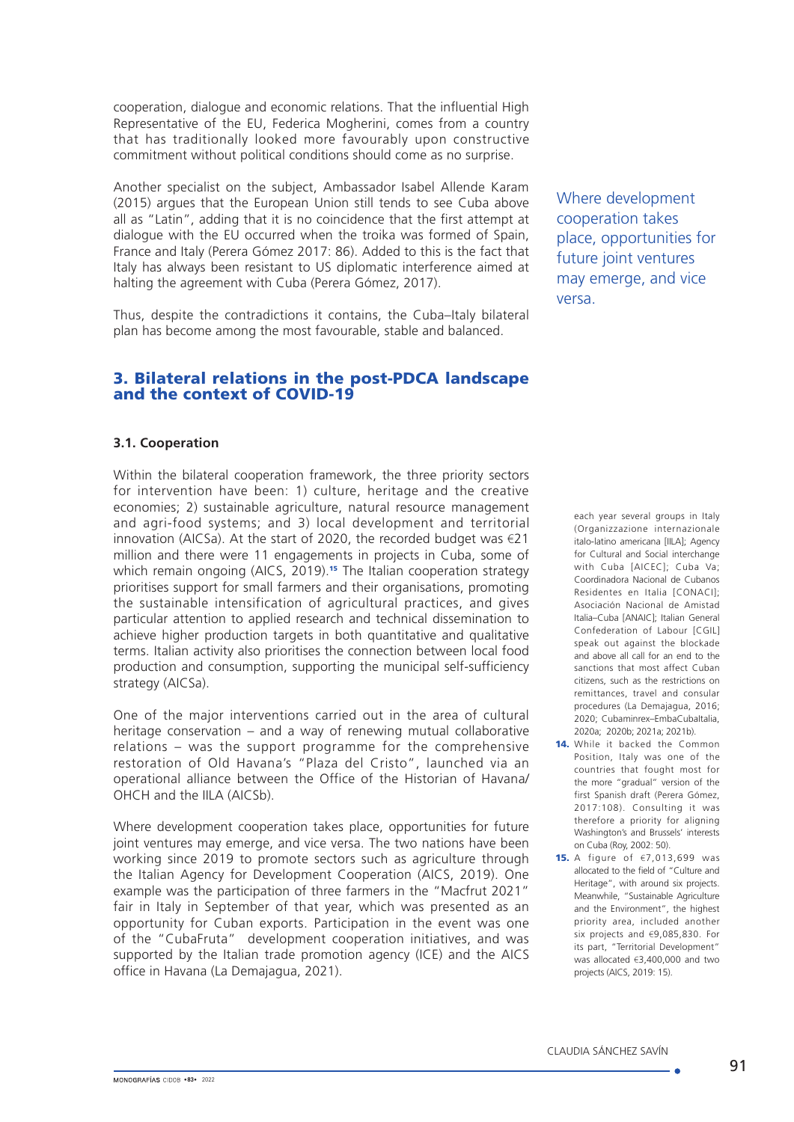cooperation, dialogue and economic relations. That the influential High Representative of the EU, Federica Mogherini, comes from a country that has traditionally looked more favourably upon constructive commitment without political conditions should come as no surprise.

Another specialist on the subject, Ambassador Isabel Allende Karam (2015) argues that the European Union still tends to see Cuba above all as "Latin", adding that it is no coincidence that the first attempt at dialogue with the EU occurred when the troika was formed of Spain, France and Italy (Perera Gómez 2017: 86). Added to this is the fact that Italy has always been resistant to US diplomatic interference aimed at halting the agreement with Cuba (Perera Gómez, 2017).

Thus, despite the contradictions it contains, the Cuba–Italy bilateral plan has become among the most favourable, stable and balanced.

# 3. Bilateral relations in the post-PDCA landscape and the context of COVID-19

## **3.1. Cooperation**

Within the bilateral cooperation framework, the three priority sectors for intervention have been: 1) culture, heritage and the creative economies; 2) sustainable agriculture, natural resource management and agri-food systems; and 3) local development and territorial innovation (AICSa). At the start of 2020, the recorded budget was €21 million and there were 11 engagements in projects in Cuba, some of which remain ongoing (AICS, 2019).<sup>15</sup> The Italian cooperation strategy prioritises support for small farmers and their organisations, promoting the sustainable intensification of agricultural practices, and gives particular attention to applied research and technical dissemination to achieve higher production targets in both quantitative and qualitative terms. Italian activity also prioritises the connection between local food production and consumption, supporting the municipal self-sufficiency strategy (AICSa).

One of the major interventions carried out in the area of cultural heritage conservation – and a way of renewing mutual collaborative relations – was the support programme for the comprehensive restoration of Old Havana's "Plaza del Cristo", launched via an operational alliance between the Office of the Historian of Havana/ OHCH and the IILA (AICSb).

Where development cooperation takes place, opportunities for future joint ventures may emerge, and vice versa. The two nations have been working since 2019 to promote sectors such as agriculture through the Italian Agency for Development Cooperation (AICS, 2019). One example was the participation of three farmers in the "Macfrut 2021" fair in Italy in September of that year, which was presented as an opportunity for Cuban exports. Participation in the event was one of the "CubaFruta" development cooperation initiatives, and was supported by the Italian trade promotion agency (ICE) and the AICS office in Havana (La Demajagua, 2021).

Where development cooperation takes place, opportunities for future joint ventures may emerge, and vice versa.

each year several groups in Italy (Organizzazione internazionale italo-latino americana [IILA]; Agency for Cultural and Social interchange with Cuba [AICEC]; Cuba Va; Coordinadora Nacional de Cubanos Residentes en Italia [CONACI]; Asociación Nacional de Amistad Italia–Cuba [ANAIC]; Italian General Confederation of Labour [CGIL] speak out against the blockade and above all call for an end to the sanctions that most affect Cuban citizens, such as the restrictions on remittances, travel and consular procedures (La Demajagua, 2016; 2020; Cubaminrex-EmbaCubaItalia, 2020a; 2020b; 2021a; 2021b).

14. While it backed the Common Position, Italy was one of the countries that fought most for the more "gradual" version of the first Spanish draft (Perera Gómez, 2017:108). Consulting it was therefore a priority for aligning Washington's and Brussels' interests on Cuba (Roy, 2002: 50).

15. A figure of  $\epsilon$ 7,013,699 was allocated to the field of "Culture and Heritage", with around six projects. Meanwhile, "Sustainable Agriculture and the Environment", the highest priority area, included another six projects and €9,085,830. For its part, "Territorial Development" was allocated €3,400,000 and two projects (AICS, 2019: 15).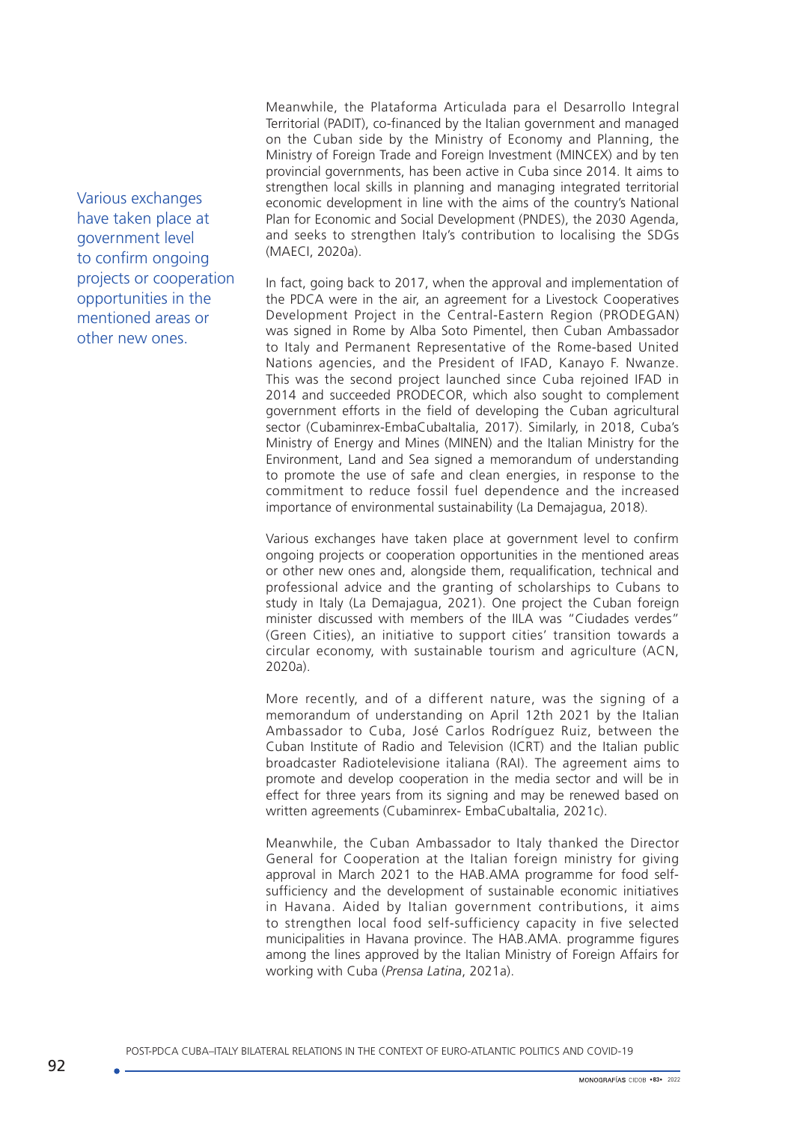Various exchanges have taken place at government level to confirm ongoing projects or cooperation opportunities in the mentioned areas or other new ones.

Meanwhile, the Plataforma Articulada para el Desarrollo Integral Territorial (PADIT), co-financed by the Italian government and managed on the Cuban side by the Ministry of Economy and Planning, the Ministry of Foreign Trade and Foreign Investment (MINCEX) and by ten provincial governments, has been active in Cuba since 2014. It aims to strengthen local skills in planning and managing integrated territorial economic development in line with the aims of the country's National Plan for Economic and Social Development (PNDES), the 2030 Agenda, and seeks to strengthen Italy's contribution to localising the SDGs (MAECI, 2020a).

In fact, going back to 2017, when the approval and implementation of the PDCA were in the air, an agreement for a Livestock Cooperatives Development Project in the Central-Eastern Region (PRODEGAN) was signed in Rome by Alba Soto Pimentel, then Cuban Ambassador to Italy and Permanent Representative of the Rome-based United Nations agencies, and the President of IFAD, Kanayo F. Nwanze. This was the second project launched since Cuba rejoined IFAD in 2014 and succeeded PRODECOR, which also sought to complement government efforts in the field of developing the Cuban agricultural sector (Cubaminrex-EmbaCubaItalia, 2017). Similarly, in 2018, Cuba's Ministry of Energy and Mines (MINEN) and the Italian Ministry for the Environment, Land and Sea signed a memorandum of understanding to promote the use of safe and clean energies, in response to the commitment to reduce fossil fuel dependence and the increased importance of environmental sustainability (La Demajagua, 2018).

Various exchanges have taken place at government level to confirm ongoing projects or cooperation opportunities in the mentioned areas or other new ones and, alongside them, requalification, technical and professional advice and the granting of scholarships to Cubans to study in Italy (La Demajagua, 2021). One project the Cuban foreign minister discussed with members of the IILA was "Ciudades verdes" (Green Cities), an initiative to support cities' transition towards a circular economy, with sustainable tourism and agriculture (ACN, 2020a).

More recently, and of a different nature, was the signing of a memorandum of understanding on April 12th 2021 by the Italian Ambassador to Cuba, José Carlos Rodríguez Ruiz, between the Cuban Institute of Radio and Television (ICRT) and the Italian public broadcaster Radiotelevisione italiana (RAI). The agreement aims to promote and develop cooperation in the media sector and will be in effect for three years from its signing and may be renewed based on written agreements (Cubaminrex- EmbaCubaItalia, 2021c).

Meanwhile, the Cuban Ambassador to Italy thanked the Director General for Cooperation at the Italian foreign ministry for giving approval in March 2021 to the HAB.AMA programme for food selfsufficiency and the development of sustainable economic initiatives in Havana. Aided by Italian government contributions, it aims to strengthen local food self-sufficiency capacity in five selected municipalities in Havana province. The HAB.AMA. programme figures among the lines approved by the Italian Ministry of Foreign Affairs for working with Cuba (*Prensa Latina*, 2021a).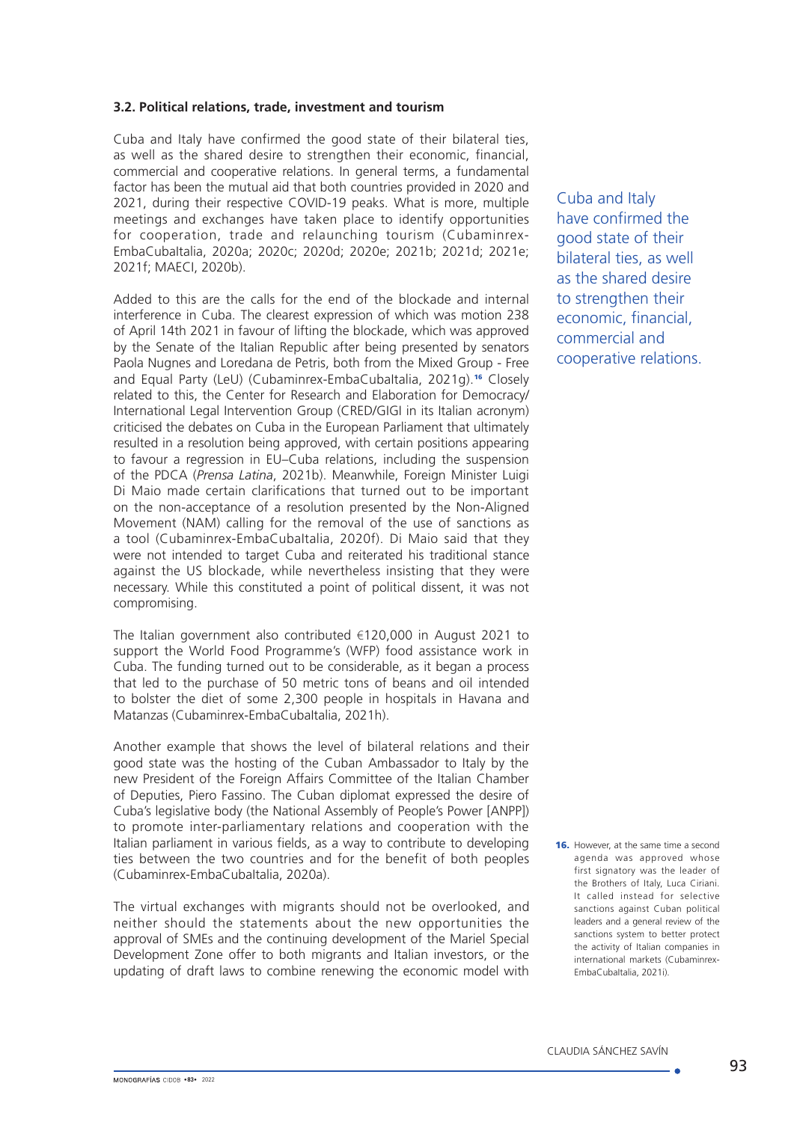#### **3.2. Political relations, trade, investment and tourism**

Cuba and Italy have confirmed the good state of their bilateral ties, as well as the shared desire to strengthen their economic, financial, commercial and cooperative relations. In general terms, a fundamental factor has been the mutual aid that both countries provided in 2020 and 2021, during their respective COVID-19 peaks. What is more, multiple meetings and exchanges have taken place to identify opportunities for cooperation, trade and relaunching tourism (Cubaminrex-EmbaCubaItalia, 2020a; 2020c; 2020d; 2020e; 2021b; 2021d; 2021e; 2021f; MAECI, 2020b).

Added to this are the calls for the end of the blockade and internal interference in Cuba. The clearest expression of which was motion 238 of April 14th 2021 in favour of lifting the blockade, which was approved by the Senate of the Italian Republic after being presented by senators Paola Nugnes and Loredana de Petris, both from the Mixed Group - Free and Equal Party (LeU) (Cubaminrex-EmbaCubaltalia, 2021q).<sup>16</sup> Closely related to this, the Center for Research and Elaboration for Democracy/ International Legal Intervention Group (CRED/GIGI in its Italian acronym) criticised the debates on Cuba in the European Parliament that ultimately resulted in a resolution being approved, with certain positions appearing to favour a regression in EU–Cuba relations, including the suspension of the PDCA (*Prensa Latina*, 2021b). Meanwhile, Foreign Minister Luigi Di Maio made certain clarifications that turned out to be important on the non-acceptance of a resolution presented by the Non-Aligned Movement (NAM) calling for the removal of the use of sanctions as a tool (Cubaminrex-EmbaCubaItalia, 2020f). Di Maio said that they were not intended to target Cuba and reiterated his traditional stance against the US blockade, while nevertheless insisting that they were necessary. While this constituted a point of political dissent, it was not compromising.

The Italian government also contributed €120,000 in August 2021 to support the World Food Programme's (WFP) food assistance work in Cuba. The funding turned out to be considerable, as it began a process that led to the purchase of 50 metric tons of beans and oil intended to bolster the diet of some 2,300 people in hospitals in Havana and Matanzas (Cubaminrex-EmbaCubaItalia, 2021h).

Another example that shows the level of bilateral relations and their good state was the hosting of the Cuban Ambassador to Italy by the new President of the Foreign Affairs Committee of the Italian Chamber of Deputies, Piero Fassino. The Cuban diplomat expressed the desire of Cuba's legislative body (the National Assembly of People's Power [ANPP]) to promote inter-parliamentary relations and cooperation with the Italian parliament in various fields, as a way to contribute to developing ties between the two countries and for the benefit of both peoples (Cubaminrex-EmbaCubaItalia, 2020a).

The virtual exchanges with migrants should not be overlooked, and neither should the statements about the new opportunities the approval of SMEs and the continuing development of the Mariel Special Development Zone offer to both migrants and Italian investors, or the updating of draft laws to combine renewing the economic model with

Cuba and Italy have confirmed the good state of their bilateral ties, as well as the shared desire to strengthen their economic, financial, commercial and cooperative relations.

**16.** However, at the same time a second agenda was approved whose first signatory was the leader of the Brothers of Italy, Luca Ciriani. It called instead for selective sanctions against Cuban political leaders and a general review of the sanctions system to better protect the activity of Italian companies in international markets (Cubaminrex-EmbaCubaItalia, 2021i).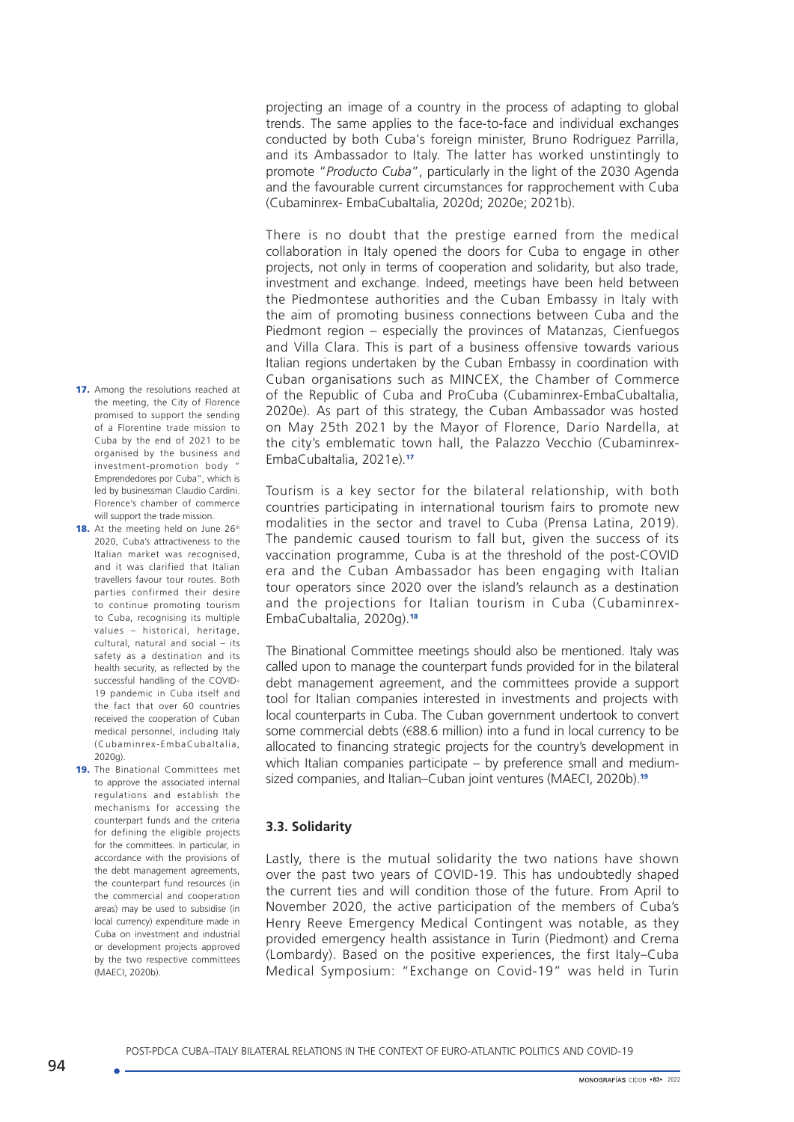projecting an image of a country in the process of adapting to global trends. The same applies to the face-to-face and individual exchanges conducted by both Cuba's foreign minister, Bruno Rodríguez Parrilla, and its Ambassador to Italy. The latter has worked unstintingly to promote "*Producto Cuba*", particularly in the light of the 2030 Agenda and the favourable current circumstances for rapprochement with Cuba (Cubaminrex- EmbaCubaItalia, 2020d; 2020e; 2021b).

There is no doubt that the prestige earned from the medical collaboration in Italy opened the doors for Cuba to engage in other projects, not only in terms of cooperation and solidarity, but also trade, investment and exchange. Indeed, meetings have been held between the Piedmontese authorities and the Cuban Embassy in Italy with the aim of promoting business connections between Cuba and the Piedmont region – especially the provinces of Matanzas, Cienfuegos and Villa Clara. This is part of a business offensive towards various Italian regions undertaken by the Cuban Embassy in coordination with Cuban organisations such as MINCEX, the Chamber of Commerce of the Republic of Cuba and ProCuba (Cubaminrex-EmbaCubaItalia, 2020e). As part of this strategy, the Cuban Ambassador was hosted on May 25th 2021 by the Mayor of Florence, Dario Nardella, at the city's emblematic town hall, the Palazzo Vecchio (Cubaminrex-EmbaCubaItalia, 2021e).<sup>17</sup>

Tourism is a key sector for the bilateral relationship, with both countries participating in international tourism fairs to promote new modalities in the sector and travel to Cuba (Prensa Latina, 2019). The pandemic caused tourism to fall but, given the success of its vaccination programme, Cuba is at the threshold of the post-COVID era and the Cuban Ambassador has been engaging with Italian tour operators since 2020 over the island's relaunch as a destination and the projections for Italian tourism in Cuba (Cubaminrex-EmbaCubaltalia, 2020q).<sup>18</sup>

The Binational Committee meetings should also be mentioned. Italy was called upon to manage the counterpart funds provided for in the bilateral debt management agreement, and the committees provide a support tool for Italian companies interested in investments and projects with local counterparts in Cuba. The Cuban government undertook to convert some commercial debts (€88.6 million) into a fund in local currency to be allocated to financing strategic projects for the country's development in which Italian companies participate – by preference small and mediumsized companies, and Italian–Cuban joint ventures (MAECI, 2020b).<sup>19</sup>

## **3.3. Solidarity**

Lastly, there is the mutual solidarity the two nations have shown over the past two years of COVID-19. This has undoubtedly shaped the current ties and will condition those of the future. From April to November 2020, the active participation of the members of Cuba's Henry Reeve Emergency Medical Contingent was notable, as they provided emergency health assistance in Turin (Piedmont) and Crema (Lombardy). Based on the positive experiences, the first Italy–Cuba Medical Symposium: "Exchange on Covid-19" was held in Turin

- 17. Among the resolutions reached at the meeting, the City of Florence promised to support the sending of a Florentine trade mission to Cuba by the end of 2021 to be organised by the business and investment-promotion body " Emprendedores por Cuba", which is led by businessman Claudio Cardini. Florence's chamber of commerce will support the trade mission.
- 18. At the meeting held on June 26th 2020, Cuba's attractiveness to the Italian market was recognised, and it was clarified that Italian travellers favour tour routes. Both parties confirmed their desire to continue promoting tourism to Cuba, recognising its multiple values – historical, heritage, cultural, natural and social – its safety as a destination and its health security, as reflected by the successful handling of the COVID-19 pandemic in Cuba itself and the fact that over 60 countries received the cooperation of Cuban medical personnel, including Italy (Cubaminrex-EmbaCubaItalia, 2020g).
- 19. The Binational Committees met to approve the associated internal regulations and establish the mechanisms for accessing the counterpart funds and the criteria for defining the eligible projects for the committees. In particular, in accordance with the provisions of the debt management agreements, the counterpart fund resources (in the commercial and cooperation areas) may be used to subsidise (in local currency) expenditure made in Cuba on investment and industrial or development projects approved by the two respective committees (MAECI, 2020b).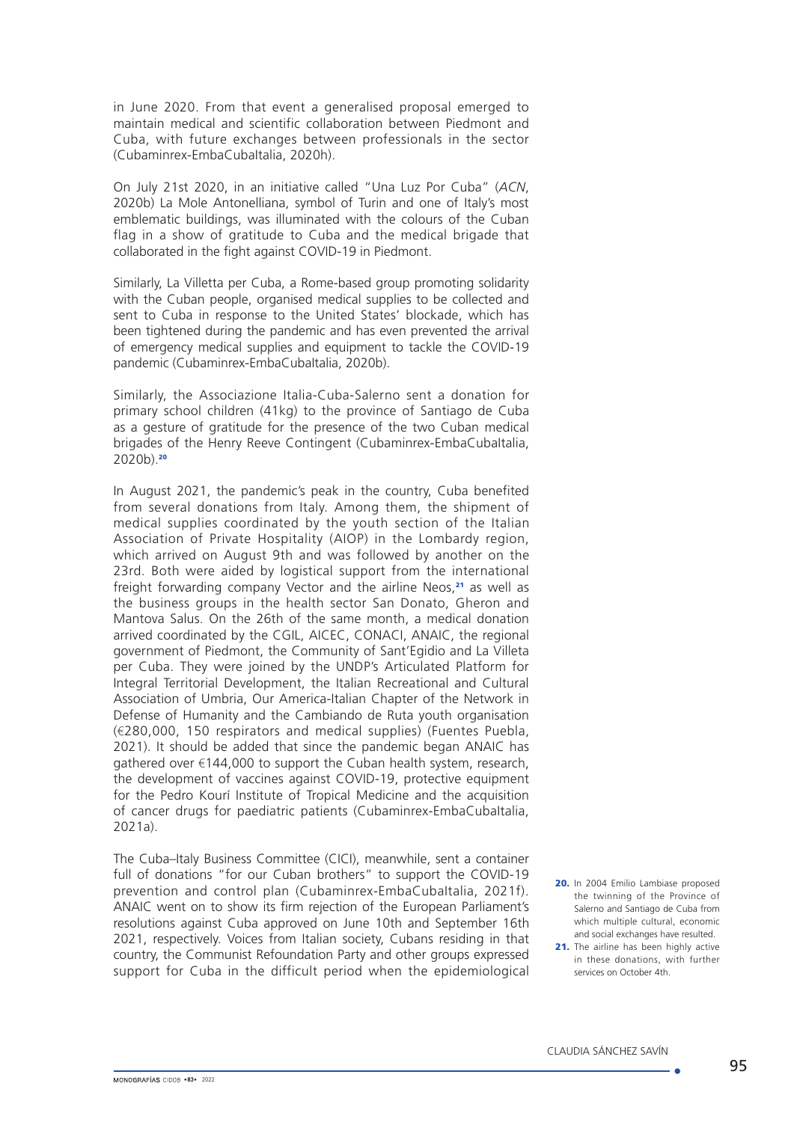in June 2020. From that event a generalised proposal emerged to maintain medical and scientific collaboration between Piedmont and Cuba, with future exchanges between professionals in the sector (Cubaminrex-EmbaCubaItalia, 2020h).

On July 21st 2020, in an initiative called "Una Luz Por Cuba" (*ACN*, 2020b) La Mole Antonelliana, symbol of Turin and one of Italy's most emblematic buildings, was illuminated with the colours of the Cuban flag in a show of gratitude to Cuba and the medical brigade that collaborated in the fight against COVID-19 in Piedmont.

Similarly, La Villetta per Cuba, a Rome-based group promoting solidarity with the Cuban people, organised medical supplies to be collected and sent to Cuba in response to the United States' blockade, which has been tightened during the pandemic and has even prevented the arrival of emergency medical supplies and equipment to tackle the COVID-19 pandemic (Cubaminrex-EmbaCubaItalia, 2020b).

Similarly, the Associazione Italia-Cuba-Salerno sent a donation for primary school children (41kg) to the province of Santiago de Cuba as a gesture of gratitude for the presence of the two Cuban medical brigades of the Henry Reeve Contingent (Cubaminrex-EmbaCubaItalia,  $2020b$ ).<sup>20</sup>

In August 2021, the pandemic's peak in the country, Cuba benefited from several donations from Italy. Among them, the shipment of medical supplies coordinated by the youth section of the Italian Association of Private Hospitality (AIOP) in the Lombardy region, which arrived on August 9th and was followed by another on the 23rd. Both were aided by logistical support from the international freight forwarding company Vector and the airline Neos,<sup>21</sup> as well as the business groups in the health sector San Donato, Gheron and Mantova Salus. On the 26th of the same month, a medical donation arrived coordinated by the CGIL, AICEC, CONACI, ANAIC, the regional government of Piedmont, the Community of Sant'Egidio and La Villeta per Cuba. They were joined by the UNDP's Articulated Platform for Integral Territorial Development, the Italian Recreational and Cultural Association of Umbria, Our America-Italian Chapter of the Network in Defense of Humanity and the Cambiando de Ruta youth organisation (€280,000, 150 respirators and medical supplies) (Fuentes Puebla, 2021). It should be added that since the pandemic began ANAIC has aathered over €144,000 to support the Cuban health system, research, the development of vaccines against COVID-19, protective equipment for the Pedro Kourí Institute of Tropical Medicine and the acquisition of cancer drugs for paediatric patients (Cubaminrex-EmbaCubaItalia, 2021a).

The Cuba–Italy Business Committee (CICI), meanwhile, sent a container full of donations "for our Cuban brothers" to support the COVID-19 prevention and control plan (Cubaminrex-EmbaCubaItalia, 2021f). ANAIC went on to show its firm rejection of the European Parliament's resolutions against Cuba approved on June 10th and September 16th 2021, respectively. Voices from Italian society, Cubans residing in that country, the Communist Refoundation Party and other groups expressed support for Cuba in the difficult period when the epidemiological

<sup>20.</sup> In 2004 Emilio Lambiase proposed the twinning of the Province of Salerno and Santiago de Cuba from which multiple cultural, economic and social exchanges have resulted.

<sup>21.</sup> The airline has been highly active in these donations, with further services on October 4th.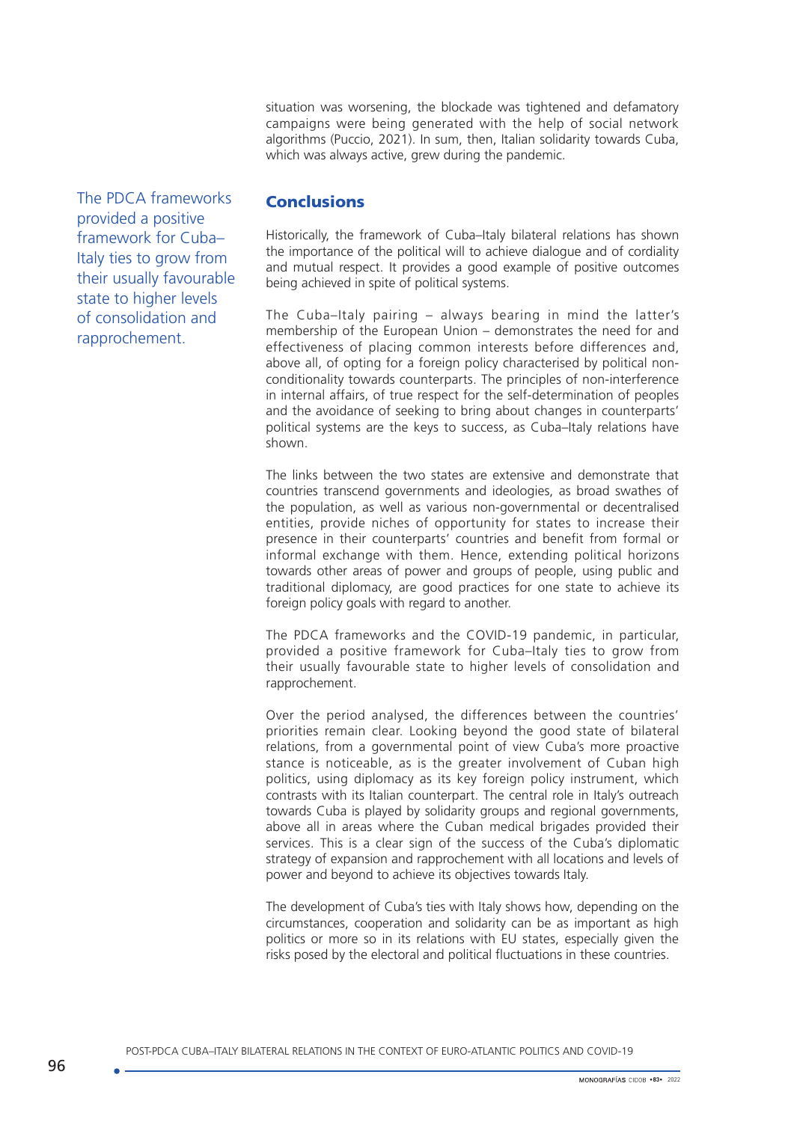situation was worsening, the blockade was tightened and defamatory campaigns were being generated with the help of social network algorithms (Puccio, 2021). In sum, then, Italian solidarity towards Cuba, which was always active, grew during the pandemic.

The PDCA frameworks provided a positive framework for Cuba– Italy ties to grow from their usually favourable state to higher levels of consolidation and rapprochement.

# **Conclusions**

Historically, the framework of Cuba–Italy bilateral relations has shown the importance of the political will to achieve dialogue and of cordiality and mutual respect. It provides a good example of positive outcomes being achieved in spite of political systems.

The Cuba–Italy pairing – always bearing in mind the latter's membership of the European Union – demonstrates the need for and effectiveness of placing common interests before differences and, above all, of opting for a foreign policy characterised by political nonconditionality towards counterparts. The principles of non-interference in internal affairs, of true respect for the self-determination of peoples and the avoidance of seeking to bring about changes in counterparts' political systems are the keys to success, as Cuba–Italy relations have shown.

The links between the two states are extensive and demonstrate that countries transcend governments and ideologies, as broad swathes of the population, as well as various non-governmental or decentralised entities, provide niches of opportunity for states to increase their presence in their counterparts' countries and benefit from formal or informal exchange with them. Hence, extending political horizons towards other areas of power and groups of people, using public and traditional diplomacy, are good practices for one state to achieve its foreign policy goals with regard to another.

The PDCA frameworks and the COVID-19 pandemic, in particular, provided a positive framework for Cuba–Italy ties to grow from their usually favourable state to higher levels of consolidation and rapprochement.

Over the period analysed, the differences between the countries' priorities remain clear. Looking beyond the good state of bilateral relations, from a governmental point of view Cuba's more proactive stance is noticeable, as is the greater involvement of Cuban high politics, using diplomacy as its key foreign policy instrument, which contrasts with its Italian counterpart. The central role in Italy's outreach towards Cuba is played by solidarity groups and regional governments, above all in areas where the Cuban medical brigades provided their services. This is a clear sign of the success of the Cuba's diplomatic strategy of expansion and rapprochement with all locations and levels of power and beyond to achieve its objectives towards Italy.

The development of Cuba's ties with Italy shows how, depending on the circumstances, cooperation and solidarity can be as important as high politics or more so in its relations with EU states, especially given the risks posed by the electoral and political fluctuations in these countries.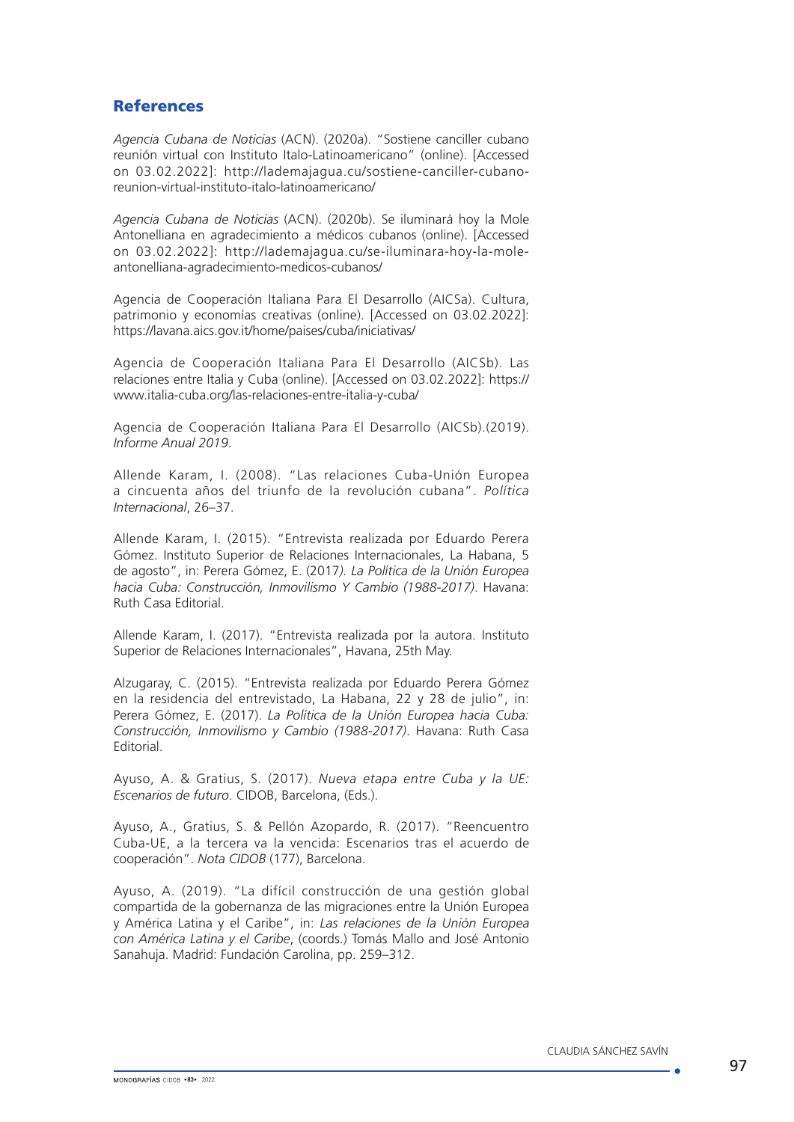## **References**

*Agencia Cubana de Noticias* (ACN). (2020a). "Sostiene canciller cubano reunión virtual con Instituto Italo-Latinoamericano" (online). [Accessed on 03.02.2022]: [http://lademajagua.cu/sostiene-canciller-cubano](http://lademajagua.cu/sostiene-canciller-cubano-reunion-virtual-instituto-italo-latinoamericano/)[reunion-virtual-instituto-italo-latinoamericano/](http://lademajagua.cu/sostiene-canciller-cubano-reunion-virtual-instituto-italo-latinoamericano/)

*Agencia Cubana de Noticias* (ACN). (2020b). Se iluminará hoy la Mole Antonelliana en agradecimiento a médicos cubanos (online). [Accessed on 03.02.2022]: [http://lademajagua.cu/se-iluminara-hoy-la-mole](http://lademajagua.cu/se-iluminara-hoy-la-mole-antonelliana-agradecimiento-medicos-cubanos/)[antonelliana-agradecimiento-medicos-cubanos/](http://lademajagua.cu/se-iluminara-hoy-la-mole-antonelliana-agradecimiento-medicos-cubanos/)

Agencia de Cooperación Italiana Para El Desarrollo (AICSa). Cultura, patrimonio y economías creativas (online). [Accessed on 03.02.2022]: <https://lavana.aics.gov.it/home/paises/cuba/iniciativas/>

Agencia de Cooperación Italiana Para El Desarrollo (AICSb). Las relaciones entre Italia y Cuba (online). [Accessed on 03.02.2022]: [https://](https://www.italia-cuba.org/las-relaciones-entre-italia-y-cuba/) [www.italia-cuba.org/las-relaciones-entre-italia-y-cuba/](https://www.italia-cuba.org/las-relaciones-entre-italia-y-cuba/)

Agencia de Cooperación Italiana Para El Desarrollo (AICSb).(2019). *Informe Anual 2019*.

Allende Karam, I. (2008). "Las relaciones Cuba-Unión Europea a cincuenta años del triunfo de la revolución cubana". *Política Internacional*, 26–37.

Allende Karam, I. (2015). "Entrevista realizada por Eduardo Perera Gómez. Instituto Superior de Relaciones Internacionales, La Habana, 5 de agosto", in: Perera Gómez, E. (2017*). La Política de la Unión Europea hacia Cuba: Construcción, Inmovilismo Y Cambio (1988-2017)*. Havana: Ruth Casa Editorial.

Allende Karam, I. (2017). "Entrevista realizada por la autora. Instituto Superior de Relaciones Internacionales", Havana, 25th May.

Alzugaray, C. (2015). "Entrevista realizada por Eduardo Perera Gómez en la residencia del entrevistado, La Habana, 22 y 28 de julio", in: Perera Gómez, E. (2017). *La Política de la Unión Europea hacia Cuba: Construcción, Inmovilismo y Cambio (1988-2017)*. Havana: Ruth Casa Editorial.

Ayuso, A. & Gratius, S. (2017). *Nueva etapa entre Cuba y la UE: Escenarios de futuro*. CIDOB, Barcelona, (Eds.).

Ayuso, A., Gratius, S. & Pellón Azopardo, R. (2017). "Reencuentro Cuba-UE, a la tercera va la vencida: Escenarios tras el acuerdo de cooperación". *Nota CIDOB* (177), Barcelona.

Ayuso, A. (2019). "La difícil construcción de una gestión global compartida de la gobernanza de las migraciones entre la Unión Europea y América Latina y el Caribe", in: *Las relaciones de la Unión Europea con América Latina y el Caribe*, (coords.) Tomás Mallo and José Antonio Sanahuja. Madrid: Fundación Carolina, pp. 259–312.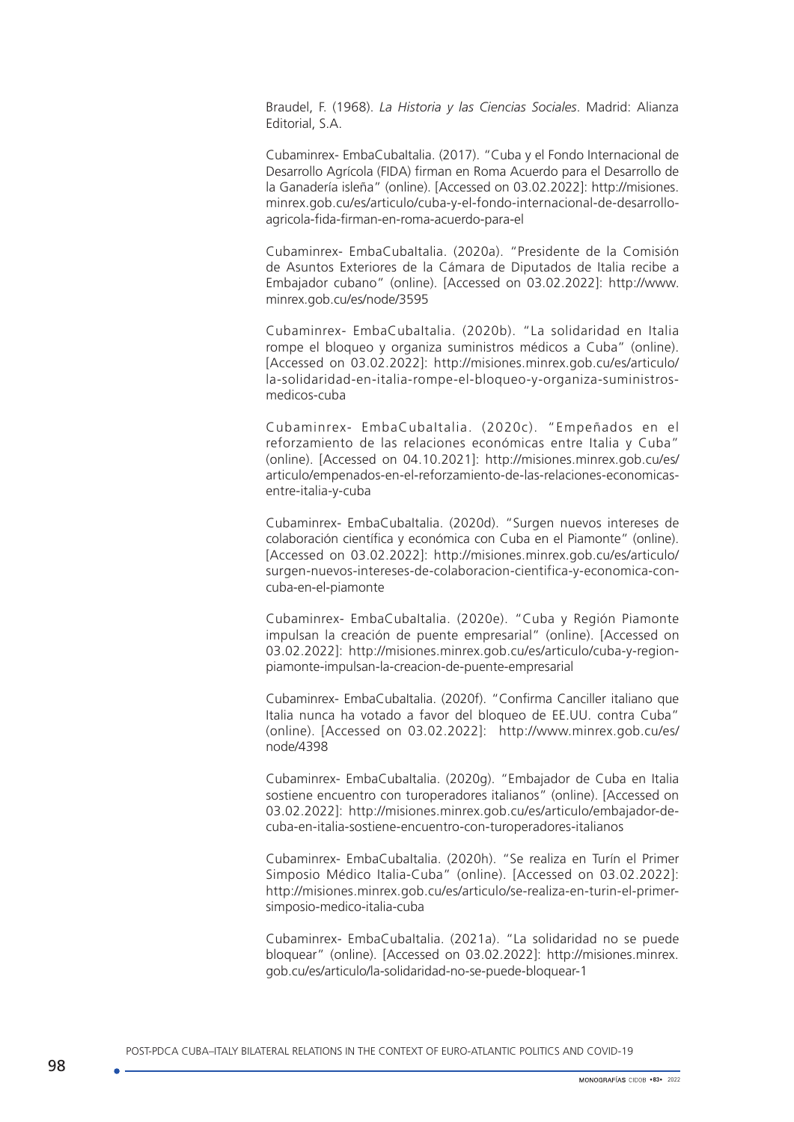Braudel, F. (1968). *La Historia y las Ciencias Sociales*. Madrid: Alianza Editorial, S.A.

Cubaminrex- EmbaCubaItalia. (2017). "Cuba y el Fondo Internacional de Desarrollo Agrícola (FIDA) firman en Roma Acuerdo para el Desarrollo de la Ganadería isleña" (online). [Accessed on 03.02.2022]: http://misiones. minrex.gob.cu/es/articulo/cuba-y-el-fondo-internacional-de-desarrolloagricola-fida-firman-en-roma-acuerdo-para-el

Cubaminrex- EmbaCubaItalia. (2020a). "Presidente de la Comisión de Asuntos Exteriores de la Cámara de Diputados de Italia recibe a Embajador cubano" (online). [Accessed on 03.02.2022]: [http://www.](http://www.minrex.gob.cu/es/node/3595) [minrex.gob.cu/es/node/3595](http://www.minrex.gob.cu/es/node/3595) 

Cubaminrex- EmbaCubaItalia. (2020b). "La solidaridad en Italia rompe el bloqueo y organiza suministros médicos a Cuba" (online). [Accessed on 03.02.2022]: [http://misiones.minrex.gob.cu/es/articulo/](http://misiones.minrex.gob.cu/es/articulo/la-solidaridad-en-italia-rompe-el-bloqueo-y-organiza-suministros-medicos-cuba) [la-solidaridad-en-italia-rompe-el-bloqueo-y-organiza-suministros](http://misiones.minrex.gob.cu/es/articulo/la-solidaridad-en-italia-rompe-el-bloqueo-y-organiza-suministros-medicos-cuba)[medicos-cuba](http://misiones.minrex.gob.cu/es/articulo/la-solidaridad-en-italia-rompe-el-bloqueo-y-organiza-suministros-medicos-cuba)

Cubaminrex- EmbaCubaItalia. (2020c). "Empeñados en el reforzamiento de las relaciones económicas entre Italia y Cuba" (online). [Accessed on 04.10.2021]: [http://misiones.minrex.gob.cu/es/](http://misiones.minrex.gob.cu/es/articulo/empenados-en-el-reforzamiento-de-las-relaciones-economicas-entre-italia-y-cuba) [articulo/empenados-en-el-reforzamiento-de-las-relaciones-economicas](http://misiones.minrex.gob.cu/es/articulo/empenados-en-el-reforzamiento-de-las-relaciones-economicas-entre-italia-y-cuba)[entre-italia-y-cuba](http://misiones.minrex.gob.cu/es/articulo/empenados-en-el-reforzamiento-de-las-relaciones-economicas-entre-italia-y-cuba)

Cubaminrex- EmbaCubaItalia. (2020d). "Surgen nuevos intereses de colaboración científica y económica con Cuba en el Piamonte" (online). [Accessed on 03.02.2022]: [http://misiones.minrex.gob.cu/es/articulo/](http://misiones.minrex.gob.cu/es/articulo/surgen-nuevos-intereses-de-colaboracion-cientifica-y-economica-con-cuba-en-el-piamonte) [surgen-nuevos-intereses-de-colaboracion-cientifica-y-economica-con](http://misiones.minrex.gob.cu/es/articulo/surgen-nuevos-intereses-de-colaboracion-cientifica-y-economica-con-cuba-en-el-piamonte)[cuba-en-el-piamonte](http://misiones.minrex.gob.cu/es/articulo/surgen-nuevos-intereses-de-colaboracion-cientifica-y-economica-con-cuba-en-el-piamonte)

Cubaminrex- EmbaCubaItalia. (2020e). "Cuba y Región Piamonte impulsan la creación de puente empresarial" (online). [Accessed on 03.02.2022]: [http://misiones.minrex.gob.cu/es/articulo/cuba-y-region](http://misiones.minrex.gob.cu/es/articulo/cuba-y-region-piamonte-impulsan-la-creacion-de-puente-empresarial)[piamonte-impulsan-la-creacion-de-puente-empresarial](http://misiones.minrex.gob.cu/es/articulo/cuba-y-region-piamonte-impulsan-la-creacion-de-puente-empresarial)

Cubaminrex- EmbaCubaItalia. (2020f). "Confirma Canciller italiano que Italia nunca ha votado a favor del bloqueo de EE.UU. contra Cuba" (online). [Accessed on 03.02.2022]: [http://www.minrex.gob.cu/es/](http://www.minrex.gob.cu/es/node/4398) [node/4398](http://www.minrex.gob.cu/es/node/4398)

Cubaminrex- EmbaCubaItalia. (2020g). "Embajador de Cuba en Italia sostiene encuentro con turoperadores italianos" (online). [Accessed on 03.02.2022]: [http://misiones.minrex.gob.cu/es/articulo/embajador-de](http://misiones.minrex.gob.cu/es/articulo/embajador-de-cuba-en-italia-sostiene-encuentro-con-turoperadores-italianos)[cuba-en-italia-sostiene-encuentro-con-turoperadores-italianos](http://misiones.minrex.gob.cu/es/articulo/embajador-de-cuba-en-italia-sostiene-encuentro-con-turoperadores-italianos) 

Cubaminrex- EmbaCubaItalia. (2020h). "Se realiza en Turín el Primer Simposio Médico Italia-Cuba" (online). [Accessed on 03.02.2022]: [http://misiones.minrex.gob.cu/es/articulo/se-realiza-en-turin-el-primer](http://misiones.minrex.gob.cu/es/articulo/se-realiza-en-turin-el-primer-simposio-medico-italia-cuba)[simposio-medico-italia-cuba](http://misiones.minrex.gob.cu/es/articulo/se-realiza-en-turin-el-primer-simposio-medico-italia-cuba)

Cubaminrex- EmbaCubaItalia. (2021a). "La solidaridad no se puede bloquear" (online). [Accessed on 03.02.2022]: [http://misiones.minrex.](http://misiones.minrex.gob.cu/es/articulo/la-solidaridad-no-se-puede-bloquear-1) [gob.cu/es/articulo/la-solidaridad-no-se-puede-bloquear-1](http://misiones.minrex.gob.cu/es/articulo/la-solidaridad-no-se-puede-bloquear-1)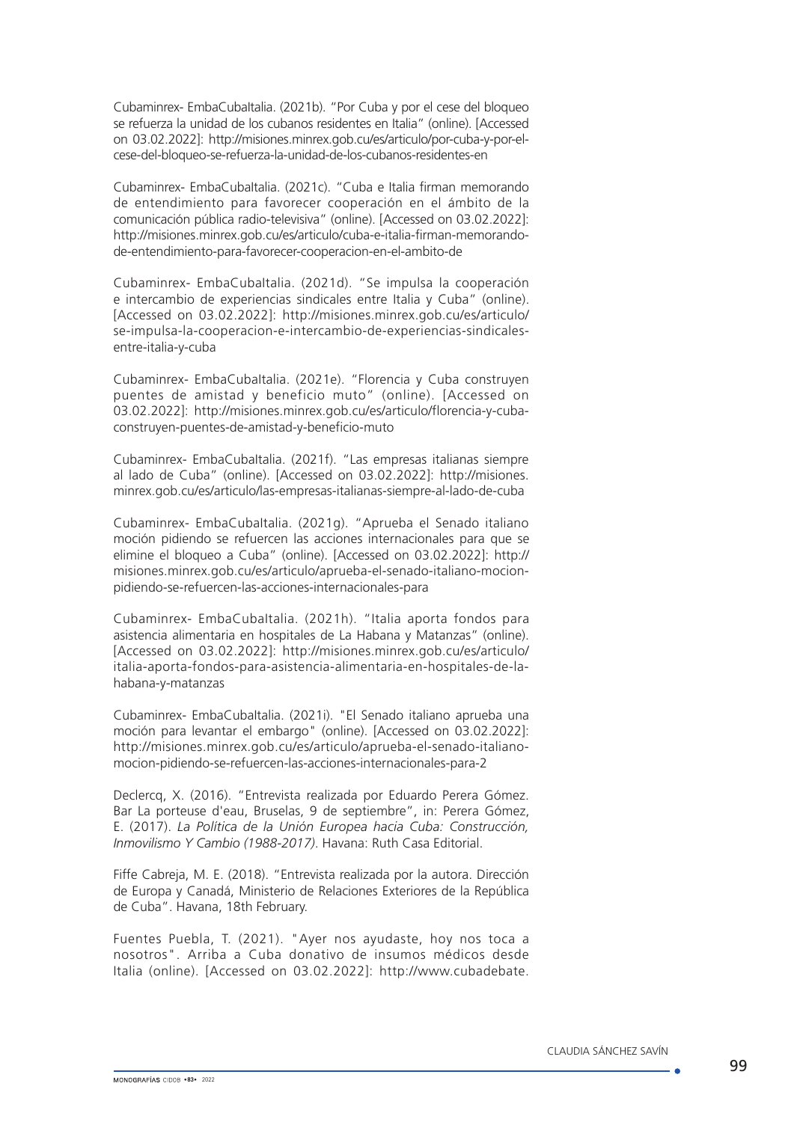Cubaminrex- EmbaCubaltalia. (2021b). "Por Cuba y por el cese del bloqueo se refuerza la unidad de los cubanos residentes en Italia" (online). [Accessed on 03.02.2022]: [http://misiones.minrex.gob.cu/es/articulo/por-cuba-y-por-el](http://misiones.minrex.gob.cu/es/articulo/por-cuba-y-por-el-cese-del-bloqueo-se-refuerza-la-unidad-de-los-cubanos-residentes-en)[cese-del-bloqueo-se-refuerza-la-unidad-de-los-cubanos-residentes-en](http://misiones.minrex.gob.cu/es/articulo/por-cuba-y-por-el-cese-del-bloqueo-se-refuerza-la-unidad-de-los-cubanos-residentes-en) 

Cubaminrex- EmbaCubaItalia. (2021c). "Cuba e Italia firman memorando de entendimiento para favorecer cooperación en el ámbito de la comunicación pública radio-televisiva" (online). [Accessed on 03.02.2022]: [http://misiones.minrex.gob.cu/es/articulo/cuba-e-italia-firman-memorando](http://misiones.minrex.gob.cu/es/articulo/cuba-e-italia-firman-memorando-de-entendimiento-para-favorecer-cooperacion-en-el-ambito-de)[de-entendimiento-para-favorecer-cooperacion-en-el-ambito-de](http://misiones.minrex.gob.cu/es/articulo/cuba-e-italia-firman-memorando-de-entendimiento-para-favorecer-cooperacion-en-el-ambito-de)

Cubaminrex- EmbaCubaItalia. (2021d). "Se impulsa la cooperación e intercambio de experiencias sindicales entre Italia y Cuba" (online). [Accessed on 03.02.2022]: [http://misiones.minrex.gob.cu/es/articulo/](http://misiones.minrex.gob.cu/es/articulo/se-impulsa-la-cooperacion-e-intercambio-de-experiencias-sindicales-entre-italia-y-cuba) [se-impulsa-la-cooperacion-e-intercambio-de-experiencias-sindicales](http://misiones.minrex.gob.cu/es/articulo/se-impulsa-la-cooperacion-e-intercambio-de-experiencias-sindicales-entre-italia-y-cuba)[entre-italia-y-cuba](http://misiones.minrex.gob.cu/es/articulo/se-impulsa-la-cooperacion-e-intercambio-de-experiencias-sindicales-entre-italia-y-cuba)

Cubaminrex- EmbaCubaItalia. (2021e). "Florencia y Cuba construyen puentes de amistad y beneficio muto" (online). [Accessed on 03.02.2022]: [http://misiones.minrex.gob.cu/es/articulo/florencia-y-cuba](http://misiones.minrex.gob.cu/es/articulo/florencia-y-cuba-construyen-puentes-de-amistad-y-beneficio-muto)[construyen-puentes-de-amistad-y-beneficio-muto](http://misiones.minrex.gob.cu/es/articulo/florencia-y-cuba-construyen-puentes-de-amistad-y-beneficio-muto)

Cubaminrex- EmbaCubaItalia. (2021f). "Las empresas italianas siempre al lado de Cuba" (online). [Accessed on 03.02.2022]: [http://misiones.](http://misiones.minrex.gob.cu/es/articulo/las-empresas-italianas-siempre-al-lado-de-cuba) [minrex.gob.cu/es/articulo/las-empresas-italianas-siempre-al-lado-de-cuba](http://misiones.minrex.gob.cu/es/articulo/las-empresas-italianas-siempre-al-lado-de-cuba)

Cubaminrex- EmbaCubaItalia. (2021g). "Aprueba el Senado italiano moción pidiendo se refuercen las acciones internacionales para que se elimine el bloqueo a Cuba" (online). [Accessed on 03.02.2022]: [http://](http://misiones.minrex.gob.cu/es/articulo/aprueba-el-senado-italiano-mocion-pidiendo-se-refuercen-las-acciones-internacionales-para) [misiones.minrex.gob.cu/es/articulo/aprueba-el-senado-italiano-mocion](http://misiones.minrex.gob.cu/es/articulo/aprueba-el-senado-italiano-mocion-pidiendo-se-refuercen-las-acciones-internacionales-para)[pidiendo-se-refuercen-las-acciones-internacionales-para](http://misiones.minrex.gob.cu/es/articulo/aprueba-el-senado-italiano-mocion-pidiendo-se-refuercen-las-acciones-internacionales-para)

Cubaminrex- EmbaCubaItalia. (2021h). "Italia aporta fondos para asistencia alimentaria en hospitales de La Habana y Matanzas" (online). [Accessed on 03.02.2022]: [http://misiones.minrex.gob.cu/es/articulo/](http://misiones.minrex.gob.cu/es/articulo/italia-aporta-fondos-para-asistencia-alimentaria-en-hospitales-de-la-habana-y-matanzas) [italia-aporta-fondos-para-asistencia-alimentaria-en-hospitales-de-la](http://misiones.minrex.gob.cu/es/articulo/italia-aporta-fondos-para-asistencia-alimentaria-en-hospitales-de-la-habana-y-matanzas)[habana-y-matanzas](http://misiones.minrex.gob.cu/es/articulo/italia-aporta-fondos-para-asistencia-alimentaria-en-hospitales-de-la-habana-y-matanzas)

Cubaminrex- EmbaCubaltalia. (2021i). "El Senado italiano aprueba una moción para levantar el embargo" (online). [Accessed on 03.02.2022]: http://misiones.minrex.gob.cu/es/articulo/aprueba-el-senado-italianomocion-pidiendo-se-refuercen-las-acciones-internacionales-para-2

Declercq, X. (2016). "Entrevista realizada por Eduardo Perera Gómez. Bar La porteuse d'eau, Bruselas, 9 de septiembre", in: Perera Gómez, E. (2017). *La Política de la Unión Europea hacia Cuba: Construcción, Inmovilismo Y Cambio (1988-2017)*. Havana: Ruth Casa Editorial.

Fiffe Cabreja, M. E. (2018). "Entrevista realizada por la autora. Dirección de Europa y Canadá, Ministerio de Relaciones Exteriores de la República de Cuba". Havana, 18th February.

Fuentes Puebla, T. (2021). "Ayer nos ayudaste, hoy nos toca a nosotros". Arriba a Cuba donativo de insumos médicos desde Italia (online). [Accessed on 03.02.2022]: http://www.cubadebate.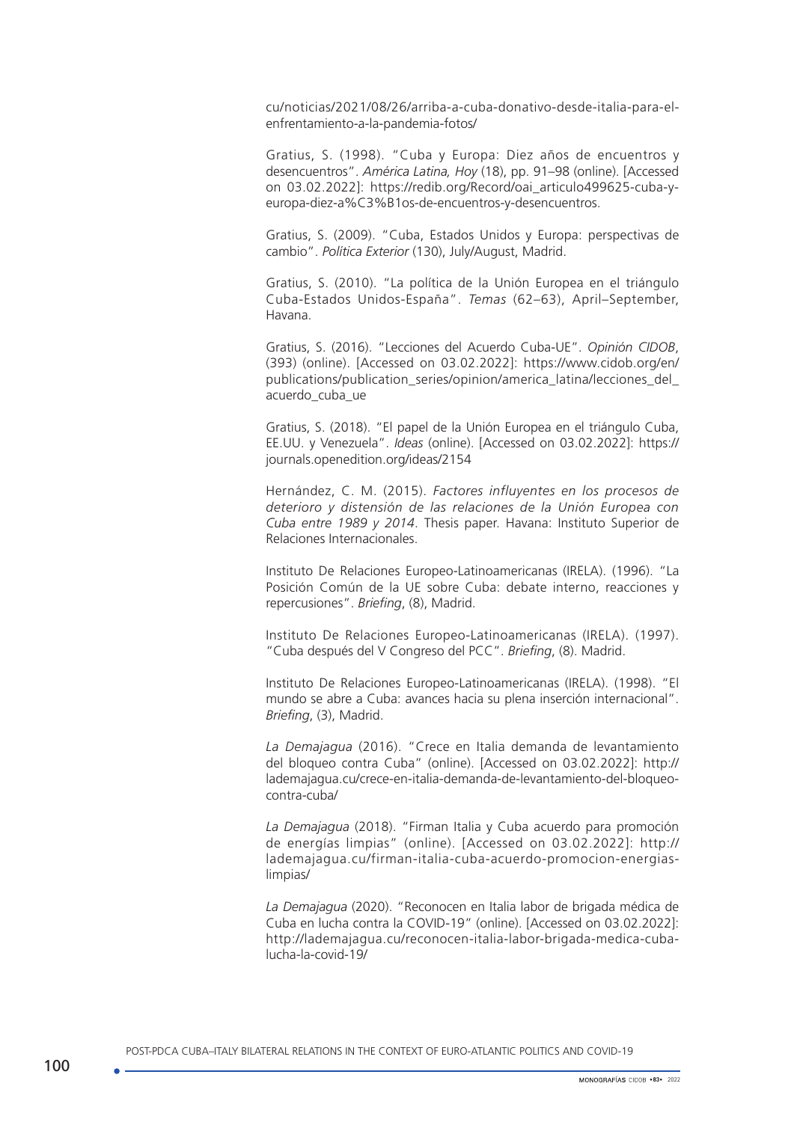cu/noticias/2021/08/26/arriba-a-cuba-donativo-desde-italia-para-elenfrentamiento-a-la-pandemia-fotos/

Gratius, S. (1998). "Cuba y Europa: Diez años de encuentros y desencuentros". *América Latina, Hoy* (18), pp. 91–98 (online). [Accessed on 03.02.2022]: [https://redib.org/Record/oai\\_articulo499625-cuba-y](https://redib.org/Record/oai_articulo499625-cuba-y-europa-diez-aÒos-de-encuentros-y-desencuentros)[europa-diez-a%C3%B1os-de-encuentros-y-desencuentros.](https://redib.org/Record/oai_articulo499625-cuba-y-europa-diez-aÒos-de-encuentros-y-desencuentros)

Gratius, S. (2009). "Cuba, Estados Unidos y Europa: perspectivas de cambio". *Política Exterior* (130), July/August, Madrid.

Gratius, S. (2010). "La política de la Unión Europea en el triángulo Cuba-Estados Unidos-España". *Temas* (62–63), April–September, Havana.

Gratius, S. (2016). "Lecciones del Acuerdo Cuba-UE". *Opinión CIDOB*, (393) (online). [Accessed on 03.02.2022]: [https://www.cidob.org/en/](https://www.cidob.org/en/publications/publication_series/opinion/america_latina/lecciones_del_acuerdo_cuba_ue) [publications/publication\\_series/opinion/america\\_latina/lecciones\\_del\\_](https://www.cidob.org/en/publications/publication_series/opinion/america_latina/lecciones_del_acuerdo_cuba_ue) [acuerdo\\_cuba\\_ue](https://www.cidob.org/en/publications/publication_series/opinion/america_latina/lecciones_del_acuerdo_cuba_ue) 

Gratius, S. (2018). "El papel de la Unión Europea en el triángulo Cuba, EE.UU. y Venezuela". *Ideas* (online). [Accessed on 03.02.2022]: [https://](https://journals.openedition.org/ideas/2154) [journals.openedition.org/ideas/2154](https://journals.openedition.org/ideas/2154)

Hernández, C. M. (2015). *Factores influyentes en los procesos de deterioro y distensión de las relaciones de la Unión Europea con Cuba entre 1989 y 2014*. Thesis paper. Havana: Instituto Superior de Relaciones Internacionales.

Instituto De Relaciones Europeo-Latinoamericanas (IRELA). (1996). "La Posición Común de la UE sobre Cuba: debate interno, reacciones y repercusiones". *Briefing*, (8), Madrid.

Instituto De Relaciones Europeo-Latinoamericanas (IRELA). (1997). "Cuba después del V Congreso del PCC". *Briefing*, (8). Madrid.

Instituto De Relaciones Europeo-Latinoamericanas (IRELA). (1998). "El mundo se abre a Cuba: avances hacia su plena inserción internacional". *Briefing*, (3), Madrid.

*La Demajagua* (2016). "Crece en Italia demanda de levantamiento del bloqueo contra Cuba" (online). [Accessed on 03.02.2022]: [http://](http://lademajagua.cu/crece-en-italia-demanda-de-levantamiento-del-bloqueo-contra-cuba/) [lademajagua.cu/crece-en-italia-demanda-de-levantamiento-del-bloqueo](http://lademajagua.cu/crece-en-italia-demanda-de-levantamiento-del-bloqueo-contra-cuba/)[contra-cuba/](http://lademajagua.cu/crece-en-italia-demanda-de-levantamiento-del-bloqueo-contra-cuba/)

*La Demajagua* (2018). "Firman Italia y Cuba acuerdo para promoción de energías limpias" (online). [Accessed on 03.02.2022]: [http://](http://lademajagua.cu/firman-italia-cuba-acuerdo-promocion-energias-limpias/) [lademajagua.cu/firman-italia-cuba-acuerdo-promocion-energias](http://lademajagua.cu/firman-italia-cuba-acuerdo-promocion-energias-limpias/)[limpias/](http://lademajagua.cu/firman-italia-cuba-acuerdo-promocion-energias-limpias/)

*La Demajagua* (2020). "Reconocen en Italia labor de brigada médica de Cuba en lucha contra la COVID-19" (online). [Accessed on 03.02.2022]: [http://lademajagua.cu/reconocen-italia-labor-brigada-medica-cuba](http://lademajagua.cu/reconocen-italia-labor-brigada-medica-cuba-lucha-la-covid-19/)[lucha-la-covid-19/](http://lademajagua.cu/reconocen-italia-labor-brigada-medica-cuba-lucha-la-covid-19/)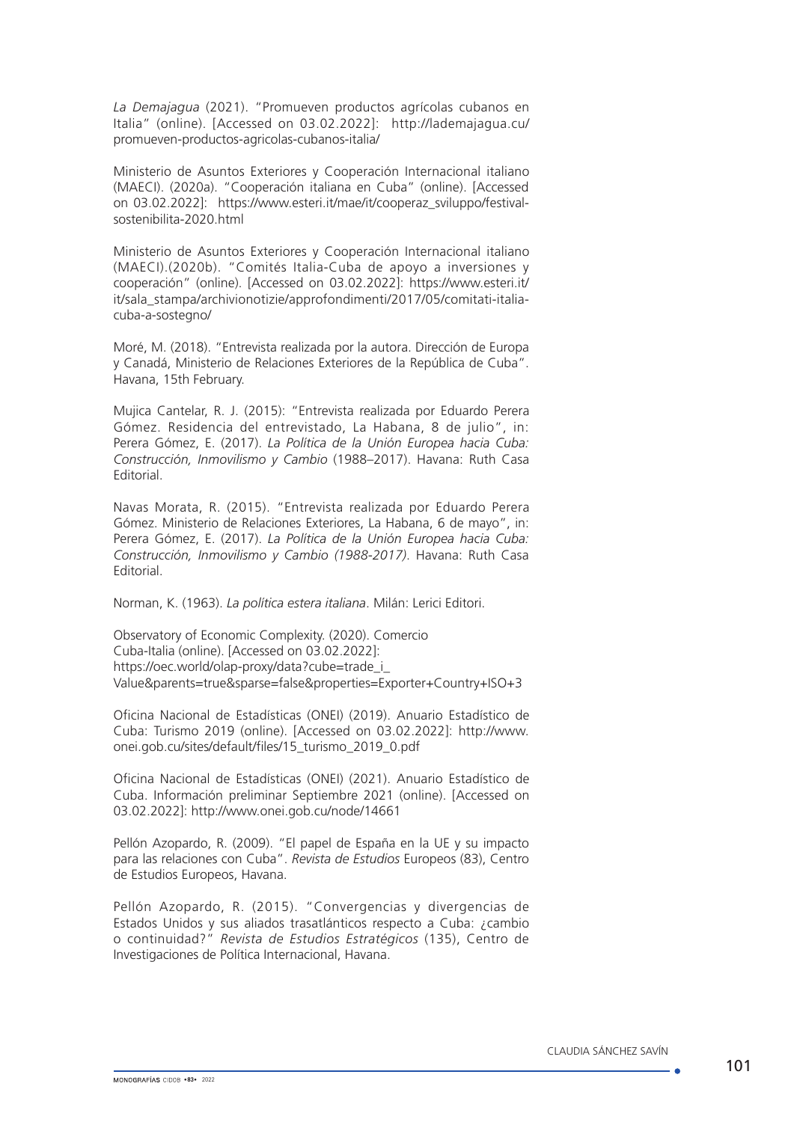*La Demajagua* (2021). "Promueven productos agrícolas cubanos en Italia" (online). [Accessed on 03.02.2022]: [http://lademajagua.cu/](http://lademajagua.cu/promueven-productos-agricolas-cubanos-italia/) [promueven-productos-agricolas-cubanos-italia/](http://lademajagua.cu/promueven-productos-agricolas-cubanos-italia/)

Ministerio de Asuntos Exteriores y Cooperación Internacional italiano (MAECI). (2020a). "Cooperación italiana en Cuba" (online). [Accessed on 03.02.2022]: [https://www.esteri.it/mae/it/cooperaz\\_sviluppo/festival](https://www.esteri.it/mae/it/cooperaz_sviluppo/festival-sostenibilita-2020.html)[sostenibilita-2020.html](https://www.esteri.it/mae/it/cooperaz_sviluppo/festival-sostenibilita-2020.html)

Ministerio de Asuntos Exteriores y Cooperación Internacional italiano (MAECI).(2020b). "Comités Italia-Cuba de apoyo a inversiones y cooperación" (online). [Accessed on 03.02.2022]: [https://www.esteri.it/](https://www.esteri.it/it/sala_stampa/archivionotizie/approfondimenti/2017/05/comitati-italia-cuba-a-sostegno/) [it/sala\\_stampa/archivionotizie/approfondimenti/2017/05/comitati-italia](https://www.esteri.it/it/sala_stampa/archivionotizie/approfondimenti/2017/05/comitati-italia-cuba-a-sostegno/)[cuba-a-sostegno/](https://www.esteri.it/it/sala_stampa/archivionotizie/approfondimenti/2017/05/comitati-italia-cuba-a-sostegno/)

Moré, M. (2018). "Entrevista realizada por la autora. Dirección de Europa y Canadá, Ministerio de Relaciones Exteriores de la República de Cuba". Havana, 15th February.

Mujica Cantelar, R. J. (2015): "Entrevista realizada por Eduardo Perera Gómez. Residencia del entrevistado, La Habana, 8 de julio", in: Perera Gómez, E. (2017). *La Política de la Unión Europea hacia Cuba: Construcción, Inmovilismo y Cambio* (1988–2017). Havana: Ruth Casa Editorial.

Navas Morata, R. (2015). "Entrevista realizada por Eduardo Perera Gómez. Ministerio de Relaciones Exteriores, La Habana, 6 de mayo", in: Perera Gómez, E. (2017). *La Política de la Unión Europea hacia Cuba: Construcción, Inmovilismo y Cambio (1988-2017)*. Havana: Ruth Casa Editorial.

Norman, K. (1963). *La política estera italiana*. Milán: Lerici Editori.

Observatory of Economic Complexity. (2020). Comercio Cuba-Italia (online). [Accessed on 03.02.2022]: https://oec.world/olap-proxy/data?cube=trade\_i [Value&parents=true&sparse=false&properties=Exporter+Country+ISO+3](https://oec.world/olap-proxy/data?cube=trade_i_baci_a_92&Importer+Country=nacub&Year=2009,2019&drilldowns=Year,Exporter+Country&locale=es&measures=Trade+Value&growth=Year,Trade+Value&parents=true&sparse=false&properties=Exporter+Country+ISO+3)

Oficina Nacional de Estadísticas (ONEI) (2019). Anuario Estadístico de Cuba: Turismo 2019 (online). [Accessed on 03.02.2022]: [http://www.](http://www.onei.gob.cu/sites/default/files/15_turismo_2019_0.pdf) [onei.gob.cu/sites/default/files/15\\_turismo\\_2019\\_0.pdf](http://www.onei.gob.cu/sites/default/files/15_turismo_2019_0.pdf)

Oficina Nacional de Estadísticas (ONEI) (2021). Anuario Estadístico de Cuba. Información preliminar Septiembre 2021 (online). [Accessed on 03.02.2022]:<http://www.onei.gob.cu/node/14661>

Pellón Azopardo, R. (2009). "El papel de España en la UE y su impacto para las relaciones con Cuba". *Revista de Estudios* Europeos (83), Centro de Estudios Europeos, Havana.

Pellón Azopardo, R. (2015). "Convergencias y divergencias de Estados Unidos y sus aliados trasatlánticos respecto a Cuba: ¿cambio o continuidad?" *Revista de Estudios Estratégicos* (135), Centro de Investigaciones de Política Internacional, Havana.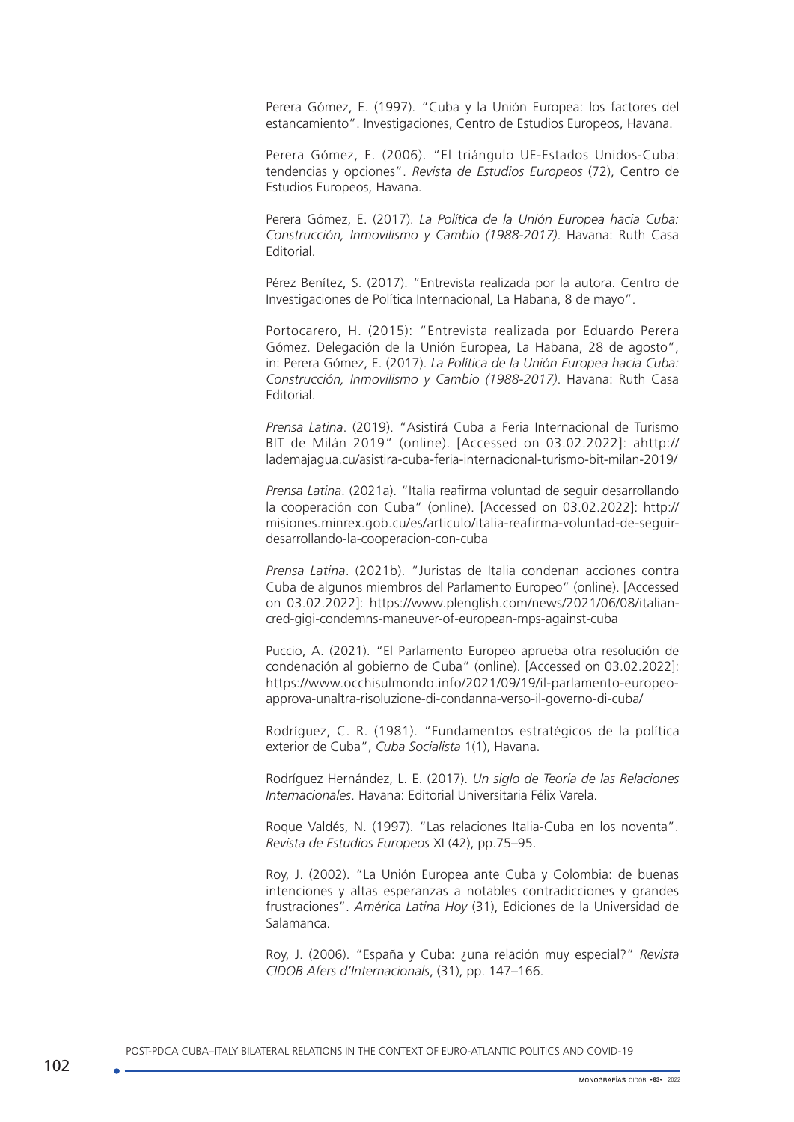Perera Gómez, E. (1997). "Cuba y la Unión Europea: los factores del estancamiento". Investigaciones, Centro de Estudios Europeos, Havana.

Perera Gómez, E. (2006). "El triángulo UE-Estados Unidos-Cuba: tendencias y opciones". *Revista de Estudios Europeos* (72), Centro de Estudios Europeos, Havana.

Perera Gómez, E. (2017). *La Política de la Unión Europea hacia Cuba: Construcción, Inmovilismo y Cambio (1988-2017)*. Havana: Ruth Casa Editorial.

Pérez Benítez, S. (2017). "Entrevista realizada por la autora. Centro de Investigaciones de Política Internacional, La Habana, 8 de mayo".

Portocarero, H. (2015): "Entrevista realizada por Eduardo Perera Gómez. Delegación de la Unión Europea, La Habana, 28 de agosto", in: Perera Gómez, E. (2017). *La Política de la Unión Europea hacia Cuba: Construcción, Inmovilismo y Cambio (1988-2017)*. Havana: Ruth Casa Editorial.

*Prensa Latina*. (2019). "Asistirá Cuba a Feria Internacional de Turismo BIT de Milán 2019" (online). [Accessed on 03.02.2022]: a[http://](http://lademajagua.cu/asistira-cuba-feria-internacional-turismo-bit-milan-2019/) [lademajagua.cu/asistira-cuba-feria-internacional-turismo-bit-milan-2019/](http://lademajagua.cu/asistira-cuba-feria-internacional-turismo-bit-milan-2019/)

*Prensa Latina*. (2021a). "Italia reafirma voluntad de seguir desarrollando la cooperación con Cuba" (online). [Accessed on 03.02.2022]: [http://](http://misiones.minrex.gob.cu/es/articulo/italia-reafirma-voluntad-de-seguir-desarrollando-la-cooperacion-con-cuba) [misiones.minrex.gob.cu/es/articulo/italia-reafirma-voluntad-de-seguir](http://misiones.minrex.gob.cu/es/articulo/italia-reafirma-voluntad-de-seguir-desarrollando-la-cooperacion-con-cuba)[desarrollando-la-cooperacion-con-cuba](http://misiones.minrex.gob.cu/es/articulo/italia-reafirma-voluntad-de-seguir-desarrollando-la-cooperacion-con-cuba) 

*Prensa Latina*. (2021b). "Juristas de Italia condenan acciones contra Cuba de algunos miembros del Parlamento Europeo" (online). [Accessed on 03.02.2022]: https://www.plenglish.com/news/2021/06/08/italiancred-gigi-condemns-maneuver-of-european-mps-against-cuba

Puccio, A. (2021). "El Parlamento Europeo aprueba otra resolución de condenación al gobierno de Cuba" (online). [Accessed on 03.02.2022]: [https://www.occhisulmondo.info/2021/09/19/il-parlamento-europeo](https://www.occhisulmondo.info/2021/09/19/il-parlamento-europeo-approva-unaltra-risoluzione-di-condanna-verso-il-governo-di-cuba/)[approva-unaltra-risoluzione-di-condanna-verso-il-governo-di-cuba/](https://www.occhisulmondo.info/2021/09/19/il-parlamento-europeo-approva-unaltra-risoluzione-di-condanna-verso-il-governo-di-cuba/)

Rodríguez, C. R. (1981). "Fundamentos estratégicos de la política exterior de Cuba", *Cuba Socialista* 1(1), Havana.

Rodríguez Hernández, L. E. (2017). *Un siglo de Teoría de las Relaciones Internacionales*. Havana: Editorial Universitaria Félix Varela.

Roque Valdés, N. (1997). "Las relaciones Italia-Cuba en los noventa". *Revista de Estudios Europeos* XI (42), pp.75–95.

Roy, J. (2002). "La Unión Europea ante Cuba y Colombia: de buenas intenciones y altas esperanzas a notables contradicciones y grandes frustraciones". *América Latina Hoy* (31), Ediciones de la Universidad de Salamanca.

Roy, J. (2006). "España y Cuba: ¿una relación muy especial?" *Revista CIDOB Afers d'Internacionals*, (31), pp. 147–166.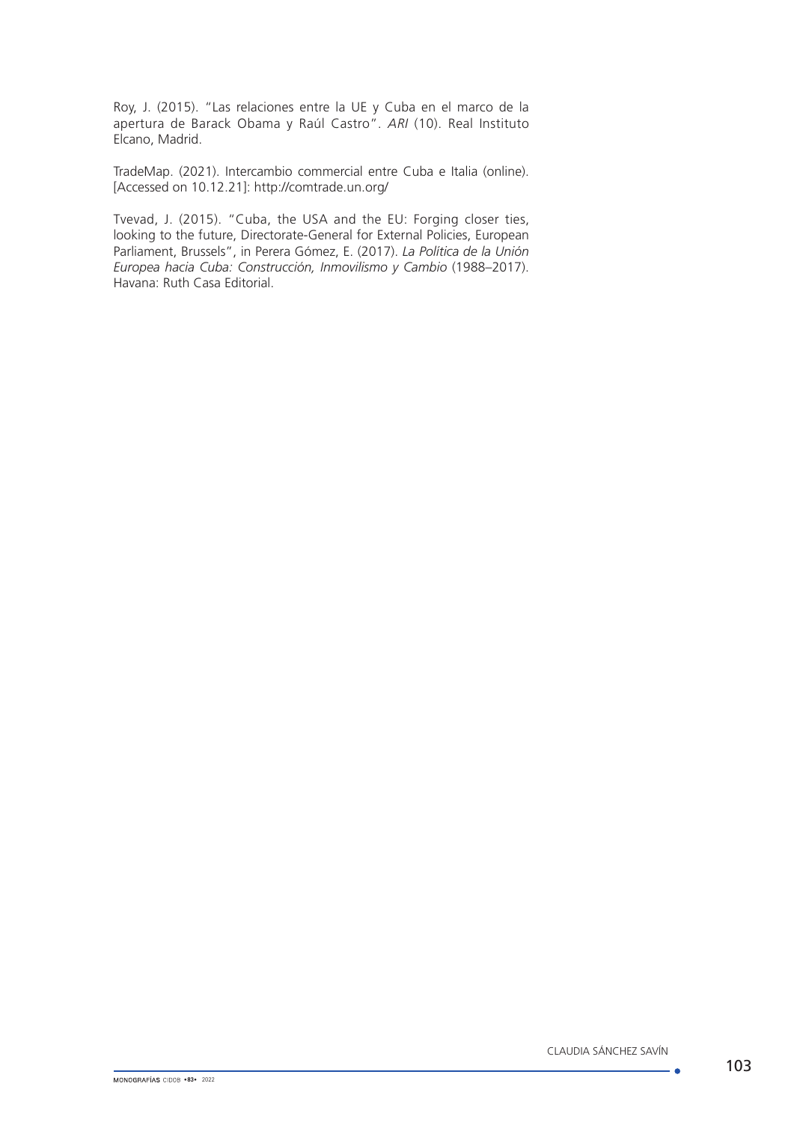Roy, J. (2015). "Las relaciones entre la UE y Cuba en el marco de la apertura de Barack Obama y Raúl Castro". *ARI* (10). Real Instituto Elcano, Madrid.

TradeMap. (2021). Intercambio commercial entre Cuba e Italia (online). [Accessed on 10.12.21]: <http://comtrade.un.org/>

Tvevad, J. (2015). "Cuba, the USA and the EU: Forging closer ties, looking to the future, Directorate-General for External Policies, European Parliament, Brussels", in Perera Gómez, E. (2017). *La Política de la Unión Europea hacia Cuba: Construcción, Inmovilismo y Cambio* (1988–2017). Havana: Ruth Casa Editorial.

. .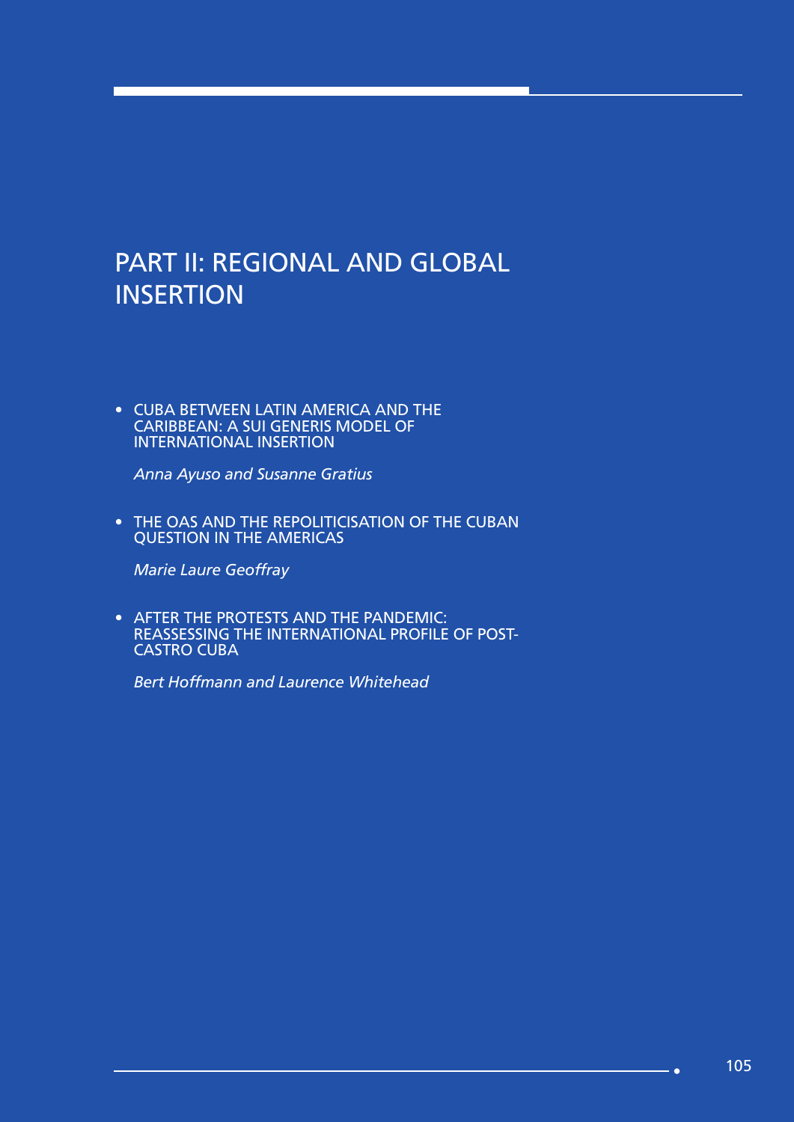# PART II: REGIONAL AND GLOBAL **INSERTION**

• CUBA BETWEEN LATIN AMERICA AND THE CARIBBEAN: A SUI GENERIS MODEL OF INTERNATIONAL INSERTION

*Anna Ayuso and Susanne Gratius*

• THE OAS AND THE REPOLITICISATION OF THE CUBAN QUESTION IN THE AMERICAS

*Marie Laure Geoffray*

• AFTER THE PROTESTS AND THE PANDEMIC: REASSESSING THE INTERNATIONAL PROFILE OF POST-CASTRO CUBA

*Bert Hoffmann and Laurence Whitehead*

**Sec**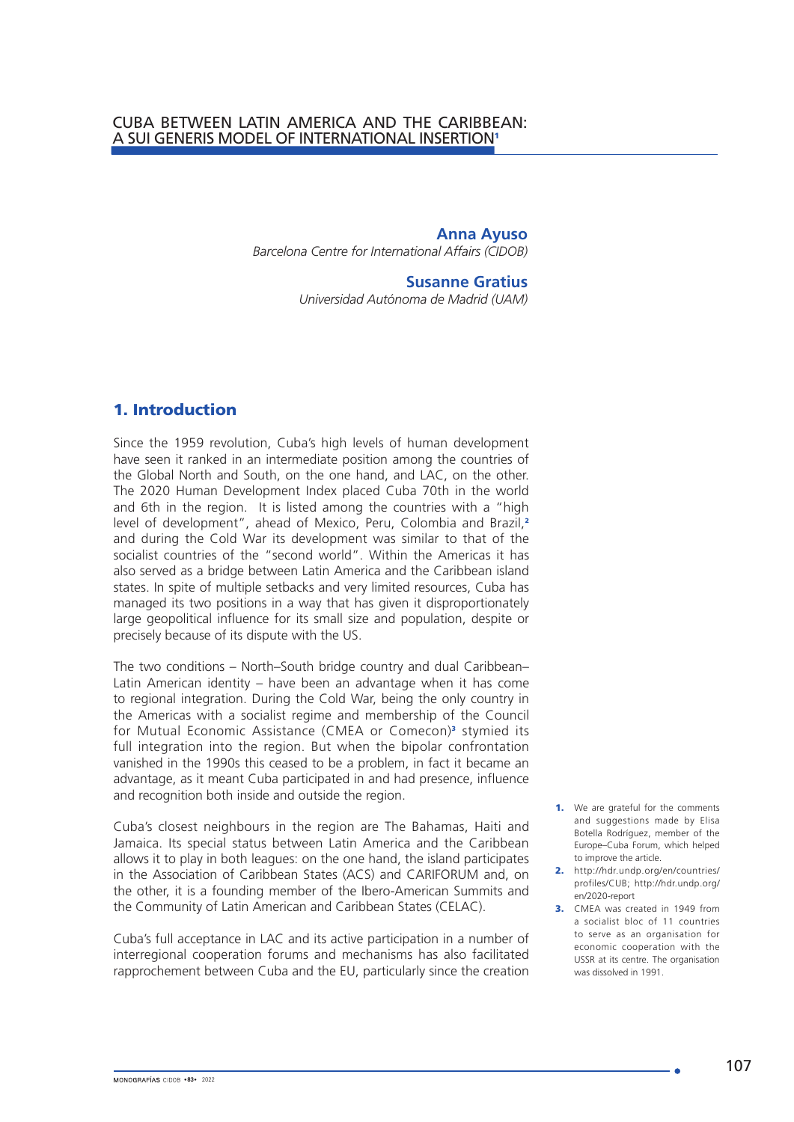## CUBA BETWEEN LATIN AMERICA AND THE CARIBBEAN: A SUI GENERIS MODEL OF INTERNATIONAL INSERTION<sup>1</sup>

**Anna Ayuso** *Barcelona Centre for International Affairs (CIDOB)*

#### **Susanne Gratius**

*Universidad Autónoma de Madrid (UAM)*

## 1. Introduction

Since the 1959 revolution, Cuba's high levels of human development have seen it ranked in an intermediate position among the countries of the Global North and South, on the one hand, and LAC, on the other. The 2020 Human Development Index placed Cuba 70th in the world and 6th in the region. It is listed among the countries with a "high level of development", ahead of Mexico, Peru, Colombia and Brazil,<sup>2</sup> and during the Cold War its development was similar to that of the socialist countries of the "second world". Within the Americas it has also served as a bridge between Latin America and the Caribbean island states. In spite of multiple setbacks and very limited resources, Cuba has managed its two positions in a way that has given it disproportionately large geopolitical influence for its small size and population, despite or precisely because of its dispute with the US.

The two conditions – North–South bridge country and dual Caribbean– Latin American identity – have been an advantage when it has come to regional integration. During the Cold War, being the only country in the Americas with a socialist regime and membership of the Council for Mutual Economic Assistance (CMEA or Comecon)<sup>3</sup> stymied its full integration into the region. But when the bipolar confrontation vanished in the 1990s this ceased to be a problem, in fact it became an advantage, as it meant Cuba participated in and had presence, influence and recognition both inside and outside the region.

Cuba's closest neighbours in the region are The Bahamas, Haiti and Jamaica. Its special status between Latin America and the Caribbean allows it to play in both leagues: on the one hand, the island participates in the Association of Caribbean States (ACS) and CARIFORUM and, on the other, it is a founding member of the Ibero-American Summits and the Community of Latin American and Caribbean States (CELAC).

Cuba's full acceptance in LAC and its active participation in a number of interregional cooperation forums and mechanisms has also facilitated rapprochement between Cuba and the EU, particularly since the creation

- **1.** We are grateful for the comments and suggestions made by Elisa Botella Rodríguez, member of the Europe–Cuba Forum, which helped to improve the article.
- 2. [http://hdr.undp.org/en/countries/](%20http://hdr.undp.org/en/countries/profiles/CUB) [profiles/CUB](%20http://hdr.undp.org/en/countries/profiles/CUB); [http://hdr.undp.org/](http://hdr.undp.org/en/2020-report ) [en/2020-report](http://hdr.undp.org/en/2020-report )
- 3. CMEA was created in 1949 from a socialist bloc of 11 countries to serve as an organisation for economic cooperation with the USSR at its centre. The organisation was dissolved in 1991.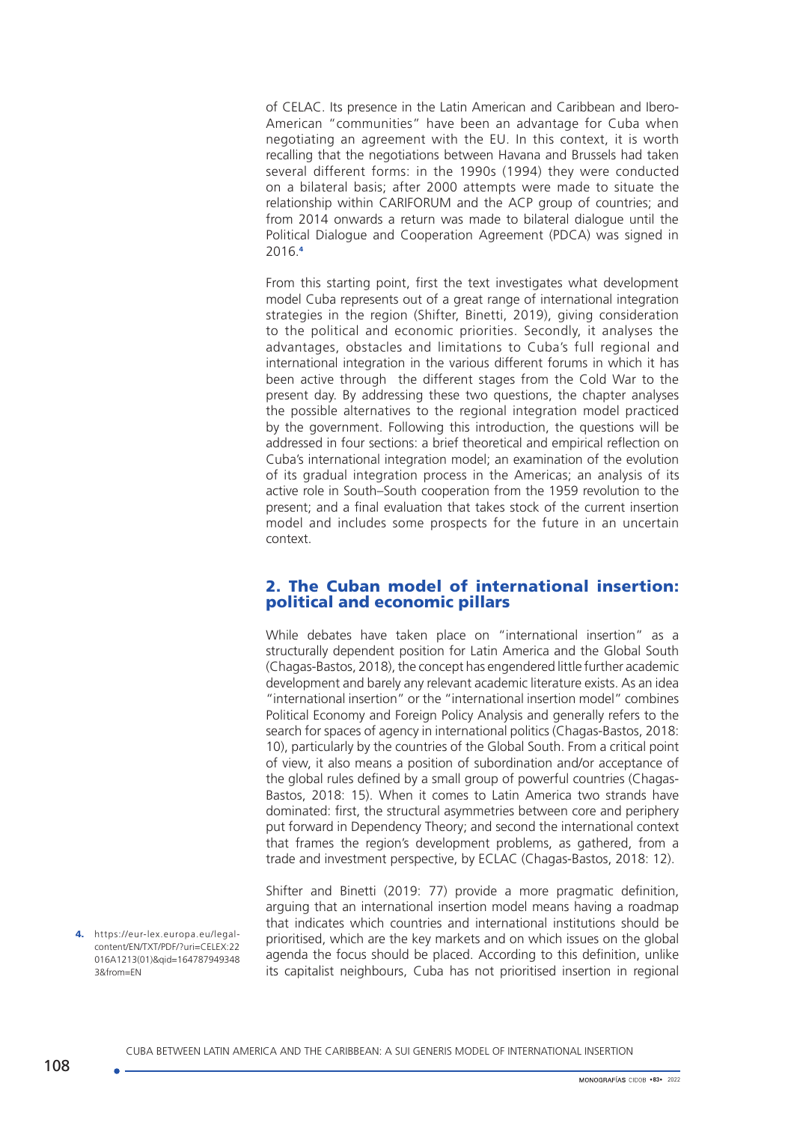of CELAC. Its presence in the Latin American and Caribbean and Ibero-American "communities" have been an advantage for Cuba when negotiating an agreement with the EU. In this context, it is worth recalling that the negotiations between Havana and Brussels had taken several different forms: in the 1990s (1994) they were conducted on a bilateral basis; after 2000 attempts were made to situate the relationship within CARIFORUM and the ACP group of countries; and from 2014 onwards a return was made to bilateral dialogue until the Political Dialogue and Cooperation Agreement (PDCA) was signed in 2016.<sup>4</sup>

From this starting point, first the text investigates what development model Cuba represents out of a great range of international integration strategies in the region (Shifter, Binetti, 2019), giving consideration to the political and economic priorities. Secondly, it analyses the advantages, obstacles and limitations to Cuba's full regional and international integration in the various different forums in which it has been active through the different stages from the Cold War to the present day. By addressing these two questions, the chapter analyses the possible alternatives to the regional integration model practiced by the government. Following this introduction, the questions will be addressed in four sections: a brief theoretical and empirical reflection on Cuba's international integration model; an examination of the evolution of its gradual integration process in the Americas; an analysis of its active role in South–South cooperation from the 1959 revolution to the present; and a final evaluation that takes stock of the current insertion model and includes some prospects for the future in an uncertain context.

## 2. The Cuban model of international insertion: political and economic pillars

While debates have taken place on "international insertion" as a structurally dependent position for Latin America and the Global South (Chagas-Bastos, 2018), the concept has engendered little further academic development and barely any relevant academic literature exists. As an idea "international insertion" or the "international insertion model" combines Political Economy and Foreign Policy Analysis and generally refers to the search for spaces of agency in international politics (Chagas-Bastos, 2018: 10), particularly by the countries of the Global South. From a critical point of view, it also means a position of subordination and/or acceptance of the global rules defined by a small group of powerful countries (Chagas-Bastos, 2018: 15). When it comes to Latin America two strands have dominated: first, the structural asymmetries between core and periphery put forward in Dependency Theory; and second the international context that frames the region's development problems, as gathered, from a trade and investment perspective, by ECLAC (Chagas-Bastos, 2018: 12).

Shifter and Binetti (2019: 77) provide a more pragmatic definition, arguing that an international insertion model means having a roadmap that indicates which countries and international institutions should be prioritised, which are the key markets and on which issues on the global agenda the focus should be placed. According to this definition, unlike its capitalist neighbours, Cuba has not prioritised insertion in regional

4. [https://eur-lex.europa.eu/legal](https://eur-lex.europa.eu/legal-content/EN/TXT/PDF/?uri=CELEX:22016A1213(01)&qid=1647879493483&from=EN)[content/EN/TXT/PDF/?uri=CELEX:22](https://eur-lex.europa.eu/legal-content/EN/TXT/PDF/?uri=CELEX:22016A1213(01)&qid=1647879493483&from=EN) [016A1213\(01\)&qid=164787949348](https://eur-lex.europa.eu/legal-content/EN/TXT/PDF/?uri=CELEX:22016A1213(01)&qid=1647879493483&from=EN) [3&from=EN](https://eur-lex.europa.eu/legal-content/EN/TXT/PDF/?uri=CELEX:22016A1213(01)&qid=1647879493483&from=EN)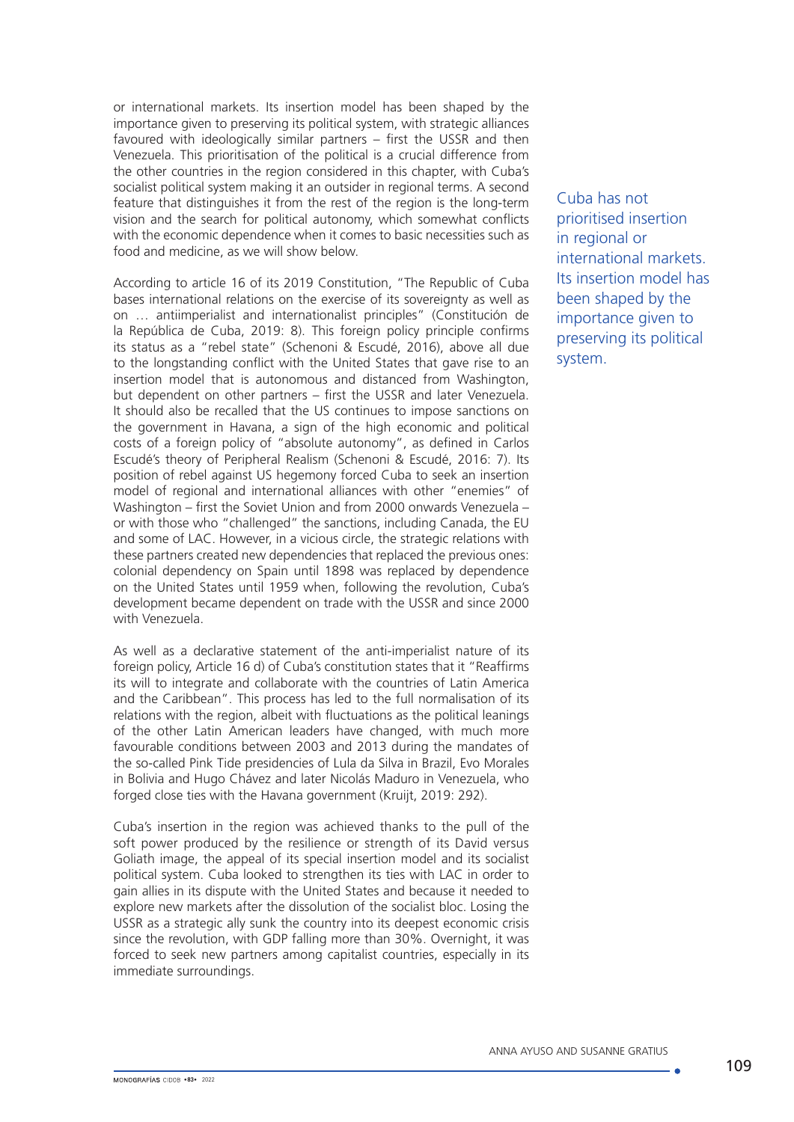or international markets. Its insertion model has been shaped by the importance given to preserving its political system, with strategic alliances favoured with ideologically similar partners – first the USSR and then Venezuela. This prioritisation of the political is a crucial difference from the other countries in the region considered in this chapter, with Cuba's socialist political system making it an outsider in regional terms. A second feature that distinguishes it from the rest of the region is the long-term vision and the search for political autonomy, which somewhat conflicts with the economic dependence when it comes to basic necessities such as food and medicine, as we will show below.

According to article 16 of its 2019 Constitution, "The Republic of Cuba bases international relations on the exercise of its sovereignty as well as on … antiimperialist and internationalist principles" (Constitución de la República de Cuba, 2019: 8). This foreign policy principle confirms its status as a "rebel state" (Schenoni & Escudé, 2016), above all due to the longstanding conflict with the United States that gave rise to an insertion model that is autonomous and distanced from Washington, but dependent on other partners – first the USSR and later Venezuela. It should also be recalled that the US continues to impose sanctions on the government in Havana, a sign of the high economic and political costs of a foreign policy of "absolute autonomy", as defined in Carlos Escudé's theory of Peripheral Realism (Schenoni & Escudé, 2016: 7). Its position of rebel against US hegemony forced Cuba to seek an insertion model of regional and international alliances with other "enemies" of Washington – first the Soviet Union and from 2000 onwards Venezuela – or with those who "challenged" the sanctions, including Canada, the EU and some of LAC. However, in a vicious circle, the strategic relations with these partners created new dependencies that replaced the previous ones: colonial dependency on Spain until 1898 was replaced by dependence on the United States until 1959 when, following the revolution, Cuba's development became dependent on trade with the USSR and since 2000 with Venezuela.

As well as a declarative statement of the anti-imperialist nature of its foreign policy, Article 16 d) of Cuba's constitution states that it "Reaffirms its will to integrate and collaborate with the countries of Latin America and the Caribbean". This process has led to the full normalisation of its relations with the region, albeit with fluctuations as the political leanings of the other Latin American leaders have changed, with much more favourable conditions between 2003 and 2013 during the mandates of the so-called Pink Tide presidencies of Lula da Silva in Brazil, Evo Morales in Bolivia and Hugo Chávez and later Nicolás Maduro in Venezuela, who forged close ties with the Havana government (Kruijt, 2019: 292).

Cuba's insertion in the region was achieved thanks to the pull of the soft power produced by the resilience or strength of its David versus Goliath image, the appeal of its special insertion model and its socialist political system. Cuba looked to strengthen its ties with LAC in order to gain allies in its dispute with the United States and because it needed to explore new markets after the dissolution of the socialist bloc. Losing the USSR as a strategic ally sunk the country into its deepest economic crisis since the revolution, with GDP falling more than 30%. Overnight, it was forced to seek new partners among capitalist countries, especially in its immediate surroundings.

Cuba has not prioritised insertion in regional or international markets. Its insertion model has been shaped by the importance given to preserving its political system.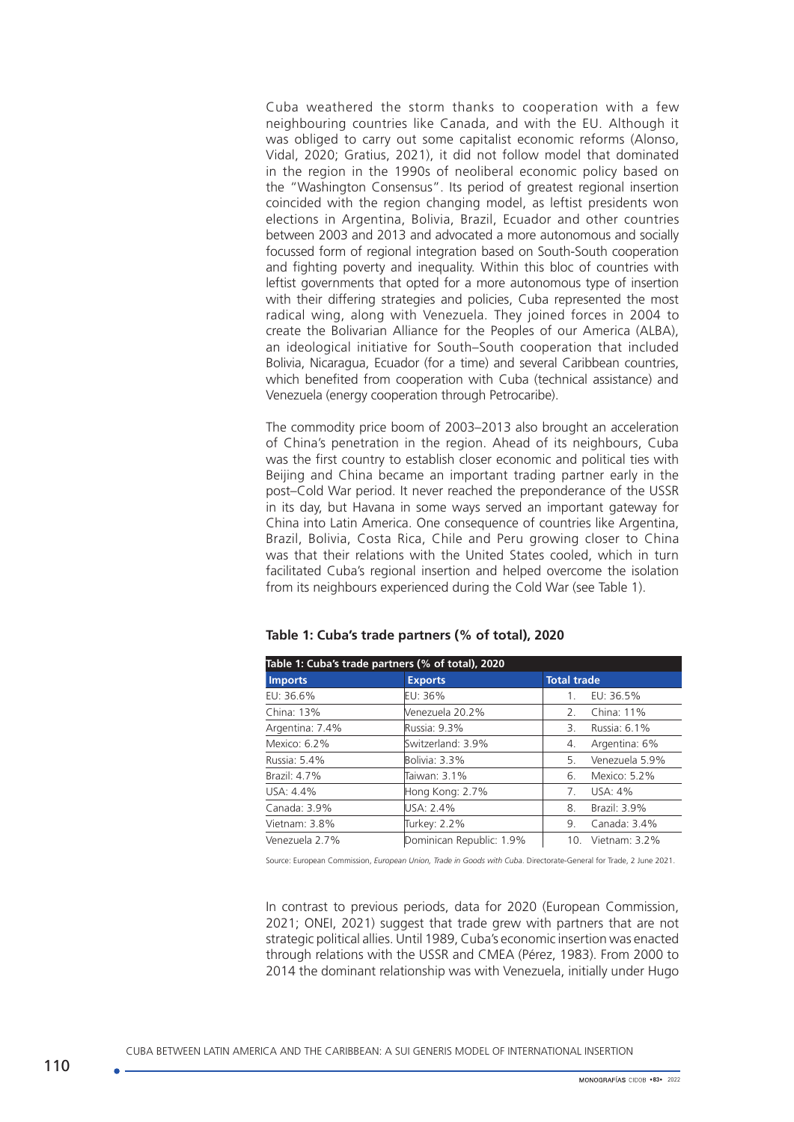Cuba weathered the storm thanks to cooperation with a few neighbouring countries like Canada, and with the EU. Although it was obliged to carry out some capitalist economic reforms (Alonso, Vidal, 2020; Gratius, 2021), it did not follow model that dominated in the region in the 1990s of neoliberal economic policy based on the "Washington Consensus". Its period of greatest regional insertion coincided with the region changing model, as leftist presidents won elections in Argentina, Bolivia, Brazil, Ecuador and other countries between 2003 and 2013 and advocated a more autonomous and socially focussed form of regional integration based on South-South cooperation and fighting poverty and inequality. Within this bloc of countries with leftist governments that opted for a more autonomous type of insertion with their differing strategies and policies, Cuba represented the most radical wing, along with Venezuela. They joined forces in 2004 to create the Bolivarian Alliance for the Peoples of our America (ALBA), an ideological initiative for South–South cooperation that included Bolivia, Nicaragua, Ecuador (for a time) and several Caribbean countries, which benefited from cooperation with Cuba (technical assistance) and Venezuela (energy cooperation through Petrocaribe).

The commodity price boom of 2003–2013 also brought an acceleration of China's penetration in the region. Ahead of its neighbours, Cuba was the first country to establish closer economic and political ties with Beijing and China became an important trading partner early in the post–Cold War period. It never reached the preponderance of the USSR in its day, but Havana in some ways served an important gateway for China into Latin America. One consequence of countries like Argentina, Brazil, Bolivia, Costa Rica, Chile and Peru growing closer to China was that their relations with the United States cooled, which in turn facilitated Cuba's regional insertion and helped overcome the isolation from its neighbours experienced during the Cold War (see Table 1).

| Table 1: Cuba's trade partners (% of total), 2020 |                          |                             |  |  |  |
|---------------------------------------------------|--------------------------|-----------------------------|--|--|--|
| <b>Imports</b>                                    | <b>Exports</b>           | <b>Total trade</b>          |  |  |  |
| EU: 36.6%                                         | $EU: 36\%$               | EU: 36.5%                   |  |  |  |
| China: 13%                                        | Venezuela 20.2%          | China: 11%<br>$\mathcal{L}$ |  |  |  |
| Argentina: 7.4%                                   | Russia: 9.3%             | Russia: 6.1%<br>З.          |  |  |  |
| Mexico: 6.2%                                      | Switzerland: 3.9%        | Argentina: 6%<br>4.         |  |  |  |
| Russia: 5.4%                                      | Bolivia: 3.3%            | Venezuela 5.9%<br>5.        |  |  |  |
| Brazil: 4.7%                                      | Taiwan: 3.1%             | Mexico: 5.2%<br>6.          |  |  |  |
| USA: 4.4%                                         | Hong Kong: 2.7%          | USA: 4%<br>7.               |  |  |  |
| Canada: 3.9%                                      | USA: 2.4%                | Brazil: 3.9%<br>8.          |  |  |  |
| Vietnam: 3.8%                                     | Turkey: 2.2%             | Canada: 3.4%<br>9.          |  |  |  |
| Venezuela 2.7%                                    | Dominican Republic: 1.9% | 10. Vietnam: 3.2%           |  |  |  |

**Table 1: Cuba's trade partners (% of total), 2020**

Source: European Commission, *European Union, Trade in Goods with Cuba*. Directorate-General for Trade, 2 June 2021.

In contrast to previous periods, data for 2020 (European Commission, 2021; ONEI, 2021) suggest that trade grew with partners that are not strategic political allies. Until 1989, Cuba's economic insertion was enacted through relations with the USSR and CMEA (Pérez, 1983). From 2000 to 2014 the dominant relationship was with Venezuela, initially under Hugo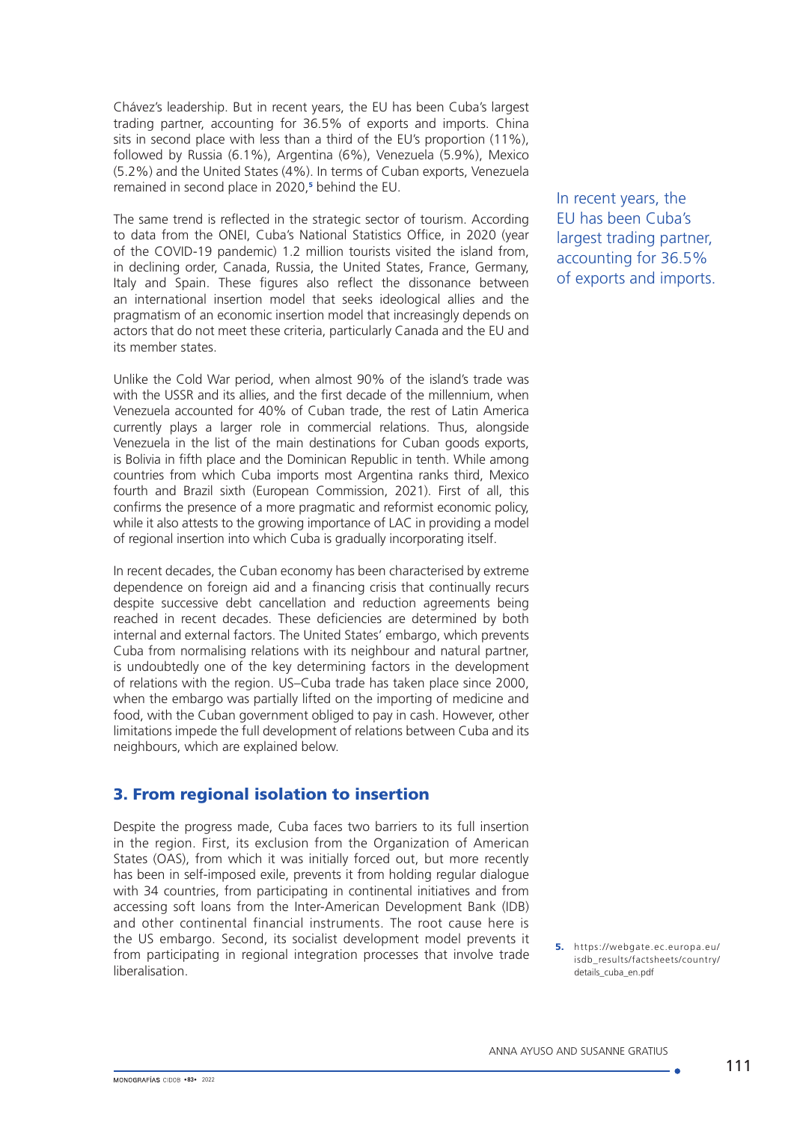Chávez's leadership. But in recent years, the EU has been Cuba's largest trading partner, accounting for 36.5% of exports and imports. China sits in second place with less than a third of the EU's proportion (11%), followed by Russia (6.1%), Argentina (6%), Venezuela (5.9%), Mexico (5.2%) and the United States (4%). In terms of Cuban exports, Venezuela remained in second place in 2020,<sup>5</sup> behind the EU.

The same trend is reflected in the strategic sector of tourism. According to data from the ONEI, Cuba's National Statistics Office, in 2020 (year of the COVID-19 pandemic) 1.2 million tourists visited the island from, in declining order, Canada, Russia, the United States, France, Germany, Italy and Spain. These figures also reflect the dissonance between an international insertion model that seeks ideological allies and the pragmatism of an economic insertion model that increasingly depends on actors that do not meet these criteria, particularly Canada and the EU and its member states.

Unlike the Cold War period, when almost 90% of the island's trade was with the USSR and its allies, and the first decade of the millennium, when Venezuela accounted for 40% of Cuban trade, the rest of Latin America currently plays a larger role in commercial relations. Thus, alongside Venezuela in the list of the main destinations for Cuban goods exports, is Bolivia in fifth place and the Dominican Republic in tenth. While among countries from which Cuba imports most Argentina ranks third, Mexico fourth and Brazil sixth (European Commission, 2021). First of all, this confirms the presence of a more pragmatic and reformist economic policy, while it also attests to the growing importance of LAC in providing a model of regional insertion into which Cuba is gradually incorporating itself.

In recent decades, the Cuban economy has been characterised by extreme dependence on foreign aid and a financing crisis that continually recurs despite successive debt cancellation and reduction agreements being reached in recent decades. These deficiencies are determined by both internal and external factors. The United States' embargo, which prevents Cuba from normalising relations with its neighbour and natural partner, is undoubtedly one of the key determining factors in the development of relations with the region. US–Cuba trade has taken place since 2000, when the embargo was partially lifted on the importing of medicine and food, with the Cuban government obliged to pay in cash. However, other limitations impede the full development of relations between Cuba and its neighbours, which are explained below.

# 3. From regional isolation to insertion

Despite the progress made, Cuba faces two barriers to its full insertion in the region. First, its exclusion from the Organization of American States (OAS), from which it was initially forced out, but more recently has been in self-imposed exile, prevents it from holding regular dialogue with 34 countries, from participating in continental initiatives and from accessing soft loans from the Inter-American Development Bank (IDB) and other continental financial instruments. The root cause here is the US embargo. Second, its socialist development model prevents it from participating in regional integration processes that involve trade liberalisation.

In recent years, the EU has been Cuba's largest trading partner, accounting for 36.5% of exports and imports.

5. [https://webgate.ec.europa.eu/](https://webgate.ec.europa.eu/isdb_results/factsheets/country/details_cuba_en.pdf) [isdb\\_results/factsheets/country/](https://webgate.ec.europa.eu/isdb_results/factsheets/country/details_cuba_en.pdf) [details\\_cuba\\_en.pdf](https://webgate.ec.europa.eu/isdb_results/factsheets/country/details_cuba_en.pdf)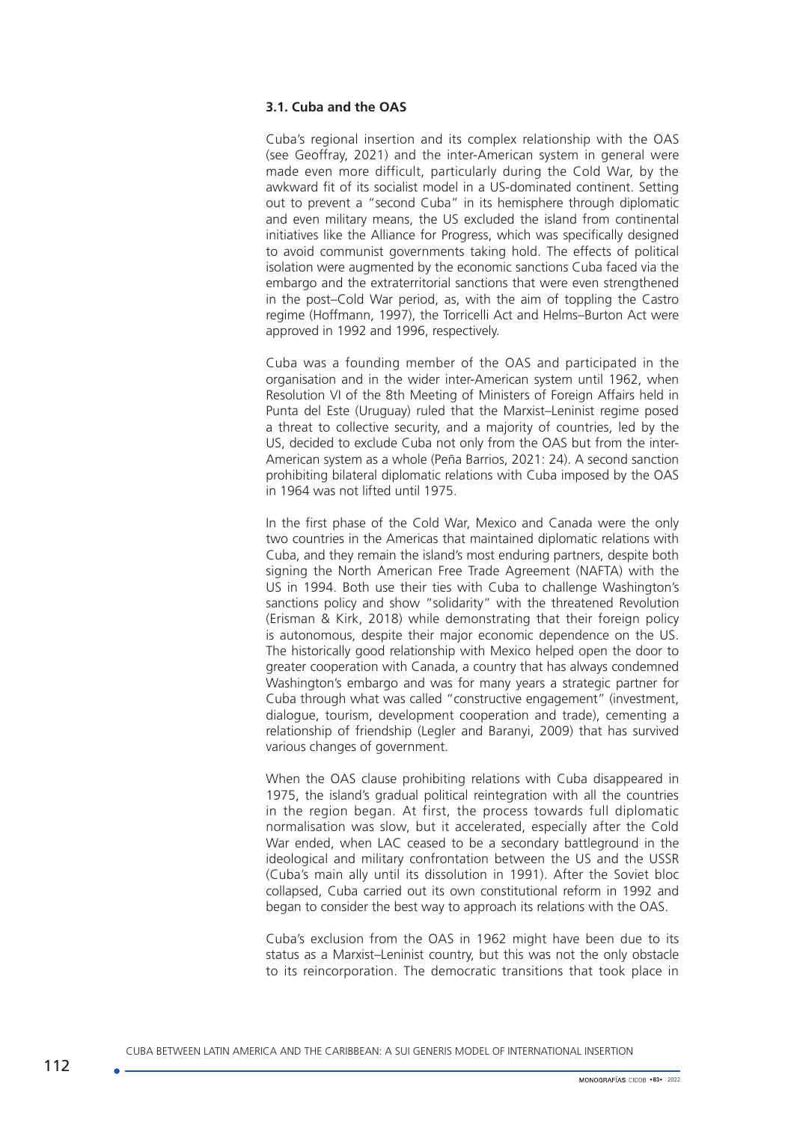#### **3.1. Cuba and the OAS**

Cuba's regional insertion and its complex relationship with the OAS (see Geoffray, 2021) and the inter-American system in general were made even more difficult, particularly during the Cold War, by the awkward fit of its socialist model in a US-dominated continent. Setting out to prevent a "second Cuba" in its hemisphere through diplomatic and even military means, the US excluded the island from continental initiatives like the Alliance for Progress, which was specifically designed to avoid communist governments taking hold. The effects of political isolation were augmented by the economic sanctions Cuba faced via the embargo and the extraterritorial sanctions that were even strengthened in the post–Cold War period, as, with the aim of toppling the Castro regime (Hoffmann, 1997), the Torricelli Act and Helms–Burton Act were approved in 1992 and 1996, respectively.

Cuba was a founding member of the OAS and participated in the organisation and in the wider inter-American system until 1962, when Resolution VI of the 8th Meeting of Ministers of Foreign Affairs held in Punta del Este (Uruguay) ruled that the Marxist–Leninist regime posed a threat to collective security, and a majority of countries, led by the US, decided to exclude Cuba not only from the OAS but from the inter-American system as a whole (Peña Barrios, 2021: 24). A second sanction prohibiting bilateral diplomatic relations with Cuba imposed by the OAS in 1964 was not lifted until 1975.

In the first phase of the Cold War, Mexico and Canada were the only two countries in the Americas that maintained diplomatic relations with Cuba, and they remain the island's most enduring partners, despite both signing the North American Free Trade Agreement (NAFTA) with the US in 1994. Both use their ties with Cuba to challenge Washington's sanctions policy and show "solidarity" with the threatened Revolution (Erisman & Kirk, 2018) while demonstrating that their foreign policy is autonomous, despite their major economic dependence on the US. The historically good relationship with Mexico helped open the door to greater cooperation with Canada, a country that has always condemned Washington's embargo and was for many years a strategic partner for Cuba through what was called "constructive engagement" (investment, dialogue, tourism, development cooperation and trade), cementing a relationship of friendship (Legler and Baranyi, 2009) that has survived various changes of government.

When the OAS clause prohibiting relations with Cuba disappeared in 1975, the island's gradual political reintegration with all the countries in the region began. At first, the process towards full diplomatic normalisation was slow, but it accelerated, especially after the Cold War ended, when LAC ceased to be a secondary battleground in the ideological and military confrontation between the US and the USSR (Cuba's main ally until its dissolution in 1991). After the Soviet bloc collapsed, Cuba carried out its own constitutional reform in 1992 and began to consider the best way to approach its relations with the OAS.

Cuba's exclusion from the OAS in 1962 might have been due to its status as a Marxist–Leninist country, but this was not the only obstacle to its reincorporation. The democratic transitions that took place in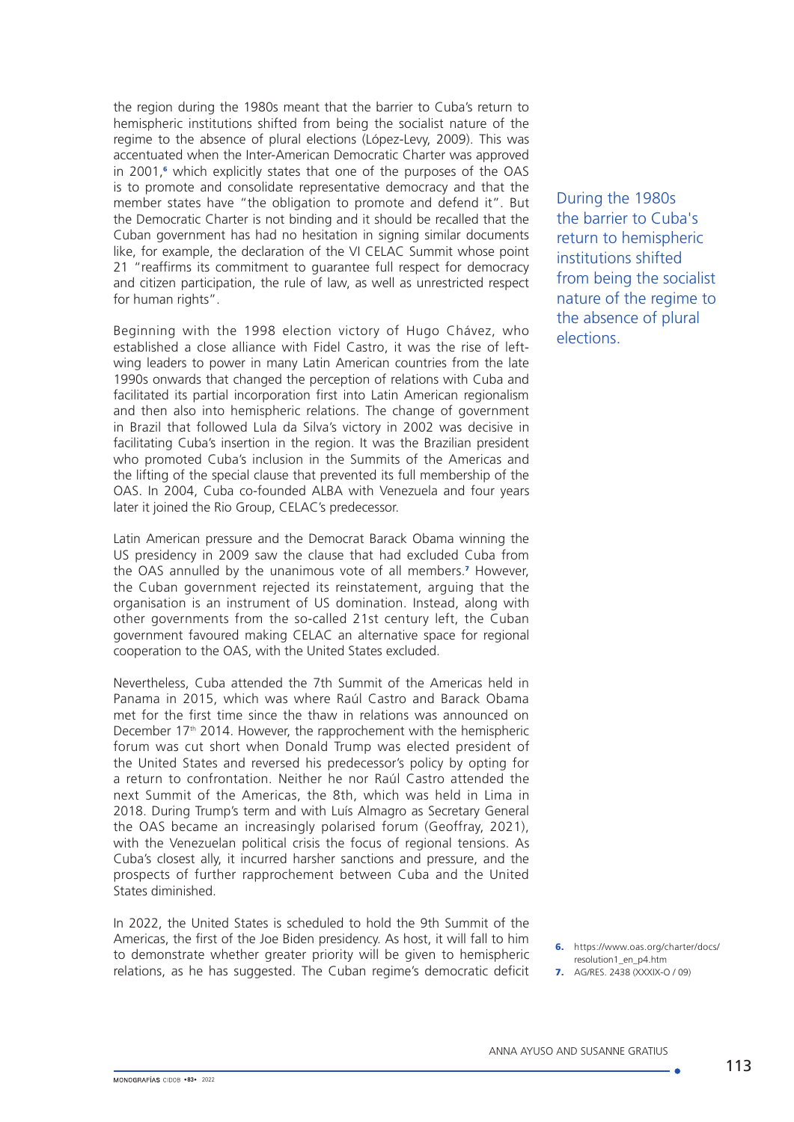the region during the 1980s meant that the barrier to Cuba's return to hemispheric institutions shifted from being the socialist nature of the regime to the absence of plural elections (López-Levy, 2009). This was accentuated when the Inter-American Democratic Charter was approved in 2001,<sup>6</sup> which explicitly states that one of the purposes of the OAS is to promote and consolidate representative democracy and that the member states have "the obligation to promote and defend it". But the Democratic Charter is not binding and it should be recalled that the Cuban government has had no hesitation in signing similar documents like, for example, the declaration of the VI CELAC Summit whose point 21 "reaffirms its commitment to guarantee full respect for democracy and citizen participation, the rule of law, as well as unrestricted respect for human rights".

Beginning with the 1998 election victory of Hugo Chávez, who established a close alliance with Fidel Castro, it was the rise of leftwing leaders to power in many Latin American countries from the late 1990s onwards that changed the perception of relations with Cuba and facilitated its partial incorporation first into Latin American regionalism and then also into hemispheric relations. The change of government in Brazil that followed Lula da Silva's victory in 2002 was decisive in facilitating Cuba's insertion in the region. It was the Brazilian president who promoted Cuba's inclusion in the Summits of the Americas and the lifting of the special clause that prevented its full membership of the OAS. In 2004, Cuba co-founded ALBA with Venezuela and four years later it joined the Rio Group, CELAC's predecessor.

Latin American pressure and the Democrat Barack Obama winning the US presidency in 2009 saw the clause that had excluded Cuba from the OAS annulled by the unanimous vote of all members.<sup>7</sup> However, the Cuban government rejected its reinstatement, arguing that the organisation is an instrument of US domination. Instead, along with other governments from the so-called 21st century left, the Cuban government favoured making CELAC an alternative space for regional cooperation to the OAS, with the United States excluded.

Nevertheless, Cuba attended the 7th Summit of the Americas held in Panama in 2015, which was where Raúl Castro and Barack Obama met for the first time since the thaw in relations was announced on December 17<sup>th</sup> 2014. However, the rapprochement with the hemispheric forum was cut short when Donald Trump was elected president of the United States and reversed his predecessor's policy by opting for a return to confrontation. Neither he nor Raúl Castro attended the next Summit of the Americas, the 8th, which was held in Lima in 2018. During Trump's term and with Luís Almagro as Secretary General the OAS became an increasingly polarised forum (Geoffray, 2021), with the Venezuelan political crisis the focus of regional tensions. As Cuba's closest ally, it incurred harsher sanctions and pressure, and the prospects of further rapprochement between Cuba and the United States diminished.

In 2022, the United States is scheduled to hold the 9th Summit of the Americas, the first of the Joe Biden presidency. As host, it will fall to him to demonstrate whether greater priority will be given to hemispheric relations, as he has suggested. The Cuban regime's democratic deficit During the 1980s the barrier to Cuba's return to hemispheric institutions shifted from being the socialist nature of the regime to the absence of plural elections.

6. [https://www.oas.org/charter/docs/](https://www.oas.org/charter/docs/resolution1_en_p4.htm) [resolution1\\_en\\_p4.htm](https://www.oas.org/charter/docs/resolution1_en_p4.htm)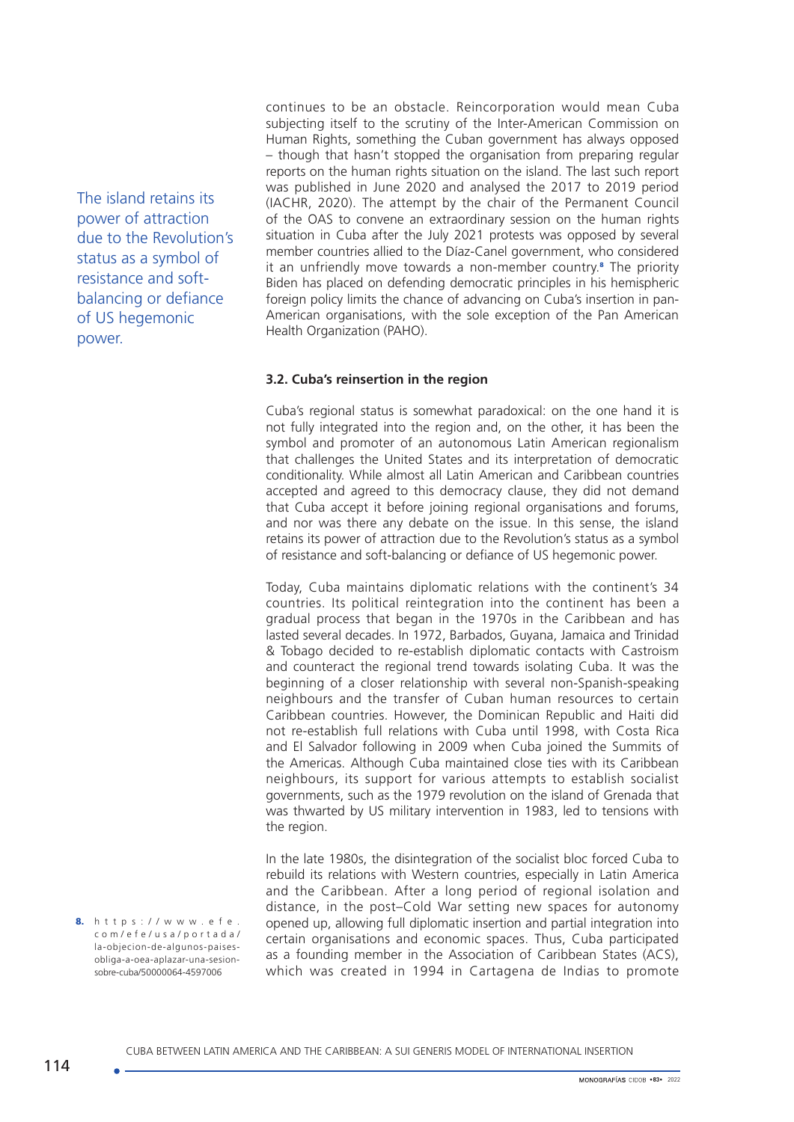The island retains its power of attraction due to the Revolution's status as a symbol of resistance and softbalancing or defiance of US hegemonic power.

continues to be an obstacle. Reincorporation would mean Cuba subjecting itself to the scrutiny of the Inter-American Commission on Human Rights, something the Cuban government has always opposed – though that hasn't stopped the organisation from preparing regular reports on the human rights situation on the island. The last such report was published in June 2020 and analysed the 2017 to 2019 period (IACHR, 2020). The attempt by the chair of the Permanent Council of the OAS to convene an extraordinary session on the human rights situation in Cuba after the July 2021 protests was opposed by several member countries allied to the Díaz-Canel government, who considered it an unfriendly move towards a non-member country.<sup>8</sup> The priority Biden has placed on defending democratic principles in his hemispheric foreign policy limits the chance of advancing on Cuba's insertion in pan-American organisations, with the sole exception of the Pan American Health Organization (PAHO).

### **3.2. Cuba's reinsertion in the region**

Cuba's regional status is somewhat paradoxical: on the one hand it is not fully integrated into the region and, on the other, it has been the symbol and promoter of an autonomous Latin American regionalism that challenges the United States and its interpretation of democratic conditionality. While almost all Latin American and Caribbean countries accepted and agreed to this democracy clause, they did not demand that Cuba accept it before joining regional organisations and forums, and nor was there any debate on the issue. In this sense, the island retains its power of attraction due to the Revolution's status as a symbol of resistance and soft-balancing or defiance of US hegemonic power.

Today, Cuba maintains diplomatic relations with the continent's 34 countries. Its political reintegration into the continent has been a gradual process that began in the 1970s in the Caribbean and has lasted several decades. In 1972, Barbados, Guyana, Jamaica and Trinidad & Tobago decided to re-establish diplomatic contacts with Castroism and counteract the regional trend towards isolating Cuba. It was the beginning of a closer relationship with several non-Spanish-speaking neighbours and the transfer of Cuban human resources to certain Caribbean countries. However, the Dominican Republic and Haiti did not re-establish full relations with Cuba until 1998, with Costa Rica and El Salvador following in 2009 when Cuba joined the Summits of the Americas. Although Cuba maintained close ties with its Caribbean neighbours, its support for various attempts to establish socialist governments, such as the 1979 revolution on the island of Grenada that was thwarted by US military intervention in 1983, led to tensions with the region.

In the late 1980s, the disintegration of the socialist bloc forced Cuba to rebuild its relations with Western countries, especially in Latin America and the Caribbean. After a long period of regional isolation and distance, in the post–Cold War setting new spaces for autonomy opened up, allowing full diplomatic insertion and partial integration into certain organisations and economic spaces. Thus, Cuba participated as a founding member in the Association of Caribbean States (ACS), which was created in 1994 in Cartagena de Indias to promote

8. [https://www.efe.](https://www.efe.com/efe/usa/portada/la-objecion-de-algunos-paises-obliga-a-oea-aplazar-una-sesion-sobre-cuba/50000064-4597006) [com/efe/usa/portada/](https://www.efe.com/efe/usa/portada/la-objecion-de-algunos-paises-obliga-a-oea-aplazar-una-sesion-sobre-cuba/50000064-4597006) [la-objecion-de-algunos-paises](https://www.efe.com/efe/usa/portada/la-objecion-de-algunos-paises-obliga-a-oea-aplazar-una-sesion-sobre-cuba/50000064-4597006)[obliga-a-oea-aplazar-una-sesion](https://www.efe.com/efe/usa/portada/la-objecion-de-algunos-paises-obliga-a-oea-aplazar-una-sesion-sobre-cuba/50000064-4597006)[sobre-cuba/50000064-4597006](https://www.efe.com/efe/usa/portada/la-objecion-de-algunos-paises-obliga-a-oea-aplazar-una-sesion-sobre-cuba/50000064-4597006)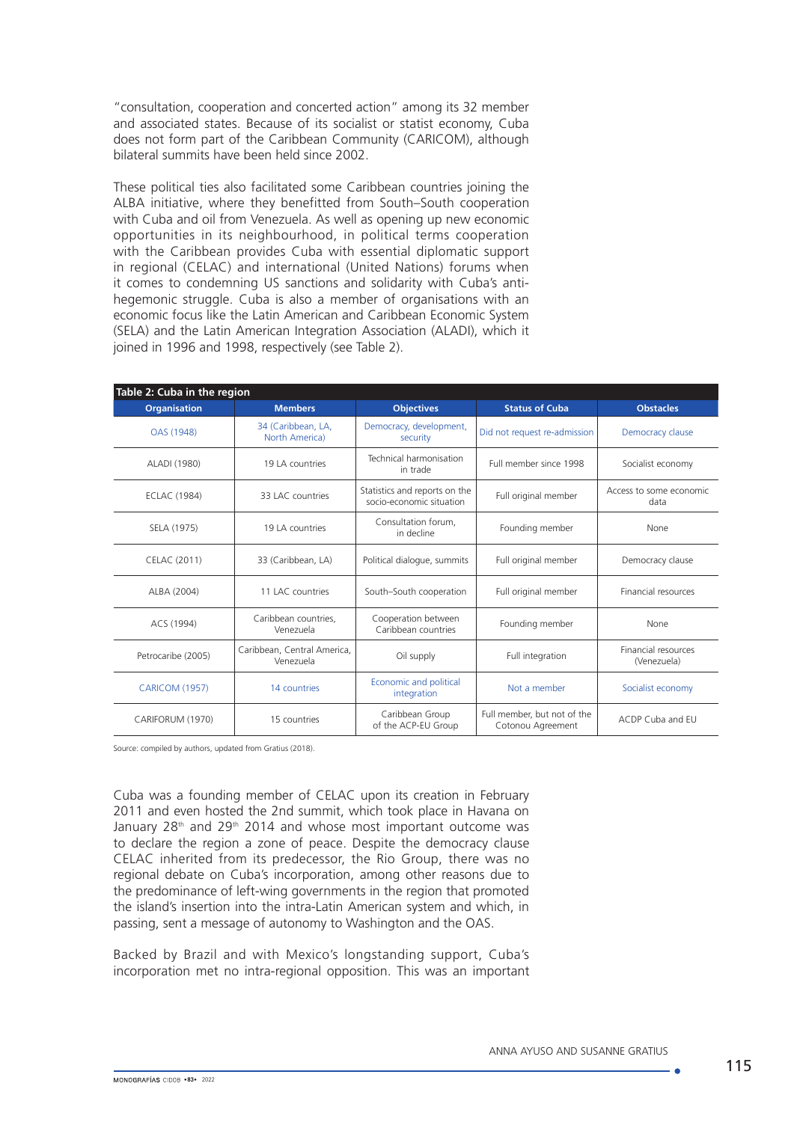"consultation, cooperation and concerted action" among its 32 member and associated states. Because of its socialist or statist economy, Cuba does not form part of the Caribbean Community (CARICOM), although bilateral summits have been held since 2002.

These political ties also facilitated some Caribbean countries joining the ALBA initiative, where they benefitted from South–South cooperation with Cuba and oil from Venezuela. As well as opening up new economic opportunities in its neighbourhood, in political terms cooperation with the Caribbean provides Cuba with essential diplomatic support in regional (CELAC) and international (United Nations) forums when it comes to condemning US sanctions and solidarity with Cuba's antihegemonic struggle. Cuba is also a member of organisations with an economic focus like the Latin American and Caribbean Economic System (SELA) and the Latin American Integration Association (ALADI), which it joined in 1996 and 1998, respectively (see Table 2).

| Table 2: Cuba in the region |                                          |                                                           |                                                  |                                           |  |
|-----------------------------|------------------------------------------|-----------------------------------------------------------|--------------------------------------------------|-------------------------------------------|--|
| <b>Organisation</b>         | <b>Members</b>                           | <b>Objectives</b>                                         | <b>Status of Cuba</b>                            | <b>Obstacles</b>                          |  |
| OAS (1948)                  | 34 (Caribbean, LA,<br>North America)     | Democracy, development,<br>security                       | Did not request re-admission                     | Democracy clause                          |  |
| ALADI (1980)                | 19 LA countries                          | Technical harmonisation<br>in trade                       | Full member since 1998                           | Socialist economy                         |  |
| <b>ECLAC (1984)</b>         | 33 LAC countries                         | Statistics and reports on the<br>socio-economic situation | Full original member                             | Access to some economic<br>data           |  |
| SELA (1975)                 | 19 LA countries                          | Consultation forum,<br>in decline                         | Founding member                                  | None                                      |  |
| CELAC (2011)                | 33 (Caribbean, LA)                       | Political dialogue, summits                               | Full original member                             | Democracy clause                          |  |
| ALBA (2004)                 | 11 LAC countries                         | South-South cooperation                                   | Full original member                             | <b>Financial resources</b>                |  |
| ACS (1994)                  | Caribbean countries.<br>Venezuela        | Cooperation between<br>Caribbean countries                | Founding member                                  | None                                      |  |
| Petrocaribe (2005)          | Caribbean, Central America,<br>Venezuela | Oil supply                                                | Full integration                                 | <b>Financial resources</b><br>(Venezuela) |  |
| <b>CARICOM (1957)</b>       | 14 countries                             | Economic and political<br>integration                     | Not a member                                     | Socialist economy                         |  |
| CARIFORUM (1970)            | 15 countries                             | Caribbean Group<br>of the ACP-EU Group                    | Full member, but not of the<br>Cotonou Agreement | ACDP Cuba and EU                          |  |

Source: compiled by authors, updated from Gratius (2018).

Cuba was a founding member of CELAC upon its creation in February 2011 and even hosted the 2nd summit, which took place in Havana on January  $28<sup>th</sup>$  and  $29<sup>th</sup>$  2014 and whose most important outcome was to declare the region a zone of peace. Despite the democracy clause CELAC inherited from its predecessor, the Rio Group, there was no regional debate on Cuba's incorporation, among other reasons due to the predominance of left-wing governments in the region that promoted the island's insertion into the intra-Latin American system and which, in passing, sent a message of autonomy to Washington and the OAS.

Backed by Brazil and with Mexico's longstanding support, Cuba's incorporation met no intra-regional opposition. This was an important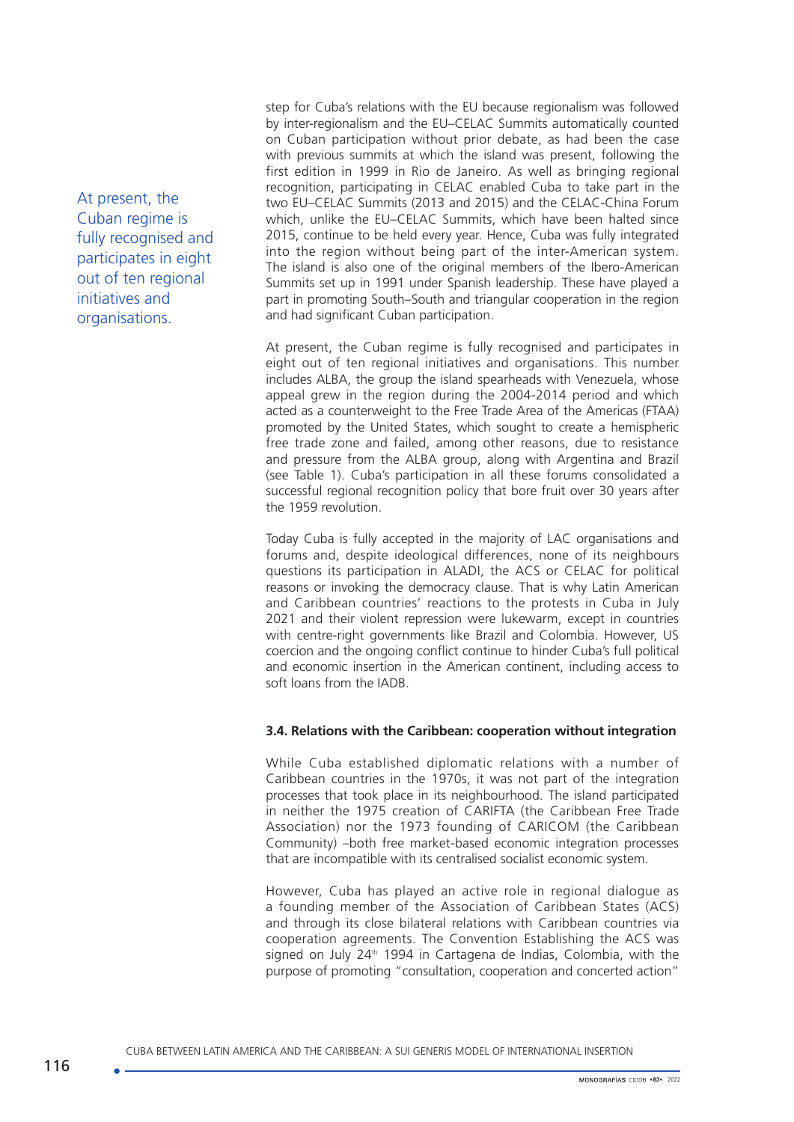At present, the Cuban regime is fully recognised and participates in eight out of ten regional initiatives and organisations.

step for Cuba's relations with the EU because regionalism was followed by inter-regionalism and the EU–CELAC Summits automatically counted on Cuban participation without prior debate, as had been the case with previous summits at which the island was present, following the first edition in 1999 in Rio de Janeiro. As well as bringing regional recognition, participating in CELAC enabled Cuba to take part in the two EU–CELAC Summits (2013 and 2015) and the CELAC-China Forum which, unlike the EU–CELAC Summits, which have been halted since 2015, continue to be held every year. Hence, Cuba was fully integrated into the region without being part of the inter-American system. The island is also one of the original members of the Ibero-American Summits set up in 1991 under Spanish leadership. These have played a part in promoting South–South and triangular cooperation in the region and had significant Cuban participation.

At present, the Cuban regime is fully recognised and participates in eight out of ten regional initiatives and organisations. This number includes ALBA, the group the island spearheads with Venezuela, whose appeal grew in the region during the 2004-2014 period and which acted as a counterweight to the Free Trade Area of the Americas (FTAA) promoted by the United States, which sought to create a hemispheric free trade zone and failed, among other reasons, due to resistance and pressure from the ALBA group, along with Argentina and Brazil (see Table 1). Cuba's participation in all these forums consolidated a successful regional recognition policy that bore fruit over 30 years after the 1959 revolution.

Today Cuba is fully accepted in the majority of LAC organisations and forums and, despite ideological differences, none of its neighbours questions its participation in ALADI, the ACS or CELAC for political reasons or invoking the democracy clause. That is why Latin American and Caribbean countries' reactions to the protests in Cuba in July 2021 and their violent repression were lukewarm, except in countries with centre-right governments like Brazil and Colombia. However, US coercion and the ongoing conflict continue to hinder Cuba's full political and economic insertion in the American continent, including access to soft loans from the IADB.

### **3.4. Relations with the Caribbean: cooperation without integration**

While Cuba established diplomatic relations with a number of Caribbean countries in the 1970s, it was not part of the integration processes that took place in its neighbourhood. The island participated in neither the 1975 creation of CARIFTA (the Caribbean Free Trade Association) nor the 1973 founding of CARICOM (the Caribbean Community) –both free market-based economic integration processes that are incompatible with its centralised socialist economic system.

However, Cuba has played an active role in regional dialogue as a founding member of the Association of Caribbean States (ACS) and through its close bilateral relations with Caribbean countries via cooperation agreements. The Convention Establishing the ACS was signed on July  $24<sup>th</sup>$  1994 in Cartagena de Indias, Colombia, with the purpose of promoting "consultation, cooperation and concerted action"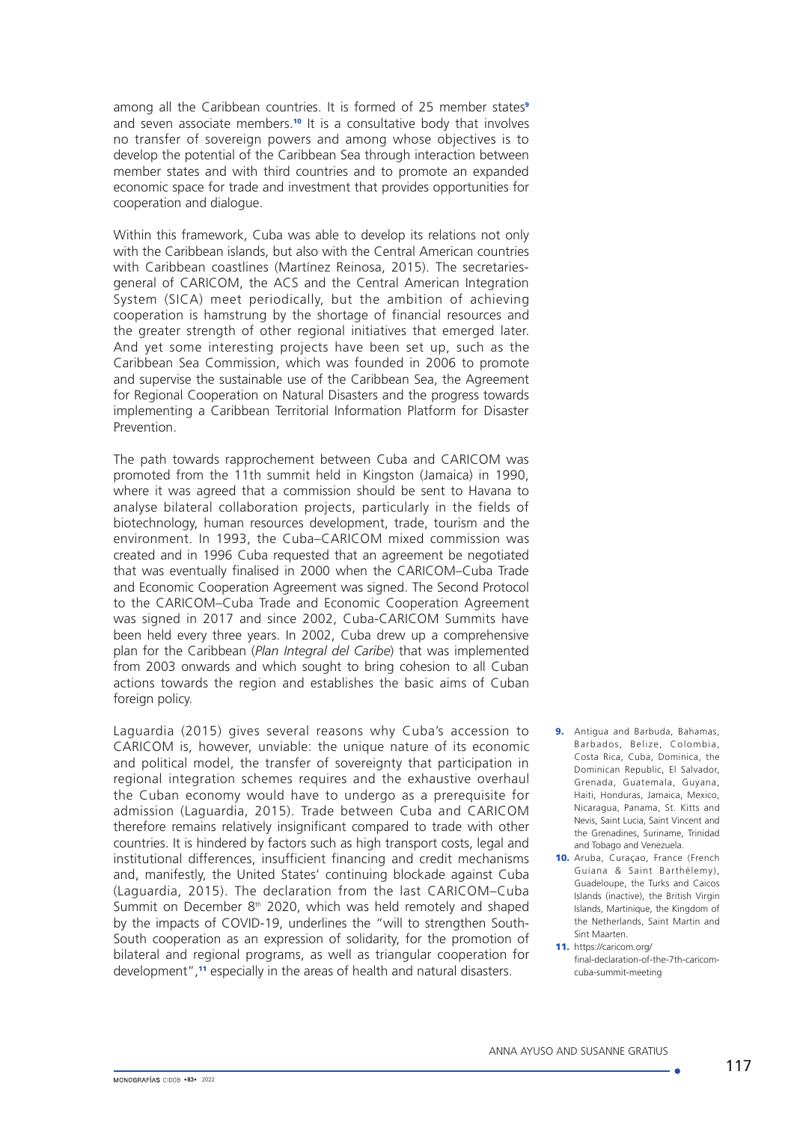among all the Caribbean countries. It is formed of 25 member states<sup>9</sup> and seven associate members.<sup>10</sup> It is a consultative body that involves no transfer of sovereign powers and among whose objectives is to develop the potential of the Caribbean Sea through interaction between member states and with third countries and to promote an expanded economic space for trade and investment that provides opportunities for cooperation and dialogue.

Within this framework, Cuba was able to develop its relations not only with the Caribbean islands, but also with the Central American countries with Caribbean coastlines (Martínez Reinosa, 2015). The secretariesgeneral of CARICOM, the ACS and the Central American Integration System (SICA) meet periodically, but the ambition of achieving cooperation is hamstrung by the shortage of financial resources and the greater strength of other regional initiatives that emerged later. And yet some interesting projects have been set up, such as the Caribbean Sea Commission, which was founded in 2006 to promote and supervise the sustainable use of the Caribbean Sea, the Agreement for Regional Cooperation on Natural Disasters and the progress towards implementing a Caribbean Territorial Information Platform for Disaster Prevention.

The path towards rapprochement between Cuba and CARICOM was promoted from the 11th summit held in Kingston (Jamaica) in 1990, where it was agreed that a commission should be sent to Havana to analyse bilateral collaboration projects, particularly in the fields of biotechnology, human resources development, trade, tourism and the environment. In 1993, the Cuba–CARICOM mixed commission was created and in 1996 Cuba requested that an agreement be negotiated that was eventually finalised in 2000 when the CARICOM–Cuba Trade and Economic Cooperation Agreement was signed. The Second Protocol to the CARICOM–Cuba Trade and Economic Cooperation Agreement was signed in 2017 and since 2002, Cuba-CARICOM Summits have been held every three years. In 2002, Cuba drew up a comprehensive plan for the Caribbean (*Plan Integral del Caribe*) that was implemented from 2003 onwards and which sought to bring cohesion to all Cuban actions towards the region and establishes the basic aims of Cuban foreign policy.

Laguardia (2015) gives several reasons why Cuba's accession to CARICOM is, however, unviable: the unique nature of its economic and political model, the transfer of sovereignty that participation in regional integration schemes requires and the exhaustive overhaul the Cuban economy would have to undergo as a prerequisite for admission (Laguardia, 2015). Trade between Cuba and CARICOM therefore remains relatively insignificant compared to trade with other countries. It is hindered by factors such as high transport costs, legal and institutional differences, insufficient financing and credit mechanisms and, manifestly, the United States' continuing blockade against Cuba (Laguardia, 2015). The declaration from the last CARICOM–Cuba Summit on December  $8<sup>th</sup>$  2020, which was held remotely and shaped by the impacts of COVID-19, underlines the "will to strengthen South-South cooperation as an expression of solidarity, for the promotion of bilateral and regional programs, as well as triangular cooperation for development",11 especially in the areas of health and natural disasters.

- 9. Antigua and Barbuda, Bahamas, Barbados, Belize, Colombia, Costa Rica, Cuba, Dominica, the Dominican Republic, El Salvador, Grenada, Guatemala, Guyana, Haiti, Honduras, Jamaica, Mexico, Nicaragua, Panama, St. Kitts and Nevis, Saint Lucia, Saint Vincent and the Grenadines, Suriname, Trinidad and Tobago and Venezuela.
- 10. Aruba, Curação, France (Frenchi Guiana & Saint Barthélemy), Guadeloupe, the Turks and Caicos Islands (inactive), the British Virgin Islands, Martinique, the Kingdom of the Netherlands, Saint Martin and Sint Maarten.
- 11. [https://caricom.org/](http://www.cuba.cu/gobierno/cuba.htm) [final-declaration-of-the-7th-caricom](http://www.cuba.cu/gobierno/cuba.htm)[cuba-summit-meeting](http://www.cuba.cu/gobierno/cuba.htm)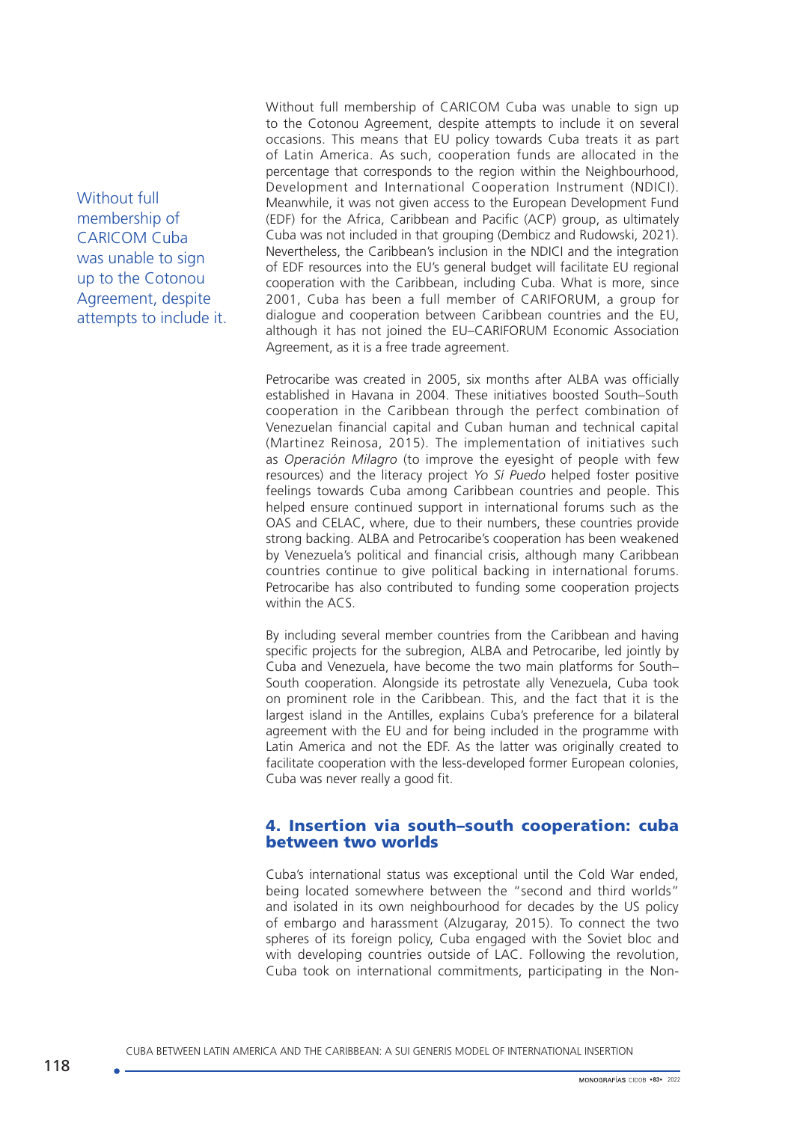Without full membership of CARICOM Cuba was unable to sign up to the Cotonou Agreement, despite attempts to include it.

Without full membership of CARICOM Cuba was unable to sign up to the Cotonou Agreement, despite attempts to include it on several occasions. This means that EU policy towards Cuba treats it as part of Latin America. As such, cooperation funds are allocated in the percentage that corresponds to the region within the Neighbourhood, Development and International Cooperation Instrument (NDICI). Meanwhile, it was not given access to the European Development Fund (EDF) for the Africa, Caribbean and Pacific (ACP) group, as ultimately Cuba was not included in that grouping (Dembicz and Rudowski, 2021). Nevertheless, the Caribbean's inclusion in the NDICI and the integration of EDF resources into the EU's general budget will facilitate EU regional cooperation with the Caribbean, including Cuba. What is more, since 2001, Cuba has been a full member of CARIFORUM, a group for dialogue and cooperation between Caribbean countries and the EU, although it has not joined the EU–CARIFORUM Economic Association Agreement, as it is a free trade agreement.

Petrocaribe was created in 2005, six months after ALBA was officially established in Havana in 2004. These initiatives boosted South–South cooperation in the Caribbean through the perfect combination of Venezuelan financial capital and Cuban human and technical capital (Martinez Reinosa, 2015). The implementation of initiatives such as *Operación Milagro* (to improve the eyesight of people with few resources) and the literacy project *Yo Sí Puedo* helped foster positive feelings towards Cuba among Caribbean countries and people. This helped ensure continued support in international forums such as the OAS and CELAC, where, due to their numbers, these countries provide strong backing. ALBA and Petrocaribe's cooperation has been weakened by Venezuela's political and financial crisis, although many Caribbean countries continue to give political backing in international forums. Petrocaribe has also contributed to funding some cooperation projects within the ACS.

By including several member countries from the Caribbean and having specific projects for the subregion, ALBA and Petrocaribe, led jointly by Cuba and Venezuela, have become the two main platforms for South– South cooperation. Alongside its petrostate ally Venezuela, Cuba took on prominent role in the Caribbean. This, and the fact that it is the largest island in the Antilles, explains Cuba's preference for a bilateral agreement with the EU and for being included in the programme with Latin America and not the EDF. As the latter was originally created to facilitate cooperation with the less-developed former European colonies, Cuba was never really a good fit.

### 4. Insertion via south–south cooperation: cuba between two worlds

Cuba's international status was exceptional until the Cold War ended, being located somewhere between the "second and third worlds" and isolated in its own neighbourhood for decades by the US policy of embargo and harassment (Alzugaray, 2015). To connect the two spheres of its foreign policy. Cuba engaged with the Soviet bloc and with developing countries outside of LAC. Following the revolution, Cuba took on international commitments, participating in the Non-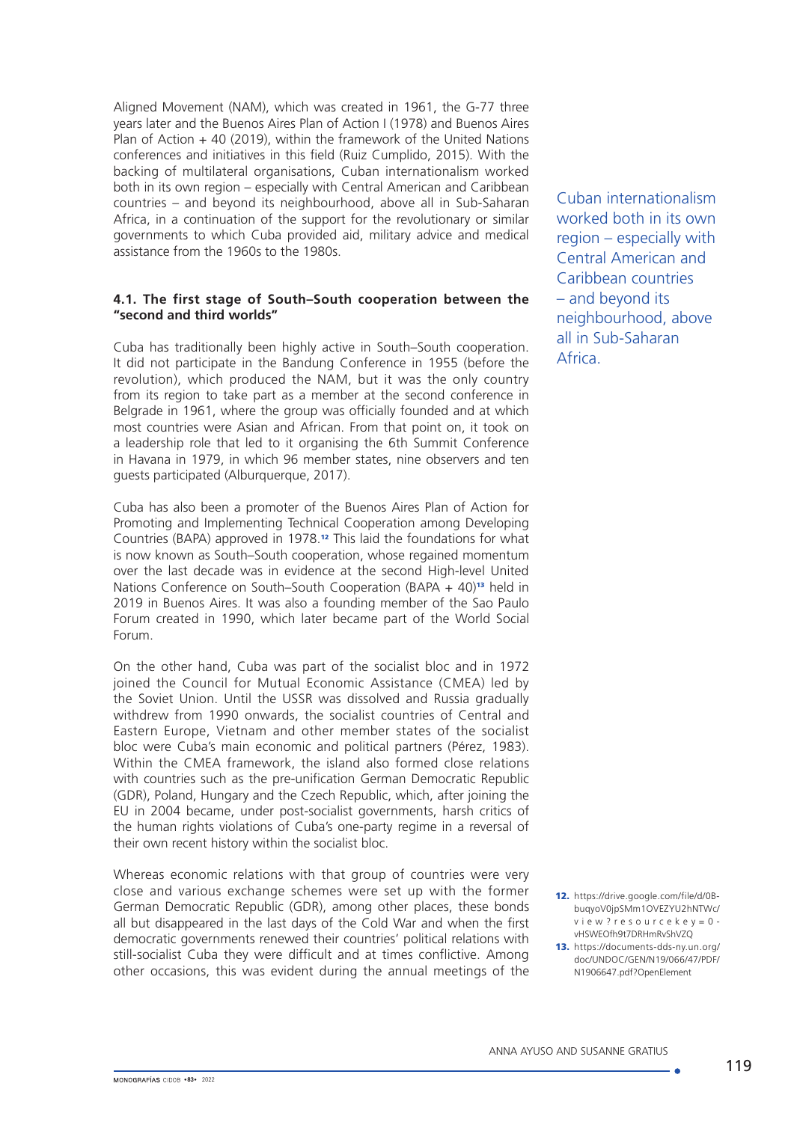Aligned Movement (NAM), which was created in 1961, the G-77 three years later and the Buenos Aires Plan of Action I (1978) and Buenos Aires Plan of Action + 40 (2019), within the framework of the United Nations conferences and initiatives in this field (Ruiz Cumplido, 2015). With the backing of multilateral organisations, Cuban internationalism worked both in its own region – especially with Central American and Caribbean countries – and beyond its neighbourhood, above all in Sub-Saharan Africa, in a continuation of the support for the revolutionary or similar governments to which Cuba provided aid, military advice and medical assistance from the 1960s to the 1980s.

### **4.1. The first stage of South–South cooperation between the "second and third worlds"**

Cuba has traditionally been highly active in South–South cooperation. It did not participate in the Bandung Conference in 1955 (before the revolution), which produced the NAM, but it was the only country from its region to take part as a member at the second conference in Belgrade in 1961, where the group was officially founded and at which most countries were Asian and African. From that point on, it took on a leadership role that led to it organising the 6th Summit Conference in Havana in 1979, in which 96 member states, nine observers and ten guests participated (Alburquerque, 2017).

Cuba has also been a promoter of the Buenos Aires Plan of Action for Promoting and Implementing Technical Cooperation among Developing Countries (BAPA) approved in 1978.12 This laid the foundations for what is now known as South–South cooperation, whose regained momentum over the last decade was in evidence at the second High-level United Nations Conference on South–South Cooperation (BAPA + 40)<sup>13</sup> held in 2019 in Buenos Aires. It was also a founding member of the Sao Paulo Forum created in 1990, which later became part of the World Social Forum.

On the other hand, Cuba was part of the socialist bloc and in 1972 joined the Council for Mutual Economic Assistance (CMEA) led by the Soviet Union. Until the USSR was dissolved and Russia gradually withdrew from 1990 onwards, the socialist countries of Central and Eastern Europe, Vietnam and other member states of the socialist bloc were Cuba's main economic and political partners (Pérez, 1983). Within the CMEA framework, the island also formed close relations with countries such as the pre-unification German Democratic Republic (GDR), Poland, Hungary and the Czech Republic, which, after joining the EU in 2004 became, under post-socialist governments, harsh critics of the human rights violations of Cuba's one-party regime in a reversal of their own recent history within the socialist bloc.

Whereas economic relations with that group of countries were very close and various exchange schemes were set up with the former German Democratic Republic (GDR), among other places, these bonds all but disappeared in the last days of the Cold War and when the first democratic governments renewed their countries' political relations with still-socialist Cuba they were difficult and at times conflictive. Among other occasions, this was evident during the annual meetings of the Cuban internationalism worked both in its own region – especially with Central American and Caribbean countries – and beyond its neighbourhood, above all in Sub-Saharan Africa.

- 12. [https://drive.google.com/file/d/0B](https://drive.google.com/file/d/0B-buqyoV0jpSMm1OVEZYU2hNTWc/view?resourcekey=0-vHSWEOfh9t7DRHmRvShVZQ)[buqyoV0jpSMm1OVEZYU2hNTWc/](https://drive.google.com/file/d/0B-buqyoV0jpSMm1OVEZYU2hNTWc/view?resourcekey=0-vHSWEOfh9t7DRHmRvShVZQ) [view?resourcekey=0](https://drive.google.com/file/d/0B-buqyoV0jpSMm1OVEZYU2hNTWc/view?resourcekey=0-vHSWEOfh9t7DRHmRvShVZQ) [vHSWEOfh9t7DRHmRvShVZQ](https://drive.google.com/file/d/0B-buqyoV0jpSMm1OVEZYU2hNTWc/view?resourcekey=0-vHSWEOfh9t7DRHmRvShVZQ)
- 13. https://documents-dds-ny.un.org/ doc/UNDOC/GEN/N19/066/47/PDF/ N1906647.pdf?OpenElement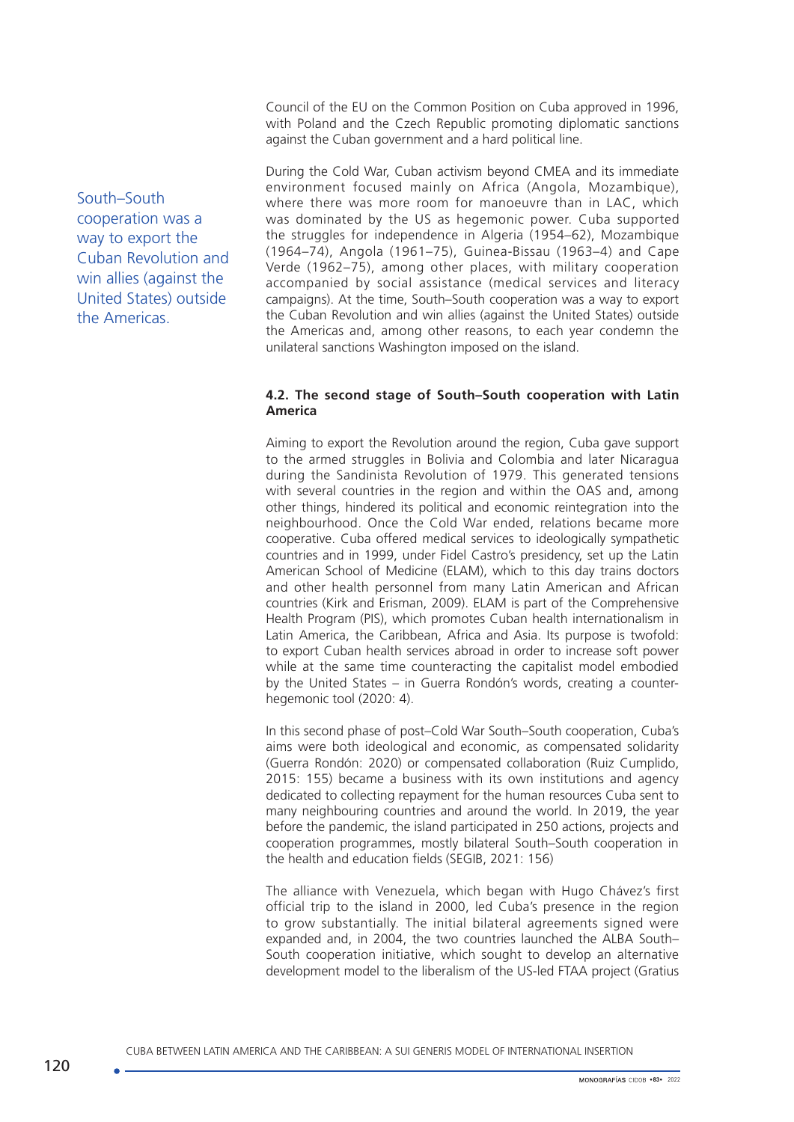Council of the EU on the Common Position on Cuba approved in 1996, with Poland and the Czech Republic promoting diplomatic sanctions against the Cuban government and a hard political line.

During the Cold War, Cuban activism beyond CMEA and its immediate environment focused mainly on Africa (Angola, Mozambique), where there was more room for manoeuvre than in LAC, which was dominated by the US as hegemonic power. Cuba supported the struggles for independence in Algeria (1954–62), Mozambique (1964–74), Angola (1961–75), Guinea-Bissau (1963–4) and Cape Verde (1962–75), among other places, with military cooperation accompanied by social assistance (medical services and literacy campaigns). At the time, South–South cooperation was a way to export the Cuban Revolution and win allies (against the United States) outside the Americas and, among other reasons, to each year condemn the unilateral sanctions Washington imposed on the island.

## **4.2. The second stage of South–South cooperation with Latin America**

Aiming to export the Revolution around the region, Cuba gave support to the armed struggles in Bolivia and Colombia and later Nicaragua during the Sandinista Revolution of 1979. This generated tensions with several countries in the region and within the OAS and, among other things, hindered its political and economic reintegration into the neighbourhood. Once the Cold War ended, relations became more cooperative. Cuba offered medical services to ideologically sympathetic countries and in 1999, under Fidel Castro's presidency, set up the Latin American School of Medicine (ELAM), which to this day trains doctors and other health personnel from many Latin American and African countries (Kirk and Erisman, 2009). ELAM is part of the Comprehensive Health Program (PIS), which promotes Cuban health internationalism in Latin America, the Caribbean, Africa and Asia. Its purpose is twofold: to export Cuban health services abroad in order to increase soft power while at the same time counteracting the capitalist model embodied by the United States – in Guerra Rondón's words, creating a counterhegemonic tool (2020: 4).

In this second phase of post–Cold War South–South cooperation, Cuba's aims were both ideological and economic, as compensated solidarity (Guerra Rondón: 2020) or compensated collaboration (Ruiz Cumplido, 2015: 155) became a business with its own institutions and agency dedicated to collecting repayment for the human resources Cuba sent to many neighbouring countries and around the world. In 2019, the year before the pandemic, the island participated in 250 actions, projects and cooperation programmes, mostly bilateral South–South cooperation in the health and education fields (SEGIB, 2021: 156)

The alliance with Venezuela, which began with Hugo Chávez's first official trip to the island in 2000, led Cuba's presence in the region to grow substantially. The initial bilateral agreements signed were expanded and, in 2004, the two countries launched the ALBA South– South cooperation initiative, which sought to develop an alternative development model to the liberalism of the US-led FTAA project (Gratius

South–South cooperation was a way to export the Cuban Revolution and win allies (against the United States) outside the Americas.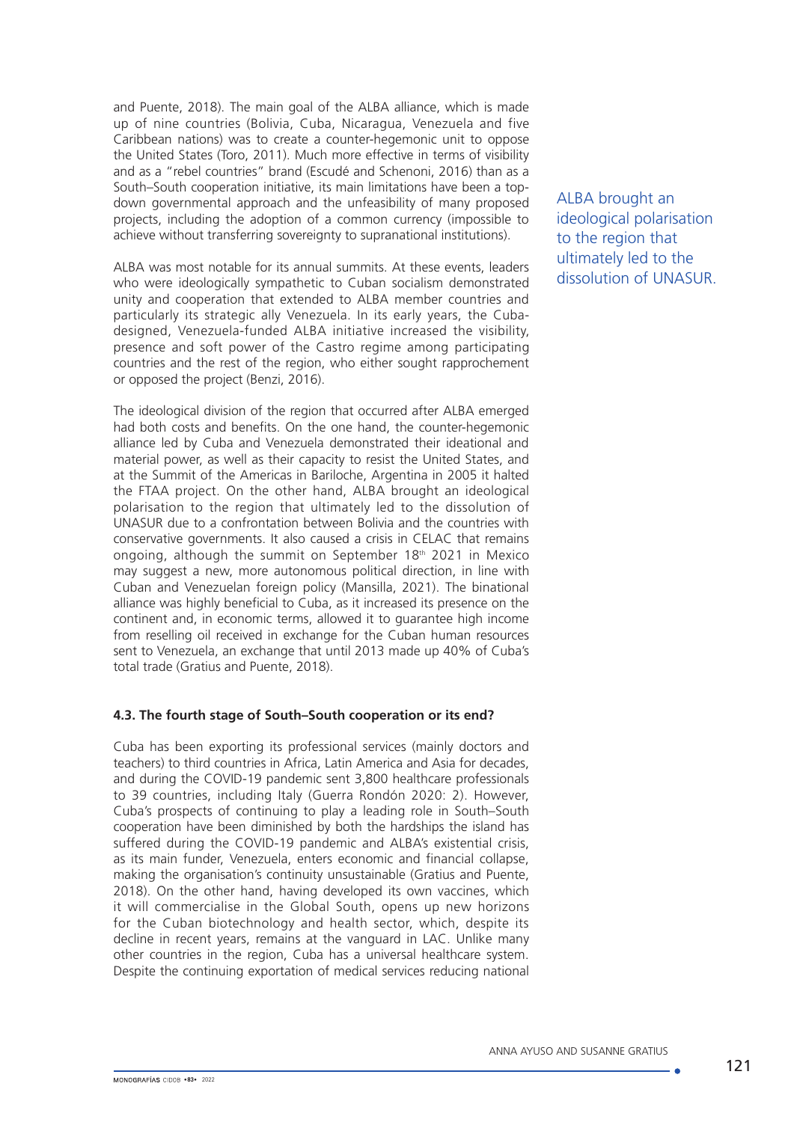and Puente, 2018). The main goal of the ALBA alliance, which is made up of nine countries (Bolivia, Cuba, Nicaragua, Venezuela and five Caribbean nations) was to create a counter-hegemonic unit to oppose the United States (Toro, 2011). Much more effective in terms of visibility and as a "rebel countries" brand (Escudé and Schenoni, 2016) than as a South–South cooperation initiative, its main limitations have been a topdown governmental approach and the unfeasibility of many proposed projects, including the adoption of a common currency (impossible to achieve without transferring sovereignty to supranational institutions).

ALBA was most notable for its annual summits. At these events, leaders who were ideologically sympathetic to Cuban socialism demonstrated unity and cooperation that extended to ALBA member countries and particularly its strategic ally Venezuela. In its early years, the Cubadesigned, Venezuela-funded ALBA initiative increased the visibility, presence and soft power of the Castro regime among participating countries and the rest of the region, who either sought rapprochement or opposed the project (Benzi, 2016).

The ideological division of the region that occurred after ALBA emerged had both costs and benefits. On the one hand, the counter-hegemonic alliance led by Cuba and Venezuela demonstrated their ideational and material power, as well as their capacity to resist the United States, and at the Summit of the Americas in Bariloche, Argentina in 2005 it halted the FTAA project. On the other hand, ALBA brought an ideological polarisation to the region that ultimately led to the dissolution of UNASUR due to a confrontation between Bolivia and the countries with conservative governments. It also caused a crisis in CELAC that remains ongoing, although the summit on September 18th 2021 in Mexico may suggest a new, more autonomous political direction, in line with Cuban and Venezuelan foreign policy (Mansilla, 2021). The binational alliance was highly beneficial to Cuba, as it increased its presence on the continent and, in economic terms, allowed it to guarantee high income from reselling oil received in exchange for the Cuban human resources sent to Venezuela, an exchange that until 2013 made up 40% of Cuba's total trade (Gratius and Puente, 2018).

### **4.3. The fourth stage of South–South cooperation or its end?**

Cuba has been exporting its professional services (mainly doctors and teachers) to third countries in Africa, Latin America and Asia for decades, and during the COVID-19 pandemic sent 3,800 healthcare professionals to 39 countries, including Italy (Guerra Rondón 2020: 2). However, Cuba's prospects of continuing to play a leading role in South–South cooperation have been diminished by both the hardships the island has suffered during the COVID-19 pandemic and ALBA's existential crisis, as its main funder, Venezuela, enters economic and financial collapse, making the organisation's continuity unsustainable (Gratius and Puente, 2018). On the other hand, having developed its own vaccines, which it will commercialise in the Global South, opens up new horizons for the Cuban biotechnology and health sector, which, despite its decline in recent years, remains at the vanguard in LAC. Unlike many other countries in the region, Cuba has a universal healthcare system. Despite the continuing exportation of medical services reducing national

ALBA brought an ideological polarisation to the region that ultimately led to the dissolution of UNASUR.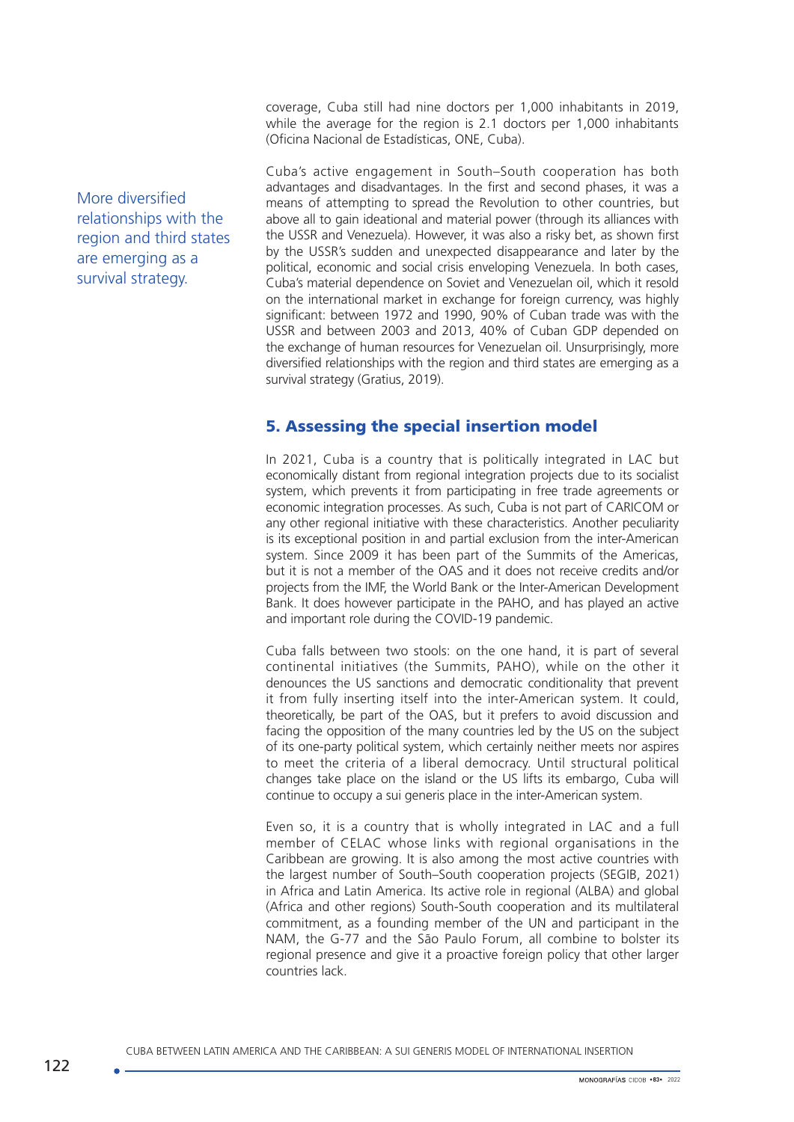coverage, Cuba still had nine doctors per 1,000 inhabitants in 2019, while the average for the region is 2.1 doctors per 1,000 inhabitants (Oficina Nacional de Estadísticas, ONE, Cuba).

Cuba's active engagement in South–South cooperation has both advantages and disadvantages. In the first and second phases, it was a means of attempting to spread the Revolution to other countries, but above all to gain ideational and material power (through its alliances with the USSR and Venezuela). However, it was also a risky bet, as shown first by the USSR's sudden and unexpected disappearance and later by the political, economic and social crisis enveloping Venezuela. In both cases, Cuba's material dependence on Soviet and Venezuelan oil, which it resold on the international market in exchange for foreign currency, was highly significant: between 1972 and 1990, 90% of Cuban trade was with the USSR and between 2003 and 2013, 40% of Cuban GDP depended on the exchange of human resources for Venezuelan oil. Unsurprisingly, more diversified relationships with the region and third states are emerging as a survival strategy (Gratius, 2019).

# 5. Assessing the special insertion model

In 2021, Cuba is a country that is politically integrated in LAC but economically distant from regional integration projects due to its socialist system, which prevents it from participating in free trade agreements or economic integration processes. As such, Cuba is not part of CARICOM or any other regional initiative with these characteristics. Another peculiarity is its exceptional position in and partial exclusion from the inter-American system. Since 2009 it has been part of the Summits of the Americas, but it is not a member of the OAS and it does not receive credits and/or projects from the IMF, the World Bank or the Inter-American Development Bank. It does however participate in the PAHO, and has played an active and important role during the COVID-19 pandemic.

Cuba falls between two stools: on the one hand, it is part of several continental initiatives (the Summits, PAHO), while on the other it denounces the US sanctions and democratic conditionality that prevent it from fully inserting itself into the inter-American system. It could, theoretically, be part of the OAS, but it prefers to avoid discussion and facing the opposition of the many countries led by the US on the subject of its one-party political system, which certainly neither meets nor aspires to meet the criteria of a liberal democracy. Until structural political changes take place on the island or the US lifts its embargo, Cuba will continue to occupy a sui generis place in the inter-American system.

Even so, it is a country that is wholly integrated in LAC and a full member of CELAC whose links with regional organisations in the Caribbean are growing. It is also among the most active countries with the largest number of South–South cooperation projects (SEGIB, 2021) in Africa and Latin America. Its active role in regional (ALBA) and global (Africa and other regions) South-South cooperation and its multilateral commitment, as a founding member of the UN and participant in the NAM, the G-77 and the São Paulo Forum, all combine to bolster its regional presence and give it a proactive foreign policy that other larger countries lack.

More diversified relationships with the region and third states are emerging as a survival strategy.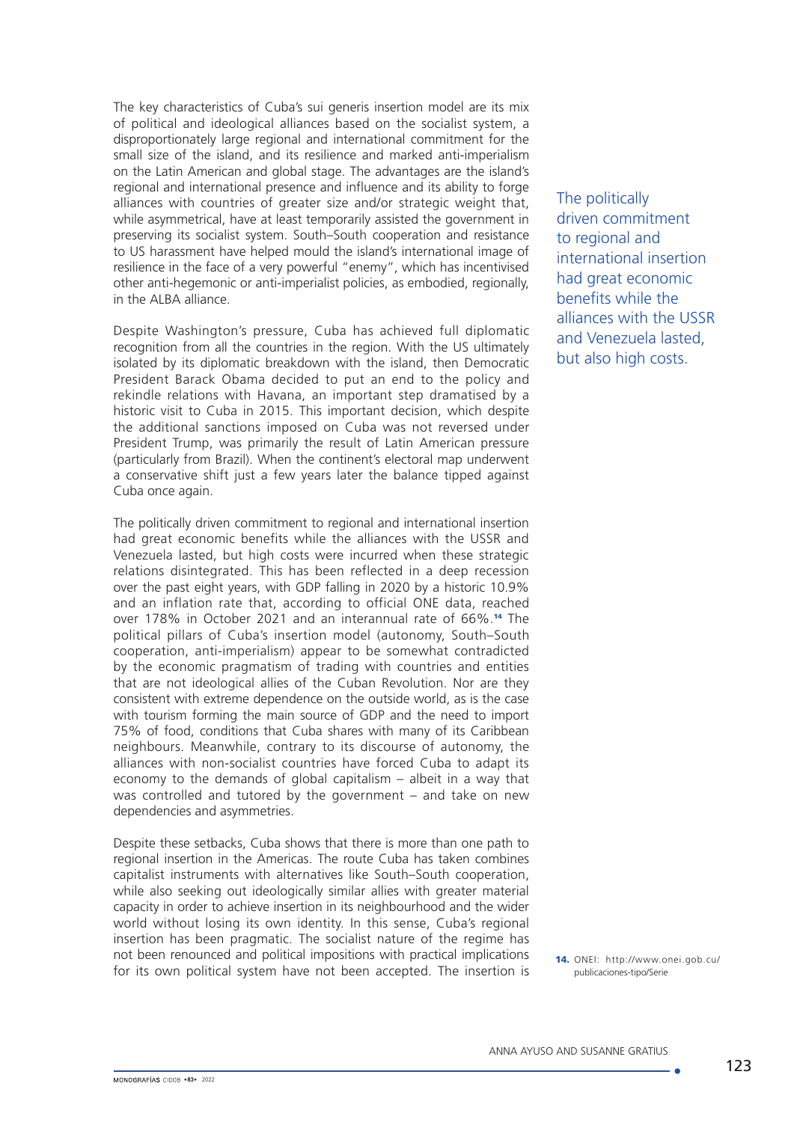The key characteristics of Cuba's sui generis insertion model are its mix of political and ideological alliances based on the socialist system, a disproportionately large regional and international commitment for the small size of the island, and its resilience and marked anti-imperialism on the Latin American and global stage. The advantages are the island's regional and international presence and influence and its ability to forge alliances with countries of greater size and/or strategic weight that, while asymmetrical, have at least temporarily assisted the government in preserving its socialist system. South–South cooperation and resistance to US harassment have helped mould the island's international image of resilience in the face of a very powerful "enemy", which has incentivised other anti-hegemonic or anti-imperialist policies, as embodied, regionally, in the ALBA alliance.

Despite Washington's pressure, Cuba has achieved full diplomatic recognition from all the countries in the region. With the US ultimately isolated by its diplomatic breakdown with the island, then Democratic President Barack Obama decided to put an end to the policy and rekindle relations with Havana, an important step dramatised by a historic visit to Cuba in 2015. This important decision, which despite the additional sanctions imposed on Cuba was not reversed under President Trump, was primarily the result of Latin American pressure (particularly from Brazil). When the continent's electoral map underwent a conservative shift just a few years later the balance tipped against Cuba once again.

The politically driven commitment to regional and international insertion had great economic benefits while the alliances with the USSR and Venezuela lasted, but high costs were incurred when these strategic relations disintegrated. This has been reflected in a deep recession over the past eight years, with GDP falling in 2020 by a historic 10.9% and an inflation rate that, according to official ONE data, reached over 178% in October 2021 and an interannual rate of 66%.14 The political pillars of Cuba's insertion model (autonomy, South–South cooperation, anti-imperialism) appear to be somewhat contradicted by the economic pragmatism of trading with countries and entities that are not ideological allies of the Cuban Revolution. Nor are they consistent with extreme dependence on the outside world, as is the case with tourism forming the main source of GDP and the need to import 75% of food, conditions that Cuba shares with many of its Caribbean neighbours. Meanwhile, contrary to its discourse of autonomy, the alliances with non-socialist countries have forced Cuba to adapt its economy to the demands of global capitalism – albeit in a way that was controlled and tutored by the government – and take on new dependencies and asymmetries.

Despite these setbacks, Cuba shows that there is more than one path to regional insertion in the Americas. The route Cuba has taken combines capitalist instruments with alternatives like South–South cooperation, while also seeking out ideologically similar allies with greater material capacity in order to achieve insertion in its neighbourhood and the wider world without losing its own identity. In this sense, Cuba's regional insertion has been pragmatic. The socialist nature of the regime has not been renounced and political impositions with practical implications for its own political system have not been accepted. The insertion is The politically driven commitment to regional and international insertion had great economic benefits while the alliances with the USSR and Venezuela lasted, but also high costs.

14. ONEI: [http://www.onei.gob.cu/](http://www.onei.gob.cu/publicaciones-tipo/Serie) [publicaciones-tipo/Serie](http://www.onei.gob.cu/publicaciones-tipo/Serie)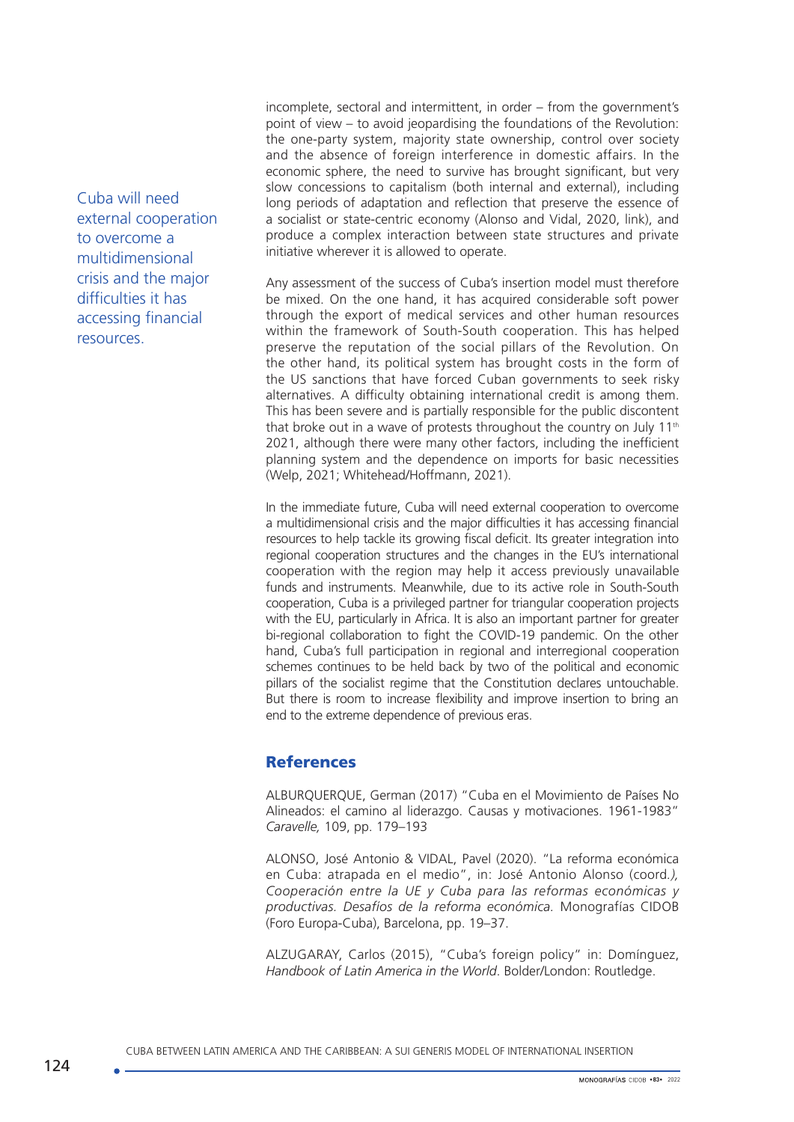Cuba will need external cooperation to overcome a multidimensional crisis and the major difficulties it has accessing financial resources.

incomplete, sectoral and intermittent, in order – from the government's point of view – to avoid jeopardising the foundations of the Revolution: the one-party system, majority state ownership, control over society and the absence of foreign interference in domestic affairs. In the economic sphere, the need to survive has brought significant, but very slow concessions to capitalism (both internal and external), including long periods of adaptation and reflection that preserve the essence of a socialist or state-centric economy (Alonso and Vidal, 2020, link), and produce a complex interaction between state structures and private initiative wherever it is allowed to operate.

Any assessment of the success of Cuba's insertion model must therefore be mixed. On the one hand, it has acquired considerable soft power through the export of medical services and other human resources within the framework of South-South cooperation. This has helped preserve the reputation of the social pillars of the Revolution. On the other hand, its political system has brought costs in the form of the US sanctions that have forced Cuban governments to seek risky alternatives. A difficulty obtaining international credit is among them. This has been severe and is partially responsible for the public discontent that broke out in a wave of protests throughout the country on July  $11<sup>th</sup>$ 2021, although there were many other factors, including the inefficient planning system and the dependence on imports for basic necessities (Welp, 2021; Whitehead/Hoffmann, 2021).

In the immediate future, Cuba will need external cooperation to overcome a multidimensional crisis and the major difficulties it has accessing financial resources to help tackle its growing fiscal deficit. Its greater integration into regional cooperation structures and the changes in the EU's international cooperation with the region may help it access previously unavailable funds and instruments. Meanwhile, due to its active role in South-South cooperation, Cuba is a privileged partner for triangular cooperation projects with the EU, particularly in Africa. It is also an important partner for greater bi-regional collaboration to fight the COVID-19 pandemic. On the other hand, Cuba's full participation in regional and interregional cooperation schemes continues to be held back by two of the political and economic pillars of the socialist regime that the Constitution declares untouchable. But there is room to increase flexibility and improve insertion to bring an end to the extreme dependence of previous eras.

### **References**

ALBURQUERQUE, German (2017) "Cuba en el Movimiento de Países No Alineados: el camino al liderazgo. Causas y motivaciones. 1961-1983" *Caravelle,* 109, pp. 179–193

ALONSO, José Antonio & VIDAL, Pavel (2020). "La reforma económica en Cuba: atrapada en el medio", in: José Antonio Alonso (coord*.), Cooperación entre la UE y Cuba para las reformas económicas y productivas. Desafíos de la reforma económica.* Monografías CIDOB (Foro Europa-Cuba), Barcelona, pp. 19–37.

ALZUGARAY, Carlos (2015), "Cuba's foreign policy" in: Domínguez, *Handbook of Latin America in the World*. Bolder/London: Routledge.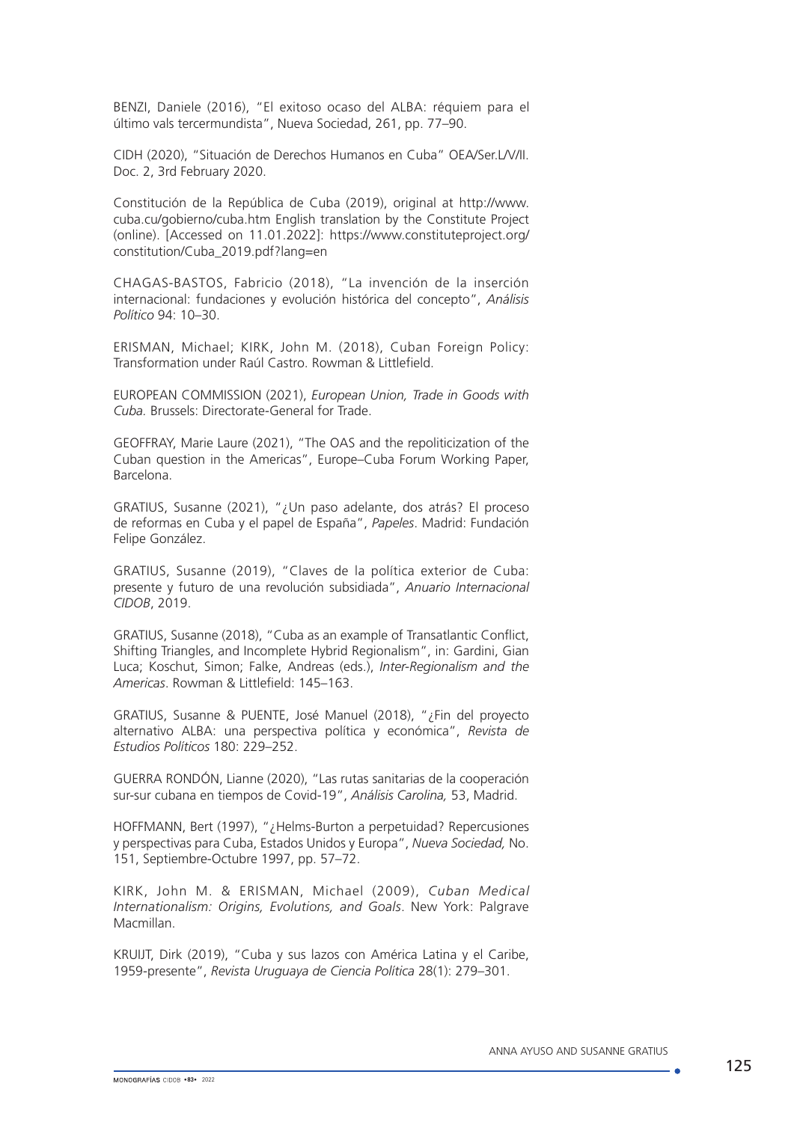BENZI, Daniele (2016), "El exitoso ocaso del ALBA: réquiem para el último vals tercermundista", Nueva Sociedad, 261, pp. 77–90.

CIDH (2020), "Situación de Derechos Humanos en Cuba" OEA/Ser.L/V/II. Doc. 2, 3rd February 2020.

Constitución de la República de Cuba (2019), original at http://www. cuba.cu/gobierno/cuba.htm English translation by the Constitute Project (online). [Accessed on 11.01.2022]: https://www.constituteproject.org/ constitution/Cuba\_2019.pdf?lang=en

CHAGAS-BASTOS, Fabricio (2018), "La invención de la inserción internacional: fundaciones y evolución histórica del concepto", *Análisis Político* 94: 10–30.

ERISMAN, Michael; KIRK, John M. (2018), Cuban Foreign Policy: Transformation under Raúl Castro. Rowman & Littlefield.

EUROPEAN COMMISSION (2021), *European Union, Trade in Goods with Cuba.* Brussels: Directorate-General for Trade.

GEOFFRAY, Marie Laure (2021), "The OAS and the repoliticization of the Cuban question in the Americas", Europe–Cuba Forum Working Paper, Barcelona.

GRATIUS, Susanne (2021), "¿Un paso adelante, dos atrás? El proceso de reformas en Cuba y el papel de España", *Papeles*. Madrid: Fundación Felipe González.

GRATIUS, Susanne (2019), "Claves de la política exterior de Cuba: presente y futuro de una revolución subsidiada", *Anuario Internacional CIDOB*, 2019.

GRATIUS, Susanne (2018), "Cuba as an example of Transatlantic Conflict, Shifting Triangles, and Incomplete Hybrid Regionalism", in: Gardini, Gian Luca; Koschut, Simon; Falke, Andreas (eds.), *Inter-Regionalism and the Americas*. Rowman & Littlefield: 145–163.

GRATIUS, Susanne & PUENTE, José Manuel (2018), "¿Fin del proyecto alternativo ALBA: una perspectiva política y económica", *Revista de Estudios Políticos* 180: 229–252.

GUERRA RONDÓN, Lianne (2020), "Las rutas sanitarias de la cooperación sur-sur cubana en tiempos de Covid-19", *Análisis Carolina,* 53, Madrid.

HOFFMANN, Bert (1997), "¿Helms-Burton a perpetuidad? Repercusiones y perspectivas para Cuba, Estados Unidos y Europa", *Nueva Sociedad,* No. 151, Septiembre-Octubre 1997, pp. 57–72.

KIRK, John M. & ERISMAN, Michael (2009), *Cuban Medical Internationalism: Origins, Evolutions, and Goals*. New York: Palgrave Macmillan.

KRUIJT, Dirk (2019), "Cuba y sus lazos con América Latina y el Caribe, 1959-presente", *Revista Uruguaya de Ciencia Política* 28(1): 279–301.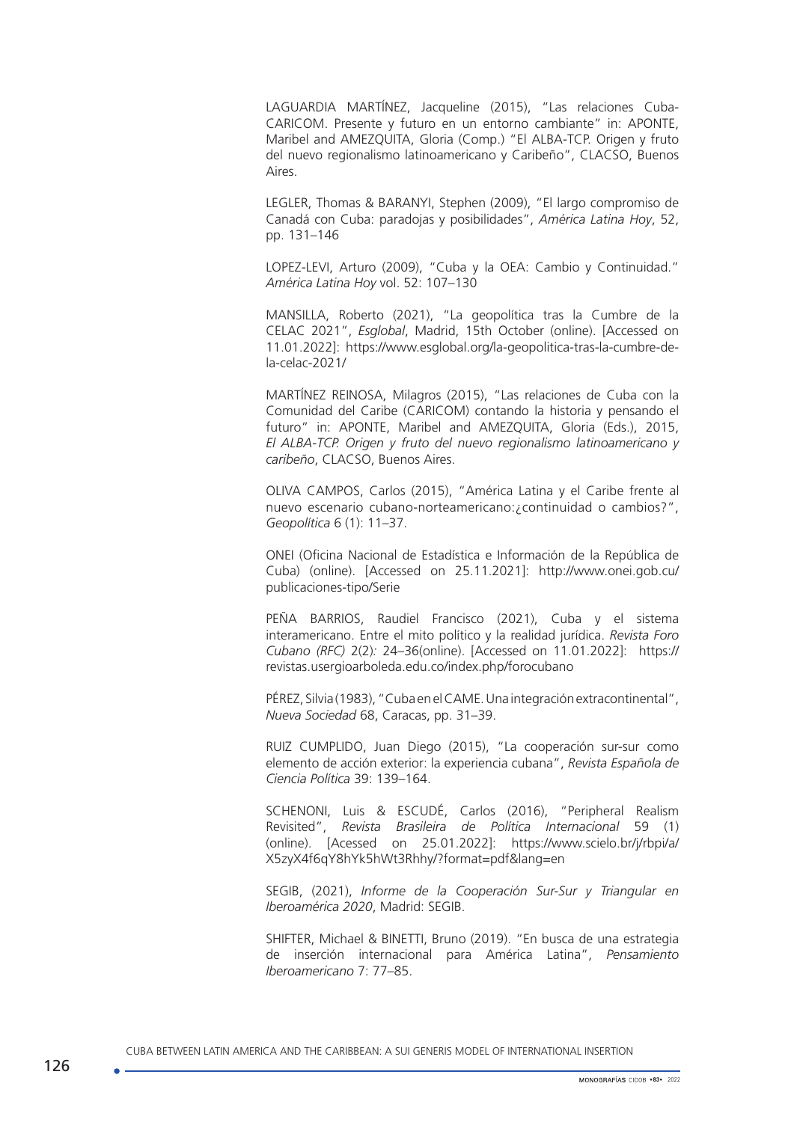LAGUARDIA MARTÍNEZ, Jacqueline (2015), "Las relaciones Cuba-CARICOM. Presente y futuro en un entorno cambiante" in: APONTE, Maribel and AMEZQUITA, Gloria (Comp.) "El ALBA-TCP. Origen y fruto del nuevo regionalismo latinoamericano y Caribeño", CLACSO, Buenos Aires.

LEGLER, Thomas & BARANYI, Stephen (2009), "El largo compromiso de Canadá con Cuba: paradojas y posibilidades", *América Latina Hoy*, 52, pp. 131–146

LOPEZ-LEVI, Arturo (2009), "Cuba y la OEA: Cambio y Continuidad." *América Latina Hoy* vol. 52: 107–130

MANSILLA, Roberto (2021), "La geopolítica tras la Cumbre de la CELAC 2021", *Esglobal*, Madrid, 15th October (online). [Accessed on 11.01.2022]: [https://www.esglobal.org/la-geopolitica-tras-la-cumbre-de](https://www.esglobal.org/la-geopolitica-tras-la-cumbre-de-la-celac-2021/)[la-celac-2021/](https://www.esglobal.org/la-geopolitica-tras-la-cumbre-de-la-celac-2021/)

MARTÍNEZ REINOSA, Milagros (2015), "Las relaciones de Cuba con la Comunidad del Caribe (CARICOM) contando la historia y pensando el futuro" in: APONTE, Maribel and AMEZQUITA, Gloria (Eds.), 2015, *El ALBA-TCP. Origen y fruto del nuevo regionalismo latinoamericano y caribeño*, CLACSO, Buenos Aires.

OLIVA CAMPOS, Carlos (2015), "América Latina y el Caribe frente al nuevo escenario cubano-norteamericano:¿continuidad o cambios?", *Geopolítica* 6 (1): 11–37.

ONEI (Oficina Nacional de Estadística e Información de la República de Cuba) (online). [Accessed on 25.11.2021]: [http://www.onei.gob.cu/](http://www.onei.gob.cu/publicaciones-tipo/Serie) [publicaciones-tipo/Serie](http://www.onei.gob.cu/publicaciones-tipo/Serie) 

PEÑA BARRIOS, Raudiel Francisco (2021), Cuba y el sistema interamericano. Entre el mito político y la realidad jurídica. *Revista Foro Cubano (RFC)* 2(2)*:* 24–36(online). [Accessed on 11.01.2022]: https:// revistas.usergioarboleda.edu.co/index.php/forocubano

PÉREZ, Silvia (1983), "Cuba en el CAME. Una integración extracontinental", *Nueva Sociedad* 68, Caracas, pp. 31–39.

RUIZ CUMPLIDO, Juan Diego (2015), "La cooperación sur-sur como elemento de acción exterior: la experiencia cubana", *Revista Española de Ciencia Política* 39: 139–164.

SCHENONI, Luis & ESCUDÉ, Carlos (2016), "Peripheral Realism Revisited", *Revista Brasileira de Política Internacional* 59 (1) (online). [Acessed on 25.01.2022]: [https://www.scielo.br/j/rbpi/a/](https://www.scielo.br/j/rbpi/a/X5zyX4f6qY8hYk5hWt3Rhhy/?format=pdf&lang=en) [X5zyX4f6qY8hYk5hWt3Rhhy/?format=pdf&lang=en](https://www.scielo.br/j/rbpi/a/X5zyX4f6qY8hYk5hWt3Rhhy/?format=pdf&lang=en)

SEGIB, (2021), *Informe de la Cooperación Sur-Sur y Triangular en Iberoamérica 2020*, Madrid: SEGIB.

SHIFTER, Michael & BINETTI, Bruno (2019). "En busca de una estrategia de inserción internacional para América Latina", *Pensamiento Iberoamericano* 7: 77–85.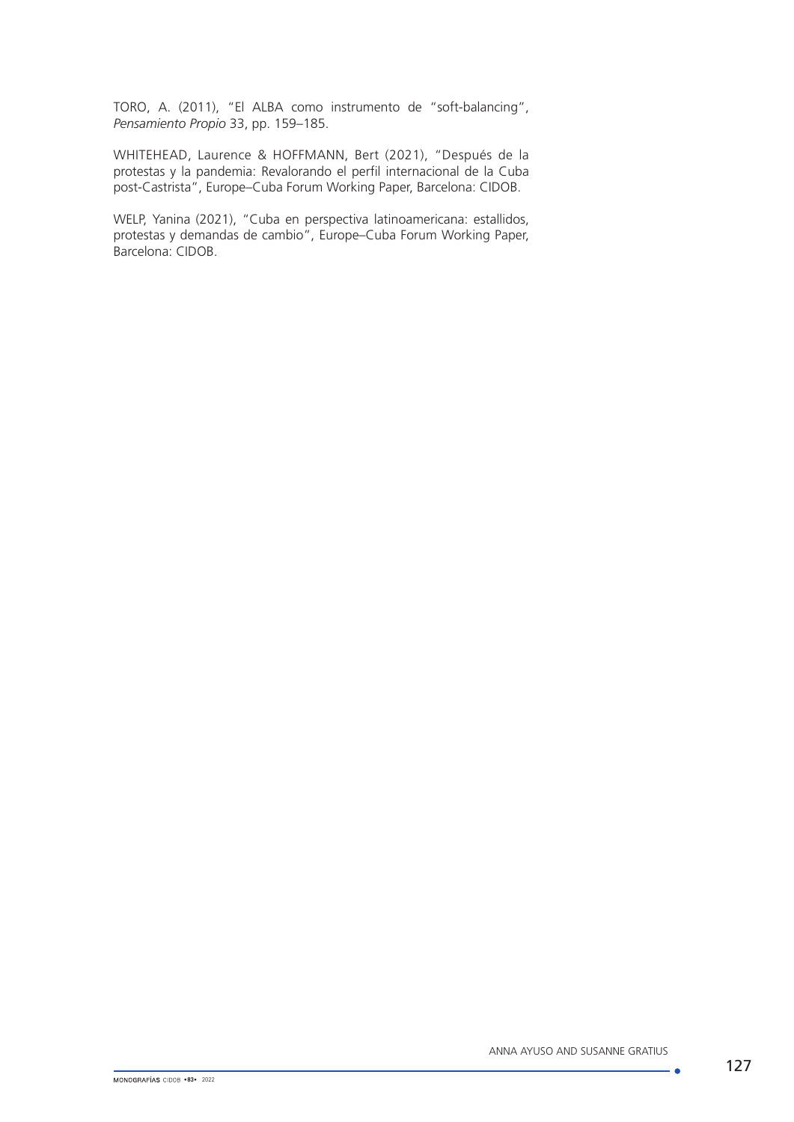TORO, A. (2011), "El ALBA como instrumento de "soft-balancing", *Pensamiento Propio* 33, pp. 159–185.

WHITEHEAD, Laurence & HOFFMANN, Bert (2021), "Después de la protestas y la pandemia: Revalorando el perfil internacional de la Cuba post-Castrista", Europe–Cuba Forum Working Paper, Barcelona: CIDOB.

WELP, Yanina (2021), "Cuba en perspectiva latinoamericana: estallidos, protestas y demandas de cambio", Europe–Cuba Forum Working Paper, Barcelona: CIDOB.

 $\overline{\phantom{a}}$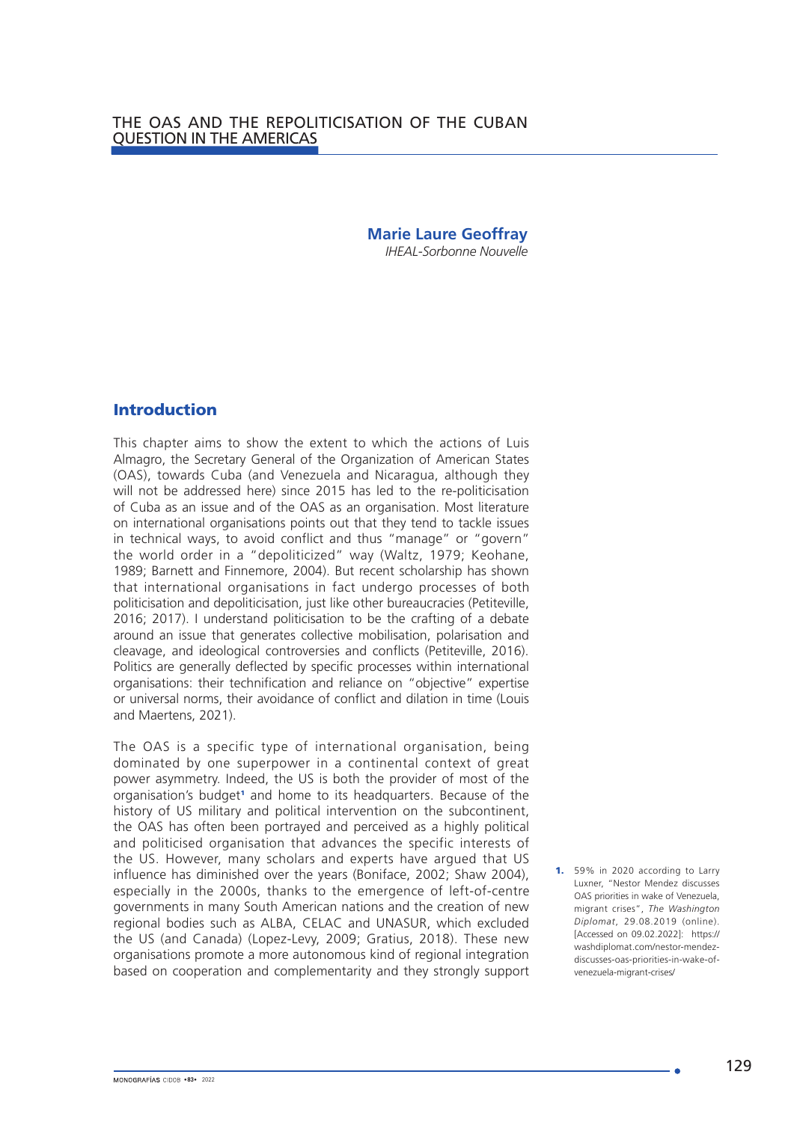# **Marie Laure Geoffray**

*IHEAL-Sorbonne Nouvelle*

# Introduction

This chapter aims to show the extent to which the actions of Luis Almagro, the Secretary General of the Organization of American States (OAS), towards Cuba (and Venezuela and Nicaragua, although they will not be addressed here) since 2015 has led to the re-politicisation of Cuba as an issue and of the OAS as an organisation. Most literature on international organisations points out that they tend to tackle issues in technical ways, to avoid conflict and thus "manage" or "govern" the world order in a "depoliticized" way (Waltz, 1979; Keohane, 1989; Barnett and Finnemore, 2004). But recent scholarship has shown that international organisations in fact undergo processes of both politicisation and depoliticisation, just like other bureaucracies (Petiteville, 2016; 2017). I understand politicisation to be the crafting of a debate around an issue that generates collective mobilisation, polarisation and cleavage, and ideological controversies and conflicts (Petiteville, 2016). Politics are generally deflected by specific processes within international organisations: their technification and reliance on "objective" expertise or universal norms, their avoidance of conflict and dilation in time (Louis and Maertens, 2021).

The OAS is a specific type of international organisation, being dominated by one superpower in a continental context of great power asymmetry. Indeed, the US is both the provider of most of the organisation's budget<sup>1</sup> and home to its headquarters. Because of the history of US military and political intervention on the subcontinent. the OAS has often been portrayed and perceived as a highly political and politicised organisation that advances the specific interests of the US. However, many scholars and experts have argued that US influence has diminished over the years (Boniface, 2002; Shaw 2004), especially in the 2000s, thanks to the emergence of left-of-centre governments in many South American nations and the creation of new regional bodies such as ALBA, CELAC and UNASUR, which excluded the US (and Canada) (Lopez-Levy, 2009; Gratius, 2018). These new organisations promote a more autonomous kind of regional integration based on cooperation and complementarity and they strongly support

1. 59% in 2020 according to Larry Luxner, "Nestor Mendez discusses OAS priorities in wake of Venezuela, migrant crises", *The Washington Diplomat*, 29.08.2019 (online). [Accessed on 09.02.2022]: <https://> [washdiplomat.com/nestor-mendez](https://)[discusses-oas-priorities-in-wake-of](https://)[venezuela-migrant-crises/](https://)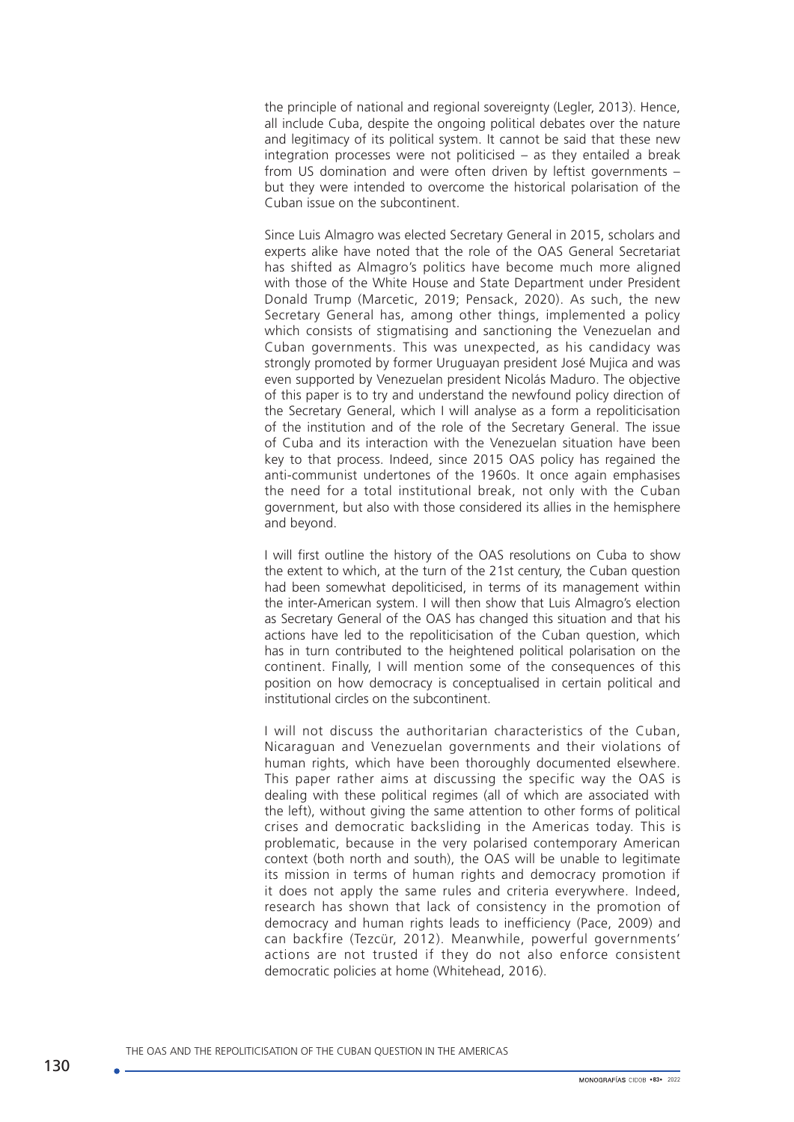the principle of national and regional sovereignty (Legler, 2013). Hence, all include Cuba, despite the ongoing political debates over the nature and legitimacy of its political system. It cannot be said that these new integration processes were not politicised – as they entailed a break from US domination and were often driven by leftist governments – but they were intended to overcome the historical polarisation of the Cuban issue on the subcontinent.

Since Luis Almagro was elected Secretary General in 2015, scholars and experts alike have noted that the role of the OAS General Secretariat has shifted as Almagro's politics have become much more aligned with those of the White House and State Department under President Donald Trump (Marcetic, 2019; Pensack, 2020). As such, the new Secretary General has, among other things, implemented a policy which consists of stigmatising and sanctioning the Venezuelan and Cuban governments. This was unexpected, as his candidacy was strongly promoted by former Uruguayan president José Mujica and was even supported by Venezuelan president Nicolás Maduro. The objective of this paper is to try and understand the newfound policy direction of the Secretary General, which I will analyse as a form a repoliticisation of the institution and of the role of the Secretary General. The issue of Cuba and its interaction with the Venezuelan situation have been key to that process. Indeed, since 2015 OAS policy has regained the anti-communist undertones of the 1960s. It once again emphasises the need for a total institutional break, not only with the Cuban government, but also with those considered its allies in the hemisphere and beyond.

I will first outline the history of the OAS resolutions on Cuba to show the extent to which, at the turn of the 21st century, the Cuban question had been somewhat depoliticised, in terms of its management within the inter-American system. I will then show that Luis Almagro's election as Secretary General of the OAS has changed this situation and that his actions have led to the repoliticisation of the Cuban question, which has in turn contributed to the heightened political polarisation on the continent. Finally, I will mention some of the consequences of this position on how democracy is conceptualised in certain political and institutional circles on the subcontinent.

I will not discuss the authoritarian characteristics of the Cuban, Nicaraguan and Venezuelan governments and their violations of human rights, which have been thoroughly documented elsewhere. This paper rather aims at discussing the specific way the OAS is dealing with these political regimes (all of which are associated with the left), without giving the same attention to other forms of political crises and democratic backsliding in the Americas today. This is problematic, because in the very polarised contemporary American context (both north and south), the OAS will be unable to legitimate its mission in terms of human rights and democracy promotion if it does not apply the same rules and criteria everywhere. Indeed, research has shown that lack of consistency in the promotion of democracy and human rights leads to inefficiency (Pace, 2009) and can backfire (Tezcür, 2012). Meanwhile, powerful governments' actions are not trusted if they do not also enforce consistent democratic policies at home (Whitehead, 2016).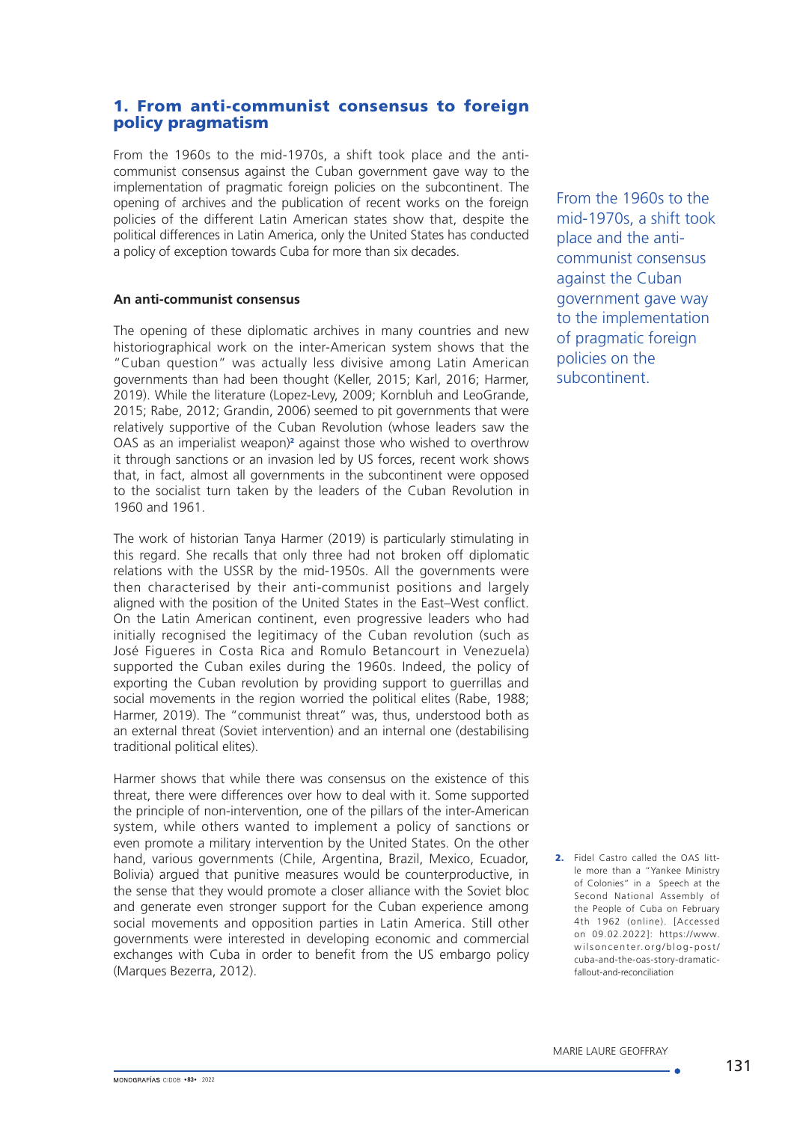# 1. From anti-communist consensus to foreign policy pragmatism

From the 1960s to the mid-1970s, a shift took place and the anticommunist consensus against the Cuban government gave way to the implementation of pragmatic foreign policies on the subcontinent. The opening of archives and the publication of recent works on the foreign policies of the different Latin American states show that, despite the political differences in Latin America, only the United States has conducted a policy of exception towards Cuba for more than six decades.

### **An anti-communist consensus**

The opening of these diplomatic archives in many countries and new historiographical work on the inter-American system shows that the "Cuban question" was actually less divisive among Latin American governments than had been thought (Keller, 2015; Karl, 2016; Harmer, 2019). While the literature (Lopez-Levy, 2009; Kornbluh and LeoGrande, 2015; Rabe, 2012; Grandin, 2006) seemed to pit governments that were relatively supportive of the Cuban Revolution (whose leaders saw the OAS as an imperialist weapon)<sup>2</sup> against those who wished to overthrow it through sanctions or an invasion led by US forces, recent work shows that, in fact, almost all governments in the subcontinent were opposed to the socialist turn taken by the leaders of the Cuban Revolution in 1960 and 1961.

The work of historian Tanya Harmer (2019) is particularly stimulating in this regard. She recalls that only three had not broken off diplomatic relations with the USSR by the mid-1950s. All the governments were then characterised by their anti-communist positions and largely aligned with the position of the United States in the East–West conflict. On the Latin American continent, even progressive leaders who had initially recognised the legitimacy of the Cuban revolution (such as José Figueres in Costa Rica and Romulo Betancourt in Venezuela) supported the Cuban exiles during the 1960s. Indeed, the policy of exporting the Cuban revolution by providing support to guerrillas and social movements in the region worried the political elites (Rabe, 1988; Harmer, 2019). The "communist threat" was, thus, understood both as an external threat (Soviet intervention) and an internal one (destabilising traditional political elites).

Harmer shows that while there was consensus on the existence of this threat, there were differences over how to deal with it. Some supported the principle of non-intervention, one of the pillars of the inter-American system, while others wanted to implement a policy of sanctions or even promote a military intervention by the United States. On the other hand, various governments (Chile, Argentina, Brazil, Mexico, Ecuador, Bolivia) argued that punitive measures would be counterproductive, in the sense that they would promote a closer alliance with the Soviet bloc and generate even stronger support for the Cuban experience among social movements and opposition parties in Latin America. Still other governments were interested in developing economic and commercial exchanges with Cuba in order to benefit from the US embargo policy (Marques Bezerra, 2012).

From the 1960s to the mid-1970s, a shift took place and the anticommunist consensus against the Cuban government gave way to the implementation of pragmatic foreign policies on the subcontinent.

2. Fidel Castro called the OAS little more than a "Yankee Ministry of Colonies" in a Speech at the Second National Assembly of the People of Cuba on February 4th 1962 (online). [Accessed on 09.02.2022]: [https://www.](https://www.wilsoncenter.org/blog-post/cuba-and-the-oas-story-dramatic-fallout-and-reconciliation) [wilsoncenter.org/blog-post/](https://www.wilsoncenter.org/blog-post/cuba-and-the-oas-story-dramatic-fallout-and-reconciliation) [cuba-and-the-oas-story-dramatic](https://www.wilsoncenter.org/blog-post/cuba-and-the-oas-story-dramatic-fallout-and-reconciliation)[fallout-and-reconciliation](https://www.wilsoncenter.org/blog-post/cuba-and-the-oas-story-dramatic-fallout-and-reconciliation)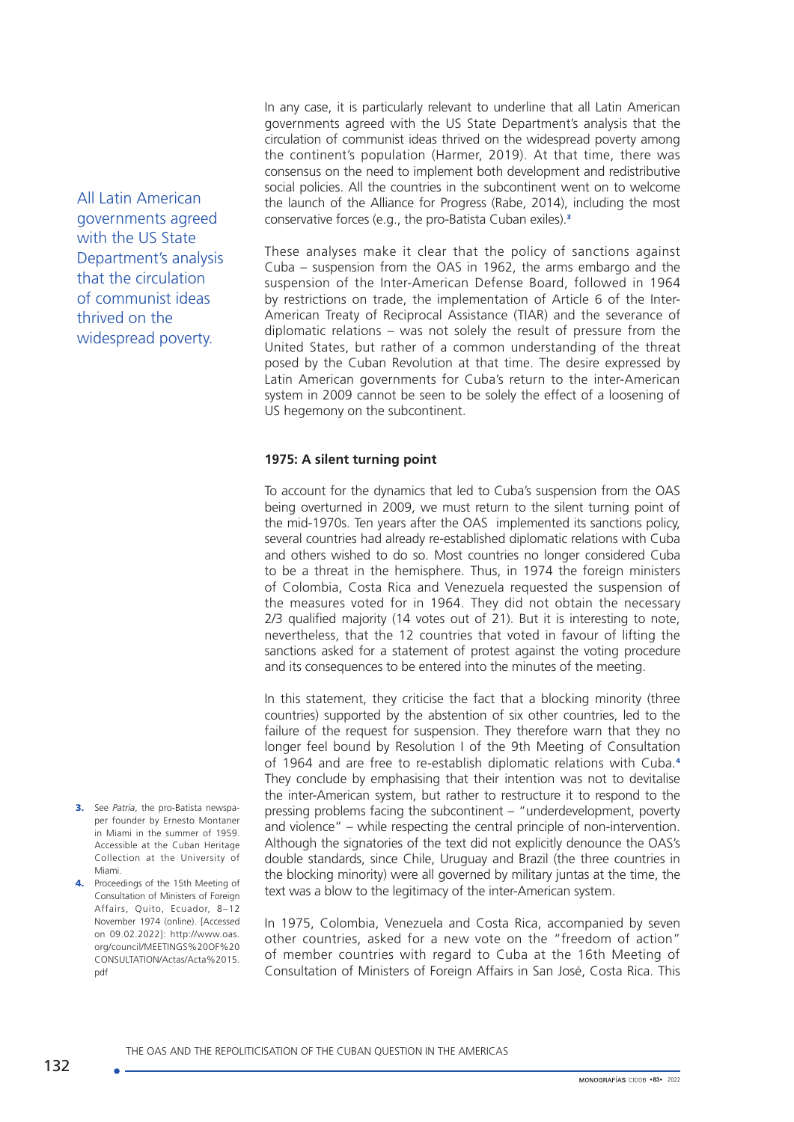All Latin American governments agreed with the US State Department's analysis that the circulation of communist ideas thrived on the widespread poverty.

In any case, it is particularly relevant to underline that all Latin American governments agreed with the US State Department's analysis that the circulation of communist ideas thrived on the widespread poverty among the continent's population (Harmer, 2019). At that time, there was consensus on the need to implement both development and redistributive social policies. All the countries in the subcontinent went on to welcome the launch of the Alliance for Progress (Rabe, 2014), including the most conservative forces (e.g., the pro-Batista Cuban exiles).<sup>3</sup>

These analyses make it clear that the policy of sanctions against Cuba – suspension from the OAS in 1962, the arms embargo and the suspension of the Inter-American Defense Board, followed in 1964 by restrictions on trade, the implementation of Article 6 of the Inter-American Treaty of Reciprocal Assistance (TIAR) and the severance of diplomatic relations – was not solely the result of pressure from the United States, but rather of a common understanding of the threat posed by the Cuban Revolution at that time. The desire expressed by Latin American governments for Cuba's return to the inter-American system in 2009 cannot be seen to be solely the effect of a loosening of US hegemony on the subcontinent.

### **1975: A silent turning point**

To account for the dynamics that led to Cuba's suspension from the OAS being overturned in 2009, we must return to the silent turning point of the mid-1970s. Ten years after the OAS implemented its sanctions policy, several countries had already re-established diplomatic relations with Cuba and others wished to do so. Most countries no longer considered Cuba to be a threat in the hemisphere. Thus, in 1974 the foreign ministers of Colombia, Costa Rica and Venezuela requested the suspension of the measures voted for in 1964. They did not obtain the necessary 2/3 qualified majority (14 votes out of 21). But it is interesting to note, nevertheless, that the 12 countries that voted in favour of lifting the sanctions asked for a statement of protest against the voting procedure and its consequences to be entered into the minutes of the meeting.

In this statement, they criticise the fact that a blocking minority (three countries) supported by the abstention of six other countries, led to the failure of the request for suspension. They therefore warn that they no longer feel bound by Resolution I of the 9th Meeting of Consultation of 1964 and are free to re-establish diplomatic relations with Cuba.<sup>4</sup> They conclude by emphasising that their intention was not to devitalise the inter-American system, but rather to restructure it to respond to the pressing problems facing the subcontinent – "underdevelopment, poverty and violence" – while respecting the central principle of non-intervention. Although the signatories of the text did not explicitly denounce the OAS's double standards, since Chile, Uruguay and Brazil (the three countries in the blocking minority) were all governed by military juntas at the time, the text was a blow to the legitimacy of the inter-American system.

In 1975, Colombia, Venezuela and Costa Rica, accompanied by seven other countries, asked for a new vote on the "freedom of action" of member countries with regard to Cuba at the 16th Meeting of Consultation of Ministers of Foreign Affairs in San José, Costa Rica. This

3. See *Patria*, the pro-Batista newspaper founder by Ernesto Montaner in Miami in the summer of 1959. Accessible at the Cuban Heritage Collection at the University of Miami.

4. Proceedings of the 15th Meeting of Consultation of Ministers of Foreign Affairs, Quito, Ecuador, 8–12 November 1974 (online). [Accessed on 09.02.2022]: http://www.oas. org/council/MEETINGS%20OF%20 CONSULTATION/Actas/Acta%2015. pdf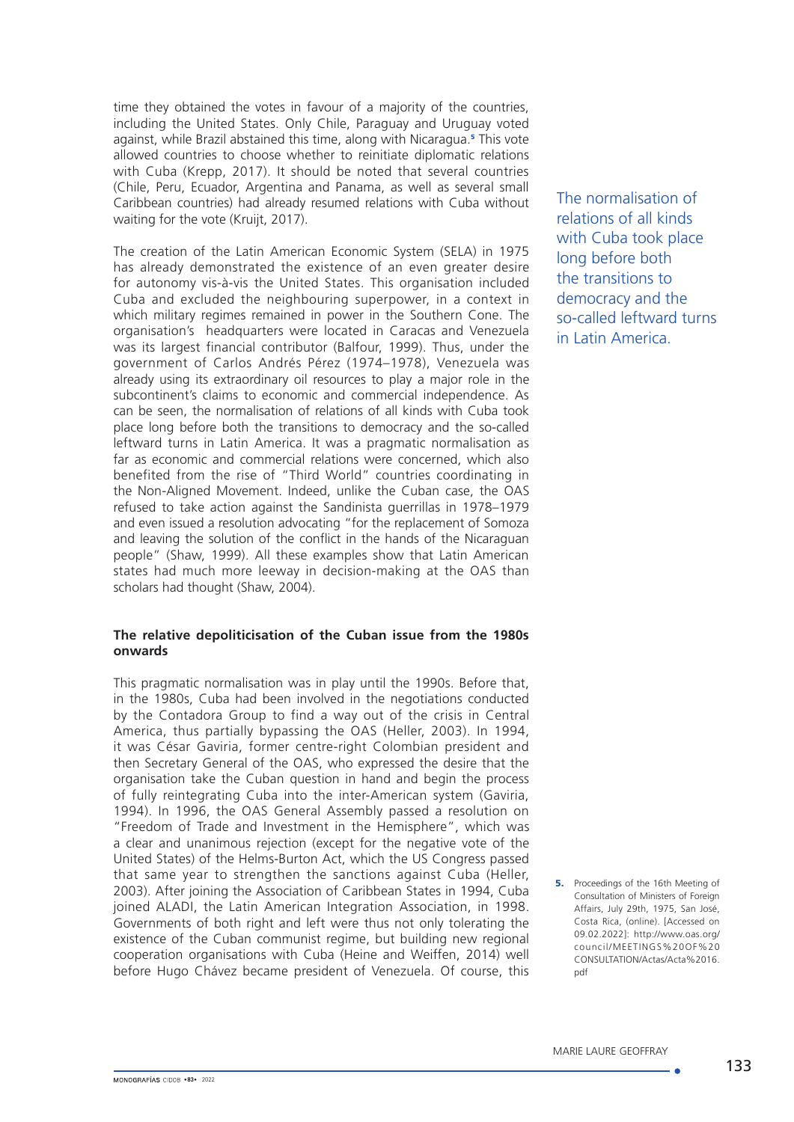time they obtained the votes in favour of a majority of the countries, including the United States. Only Chile, Paraguay and Uruguay voted against, while Brazil abstained this time, along with Nicaragua.<sup>5</sup> This vote allowed countries to choose whether to reinitiate diplomatic relations with Cuba (Krepp, 2017). It should be noted that several countries (Chile, Peru, Ecuador, Argentina and Panama, as well as several small Caribbean countries) had already resumed relations with Cuba without waiting for the vote (Kruijt, 2017).

The creation of the Latin American Economic System (SELA) in 1975 has already demonstrated the existence of an even greater desire for autonomy vis-à-vis the United States. This organisation included Cuba and excluded the neighbouring superpower, in a context in which military regimes remained in power in the Southern Cone. The organisation's headquarters were located in Caracas and Venezuela was its largest financial contributor (Balfour, 1999). Thus, under the government of Carlos Andrés Pérez (1974–1978), Venezuela was already using its extraordinary oil resources to play a major role in the subcontinent's claims to economic and commercial independence. As can be seen, the normalisation of relations of all kinds with Cuba took place long before both the transitions to democracy and the so-called leftward turns in Latin America. It was a pragmatic normalisation as far as economic and commercial relations were concerned, which also benefited from the rise of "Third World" countries coordinating in the Non-Aligned Movement. Indeed, unlike the Cuban case, the OAS refused to take action against the Sandinista guerrillas in 1978–1979 and even issued a resolution advocating "for the replacement of Somoza and leaving the solution of the conflict in the hands of the Nicaraguan people" (Shaw, 1999). All these examples show that Latin American states had much more leeway in decision-making at the OAS than scholars had thought (Shaw, 2004).

### **The relative depoliticisation of the Cuban issue from the 1980s onwards**

This pragmatic normalisation was in play until the 1990s. Before that, in the 1980s, Cuba had been involved in the negotiations conducted by the Contadora Group to find a way out of the crisis in Central America, thus partially bypassing the OAS (Heller, 2003). In 1994, it was César Gaviria, former centre-right Colombian president and then Secretary General of the OAS, who expressed the desire that the organisation take the Cuban question in hand and begin the process of fully reintegrating Cuba into the inter-American system (Gaviria, 1994). In 1996, the OAS General Assembly passed a resolution on "Freedom of Trade and Investment in the Hemisphere", which was a clear and unanimous rejection (except for the negative vote of the United States) of the Helms-Burton Act, which the US Congress passed that same year to strengthen the sanctions against Cuba (Heller, 2003). After joining the Association of Caribbean States in 1994, Cuba joined ALADI, the Latin American Integration Association, in 1998. Governments of both right and left were thus not only tolerating the existence of the Cuban communist regime, but building new regional cooperation organisations with Cuba (Heine and Weiffen, 2014) well before Hugo Chávez became president of Venezuela. Of course, this

The normalisation of relations of all kinds with Cuba took place long before both the transitions to democracy and the so-called leftward turns in Latin America.

**5.** Proceedings of the 16th Meeting of Consultation of Ministers of Foreign Affairs, July 29th, 1975, San José, Costa Rica, (online). [Accessed on 09.02.2022]: [http://www.oas.org/](http://www.oas.org/council/MEETINGS%20OF%20CONSULTATION/Actas/Acta%2016.pdf) [council/MEETINGS%20OF%20](http://www.oas.org/council/MEETINGS%20OF%20CONSULTATION/Actas/Acta%2016.pdf) [CONSULTATION/Actas/Acta%2016.](http://www.oas.org/council/MEETINGS%20OF%20CONSULTATION/Actas/Acta%2016.pdf) [pdf](http://www.oas.org/council/MEETINGS%20OF%20CONSULTATION/Actas/Acta%2016.pdf)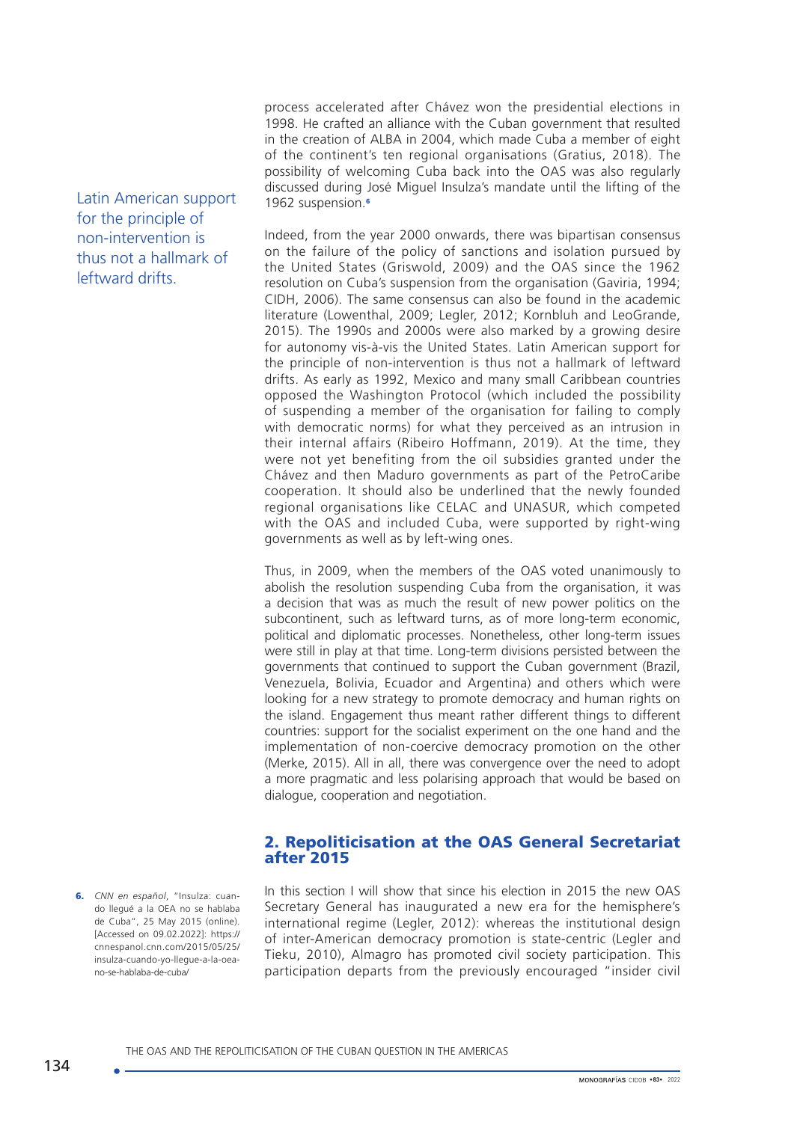process accelerated after Chávez won the presidential elections in 1998. He crafted an alliance with the Cuban government that resulted in the creation of ALBA in 2004, which made Cuba a member of eight of the continent's ten regional organisations (Gratius, 2018). The possibility of welcoming Cuba back into the OAS was also regularly discussed during José Miguel Insulza's mandate until the lifting of the 1962 suspension.<sup>6</sup>

Indeed, from the year 2000 onwards, there was bipartisan consensus on the failure of the policy of sanctions and isolation pursued by the United States (Griswold, 2009) and the OAS since the 1962 resolution on Cuba's suspension from the organisation (Gaviria, 1994; CIDH, 2006). The same consensus can also be found in the academic literature (Lowenthal, 2009; Legler, 2012; Kornbluh and LeoGrande, 2015). The 1990s and 2000s were also marked by a growing desire for autonomy vis-à-vis the United States. Latin American support for the principle of non-intervention is thus not a hallmark of leftward drifts. As early as 1992, Mexico and many small Caribbean countries opposed the Washington Protocol (which included the possibility of suspending a member of the organisation for failing to comply with democratic norms) for what they perceived as an intrusion in their internal affairs (Ribeiro Hoffmann, 2019). At the time, they were not yet benefiting from the oil subsidies granted under the Chávez and then Maduro governments as part of the PetroCaribe cooperation. It should also be underlined that the newly founded regional organisations like CELAC and UNASUR, which competed with the OAS and included Cuba, were supported by right-wing governments as well as by left-wing ones.

Thus, in 2009, when the members of the OAS voted unanimously to abolish the resolution suspending Cuba from the organisation, it was a decision that was as much the result of new power politics on the subcontinent, such as leftward turns, as of more long-term economic, political and diplomatic processes. Nonetheless, other long-term issues were still in play at that time. Long-term divisions persisted between the governments that continued to support the Cuban government (Brazil, Venezuela, Bolivia, Ecuador and Argentina) and others which were looking for a new strategy to promote democracy and human rights on the island. Engagement thus meant rather different things to different countries: support for the socialist experiment on the one hand and the implementation of non-coercive democracy promotion on the other (Merke, 2015). All in all, there was convergence over the need to adopt a more pragmatic and less polarising approach that would be based on dialogue, cooperation and negotiation.

# 2. Repoliticisation at the OAS General Secretariat after 2015

In this section I will show that since his election in 2015 the new OAS Secretary General has inaugurated a new era for the hemisphere's international regime (Legler, 2012): whereas the institutional design of inter-American democracy promotion is state-centric (Legler and Tieku, 2010), Almagro has promoted civil society participation. This participation departs from the previously encouraged "insider civil

Latin American support for the principle of non-intervention is thus not a hallmark of leftward drifts.

6. *CNN en español*, "Insulza: cuando llegué a la OEA no se hablaba de Cuba", 25 May 2015 (online). [Accessed on 09.02.2022]: [https://](https://cnnespanol.cnn.com/2015/05/25/insulza-cuando-yo-llegue-a-la-oea-no-se-hablaba-de-cuba) [cnnespanol.cnn.com/2015/05/25/](https://cnnespanol.cnn.com/2015/05/25/insulza-cuando-yo-llegue-a-la-oea-no-se-hablaba-de-cuba) [insulza-cuando-yo-llegue-a-la-oea](https://cnnespanol.cnn.com/2015/05/25/insulza-cuando-yo-llegue-a-la-oea-no-se-hablaba-de-cuba)[no-se-hablaba-de-cuba/](https://cnnespanol.cnn.com/2015/05/25/insulza-cuando-yo-llegue-a-la-oea-no-se-hablaba-de-cuba)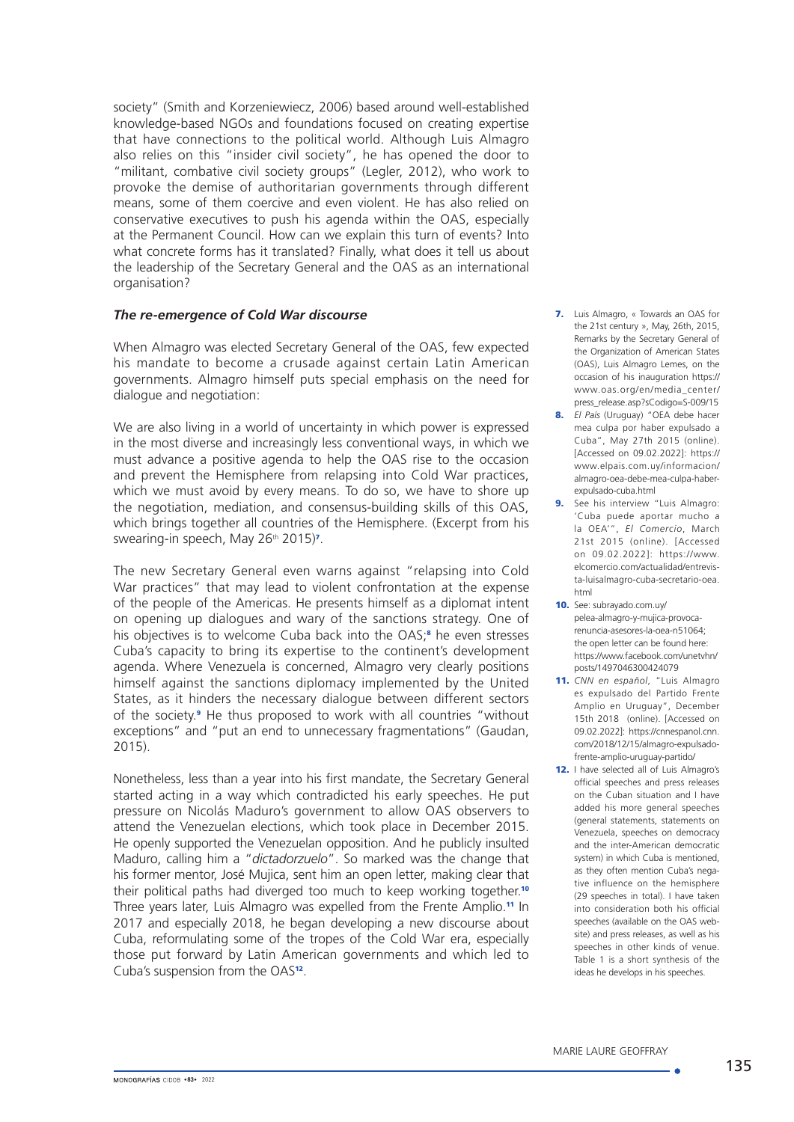society" (Smith and Korzeniewiecz, 2006) based around well-established knowledge-based NGOs and foundations focused on creating expertise that have connections to the political world. Although Luis Almagro also relies on this "insider civil society", he has opened the door to "militant, combative civil society groups" (Legler, 2012), who work to provoke the demise of authoritarian governments through different means, some of them coercive and even violent. He has also relied on conservative executives to push his agenda within the OAS, especially at the Permanent Council. How can we explain this turn of events? Into what concrete forms has it translated? Finally, what does it tell us about the leadership of the Secretary General and the OAS as an international organisation?

#### *The re-emergence of Cold War discourse*

When Almagro was elected Secretary General of the OAS, few expected his mandate to become a crusade against certain Latin American governments. Almagro himself puts special emphasis on the need for dialogue and negotiation:

We are also living in a world of uncertainty in which power is expressed in the most diverse and increasingly less conventional ways, in which we must advance a positive agenda to help the OAS rise to the occasion and prevent the Hemisphere from relapsing into Cold War practices, which we must avoid by every means. To do so, we have to shore up the negotiation, mediation, and consensus-building skills of this OAS, which brings together all countries of the Hemisphere. (Excerpt from his swearing-in speech, May 26<sup>th</sup> 2015)<sup>7</sup>.

The new Secretary General even warns against "relapsing into Cold War practices" that may lead to violent confrontation at the expense of the people of the Americas. He presents himself as a diplomat intent on opening up dialogues and wary of the sanctions strategy. One of his objectives is to welcome Cuba back into the OAS;<sup>8</sup> he even stresses Cuba's capacity to bring its expertise to the continent's development agenda. Where Venezuela is concerned, Almagro very clearly positions himself against the sanctions diplomacy implemented by the United States, as it hinders the necessary dialogue between different sectors of the society.<sup>9</sup> He thus proposed to work with all countries "without exceptions" and "put an end to unnecessary fragmentations" (Gaudan, 2015).

Nonetheless, less than a year into his first mandate, the Secretary General started acting in a way which contradicted his early speeches. He put pressure on Nicolás Maduro's government to allow OAS observers to attend the Venezuelan elections, which took place in December 2015. He openly supported the Venezuelan opposition. And he publicly insulted Maduro, calling him a "*dictadorzuelo*". So marked was the change that his former mentor, José Mujica, sent him an open letter, making clear that their political paths had diverged too much to keep working together.<sup>10</sup> Three years later, Luis Almagro was expelled from the Frente Amplio.<sup>11</sup> In 2017 and especially 2018, he began developing a new discourse about Cuba, reformulating some of the tropes of the Cold War era, especially those put forward by Latin American governments and which led to Cuba's suspension from the OAS12.

- 7. Luis Almagro, « Towards an OAS for the 21st century », May, 26th, 2015, Remarks by the Secretary General of the Organization of American States (OAS), Luis Almagro Lemes, on the occasion of his inauguration [https://](https://www.oas.org/en/media_center/press_release.asp?sCodigo=S-009/15) [www.oas.org/en/media\\_center/](https://www.oas.org/en/media_center/press_release.asp?sCodigo=S-009/15) [press\\_release.asp?sCodigo=S-009/15](https://www.oas.org/en/media_center/press_release.asp?sCodigo=S-009/15)
- 8. *El País* (Uruguay) "OEA debe hacer mea culpa por haber expulsado a Cuba", May 27th 2015 (online). [Accessed on 09.02.2022]: [https://](https://www.elpais.com.uy/informacion/almagro-oea-debe-mea-culpa-haber-expulsado-cuba.html) [www.elpais.com.uy/informacion/](https://www.elpais.com.uy/informacion/almagro-oea-debe-mea-culpa-haber-expulsado-cuba.html) [almagro-oea-debe-mea-culpa-haber](https://www.elpais.com.uy/informacion/almagro-oea-debe-mea-culpa-haber-expulsado-cuba.html)[expulsado-cuba.html](https://www.elpais.com.uy/informacion/almagro-oea-debe-mea-culpa-haber-expulsado-cuba.html)
- 9. See his interview "Luis Almagro: 'Cuba puede aportar mucho a la OEA'", *El Comercio*, March 21st 2015 (online). [Accessed on 09.02.2022]: [https://www.](https://www.elcomercio.com/actualidad/entrevista-luisalmagro-cuba-secretario-oea.html) [elcomercio.com/actualidad/entrevis](https://www.elcomercio.com/actualidad/entrevista-luisalmagro-cuba-secretario-oea.html)[ta-luisalmagro-cuba-secretario-oea.](https://www.elcomercio.com/actualidad/entrevista-luisalmagro-cuba-secretario-oea.html) [html](https://www.elcomercio.com/actualidad/entrevista-luisalmagro-cuba-secretario-oea.html)
- 10. See: [subrayado.com.uy/](subrayado.com.uy/pelea-almagro-y-mujica-provoca-renuncia-asesores-la-oea-n51064; the open letter can be found here: https://www.facebook.com/unetvhn/posts/149704630042407) [pelea-almagro-y-mujica-provoca](subrayado.com.uy/pelea-almagro-y-mujica-provoca-renuncia-asesores-la-oea-n51064; the open letter can be found here: https://www.facebook.com/unetvhn/posts/149704630042407)[renuncia-asesores-la-oea-n51064;](subrayado.com.uy/pelea-almagro-y-mujica-provoca-renuncia-asesores-la-oea-n51064; the open letter can be found here: https://www.facebook.com/unetvhn/posts/149704630042407)  [the open letter can be found here:](subrayado.com.uy/pelea-almagro-y-mujica-provoca-renuncia-asesores-la-oea-n51064; the open letter can be found here: https://www.facebook.com/unetvhn/posts/149704630042407)  [https://www.facebook.com/unetvhn/](subrayado.com.uy/pelea-almagro-y-mujica-provoca-renuncia-asesores-la-oea-n51064; the open letter can be found here: https://www.facebook.com/unetvhn/posts/149704630042407) [posts/149704630042407](subrayado.com.uy/pelea-almagro-y-mujica-provoca-renuncia-asesores-la-oea-n51064; the open letter can be found here: https://www.facebook.com/unetvhn/posts/149704630042407)9
- 11. *CNN en español*, "Luis Almagro es expulsado del Partido Frente Amplio en Uruguay", December 15th 2018 (online). [Accessed on 09.02.2022]: [https://cnnespanol.cnn.](https://cnnespanol.cnn.com/2018/12/15/almagro-expulsado-frente-amplio-uruguay-partido/) [com/2018/12/15/almagro-expulsado](https://cnnespanol.cnn.com/2018/12/15/almagro-expulsado-frente-amplio-uruguay-partido/)[frente-amplio-uruguay-partido/](https://cnnespanol.cnn.com/2018/12/15/almagro-expulsado-frente-amplio-uruguay-partido/)
- 12. I have selected all of Luis Almagro's official speeches and press releases on the Cuban situation and I have added his more general speeches (general statements, statements on Venezuela, speeches on democracy and the inter-American democratic system) in which Cuba is mentioned, as they often mention Cuba's negative influence on the hemisphere (29 speeches in total). I have taken into consideration both his official speeches (available on the OAS website) and press releases, as well as his speeches in other kinds of venue. Table 1 is a short synthesis of the ideas he develops in his speeches.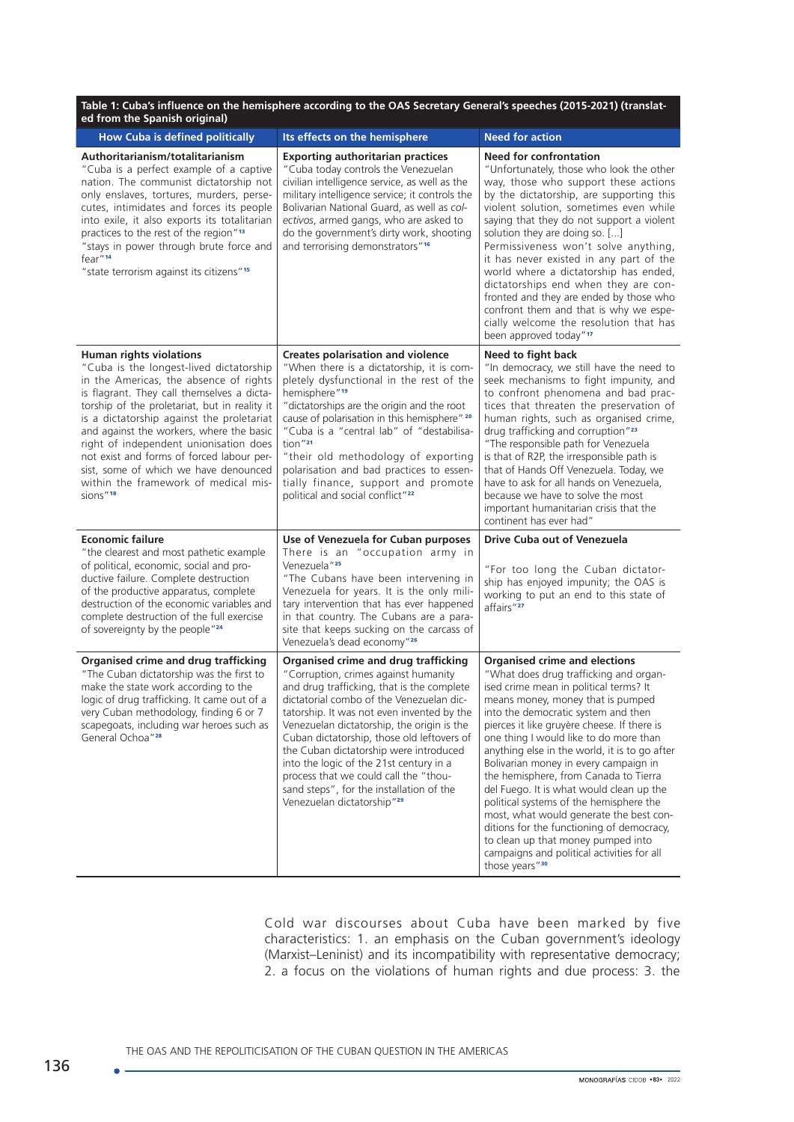| Table 1: Cuba's influence on the hemisphere according to the OAS Secretary General's speeches (2015-2021) (translat-<br>ed from the Spanish original)                                                                                                                                                                                                                                                                                                                                                       |                                                                                                                                                                                                                                                                                                                                                                                                                                                                                                                                             |                                                                                                                                                                                                                                                                                                                                                                                                                                                                                                                                                                                                                                                                                                                       |  |  |  |
|-------------------------------------------------------------------------------------------------------------------------------------------------------------------------------------------------------------------------------------------------------------------------------------------------------------------------------------------------------------------------------------------------------------------------------------------------------------------------------------------------------------|---------------------------------------------------------------------------------------------------------------------------------------------------------------------------------------------------------------------------------------------------------------------------------------------------------------------------------------------------------------------------------------------------------------------------------------------------------------------------------------------------------------------------------------------|-----------------------------------------------------------------------------------------------------------------------------------------------------------------------------------------------------------------------------------------------------------------------------------------------------------------------------------------------------------------------------------------------------------------------------------------------------------------------------------------------------------------------------------------------------------------------------------------------------------------------------------------------------------------------------------------------------------------------|--|--|--|
| <b>How Cuba is defined politically</b>                                                                                                                                                                                                                                                                                                                                                                                                                                                                      | Its effects on the hemisphere                                                                                                                                                                                                                                                                                                                                                                                                                                                                                                               | <b>Need for action</b>                                                                                                                                                                                                                                                                                                                                                                                                                                                                                                                                                                                                                                                                                                |  |  |  |
| Authoritarianism/totalitarianism<br>"Cuba is a perfect example of a captive<br>nation. The communist dictatorship not<br>only enslaves, tortures, murders, perse-<br>cutes, intimidates and forces its people<br>into exile, it also exports its totalitarian<br>practices to the rest of the region" <sup>13</sup><br>"stays in power through brute force and<br>fear" <sup>14</sup><br>"state terrorism against its citizens" <sup>15</sup>                                                               | <b>Exporting authoritarian practices</b><br>"Cuba today controls the Venezuelan<br>civilian intelligence service, as well as the<br>military intelligence service; it controls the<br>Bolivarian National Guard, as well as col-<br>ectivos, armed gangs, who are asked to<br>do the government's dirty work, shooting<br>and terrorising demonstrators" <sup>16</sup>                                                                                                                                                                      | <b>Need for confrontation</b><br>"Unfortunately, those who look the other<br>way, those who support these actions<br>by the dictatorship, are supporting this<br>violent solution, sometimes even while<br>saying that they do not support a violent<br>solution they are doing so. []<br>Permissiveness won't solve anything,<br>it has never existed in any part of the<br>world where a dictatorship has ended,<br>dictatorships end when they are con-<br>fronted and they are ended by those who<br>confront them and that is why we espe-<br>cially welcome the resolution that has<br>been approved today" <sup>17</sup>                                                                                       |  |  |  |
| <b>Human rights violations</b><br>"Cuba is the longest-lived dictatorship<br>in the Americas, the absence of rights<br>is flagrant. They call themselves a dicta-<br>torship of the proletariat, but in reality it<br>is a dictatorship against the proletariat<br>and against the workers, where the basic<br>right of independent unionisation does<br>not exist and forms of forced labour per-<br>sist, some of which we have denounced<br>within the framework of medical mis-<br>sions" <sup>18</sup> | <b>Creates polarisation and violence</b><br>"When there is a dictatorship, it is com-<br>pletely dysfunctional in the rest of the<br>hemisphere" <sup>19</sup><br>"dictatorships are the origin and the root<br>cause of polarisation in this hemisphere" 20<br>"Cuba is a "central lab" of "destabilisa-<br>tion"21<br>"their old methodology of exporting<br>polarisation and bad practices to essen-<br>tially finance, support and promote<br>political and social conflict" <sup>22</sup>                                              | Need to fight back<br>"In democracy, we still have the need to<br>seek mechanisms to fight impunity, and<br>to confront phenomena and bad prac-<br>tices that threaten the preservation of<br>human rights, such as organised crime,<br>drug trafficking and corruption" <sup>23</sup><br>"The responsible path for Venezuela<br>is that of R2P, the irresponsible path is<br>that of Hands Off Venezuela. Today, we<br>have to ask for all hands on Venezuela,<br>because we have to solve the most<br>important humanitarian crisis that the<br>continent has ever had"                                                                                                                                             |  |  |  |
| <b>Economic failure</b><br>"the clearest and most pathetic example<br>of political, economic, social and pro-<br>ductive failure. Complete destruction<br>of the productive apparatus, complete<br>destruction of the economic variables and<br>complete destruction of the full exercise<br>of sovereignty by the people" <sup>24</sup>                                                                                                                                                                    | Use of Venezuela for Cuban purposes<br>There is an "occupation army in<br>Venezuela" <sup>25</sup><br>"The Cubans have been intervening in<br>Venezuela for years. It is the only mili-<br>tary intervention that has ever happened<br>in that country. The Cubans are a para-<br>site that keeps sucking on the carcass of<br>Venezuela's dead economy" <sup>26</sup>                                                                                                                                                                      | Drive Cuba out of Venezuela<br>"For too long the Cuban dictator-<br>ship has enjoyed impunity; the OAS is<br>working to put an end to this state of<br>affairs"27                                                                                                                                                                                                                                                                                                                                                                                                                                                                                                                                                     |  |  |  |
| <b>Organised crime and drug trafficking</b><br>"The Cuban dictatorship was the first to<br>make the state work according to the<br>logic of drug trafficking. It came out of a<br>very Cuban methodology, finding 6 or 7<br>scapegoats, including war heroes such as<br>General Ochoa" <sup>28</sup>                                                                                                                                                                                                        | <b>Organised crime and drug trafficking</b><br>"Corruption, crimes against humanity<br>and drug trafficking, that is the complete<br>dictatorial combo of the Venezuelan dic-<br>tatorship. It was not even invented by the<br>Venezuelan dictatorship, the origin is the<br>Cuban dictatorship, those old leftovers of<br>the Cuban dictatorship were introduced<br>into the logic of the 21st century in a<br>process that we could call the "thou-<br>sand steps", for the installation of the<br>Venezuelan dictatorship" <sup>29</sup> | <b>Organised crime and elections</b><br>"What does drug trafficking and organ-<br>ised crime mean in political terms? It<br>means money, money that is pumped<br>into the democratic system and then<br>pierces it like gruyère cheese. If there is<br>one thing I would like to do more than<br>anything else in the world, it is to go after<br>Bolivarian money in every campaign in<br>the hemisphere, from Canada to Tierra<br>del Fuego. It is what would clean up the<br>political systems of the hemisphere the<br>most, what would generate the best con-<br>ditions for the functioning of democracy,<br>to clean up that money pumped into<br>campaigns and political activities for all<br>those years"30 |  |  |  |

Cold war discourses about Cuba have been marked by five characteristics: 1. an emphasis on the Cuban government's ideology (Marxist–Leninist) and its incompatibility with representative democracy; 2. a focus on the violations of human rights and due process: 3. the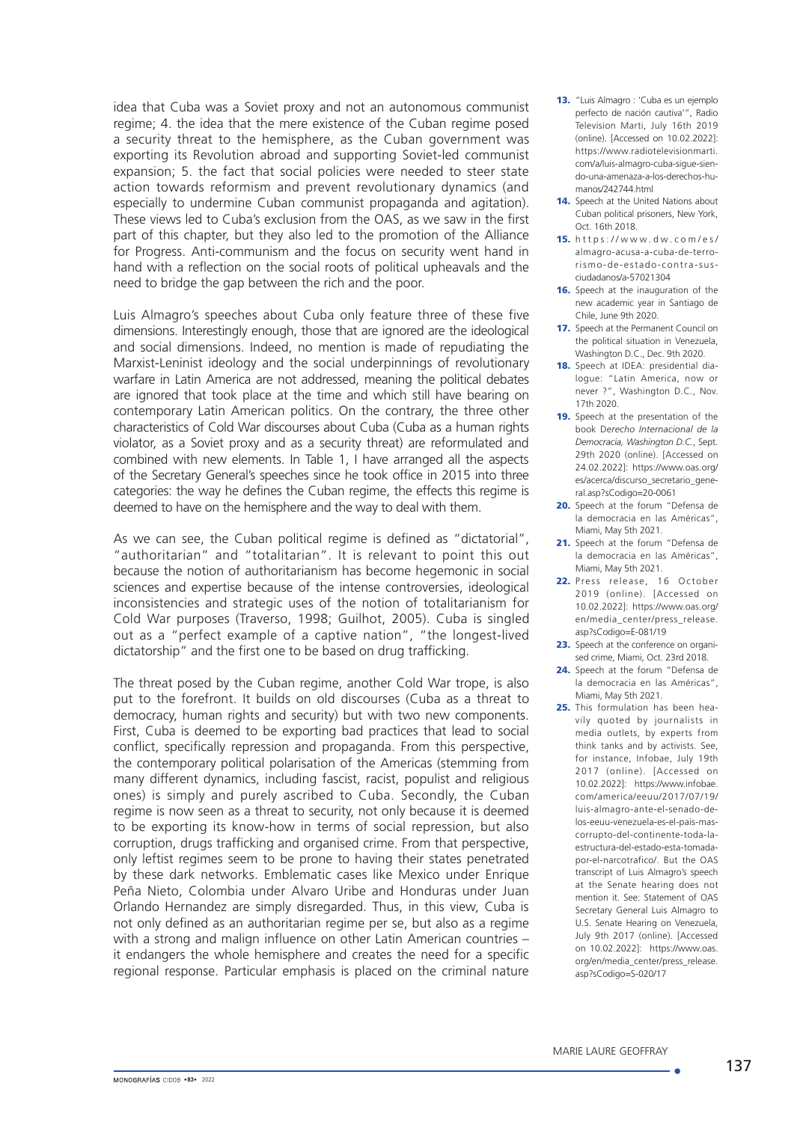idea that Cuba was a Soviet proxy and not an autonomous communist regime; 4. the idea that the mere existence of the Cuban regime posed a security threat to the hemisphere, as the Cuban government was exporting its Revolution abroad and supporting Soviet-led communist expansion; 5. the fact that social policies were needed to steer state action towards reformism and prevent revolutionary dynamics (and especially to undermine Cuban communist propaganda and agitation). These views led to Cuba's exclusion from the OAS, as we saw in the first part of this chapter, but they also led to the promotion of the Alliance for Progress. Anti-communism and the focus on security went hand in hand with a reflection on the social roots of political upheavals and the need to bridge the gap between the rich and the poor.

Luis Almagro's speeches about Cuba only feature three of these five dimensions. Interestingly enough, those that are ignored are the ideological and social dimensions. Indeed, no mention is made of repudiating the Marxist-Leninist ideology and the social underpinnings of revolutionary warfare in Latin America are not addressed, meaning the political debates are ignored that took place at the time and which still have bearing on contemporary Latin American politics. On the contrary, the three other characteristics of Cold War discourses about Cuba (Cuba as a human rights violator, as a Soviet proxy and as a security threat) are reformulated and combined with new elements. In Table 1, I have arranged all the aspects of the Secretary General's speeches since he took office in 2015 into three categories: the way he defines the Cuban regime, the effects this regime is deemed to have on the hemisphere and the way to deal with them.

As we can see, the Cuban political regime is defined as "dictatorial", "authoritarian" and "totalitarian". It is relevant to point this out because the notion of authoritarianism has become hegemonic in social sciences and expertise because of the intense controversies, ideological inconsistencies and strategic uses of the notion of totalitarianism for Cold War purposes (Traverso, 1998; Guilhot, 2005). Cuba is singled out as a "perfect example of a captive nation", "the longest-lived dictatorship" and the first one to be based on drug trafficking.

The threat posed by the Cuban regime, another Cold War trope, is also put to the forefront. It builds on old discourses (Cuba as a threat to democracy, human rights and security) but with two new components. First, Cuba is deemed to be exporting bad practices that lead to social conflict, specifically repression and propaganda. From this perspective, the contemporary political polarisation of the Americas (stemming from many different dynamics, including fascist, racist, populist and religious ones) is simply and purely ascribed to Cuba. Secondly, the Cuban regime is now seen as a threat to security, not only because it is deemed to be exporting its know-how in terms of social repression, but also corruption, drugs trafficking and organised crime. From that perspective, only leftist regimes seem to be prone to having their states penetrated by these dark networks. Emblematic cases like Mexico under Enrique Peña Nieto, Colombia under Alvaro Uribe and Honduras under Juan Orlando Hernandez are simply disregarded. Thus, in this view, Cuba is not only defined as an authoritarian regime per se, but also as a regime with a strong and malign influence on other Latin American countries – it endangers the whole hemisphere and creates the need for a specific regional response. Particular emphasis is placed on the criminal nature

- 13. "Luis Almagro : 'Cuba es un ejemplo perfecto de nación cautiva'", Radio Television Marti, July 16th 2019 (online). [Accessed on 10.02.2022]: [https://www.radiotelevisionmarti.](https://www.radiotelevisionmarti.com/a/luis-almagro-cuba-sigue-siendo-una-amenaza-a-los-derechos-humanos/242744.html) [com/a/luis-almagro-cuba-sigue-sien](https://www.radiotelevisionmarti.com/a/luis-almagro-cuba-sigue-siendo-una-amenaza-a-los-derechos-humanos/242744.html)[do-una-amenaza-a-los-derechos-hu](https://www.radiotelevisionmarti.com/a/luis-almagro-cuba-sigue-siendo-una-amenaza-a-los-derechos-humanos/242744.html)[manos/242744.html](https://www.radiotelevisionmarti.com/a/luis-almagro-cuba-sigue-siendo-una-amenaza-a-los-derechos-humanos/242744.html)
- 14. Speech at the United Nations about Cuban political prisoners, New York, Oct. 16th 2018.
- 15. [https://www.dw.com/es/](https://www.dw.com/es/almagro-acusa-a-cuba-de-terrorismo-de-estado-contra-sus-ciudadanos/a-57021304
) [almagro-acusa-a-cuba-de-terro](https://www.dw.com/es/almagro-acusa-a-cuba-de-terrorismo-de-estado-contra-sus-ciudadanos/a-57021304
)[rismo-de-estado-contra-sus](https://www.dw.com/es/almagro-acusa-a-cuba-de-terrorismo-de-estado-contra-sus-ciudadanos/a-57021304
)[ciudadanos/a-57021304](https://www.dw.com/es/almagro-acusa-a-cuba-de-terrorismo-de-estado-contra-sus-ciudadanos/a-57021304
)
- 16. Speech at the inauguration of the new academic year in Santiago de Chile, June 9th 2020.
- 17. Speech at the Permanent Council on the political situation in Venezuela, Washington D.C., Dec. 9th 2020.
- 18. Speech at IDEA: presidential dialogue: "Latin America, now or never ?", Washington D.C., Nov. 17th 2020.
- 19. Speech at the presentation of the book De*recho Internacional de la Democracia, Washington D.C.*, Sept. 29th 2020 (online). [Accessed on 24.02.2022]: [https://www.oas.org/](https://www.oas.org/es/acerca/discurso_secretario_general.asp?sCodigo=20-0061) [es/acerca/discurso\\_secretario\\_gene](https://www.oas.org/es/acerca/discurso_secretario_general.asp?sCodigo=20-0061)[ral.asp?sCodigo=20-0061](https://www.oas.org/es/acerca/discurso_secretario_general.asp?sCodigo=20-0061)
- 20. Speech at the forum "Defensa de la democracia en las Américas", Miami, May 5th 2021.
- 21. Speech at the forum "Defensa de la democracia en las Américas", Miami, May 5th 2021.
- 22. Press release, 16 October 2019 (online). [Accessed on 10.02.2022]: [https://www.oas.org/](https://www.oas.org/en/media_center/press_release.asp?sCodigo=E-081/19) [en/media\\_center/press\\_release.](https://www.oas.org/en/media_center/press_release.asp?sCodigo=E-081/19) [asp?sCodigo=E-081/19](https://www.oas.org/en/media_center/press_release.asp?sCodigo=E-081/19)
- 23. Speech at the conference on organised crime, Miami, Oct. 23rd 2018.
- 24. Speech at the forum "Defensa de la democracia en las Américas", Miami, May 5th 2021.
- 25. This formulation has been heavily quoted by journalists in media outlets, by experts from think tanks and by activists. See, for instance, Infobae, July 19th 2017 (online). [Accessed on 10.02.2022]: [https://www.infobae.](https://www.infobae.com/america/eeuu/2017/07/19/luis-almagro-ante-el-senado-de-los-eeuu-venezuela-es-el-pais-mas-corrupto-del-continente-toda-la-estructura-del-estado-esta-tomada-por-el-narcotrafico/) [com/america/eeuu/2017/07/19/](https://www.infobae.com/america/eeuu/2017/07/19/luis-almagro-ante-el-senado-de-los-eeuu-venezuela-es-el-pais-mas-corrupto-del-continente-toda-la-estructura-del-estado-esta-tomada-por-el-narcotrafico/) [luis-almagro-ante-el-senado-de](https://www.infobae.com/america/eeuu/2017/07/19/luis-almagro-ante-el-senado-de-los-eeuu-venezuela-es-el-pais-mas-corrupto-del-continente-toda-la-estructura-del-estado-esta-tomada-por-el-narcotrafico/)[los-eeuu-venezuela-es-el-pais-mas](https://www.infobae.com/america/eeuu/2017/07/19/luis-almagro-ante-el-senado-de-los-eeuu-venezuela-es-el-pais-mas-corrupto-del-continente-toda-la-estructura-del-estado-esta-tomada-por-el-narcotrafico/)[corrupto-del-continente-toda-la](https://www.infobae.com/america/eeuu/2017/07/19/luis-almagro-ante-el-senado-de-los-eeuu-venezuela-es-el-pais-mas-corrupto-del-continente-toda-la-estructura-del-estado-esta-tomada-por-el-narcotrafico/)[estructura-del-estado-esta-tomada](https://www.infobae.com/america/eeuu/2017/07/19/luis-almagro-ante-el-senado-de-los-eeuu-venezuela-es-el-pais-mas-corrupto-del-continente-toda-la-estructura-del-estado-esta-tomada-por-el-narcotrafico/)[por-el-narcotrafico/](https://www.infobae.com/america/eeuu/2017/07/19/luis-almagro-ante-el-senado-de-los-eeuu-venezuela-es-el-pais-mas-corrupto-del-continente-toda-la-estructura-del-estado-esta-tomada-por-el-narcotrafico/). But the OAS transcript of Luis Almagro's speech at the Senate hearing does not mention it. See: Statement of OAS Secretary General Luis Almagro to U.S. Senate Hearing on Venezuela, July 9th 2017 (online). [Accessed on 10.02.2022]: [https://www.oas.](https://www.oas.org/en/media_center/press_release.asp?sCodigo=S-020/17) [org/en/media\\_center/press\\_release.](https://www.oas.org/en/media_center/press_release.asp?sCodigo=S-020/17) [asp?sCodigo=S-020/17](https://www.oas.org/en/media_center/press_release.asp?sCodigo=S-020/17)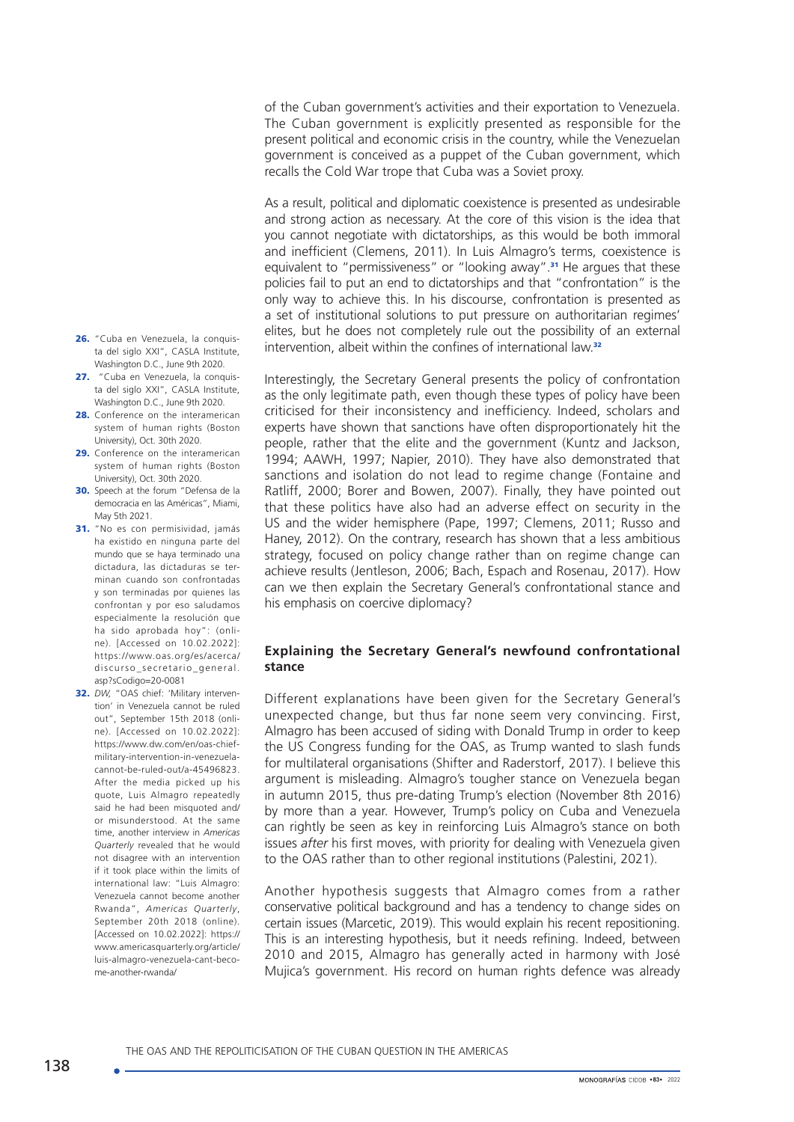of the Cuban government's activities and their exportation to Venezuela. The Cuban government is explicitly presented as responsible for the present political and economic crisis in the country, while the Venezuelan government is conceived as a puppet of the Cuban government, which recalls the Cold War trope that Cuba was a Soviet proxy.

As a result, political and diplomatic coexistence is presented as undesirable and strong action as necessary. At the core of this vision is the idea that you cannot negotiate with dictatorships, as this would be both immoral and inefficient (Clemens, 2011). In Luis Almagro's terms, coexistence is equivalent to "permissiveness" or "looking away".<sup>31</sup> He argues that these policies fail to put an end to dictatorships and that "confrontation" is the only way to achieve this. In his discourse, confrontation is presented as a set of institutional solutions to put pressure on authoritarian regimes' elites, but he does not completely rule out the possibility of an external intervention, albeit within the confines of international law.<sup>32</sup>

Interestingly, the Secretary General presents the policy of confrontation as the only legitimate path, even though these types of policy have been criticised for their inconsistency and inefficiency. Indeed, scholars and experts have shown that sanctions have often disproportionately hit the people, rather that the elite and the government (Kuntz and Jackson, 1994; AAWH, 1997; Napier, 2010). They have also demonstrated that sanctions and isolation do not lead to regime change (Fontaine and Ratliff, 2000; Borer and Bowen, 2007). Finally, they have pointed out that these politics have also had an adverse effect on security in the US and the wider hemisphere (Pape, 1997; Clemens, 2011; Russo and Haney, 2012). On the contrary, research has shown that a less ambitious strategy, focused on policy change rather than on regime change can achieve results (Jentleson, 2006; Bach, Espach and Rosenau, 2017). How can we then explain the Secretary General's confrontational stance and his emphasis on coercive diplomacy?

### **Explaining the Secretary General's newfound confrontational stance**

Different explanations have been given for the Secretary General's unexpected change, but thus far none seem very convincing. First, Almagro has been accused of siding with Donald Trump in order to keep the US Congress funding for the OAS, as Trump wanted to slash funds for multilateral organisations (Shifter and Raderstorf, 2017). I believe this argument is misleading. Almagro's tougher stance on Venezuela began in autumn 2015, thus pre-dating Trump's election (November 8th 2016) by more than a year. However, Trump's policy on Cuba and Venezuela can rightly be seen as key in reinforcing Luis Almagro's stance on both issues *after* his first moves, with priority for dealing with Venezuela given to the OAS rather than to other regional institutions (Palestini, 2021).

Another hypothesis suggests that Almagro comes from a rather conservative political background and has a tendency to change sides on certain issues (Marcetic, 2019). This would explain his recent repositioning. This is an interesting hypothesis, but it needs refining. Indeed, between 2010 and 2015, Almagro has generally acted in harmony with José Mujica's government. His record on human rights defence was already

- 26. "Cuba en Venezuela, la conquista del siglo XXI", CASLA Institute, Washington D.C., June 9th 2020.
- 27. "Cuba en Venezuela, la conquista del siglo XXI", CASLA Institute, Washington D.C., June 9th 2020.
- 28. Conference on the interamerican system of human rights (Boston University), Oct. 30th 2020.
- 29. Conference on the interamerican system of human rights (Boston University), Oct. 30th 2020.
- 30. Speech at the forum "Defensa de la democracia en las Américas", Miami, May 5th 2021.
- 31. "No es con permisividad, jamás ha existido en ninguna parte del mundo que se haya terminado una dictadura, las dictaduras se terminan cuando son confrontadas y son terminadas por quienes las confrontan y por eso saludamos especialmente la resolución que ha sido aprobada hoy": (online). [Accessed on 10.02.2022]: [https://www.oas.org/es/acerca/](https://www.oas.org/es/acerca/discurso_secretario_general.asp?sCodigo=20-0081) [discurso\\_secretario\\_general.](https://www.oas.org/es/acerca/discurso_secretario_general.asp?sCodigo=20-0081) [asp?sCodigo=20-0081](https://www.oas.org/es/acerca/discurso_secretario_general.asp?sCodigo=20-0081)
- 32. *DW,* "OAS chief: 'Military intervention' in Venezuela cannot be ruled out", September 15th 2018 (online). [Accessed on 10.02.2022]: [https://www.dw.com/en/oas-chief](https://www.dw.com/en/oas-chief-military-intervention-in-venezuela-cannot-be-ruled-out/a-45496823)[military-intervention-in-venezuela](https://www.dw.com/en/oas-chief-military-intervention-in-venezuela-cannot-be-ruled-out/a-45496823)[cannot-be-ruled-out/a-45496823.](https://www.dw.com/en/oas-chief-military-intervention-in-venezuela-cannot-be-ruled-out/a-45496823) After the media picked up his quote, Luis Almagro repeatedly said he had been misquoted and/ or misunderstood. At the same time, another interview in *Americas Quarterly* revealed that he would not disagree with an intervention if it took place within the limits of international law: "Luis Almagro: Venezuela cannot become another Rwanda", *Americas Quarterly*, September 20th 2018 (online). [Accessed on 10.02.2022]: [https://](https://www.americasquarterly.org/article/luis-almagro-venezuela-cant-become-another-rwanda/) [www.americasquarterly.org/article/](https://www.americasquarterly.org/article/luis-almagro-venezuela-cant-become-another-rwanda/) [luis-almagro-venezuela-cant-beco](https://www.americasquarterly.org/article/luis-almagro-venezuela-cant-become-another-rwanda/)[me-another-rwanda/](https://www.americasquarterly.org/article/luis-almagro-venezuela-cant-become-another-rwanda/)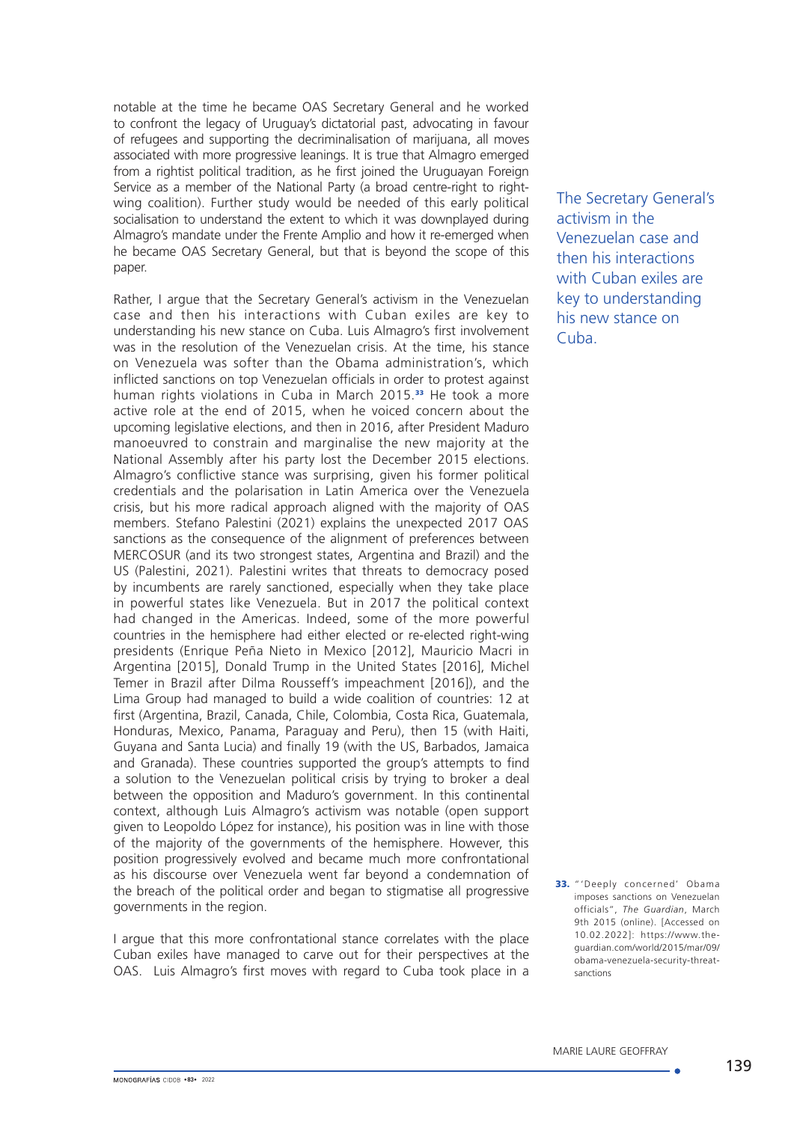notable at the time he became OAS Secretary General and he worked to confront the legacy of Uruguay's dictatorial past, advocating in favour of refugees and supporting the decriminalisation of marijuana, all moves associated with more progressive leanings. It is true that Almagro emerged from a rightist political tradition, as he first joined the Uruguayan Foreign Service as a member of the National Party (a broad centre-right to rightwing coalition). Further study would be needed of this early political socialisation to understand the extent to which it was downplayed during Almagro's mandate under the Frente Amplio and how it re-emerged when he became OAS Secretary General, but that is beyond the scope of this paper.

Rather, I argue that the Secretary General's activism in the Venezuelan case and then his interactions with Cuban exiles are key to understanding his new stance on Cuba. Luis Almagro's first involvement was in the resolution of the Venezuelan crisis. At the time, his stance on Venezuela was softer than the Obama administration's, which inflicted sanctions on top Venezuelan officials in order to protest against human rights violations in Cuba in March 2015.<sup>33</sup> He took a more active role at the end of 2015, when he voiced concern about the upcoming legislative elections, and then in 2016, after President Maduro manoeuvred to constrain and marginalise the new majority at the National Assembly after his party lost the December 2015 elections. Almagro's conflictive stance was surprising, given his former political credentials and the polarisation in Latin America over the Venezuela crisis, but his more radical approach aligned with the majority of OAS members. Stefano Palestini (2021) explains the unexpected 2017 OAS sanctions as the consequence of the alignment of preferences between MERCOSUR (and its two strongest states, Argentina and Brazil) and the US (Palestini, 2021). Palestini writes that threats to democracy posed by incumbents are rarely sanctioned, especially when they take place in powerful states like Venezuela. But in 2017 the political context had changed in the Americas. Indeed, some of the more powerful countries in the hemisphere had either elected or re-elected right-wing presidents (Enrique Peña Nieto in Mexico [2012], Mauricio Macri in Argentina [2015], Donald Trump in the United States [2016], Michel Temer in Brazil after Dilma Rousseff's impeachment [2016]), and the Lima Group had managed to build a wide coalition of countries: 12 at first (Argentina, Brazil, Canada, Chile, Colombia, Costa Rica, Guatemala, Honduras, Mexico, Panama, Paraguay and Peru), then 15 (with Haiti, Guyana and Santa Lucia) and finally 19 (with the US, Barbados, Jamaica and Granada). These countries supported the group's attempts to find a solution to the Venezuelan political crisis by trying to broker a deal between the opposition and Maduro's government. In this continental context, although Luis Almagro's activism was notable (open support given to Leopoldo López for instance), his position was in line with those of the majority of the governments of the hemisphere. However, this position progressively evolved and became much more confrontational as his discourse over Venezuela went far beyond a condemnation of the breach of the political order and began to stigmatise all progressive governments in the region.

I argue that this more confrontational stance correlates with the place Cuban exiles have managed to carve out for their perspectives at the OAS. Luis Almagro's first moves with regard to Cuba took place in a

The Secretary General's activism in the Venezuelan case and then his interactions with Cuban exiles are key to understanding his new stance on Cuba.

33. "'Deeply concerned' Obama imposes sanctions on Venezuelan officials", *The Guardian*, March 9th 2015 (online). [Accessed on 10.02.2022]: https://www.theguardian.com/world/2015/mar/09/ obama-venezuela-security-threatsanctions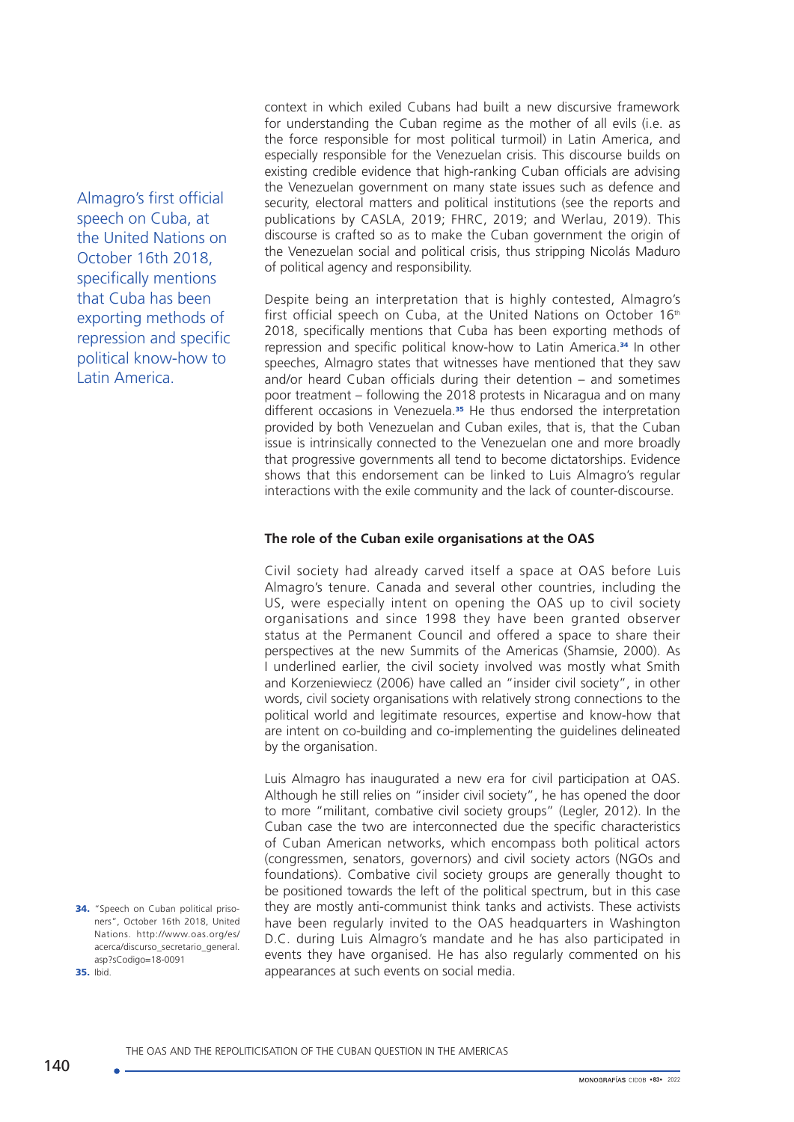Almagro's first official speech on Cuba, at the United Nations on October 16th 2018, specifically mentions that Cuba has been exporting methods of repression and specific political know-how to Latin America.

34. "Speech on Cuban political prisoners", October 16th 2018, United Nations. [http://www.oas.org/es/](http://www.oas.org/es/acerca/discurso_secretario_general.asp?sCodigo=18-0091) [acerca/discurso\\_secretario\\_general.](http://www.oas.org/es/acerca/discurso_secretario_general.asp?sCodigo=18-0091) [asp?sCodigo=18-0091](http://www.oas.org/es/acerca/discurso_secretario_general.asp?sCodigo=18-0091) 35. Ibid.

context in which exiled Cubans had built a new discursive framework for understanding the Cuban regime as the mother of all evils (i.e. as the force responsible for most political turmoil) in Latin America, and especially responsible for the Venezuelan crisis. This discourse builds on existing credible evidence that high-ranking Cuban officials are advising the Venezuelan government on many state issues such as defence and security, electoral matters and political institutions (see the reports and publications by CASLA, 2019; FHRC, 2019; and Werlau, 2019). This discourse is crafted so as to make the Cuban government the origin of the Venezuelan social and political crisis, thus stripping Nicolás Maduro of political agency and responsibility.

Despite being an interpretation that is highly contested, Almagro's first official speech on Cuba, at the United Nations on October 16th 2018, specifically mentions that Cuba has been exporting methods of repression and specific political know-how to Latin America.<sup>34</sup> In other speeches, Almagro states that witnesses have mentioned that they saw and/or heard Cuban officials during their detention – and sometimes poor treatment – following the 2018 protests in Nicaragua and on many different occasions in Venezuela.<sup>35</sup> He thus endorsed the interpretation provided by both Venezuelan and Cuban exiles, that is, that the Cuban issue is intrinsically connected to the Venezuelan one and more broadly that progressive governments all tend to become dictatorships. Evidence shows that this endorsement can be linked to Luis Almagro's regular interactions with the exile community and the lack of counter-discourse.

#### **The role of the Cuban exile organisations at the OAS**

Civil society had already carved itself a space at OAS before Luis Almagro's tenure. Canada and several other countries, including the US, were especially intent on opening the OAS up to civil society organisations and since 1998 they have been granted observer status at the Permanent Council and offered a space to share their perspectives at the new Summits of the Americas (Shamsie, 2000). As I underlined earlier, the civil society involved was mostly what Smith and Korzeniewiecz (2006) have called an "insider civil society", in other words, civil society organisations with relatively strong connections to the political world and legitimate resources, expertise and know-how that are intent on co-building and co-implementing the guidelines delineated by the organisation.

Luis Almagro has inaugurated a new era for civil participation at OAS. Although he still relies on "insider civil society", he has opened the door to more "militant, combative civil society groups" (Legler, 2012). In the Cuban case the two are interconnected due the specific characteristics of Cuban American networks, which encompass both political actors (congressmen, senators, governors) and civil society actors (NGOs and foundations). Combative civil society groups are generally thought to be positioned towards the left of the political spectrum, but in this case they are mostly anti-communist think tanks and activists. These activists have been regularly invited to the OAS headquarters in Washington D.C. during Luis Almagro's mandate and he has also participated in events they have organised. He has also regularly commented on his appearances at such events on social media.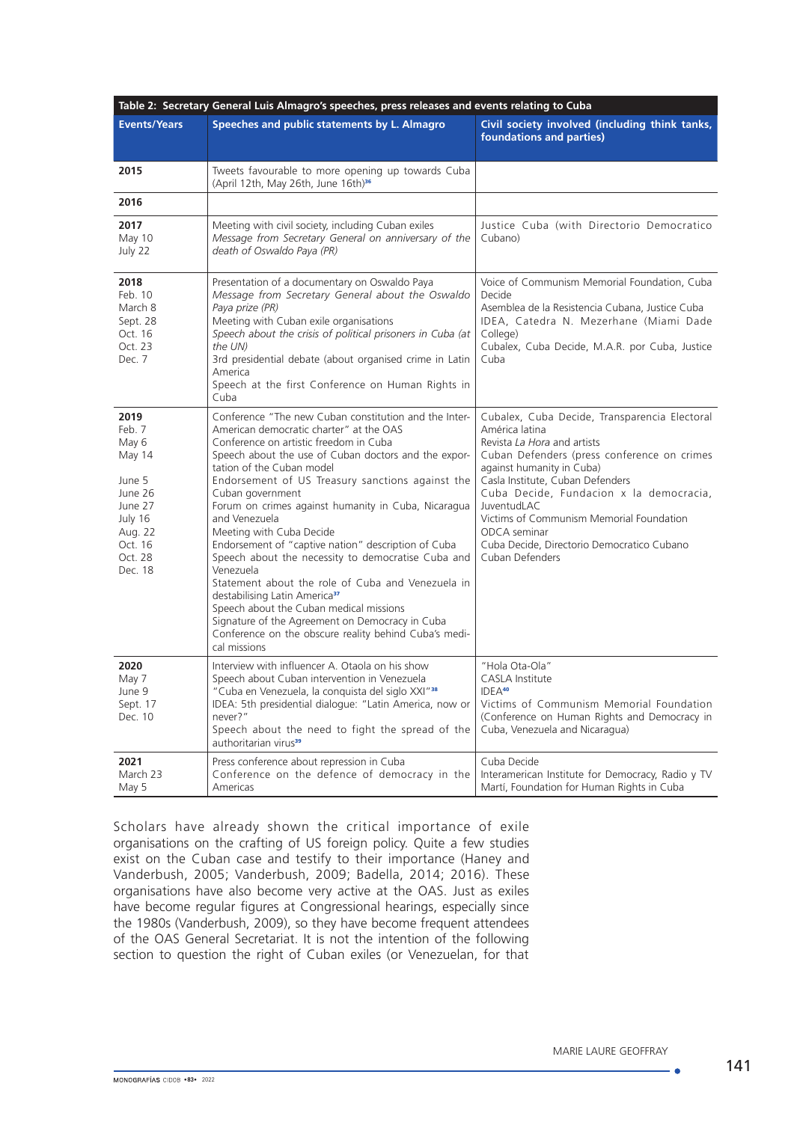| Table 2: Secretary General Luis Almagro's speeches, press releases and events relating to Cuba                           |                                                                                                                                                                                                                                                                                                                                                                                                                                                                                                                                                                                                                                                                                                                                                                                                                |                                                                                                                                                                                                                                                                                                                                                                                                       |  |  |
|--------------------------------------------------------------------------------------------------------------------------|----------------------------------------------------------------------------------------------------------------------------------------------------------------------------------------------------------------------------------------------------------------------------------------------------------------------------------------------------------------------------------------------------------------------------------------------------------------------------------------------------------------------------------------------------------------------------------------------------------------------------------------------------------------------------------------------------------------------------------------------------------------------------------------------------------------|-------------------------------------------------------------------------------------------------------------------------------------------------------------------------------------------------------------------------------------------------------------------------------------------------------------------------------------------------------------------------------------------------------|--|--|
| <b>Events/Years</b>                                                                                                      | Speeches and public statements by L. Almagro                                                                                                                                                                                                                                                                                                                                                                                                                                                                                                                                                                                                                                                                                                                                                                   | Civil society involved (including think tanks,<br>foundations and parties)                                                                                                                                                                                                                                                                                                                            |  |  |
| 2015                                                                                                                     | Tweets favourable to more opening up towards Cuba<br>(April 12th, May 26th, June 16th) <sup>36</sup>                                                                                                                                                                                                                                                                                                                                                                                                                                                                                                                                                                                                                                                                                                           |                                                                                                                                                                                                                                                                                                                                                                                                       |  |  |
| 2016                                                                                                                     |                                                                                                                                                                                                                                                                                                                                                                                                                                                                                                                                                                                                                                                                                                                                                                                                                |                                                                                                                                                                                                                                                                                                                                                                                                       |  |  |
| 2017<br>May 10<br>July 22                                                                                                | Meeting with civil society, including Cuban exiles<br>Message from Secretary General on anniversary of the<br>death of Oswaldo Paya (PR)                                                                                                                                                                                                                                                                                                                                                                                                                                                                                                                                                                                                                                                                       | Justice Cuba (with Directorio Democratico<br>Cubano)                                                                                                                                                                                                                                                                                                                                                  |  |  |
| 2018<br>Feb. 10<br>March 8<br>Sept. 28<br>Oct. 16<br>Oct. 23<br>Dec. 7                                                   | Presentation of a documentary on Oswaldo Paya<br>Message from Secretary General about the Oswaldo<br>Paya prize (PR)<br>Meeting with Cuban exile organisations<br>Speech about the crisis of political prisoners in Cuba (at<br>the UN)<br>3rd presidential debate (about organised crime in Latin<br>America<br>Speech at the first Conference on Human Rights in<br>Cuba                                                                                                                                                                                                                                                                                                                                                                                                                                     | Voice of Communism Memorial Foundation, Cuba<br>Decide<br>Asemblea de la Resistencia Cubana, Justice Cuba<br>IDEA, Catedra N. Mezerhane (Miami Dade<br>College)<br>Cubalex, Cuba Decide, M.A.R. por Cuba, Justice<br>Cuba                                                                                                                                                                             |  |  |
| 2019<br>Feb. 7<br>May 6<br>May 14<br>June 5<br>June 26<br>June 27<br>July 16<br>Aug. 22<br>Oct. 16<br>Oct. 28<br>Dec. 18 | Conference "The new Cuban constitution and the Inter-<br>American democratic charter" at the OAS<br>Conference on artistic freedom in Cuba<br>Speech about the use of Cuban doctors and the expor-<br>tation of the Cuban model<br>Endorsement of US Treasury sanctions against the<br>Cuban government<br>Forum on crimes against humanity in Cuba, Nicaragua<br>and Venezuela<br>Meeting with Cuba Decide<br>Endorsement of "captive nation" description of Cuba<br>Speech about the necessity to democratise Cuba and<br>Venezuela<br>Statement about the role of Cuba and Venezuela in<br>destabilising Latin America <sup>37</sup><br>Speech about the Cuban medical missions<br>Signature of the Agreement on Democracy in Cuba<br>Conference on the obscure reality behind Cuba's medi-<br>cal missions | Cubalex, Cuba Decide, Transparencia Electoral<br>América latina<br>Revista La Hora and artists<br>Cuban Defenders (press conference on crimes<br>against humanity in Cuba)<br>Casla Institute, Cuban Defenders<br>Cuba Decide, Fundacion x la democracia,<br>JuventudLAC<br>Victims of Communism Memorial Foundation<br>ODCA seminar<br>Cuba Decide, Directorio Democratico Cubano<br>Cuban Defenders |  |  |
| 2020<br>May 7<br>June 9<br>Sept. 17<br>Dec. 10                                                                           | Interview with influencer A. Otaola on his show<br>Speech about Cuban intervention in Venezuela<br>"Cuba en Venezuela, la conquista del siglo XXI" <sup>38</sup><br>IDEA: 5th presidential dialogue: "Latin America, now or<br>never?"<br>Speech about the need to fight the spread of the<br>authoritarian virus <sup>39</sup>                                                                                                                                                                                                                                                                                                                                                                                                                                                                                | "Hola Ota-Ola"<br><b>CASLA Institute</b><br>IDEA <sup>40</sup><br>Victims of Communism Memorial Foundation<br>(Conference on Human Rights and Democracy in<br>Cuba, Venezuela and Nicaragua)                                                                                                                                                                                                          |  |  |
| 2021<br>March 23<br>May 5                                                                                                | Press conference about repression in Cuba<br>Conference on the defence of democracy in the<br>Americas                                                                                                                                                                                                                                                                                                                                                                                                                                                                                                                                                                                                                                                                                                         | Cuba Decide<br>Interamerican Institute for Democracy, Radio y TV<br>Martí, Foundation for Human Rights in Cuba                                                                                                                                                                                                                                                                                        |  |  |

Scholars have already shown the critical importance of exile organisations on the crafting of US foreign policy. Quite a few studies exist on the Cuban case and testify to their importance (Haney and Vanderbush, 2005; Vanderbush, 2009; Badella, 2014; 2016). These organisations have also become very active at the OAS. Just as exiles have become regular figures at Congressional hearings, especially since the 1980s (Vanderbush, 2009), so they have become frequent attendees of the OAS General Secretariat. It is not the intention of the following section to question the right of Cuban exiles (or Venezuelan, for that

. e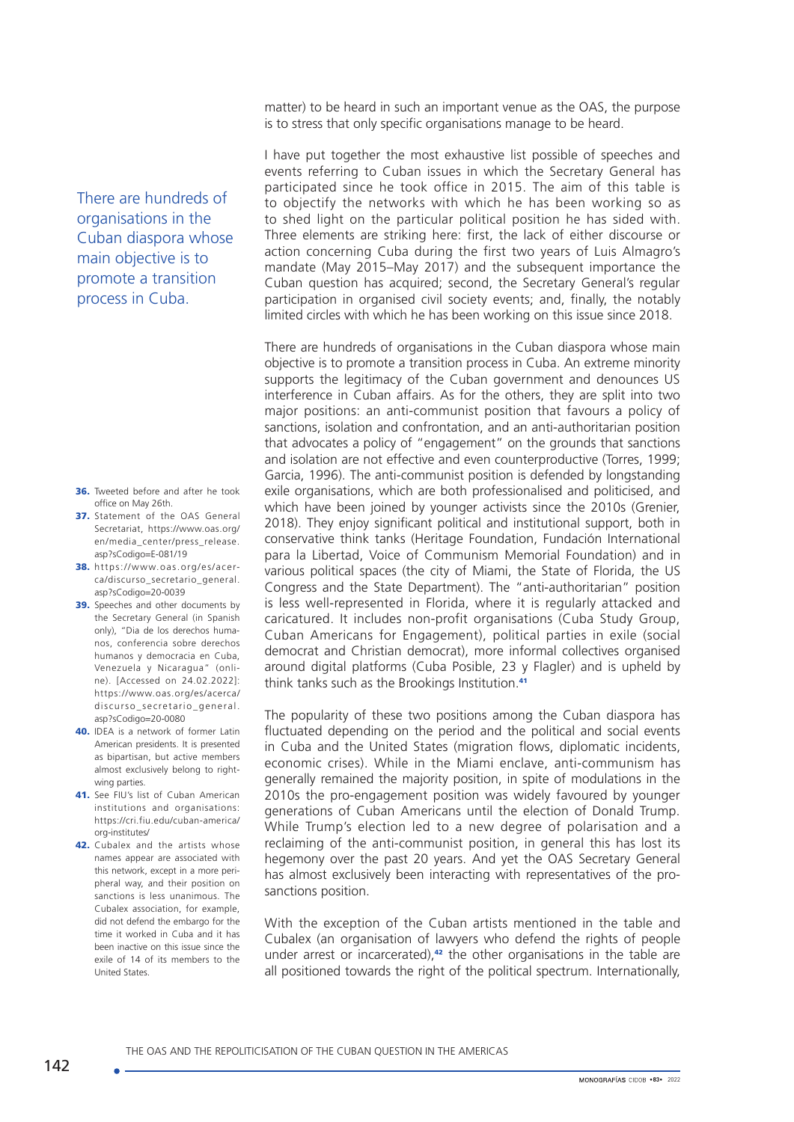There are hundreds of organisations in the Cuban diaspora whose main objective is to promote a transition process in Cuba.

- 36. Tweeted before and after he took office on May 26th.
- 37. Statement of the OAS General Secretariat, [https://www.oas.org/](https://www.oas.org/en/media_center/press_release.asp?sCodigo=E-081/19) [en/media\\_center/press\\_release.](https://www.oas.org/en/media_center/press_release.asp?sCodigo=E-081/19) [asp?sCodigo=E-081/19](https://www.oas.org/en/media_center/press_release.asp?sCodigo=E-081/19)
- 38. [https://www.oas.org/es/acer](https://www.oas.org/es/acerca/discurso_secretario_general.asp?sCodigo=20-0039)[ca/discurso\\_secretario\\_general.](https://www.oas.org/es/acerca/discurso_secretario_general.asp?sCodigo=20-0039) [asp?sCodigo=20-0039](https://www.oas.org/es/acerca/discurso_secretario_general.asp?sCodigo=20-0039)
- 39. Speeches and other documents by the Secretary General (in Spanish only), "Dia de los derechos humanos, conferencia sobre derechos humanos y democracia en Cuba, Venezuela y Nicaragua" (online). [Accessed on 24.02.2022]: [https://www.oas.org/es/acerca/](https://www.oas.org/es/acerca/discurso_secretario_general.asp?sCodigo=20-0080) [discurso\\_secretario\\_general.](https://www.oas.org/es/acerca/discurso_secretario_general.asp?sCodigo=20-0080) [asp?sCodigo=20-0080](https://www.oas.org/es/acerca/discurso_secretario_general.asp?sCodigo=20-0080)
- 40. IDEA is a network of former Latin American presidents. It is presented as bipartisan, but active members almost exclusively belong to rightwing parties.
- 41. See FIU's list of Cuban American institutions and organisations: https://cri.fiu.edu/cuban-america/ org-institutes/
- 42. Cubalex and the artists whose names appear are associated with this network, except in a more peripheral way, and their position on sanctions is less unanimous. The Cubalex association, for example, did not defend the embargo for the time it worked in Cuba and it has been inactive on this issue since the exile of 14 of its members to the United States.

matter) to be heard in such an important venue as the OAS, the purpose is to stress that only specific organisations manage to be heard.

I have put together the most exhaustive list possible of speeches and events referring to Cuban issues in which the Secretary General has participated since he took office in 2015. The aim of this table is to objectify the networks with which he has been working so as to shed light on the particular political position he has sided with. Three elements are striking here: first, the lack of either discourse or action concerning Cuba during the first two years of Luis Almagro's mandate (May 2015–May 2017) and the subsequent importance the Cuban question has acquired; second, the Secretary General's regular participation in organised civil society events; and, finally, the notably limited circles with which he has been working on this issue since 2018.

There are hundreds of organisations in the Cuban diaspora whose main objective is to promote a transition process in Cuba. An extreme minority supports the legitimacy of the Cuban government and denounces US interference in Cuban affairs. As for the others, they are split into two major positions: an anti-communist position that favours a policy of sanctions, isolation and confrontation, and an anti-authoritarian position that advocates a policy of "engagement" on the grounds that sanctions and isolation are not effective and even counterproductive (Torres, 1999; Garcia, 1996). The anti-communist position is defended by longstanding exile organisations, which are both professionalised and politicised, and which have been joined by younger activists since the 2010s (Grenier, 2018). They enjoy significant political and institutional support, both in conservative think tanks (Heritage Foundation, Fundación International para la Libertad, Voice of Communism Memorial Foundation) and in various political spaces (the city of Miami, the State of Florida, the US Congress and the State Department). The "anti-authoritarian" position is less well-represented in Florida, where it is regularly attacked and caricatured. It includes non-profit organisations (Cuba Study Group, Cuban Americans for Engagement), political parties in exile (social democrat and Christian democrat), more informal collectives organised around digital platforms (Cuba Posible, 23 y Flagler) and is upheld by think tanks such as the Brookings Institution.<sup>41</sup>

The popularity of these two positions among the Cuban diaspora has fluctuated depending on the period and the political and social events in Cuba and the United States (migration flows, diplomatic incidents, economic crises). While in the Miami enclave, anti-communism has generally remained the majority position, in spite of modulations in the 2010s the pro-engagement position was widely favoured by younger generations of Cuban Americans until the election of Donald Trump. While Trump's election led to a new degree of polarisation and a reclaiming of the anti-communist position, in general this has lost its hegemony over the past 20 years. And yet the OAS Secretary General has almost exclusively been interacting with representatives of the prosanctions position.

With the exception of the Cuban artists mentioned in the table and Cubalex (an organisation of lawyers who defend the rights of people under arrest or incarcerated), $42$  the other organisations in the table are all positioned towards the right of the political spectrum. Internationally,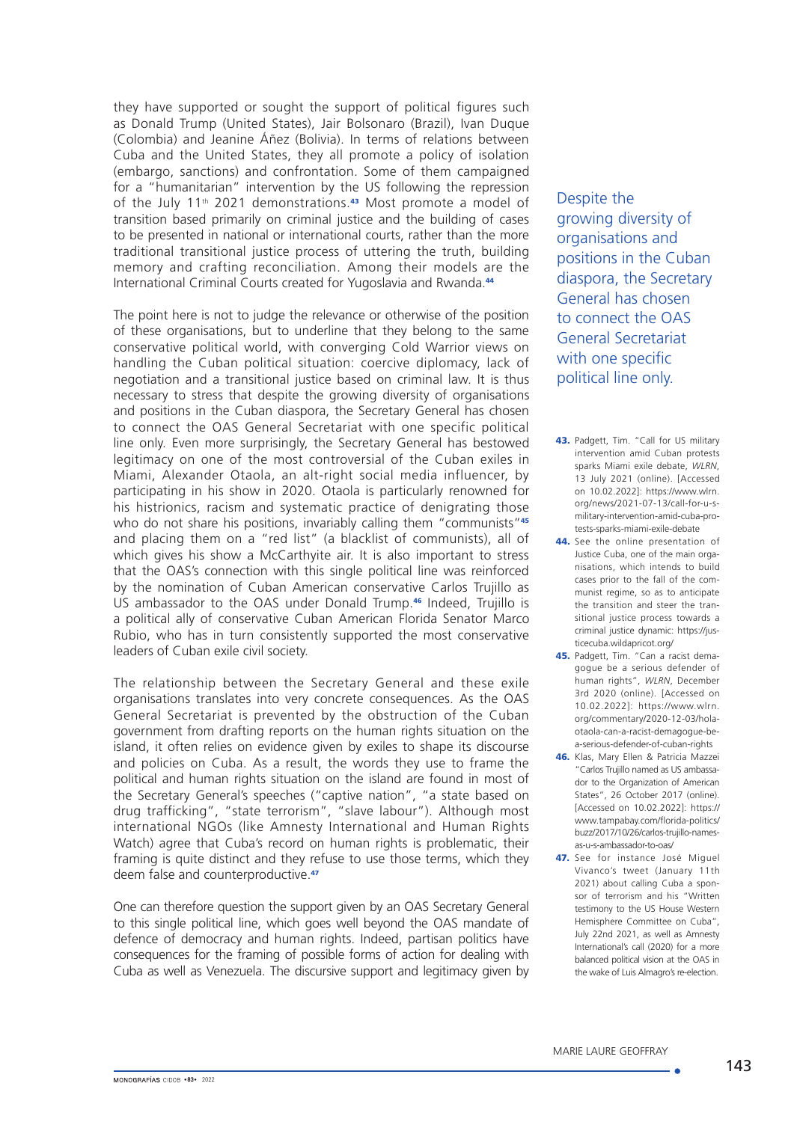they have supported or sought the support of political figures such as Donald Trump (United States), Jair Bolsonaro (Brazil), Ivan Duque (Colombia) and Jeanine Áñez (Bolivia). In terms of relations between Cuba and the United States, they all promote a policy of isolation (embargo, sanctions) and confrontation. Some of them campaigned for a "humanitarian" intervention by the US following the repression of the July 11<sup>th</sup> 2021 demonstrations.<sup>43</sup> Most promote a model of transition based primarily on criminal justice and the building of cases to be presented in national or international courts, rather than the more traditional transitional justice process of uttering the truth, building memory and crafting reconciliation. Among their models are the International Criminal Courts created for Yugoslavia and Rwanda.<sup>44</sup>

The point here is not to judge the relevance or otherwise of the position of these organisations, but to underline that they belong to the same conservative political world, with converging Cold Warrior views on handling the Cuban political situation: coercive diplomacy, lack of negotiation and a transitional justice based on criminal law. It is thus necessary to stress that despite the growing diversity of organisations and positions in the Cuban diaspora, the Secretary General has chosen to connect the OAS General Secretariat with one specific political line only. Even more surprisingly, the Secretary General has bestowed legitimacy on one of the most controversial of the Cuban exiles in Miami, Alexander Otaola, an alt-right social media influencer, by participating in his show in 2020. Otaola is particularly renowned for his histrionics, racism and systematic practice of denigrating those who do not share his positions, invariably calling them "communists"<sup>45</sup> and placing them on a "red list" (a blacklist of communists), all of which gives his show a McCarthyite air. It is also important to stress that the OAS's connection with this single political line was reinforced by the nomination of Cuban American conservative Carlos Trujillo as US ambassador to the OAS under Donald Trump.46 Indeed, Trujillo is a political ally of conservative Cuban American Florida Senator Marco Rubio, who has in turn consistently supported the most conservative leaders of Cuban exile civil society.

The relationship between the Secretary General and these exile organisations translates into very concrete consequences. As the OAS General Secretariat is prevented by the obstruction of the Cuban government from drafting reports on the human rights situation on the island, it often relies on evidence given by exiles to shape its discourse and policies on Cuba. As a result, the words they use to frame the political and human rights situation on the island are found in most of the Secretary General's speeches ("captive nation", "a state based on drug trafficking", "state terrorism", "slave labour"). Although most international NGOs (like Amnesty International and Human Rights Watch) agree that Cuba's record on human rights is problematic, their framing is quite distinct and they refuse to use those terms, which they deem false and counterproductive.<sup>47</sup>

One can therefore question the support given by an OAS Secretary General to this single political line, which goes well beyond the OAS mandate of defence of democracy and human rights. Indeed, partisan politics have consequences for the framing of possible forms of action for dealing with Cuba as well as Venezuela. The discursive support and legitimacy given by Despite the growing diversity of organisations and positions in the Cuban diaspora, the Secretary General has chosen to connect the OAS General Secretariat with one specific political line only.

- 43. Padgett, Tim. "Call for US military intervention amid Cuban protests sparks Miami exile debate, *WLRN*, 13 July 2021 (online). [Accessed on 10.02.2022]: [https://www.wlrn.](https://www.wlrn.org/news/2021-07-13/call-for-u-s-military-intervention-amid-cuba-protests-sparks-miami-exile-debate) [org/news/2021-07-13/call-for-u-s](https://www.wlrn.org/news/2021-07-13/call-for-u-s-military-intervention-amid-cuba-protests-sparks-miami-exile-debate)[military-intervention-amid-cuba-pro](https://www.wlrn.org/news/2021-07-13/call-for-u-s-military-intervention-amid-cuba-protests-sparks-miami-exile-debate)[tests-sparks-miami-exile-debate](https://www.wlrn.org/news/2021-07-13/call-for-u-s-military-intervention-amid-cuba-protests-sparks-miami-exile-debate)
- 44. See the online presentation of Justice Cuba, one of the main organisations, which intends to build cases prior to the fall of the communist regime, so as to anticipate the transition and steer the transitional justice process towards a criminal justice dynamic: [https://jus](https://justicecuba.wildapricot.org/)[ticecuba.wildapricot.org/](https://justicecuba.wildapricot.org/)
- 45. Padgett, Tim. "Can a racist demagogue be a serious defender of human rights", *WLRN*, December 3rd 2020 (online). [Accessed on 10.02.2022]: [https://www.wlrn.](https://www.wlrn.org/commentary/2020-12-03/hola-otaola-can-a-racist-demagogue-be-a-serious-defender-of-cuban-rights) [org/commentary/2020-12-03/hola](https://www.wlrn.org/commentary/2020-12-03/hola-otaola-can-a-racist-demagogue-be-a-serious-defender-of-cuban-rights)[otaola-can-a-racist-demagogue-be](https://www.wlrn.org/commentary/2020-12-03/hola-otaola-can-a-racist-demagogue-be-a-serious-defender-of-cuban-rights)[a-serious-defender-of-cuban-rights](https://www.wlrn.org/commentary/2020-12-03/hola-otaola-can-a-racist-demagogue-be-a-serious-defender-of-cuban-rights)
- 46. Klas, Mary Ellen & Patricia Mazzei "Carlos Trujillo named as US ambassador to the Organization of American States", 26 October 2017 (online). [Accessed on 10.02.2022]: [https://](https://www.tampabay.com/florida-politics/buzz/2017/10/26/carlos-trujillo-names-as-u-s-ambassador-to-oas/) [www.tampabay.com/florida-politics/](https://www.tampabay.com/florida-politics/buzz/2017/10/26/carlos-trujillo-names-as-u-s-ambassador-to-oas/) [buzz/2017/10/26/carlos-trujillo-names](https://www.tampabay.com/florida-politics/buzz/2017/10/26/carlos-trujillo-names-as-u-s-ambassador-to-oas/)[as-u-s-ambassador-to-oas/](https://www.tampabay.com/florida-politics/buzz/2017/10/26/carlos-trujillo-names-as-u-s-ambassador-to-oas/)
- 47. See for instance José Miguel Vivanco's tweet (January 11th 2021) about calling Cuba a sponsor of terrorism and his "Written testimony to the US House Western Hemisphere Committee on Cuba", July 22nd 2021, as well as Amnesty International's call (2020) for a more balanced political vision at the OAS in the wake of Luis Almagro's re-election.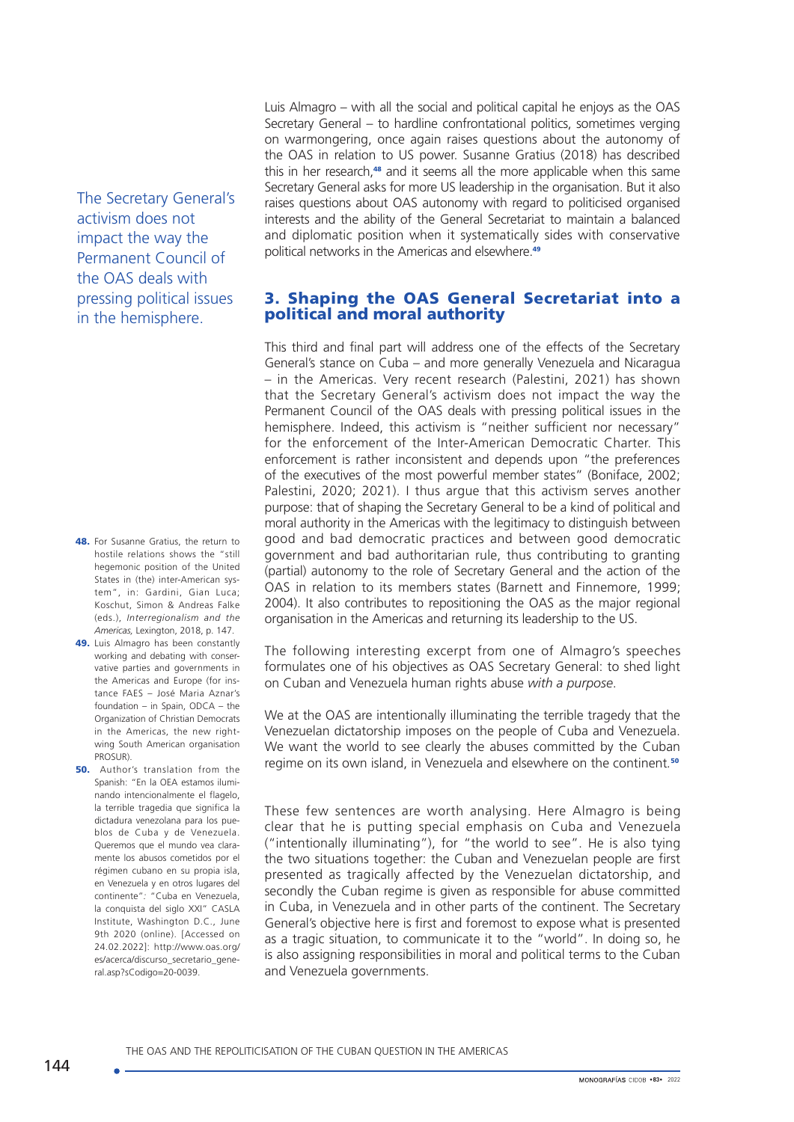The Secretary General's activism does not impact the way the Permanent Council of the OAS deals with pressing political issues in the hemisphere.

- 48. For Susanne Gratius, the return to hostile relations shows the "still hegemonic position of the United States in (the) inter-American system", in: Gardini, Gian Luca; Koschut, Simon & Andreas Falke (eds.), *Interregionalism and the Americas,* Lexington, 2018, p. 147.
- 49. Luis Almagro has been constantly working and debating with conservative parties and governments in the Americas and Europe (for instance FAES – José Maria Aznar's foundation – in Spain, ODCA – the Organization of Christian Democrats in the Americas, the new rightwing South American organisation PROSUR).
- **50.** Author's translation from the Spanish: "En la OEA estamos iluminando intencionalmente el flagelo, la terrible tragedia que significa la dictadura venezolana para los pueblos de Cuba y de Venezuela. Queremos que el mundo vea claramente los abusos cometidos por el régimen cubano en su propia isla, en Venezuela y en otros lugares del continente"*:* "Cuba en Venezuela, la conquista del siglo XXI" CASLA Institute, Washington D.C., June 9th 2020 (online). [Accessed on 24.02.2022]: [http://www.oas.org/](http://www.oas.org/es/acerca/discurso_secretario_general.asp?sCodigo=20-0039) [es/acerca/discurso\\_secretario\\_gene](http://www.oas.org/es/acerca/discurso_secretario_general.asp?sCodigo=20-0039)[ral.asp?sCodigo=20-0039](http://www.oas.org/es/acerca/discurso_secretario_general.asp?sCodigo=20-0039).

Luis Almagro – with all the social and political capital he enjoys as the OAS Secretary General – to hardline confrontational politics, sometimes verging on warmongering, once again raises questions about the autonomy of the OAS in relation to US power. Susanne Gratius (2018) has described this in her research,<sup>48</sup> and it seems all the more applicable when this same Secretary General asks for more US leadership in the organisation. But it also raises questions about OAS autonomy with regard to politicised organised interests and the ability of the General Secretariat to maintain a balanced and diplomatic position when it systematically sides with conservative political networks in the Americas and elsewhere.<sup>49</sup>

### 3. Shaping the OAS General Secretariat into a political and moral authority

This third and final part will address one of the effects of the Secretary General's stance on Cuba – and more generally Venezuela and Nicaragua – in the Americas. Very recent research (Palestini, 2021) has shown that the Secretary General's activism does not impact the way the Permanent Council of the OAS deals with pressing political issues in the hemisphere. Indeed, this activism is "neither sufficient nor necessary" for the enforcement of the Inter-American Democratic Charter. This enforcement is rather inconsistent and depends upon "the preferences of the executives of the most powerful member states" (Boniface, 2002; Palestini, 2020; 2021). I thus argue that this activism serves another purpose: that of shaping the Secretary General to be a kind of political and moral authority in the Americas with the legitimacy to distinguish between good and bad democratic practices and between good democratic government and bad authoritarian rule, thus contributing to granting (partial) autonomy to the role of Secretary General and the action of the OAS in relation to its members states (Barnett and Finnemore, 1999; 2004). It also contributes to repositioning the OAS as the major regional organisation in the Americas and returning its leadership to the US.

The following interesting excerpt from one of Almagro's speeches formulates one of his objectives as OAS Secretary General: to shed light on Cuban and Venezuela human rights abuse *with a purpose*.

We at the OAS are intentionally illuminating the terrible tragedy that the Venezuelan dictatorship imposes on the people of Cuba and Venezuela. We want the world to see clearly the abuses committed by the Cuban regime on its own island, in Venezuela and elsewhere on the continent*.* 50

These few sentences are worth analysing. Here Almagro is being clear that he is putting special emphasis on Cuba and Venezuela ("intentionally illuminating"), for "the world to see". He is also tying the two situations together: the Cuban and Venezuelan people are first presented as tragically affected by the Venezuelan dictatorship, and secondly the Cuban regime is given as responsible for abuse committed in Cuba, in Venezuela and in other parts of the continent. The Secretary General's objective here is first and foremost to expose what is presented as a tragic situation, to communicate it to the "world". In doing so, he is also assigning responsibilities in moral and political terms to the Cuban and Venezuela governments.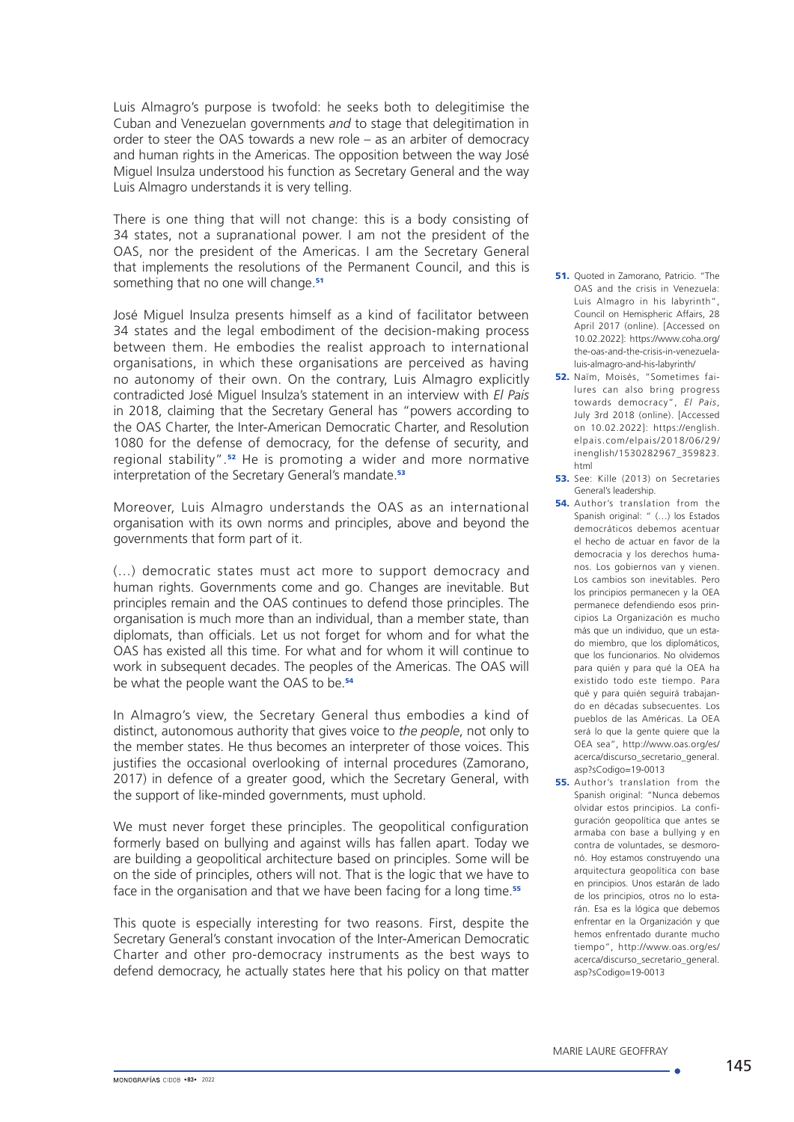Luis Almagro's purpose is twofold: he seeks both to delegitimise the Cuban and Venezuelan governments *and* to stage that delegitimation in order to steer the OAS towards a new role – as an arbiter of democracy and human rights in the Americas. The opposition between the way José Miguel Insulza understood his function as Secretary General and the way Luis Almagro understands it is very telling.

There is one thing that will not change: this is a body consisting of 34 states, not a supranational power. I am not the president of the OAS, nor the president of the Americas. I am the Secretary General that implements the resolutions of the Permanent Council, and this is something that no one will change.<sup>51</sup>

José Miguel Insulza presents himself as a kind of facilitator between 34 states and the legal embodiment of the decision-making process between them. He embodies the realist approach to international organisations, in which these organisations are perceived as having no autonomy of their own. On the contrary, Luis Almagro explicitly contradicted José Miguel Insulza's statement in an interview with *El Pais* in 2018, claiming that the Secretary General has "powers according to the OAS Charter, the Inter-American Democratic Charter, and Resolution 1080 for the defense of democracy, for the defense of security, and regional stability".52 He is promoting a wider and more normative interpretation of the Secretary General's mandate.<sup>53</sup>

Moreover, Luis Almagro understands the OAS as an international organisation with its own norms and principles, above and beyond the governments that form part of it.

(…) democratic states must act more to support democracy and human rights. Governments come and go. Changes are inevitable. But principles remain and the OAS continues to defend those principles. The organisation is much more than an individual, than a member state, than diplomats, than officials. Let us not forget for whom and for what the OAS has existed all this time. For what and for whom it will continue to work in subsequent decades. The peoples of the Americas. The OAS will be what the people want the OAS to be.<sup>54</sup>

In Almagro's view, the Secretary General thus embodies a kind of distinct, autonomous authority that gives voice to *the people*, not only to the member states. He thus becomes an interpreter of those voices. This justifies the occasional overlooking of internal procedures (Zamorano, 2017) in defence of a greater good, which the Secretary General, with the support of like-minded governments, must uphold.

We must never forget these principles. The geopolitical configuration formerly based on bullying and against wills has fallen apart. Today we are building a geopolitical architecture based on principles. Some will be on the side of principles, others will not. That is the logic that we have to face in the organisation and that we have been facing for a long time.<sup>55</sup>

This quote is especially interesting for two reasons. First, despite the Secretary General's constant invocation of the Inter-American Democratic Charter and other pro-democracy instruments as the best ways to defend democracy, he actually states here that his policy on that matter

- 51. Quoted in Zamorano, Patricio. "The OAS and the crisis in Venezuela: Luis Almagro in his labyrinth", Council on Hemispheric Affairs, 28 April 2017 (online). [Accessed on 10.02.2022]: [https://www.coha.org/](https://www.coha.org/the-oas-and-the-crisis-in-venezuela-luis-almagro-and-his-labyrinth/) [the-oas-and-the-crisis-in-venezuela](https://www.coha.org/the-oas-and-the-crisis-in-venezuela-luis-almagro-and-his-labyrinth/)[luis-almagro-and-his-labyrinth/](https://www.coha.org/the-oas-and-the-crisis-in-venezuela-luis-almagro-and-his-labyrinth/)
- 52. Naïm, Moisés, "Sometimes failures can also bring progress towards democracy", *El Pais*, July 3rd 2018 (online). [Accessed on 10.02.2022]: [https://english.](https://english.elpais.com/elpais/2018/06/29/inenglish/1530282967_359823.html) [elpais.com/elpais/2018/06/29/](https://english.elpais.com/elpais/2018/06/29/inenglish/1530282967_359823.html) [inenglish/1530282967\\_359823.](https://english.elpais.com/elpais/2018/06/29/inenglish/1530282967_359823.html) [html](https://english.elpais.com/elpais/2018/06/29/inenglish/1530282967_359823.html)
- 53. See: Kille (2013) on Secretaries General's leadership.
- 54. Author's translation from the Spanish original: " (…) los Estados democráticos debemos acentuar el hecho de actuar en favor de la democracia y los derechos humanos. Los gobiernos van y vienen. Los cambios son inevitables. Pero los principios permanecen y la OEA permanece defendiendo esos principios La Organización es mucho más que un individuo, que un estado miembro, que los diplomáticos, que los funcionarios. No olvidemos para quién y para qué la OEA ha existido todo este tiempo. Para qué y para quién seguirá trabajando en décadas subsecuentes. Los pueblos de las Américas. La OEA será lo que la gente quiere que la OEA sea", [http://www.oas.org/es/](http://www.oas.org/es/acerca/discurso_secretario_general.asp?sCodigo=19-0013) [acerca/discurso\\_secretario\\_general.](http://www.oas.org/es/acerca/discurso_secretario_general.asp?sCodigo=19-0013) [asp?sCodigo=19-0013](http://www.oas.org/es/acerca/discurso_secretario_general.asp?sCodigo=19-0013)
- 55. Author's translation from the Spanish original: "Nunca debemos olvidar estos principios. La configuración geopolítica que antes se armaba con base a bullying y en contra de voluntades, se desmoronó. Hoy estamos construyendo una arquitectura geopolítica con base en principios. Unos estarán de lado de los principios, otros no lo estarán. Esa es la lógica que debemos enfrentar en la Organización y que hemos enfrentado durante mucho tiempo", [http://www.oas.org/es/](http://www.oas.org/es/acerca/discurso_secretario_general.asp?sCodigo=19-0013) [acerca/discurso\\_secretario\\_general.](http://www.oas.org/es/acerca/discurso_secretario_general.asp?sCodigo=19-0013) [asp?sCodigo=19-0013](http://www.oas.org/es/acerca/discurso_secretario_general.asp?sCodigo=19-0013)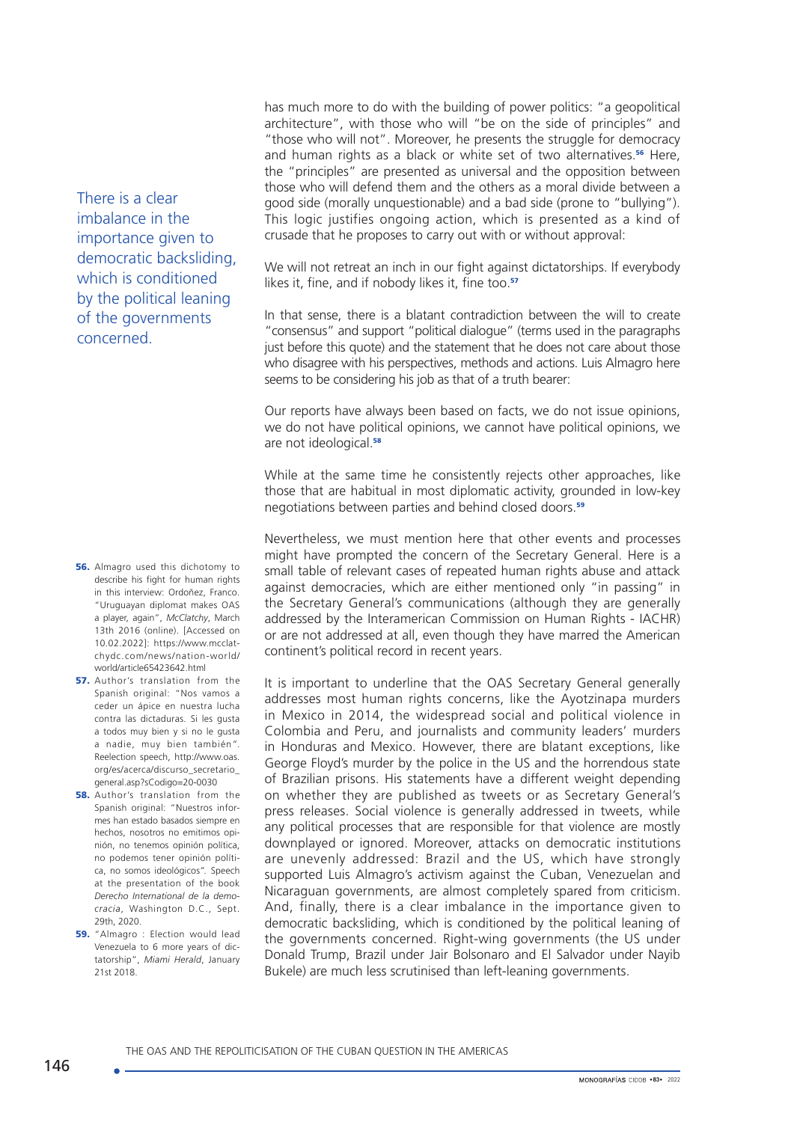There is a clear imbalance in the importance given to democratic backsliding, which is conditioned by the political leaning of the governments concerned.

- **56.** Almagro used this dichotomy to describe his fight for human rights in this interview: Ordoñez, Franco. "Uruguayan diplomat makes OAS a player, again", *McClatchy*, March 13th 2016 (online). [Accessed on 10.02.2022]: https://www.mcclatchydc.com/news/nation-world/ world/article65423642.html
- 57. Author's translation from the Spanish original: "Nos vamos a ceder un ápice en nuestra lucha contra las dictaduras. Si les gusta a todos muy bien y si no le gusta a nadie, muy bien también*"*. Reelection speech, [http://www.oas.](http://www.oas.org/es/acerca/discurso_secretario_general.asp?sCodigo=20-0030) [org/es/acerca/discurso\\_secretario\\_](http://www.oas.org/es/acerca/discurso_secretario_general.asp?sCodigo=20-0030) [general.asp?sCodigo=20-0030](http://www.oas.org/es/acerca/discurso_secretario_general.asp?sCodigo=20-0030)
- **58.** Author's translation from the Spanish original: "Nuestros informes han estado basados siempre en hechos, nosotros no emitimos opinión, no tenemos opinión política, no podemos tener opinión política, no somos ideológicos*".* Speech at the presentation of the book *Derecho International de la democracia*, Washington D.C., Sept. 29th, 2020.
- **59.** "Almagro : Election would lead Venezuela to 6 more years of dictatorship", *Miami Herald*, January 21st 2018.

has much more to do with the building of power politics: "a geopolitical architecture", with those who will "be on the side of principles" and "those who will not". Moreover, he presents the struggle for democracy and human rights as a black or white set of two alternatives.<sup>56</sup> Here, the "principles" are presented as universal and the opposition between those who will defend them and the others as a moral divide between a good side (morally unquestionable) and a bad side (prone to "bullying"). This logic justifies ongoing action, which is presented as a kind of crusade that he proposes to carry out with or without approval:

We will not retreat an inch in our fight against dictatorships. If everybody likes it, fine, and if nobody likes it, fine too.<sup>57</sup>

In that sense, there is a blatant contradiction between the will to create "consensus" and support "political dialogue" (terms used in the paragraphs just before this quote) and the statement that he does not care about those who disagree with his perspectives, methods and actions. Luis Almagro here seems to be considering his job as that of a truth bearer:

Our reports have always been based on facts, we do not issue opinions, we do not have political opinions, we cannot have political opinions, we are not ideological.<sup>58</sup>

While at the same time he consistently rejects other approaches, like those that are habitual in most diplomatic activity, grounded in low-key negotiations between parties and behind closed doors.<sup>59</sup>

Nevertheless, we must mention here that other events and processes might have prompted the concern of the Secretary General. Here is a small table of relevant cases of repeated human rights abuse and attack against democracies, which are either mentioned only "in passing" in the Secretary General's communications (although they are generally addressed by the Interamerican Commission on Human Rights - IACHR) or are not addressed at all, even though they have marred the American continent's political record in recent years.

It is important to underline that the OAS Secretary General generally addresses most human rights concerns, like the Ayotzinapa murders in Mexico in 2014, the widespread social and political violence in Colombia and Peru, and journalists and community leaders' murders in Honduras and Mexico. However, there are blatant exceptions, like George Floyd's murder by the police in the US and the horrendous state of Brazilian prisons. His statements have a different weight depending on whether they are published as tweets or as Secretary General's press releases. Social violence is generally addressed in tweets, while any political processes that are responsible for that violence are mostly downplayed or ignored. Moreover, attacks on democratic institutions are unevenly addressed: Brazil and the US, which have strongly supported Luis Almagro's activism against the Cuban, Venezuelan and Nicaraguan governments, are almost completely spared from criticism. And, finally, there is a clear imbalance in the importance given to democratic backsliding, which is conditioned by the political leaning of the governments concerned. Right-wing governments (the US under Donald Trump, Brazil under Jair Bolsonaro and El Salvador under Nayib Bukele) are much less scrutinised than left-leaning governments.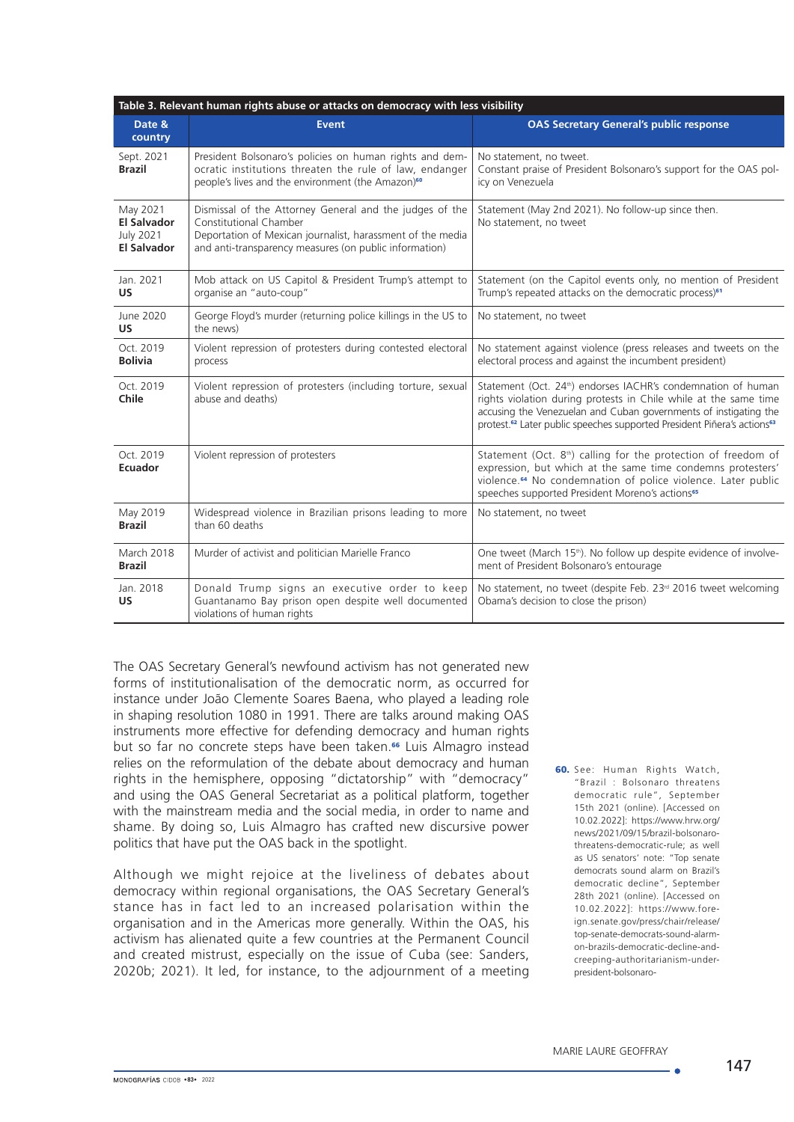| Table 3. Relevant human rights abuse or attacks on democracy with less visibility |                                                                                                                                                                                                           |                                                                                                                                                                                                                                                                                                                      |
|-----------------------------------------------------------------------------------|-----------------------------------------------------------------------------------------------------------------------------------------------------------------------------------------------------------|----------------------------------------------------------------------------------------------------------------------------------------------------------------------------------------------------------------------------------------------------------------------------------------------------------------------|
| Date &<br>country                                                                 | <b>Event</b>                                                                                                                                                                                              | <b>OAS Secretary General's public response</b>                                                                                                                                                                                                                                                                       |
| Sept. 2021<br><b>Brazil</b>                                                       | President Bolsonaro's policies on human rights and dem-<br>ocratic institutions threaten the rule of law, endanger<br>people's lives and the environment (the Amazon) <sup>60</sup>                       | No statement, no tweet.<br>Constant praise of President Bolsonaro's support for the OAS pol-<br>icy on Venezuela                                                                                                                                                                                                     |
| May 2021<br><b>El Salvador</b><br><b>July 2021</b><br><b>El Salvador</b>          | Dismissal of the Attorney General and the judges of the<br>Constitutional Chamber<br>Deportation of Mexican journalist, harassment of the media<br>and anti-transparency measures (on public information) | Statement (May 2nd 2021). No follow-up since then.<br>No statement, no tweet                                                                                                                                                                                                                                         |
| Jan. 2021<br>US                                                                   | Mob attack on US Capitol & President Trump's attempt to<br>organise an "auto-coup"                                                                                                                        | Statement (on the Capitol events only, no mention of President<br>Trump's repeated attacks on the democratic process) <sup>61</sup>                                                                                                                                                                                  |
| June 2020<br><b>US</b>                                                            | George Floyd's murder (returning police killings in the US to<br>the news)                                                                                                                                | No statement, no tweet                                                                                                                                                                                                                                                                                               |
| Oct. 2019<br><b>Bolivia</b>                                                       | Violent repression of protesters during contested electoral<br>process                                                                                                                                    | No statement against violence (press releases and tweets on the<br>electoral process and against the incumbent president)                                                                                                                                                                                            |
| Oct. 2019<br>Chile                                                                | Violent repression of protesters (including torture, sexual<br>abuse and deaths)                                                                                                                          | Statement (Oct. 24 <sup>th</sup> ) endorses IACHR's condemnation of human<br>rights violation during protests in Chile while at the same time<br>accusing the Venezuelan and Cuban governments of instigating the<br>protest. <sup>62</sup> Later public speeches supported President Piñera's actions <sup>63</sup> |
| Oct. 2019<br><b>Ecuador</b>                                                       | Violent repression of protesters                                                                                                                                                                          | Statement (Oct. 8 <sup>th</sup> ) calling for the protection of freedom of<br>expression, but which at the same time condemns protesters'<br>violence. <sup>64</sup> No condemnation of police violence. Later public<br>speeches supported President Moreno's actions <sup>65</sup>                                 |
| May 2019<br><b>Brazil</b>                                                         | Widespread violence in Brazilian prisons leading to more<br>than 60 deaths                                                                                                                                | No statement, no tweet                                                                                                                                                                                                                                                                                               |
| March 2018<br><b>Brazil</b>                                                       | Murder of activist and politician Marielle Franco                                                                                                                                                         | One tweet (March 15 <sup>th</sup> ). No follow up despite evidence of involve-<br>ment of President Bolsonaro's entourage                                                                                                                                                                                            |
| Jan. 2018<br><b>US</b>                                                            | Donald Trump signs an executive order to keep<br>Guantanamo Bay prison open despite well documented<br>violations of human rights                                                                         | No statement, no tweet (despite Feb. 23 <sup>rd</sup> 2016 tweet welcoming<br>Obama's decision to close the prison)                                                                                                                                                                                                  |

The OAS Secretary General's newfound activism has not generated new forms of institutionalisation of the democratic norm, as occurred for instance under João Clemente Soares Baena, who played a leading role in shaping resolution 1080 in 1991. There are talks around making OAS instruments more effective for defending democracy and human rights but so far no concrete steps have been taken.<sup>66</sup> Luis Almagro instead relies on the reformulation of the debate about democracy and human rights in the hemisphere, opposing "dictatorship" with "democracy" and using the OAS General Secretariat as a political platform, together with the mainstream media and the social media, in order to name and shame. By doing so, Luis Almagro has crafted new discursive power politics that have put the OAS back in the spotlight.

Although we might rejoice at the liveliness of debates about democracy within regional organisations, the OAS Secretary General's stance has in fact led to an increased polarisation within the organisation and in the Americas more generally. Within the OAS, his activism has alienated quite a few countries at the Permanent Council and created mistrust, especially on the issue of Cuba (see: Sanders, 2020b; 2021). It led, for instance, to the adjournment of a meeting 60. See: Human Rights Watch, "Brazil : Bolsonaro threatens democratic rule", September 15th 2021 (online). [Accessed on 10.02.2022]: [https://www.hrw.org/](https://www.hrw.org/news/2021/09/15/brazil-bolsonaro-threatens-democratic-rule) [news/2021/09/15/brazil-bolsonaro](https://www.hrw.org/news/2021/09/15/brazil-bolsonaro-threatens-democratic-rule)[threatens-democratic-rule](https://www.hrw.org/news/2021/09/15/brazil-bolsonaro-threatens-democratic-rule); as well as US senators' note: "Top senate democrats sound alarm on Brazil's democratic decline", September 28th 2021 (online). [Accessed on 10.02.2022]: [https://www.fore](https://www.dw.com/en/oas-chief-military-intervention-in-venezuela-cannot-be-ruled-out/a-45496823.)[ign.senate.gov/press/chair/release/](https://www.dw.com/en/oas-chief-military-intervention-in-venezuela-cannot-be-ruled-out/a-45496823.) [top-senate-democrats-sound-alarm](https://www.dw.com/en/oas-chief-military-intervention-in-venezuela-cannot-be-ruled-out/a-45496823.)[on-brazils-democratic-decline-and](https://www.dw.com/en/oas-chief-military-intervention-in-venezuela-cannot-be-ruled-out/a-45496823.)[creeping-authoritarianism-under](https://www.dw.com/en/oas-chief-military-intervention-in-venezuela-cannot-be-ruled-out/a-45496823.)[president-bolsonaro-](https://www.dw.com/en/oas-chief-military-intervention-in-venezuela-cannot-be-ruled-out/a-45496823.)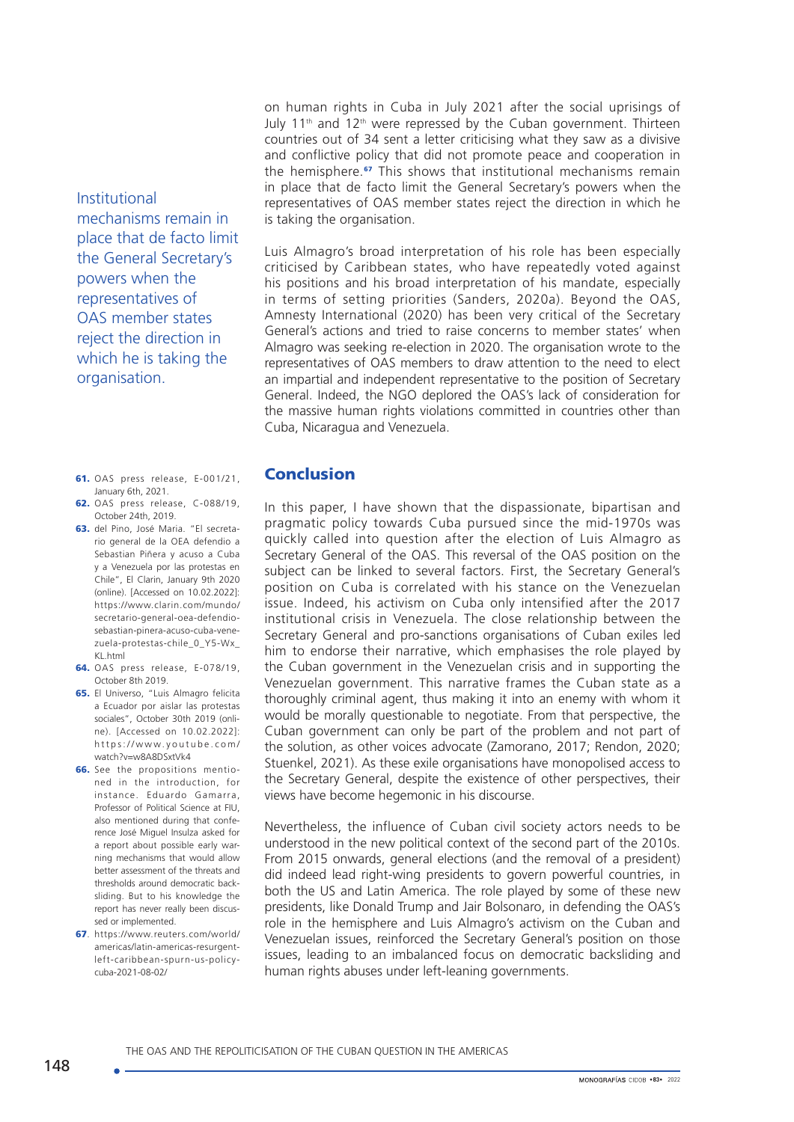Institutional mechanisms remain in place that de facto limit the General Secretary's powers when the representatives of OAS member states reject the direction in which he is taking the organisation.

- 61. OAS press release, E-001/21, January 6th, 2021.
- 62. OAS press release, C-088/19, October 24th, 2019.
- 63. del Pino, José Maria. "El secretario general de la OEA defendio a Sebastian Piñera y acuso a Cuba y a Venezuela por las protestas en Chile", El Clarin, January 9th 2020 (online). [Accessed on 10.02.2022]: [https://www.clarin.com/mundo/](https://www.clarin.com/mundo/secretario-general-oea-defendio-sebastian-pinera-acuso-cuba-venezuela-protestas-chile_0_Y5-Wx_KL.html) [secretario-general-oea-defendio](https://www.clarin.com/mundo/secretario-general-oea-defendio-sebastian-pinera-acuso-cuba-venezuela-protestas-chile_0_Y5-Wx_KL.html)[sebastian-pinera-acuso-cuba-vene](https://www.clarin.com/mundo/secretario-general-oea-defendio-sebastian-pinera-acuso-cuba-venezuela-protestas-chile_0_Y5-Wx_KL.html)[zuela-protestas-chile\\_0\\_Y5-Wx\\_](https://www.clarin.com/mundo/secretario-general-oea-defendio-sebastian-pinera-acuso-cuba-venezuela-protestas-chile_0_Y5-Wx_KL.html) KI html
- 64. OAS press release, E-078/19, October 8th 2019.
- 65. El Universo, "Luis Almagro felicita a Ecuador por aislar las protestas sociales", October 30th 2019 (online). [Accessed on 10.02.2022]: [https://www.youtube.com/](https://www.youtube.com/watch?v=w8A8DSxtVk4) [watch?v=w8A8DSxtVk4](https://www.youtube.com/watch?v=w8A8DSxtVk4)
- 66. See the propositions mentioned in the introduction, for instance. Eduardo Gamarra, Professor of Political Science at FIU, also mentioned during that conference José Miguel Insulza asked for a report about possible early warning mechanisms that would allow better assessment of the threats and thresholds around democratic backsliding. But to his knowledge the report has never really been discussed or implemented.
- 67. [https://www.reuters.com/world/](https://www.reuters.com/world/americas/latin-americas-resurgent-left-caribbean-spurn-us-policy-cuba-2021-08-02/) [americas/latin-americas-resurgent](https://www.reuters.com/world/americas/latin-americas-resurgent-left-caribbean-spurn-us-policy-cuba-2021-08-02/)[left-caribbean-spurn-us-policy](https://www.reuters.com/world/americas/latin-americas-resurgent-left-caribbean-spurn-us-policy-cuba-2021-08-02/)[cuba-2021-08-02/](https://www.reuters.com/world/americas/latin-americas-resurgent-left-caribbean-spurn-us-policy-cuba-2021-08-02/)

on human rights in Cuba in July 2021 after the social uprisings of July 11<sup>th</sup> and 12<sup>th</sup> were repressed by the Cuban government. Thirteen countries out of 34 sent a letter criticising what they saw as a divisive and conflictive policy that did not promote peace and cooperation in the hemisphere.<sup>67</sup> This shows that institutional mechanisms remain in place that de facto limit the General Secretary's powers when the representatives of OAS member states reject the direction in which he is taking the organisation.

Luis Almagro's broad interpretation of his role has been especially criticised by Caribbean states, who have repeatedly voted against his positions and his broad interpretation of his mandate, especially in terms of setting priorities (Sanders, 2020a). Beyond the OAS, Amnesty International (2020) has been very critical of the Secretary General's actions and tried to raise concerns to member states' when Almagro was seeking re-election in 2020. The organisation wrote to the representatives of OAS members to draw attention to the need to elect an impartial and independent representative to the position of Secretary General. Indeed, the NGO deplored the OAS's lack of consideration for the massive human rights violations committed in countries other than Cuba, Nicaragua and Venezuela.

### Conclusion

In this paper, I have shown that the dispassionate, bipartisan and pragmatic policy towards Cuba pursued since the mid-1970s was quickly called into question after the election of Luis Almagro as Secretary General of the OAS. This reversal of the OAS position on the subject can be linked to several factors. First, the Secretary General's position on Cuba is correlated with his stance on the Venezuelan issue. Indeed, his activism on Cuba only intensified after the 2017 institutional crisis in Venezuela. The close relationship between the Secretary General and pro-sanctions organisations of Cuban exiles led him to endorse their narrative, which emphasises the role played by the Cuban government in the Venezuelan crisis and in supporting the Venezuelan government. This narrative frames the Cuban state as a thoroughly criminal agent, thus making it into an enemy with whom it would be morally questionable to negotiate. From that perspective, the Cuban government can only be part of the problem and not part of the solution, as other voices advocate (Zamorano, 2017; Rendon, 2020; Stuenkel, 2021). As these exile organisations have monopolised access to the Secretary General, despite the existence of other perspectives, their views have become hegemonic in his discourse.

Nevertheless, the influence of Cuban civil society actors needs to be understood in the new political context of the second part of the 2010s. From 2015 onwards, general elections (and the removal of a president) did indeed lead right-wing presidents to govern powerful countries, in both the US and Latin America. The role played by some of these new presidents, like Donald Trump and Jair Bolsonaro, in defending the OAS's role in the hemisphere and Luis Almagro's activism on the Cuban and Venezuelan issues, reinforced the Secretary General's position on those issues, leading to an imbalanced focus on democratic backsliding and human rights abuses under left-leaning governments.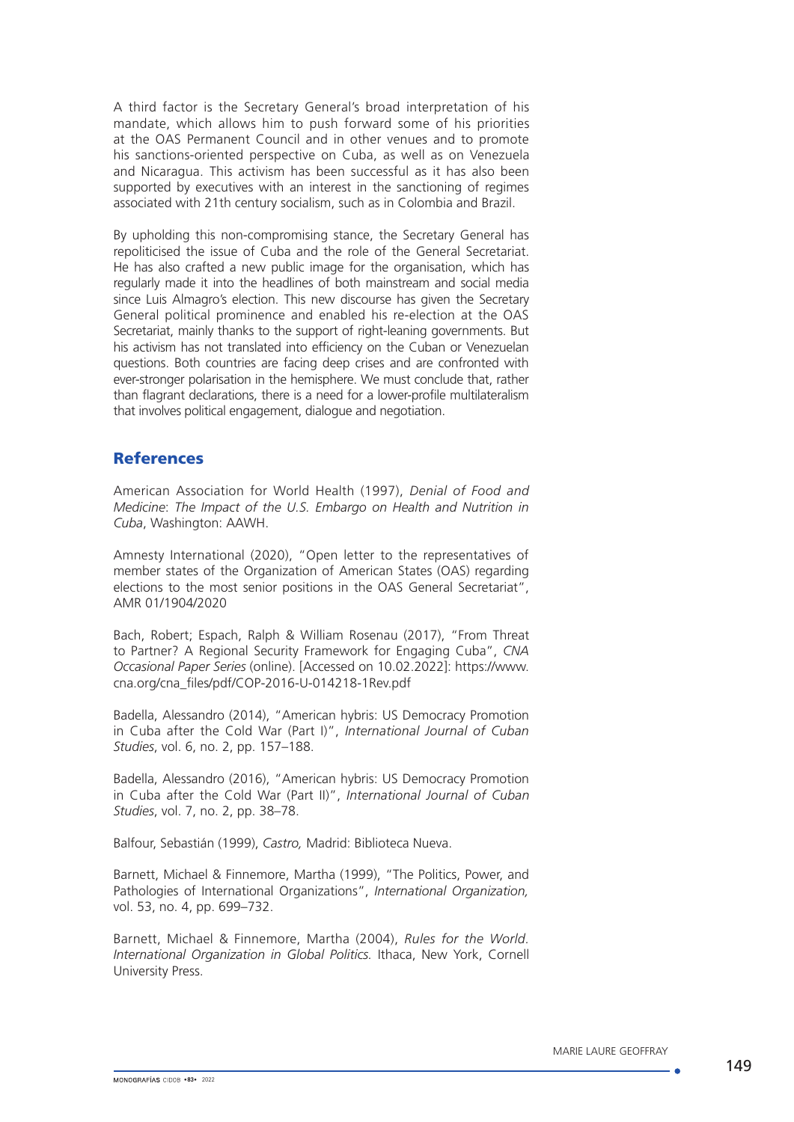A third factor is the Secretary General's broad interpretation of his mandate, which allows him to push forward some of his priorities at the OAS Permanent Council and in other venues and to promote his sanctions-oriented perspective on Cuba, as well as on Venezuela and Nicaragua. This activism has been successful as it has also been supported by executives with an interest in the sanctioning of regimes associated with 21th century socialism, such as in Colombia and Brazil.

By upholding this non-compromising stance, the Secretary General has repoliticised the issue of Cuba and the role of the General Secretariat. He has also crafted a new public image for the organisation, which has regularly made it into the headlines of both mainstream and social media since Luis Almagro's election. This new discourse has given the Secretary General political prominence and enabled his re-election at the OAS Secretariat, mainly thanks to the support of right-leaning governments. But his activism has not translated into efficiency on the Cuban or Venezuelan questions. Both countries are facing deep crises and are confronted with ever-stronger polarisation in the hemisphere. We must conclude that, rather than flagrant declarations, there is a need for a lower-profile multilateralism that involves political engagement, dialogue and negotiation.

## **References**

American Association for World Health (1997), *Denial of Food and Medicine*: *The Impact of the U.S. Embargo on Health and Nutrition in Cuba*, Washington: AAWH.

Amnesty International (2020), "Open letter to the representatives of member states of the Organization of American States (OAS) regarding elections to the most senior positions in the OAS General Secretariat", AMR 01/1904/2020

Bach, Robert; Espach, Ralph & William Rosenau (2017), "From Threat to Partner? A Regional Security Framework for Engaging Cuba", *CNA Occasional Paper Series* (online). [Accessed on 10.02.2022]: https://www. cna.org/cna\_files/pdf/COP-2016-U-014218-1Rev.pdf

Badella, Alessandro (2014), "American hybris: US Democracy Promotion in Cuba after the Cold War (Part I)", *International Journal of Cuban Studies*, vol. 6, no. 2, pp. 157–188.

Badella, Alessandro (2016), "American hybris: US Democracy Promotion in Cuba after the Cold War (Part II)", *International Journal of Cuban Studies*, vol. 7, no. 2, pp. 38–78.

Balfour, Sebastián (1999), *Castro,* Madrid: Biblioteca Nueva.

Barnett, Michael & Finnemore, Martha (1999), "The Politics, Power, and Pathologies of International Organizations", *International Organization,* vol. 53, no. 4, pp. 699–732.

Barnett, Michael & Finnemore, Martha (2004), *Rules for the World. International Organization in Global Politics.* Ithaca, New York, Cornell University Press.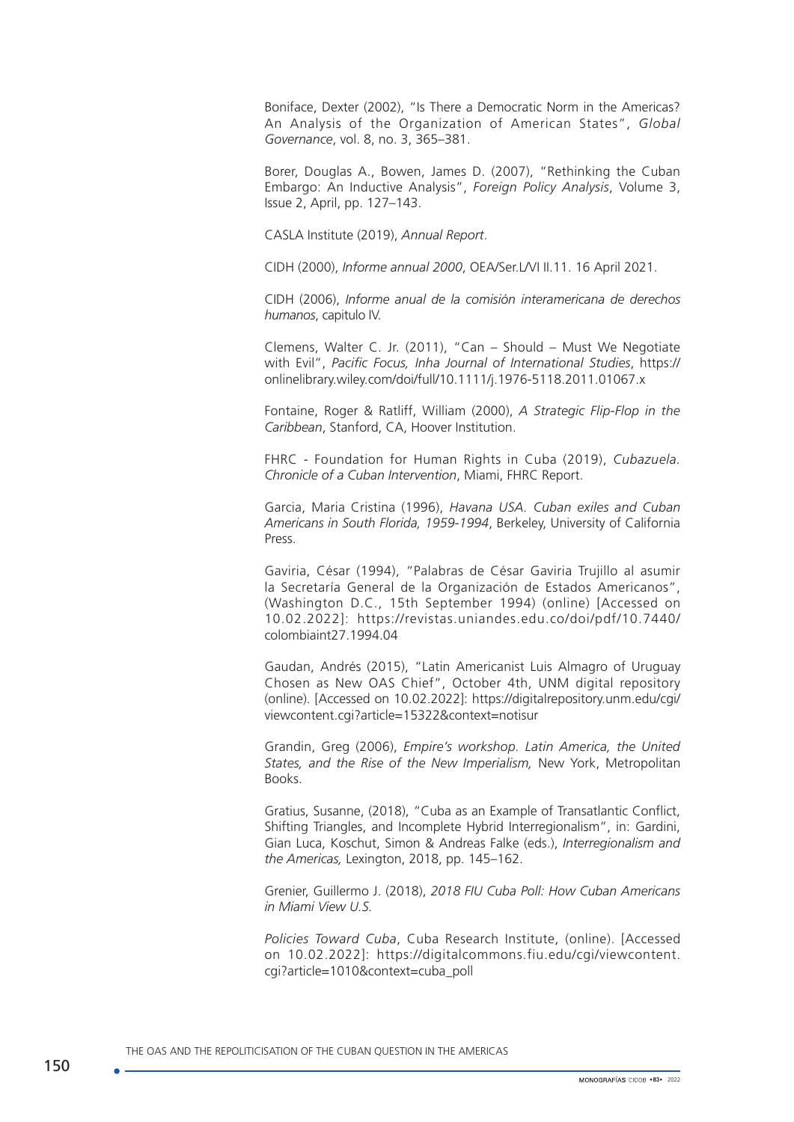Boniface, Dexter (2002), "Is There a Democratic Norm in the Americas? An Analysis of the Organization of American States", *Global Governance*, vol. 8, no. 3, 365–381.

Borer, Douglas A., Bowen, James D. (2007), "Rethinking the Cuban Embargo: An Inductive Analysis", *Foreign Policy Analysis*, Volume 3, Issue 2, April, pp. 127–143.

CASLA Institute (2019), *Annual Report*.

CIDH (2000), *Informe annual 2000*, OEA/Ser.L/VI II.11. 16 April 2021.

CIDH (2006), *Informe anual de la comisión interamericana de derechos humanos*, capitulo IV.

Clemens, Walter C. Jr. (2011), "Can – Should – Must We Negotiate with Evil", *Pacific Focus, Inha Journal of International Studies*, [https://](https://onlinelibrary.wiley.com/doi/full/10.1111/j.1976-5118.2011.01067.x) [onlinelibrary.wiley.com/doi/full/10.1111/j.1976-5118.2011.01067.x](https://onlinelibrary.wiley.com/doi/full/10.1111/j.1976-5118.2011.01067.x)

Fontaine, Roger & Ratliff, William (2000), *A Strategic Flip-Flop in the Caribbean*, Stanford, CA, Hoover Institution.

FHRC - Foundation for Human Rights in Cuba (2019), *Cubazuela. Chronicle of a Cuban Intervention*, Miami, FHRC Report.

Garcia, Maria Cristina (1996), *Havana USA. Cuban exiles and Cuban Americans in South Florida, 1959-1994*, Berkeley, University of California Press.

Gaviria, César (1994), "Palabras de César Gaviria Trujillo al asumir la Secretaría General de la Organización de Estados Americanos", (Washington D.C., 15th September 1994) (online) [Accessed on 10.02.2022]: [https://revistas.uniandes.edu.co/doi/pdf/10.7440/](https://revistas.uniandes.edu.co/doi/pdf/10.7440/colombiaint27.1994.04) [colombiaint27.1994.04](https://revistas.uniandes.edu.co/doi/pdf/10.7440/colombiaint27.1994.04)

Gaudan, Andrés (2015), "Latin Americanist Luis Almagro of Uruguay Chosen as New OAS Chief", October 4th, UNM digital repository (online). [Accessed on 10.02.2022]: https://digitalrepository.unm.edu/cgi/ viewcontent.cgi?article=15322&context=notisur

Grandin, Greg (2006), *Empire's workshop. Latin America, the United States, and the Rise of the New Imperialism,* New York, Metropolitan Books.

Gratius, Susanne, (2018), "Cuba as an Example of Transatlantic Conflict, Shifting Triangles, and Incomplete Hybrid Interregionalism", in: Gardini, Gian Luca, Koschut, Simon & Andreas Falke (eds.), *Interregionalism and the Americas,* Lexington, 2018, pp. 145–162.

Grenier, Guillermo J. (2018), *2018 FIU Cuba Poll: How Cuban Americans in Miami View U.S.*

*Policies Toward Cuba*, Cuba Research Institute, (online). [Accessed on 10.02.2022]: [https://digitalcommons.fiu.edu/cgi/viewcontent.](%20http://www.cubahora.cu/sociedad/conversando-sobre-proteccion-de-datos-en-cuba%20) [cgi?article=1010&context=cuba\\_poll](%20http://www.cubahora.cu/sociedad/conversando-sobre-proteccion-de-datos-en-cuba%20)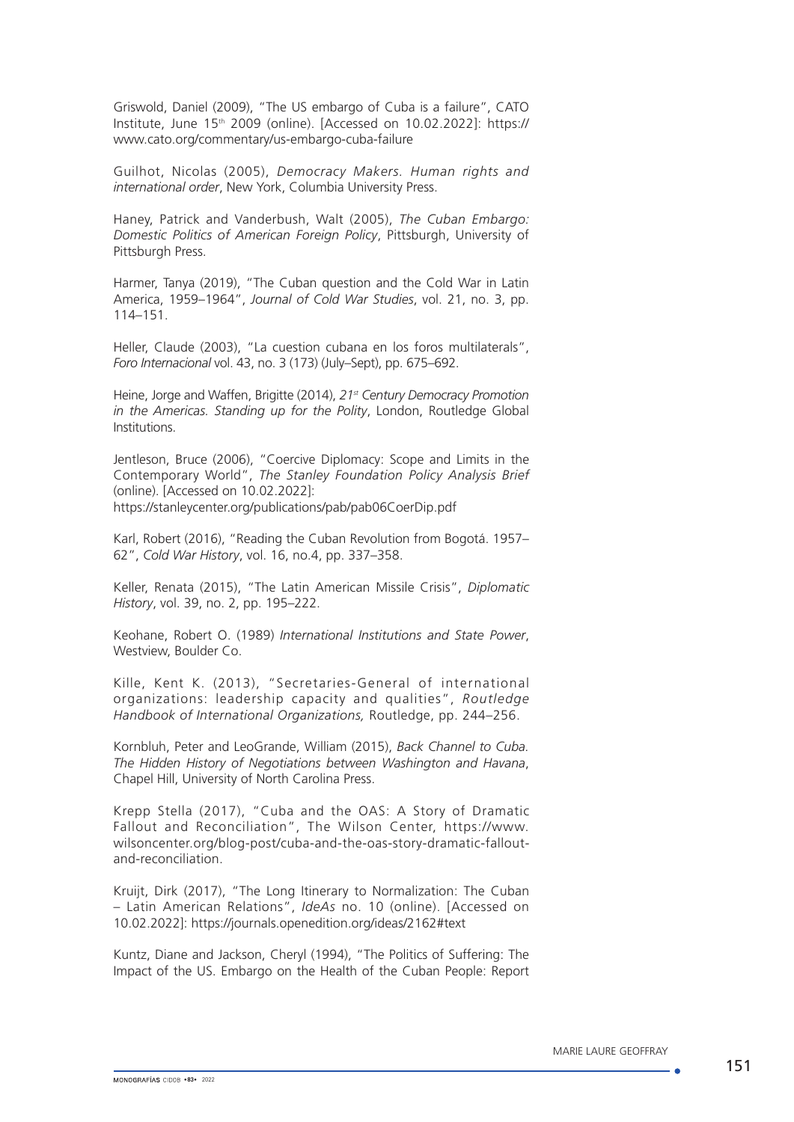Griswold, Daniel (2009), "The US embargo of Cuba is a failure", CATO Institute, June 15th 2009 (online). [Accessed on 10.02.2022]: [https://](https://www.cato.org/commentary/us-embargo-cuba-failure) [www.cato.org/commentary/us-embargo-cuba-failure](https://www.cato.org/commentary/us-embargo-cuba-failure)

Guilhot, Nicolas (2005), *Democracy Makers. Human rights and international order*, New York, Columbia University Press.

Haney, Patrick and Vanderbush, Walt (2005), *The Cuban Embargo: Domestic Politics of American Foreign Policy*, Pittsburgh, University of Pittsburgh Press.

Harmer, Tanya (2019), "The Cuban question and the Cold War in Latin America, 1959–1964", *Journal of Cold War Studies*, vol. 21, no. 3, pp. 114–151.

Heller, Claude (2003), "La cuestion cubana en los foros multilaterals", *Foro Internacional* vol. 43, no. 3 (173) (July–Sept), pp. 675–692.

Heine, Jorge and Waffen, Brigitte (2014), *21st Century Democracy Promotion in the Americas. Standing up for the Polity*, London, Routledge Global Institutions.

Jentleson, Bruce (2006), "Coercive Diplomacy: Scope and Limits in the Contemporary World", *The Stanley Foundation Policy Analysis Brief* (online). [Accessed on 10.02.2022]: <https://stanleycenter.org/publications/pab/pab06CoerDip.pdf>

Karl, Robert (2016), "Reading the Cuban Revolution from Bogotá. 1957– 62", *Cold War History*, vol. 16, no.4, pp. 337–358.

Keller, Renata (2015), "The Latin American Missile Crisis", *Diplomatic History*, vol. 39, no. 2, pp. 195–222.

Keohane, Robert O. (1989) *International Institutions and State Power*, Westview, Boulder Co.

Kille, Kent K. (2013), "Secretaries-General of international organizations: leadership capacity and qualities", *Routledge Handbook of International Organizations,* Routledge, pp. 244–256.

Kornbluh, Peter and LeoGrande, William (2015), *Back Channel to Cuba. The Hidden History of Negotiations between Washington and Havana*, Chapel Hill, University of North Carolina Press.

Krepp Stella (2017), "Cuba and the OAS: A Story of Dramatic Fallout and Reconciliation", The Wilson Center, https://www. wilsoncenter.org/blog-post/cuba-and-the-oas-story-dramatic-falloutand-reconciliation.

Kruijt, Dirk (2017), "The Long Itinerary to Normalization: The Cuban – Latin American Relations", *IdeAs* no. 10 (online). [Accessed on 10.02.2022]: https://journals.openedition.org/ideas/2162#text

Kuntz, Diane and Jackson, Cheryl (1994), "The Politics of Suffering: The Impact of the US. Embargo on the Health of the Cuban People: Report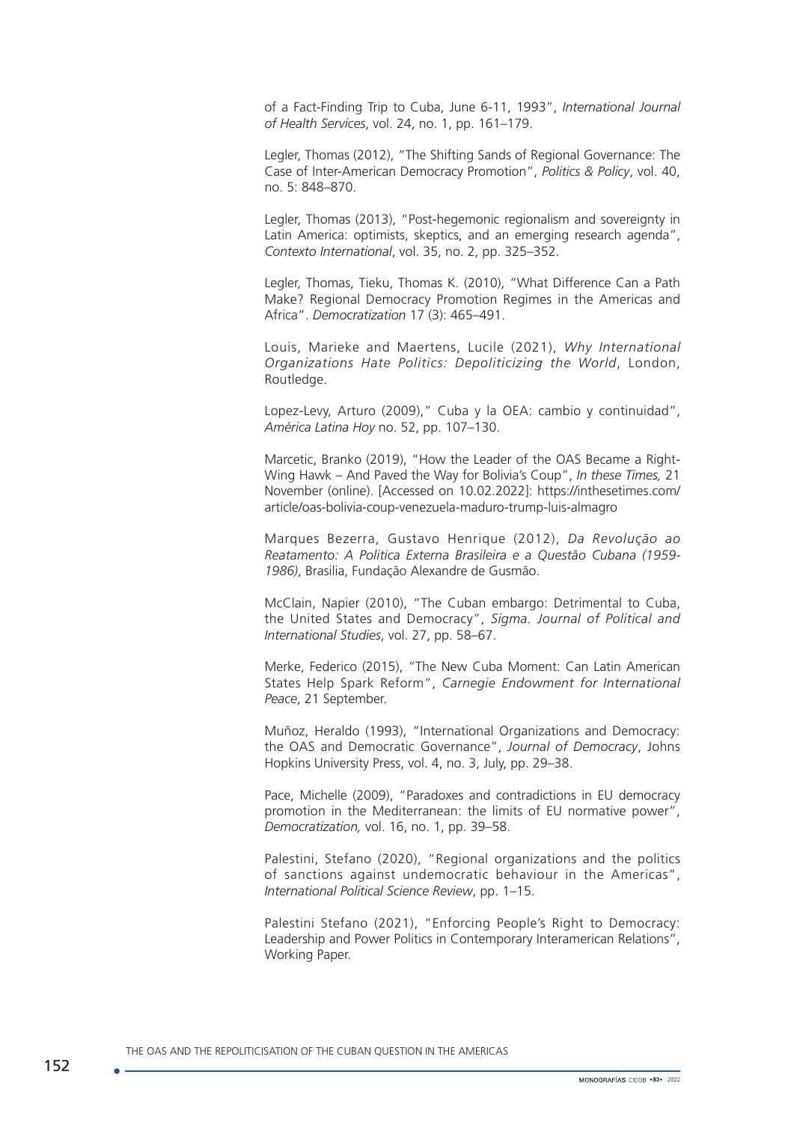of a Fact-Finding Trip to Cuba, June 6-11, 1993", *International Journal of Health Services*, vol. 24, no. 1, pp. 161–179.

Legler, Thomas (2012), "The Shifting Sands of Regional Governance: The Case of Inter-American Democracy Promotion", *Politics & Policy*, vol. 40, no. 5: 848–870.

Legler, Thomas (2013), "Post-hegemonic regionalism and sovereignty in Latin America: optimists, skeptics, and an emerging research agenda", *Contexto International*, vol. 35, no. 2, pp. 325–352.

Legler, Thomas, Tieku, Thomas K. (2010), "What Difference Can a Path Make? Regional Democracy Promotion Regimes in the Americas and Africa". *Democratization* 17 (3): 465–491.

Louis, Marieke and Maertens, Lucile (2021), *Why International Organizations Hate Politics: Depoliticizing the World*, London, Routledge.

Lopez-Levy, Arturo (2009)," Cuba y la OEA: cambio y continuidad", *América Latina Hoy* no. 52, pp. 107–130.

Marcetic, Branko (2019), "How the Leader of the OAS Became a Right-Wing Hawk – And Paved the Way for Bolivia's Coup", *In these Times,* 21 November (online). [Accessed on 10.02.2022]: https://inthesetimes.com/ article/oas-bolivia-coup-venezuela-maduro-trump-luis-almagro

Marques Bezerra, Gustavo Henrique (2012), *Da Revolução ao Reatamento: A Politica Externa Brasileira e a Questão Cubana (1959- 1986)*, Brasilia, Fundação Alexandre de Gusmão.

McClain, Napier (2010), "The Cuban embargo: Detrimental to Cuba, the United States and Democracy", *Sigma. Journal of Political and International Studies*, vol. 27, pp. 58–67.

Merke, Federico (2015), "The New Cuba Moment: Can Latin American States Help Spark Reform", *Carnegie Endowment for International Peace*, 21 September.

Muñoz, Heraldo (1993), "International Organizations and Democracy: the OAS and Democratic Governance", *Journal of Democracy*, Johns Hopkins University Press, vol. 4, no. 3, July, pp. 29–38.

Pace, Michelle (2009), "Paradoxes and contradictions in EU democracy promotion in the Mediterranean: the limits of EU normative power", *Democratization,* vol. 16, no. 1, pp. 39–58.

Palestini, Stefano (2020), "Regional organizations and the politics of sanctions against undemocratic behaviour in the Americas", *International Political Science Review*, pp. 1–15.

Palestini Stefano (2021), "Enforcing People's Right to Democracy: Leadership and Power Politics in Contemporary Interamerican Relations", Working Paper.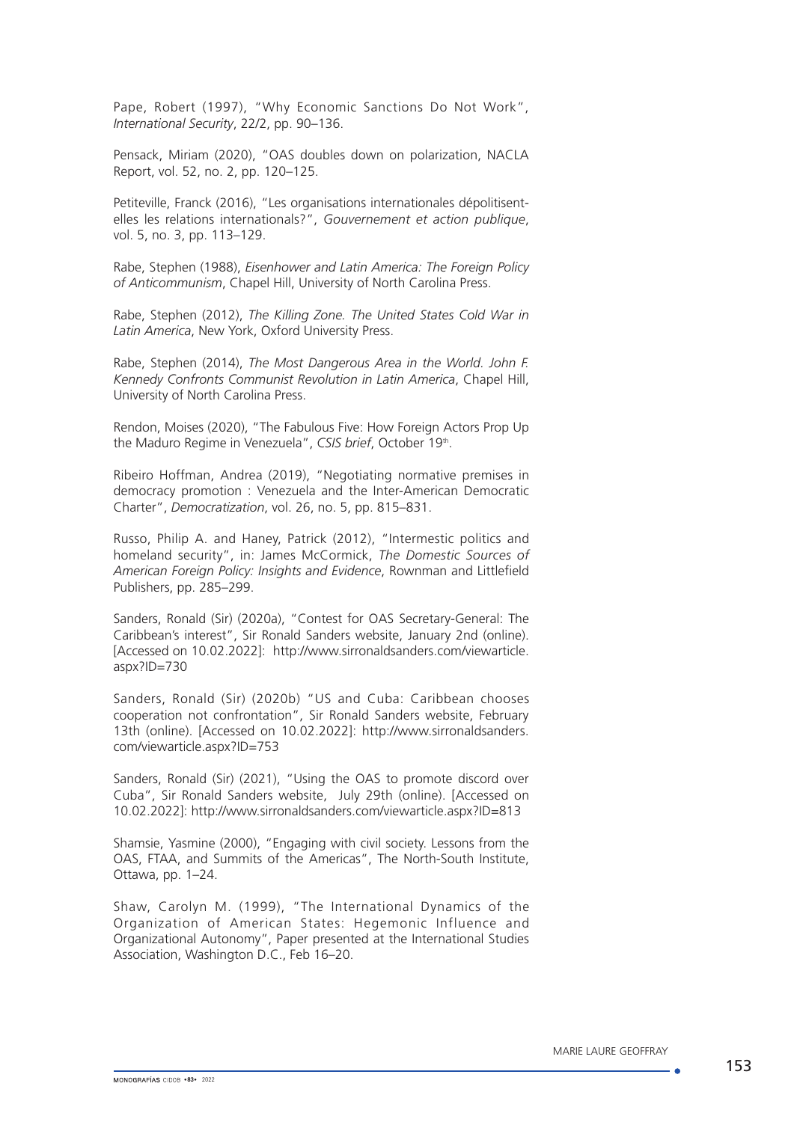Pape, Robert (1997), "Why Economic Sanctions Do Not Work", *International Security*, 22/2, pp. 90–136.

Pensack, Miriam (2020), "OAS doubles down on polarization, NACLA Report, vol. 52, no. 2, pp. 120–125.

Petiteville, Franck (2016), "Les organisations internationales dépolitisentelles les relations internationals?", *Gouvernement et action publique*, vol. 5, no. 3, pp. 113–129.

Rabe, Stephen (1988), *Eisenhower and Latin America: The Foreign Policy of Anticommunism*, Chapel Hill, University of North Carolina Press.

Rabe, Stephen (2012), *The Killing Zone. The United States Cold War in Latin America*, New York, Oxford University Press.

Rabe, Stephen (2014), *The Most Dangerous Area in the World. John F. Kennedy Confronts Communist Revolution in Latin America*, Chapel Hill, University of North Carolina Press.

Rendon, Moises (2020), "The Fabulous Five: How Foreign Actors Prop Up the Maduro Regime in Venezuela", CSIS brief, October 19th.

Ribeiro Hoffman, Andrea (2019), "Negotiating normative premises in democracy promotion : Venezuela and the Inter-American Democratic Charter", *Democratization*, vol. 26, no. 5, pp. 815–831.

Russo, Philip A. and Haney, Patrick (2012), "Intermestic politics and homeland security", in: James McCormick, *The Domestic Sources of American Foreign Policy: Insights and Evidence*, Rownman and Littlefield Publishers, pp. 285–299.

Sanders, Ronald (Sir) (2020a), "Contest for OAS Secretary-General: The Caribbean's interest", Sir Ronald Sanders website, January 2nd (online). [Accessed on 10.02.2022]: http://www.sirronaldsanders.com/viewarticle. aspx?ID=730

Sanders, Ronald (Sir) (2020b) "US and Cuba: Caribbean chooses cooperation not confrontation", Sir Ronald Sanders website, February 13th (online). [Accessed on 10.02.2022]: [http://www.sirronaldsanders.](http://www.sirronaldsanders.com/viewarticle.aspx?ID=753) [com/viewarticle.aspx?ID=753](http://www.sirronaldsanders.com/viewarticle.aspx?ID=753)

Sanders, Ronald (Sir) (2021), "Using the OAS to promote discord over Cuba", Sir Ronald Sanders website, July 29th (online). [Accessed on 10.02.2022]:<http://www.sirronaldsanders.com/viewarticle.aspx?ID=813>

Shamsie, Yasmine (2000), "Engaging with civil society. Lessons from the OAS, FTAA, and Summits of the Americas", The North-South Institute, Ottawa, pp. 1–24.

Shaw, Carolyn M. (1999), "The International Dynamics of the Organization of American States: Hegemonic Influence and Organizational Autonomy", Paper presented at the International Studies Association, Washington D.C., Feb 16–20.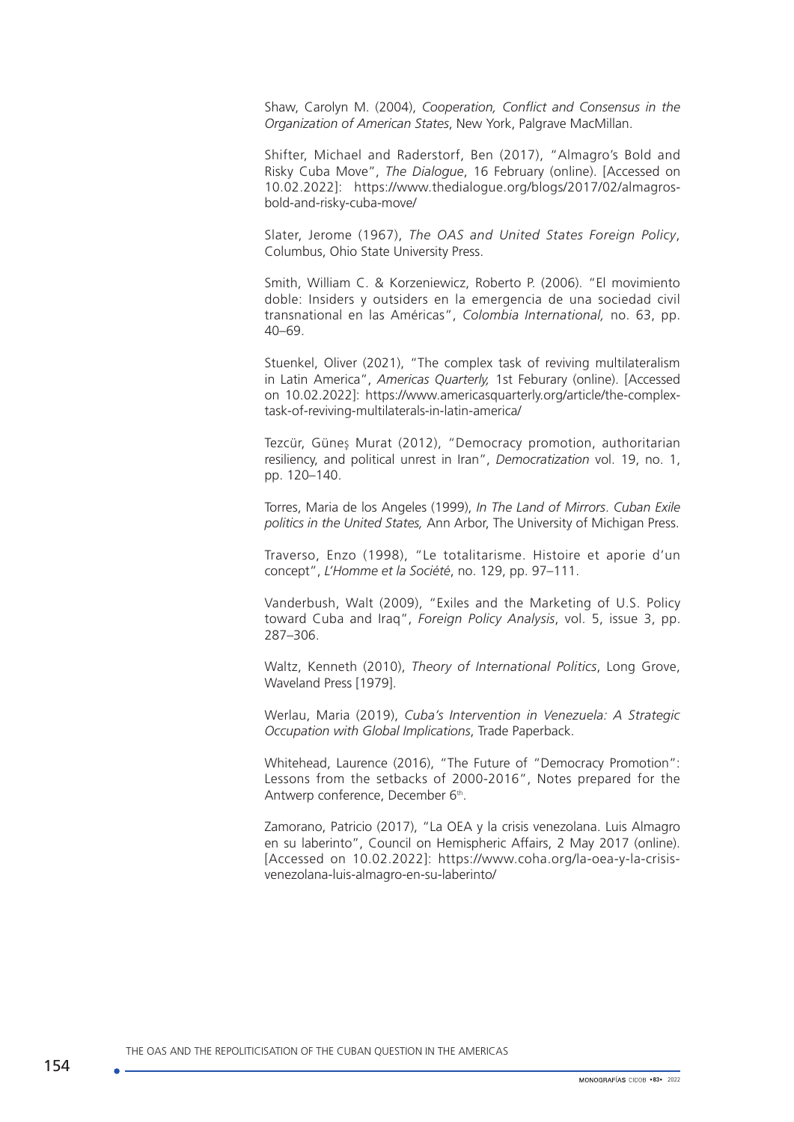Shaw, Carolyn M. (2004), *Cooperation, Conflict and Consensus in the Organization of American States*, New York, Palgrave MacMillan.

Shifter, Michael and Raderstorf, Ben (2017), "Almagro's Bold and Risky Cuba Move", *The Dialogue*, 16 February (online). [Accessed on 10.02.2022]: https://www.thedialogue.org/blogs/2017/02/almagrosbold-and-risky-cuba-move/

Slater, Jerome (1967), *The OAS and United States Foreign Policy*, Columbus, Ohio State University Press.

Smith, William C. & Korzeniewicz, Roberto P. (2006). "El movimiento doble: Insiders y outsiders en la emergencia de una sociedad civil transnational en las Américas", *Colombia International,* no. 63, pp. 40–69.

Stuenkel, Oliver (2021), "The complex task of reviving multilateralism in Latin America", *Americas Quarterly,* 1st Feburary (online). [Accessed on 10.02.2022]: https://www.americasquarterly.org/article/the-complextask-of-reviving-multilaterals-in-latin-america/

Tezcür, Güneş Murat (2012), "Democracy promotion, authoritarian resiliency, and political unrest in Iran", *Democratization* vol. 19, no. 1, pp. 120–140.

Torres, Maria de los Angeles (1999), *In The Land of Mirrors*. *Cuban Exile politics in the United States,* Ann Arbor, The University of Michigan Press.

Traverso, Enzo (1998), "Le totalitarisme. Histoire et aporie d'un concept", *L'Homme et la Société*, no. 129, pp. 97–111.

Vanderbush, Walt (2009), "Exiles and the Marketing of U.S. Policy toward Cuba and Iraq", *Foreign Policy Analysis*, vol. 5, issue 3, pp. 287–306.

Waltz, Kenneth (2010), *Theory of International Politics*, Long Grove, Waveland Press [1979].

Werlau, Maria (2019), *Cuba's Intervention in Venezuela: A Strategic Occupation with Global Implications*, Trade Paperback.

Whitehead, Laurence (2016), "The Future of "Democracy Promotion": Lessons from the setbacks of 2000-2016", Notes prepared for the Antwerp conference, December 6<sup>th</sup>.

Zamorano, Patricio (2017), "La OEA y la crisis venezolana. Luis Almagro en su laberinto", Council on Hemispheric Affairs, 2 May 2017 (online). [Accessed on 10.02.2022]: [https://www.coha.org/la-oea-y-la-crisis](https://www.coha.org/la-oea-y-la-crisis-venezolana-luis-almagro-en-su-laberinto/)[venezolana-luis-almagro-en-su-laberinto/](https://www.coha.org/la-oea-y-la-crisis-venezolana-luis-almagro-en-su-laberinto/)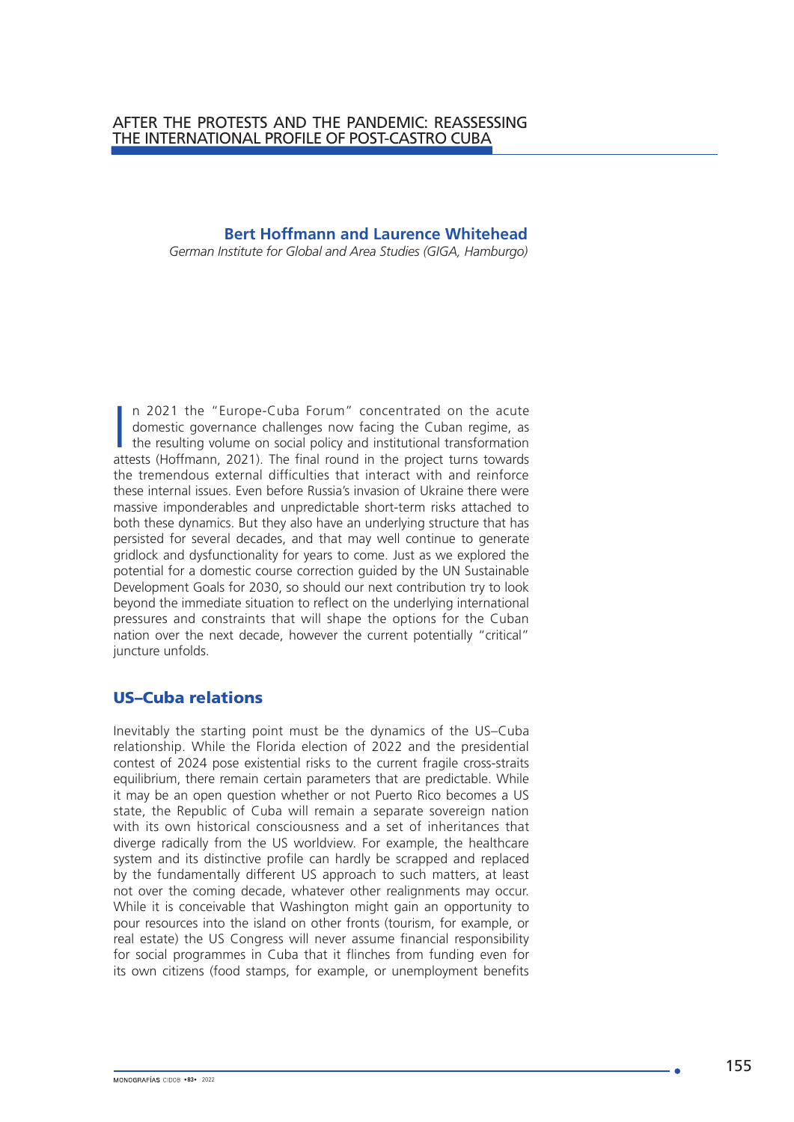# **Bert Hoffmann and Laurence Whitehead**

*German Institute for Global and Area Studies (GIGA, Hamburgo)*

In 2021 the "Europe-Cuba Forum" concentrated on the acute domestic governance challenges now facing the Cuban regime, as the resulting volume on social policy and institutional transformation attests (Hoffmann, 2021). The n 2021 the "Europe-Cuba Forum" concentrated on the acute domestic governance challenges now facing the Cuban regime, as the resulting volume on social policy and institutional transformation the tremendous external difficulties that interact with and reinforce these internal issues. Even before Russia's invasion of Ukraine there were massive imponderables and unpredictable short-term risks attached to both these dynamics. But they also have an underlying structure that has persisted for several decades, and that may well continue to generate gridlock and dysfunctionality for years to come. Just as we explored the potential for a domestic course correction guided by the UN Sustainable Development Goals for 2030, so should our next contribution try to look beyond the immediate situation to reflect on the underlying international pressures and constraints that will shape the options for the Cuban nation over the next decade, however the current potentially "critical" juncture unfolds.

# US–Cuba relations

Inevitably the starting point must be the dynamics of the US–Cuba relationship. While the Florida election of 2022 and the presidential contest of 2024 pose existential risks to the current fragile cross-straits equilibrium, there remain certain parameters that are predictable. While it may be an open question whether or not Puerto Rico becomes a US state, the Republic of Cuba will remain a separate sovereign nation with its own historical consciousness and a set of inheritances that diverge radically from the US worldview. For example, the healthcare system and its distinctive profile can hardly be scrapped and replaced by the fundamentally different US approach to such matters, at least not over the coming decade, whatever other realignments may occur. While it is conceivable that Washington might gain an opportunity to pour resources into the island on other fronts (tourism, for example, or real estate) the US Congress will never assume financial responsibility for social programmes in Cuba that it flinches from funding even for its own citizens (food stamps, for example, or unemployment benefits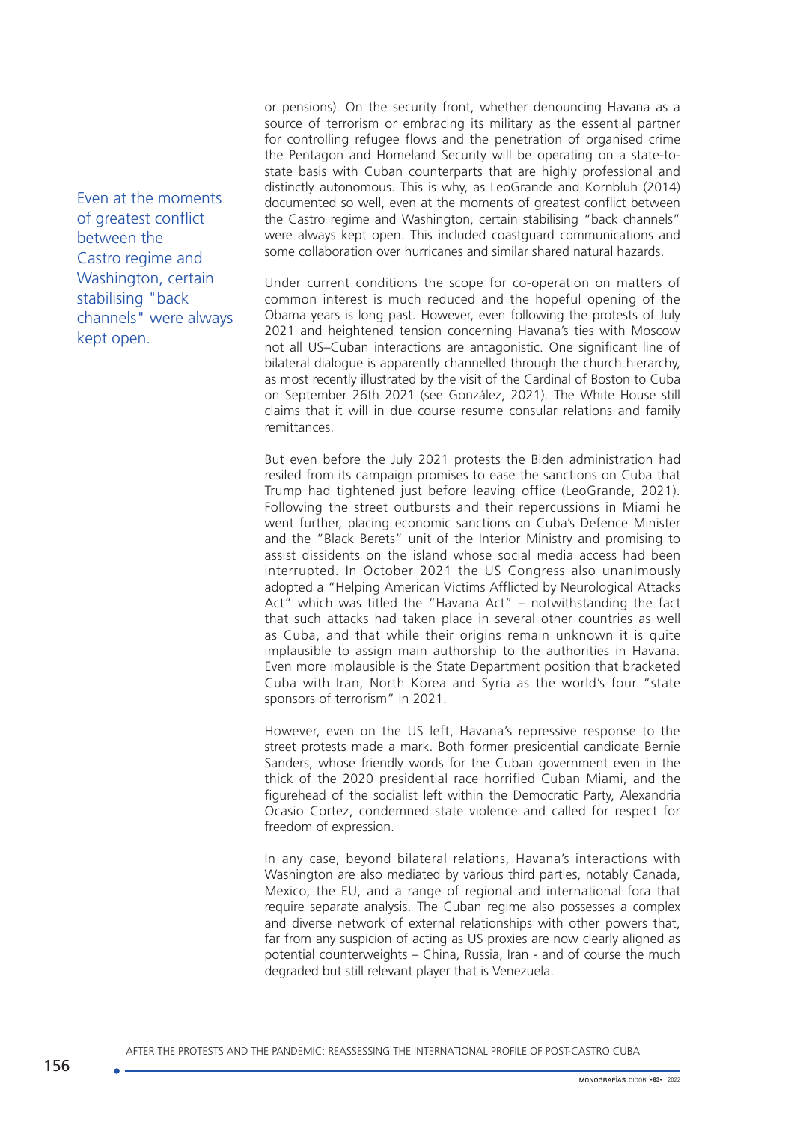Even at the moments of greatest conflict between the Castro regime and Washington, certain stabilising "back channels" were always kept open.

or pensions). On the security front, whether denouncing Havana as a source of terrorism or embracing its military as the essential partner for controlling refugee flows and the penetration of organised crime the Pentagon and Homeland Security will be operating on a state-tostate basis with Cuban counterparts that are highly professional and distinctly autonomous. This is why, as LeoGrande and Kornbluh (2014) documented so well, even at the moments of greatest conflict between the Castro regime and Washington, certain stabilising "back channels" were always kept open. This included coastguard communications and some collaboration over hurricanes and similar shared natural hazards.

Under current conditions the scope for co-operation on matters of common interest is much reduced and the hopeful opening of the Obama years is long past. However, even following the protests of July 2021 and heightened tension concerning Havana's ties with Moscow not all US–Cuban interactions are antagonistic. One significant line of bilateral dialogue is apparently channelled through the church hierarchy, as most recently illustrated by the visit of the Cardinal of Boston to Cuba on September 26th 2021 (see González, 2021). The White House still claims that it will in due course resume consular relations and family remittances.

But even before the July 2021 protests the Biden administration had resiled from its campaign promises to ease the sanctions on Cuba that Trump had tightened just before leaving office (LeoGrande, 2021). Following the street outbursts and their repercussions in Miami he went further, placing economic sanctions on Cuba's Defence Minister and the "Black Berets" unit of the Interior Ministry and promising to assist dissidents on the island whose social media access had been interrupted. In October 2021 the US Congress also unanimously adopted a "Helping American Victims Afflicted by Neurological Attacks Act" which was titled the "Havana Act" – notwithstanding the fact that such attacks had taken place in several other countries as well as Cuba, and that while their origins remain unknown it is quite implausible to assign main authorship to the authorities in Havana. Even more implausible is the State Department position that bracketed Cuba with Iran, North Korea and Syria as the world's four "state sponsors of terrorism" in 2021.

However, even on the US left, Havana's repressive response to the street protests made a mark. Both former presidential candidate Bernie Sanders, whose friendly words for the Cuban government even in the thick of the 2020 presidential race horrified Cuban Miami, and the figurehead of the socialist left within the Democratic Party, Alexandria Ocasio Cortez, condemned state violence and called for respect for freedom of expression.

In any case, beyond bilateral relations, Havana's interactions with Washington are also mediated by various third parties, notably Canada, Mexico, the EU, and a range of regional and international fora that require separate analysis. The Cuban regime also possesses a complex and diverse network of external relationships with other powers that, far from any suspicion of acting as US proxies are now clearly aligned as potential counterweights – China, Russia, Iran - and of course the much degraded but still relevant player that is Venezuela.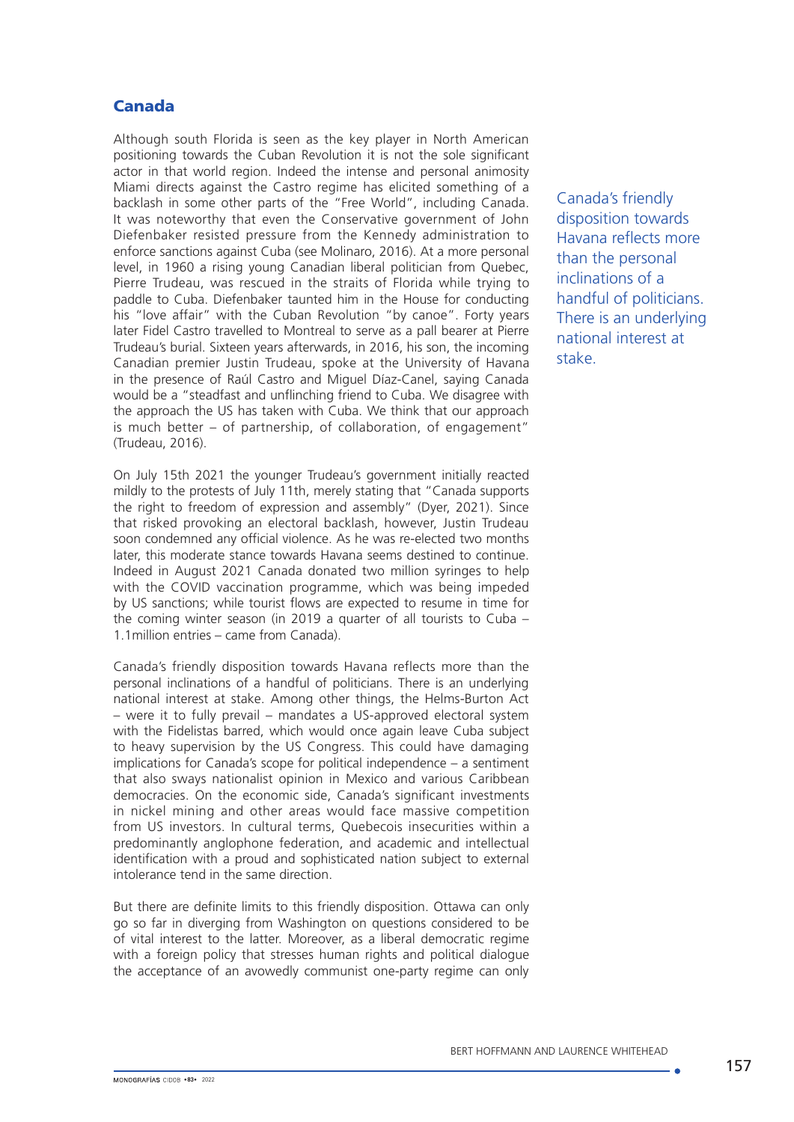# Canada

Although south Florida is seen as the key player in North American positioning towards the Cuban Revolution it is not the sole significant actor in that world region. Indeed the intense and personal animosity Miami directs against the Castro regime has elicited something of a backlash in some other parts of the "Free World", including Canada. It was noteworthy that even the Conservative government of John Diefenbaker resisted pressure from the Kennedy administration to enforce sanctions against Cuba (see Molinaro, 2016). At a more personal level, in 1960 a rising young Canadian liberal politician from Quebec, Pierre Trudeau, was rescued in the straits of Florida while trying to paddle to Cuba. Diefenbaker taunted him in the House for conducting his "love affair" with the Cuban Revolution "by canoe". Forty years later Fidel Castro travelled to Montreal to serve as a pall bearer at Pierre Trudeau's burial. Sixteen years afterwards, in 2016, his son, the incoming Canadian premier Justin Trudeau, spoke at the University of Havana in the presence of Raúl Castro and Miguel Díaz-Canel, saying Canada would be a "steadfast and unflinching friend to Cuba. We disagree with the approach the US has taken with Cuba. We think that our approach is much better – of partnership, of collaboration, of engagement" (Trudeau, 2016).

On July 15th 2021 the younger Trudeau's government initially reacted mildly to the protests of July 11th, merely stating that "Canada supports the right to freedom of expression and assembly" (Dyer, 2021). Since that risked provoking an electoral backlash, however, Justin Trudeau soon condemned any official violence. As he was re-elected two months later, this moderate stance towards Havana seems destined to continue. Indeed in August 2021 Canada donated two million syringes to help with the COVID vaccination programme, which was being impeded by US sanctions; while tourist flows are expected to resume in time for the coming winter season (in 2019 a quarter of all tourists to Cuba – 1.1million entries – came from Canada).

Canada's friendly disposition towards Havana reflects more than the personal inclinations of a handful of politicians. There is an underlying national interest at stake. Among other things, the Helms-Burton Act – were it to fully prevail – mandates a US-approved electoral system with the Fidelistas barred, which would once again leave Cuba subject to heavy supervision by the US Congress. This could have damaging implications for Canada's scope for political independence – a sentiment that also sways nationalist opinion in Mexico and various Caribbean democracies. On the economic side, Canada's significant investments in nickel mining and other areas would face massive competition from US investors. In cultural terms, Quebecois insecurities within a predominantly anglophone federation, and academic and intellectual identification with a proud and sophisticated nation subject to external intolerance tend in the same direction.

But there are definite limits to this friendly disposition. Ottawa can only go so far in diverging from Washington on questions considered to be of vital interest to the latter. Moreover, as a liberal democratic regime with a foreign policy that stresses human rights and political dialogue the acceptance of an avowedly communist one-party regime can only Canada's friendly disposition towards Havana reflects more than the personal inclinations of a handful of politicians. There is an underlying national interest at stake.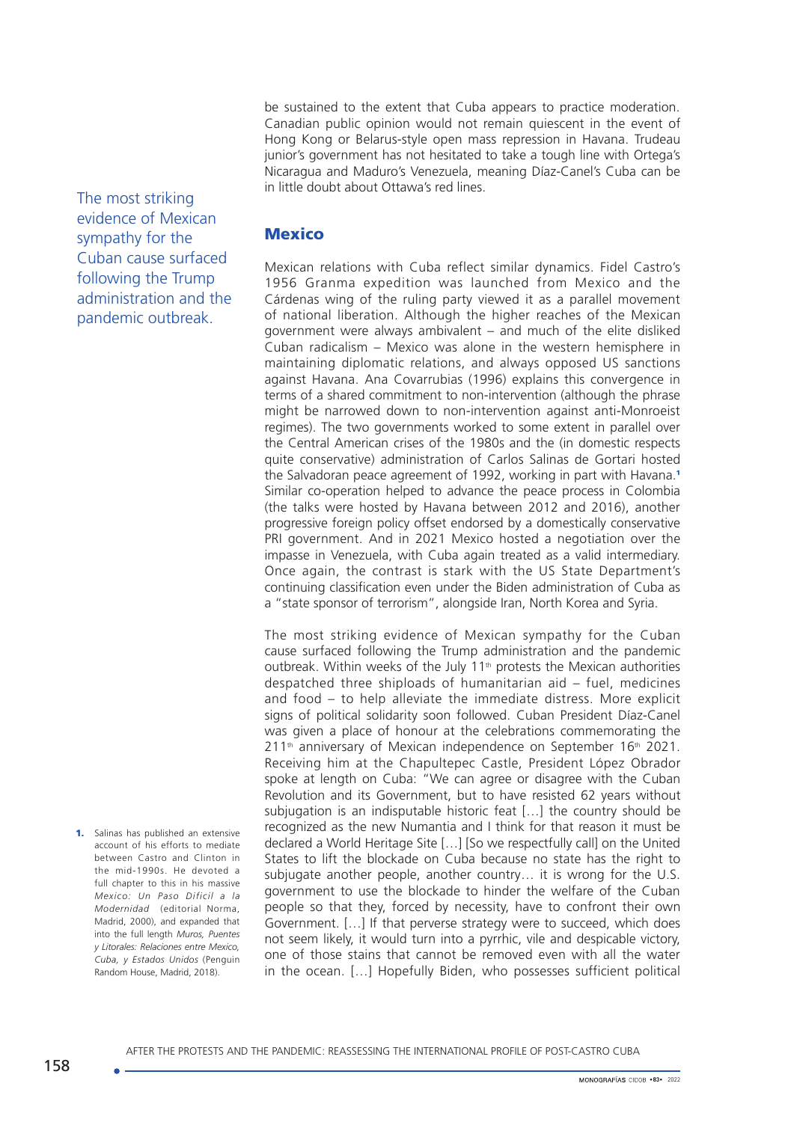be sustained to the extent that Cuba appears to practice moderation. Canadian public opinion would not remain quiescent in the event of Hong Kong or Belarus-style open mass repression in Havana. Trudeau junior's government has not hesitated to take a tough line with Ortega's Nicaragua and Maduro's Venezuela, meaning Díaz-Canel's Cuba can be in little doubt about Ottawa's red lines.

The most striking evidence of Mexican sympathy for the Cuban cause surfaced following the Trump administration and the pandemic outbreak.

1. Salinas has published an extensive account of his efforts to mediate between Castro and Clinton in the mid-1990s. He devoted a full chapter to this in his massive *Mexico: Un Paso Dificil a la Modernidad* (editorial Norma, Madrid, 2000), and expanded that into the full length *Muros, Puentes y Litorales: Relaciones entre Mexico, Cuba, y Estados Unidos* (Penguin Random House, Madrid, 2018).

### **Mexico**

Mexican relations with Cuba reflect similar dynamics. Fidel Castro's 1956 Granma expedition was launched from Mexico and the Cárdenas wing of the ruling party viewed it as a parallel movement of national liberation. Although the higher reaches of the Mexican government were always ambivalent – and much of the elite disliked Cuban radicalism – Mexico was alone in the western hemisphere in maintaining diplomatic relations, and always opposed US sanctions against Havana. Ana Covarrubias (1996) explains this convergence in terms of a shared commitment to non-intervention (although the phrase might be narrowed down to non-intervention against anti-Monroeist regimes). The two governments worked to some extent in parallel over the Central American crises of the 1980s and the (in domestic respects quite conservative) administration of Carlos Salinas de Gortari hosted the Salvadoran peace agreement of 1992, working in part with Havana.<sup>1</sup> Similar co-operation helped to advance the peace process in Colombia (the talks were hosted by Havana between 2012 and 2016), another progressive foreign policy offset endorsed by a domestically conservative PRI government. And in 2021 Mexico hosted a negotiation over the impasse in Venezuela, with Cuba again treated as a valid intermediary. Once again, the contrast is stark with the US State Department's continuing classification even under the Biden administration of Cuba as a "state sponsor of terrorism", alongside Iran, North Korea and Syria.

The most striking evidence of Mexican sympathy for the Cuban cause surfaced following the Trump administration and the pandemic outbreak. Within weeks of the July 11<sup>th</sup> protests the Mexican authorities despatched three shiploads of humanitarian aid – fuel, medicines and food – to help alleviate the immediate distress. More explicit signs of political solidarity soon followed. Cuban President Díaz-Canel was given a place of honour at the celebrations commemorating the 211<sup>th</sup> anniversary of Mexican independence on September 16<sup>th</sup> 2021. Receiving him at the Chapultepec Castle, President López Obrador spoke at length on Cuba: "We can agree or disagree with the Cuban Revolution and its Government, but to have resisted 62 years without subjugation is an indisputable historic feat […] the country should be recognized as the new Numantia and I think for that reason it must be declared a World Heritage Site […] [So we respectfully call] on the United States to lift the blockade on Cuba because no state has the right to subjugate another people, another country… it is wrong for the U.S. government to use the blockade to hinder the welfare of the Cuban people so that they, forced by necessity, have to confront their own Government. […] If that perverse strategy were to succeed, which does not seem likely, it would turn into a pyrrhic, vile and despicable victory, one of those stains that cannot be removed even with all the water in the ocean. […] Hopefully Biden, who possesses sufficient political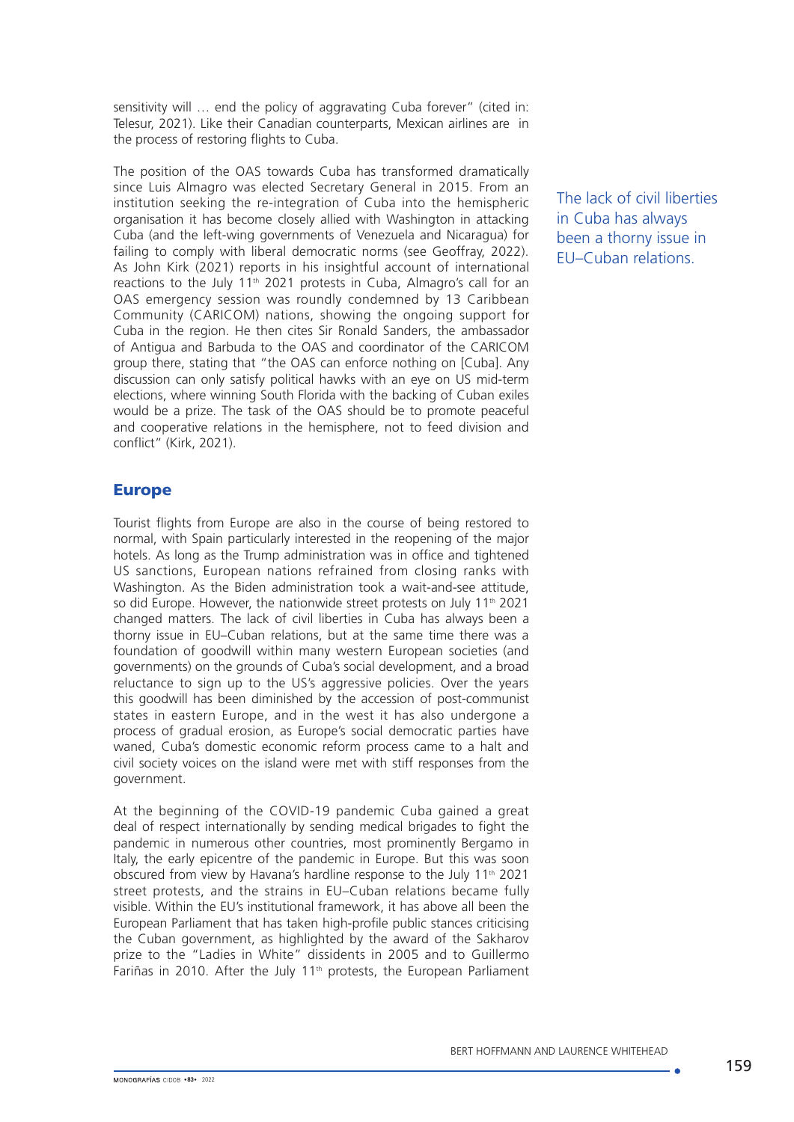sensitivity will … end the policy of aggravating Cuba forever" (cited in: Telesur, 2021). Like their Canadian counterparts, Mexican airlines are in the process of restoring flights to Cuba.

The position of the OAS towards Cuba has transformed dramatically since Luis Almagro was elected Secretary General in 2015. From an institution seeking the re-integration of Cuba into the hemispheric organisation it has become closely allied with Washington in attacking Cuba (and the left-wing governments of Venezuela and Nicaragua) for failing to comply with liberal democratic norms (see Geoffray, 2022). As John Kirk (2021) reports in his insightful account of international reactions to the July 11<sup>th</sup> 2021 protests in Cuba, Almagro's call for an OAS emergency session was roundly condemned by 13 Caribbean Community (CARICOM) nations, showing the ongoing support for Cuba in the region. He then cites Sir Ronald Sanders, the ambassador of Antigua and Barbuda to the OAS and coordinator of the CARICOM group there, stating that "the OAS can enforce nothing on [Cuba]. Any discussion can only satisfy political hawks with an eye on US mid-term elections, where winning South Florida with the backing of Cuban exiles would be a prize. The task of the OAS should be to promote peaceful and cooperative relations in the hemisphere, not to feed division and conflict" (Kirk, 2021).

## Europe

Tourist flights from Europe are also in the course of being restored to normal, with Spain particularly interested in the reopening of the major hotels. As long as the Trump administration was in office and tightened US sanctions, European nations refrained from closing ranks with Washington. As the Biden administration took a wait-and-see attitude, so did Europe. However, the nationwide street protests on July 11<sup>th</sup> 2021 changed matters. The lack of civil liberties in Cuba has always been a thorny issue in EU–Cuban relations, but at the same time there was a foundation of goodwill within many western European societies (and governments) on the grounds of Cuba's social development, and a broad reluctance to sign up to the US's aggressive policies. Over the years this goodwill has been diminished by the accession of post-communist states in eastern Europe, and in the west it has also undergone a process of gradual erosion, as Europe's social democratic parties have waned, Cuba's domestic economic reform process came to a halt and civil society voices on the island were met with stiff responses from the government.

At the beginning of the COVID-19 pandemic Cuba gained a great deal of respect internationally by sending medical brigades to fight the pandemic in numerous other countries, most prominently Bergamo in Italy, the early epicentre of the pandemic in Europe. But this was soon obscured from view by Havana's hardline response to the July 11th 2021 street protests, and the strains in EU–Cuban relations became fully visible. Within the EU's institutional framework, it has above all been the European Parliament that has taken high-profile public stances criticising the Cuban government, as highlighted by the award of the Sakharov prize to the "Ladies in White" dissidents in 2005 and to Guillermo Fariñas in 2010. After the July 11th protests, the European Parliament The lack of civil liberties in Cuba has always been a thorny issue in EU–Cuban relations.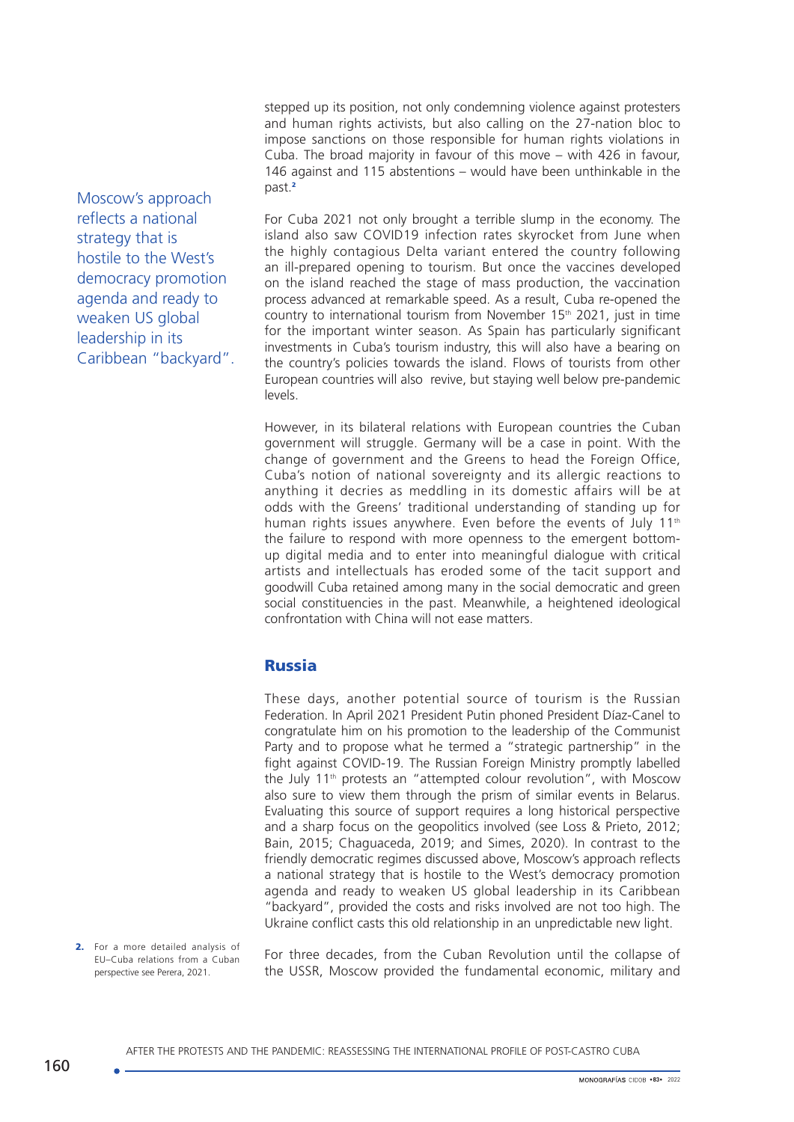stepped up its position, not only condemning violence against protesters and human rights activists, but also calling on the 27-nation bloc to impose sanctions on those responsible for human rights violations in Cuba. The broad majority in favour of this move – with 426 in favour, 146 against and 115 abstentions – would have been unthinkable in the past.<sup>2</sup>

For Cuba 2021 not only brought a terrible slump in the economy. The island also saw COVID19 infection rates skyrocket from June when the highly contagious Delta variant entered the country following an ill-prepared opening to tourism. But once the vaccines developed on the island reached the stage of mass production, the vaccination process advanced at remarkable speed. As a result, Cuba re-opened the country to international tourism from November  $15<sup>th</sup>$  2021, just in time for the important winter season. As Spain has particularly significant investments in Cuba's tourism industry, this will also have a bearing on the country's policies towards the island. Flows of tourists from other European countries will also revive, but staying well below pre-pandemic levels.

However, in its bilateral relations with European countries the Cuban government will struggle. Germany will be a case in point. With the change of government and the Greens to head the Foreign Office, Cuba's notion of national sovereignty and its allergic reactions to anything it decries as meddling in its domestic affairs will be at odds with the Greens' traditional understanding of standing up for human rights issues anywhere. Even before the events of July 11<sup>th</sup> the failure to respond with more openness to the emergent bottomup digital media and to enter into meaningful dialogue with critical artists and intellectuals has eroded some of the tacit support and goodwill Cuba retained among many in the social democratic and green social constituencies in the past. Meanwhile, a heightened ideological confrontation with China will not ease matters.

## Russia

These days, another potential source of tourism is the Russian Federation. In April 2021 President Putin phoned President Díaz-Canel to congratulate him on his promotion to the leadership of the Communist Party and to propose what he termed a "strategic partnership" in the fight against COVID-19. The Russian Foreign Ministry promptly labelled the July 11<sup>th</sup> protests an "attempted colour revolution", with Moscow also sure to view them through the prism of similar events in Belarus. Evaluating this source of support requires a long historical perspective and a sharp focus on the geopolitics involved (see Loss & Prieto, 2012; Bain, 2015; Chaguaceda, 2019; and Simes, 2020). In contrast to the friendly democratic regimes discussed above, Moscow's approach reflects a national strategy that is hostile to the West's democracy promotion agenda and ready to weaken US global leadership in its Caribbean "backyard", provided the costs and risks involved are not too high. The Ukraine conflict casts this old relationship in an unpredictable new light.

2. For a more detailed analysis of EU–Cuba relations from a Cuban perspective see Perera, 2021.

Moscow's approach reflects a national strategy that is

hostile to the West's democracy promotion agenda and ready to weaken US global leadership in its

Caribbean "backyard".

For three decades, from the Cuban Revolution until the collapse of the USSR, Moscow provided the fundamental economic, military and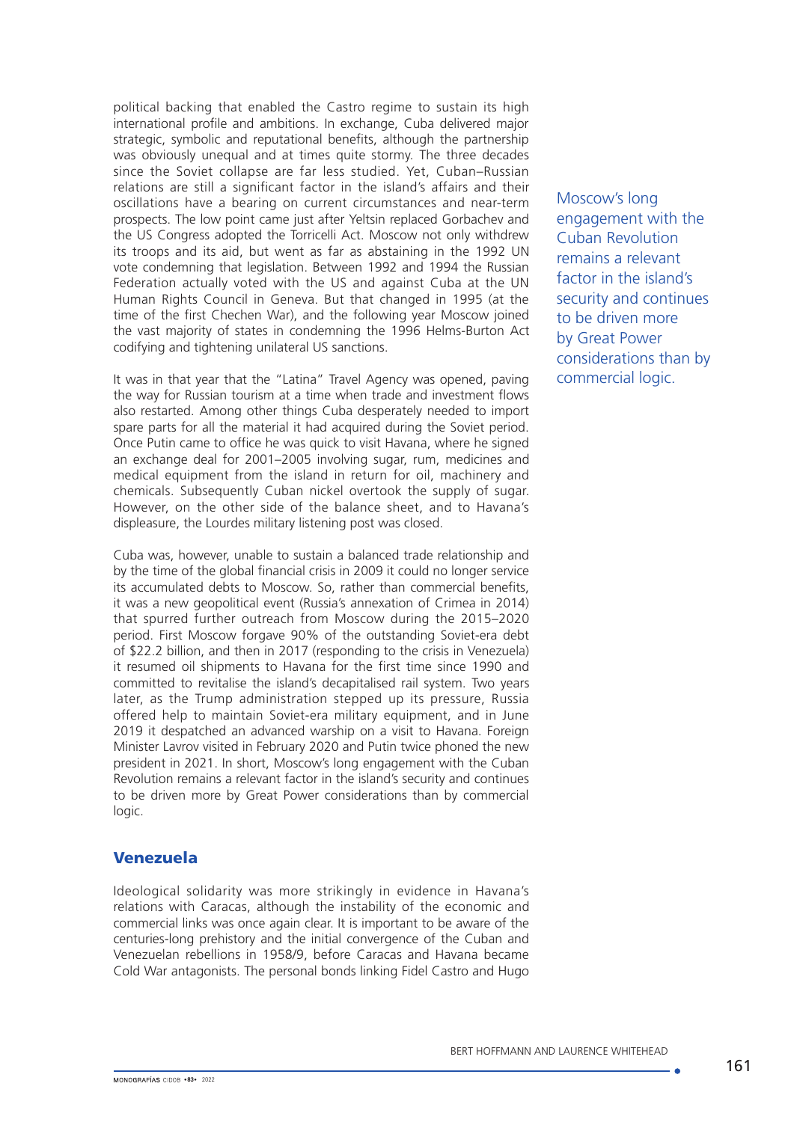political backing that enabled the Castro regime to sustain its high international profile and ambitions. In exchange, Cuba delivered major strategic, symbolic and reputational benefits, although the partnership was obviously unequal and at times quite stormy. The three decades since the Soviet collapse are far less studied. Yet, Cuban–Russian relations are still a significant factor in the island's affairs and their oscillations have a bearing on current circumstances and near-term prospects. The low point came just after Yeltsin replaced Gorbachev and the US Congress adopted the Torricelli Act. Moscow not only withdrew its troops and its aid, but went as far as abstaining in the 1992 UN vote condemning that legislation. Between 1992 and 1994 the Russian Federation actually voted with the US and against Cuba at the UN Human Rights Council in Geneva. But that changed in 1995 (at the time of the first Chechen War), and the following year Moscow joined the vast majority of states in condemning the 1996 Helms-Burton Act codifying and tightening unilateral US sanctions.

It was in that year that the "Latina" Travel Agency was opened, paving the way for Russian tourism at a time when trade and investment flows also restarted. Among other things Cuba desperately needed to import spare parts for all the material it had acquired during the Soviet period. Once Putin came to office he was quick to visit Havana, where he signed an exchange deal for 2001–2005 involving sugar, rum, medicines and medical equipment from the island in return for oil, machinery and chemicals. Subsequently Cuban nickel overtook the supply of sugar. However, on the other side of the balance sheet, and to Havana's displeasure, the Lourdes military listening post was closed.

Cuba was, however, unable to sustain a balanced trade relationship and by the time of the global financial crisis in 2009 it could no longer service its accumulated debts to Moscow. So, rather than commercial benefits, it was a new geopolitical event (Russia's annexation of Crimea in 2014) that spurred further outreach from Moscow during the 2015–2020 period. First Moscow forgave 90% of the outstanding Soviet-era debt of \$22.2 billion, and then in 2017 (responding to the crisis in Venezuela) it resumed oil shipments to Havana for the first time since 1990 and committed to revitalise the island's decapitalised rail system. Two years later, as the Trump administration stepped up its pressure, Russia offered help to maintain Soviet-era military equipment, and in June 2019 it despatched an advanced warship on a visit to Havana. Foreign Minister Lavrov visited in February 2020 and Putin twice phoned the new president in 2021. In short, Moscow's long engagement with the Cuban Revolution remains a relevant factor in the island's security and continues to be driven more by Great Power considerations than by commercial logic.

## Venezuela

Ideological solidarity was more strikingly in evidence in Havana's relations with Caracas, although the instability of the economic and commercial links was once again clear. It is important to be aware of the centuries-long prehistory and the initial convergence of the Cuban and Venezuelan rebellions in 1958/9, before Caracas and Havana became Cold War antagonists. The personal bonds linking Fidel Castro and Hugo

Moscow's long engagement with the Cuban Revolution remains a relevant factor in the island's security and continues to be driven more by Great Power considerations than by commercial logic.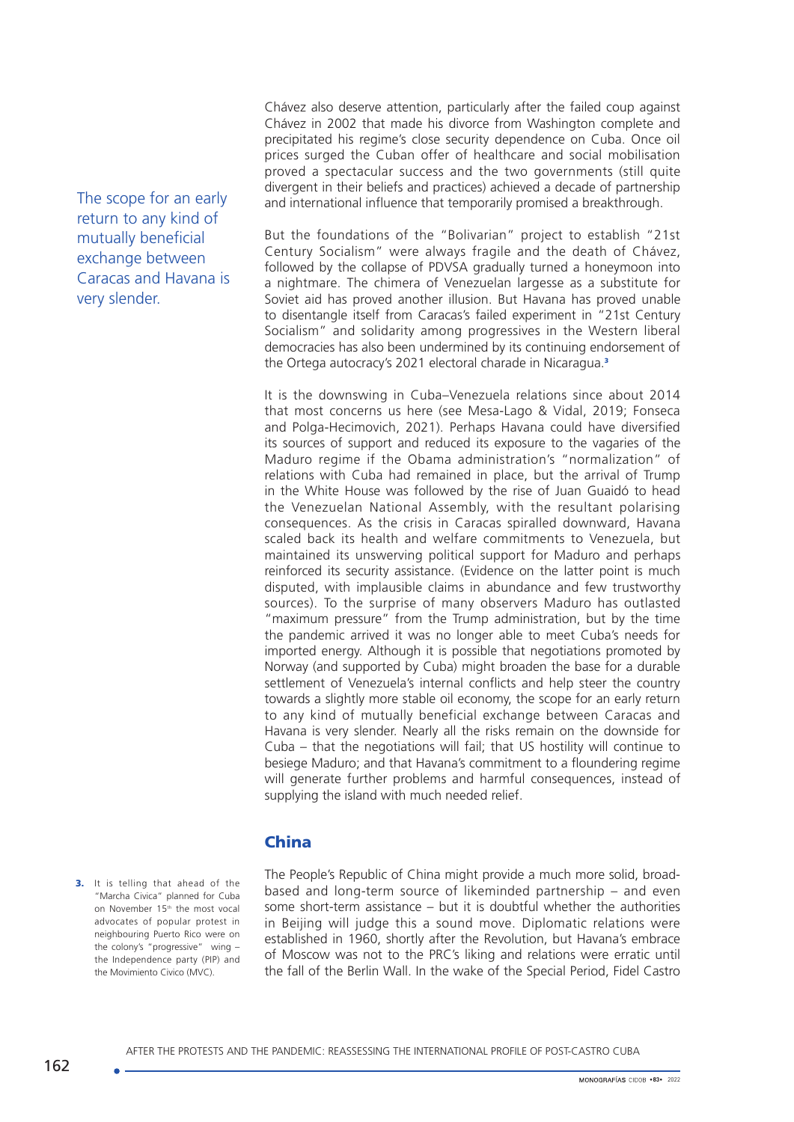The scope for an early return to any kind of mutually beneficial exchange between Caracas and Havana is very slender.

Chávez also deserve attention, particularly after the failed coup against Chávez in 2002 that made his divorce from Washington complete and precipitated his regime's close security dependence on Cuba. Once oil prices surged the Cuban offer of healthcare and social mobilisation proved a spectacular success and the two governments (still quite divergent in their beliefs and practices) achieved a decade of partnership and international influence that temporarily promised a breakthrough.

But the foundations of the "Bolivarian" project to establish "21st Century Socialism" were always fragile and the death of Chávez, followed by the collapse of PDVSA gradually turned a honeymoon into a nightmare. The chimera of Venezuelan largesse as a substitute for Soviet aid has proved another illusion. But Havana has proved unable to disentangle itself from Caracas's failed experiment in "21st Century Socialism" and solidarity among progressives in the Western liberal democracies has also been undermined by its continuing endorsement of the Ortega autocracy's 2021 electoral charade in Nicaragua.<sup>3</sup>

It is the downswing in Cuba–Venezuela relations since about 2014 that most concerns us here (see Mesa-Lago & Vidal, 2019; Fonseca and Polga-Hecimovich, 2021). Perhaps Havana could have diversified its sources of support and reduced its exposure to the vagaries of the Maduro regime if the Obama administration's "normalization" of relations with Cuba had remained in place, but the arrival of Trump in the White House was followed by the rise of Juan Guaidó to head the Venezuelan National Assembly, with the resultant polarising consequences. As the crisis in Caracas spiralled downward, Havana scaled back its health and welfare commitments to Venezuela, but maintained its unswerving political support for Maduro and perhaps reinforced its security assistance. (Evidence on the latter point is much disputed, with implausible claims in abundance and few trustworthy sources). To the surprise of many observers Maduro has outlasted "maximum pressure" from the Trump administration, but by the time the pandemic arrived it was no longer able to meet Cuba's needs for imported energy. Although it is possible that negotiations promoted by Norway (and supported by Cuba) might broaden the base for a durable settlement of Venezuela's internal conflicts and help steer the country towards a slightly more stable oil economy, the scope for an early return to any kind of mutually beneficial exchange between Caracas and Havana is very slender. Nearly all the risks remain on the downside for Cuba – that the negotiations will fail; that US hostility will continue to besiege Maduro; and that Havana's commitment to a floundering regime will generate further problems and harmful consequences, instead of supplying the island with much needed relief.

## China

3. It is telling that ahead of the "Marcha Civica" planned for Cuba on November 15th the most vocal advocates of popular protest in neighbouring Puerto Rico were on the colony's "progressive" wing – the Independence party (PIP) and the Movimiento Civico (MVC).

The People's Republic of China might provide a much more solid, broadbased and long-term source of likeminded partnership – and even some short-term assistance – but it is doubtful whether the authorities in Beijing will judge this a sound move. Diplomatic relations were established in 1960, shortly after the Revolution, but Havana's embrace of Moscow was not to the PRC's liking and relations were erratic until the fall of the Berlin Wall. In the wake of the Special Period, Fidel Castro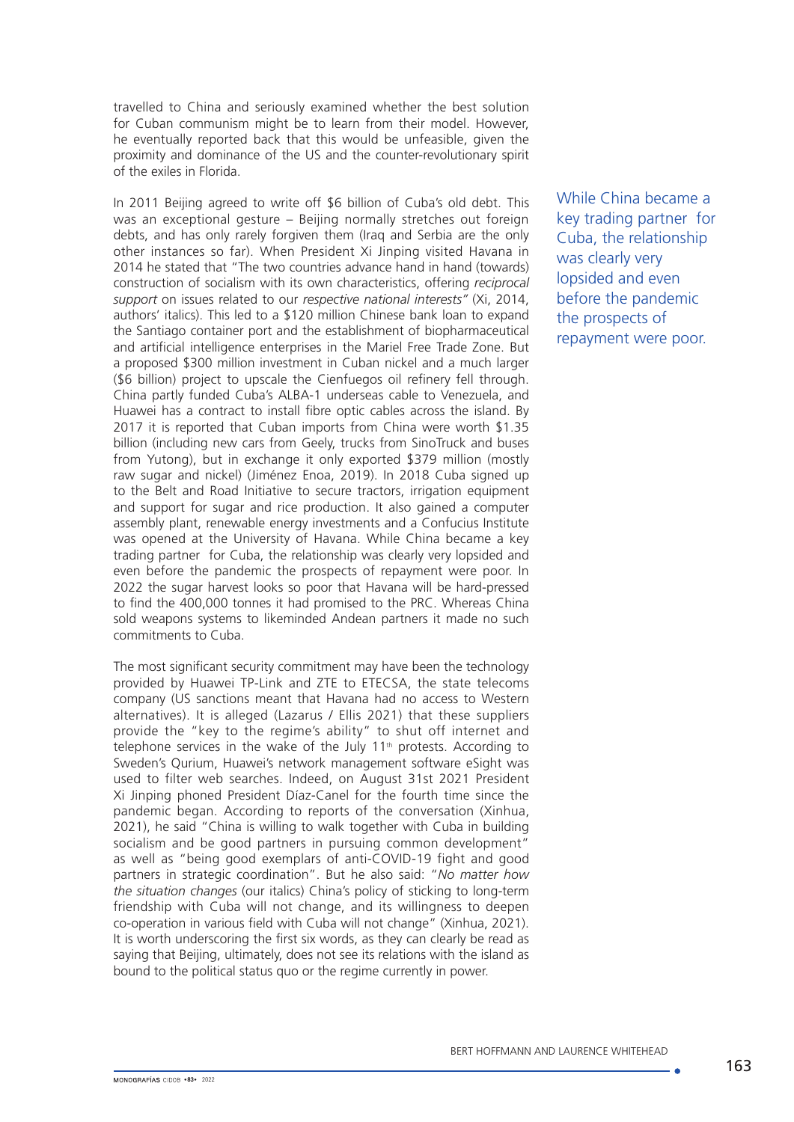travelled to China and seriously examined whether the best solution for Cuban communism might be to learn from their model. However, he eventually reported back that this would be unfeasible, given the proximity and dominance of the US and the counter-revolutionary spirit of the exiles in Florida.

In 2011 Beijing agreed to write off \$6 billion of Cuba's old debt. This was an exceptional gesture – Beijing normally stretches out foreign debts, and has only rarely forgiven them (Iraq and Serbia are the only other instances so far). When President Xi Jinping visited Havana in 2014 he stated that "The two countries advance hand in hand (towards) construction of socialism with its own characteristics, offering *reciprocal support* on issues related to our *respective national interests"* (Xi, 2014, authors' italics). This led to a \$120 million Chinese bank loan to expand the Santiago container port and the establishment of biopharmaceutical and artificial intelligence enterprises in the Mariel Free Trade Zone. But a proposed \$300 million investment in Cuban nickel and a much larger (\$6 billion) project to upscale the Cienfuegos oil refinery fell through. China partly funded Cuba's ALBA-1 underseas cable to Venezuela, and Huawei has a contract to install fibre optic cables across the island. By 2017 it is reported that Cuban imports from China were worth \$1.35 billion (including new cars from Geely, trucks from SinoTruck and buses from Yutong), but in exchange it only exported \$379 million (mostly raw sugar and nickel) (Jiménez Enoa, 2019). In 2018 Cuba signed up to the Belt and Road Initiative to secure tractors, irrigation equipment and support for sugar and rice production. It also gained a computer assembly plant, renewable energy investments and a Confucius Institute was opened at the University of Havana. While China became a key trading partner for Cuba, the relationship was clearly very lopsided and even before the pandemic the prospects of repayment were poor. In 2022 the sugar harvest looks so poor that Havana will be hard-pressed to find the 400,000 tonnes it had promised to the PRC. Whereas China sold weapons systems to likeminded Andean partners it made no such commitments to Cuba.

The most significant security commitment may have been the technology provided by Huawei TP-Link and ZTE to ETECSA, the state telecoms company (US sanctions meant that Havana had no access to Western alternatives). It is alleged (Lazarus / Ellis 2021) that these suppliers provide the "key to the regime's ability" to shut off internet and telephone services in the wake of the July 11<sup>th</sup> protests. According to Sweden's Qurium, Huawei's network management software eSight was used to filter web searches. Indeed, on August 31st 2021 President Xi Jinping phoned President Díaz-Canel for the fourth time since the pandemic began. According to reports of the conversation (Xinhua, 2021), he said "China is willing to walk together with Cuba in building socialism and be good partners in pursuing common development" as well as "being good exemplars of anti-COVID-19 fight and good partners in strategic coordination". But he also said: "*No matter how the situation changes* (our italics) China's policy of sticking to long-term friendship with Cuba will not change, and its willingness to deepen co-operation in various field with Cuba will not change" (Xinhua, 2021). It is worth underscoring the first six words, as they can clearly be read as saying that Beijing, ultimately, does not see its relations with the island as bound to the political status quo or the regime currently in power.

While China became a key trading partner for Cuba, the relationship was clearly very lopsided and even before the pandemic the prospects of repayment were poor.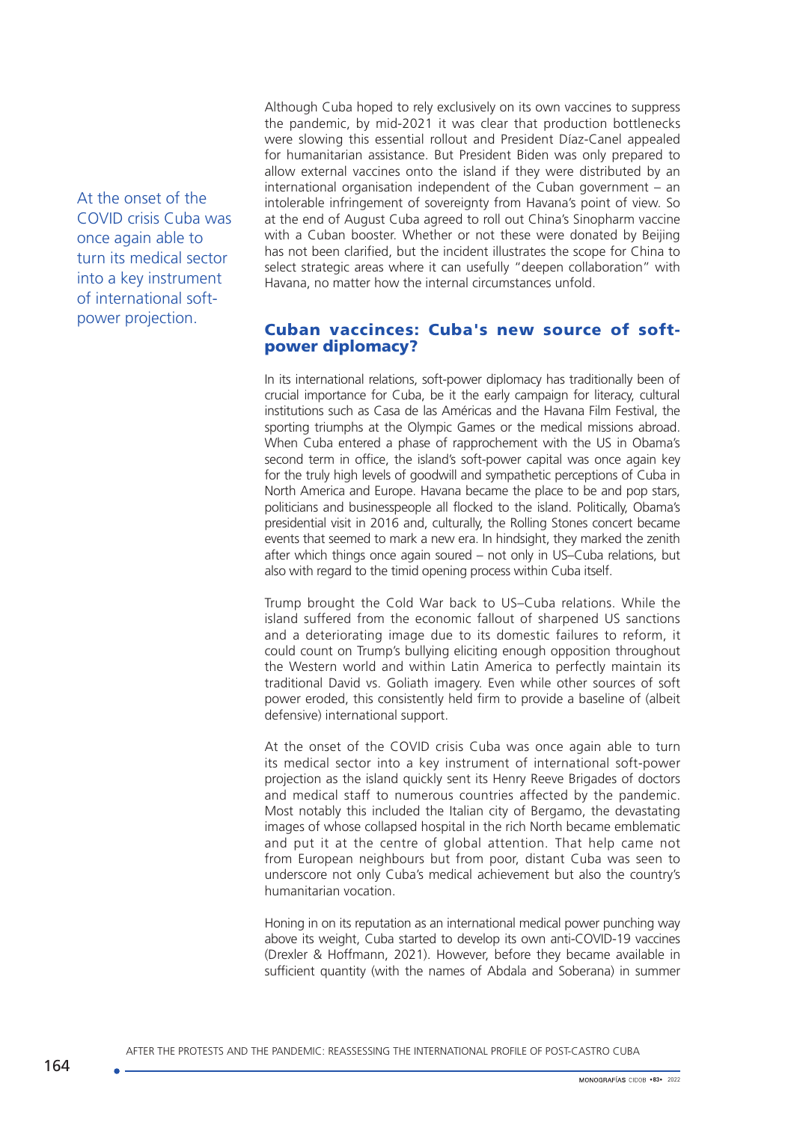At the onset of the COVID crisis Cuba was once again able to turn its medical sector into a key instrument of international softpower projection.

Although Cuba hoped to rely exclusively on its own vaccines to suppress the pandemic, by mid-2021 it was clear that production bottlenecks were slowing this essential rollout and President Díaz-Canel appealed for humanitarian assistance. But President Biden was only prepared to allow external vaccines onto the island if they were distributed by an international organisation independent of the Cuban government – an intolerable infringement of sovereignty from Havana's point of view. So at the end of August Cuba agreed to roll out China's Sinopharm vaccine with a Cuban booster. Whether or not these were donated by Beijing has not been clarified, but the incident illustrates the scope for China to select strategic areas where it can usefully "deepen collaboration" with Havana, no matter how the internal circumstances unfold.

## Cuban vaccinces: Cuba's new source of softpower diplomacy?

In its international relations, soft-power diplomacy has traditionally been of crucial importance for Cuba, be it the early campaign for literacy, cultural institutions such as Casa de las Américas and the Havana Film Festival, the sporting triumphs at the Olympic Games or the medical missions abroad. When Cuba entered a phase of rapprochement with the US in Obama's second term in office, the island's soft-power capital was once again key for the truly high levels of goodwill and sympathetic perceptions of Cuba in North America and Europe. Havana became the place to be and pop stars, politicians and businesspeople all flocked to the island. Politically, Obama's presidential visit in 2016 and, culturally, the Rolling Stones concert became events that seemed to mark a new era. In hindsight, they marked the zenith after which things once again soured – not only in US–Cuba relations, but also with regard to the timid opening process within Cuba itself.

Trump brought the Cold War back to US–Cuba relations. While the island suffered from the economic fallout of sharpened US sanctions and a deteriorating image due to its domestic failures to reform, it could count on Trump's bullying eliciting enough opposition throughout the Western world and within Latin America to perfectly maintain its traditional David vs. Goliath imagery. Even while other sources of soft power eroded, this consistently held firm to provide a baseline of (albeit defensive) international support.

At the onset of the COVID crisis Cuba was once again able to turn its medical sector into a key instrument of international soft-power projection as the island quickly sent its Henry Reeve Brigades of doctors and medical staff to numerous countries affected by the pandemic. Most notably this included the Italian city of Bergamo, the devastating images of whose collapsed hospital in the rich North became emblematic and put it at the centre of global attention. That help came not from European neighbours but from poor, distant Cuba was seen to underscore not only Cuba's medical achievement but also the country's humanitarian vocation.

Honing in on its reputation as an international medical power punching way above its weight, Cuba started to develop its own anti-COVID-19 vaccines (Drexler & Hoffmann, 2021). However, before they became available in sufficient quantity (with the names of Abdala and Soberana) in summer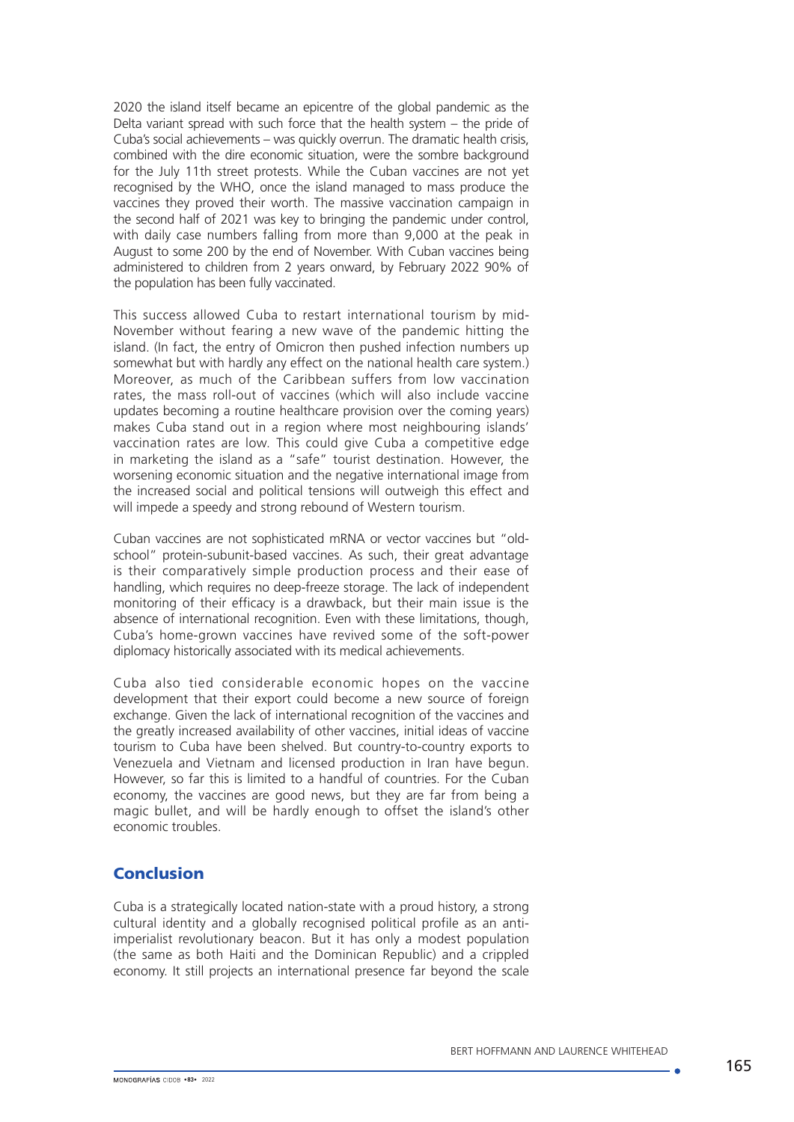2020 the island itself became an epicentre of the global pandemic as the Delta variant spread with such force that the health system – the pride of Cuba's social achievements – was quickly overrun. The dramatic health crisis, combined with the dire economic situation, were the sombre background for the July 11th street protests. While the Cuban vaccines are not yet recognised by the WHO, once the island managed to mass produce the vaccines they proved their worth. The massive vaccination campaign in the second half of 2021 was key to bringing the pandemic under control, with daily case numbers falling from more than 9,000 at the peak in August to some 200 by the end of November. With Cuban vaccines being administered to children from 2 years onward, by February 2022 90% of the population has been fully vaccinated.

This success allowed Cuba to restart international tourism by mid-November without fearing a new wave of the pandemic hitting the island. (In fact, the entry of Omicron then pushed infection numbers up somewhat but with hardly any effect on the national health care system.) Moreover, as much of the Caribbean suffers from low vaccination rates, the mass roll-out of vaccines (which will also include vaccine updates becoming a routine healthcare provision over the coming years) makes Cuba stand out in a region where most neighbouring islands' vaccination rates are low. This could give Cuba a competitive edge in marketing the island as a "safe" tourist destination. However, the worsening economic situation and the negative international image from the increased social and political tensions will outweigh this effect and will impede a speedy and strong rebound of Western tourism.

Cuban vaccines are not sophisticated mRNA or vector vaccines but "oldschool" protein-subunit-based vaccines. As such, their great advantage is their comparatively simple production process and their ease of handling, which requires no deep-freeze storage. The lack of independent monitoring of their efficacy is a drawback, but their main issue is the absence of international recognition. Even with these limitations, though, Cuba's home-grown vaccines have revived some of the soft-power diplomacy historically associated with its medical achievements.

Cuba also tied considerable economic hopes on the vaccine development that their export could become a new source of foreign exchange. Given the lack of international recognition of the vaccines and the greatly increased availability of other vaccines, initial ideas of vaccine tourism to Cuba have been shelved. But country-to-country exports to Venezuela and Vietnam and licensed production in Iran have begun. However, so far this is limited to a handful of countries. For the Cuban economy, the vaccines are good news, but they are far from being a magic bullet, and will be hardly enough to offset the island's other economic troubles.

## Conclusion

Cuba is a strategically located nation-state with a proud history, a strong cultural identity and a globally recognised political profile as an antiimperialist revolutionary beacon. But it has only a modest population (the same as both Haiti and the Dominican Republic) and a crippled economy. It still projects an international presence far beyond the scale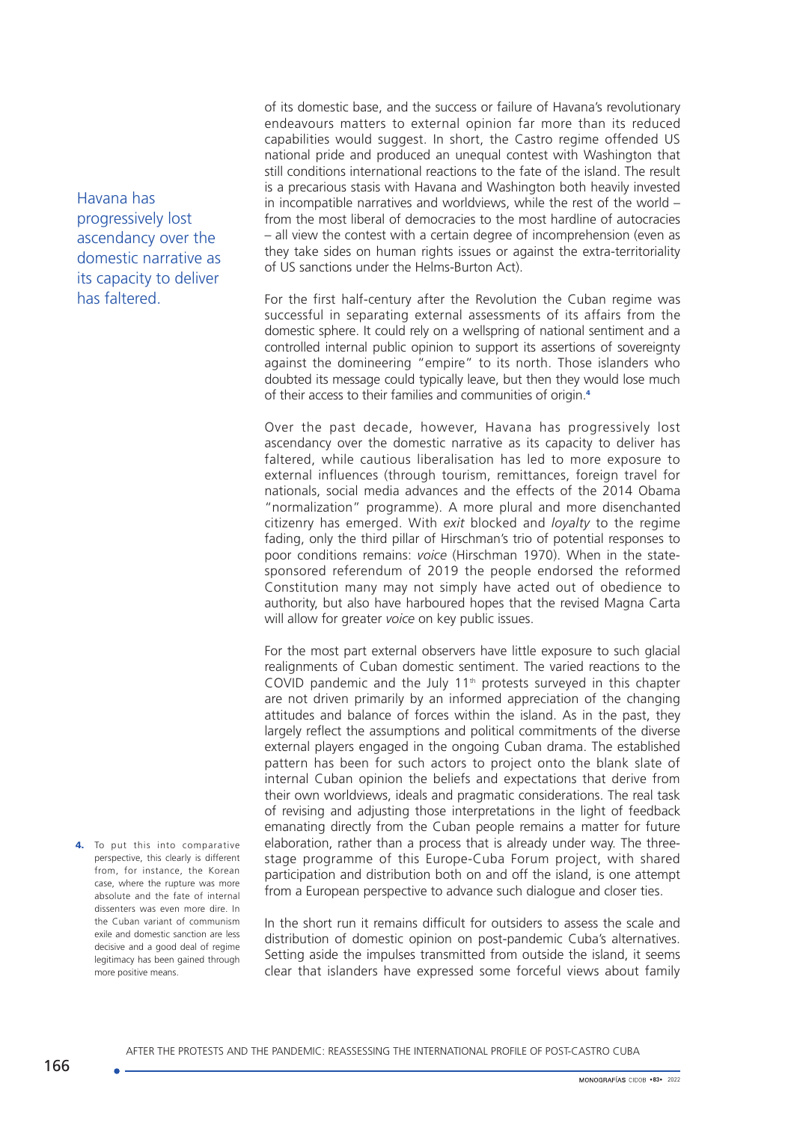Havana has progressively lost ascendancy over the domestic narrative as its capacity to deliver has faltered.

4. To put this into comparative perspective, this clearly is different from, for instance, the Korean case, where the rupture was more absolute and the fate of internal dissenters was even more dire. In the Cuban variant of communism exile and domestic sanction are less decisive and a good deal of regime legitimacy has been gained through more positive means.

of its domestic base, and the success or failure of Havana's revolutionary endeavours matters to external opinion far more than its reduced capabilities would suggest. In short, the Castro regime offended US national pride and produced an unequal contest with Washington that still conditions international reactions to the fate of the island. The result is a precarious stasis with Havana and Washington both heavily invested in incompatible narratives and worldviews, while the rest of the world – from the most liberal of democracies to the most hardline of autocracies – all view the contest with a certain degree of incomprehension (even as they take sides on human rights issues or against the extra-territoriality of US sanctions under the Helms-Burton Act).

For the first half-century after the Revolution the Cuban regime was successful in separating external assessments of its affairs from the domestic sphere. It could rely on a wellspring of national sentiment and a controlled internal public opinion to support its assertions of sovereignty against the domineering "empire" to its north. Those islanders who doubted its message could typically leave, but then they would lose much of their access to their families and communities of origin.<sup>4</sup>

Over the past decade, however, Havana has progressively lost ascendancy over the domestic narrative as its capacity to deliver has faltered, while cautious liberalisation has led to more exposure to external influences (through tourism, remittances, foreign travel for nationals, social media advances and the effects of the 2014 Obama "normalization" programme). A more plural and more disenchanted citizenry has emerged. With *exit* blocked and *loyalty* to the regime fading, only the third pillar of Hirschman's trio of potential responses to poor conditions remains: *voice* (Hirschman 1970). When in the statesponsored referendum of 2019 the people endorsed the reformed Constitution many may not simply have acted out of obedience to authority, but also have harboured hopes that the revised Magna Carta will allow for greater *voice* on key public issues.

For the most part external observers have little exposure to such glacial realignments of Cuban domestic sentiment. The varied reactions to the COVID pandemic and the July 11<sup>th</sup> protests surveyed in this chapter are not driven primarily by an informed appreciation of the changing attitudes and balance of forces within the island. As in the past, they largely reflect the assumptions and political commitments of the diverse external players engaged in the ongoing Cuban drama. The established pattern has been for such actors to project onto the blank slate of internal Cuban opinion the beliefs and expectations that derive from their own worldviews, ideals and pragmatic considerations. The real task of revising and adjusting those interpretations in the light of feedback emanating directly from the Cuban people remains a matter for future elaboration, rather than a process that is already under way. The threestage programme of this Europe-Cuba Forum project, with shared participation and distribution both on and off the island, is one attempt from a European perspective to advance such dialogue and closer ties.

In the short run it remains difficult for outsiders to assess the scale and distribution of domestic opinion on post-pandemic Cuba's alternatives. Setting aside the impulses transmitted from outside the island, it seems clear that islanders have expressed some forceful views about family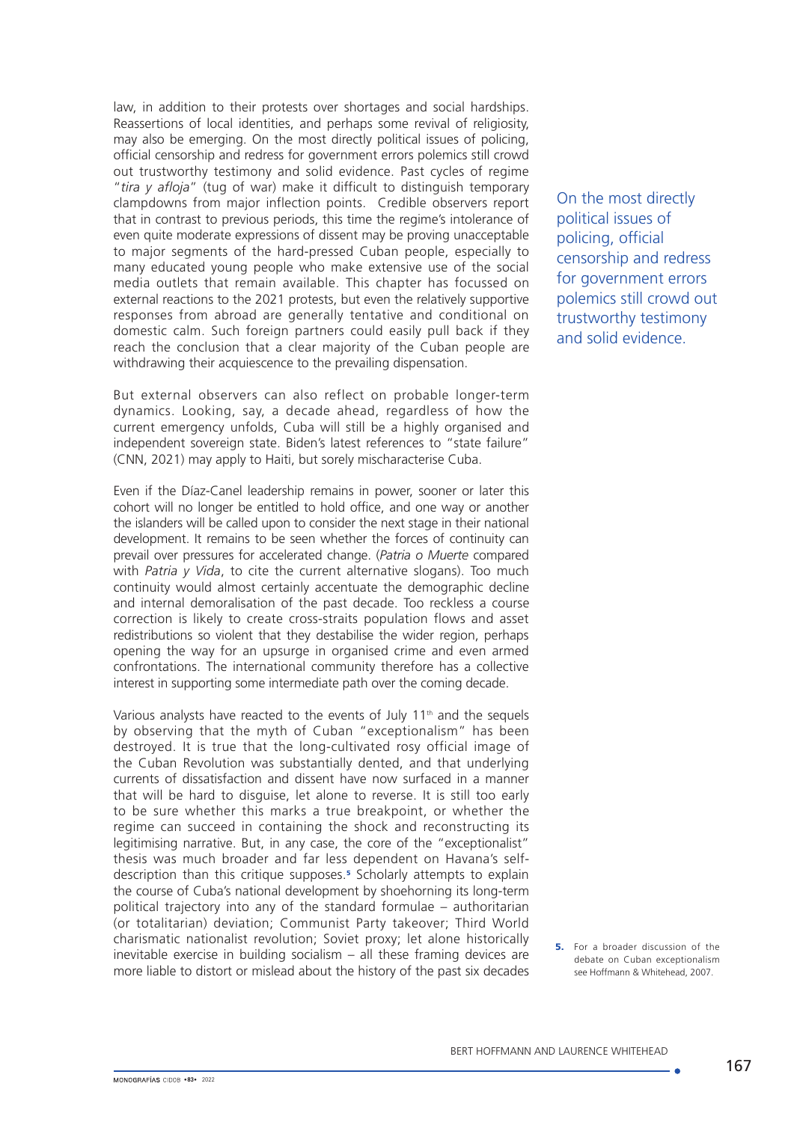law, in addition to their protests over shortages and social hardships. Reassertions of local identities, and perhaps some revival of religiosity, may also be emerging. On the most directly political issues of policing, official censorship and redress for government errors polemics still crowd out trustworthy testimony and solid evidence. Past cycles of regime "*tira y afloja*" (tug of war) make it difficult to distinguish temporary clampdowns from major inflection points. Credible observers report that in contrast to previous periods, this time the regime's intolerance of even quite moderate expressions of dissent may be proving unacceptable to major segments of the hard-pressed Cuban people, especially to many educated young people who make extensive use of the social media outlets that remain available. This chapter has focussed on external reactions to the 2021 protests, but even the relatively supportive responses from abroad are generally tentative and conditional on domestic calm. Such foreign partners could easily pull back if they reach the conclusion that a clear majority of the Cuban people are withdrawing their acquiescence to the prevailing dispensation.

But external observers can also reflect on probable longer-term dynamics. Looking, say, a decade ahead, regardless of how the current emergency unfolds, Cuba will still be a highly organised and independent sovereign state. Biden's latest references to "state failure" (CNN, 2021) may apply to Haiti, but sorely mischaracterise Cuba.

Even if the Díaz-Canel leadership remains in power, sooner or later this cohort will no longer be entitled to hold office, and one way or another the islanders will be called upon to consider the next stage in their national development. It remains to be seen whether the forces of continuity can prevail over pressures for accelerated change. (*Patria o Muerte* compared with *Patria y Vida*, to cite the current alternative slogans). Too much continuity would almost certainly accentuate the demographic decline and internal demoralisation of the past decade. Too reckless a course correction is likely to create cross-straits population flows and asset redistributions so violent that they destabilise the wider region, perhaps opening the way for an upsurge in organised crime and even armed confrontations. The international community therefore has a collective interest in supporting some intermediate path over the coming decade.

Various analysts have reacted to the events of July 11<sup>th</sup> and the sequels by observing that the myth of Cuban "exceptionalism" has been destroyed. It is true that the long-cultivated rosy official image of the Cuban Revolution was substantially dented, and that underlying currents of dissatisfaction and dissent have now surfaced in a manner that will be hard to disguise, let alone to reverse. It is still too early to be sure whether this marks a true breakpoint, or whether the regime can succeed in containing the shock and reconstructing its legitimising narrative. But, in any case, the core of the "exceptionalist" thesis was much broader and far less dependent on Havana's selfdescription than this critique supposes.<sup>5</sup> Scholarly attempts to explain the course of Cuba's national development by shoehorning its long-term political trajectory into any of the standard formulae – authoritarian (or totalitarian) deviation; Communist Party takeover; Third World charismatic nationalist revolution; Soviet proxy; let alone historically inevitable exercise in building socialism – all these framing devices are more liable to distort or mislead about the history of the past six decades On the most directly political issues of policing, official censorship and redress for government errors polemics still crowd out trustworthy testimony and solid evidence.

**5.** For a broader discussion of the debate on Cuban exceptionalism see Hoffmann & Whitehead, 2007.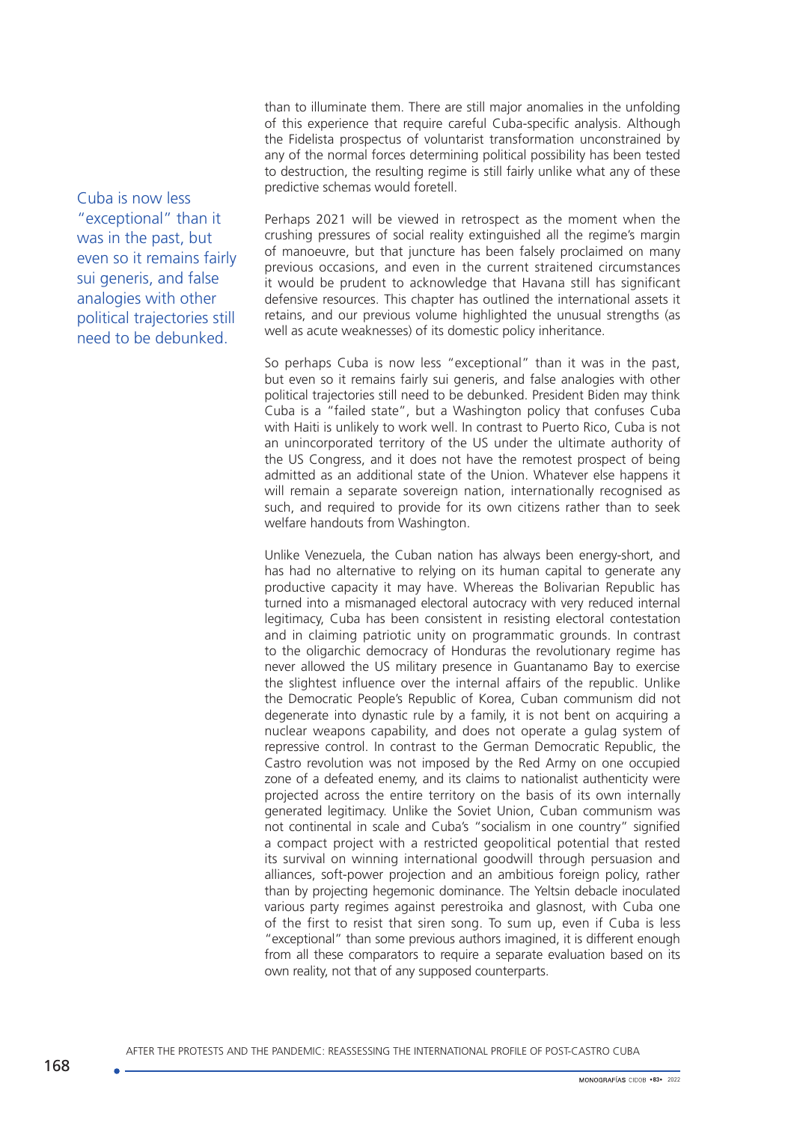than to illuminate them. There are still major anomalies in the unfolding of this experience that require careful Cuba-specific analysis. Although the Fidelista prospectus of voluntarist transformation unconstrained by any of the normal forces determining political possibility has been tested to destruction, the resulting regime is still fairly unlike what any of these predictive schemas would foretell.

Cuba is now less "exceptional" than it was in the past, but even so it remains fairly sui generis, and false analogies with other political trajectories still need to be debunked.

Perhaps 2021 will be viewed in retrospect as the moment when the crushing pressures of social reality extinguished all the regime's margin of manoeuvre, but that juncture has been falsely proclaimed on many previous occasions, and even in the current straitened circumstances it would be prudent to acknowledge that Havana still has significant defensive resources. This chapter has outlined the international assets it retains, and our previous volume highlighted the unusual strengths (as well as acute weaknesses) of its domestic policy inheritance.

So perhaps Cuba is now less "exceptional" than it was in the past, but even so it remains fairly sui generis, and false analogies with other political trajectories still need to be debunked. President Biden may think Cuba is a "failed state", but a Washington policy that confuses Cuba with Haiti is unlikely to work well. In contrast to Puerto Rico, Cuba is not an unincorporated territory of the US under the ultimate authority of the US Congress, and it does not have the remotest prospect of being admitted as an additional state of the Union. Whatever else happens it will remain a separate sovereign nation, internationally recognised as such, and required to provide for its own citizens rather than to seek welfare handouts from Washington.

Unlike Venezuela, the Cuban nation has always been energy-short, and has had no alternative to relying on its human capital to generate any productive capacity it may have. Whereas the Bolivarian Republic has turned into a mismanaged electoral autocracy with very reduced internal legitimacy, Cuba has been consistent in resisting electoral contestation and in claiming patriotic unity on programmatic grounds. In contrast to the oligarchic democracy of Honduras the revolutionary regime has never allowed the US military presence in Guantanamo Bay to exercise the slightest influence over the internal affairs of the republic. Unlike the Democratic People's Republic of Korea, Cuban communism did not degenerate into dynastic rule by a family, it is not bent on acquiring a nuclear weapons capability, and does not operate a gulag system of repressive control. In contrast to the German Democratic Republic, the Castro revolution was not imposed by the Red Army on one occupied zone of a defeated enemy, and its claims to nationalist authenticity were projected across the entire territory on the basis of its own internally generated legitimacy. Unlike the Soviet Union, Cuban communism was not continental in scale and Cuba's "socialism in one country" signified a compact project with a restricted geopolitical potential that rested its survival on winning international goodwill through persuasion and alliances, soft-power projection and an ambitious foreign policy, rather than by projecting hegemonic dominance. The Yeltsin debacle inoculated various party regimes against perestroika and glasnost, with Cuba one of the first to resist that siren song. To sum up, even if Cuba is less "exceptional" than some previous authors imagined, it is different enough from all these comparators to require a separate evaluation based on its own reality, not that of any supposed counterparts.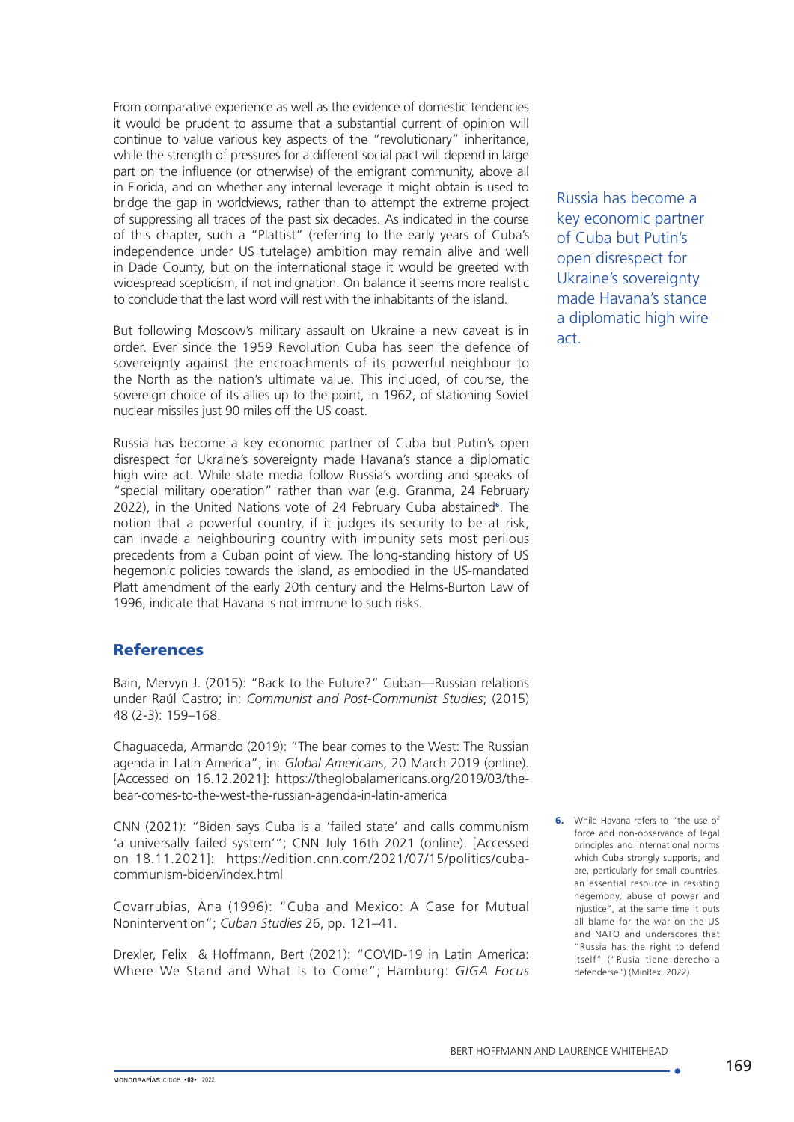From comparative experience as well as the evidence of domestic tendencies it would be prudent to assume that a substantial current of opinion will continue to value various key aspects of the "revolutionary" inheritance, while the strength of pressures for a different social pact will depend in large part on the influence (or otherwise) of the emigrant community, above all in Florida, and on whether any internal leverage it might obtain is used to bridge the gap in worldviews, rather than to attempt the extreme project of suppressing all traces of the past six decades. As indicated in the course of this chapter, such a "Plattist" (referring to the early years of Cuba's independence under US tutelage) ambition may remain alive and well in Dade County, but on the international stage it would be greeted with widespread scepticism, if not indignation. On balance it seems more realistic to conclude that the last word will rest with the inhabitants of the island.

But following Moscow's military assault on Ukraine a new caveat is in order. Ever since the 1959 Revolution Cuba has seen the defence of sovereignty against the encroachments of its powerful neighbour to the North as the nation's ultimate value. This included, of course, the sovereign choice of its allies up to the point, in 1962, of stationing Soviet nuclear missiles just 90 miles off the US coast.

Russia has become a key economic partner of Cuba but Putin's open disrespect for Ukraine's sovereignty made Havana's stance a diplomatic high wire act. While state media follow Russia's wording and speaks of "special military operation" rather than war (e.g. Granma, 24 February 2022), in the United Nations vote of 24 February Cuba abstained<sup>6</sup>. The notion that a powerful country, if it judges its security to be at risk, can invade a neighbouring country with impunity sets most perilous precedents from a Cuban point of view. The long-standing history of US hegemonic policies towards the island, as embodied in the US-mandated Platt amendment of the early 20th century and the Helms-Burton Law of 1996, indicate that Havana is not immune to such risks.

## **References**

Bain, Mervyn J. (2015): "Back to the Future?" Cuban—Russian relations under Raúl Castro; in: *Communist and Post-Communist Studies*; (2015) 48 (2-3): 159–168.

Chaguaceda, Armando (2019): "The bear comes to the West: The Russian agenda in Latin America"; in: *Global Americans*, 20 March 2019 (online). [Accessed on 16.12.2021]: [https://theglobalamericans.org/2019/03/the](https://theglobalamericans.org/2019/03/the-bear-comes-to-the-west-the-russian-agenda-in-latin-america)[bear-comes-to-the-west-the-russian-agenda-in-latin-america](https://theglobalamericans.org/2019/03/the-bear-comes-to-the-west-the-russian-agenda-in-latin-america)

CNN (2021): "Biden says Cuba is a 'failed state' and calls communism 'a universally failed system'"; CNN July 16th 2021 (online). [Accessed on 18.11.2021]: [https://edition.cnn.com/2021/07/15/politics/cuba](https://edition.cnn.com/2021/07/15/politics/cuba-communism-biden/index.html)[communism-biden/index.html](https://edition.cnn.com/2021/07/15/politics/cuba-communism-biden/index.html)

Covarrubias, Ana (1996): "Cuba and Mexico: A Case for Mutual Nonintervention"; *Cuban Studies* 26, pp. 121–41.

Drexler, Felix & Hoffmann, Bert (2021): "COVID-19 in Latin America: Where We Stand and What Is to Come"; Hamburg: *GIGA Focus* Russia has become a key economic partner of Cuba but Putin's open disrespect for Ukraine's sovereignty made Havana's stance a diplomatic high wire act.

6. While Havana refers to "the use of force and non-observance of legal principles and international norms which Cuba strongly supports, and are, particularly for small countries, an essential resource in resisting hegemony, abuse of power and injustice", at the same time it puts all blame for the war on the US and NATO and underscores that "Russia has the right to defend itself" ("Rusia tiene derecho a defenderse") (MinRex, 2022).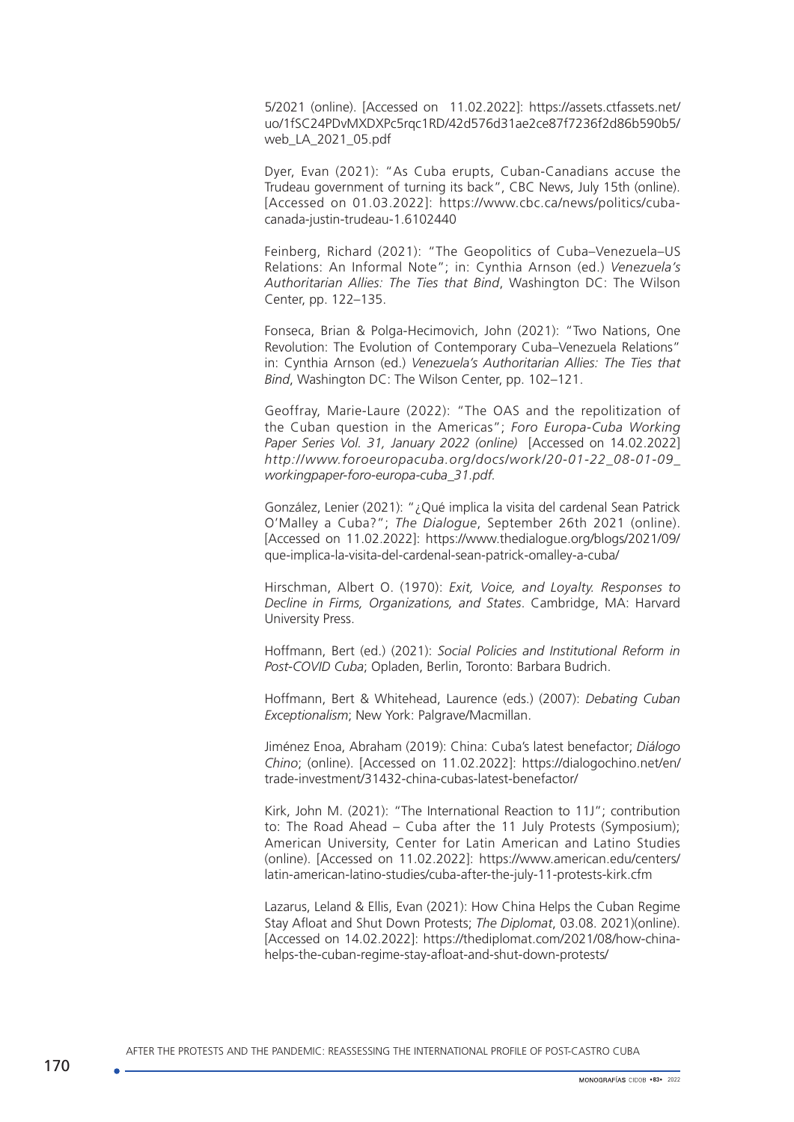5/2021 (online). [Accessed on 11.02.2022]: [https://assets.ctfassets.net/](https://assets.ctfassets.net/jlhgjubhhjuo/1fSC24PDvMXDXPc5rqc1RD/42d576d31ae2ce87f7236f2d86b590b5/web_LA_2021_05.pdf) [uo/1fSC24PDvMXDXPc5rqc1RD/42d576d31ae2ce87f7236f2d86b590b5/](https://assets.ctfassets.net/jlhgjubhhjuo/1fSC24PDvMXDXPc5rqc1RD/42d576d31ae2ce87f7236f2d86b590b5/web_LA_2021_05.pdf) [web\\_LA\\_2021\\_05.pdf](https://assets.ctfassets.net/jlhgjubhhjuo/1fSC24PDvMXDXPc5rqc1RD/42d576d31ae2ce87f7236f2d86b590b5/web_LA_2021_05.pdf)

Dyer, Evan (2021): "As Cuba erupts, Cuban-Canadians accuse the Trudeau government of turning its back", CBC News, July 15th (online). [Accessed on 01.03.2022]: https://www.cbc.ca/news/politics/cubacanada-justin-trudeau-1.6102440

Feinberg, Richard (2021): "The Geopolitics of Cuba–Venezuela–US Relations: An Informal Note"; in: Cynthia Arnson (ed.) *Venezuela's Authoritarian Allies: The Ties that Bind*, Washington DC: The Wilson Center, pp. 122–135.

Fonseca, Brian & Polga-Hecimovich, John (2021): "Two Nations, One Revolution: The Evolution of Contemporary Cuba–Venezuela Relations" in: Cynthia Arnson (ed.) *Venezuela's Authoritarian Allies: The Ties that Bind*, Washington DC: The Wilson Center, pp. 102–121.

Geoffray, Marie-Laure (2022): "The OAS and the repolitization of the Cuban question in the Americas"; *Foro Europa-Cuba Working Paper Series Vol. 31, January 2022 (online)* [Accessed on 14.02.2022] *http://www.foroeuropacuba.org/docs/work/20-01-22\_08-01-09\_ workingpaper-foro-europa-cuba\_31.pdf.*

González, Lenier (2021): "¿Qué implica la visita del cardenal Sean Patrick O'Malley a Cuba?"; *The Dialogue*, September 26th 2021 (online). [Accessed on 11.02.2022]: [https://www.thedialogue.org/blogs/2021/09/](https://www.thedialogue.org/blogs/2021/09/que-implica-la-visita-del-cardenal-sean-patrick-omalley-a-cuba/) [que-implica-la-visita-del-cardenal-sean-patrick-omalley-a-cuba/](https://www.thedialogue.org/blogs/2021/09/que-implica-la-visita-del-cardenal-sean-patrick-omalley-a-cuba/)

Hirschman, Albert O. (1970): *Exit, Voice, and Loyalty. Responses to Decline in Firms, Organizations, and States*. Cambridge, MA: Harvard University Press.

Hoffmann, Bert (ed.) (2021): *Social Policies and Institutional Reform in Post-COVID Cuba*; Opladen, Berlin, Toronto: Barbara Budrich.

Hoffmann, Bert & Whitehead, Laurence (eds.) (2007): *Debating Cuban Exceptionalism*; New York: Palgrave/Macmillan.

Jiménez Enoa, Abraham (2019): China: Cuba's latest benefactor; *Diálogo Chino*; (online). [Accessed on 11.02.2022]: https://dialogochino.net/en/ trade-investment/31432-china-cubas-latest-benefactor/

Kirk, John M. (2021): "The International Reaction to 11J"; contribution to: The Road Ahead – Cuba after the 11 July Protests (Symposium); American University, Center for Latin American and Latino Studies (online). [Accessed on 11.02.2022]: https://www.american.edu/centers/ latin-american-latino-studies/cuba-after-the-july-11-protests-kirk.cfm

Lazarus, Leland & Ellis, Evan (2021): How China Helps the Cuban Regime Stay Afloat and Shut Down Protests; *The Diplomat*, 03.08. 2021)(online). [Accessed on 14.02.2022]: https://thediplomat.com/2021/08/how-chinahelps-the-cuban-regime-stay-afloat-and-shut-down-protests/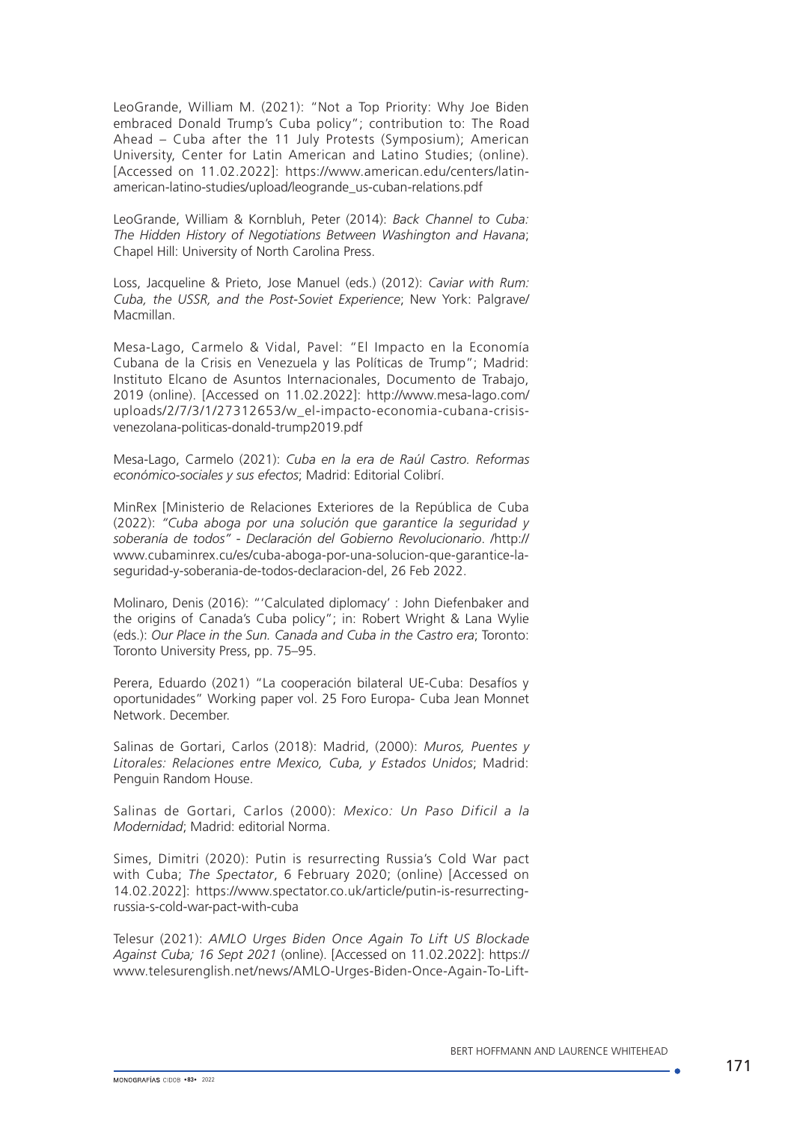LeoGrande, William M. (2021): "Not a Top Priority: Why Joe Biden embraced Donald Trump's Cuba policy"; contribution to: The Road Ahead – Cuba after the 11 July Protests (Symposium); American University, Center for Latin American and Latino Studies; (online). [Accessed on 11.02.2022]: [https://www.american.edu/centers/latin](https://www.american.edu/centers/latin-american-latino-studies/upload/leogrande_us-cuban-relations.pdf)[american-latino-studies/upload/leogrande\\_us-cuban-relations.pdf](https://www.american.edu/centers/latin-american-latino-studies/upload/leogrande_us-cuban-relations.pdf)

LeoGrande, William & Kornbluh, Peter (2014): *Back Channel to Cuba: The Hidden History of Negotiations Between Washington and Havana*; Chapel Hill: University of North Carolina Press.

Loss, Jacqueline & Prieto, Jose Manuel (eds.) (2012): *Caviar with Rum: Cuba, the USSR, and the Post-Soviet Experience*; New York: Palgrave/ Macmillan.

Mesa-Lago, Carmelo & Vidal, Pavel: "El Impacto en la Economía Cubana de la Crisis en Venezuela y las Políticas de Trump"; Madrid: Instituto Elcano de Asuntos Internacionales, Documento de Trabajo, 2019 (online). [Accessed on 11.02.2022]: [http://www.mesa-lago.com/](http://www.mesa-lago.com/uploads/2/7/3/1/27312653/w_el-impacto-economia-cubana-crisis-venezolana-politicas-donald-trump2019.pdf) [uploads/2/7/3/1/27312653/w\\_el-impacto-economia-cubana-crisis](http://www.mesa-lago.com/uploads/2/7/3/1/27312653/w_el-impacto-economia-cubana-crisis-venezolana-politicas-donald-trump2019.pdf)[venezolana-politicas-donald-trump2019.pdf](http://www.mesa-lago.com/uploads/2/7/3/1/27312653/w_el-impacto-economia-cubana-crisis-venezolana-politicas-donald-trump2019.pdf)

Mesa-Lago, Carmelo (2021): *Cuba en la era de Raúl Castro. Reformas económico-sociales y sus efectos*; Madrid: Editorial Colibrí.

MinRex [Ministerio de Relaciones Exteriores de la República de Cuba (2022): *"Cuba aboga por una solución que garantice la seguridad y soberanía de todos" - Declaración del Gobierno Revolucionario*. /http:// www.cubaminrex.cu/es/cuba-aboga-por-una-solucion-que-garantice-laseguridad-y-soberania-de-todos-declaracion-del, 26 Feb 2022.

Molinaro, Denis (2016): "'Calculated diplomacy' : John Diefenbaker and the origins of Canada's Cuba policy"; in: Robert Wright & Lana Wylie (eds.): *Our Place in the Sun. Canada and Cuba in the Castro era*; Toronto: Toronto University Press, pp. 75–95.

Perera, Eduardo (2021) "La cooperación bilateral UE-Cuba: Desafíos y oportunidades" Working paper vol. 25 Foro Europa- Cuba Jean Monnet Network. December.

Salinas de Gortari, Carlos (2018): Madrid, (2000): *Muros, Puentes y Litorales: Relaciones entre Mexico, Cuba, y Estados Unidos*; Madrid: Penguin Random House.

Salinas de Gortari, Carlos (2000): *Mexico: Un Paso Dificil a la Modernidad*; Madrid: editorial Norma.

Simes, Dimitri (2020): Putin is resurrecting Russia's Cold War pact with Cuba; *The Spectator*, 6 February 2020; (online) [Accessed on 14.02.2022]: https://www.spectator.co.uk/article/putin-is-resurrectingrussia-s-cold-war-pact-with-cuba

Telesur (2021): *AMLO Urges Biden Once Again To Lift US Blockade Against Cuba; 16 Sept 2021* (online). [Accessed on 11.02.2022]: https:// www.telesurenglish.net/news/AMLO-Urges-Biden-Once-Again-To-Lift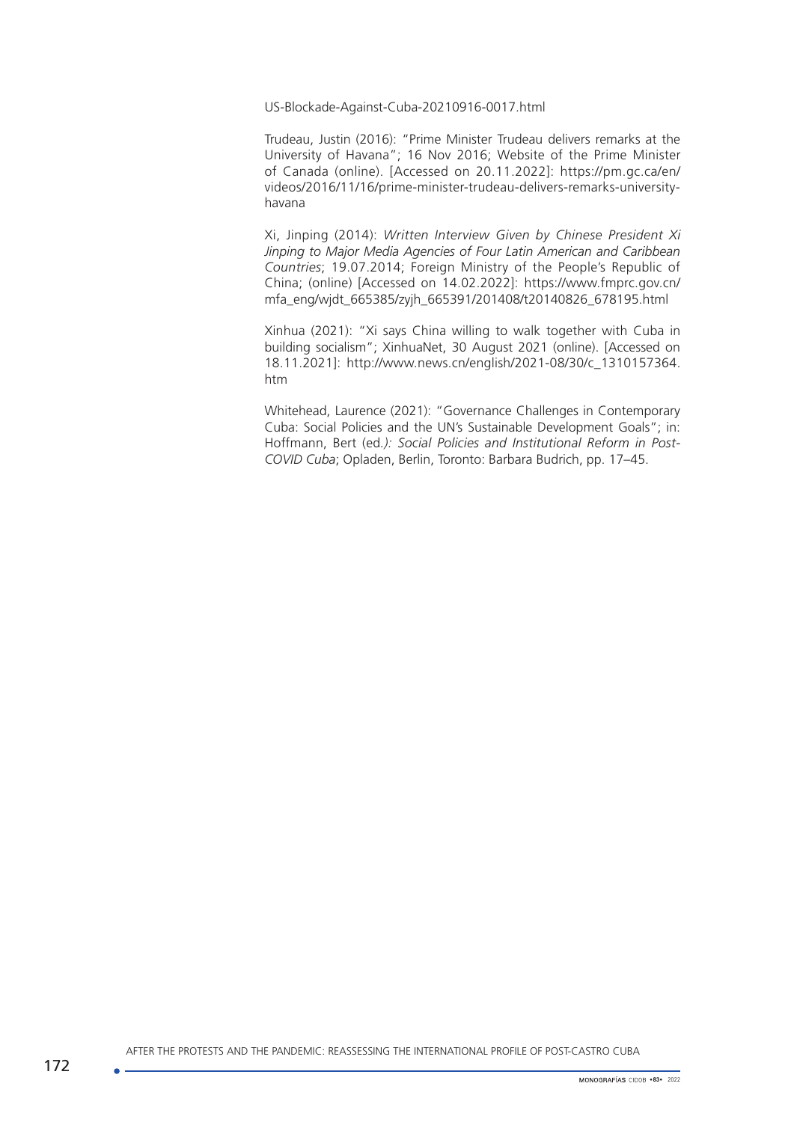US-Blockade-Against-Cuba-20210916-0017.html

Trudeau, Justin (2016): "Prime Minister Trudeau delivers remarks at the University of Havana"; 16 Nov 2016; Website of the Prime Minister of Canada (online). [Accessed on 20.11.2022]: [https://pm.gc.ca/en/](https://pm.gc.ca/en/videos/2016/11/16/prime-minister-trudeau-delivers-remarks-university-havana) [videos/2016/11/16/prime-minister-trudeau-delivers-remarks-university](https://pm.gc.ca/en/videos/2016/11/16/prime-minister-trudeau-delivers-remarks-university-havana)[havana](https://pm.gc.ca/en/videos/2016/11/16/prime-minister-trudeau-delivers-remarks-university-havana)

Xi, Jinping (2014): *Written Interview Given by Chinese President Xi Jinping to Major Media Agencies of Four Latin American and Caribbean Countries*; 19.07.2014; Foreign Ministry of the People's Republic of China; (online) [Accessed on 14.02.2022]: https://www.fmprc.gov.cn/ mfa\_eng/wjdt\_665385/zyjh\_665391/201408/t20140826\_678195.html

Xinhua (2021): "Xi says China willing to walk together with Cuba in building socialism"; XinhuaNet, 30 August 2021 (online). [Accessed on 18.11.2021]: [http://www.news.cn/english/2021-08/30/c\\_1310157364.](http://www.news.cn/english/2021-08/30/c_1310157364.htm) [htm](http://www.news.cn/english/2021-08/30/c_1310157364.htm)

Whitehead, Laurence (2021): "Governance Challenges in Contemporary Cuba: Social Policies and the UN's Sustainable Development Goals"; in: Hoffmann, Bert (ed*.): Social Policies and Institutional Reform in Post-COVID Cuba*; Opladen, Berlin, Toronto: Barbara Budrich, pp. 17–45.

AFTER THE PROTESTS AND THE PANDEMIC: REASSESSING THE INTERNATIONAL PROFILE OF POST-CASTRO CUBA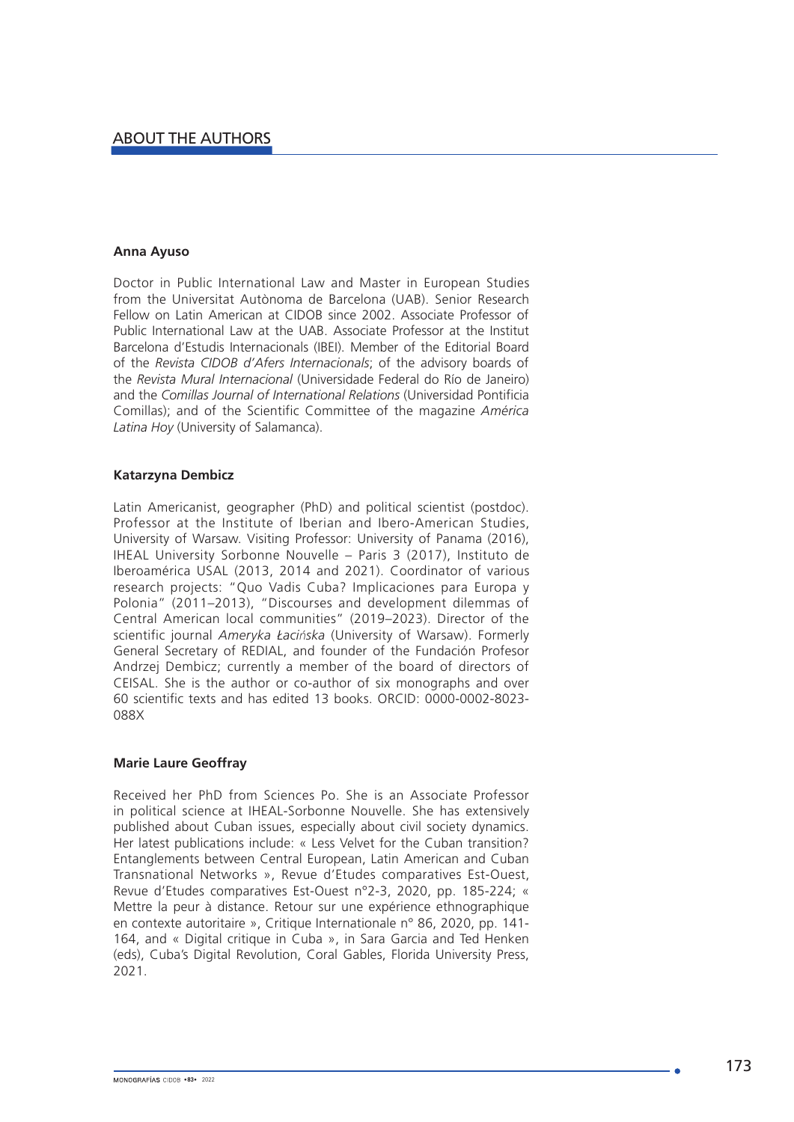### **Anna Ayuso**

Doctor in Public International Law and Master in European Studies from the Universitat Autònoma de Barcelona (UAB). Senior Research Fellow on Latin American at CIDOB since 2002. Associate Professor of Public International Law at the UAB. Associate Professor at the Institut Barcelona d'Estudis Internacionals (IBEI). Member of the Editorial Board of the *Revista CIDOB d'Afers Internacionals*; of the advisory boards of the *Revista Mural Internacional* (Universidade Federal do Río de Janeiro) and the *Comillas Journal of International Relations* (Universidad Pontificia Comillas); and of the Scientific Committee of the magazine *América Latina Hoy* (University of Salamanca).

### **Katarzyna Dembicz**

Latin Americanist, geographer (PhD) and political scientist (postdoc). Professor at the Institute of Iberian and Ibero-American Studies, University of Warsaw. Visiting Professor: University of Panama (2016), IHEAL University Sorbonne Nouvelle – Paris 3 (2017), Instituto de Iberoamérica USAL (2013, 2014 and 2021). Coordinator of various research projects: "Quo Vadis Cuba? Implicaciones para Europa y Polonia" (2011–2013), "Discourses and development dilemmas of Central American local communities" (2019–2023). Director of the scientific journal *Ameryka Łacińska* (University of Warsaw). Formerly General Secretary of REDIAL, and founder of the Fundación Profesor Andrzej Dembicz; currently a member of the board of directors of CEISAL. She is the author or co-author of six monographs and over 60 scientific texts and has edited 13 books. ORCID: 0000-0002-8023- 088X

### **Marie Laure Geoffray**

Received her PhD from Sciences Po. She is an Associate Professor in political science at IHEAL-Sorbonne Nouvelle. She has extensively published about Cuban issues, especially about civil society dynamics. Her latest publications include: « Less Velvet for the Cuban transition? Entanglements between Central European, Latin American and Cuban Transnational Networks », Revue d'Etudes comparatives Est-Ouest, Revue d'Etudes comparatives Est-Ouest n°2-3, 2020, pp. 185-224; « Mettre la peur à distance. Retour sur une expérience ethnographique en contexte autoritaire », Critique Internationale n° 86, 2020, pp. 141- 164, and « Digital critique in Cuba », in Sara Garcia and Ted Henken (eds), Cuba's Digital Revolution, Coral Gables, Florida University Press, 2021.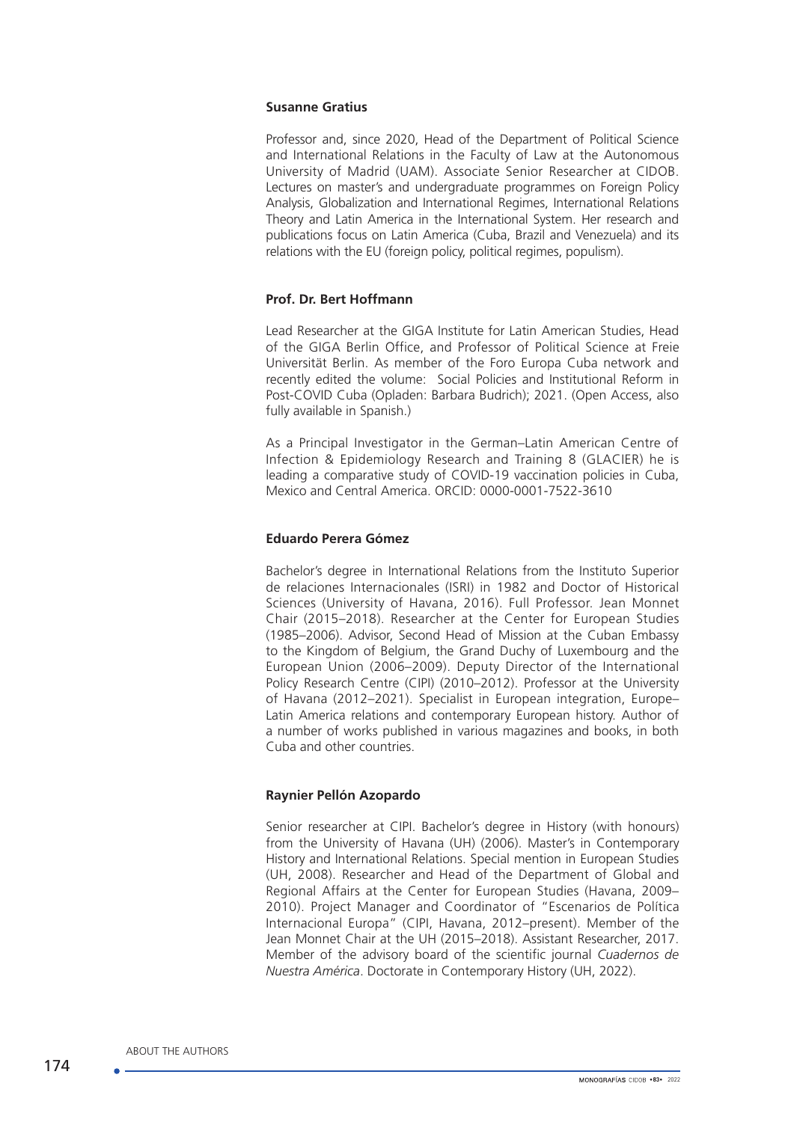### **Susanne Gratius**

Professor and, since 2020, Head of the Department of Political Science and International Relations in the Faculty of Law at the Autonomous University of Madrid (UAM). Associate Senior Researcher at CIDOB. Lectures on master's and undergraduate programmes on Foreign Policy Analysis, Globalization and International Regimes, International Relations Theory and Latin America in the International System. Her research and publications focus on Latin America (Cuba, Brazil and Venezuela) and its relations with the EU (foreign policy, political regimes, populism).

### **Prof. Dr. Bert Hoffmann**

Lead Researcher at the GIGA Institute for Latin American Studies, Head of the GIGA Berlin Office, and Professor of Political Science at Freie Universität Berlin. As member of the Foro Europa Cuba network and recently edited the volume: [Social Policies and Institutional Reform in](https://shop.budrich.de/en/product/social-policies-and-institutional-reform-in-post-covid-cuba/) [Post-COVID Cuba](https://shop.budrich.de/en/product/social-policies-and-institutional-reform-in-post-covid-cuba/) (Opladen: Barbara Budrich); 2021. (Open Access, also fully available in [Spanish.](https://shop.budrich.de/en/product/politica-social-y-reformas-institucionales-en-la-cuba-pos-covid/))

As a Principal Investigator in the German–Latin American Centre of Infection & Epidemiology Research and Training 8 (GLACIER) he is leading a comparative study of COVID-19 vaccination policies in Cuba, Mexico and Central America. ORCID: 0000-0001-7522-3610

### **Eduardo Perera Gómez**

Bachelor's degree in International Relations from the Instituto Superior de relaciones Internacionales (ISRI) in 1982 and Doctor of Historical Sciences (University of Havana, 2016). Full Professor. Jean Monnet Chair (2015–2018). Researcher at the Center for European Studies (1985–2006). Advisor, Second Head of Mission at the Cuban Embassy to the Kingdom of Belgium, the Grand Duchy of Luxembourg and the European Union (2006–2009). Deputy Director of the International Policy Research Centre (CIPI) (2010–2012). Professor at the University of Havana (2012–2021). Specialist in European integration, Europe– Latin America relations and contemporary European history. Author of a number of works published in various magazines and books, in both Cuba and other countries.

### **Raynier Pellón Azopardo**

Senior researcher at CIPI. Bachelor's degree in History (with honours) from the University of Havana (UH) (2006). Master's in Contemporary History and International Relations. Special mention in European Studies (UH, 2008). Researcher and Head of the Department of Global and Regional Affairs at the Center for European Studies (Havana, 2009– 2010). Project Manager and Coordinator of "Escenarios de Política Internacional Europa" (CIPI, Havana, 2012–present). Member of the Jean Monnet Chair at the UH (2015–2018). Assistant Researcher, 2017. Member of the advisory board of the scientific journal *Cuadernos de Nuestra América*. Doctorate in Contemporary History (UH, 2022).